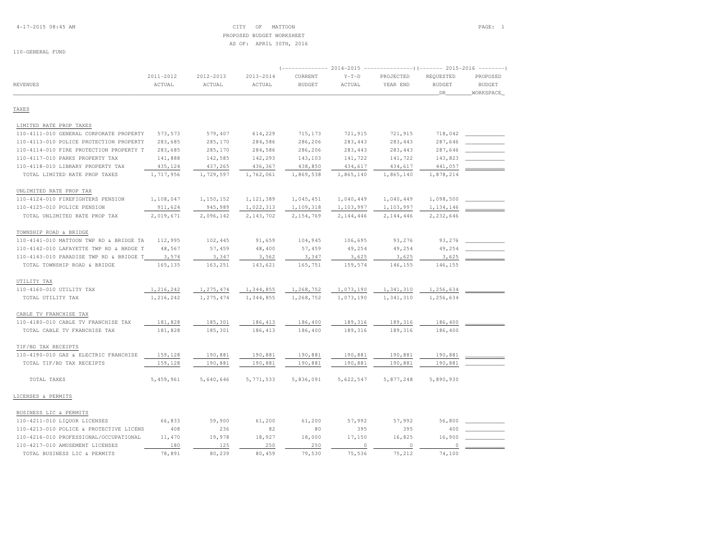## 4-17-2015 08:45 AM CITY OF MATTOON PAGE: 1 PROPOSED BUDGET WORKSHEETAS OF: APRIL 30TH, 2016

|                                         |           | $-----$ (------ 2015-2016 | $- - - - - - -$ |               |           |           |               |               |
|-----------------------------------------|-----------|---------------------------|-----------------|---------------|-----------|-----------|---------------|---------------|
|                                         | 2011-2012 | 2012-2013                 | 2013-2014       | CURRENT       | $Y-T-D$   | PROJECTED | REQUESTED     | PROPOSED      |
| <b>REVENUES</b>                         | ACTUAL    | ACTUAL                    | ACTUAL          | <b>BUDGET</b> | ACTUAL    | YEAR END  | <b>BUDGET</b> | <b>BUDGET</b> |
|                                         |           |                           |                 |               |           |           | DR            | WORKSPACE     |
| TAXES                                   |           |                           |                 |               |           |           |               |               |
| LIMITED RATE PROP TAXES                 |           |                           |                 |               |           |           |               |               |
| 110-4111-010 GENERAL CORPORATE PROPERTY | 573,573   | 579,407                   | 614,229         | 715,173       | 721,915   | 721,915   | 718,042       |               |
| 110-4113-010 POLICE PROTECTION PROPERTY | 283,685   | 285,170                   | 284,586         | 286,206       | 283, 443  | 283, 443  | 287,646       |               |
| 110-4114-010 FIRE PROTECTION PROPERTY T | 283,685   | 285,170                   | 284,586         | 286,206       | 283, 443  | 283, 443  | 287,646       |               |
| 110-4117-010 PARKS PROPERTY TAX         | 141,888   | 142,585                   | 142,293         | 143,103       | 141,722   | 141,722   | 143,823       |               |
| 110-4118-010 LIBRARY PROPERTY TAX       | 435,124   | 437,265                   | 436,367         | 438,850       | 434,617   | 434,617   | 441,057       |               |
| TOTAL LIMITED RATE PROP TAXES           | 1,717,956 | 1,729,597                 | 1,762,061       | 1,869,538     | 1,865,140 | 1,865,140 | 1,878,214     |               |
| UNLIMITED RATE PROP TAX                 |           |                           |                 |               |           |           |               |               |
| 110-4124-010 FIREFIGHTERS PENSION       | 1,108,047 | 1,150,152                 | 1,121,389       | 1,045,451     | 1,040,449 | 1,040,449 | 1,098,500     |               |
| 110-4125-010 POLICE PENSION             | 911,624   | 945,989                   | 1,022,313       | 1,109,318     | 1,103,997 | 1,103,997 | 1,134,146     |               |
| TOTAL UNLIMITED RATE PROP TAX           | 2,019,671 | 2,096,142                 | 2,143,702       | 2,154,769     | 2,144,446 | 2,144,446 | 2,232,646     |               |
| TOWNSHIP ROAD & BRIDGE                  |           |                           |                 |               |           |           |               |               |
| 110-4141-010 MATTOON TWP RD & BRIDGE TA | 112,995   | 102,445                   | 91,659          | 104,945       | 106,695   | 93,276    | 93,276        |               |
| 110-4142-010 LAFAYETTE TWP RD & BRDGE T | 48,567    | 57,459                    | 48,400          | 57,459        | 49,254    | 49,254    | 49,254        |               |
| 110-4143-010 PARADISE TWP RD & BRIDGE T | 3,574     | 3,347                     | 3,562           | 3,347         | 3,625     | 3,625     | 3,625         |               |
| TOTAL TOWNSHIP ROAD & BRIDGE            | 165,135   | 163,251                   | 143,621         | 165,751       | 159,574   | 146,155   | 146,155       |               |
| UTILITY TAX                             |           |                           |                 |               |           |           |               |               |
| 110-4160-010 UTILITY TAX                | 1,216,242 | 1,275,474                 | 1,344,855       | 1,268,752     | 1,073,190 | 1,341,310 | 1,256,634     |               |
| TOTAL UTILITY TAX                       | 1,216,242 | 1,275,474                 | 1,344,855       | 1,268,752     | 1,073,190 | 1,341,310 | 1,256,634     |               |
| CABLE TV FRANCHISE TAX                  |           |                           |                 |               |           |           |               |               |
| 110-4180-010 CABLE TV FRANCHISE TAX     | 181,828   | 185,301                   | 186, 413        | 186,400       | 189,316   | 189,316   | 186,400       |               |
| TOTAL CABLE TV FRANCHISE TAX            | 181,828   | 185,301                   | 186, 413        | 186,400       | 189,316   | 189,316   | 186,400       |               |
| TIF/BD TAX RECEIPTS                     |           |                           |                 |               |           |           |               |               |
| 110-4190-010 GAS & ELECTRIC FRANCHISE   | 159,128   | 190,881                   | 190,881         | 190,881       | 190,881   | 190,881   | 190,881       |               |
| TOTAL TIF/BD TAX RECEIPTS               | 159,128   | 190,881                   | 190,881         | 190,881       | 190,881   | 190,881   | 190,881       |               |
| TOTAL TAXES                             | 5,459,961 | 5,640,646                 | 5, 771, 533     | 5,836,091     | 5,622,547 | 5,877,248 | 5,890,930     |               |
|                                         |           |                           |                 |               |           |           |               |               |
| LICENSES & PERMITS                      |           |                           |                 |               |           |           |               |               |
| BUSINESS LIC & PERMITS                  |           |                           |                 |               |           |           |               |               |
| 110-4211-010 LIQUOR LICENSES            | 66,833    | 59,900                    | 61,200          | 61,200        | 57,992    | 57,992    | 56,800        |               |
| 110-4213-010 POLICE & PROTECTIVE LICENS | 408       | 236                       | 82              | 80            | 395       | 395       | 400           |               |
| 110-4216-010 PROFESSIONAL/OCCUPATIONAL  | 11,470    | 19,978                    | 18,927          | 18,000        | 17,150    | 16,825    | 16,900        |               |
| 110-4217-010 AMUSEMENT LICENSES         | 180       | 125                       | 250             | 250           | $\circ$   | $\circ$   | $\circ$       |               |
| TOTAL BUSINESS LIC & PERMITS            | 78,891    | 80,239                    | 80,459          | 79,530        | 75,536    | 75,212    | 74,100        |               |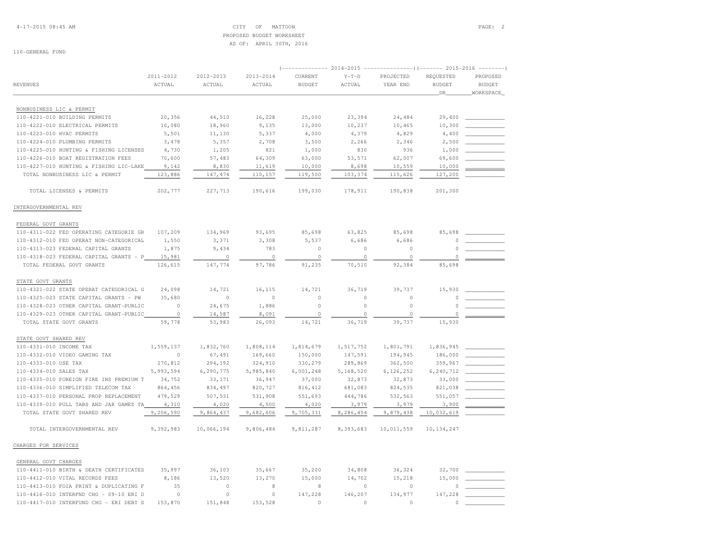## 4-17-2015 08:45 AM CITY OF MATTOON PAGE: 2 PROPOSED BUDGET WORKSHEETAS OF: APRIL 30TH, 2016

| <b>REVENUES</b>                         | 2011-2012<br>ACTUAL | 2012-2013<br>ACTUAL | $2013 - 2014$<br>ACTUAL | $($ -------------- 2014-2015 ----------------) (------- 2015-2016 --------)<br>CURRENT<br><b>BUDGET</b> | $Y-T-D$<br>ACTUAL | PROJECTED<br>YEAR END | REQUESTED<br><b>BUDGET</b><br>DR | PROPOSED<br><b>BUDGET</b><br>WORKSPACE |
|-----------------------------------------|---------------------|---------------------|-------------------------|---------------------------------------------------------------------------------------------------------|-------------------|-----------------------|----------------------------------|----------------------------------------|
|                                         |                     |                     |                         |                                                                                                         |                   |                       |                                  |                                        |
| NONBUSINESS LIC & PERMIT                |                     |                     |                         |                                                                                                         |                   |                       |                                  |                                        |
| 110-4221-010 BUILDING PERMITS           | 20,356              | 44,510              | 16,228                  | 25,000                                                                                                  | 23,394            | 24,484                | 29,400                           |                                        |
| 110-4222-010 ELECTRICAL PERMITS         | 10,080              | 18,960              | 9,135                   | 13,000                                                                                                  | 10,237            | 10,465                | 10,300                           |                                        |
| 110-4223-010 HVAC PERMITS               | 5,501               | 11,130              | 5,337                   | 4,000                                                                                                   | 4,379             | 4,829                 | 4,400                            |                                        |
| 110-4224-010 PLUMBING PERMITS           | 3,478               | 5,357               | 2,708                   | 3,500                                                                                                   | 2,266             | 2,346                 | 2,500                            |                                        |
| 110-4225-010 HUNTING & FISHING LICENSES | 4,730               | 1,205               | 821                     | 1,000                                                                                                   | 830               | 936                   | 1,000                            |                                        |
| 110-4226-010 BOAT REGISTRATION FEES     | 70,600              | 57,483              | 64,309                  | 63,000                                                                                                  | 53,571            | 62,007                | 69,600                           |                                        |
| 110-4227-010 HUNTING & FISHING LIC-LAKE | 9,142               | 8,830               | 11,619                  | 10,000                                                                                                  | 8,698             | 10,559                | 10,000                           |                                        |
| TOTAL NONBUSINESS LIC & PERMIT          | 123,886             | 147, 474            | 110,157                 | 119,500                                                                                                 | 103,374           | 115,626               | 127,200                          |                                        |
| TOTAL LICENSES & PERMITS                | 202,777             | 227,713             | 190,616                 | 199,030                                                                                                 | 178,911           | 190,838               | 201,300                          |                                        |
| INTERGOVERNMENTAL REV                   |                     |                     |                         |                                                                                                         |                   |                       |                                  |                                        |
| FEDERAL GOVT GRANTS                     |                     |                     |                         |                                                                                                         |                   |                       |                                  |                                        |
| 110-4311-022 FED OPERATING CATEGORIE GR | 107,209             | 134,969             | 93,695                  | 85,698                                                                                                  | 63,825            | 85,698                | 85,698                           |                                        |
| 110-4312-010 FED OPERAT NON-CATEGORICAL | 1,550               | 3,371               | 3,308                   | 5,537                                                                                                   | 6,686             | 6,686                 | 0                                |                                        |
| 110-4313-023 FEDERAL CAPITAL GRANTS     | 1,875               | 9,434               | 783                     | $\circ$                                                                                                 | $\Omega$          | $\circ$               | $\cap$                           |                                        |
| 110-4318-023 FEDERAL CAPITAL GRANTS - P | 15,981              | $\circ$             | $\circ$                 | $\mathbb O$                                                                                             | $\circ$           | $\circ$               |                                  |                                        |
| TOTAL FEDERAL GOVT GRANTS               | 126,615             | 147,774             | 97,786                  | 91,235                                                                                                  | 70,510            | 92,384                | 85,698                           |                                        |
| STATE GOVT GRANTS                       |                     |                     |                         |                                                                                                         |                   |                       |                                  |                                        |
| 110-4321-022 STATE OPERAT CATEGORICAL G | 24,098              | 14,721              | 16,115                  | 14,721                                                                                                  | 36,719            | 39,737                | 15,930                           |                                        |
| 110-4325-023 STATE CAPITAL GRANTS - PW  | 35,680              | $\circ$             | $\circ$                 | $\circ$                                                                                                 | $\circ$           | $\circ$               | 0                                |                                        |
| 110-4328-023 OTHER CAPITAL GRANT-PUBLIC | $\circ$             | 24,675              | 1,886                   | $\circ$                                                                                                 | $\circ$           | $\circ$               | $\Omega$                         |                                        |
| 110-4329-023 OTHER CAPITAL GRANT-PUBLIC | $\circ$             | 14,587              | 8,091                   | $\circ$                                                                                                 | $\Omega$          | $\circ$               | $\Omega$                         |                                        |
| TOTAL STATE GOVT GRANTS                 | 59,778              | 53,983              | 26,093                  | 14,721                                                                                                  | 36,719            | 39,737                | 15,930                           |                                        |
| STATE GOVT SHARED REV                   |                     |                     |                         |                                                                                                         |                   |                       |                                  |                                        |
| 110-4331-010 INCOME TAX                 | 1,559,137           | 1,832,760           | 1,808,114               | 1,814,679                                                                                               | 1,517,752         | 1,801,791             | 1,836,945                        |                                        |
| 110-4332-010 VIDEO GAMING TAX           | $\cap$              | 67,491              | 169,660                 | 150,000                                                                                                 | 147,591           | 194,945               | 186,000                          |                                        |
| 110-4333-010 USE TAX                    | 270,812             | 294,192             | 324,910                 | 330,279                                                                                                 | 289,869           | 362,500               | 359,967                          |                                        |
| 110-4334-010 SALES TAX                  | 5,993,594           | 6,290,775           | 5,985,840               | 6,001,248                                                                                               | 5,168,520         | 6,126,252             | 6,240,712                        |                                        |
| 110-4335-010 FOREIGN FIRE INS PREMIUM T | 34,752              | 33,171              | 36,947                  | 37,000                                                                                                  | 32,873            | 32,873                | 33,000                           |                                        |
| 110-4336-010 SIMPLIFIED TELECOM TAX     | 864,456             | 834,497             | 820,727                 | 816, 412                                                                                                | 681,083           | 824,535               | 821,038                          |                                        |
| 110-4337-010 PERSONAL PROP REPLACEMENT  | 479,529             | 507,531             | 531,908                 | 551,693                                                                                                 | 444,786           | 532,563               | 551,057                          |                                        |
| 110-4339-010 PULL TABS AND JAR GAMES TA | 4,310               | 4,020               | 4,500                   | 4,020                                                                                                   | 3,979             | 3,979                 | 3,900                            |                                        |
| TOTAL STATE GOVT SHARED REV             | 9,206,590           | 9,864,437           | 9,682,606               | 9,705,331                                                                                               | 8,286,454         | 9,879,438             | 10,032,619                       |                                        |
| TOTAL INTERGOVERNMENTAL REV             | 9,392,983           | 10,066,194          | 9,806,484               | 9,811,287                                                                                               | 8,393,683         | 10,011,559            | 10, 134, 247                     |                                        |
| CHARGES FOR SERVICES                    |                     |                     |                         |                                                                                                         |                   |                       |                                  |                                        |
| GENERAL GOVT CHARGES                    |                     |                     |                         |                                                                                                         |                   |                       |                                  |                                        |
| 110-4411-010 BIRTH & DEATH CERTIFICATES | 35,997              | 36,103              | 35,667                  | 35,200                                                                                                  | 34,808            | 36,324                | 32,700                           |                                        |
| 110-4412-010 VITAL RECORDS FEES         | 8,186               | 13,520              | 13,270                  | 15,000                                                                                                  | 14,702            | 15,218                | 15,000                           |                                        |
| 110-4413-010 FOIA PRINT & DUPLICATING F | 35                  | $\circ$             | 8                       | 8                                                                                                       | $\Omega$          | $\circ$               |                                  |                                        |
| 110-4416-010 INTERFND CHG - 09-10 ERI D | $\cap$              | $\mathbb O$         | $\circ$                 | 147,228                                                                                                 | 146,207           | 134,977               | 147,228                          |                                        |
| 110-4417-010 INTERFUND CHG - ERI DEBT S | 153,870             | 151,848             | 153,528                 | $\Omega$                                                                                                | $\cap$            | $\circ$               | $\Omega$                         |                                        |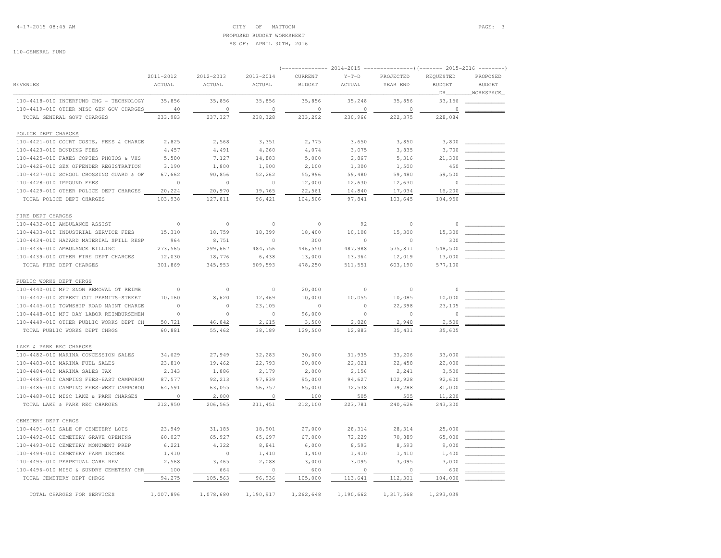## 4-17-2015 08:45 AM CITY OF MATTOON PAGE: 3 PROPOSED BUDGET WORKSHEETAS OF: APRIL 30TH, 2016

|                                         | 2011-2012      | 2012-2013   | 2013-2014 | CURRENT       | $Y-T-D$   | PROJECTED | REQUESTED     | PROPOSED      |
|-----------------------------------------|----------------|-------------|-----------|---------------|-----------|-----------|---------------|---------------|
| <b>REVENUES</b>                         | ACTUAL         | ACTUAL      | ACTUAL    | <b>BUDGET</b> | ACTUAL    | YEAR END  | <b>BUDGET</b> | <b>BUDGET</b> |
|                                         |                |             |           |               |           |           | DR.           | WORKSPACE     |
| 110-4418-010 INTERFUND CHG - TECHNOLOGY | 35,856         | 35,856      | 35,856    | 35,856        | 35,248    | 35,856    | 33,156        |               |
| 110-4419-010 OTHER MISC GEN GOV CHARGES | 40             | $\circ$     | $\circ$   | $\Omega$      | $\circ$   | $\circ$   | $\circ$       |               |
| TOTAL GENERAL GOVT CHARGES              | 233,983        | 237,327     | 238,328   | 233,292       | 230,966   | 222,375   | 228,084       |               |
| POLICE DEPT CHARGES                     |                |             |           |               |           |           |               |               |
| 110-4421-010 COURT COSTS, FEES & CHARGE | 2,825          | 2,568       | 3,351     | 2,775         | 3,650     | 3,850     | 3,800         |               |
| 110-4423-010 BONDING FEES               | 4,457          | 4,491       | 4,260     | 4,074         | 3,075     | 3,835     | 3,700         |               |
| 110-4425-010 FAXES COPIES PHOTOS & VHS  | 5,580          | 7,127       | 14,883    | 5,000         | 2,867     | 5,316     | 21,300        |               |
| 110-4426-010 SEX OFFENDER REGISTRATION  | 3,190          | 1,800       | 1,900     | 2,100         | 1,300     | 1,500     | 450           |               |
| 110-4427-010 SCHOOL CROSSING GUARD & OF | 67.662         | 90,856      | 52,262    | 55,996        | 59,480    | 59,480    | 59,500        |               |
| 110-4428-010 IMPOUND FEES               | $\circ$        | $\circ$     | $\circ$   | 12,000        | 12,630    | 12,630    | 0             |               |
| 110-4429-010 OTHER POLICE DEPT CHARGES  | 20,224         | 20,970      | 19,765    | 22,561        | 14,840    | 17,034    | 16,200        |               |
| TOTAL POLICE DEPT CHARGES               | 103,938        | 127,811     | 96,421    | 104,506       | 97.841    | 103,645   | 104,950       |               |
| FIRE DEPT CHARGES                       |                |             |           |               |           |           |               |               |
| 110-4432-010 AMBULANCE ASSIST           | $\circ$        | $\mathbb O$ | $\circ$   | $\circ$       | 92        | $\circ$   | $\circ$       |               |
| 110-4433-010 INDUSTRIAL SERVICE FEES    | 15,310         | 18,759      | 18,399    | 18,400        | 10,108    | 15,300    | 15,300        |               |
| 110-4434-010 HAZARD MATERIAL SPILL RESP | 964            | 8,751       | $\circ$   | 300           | $\circ$   | $\Omega$  | 300           |               |
| 110-4436-010 AMBULANCE BILLING          | 273,565        | 299,667     | 484,756   | 446,550       | 487,988   | 575,871   | 548,500       |               |
| 110-4439-010 OTHER FIRE DEPT CHARGES    | 12,030         | 18,776      | 6,438     | 13,000        | 13,364    | 12,019    | 13,000        |               |
| TOTAL FIRE DEPT CHARGES                 | 301,869        | 345,953     | 509,593   | 478,250       | 511,551   | 603,190   | 577,100       |               |
| PUBLIC WORKS DEPT CHRGS                 |                |             |           |               |           |           |               |               |
| 110-4440-010 MFT SNOW REMOVAL OT REIMB  | $\Omega$       | $\circ$     | $\Omega$  | 20,000        | $\Omega$  | $\Omega$  | $\Omega$      |               |
| 110-4442-010 STREET CUT PERMITS-STREET  | 10,160         | 8,620       | 12,469    | 10,000        | 10,055    | 10,085    | 10,000        |               |
| 110-4445-010 TOWNSHIP ROAD MAINT CHARGE | $\circ$        | $\circ$     | 23,105    | $\Omega$      | $\circ$   | 22,398    | 23,105        |               |
| 110-4448-010 MFT DAY LABOR REIMBURSEMEN | $\Omega$       | $\circ$     | $\Omega$  | 96,000        | $\Omega$  | $\Omega$  | $\circ$       |               |
| 110-4449-010 OTHER PUBLIC WORKS DEPT CH | 50,721         | 46,842      | 2,615     | 3,500         | 2,828     | 2,948     | 2,500         |               |
| TOTAL PUBLIC WORKS DEPT CHRGS           | 60,881         | 55,462      | 38,189    | 129,500       | 12,883    | 35, 431   | 35,605        |               |
|                                         |                |             |           |               |           |           |               |               |
| LAKE & PARK REC CHARGES                 |                |             |           |               |           |           |               |               |
| 110-4482-010 MARINA CONCESSION SALES    | 34,629         | 27,949      | 32,283    | 30,000        | 31,935    | 33,206    | 33,000        |               |
| 110-4483-010 MARINA FUEL SALES          | 23,810         | 19,462      | 22,793    | 20,000        | 22,021    | 22,458    | 22,000        |               |
| 110-4484-010 MARINA SALES TAX           | 2,343          | 1,886       | 2,179     | 2,000         | 2,156     | 2,241     | 3,500         |               |
| 110-4485-010 CAMPING FEES-EAST CAMPGROU | 87,577         | 92,213      | 97,839    | 95,000        | 94,627    | 102,928   | 92,600        |               |
| 110-4486-010 CAMPING FEES-WEST CAMPGROU | 64,591         | 63,055      | 56,357    | 65,000        | 72,538    | 79,288    | 81,000        |               |
| 110-4489-010 MISC LAKE & PARK CHARGES   | $\overline{0}$ | 2,000       | $\circ$   | 100           | 505       | 505       | 11,200        |               |
| TOTAL LAKE & PARK REC CHARGES           | 212,950        | 206,565     | 211,451   | 212,100       | 223,781   | 240,626   | 243,300       |               |
| CEMETERY DEPT CHRGS                     |                |             |           |               |           |           |               |               |
| 110-4491-010 SALE OF CEMETERY LOTS      | 23,949         | 31,185      | 18,901    | 27,000        | 28,314    | 28,314    | 25,000        |               |
| 110-4492-010 CEMETERY GRAVE OPENING     | 60,027         | 65,927      | 65,697    | 67,000        | 72,229    | 70,889    | 65,000        |               |
| 110-4493-010 CEMETERY MONUMENT PREP     | 6,221          | 4,322       | 8,841     | 6,000         | 8,593     | 8,593     | 9,000         |               |
| 110-4494-010 CEMETERY FARM INCOME       | 1,410          | $\circ$     | 1,410     | 1,400         | 1,410     | 1,410     | 1,400         |               |
| 110-4495-010 PERPETUAL CARE REV         | 2,568          | 3,465       | 2,088     | 3,000         | 3,095     | 3,095     | 3,000         |               |
| 110-4496-010 MISC & SUNDRY CEMETERY CHR | 100            | 664         | $\circ$   | 600           | $\circ$   | $\circ$   | 600           |               |
| TOTAL CEMETERY DEPT CHRGS               | 94,275         | 105,563     | 96,936    | 105,000       | 113,641   | 112,301   | 104,000       |               |
| TOTAL CHARGES FOR SERVICES              | 1,007,896      | 1,078,680   | 1,190,917 | 1,262,648     | 1,190,662 | 1,317,568 | 1,293,039     |               |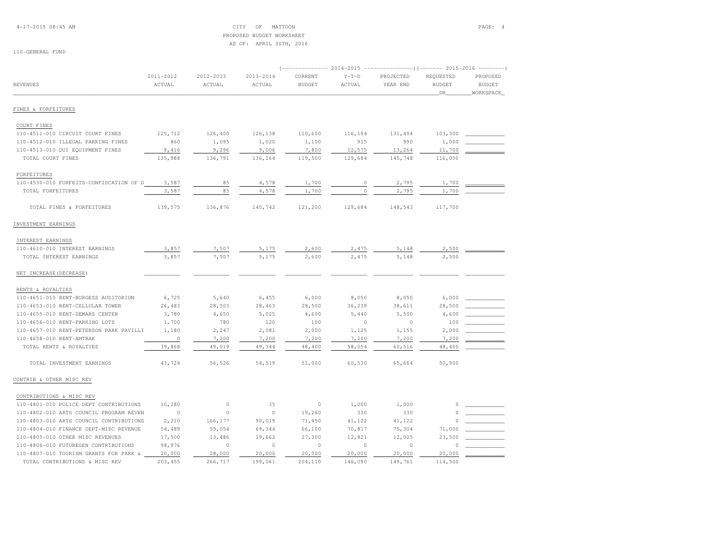## 4-17-2015 08:45 AM CITY OF MATTOON PAGE: 4 PROPOSED BUDGET WORKSHEETAS OF: APRIL 30TH, 2016

| <b>REVENUES</b>                         | 2011-2012<br>ACTUAL | 2012-2013<br>ACTUAL | 2013-2014<br>ACTUAL | CURRENT<br><b>BUDGET</b> | $Y-T-D$<br>ACTUAL | PROJECTED<br>YEAR END | REQUESTED<br><b>BUDGET</b><br>DR | PROPOSED<br><b>BUDGET</b><br>WORKSPACE |
|-----------------------------------------|---------------------|---------------------|---------------------|--------------------------|-------------------|-----------------------|----------------------------------|----------------------------------------|
| FINES & FORFEITURES                     |                     |                     |                     |                          |                   |                       |                                  |                                        |
| COURT FINES                             |                     |                     |                     |                          |                   |                       |                                  |                                        |
| 110-4511-010 CIRCUIT COURT FINES        | 125,712             | 126,400             | 126,138             | 110,600                  | 116,194           | 131,494               | 103,300                          |                                        |
| 110-4512-010 ILLEGAL PARKING FINES      | 860                 | 1,095               | 1,020               | 1,100                    | 915               | 990                   | 1,000                            |                                        |
| 110-4513-010 DUI EQUIPMENT FINES        | 9,416               | 9,296               | 9,006               | 7,800                    | 12,575            | 13,264                | 11,700                           |                                        |
| TOTAL COURT FINES                       | 135,988             | 136,791             | 136,164             | 119,500                  | 129,684           | 145,748               | 116,000                          |                                        |
| FORFEITURES                             |                     |                     |                     |                          |                   |                       |                                  |                                        |
| 110-4530-010 FORFEITS-CONFISCATION OF D | 3,587               | 85                  | 4,578               | 1,700                    | $\circ$           | 2,795                 | 1,700                            |                                        |
| TOTAL FORFEITURES                       | 3,587               | 85                  | 4,578               | 1,700                    |                   | 2,795                 | 1,700                            |                                        |
|                                         |                     |                     |                     |                          |                   |                       |                                  |                                        |
| TOTAL FINES & FORFEITURES               | 139,575             | 136,876             | 140,742             | 121,200                  | 129,684           | 148,543               | 117,700                          |                                        |
| INVESTMENT EARNINGS                     |                     |                     |                     |                          |                   |                       |                                  |                                        |
| INTEREST EARNINGS                       |                     |                     |                     |                          |                   |                       |                                  |                                        |
| 110-4610-010 INTEREST EARNINGS          | 3,857               | 7,507               | 5,175               | 2,600                    | 2,475             | 5,148                 | 2,500                            |                                        |
| TOTAL INTEREST EARNINGS                 | 3,857               | 7,507               | 5,175               | 2,600                    | 2,475             | 5,148                 | 2,500                            |                                        |
| NET INCREASE (DECREASE)                 |                     |                     |                     |                          |                   |                       |                                  |                                        |
| RENTS & ROYALTIES                       |                     |                     |                     |                          |                   |                       |                                  |                                        |
| 110-4651-010 RENT-BURGESS AUDITORIUM    | 6,725               | 5,640               | 6,455               | 6,000                    | 8,050             | 8,050                 | 6,000                            |                                        |
| 110-4653-010 RENT-CELLULAR TOWER        | 26,483              | 28,503              | 28,463              | 28,500                   | 36,239            | 38,611                | 28,500                           |                                        |
| 110-4655-010 RENT-DEMARS CENTER         | 3,780               | 4,650               | 5,025               | 4,600                    | 5,440             | 5,500                 | 4,600                            |                                        |
| 110-4656-010 RENT-PARKING LOTS          | 1,700               | 780                 | 120                 | 100                      | $\circ$           | $\circ$               | 100                              |                                        |
| 110-4657-010 RENT-PETERSON PARK PAVILLI | 1,180               | 2,247               | 2,081               | 2,000                    | 1,125             | 1,155                 | 2,000                            |                                        |
| 110-4658-010 RENT-AMTRAK                | $\circ$             | 7,200               | 7,200               | 7,200                    | 7,200             | 7,200                 | 7,200                            |                                        |
| TOTAL RENTS & ROYALTIES                 | 39,868              | 49,019              | 49,344              | 48,400                   | 58,054            | 60,516                | 48,400                           |                                        |
| TOTAL INVESTMENT EARNINGS               | 43,724              | 56,526              | 54,519              | 51,000                   | 60,530            | 65,664                | 50,900                           |                                        |
| CONTRIB & OTHER MISC REV                |                     |                     |                     |                          |                   |                       |                                  |                                        |
| CONTRIBUTIONS & MISC REV                |                     |                     |                     |                          |                   |                       |                                  |                                        |
| 110-4801-010 POLICE DEPT CONTRIBUTIONS  | 10,280              | $\circ$             | 35                  | $\circ$                  | 1,000             | 1,000                 | $\circ$                          |                                        |
| 110-4802-010 ARTS COUNCIL PROGRAM REVEN | $\circ$             | $\Omega$            | $\circ$             | 19,260                   | 330               | 330                   | $\Omega$                         |                                        |
| 110-4803-010 ARTS COUNCIL CONTRIBUTIONS | 2,210               | 166,177             | 90,019              | 71,450                   | 41,122            | 41,122                |                                  |                                        |
| 110-4804-010 FINANCE DEPT-MISC REVENUE  | 54,489              | 59,054              | 69,344              | 66,100                   | 70,817            | 75,304                | 71,000                           |                                        |
| 110-4805-010 OTHER MISC REVENUES        | 17,500              | 13,486              | 19,662              | 27,300                   | 12,821            | 12,005                | 23,500                           |                                        |
| 110-4806-010 FUTUREGEN CONTRIBUTIONS    | 98,976              | $\circ$             | $\circ$             | $\circ$                  | $\circ$           | $\Omega$              |                                  |                                        |
| 110-4807-010 TOURISM GRANTS FOR PARK &  | 20,000              | 28,000              | 20,000              | 20,000                   | 20,000            | 20,000                | 20,000                           |                                        |
| TOTAL CONTRIBUTIONS & MISC REV          | 203,455             | 266,717             | 199,061             | 204,110                  | 146,090           | 149,761               | 114,500                          |                                        |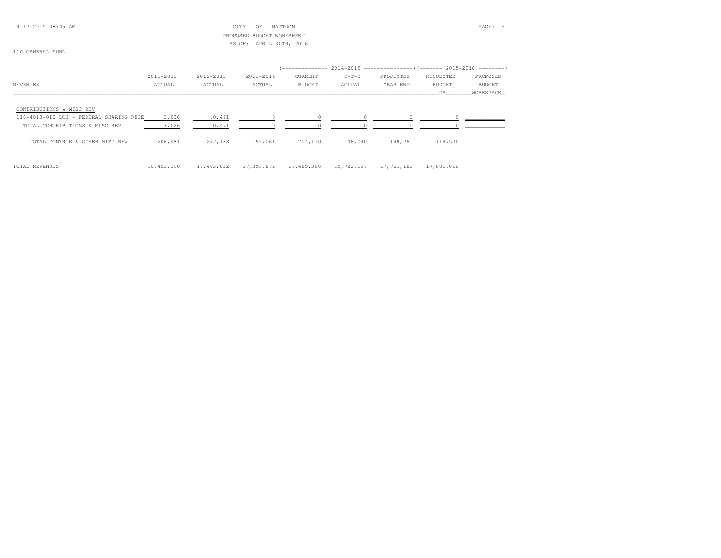4-17-2015 08:45 AM CITY OF MATTOON PAGE: 5 PROPOSED BUDGET WORKSHEETAS OF: APRIL 30TH, 2016

|                                         | 2011-2012  | 2012-2013  | 2013-2014  | CURRENT | $Y-T-D$               | PROJECTED  | REQUESTED  | PROPOSED  |
|-----------------------------------------|------------|------------|------------|---------|-----------------------|------------|------------|-----------|
| REVENUES                                | ACTUAL     | ACTUAL     | ACTUAL     | BUDGET  | ACTUAL                | YEAR END   | BUDGET     | BUDGET    |
|                                         |            |            |            |         |                       |            | DR         | WORKSPACE |
| CONTRIBUTIONS & MISC REV                |            |            |            |         |                       |            |            |           |
| 110-4813-010 DOJ - FEDERAL SHARING RECE | 3,026      | 10,471     |            |         |                       |            |            |           |
| TOTAL CONTRIBUTIONS & MISC REV          | 3,026      | 10,471     |            |         |                       |            |            |           |
| TOTAL CONTRIB & OTHER MISC REV          | 206,481    | 277,188    | 199,061    | 204,110 | 146,090               | 149,761    | 114,500    |           |
| TOTAL REVENUES                          | 16,453,396 | 17,483,822 | 17,353,872 |         | 17,485,366 15,722,107 | 17,761,181 | 17,802,616 |           |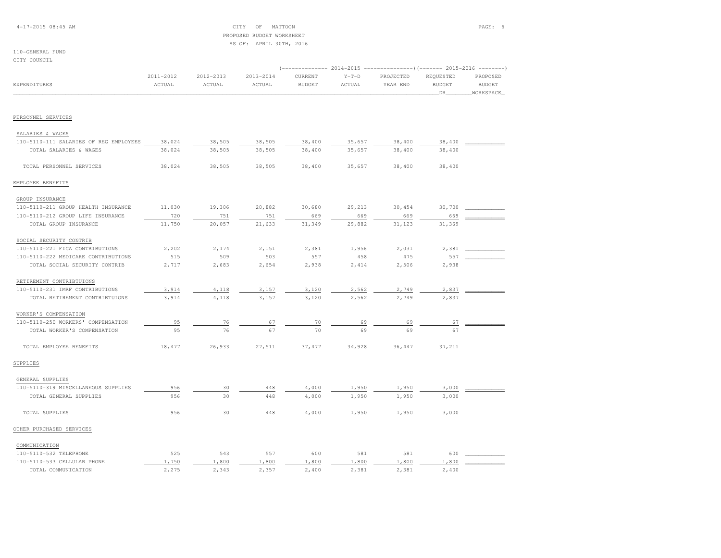## PROPOSED BUDGET WORKSHEETAS OF: APRIL 30TH, 2016

#### 110-GENERAL FUNDCITY COUNCIL

|                                        |           |           |           |               | (------------- 2014-2015 ---------------) (------- 2015-2016 --------) |           |               |               |
|----------------------------------------|-----------|-----------|-----------|---------------|------------------------------------------------------------------------|-----------|---------------|---------------|
|                                        | 2011-2012 | 2012-2013 | 2013-2014 | CURRENT       | $Y-T-D$                                                                | PROJECTED | REQUESTED     | PROPOSED      |
| <b>EXPENDITURES</b>                    | ACTUAL    | ACTUAL    | ACTUAL    | <b>BUDGET</b> | ACTUAL                                                                 | YEAR END  | <b>BUDGET</b> | <b>BUDGET</b> |
|                                        |           |           |           |               |                                                                        |           | DR            | WORKSPACE     |
|                                        |           |           |           |               |                                                                        |           |               |               |
| PERSONNEL SERVICES                     |           |           |           |               |                                                                        |           |               |               |
| SALARIES & WAGES                       |           |           |           |               |                                                                        |           |               |               |
| 110-5110-111 SALARIES OF REG EMPLOYEES | 38,024    | 38,505    | 38,505    | 38,400        | 35,657                                                                 | 38,400    | 38,400        |               |
| TOTAL SALARIES & WAGES                 | 38,024    | 38,505    | 38,505    | 38,400        | 35,657                                                                 | 38,400    | 38,400        |               |
| TOTAL PERSONNEL SERVICES               | 38,024    | 38,505    | 38,505    | 38,400        | 35,657                                                                 | 38,400    | 38,400        |               |
| EMPLOYEE BENEFITS                      |           |           |           |               |                                                                        |           |               |               |
| GROUP INSURANCE                        |           |           |           |               |                                                                        |           |               |               |
| 110-5110-211 GROUP HEALTH INSURANCE    | 11,030    | 19,306    | 20,882    | 30,680        | 29,213                                                                 | 30,454    | 30,700        |               |
| 110-5110-212 GROUP LIFE INSURANCE      | 720       | 751       | 751       | 669           | 669                                                                    | 669       | 669           |               |
| TOTAL GROUP INSURANCE                  | 11,750    | 20,057    | 21,633    | 31,349        | 29,882                                                                 | 31,123    | 31,369        |               |
|                                        |           |           |           |               |                                                                        |           |               |               |
| SOCIAL SECURITY CONTRIB                |           |           |           |               |                                                                        |           |               |               |
| 110-5110-221 FICA CONTRIBUTIONS        | 2,202     | 2,174     | 2,151     | 2,381         | 1,956                                                                  | 2,031     | 2,381         |               |
| 110-5110-222 MEDICARE CONTRIBUTIONS    | 515       | 509       | 503       | 557           | 458                                                                    | 475       | 557           |               |
| TOTAL SOCIAL SECURITY CONTRIB          | 2,717     | 2,683     | 2,654     | 2,938         | 2,414                                                                  | 2,506     | 2,938         |               |
| RETIREMENT CONTRIBTUIONS               |           |           |           |               |                                                                        |           |               |               |
| 110-5110-231 IMRF CONTRIBUTIONS        | 3,914     | 4,118     | 3,157     | 3,120         | 2,562                                                                  | 2,749     | 2,837         |               |
| TOTAL RETIREMENT CONTRIBTUIONS         | 3,914     | 4,118     | 3,157     | 3,120         | 2,562                                                                  | 2,749     | 2,837         |               |
| WORKER'S COMPENSATION                  |           |           |           |               |                                                                        |           |               |               |
| 110-5110-250 WORKERS' COMPENSATION     | 95        | 76        | 67        | 70            | 69                                                                     | 69        | 67            |               |
| TOTAL WORKER'S COMPENSATION            | 95        | 76        | 67        | 70            | 69                                                                     | 69        | 67            |               |
| TOTAL EMPLOYEE BENEFITS                | 18,477    | 26,933    | 27,511    | 37,477        | 34,928                                                                 | 36,447    | 37,211        |               |
| SUPPLIES                               |           |           |           |               |                                                                        |           |               |               |
| GENERAL SUPPLIES                       |           |           |           |               |                                                                        |           |               |               |
| 110-5110-319 MISCELLANEOUS SUPPLIES    | 956       | 30        | 448       | 4,000         | 1,950                                                                  | 1,950     | 3,000         |               |
| TOTAL GENERAL SUPPLIES                 | 956       | 30        | 448       | 4,000         | 1,950                                                                  | 1,950     | 3,000         |               |
| TOTAL SUPPLIES                         | 956       | 30        | 448       | 4,000         | 1,950                                                                  | 1,950     | 3,000         |               |
| OTHER PURCHASED SERVICES               |           |           |           |               |                                                                        |           |               |               |
| COMMUNICATION                          |           |           |           |               |                                                                        |           |               |               |
| 110-5110-532 TELEPHONE                 | 525       | 543       | 557       | 600           | 581                                                                    | 581       | 600           |               |
| 110-5110-533 CELLULAR PHONE            | 1,750     | 1,800     | 1,800     | 1,800         | 1,800                                                                  | 1,800     | 1,800         |               |
| TOTAL COMMUNICATION                    | 2,275     | 2,343     | 2.357     | 2,400         | 2,381                                                                  | 2,381     | 2,400         |               |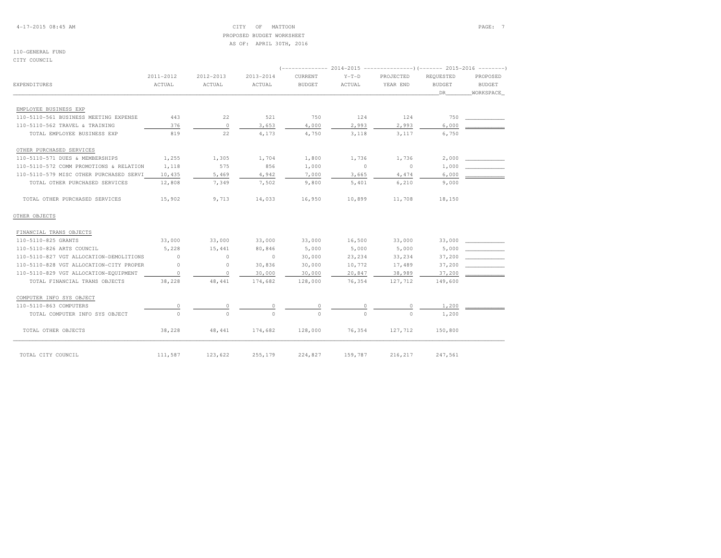4-17-2015 08:45 AM CITY OF MATTOON PAGE: 7 PROPOSED BUDGET WORKSHEETAS OF: APRIL 30TH, 2016

#### 110-GENERAL FUNDCITY COUNCIL

| <b>EXPENDITURES</b>                     | 2011-2012<br>ACTUAL | 2012-2013<br>ACTUAL | 2013-2014<br>ACTUAL | CURRENT<br><b>BUDGET</b> | $Y-T-D$<br>ACTUAL | PROJECTED<br>YEAR END | REQUESTED<br><b>BUDGET</b> | PROPOSED<br><b>BUDGET</b> |
|-----------------------------------------|---------------------|---------------------|---------------------|--------------------------|-------------------|-----------------------|----------------------------|---------------------------|
|                                         |                     |                     |                     |                          |                   |                       | DR 1                       | WORKSPACE                 |
| EMPLOYEE BUSINESS EXP                   |                     |                     |                     |                          |                   |                       |                            |                           |
| 110-5110-561 BUSINESS MEETING EXPENSE   | 443                 | 22                  | 521                 | 750                      | 124               | 124                   | 750                        |                           |
| 110-5110-562 TRAVEL & TRAINING          | 376                 | $\Omega$            | 3,653               | 4,000                    | 2,993             | 2,993                 | 6,000                      |                           |
| TOTAL EMPLOYEE BUSINESS EXP             | 819                 | 22                  | 4,173               | 4,750                    | 3,118             | 3,117                 | 6,750                      |                           |
| OTHER PURCHASED SERVICES                |                     |                     |                     |                          |                   |                       |                            |                           |
| 110-5110-571 DUES & MEMBERSHIPS         | 1,255               | 1,305               | 1,704               | 1,800                    | 1,736             | 1,736                 | 2,000                      |                           |
| 110-5110-572 COMM PROMOTIONS & RELATION | 1,118               | 575                 | 856                 | 1,000                    | $\overline{0}$    | $\circ$               | 1,000                      |                           |
| 110-5110-579 MISC OTHER PURCHASED SERVI | 10,435              | 5,469               | 4,942               | 7,000                    | 3,665             | 4,474                 | 6,000                      |                           |
| TOTAL OTHER PURCHASED SERVICES          | 12,808              | 7,349               | 7,502               | 9,800                    | 5,401             | 6,210                 | 9,000                      |                           |
| TOTAL OTHER PURCHASED SERVICES          | 15,902              | 9,713               | 14,033              | 16,950                   | 10,899            | 11,708                | 18,150                     |                           |
| OTHER OBJECTS                           |                     |                     |                     |                          |                   |                       |                            |                           |
| FINANCIAL TRANS OBJECTS                 |                     |                     |                     |                          |                   |                       |                            |                           |
| 110-5110-825 GRANTS                     | 33,000              | 33,000              | 33,000              | 33,000                   | 16,500            | 33,000                | 33,000                     |                           |
| 110-5110-826 ARTS COUNCIL               | 5,228               | 15,441              | 80,846              | 5,000                    | 5,000             | 5,000                 | 5,000                      |                           |
| 110-5110-827 VGT ALLOCATION-DEMOLITIONS | $\Omega$            | $\circ$             | $\Omega$            | 30,000                   | 23, 234           | 33,234                | 37,200                     |                           |
| 110-5110-828 VGT ALLOCATION-CITY PROPER | $\circ$             | $\circ$             | 30,836              | 30,000                   | 10,772            | 17,489                | 37,200                     |                           |
| 110-5110-829 VGT ALLOCATION-EQUIPMENT   | $\circ$             | $\circ$             | 30,000              | 30,000                   | 20,847            | 38,989                | 37,200                     |                           |
| TOTAL FINANCIAL TRANS OBJECTS           | 38,228              | 48,441              | 174,682             | 128,000                  | 76,354            | 127,712               | 149,600                    |                           |
| COMPUTER INFO SYS OBJECT                |                     |                     |                     |                          |                   |                       |                            |                           |
| 110-5110-863 COMPUTERS                  | $\Omega$            |                     | $\Omega$            | $\bigcap$                |                   |                       | 1,200                      |                           |
| TOTAL COMPUTER INFO SYS OBJECT          | $\Omega$            |                     |                     |                          |                   | $\cap$                | 1,200                      |                           |
| TOTAL OTHER OBJECTS                     | 38,228              | 48,441              | 174,682             | 128,000                  | 76,354            | 127,712               | 150,800                    |                           |
| TOTAL CITY COUNCIL                      | 111,587             | 123,622             | 255,179             | 224,827                  | 159,787           | 216,217               | 247,561                    |                           |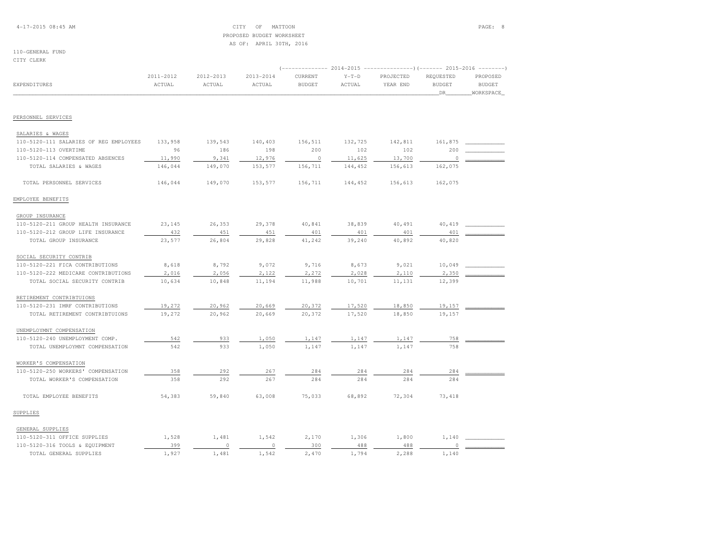## 4-17-2015 08:45 AM CITY OF MATTOON PAGE: 8 PROPOSED BUDGET WORKSHEETAS OF: APRIL 30TH, 2016

# 110-GENERAL FUND

CITY CLERK

|                                        |           |           |           |               |         |           | (------------- 2014-2015 ---------------) (------- 2015-2016 --------) |               |  |  |  |
|----------------------------------------|-----------|-----------|-----------|---------------|---------|-----------|------------------------------------------------------------------------|---------------|--|--|--|
|                                        | 2011-2012 | 2012-2013 | 2013-2014 | CURRENT       | $Y-T-D$ | PROJECTED | REQUESTED                                                              | PROPOSED      |  |  |  |
| EXPENDITURES                           | ACTUAL    | ACTUAL    | ACTUAL    | <b>BUDGET</b> | ACTUAL  | YEAR END  | <b>BUDGET</b><br>DR                                                    | <b>BUDGET</b> |  |  |  |
|                                        |           |           |           |               |         |           |                                                                        | WORKSPACE     |  |  |  |
| PERSONNEL SERVICES                     |           |           |           |               |         |           |                                                                        |               |  |  |  |
|                                        |           |           |           |               |         |           |                                                                        |               |  |  |  |
| SALARIES & WAGES                       |           |           |           |               |         |           |                                                                        |               |  |  |  |
| 110-5120-111 SALARIES OF REG EMPLOYEES | 133,958   | 139,543   | 140,403   | 156,511       | 132,725 | 142,811   | 161,875                                                                |               |  |  |  |
| 110-5120-113 OVERTIME                  | 96        | 186       | 198       | 200           | 102     | 102       | 200                                                                    |               |  |  |  |
| 110-5120-114 COMPENSATED ABSENCES      | 11,990    | 9,341     | 12,976    | $\circ$       | 11,625  | 13,700    | $\mathbf 0$                                                            |               |  |  |  |
| TOTAL SALARIES & WAGES                 | 146,044   | 149,070   | 153,577   | 156,711       | 144,452 | 156,613   | 162,075                                                                |               |  |  |  |
| TOTAL PERSONNEL SERVICES               | 146,044   | 149,070   | 153,577   | 156,711       | 144,452 | 156,613   | 162,075                                                                |               |  |  |  |
| EMPLOYEE BENEFITS                      |           |           |           |               |         |           |                                                                        |               |  |  |  |
| GROUP INSURANCE                        |           |           |           |               |         |           |                                                                        |               |  |  |  |
| 110-5120-211 GROUP HEALTH INSURANCE    | 23,145    | 26,353    | 29,378    | 40,841        | 38,839  | 40,491    | 40,419                                                                 |               |  |  |  |
| 110-5120-212 GROUP LIFE INSURANCE      | 432       | 451       | 451       | 401           | 401     | 401       | 401                                                                    |               |  |  |  |
| TOTAL GROUP INSURANCE                  | 23,577    | 26,804    | 29,828    | 41,242        | 39,240  | 40,892    | 40,820                                                                 |               |  |  |  |
| SOCIAL SECURITY CONTRIB                |           |           |           |               |         |           |                                                                        |               |  |  |  |
| 110-5120-221 FICA CONTRIBUTIONS        | 8,618     | 8,792     | 9,072     | 9,716         | 8,673   | 9,021     | 10,049                                                                 |               |  |  |  |
| 110-5120-222 MEDICARE CONTRIBUTIONS    | 2,016     | 2,056     | 2,122     | 2,272         | 2,028   | 2,110     | 2,350                                                                  |               |  |  |  |
| TOTAL SOCIAL SECURITY CONTRIB          | 10,634    | 10,848    | 11,194    | 11,988        | 10,701  | 11,131    | 12,399                                                                 |               |  |  |  |
| RETIREMENT CONTRIBTUIONS               |           |           |           |               |         |           |                                                                        |               |  |  |  |
| 110-5120-231 IMRF CONTRIBUTIONS        | 19,272    | 20,962    | 20,669    | 20,372        | 17,520  | 18,850    | 19,157                                                                 |               |  |  |  |
| TOTAL RETIREMENT CONTRIBTUIONS         | 19,272    | 20,962    | 20,669    | 20,372        | 17,520  | 18,850    | 19,157                                                                 |               |  |  |  |
| UNEMPLOYMNT COMPENSATION               |           |           |           |               |         |           |                                                                        |               |  |  |  |
| 110-5120-240 UNEMPLOYMENT COMP.        | 542       | 933       | 1,050     | 1,147         | 1,147   | 1,147     | 758                                                                    |               |  |  |  |
| TOTAL UNEMPLOYMNT COMPENSATION         | 542       | 933       | 1,050     | 1,147         | 1,147   | 1,147     | 758                                                                    |               |  |  |  |
| WORKER'S COMPENSATION                  |           |           |           |               |         |           |                                                                        |               |  |  |  |
| 110-5120-250 WORKERS' COMPENSATION     | 358       | 292       | 267       | 284           | 284     | 284       | 284                                                                    |               |  |  |  |
| TOTAL WORKER'S COMPENSATION            | 358       | 292       | 267       | 284           | 284     | 284       | 284                                                                    |               |  |  |  |
| TOTAL EMPLOYEE BENEFITS                | 54,383    | 59,840    | 63,008    | 75,033        | 68,892  | 72,304    | 73, 418                                                                |               |  |  |  |
| SUPPLIES                               |           |           |           |               |         |           |                                                                        |               |  |  |  |
| GENERAL SUPPLIES                       |           |           |           |               |         |           |                                                                        |               |  |  |  |
| 110-5120-311 OFFICE SUPPLIES           | 1,528     | 1,481     | 1,542     | 2,170         | 1,306   | 1,800     | 1,140                                                                  |               |  |  |  |
| 110-5120-316 TOOLS & EQUIPMENT         | 399       | $\circ$   | $\circ$   | 300           | 488     | 488       |                                                                        |               |  |  |  |
| TOTAL GENERAL SUPPLIES                 | 1,927     | 1,481     | 1,542     | 2,470         | 1,794   | 2,288     | 1,140                                                                  |               |  |  |  |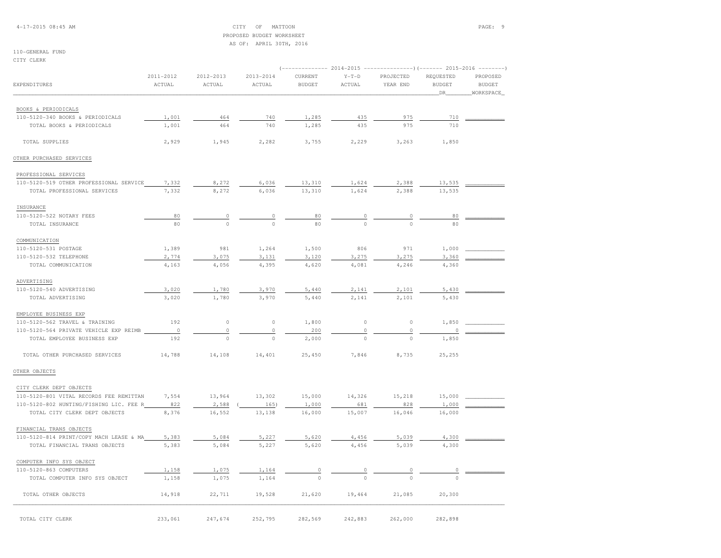4-17-2015 08:45 AM CITY OF MATTOON PAGE: 9 PROPOSED BUDGET WORKSHEETAS OF: APRIL 30TH, 2016

## 110-GENERAL FUNDCITY CLERK

| EXPENDITURES                            | 2011-2012<br>ACTUAL | 2012-2013<br>ACTUAL | 2013-2014<br>ACTUAL | CURRENT<br><b>BUDGET</b> | $Y-T-D$<br>ACTUAL | PROJECTED<br>YEAR END | REQUESTED<br><b>BUDGET</b> | PROPOSED<br><b>BUDGET</b> |
|-----------------------------------------|---------------------|---------------------|---------------------|--------------------------|-------------------|-----------------------|----------------------------|---------------------------|
|                                         |                     |                     |                     |                          |                   |                       | _DR_                       | _WORKSPACE_               |
| BOOKS & PERIODICALS                     |                     |                     |                     |                          |                   |                       |                            |                           |
| 110-5120-340 BOOKS & PERIODICALS        | 1,001               | 464                 | 740                 | 1,285                    | 435               | 975                   | 710                        |                           |
| TOTAL BOOKS & PERIODICALS               | 1,001               | 464                 | 740                 | 1,285                    | 435               | 975                   | 710                        |                           |
| TOTAL SUPPLIES                          | 2,929               | 1,945               | 2,282               | 3,755                    | 2,229             | 3,263                 | 1,850                      |                           |
| OTHER PURCHASED SERVICES                |                     |                     |                     |                          |                   |                       |                            |                           |
| PROFESSIONAL SERVICES                   |                     |                     |                     |                          |                   |                       |                            |                           |
| 110-5120-519 OTHER PROFESSIONAL SERVICE | 7,332               | 8,272               | 6,036               | 13,310                   | 1,624             | 2,388                 | 13,535                     |                           |
| TOTAL PROFESSIONAL SERVICES             | 7,332               | 8,272               | 6,036               | 13,310                   | 1,624             | 2,388                 | 13,535                     |                           |
| INSURANCE                               |                     |                     |                     |                          |                   |                       |                            |                           |
| 110-5120-522 NOTARY FEES                | 80                  | 0                   | 0                   | 80                       | $\theta$          | 0                     | 80                         |                           |
| TOTAL INSURANCE                         | 80                  | $\circ$             | $\mathbf 0$         | 80                       | $\circ$           | $\Omega$              | 80                         |                           |
| COMMUNICATION                           |                     |                     |                     |                          |                   |                       |                            |                           |
| 110-5120-531 POSTAGE                    | 1,389               | 981                 | 1,264               | 1,500                    | 806               | 971                   | 1,000                      |                           |
| 110-5120-532 TELEPHONE                  | 2,774               | 3,075               | 3,131               | 3,120                    | 3,275             | 3,275                 | 3,360                      |                           |
| TOTAL COMMUNICATION                     | 4,163               | 4,056               | 4,395               | 4,620                    | 4,081             | 4,246                 | 4,360                      |                           |
|                                         |                     |                     |                     |                          |                   |                       |                            |                           |
| ADVERTISING                             | 3,020               |                     |                     |                          |                   |                       |                            |                           |
| 110-5120-540 ADVERTISING                |                     | 1,780               | 3,970               | 5,440                    | 2,141             | 2,101                 | 5,430                      |                           |
| TOTAL ADVERTISING                       | 3,020               | 1,780               | 3,970               | 5,440                    | 2,141             | 2,101                 | 5,430                      |                           |
| EMPLOYEE BUSINESS EXP                   |                     |                     |                     |                          |                   |                       |                            |                           |
| 110-5120-562 TRAVEL & TRAINING          | 192                 | $\circ$             | $\circ$             | 1,800                    | $\circ$           | $\circ$               | 1,850                      |                           |
| 110-5120-564 PRIVATE VEHICLE EXP REIMB  | $\circ$             | $\circ$             | $\circ$             | 200                      | $\mathbb O$       | $\circ$               | $\circ$                    |                           |
| TOTAL EMPLOYEE BUSINESS EXP             | 192                 | $\Omega$            | $\circ$             | 2,000                    | $\Omega$          | $\circ$               | 1,850                      |                           |
| TOTAL OTHER PURCHASED SERVICES          | 14,788              | 14,108              | 14,401              | 25,450                   | 7,846             | 8,735                 | 25,255                     |                           |
| OTHER OBJECTS                           |                     |                     |                     |                          |                   |                       |                            |                           |
| CITY CLERK DEPT OBJECTS                 |                     |                     |                     |                          |                   |                       |                            |                           |
| 110-5120-801 VITAL RECORDS FEE REMITTAN | 7,554               | 13,964              | 13,302              | 15,000                   | 14,326            | 15,218                | 15,000                     |                           |
| 110-5120-802 HUNTING/FISHING LIC. FEE R | 822                 | 2,588               | 165)                | 1,000                    | 681               | 828                   | 1,000                      |                           |
| TOTAL CITY CLERK DEPT OBJECTS           | 8,376               | 16,552              | 13,138              | 16,000                   | 15,007            | 16,046                | 16,000                     |                           |
| FINANCIAL TRANS OBJECTS                 |                     |                     |                     |                          |                   |                       |                            |                           |
| 110-5120-814 PRINT/COPY MACH LEASE & MA | 5,383               | 5,084               | 5,227               | 5,620                    | 4,456             | 5,039                 | 4,300                      |                           |
| TOTAL FINANCIAL TRANS OBJECTS           | 5,383               | 5,084               | 5,227               | 5,620                    | 4,456             | 5,039                 | 4,300                      |                           |
| COMPUTER INFO SYS OBJECT                |                     |                     |                     |                          |                   |                       |                            |                           |
| 110-5120-863 COMPUTERS                  | 1,158               | 1,075               | 1,164               |                          |                   |                       |                            |                           |
| TOTAL COMPUTER INFO SYS OBJECT          | 1,158               | 1,075               | 1,164               |                          |                   |                       |                            |                           |
| TOTAL OTHER OBJECTS                     | 14,918              | 22,711              | 19,528              | 21,620                   | 19,464            | 21,085                | 20,300                     |                           |
|                                         |                     |                     |                     |                          |                   |                       |                            |                           |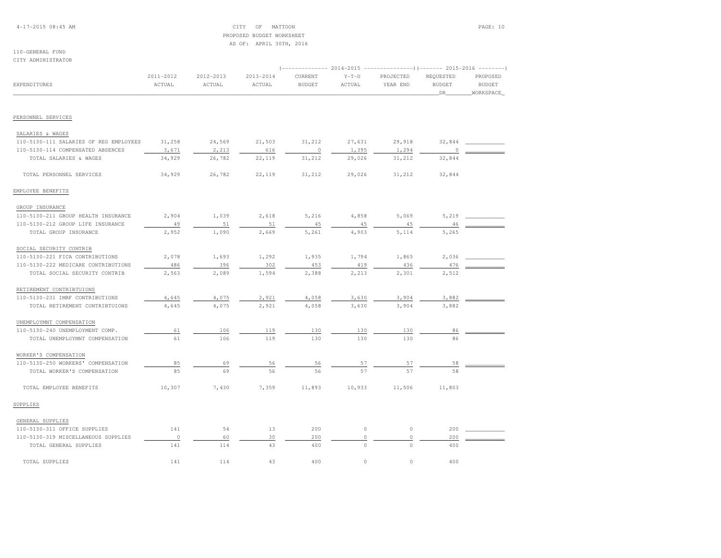## 4-17-2015 08:45 AM CITY OF MATTOON PAGE: 10 PROPOSED BUDGET WORKSHEETAS OF: APRIL 30TH, 2016

#### 110-GENERAL FUNDCITY ADMINISTRATOR

|                                        | (-------------- 2014-2015 ----------------) (------- 2015-2016 --------) |           |           |               |             |           |               |               |  |
|----------------------------------------|--------------------------------------------------------------------------|-----------|-----------|---------------|-------------|-----------|---------------|---------------|--|
|                                        | 2011-2012                                                                | 2012-2013 | 2013-2014 | CURRENT       | $Y-T-D$     | PROJECTED | REQUESTED     | PROPOSED      |  |
| EXPENDITURES                           | ACTUAL                                                                   | ACTUAL    | ACTUAL    | <b>BUDGET</b> | ACTUAL      | YEAR END  | <b>BUDGET</b> | <b>BUDGET</b> |  |
|                                        |                                                                          |           |           |               |             |           | DR.           | WORKSPACE     |  |
|                                        |                                                                          |           |           |               |             |           |               |               |  |
| PERSONNEL SERVICES                     |                                                                          |           |           |               |             |           |               |               |  |
| SALARIES & WAGES                       |                                                                          |           |           |               |             |           |               |               |  |
| 110-5130-111 SALARIES OF REG EMPLOYEES | 31,258                                                                   | 24,569    | 21,503    | 31,212        | 27,631      | 29,918    | 32,844        |               |  |
| 110-5130-114 COMPENSATED ABSENCES      | 3,671                                                                    | 2,213     | 616       | $\circ$       | 1,395       | 1,294     | $\Omega$      |               |  |
| TOTAL SALARIES & WAGES                 | 34,929                                                                   | 26,782    | 22,119    | 31,212        | 29,026      | 31,212    | 32,844        |               |  |
| TOTAL PERSONNEL SERVICES               | 34,929                                                                   | 26,782    | 22,119    | 31,212        | 29,026      | 31,212    | 32,844        |               |  |
| EMPLOYEE BENEFITS                      |                                                                          |           |           |               |             |           |               |               |  |
| GROUP INSURANCE                        |                                                                          |           |           |               |             |           |               |               |  |
| 110-5130-211 GROUP HEALTH INSURANCE    | 2,904                                                                    | 1,039     | 2,618     | 5,216         | 4,858       | 5,069     | 5,219         |               |  |
| 110-5130-212 GROUP LIFE INSURANCE      | 49                                                                       | 51        | 51        | 45            | 45          | 45        | 46            |               |  |
| TOTAL GROUP INSURANCE                  | 2,952                                                                    | 1,090     | 2,669     | 5,261         | 4,903       | 5,114     | 5,265         |               |  |
| SOCIAL SECURITY CONTRIB                |                                                                          |           |           |               |             |           |               |               |  |
| 110-5130-221 FICA CONTRIBUTIONS        | 2,078                                                                    | 1,693     | 1,292     | 1,935         | 1,794       | 1,865     | 2,036         |               |  |
| 110-5130-222 MEDICARE CONTRIBUTIONS    | 486                                                                      | 396       | 302       | 453           | 419         | 436       | 476           |               |  |
| TOTAL SOCIAL SECURITY CONTRIB          | 2,563                                                                    | 2,089     | 1,594     | 2,388         | 2,213       | 2,301     | 2,512         |               |  |
| RETIREMENT CONTRIBTUIONS               |                                                                          |           |           |               |             |           |               |               |  |
| 110-5130-231 IMRF CONTRIBUTIONS        | 4,645                                                                    | 4,075     | 2,921     | 4,058         | 3,630       | 3,904     | 3,882         |               |  |
| TOTAL RETIREMENT CONTRIBTUIONS         | 4,645                                                                    | 4,075     | 2,921     | 4,058         | 3,630       | 3,904     | 3,882         |               |  |
| UNEMPLOYMNT COMPENSATION               |                                                                          |           |           |               |             |           |               |               |  |
| 110-5130-240 UNEMPLOYMENT COMP.        | 61                                                                       | 106       | 119       | 130           | 130         | 130       | 86            |               |  |
| TOTAL UNEMPLOYMNT COMPENSATION         | 61                                                                       | 106       | 119       | 130           | 130         | 130       | 86            |               |  |
| WORKER'S COMPENSATION                  |                                                                          |           |           |               |             |           |               |               |  |
| 110-5130-250 WORKERS' COMPENSATION     | 85                                                                       | 69        | 56        | 56            | 57          | 57        | 58            |               |  |
| TOTAL WORKER'S COMPENSATION            | 85                                                                       | 69        | 56        | 56            | 57          | 57        | 58            |               |  |
| TOTAL EMPLOYEE BENEFITS                | 10,307                                                                   | 7,430     | 7,359     | 11,893        | 10,933      | 11,506    | 11,803        |               |  |
| SUPPLIES                               |                                                                          |           |           |               |             |           |               |               |  |
| GENERAL SUPPLIES                       |                                                                          |           |           |               |             |           |               |               |  |
| 110-5130-311 OFFICE SUPPLIES           | 141                                                                      | 54        | 13        | 200           | $\mathbb O$ | $\circ$   | 200           |               |  |
| 110-5130-319 MISCELLANEOUS SUPPLIES    | $\mathbb O$                                                              | 60        | 30        | 200           | $\circ$     | $\circ$   | 200           |               |  |
| TOTAL GENERAL SUPPLIES                 | 141                                                                      | 114       | 43        | 400           | $\circ$     | $\circ$   | 400           |               |  |
| TOTAL SUPPLIES                         | 141                                                                      | 114       | 43        | 400           | $\circ$     | $\circ$   | 400           |               |  |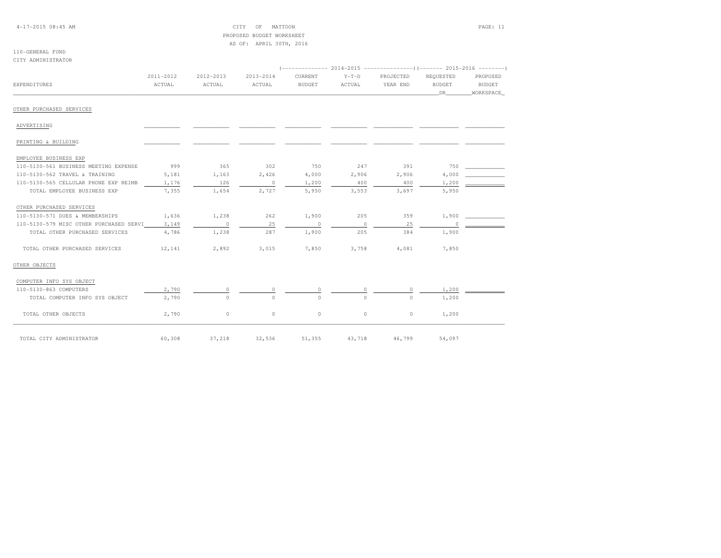4-17-2015 08:45 AM CITY OF MATTOON PAGE: 11 PROPOSED BUDGET WORKSHEETAS OF: APRIL 30TH, 2016

#### 110-GENERAL FUNDCITY ADMINISTRATOR

|                                               | 2011-2012 | 2012-2013                | 2013-2014                | CURRENT       | $Y-T-D$  | PROJECTED | REQUESTED | PROPOSED  |  |  |  |
|-----------------------------------------------|-----------|--------------------------|--------------------------|---------------|----------|-----------|-----------|-----------|--|--|--|
| <b>EXPENDITURES</b>                           | ACTUAL    | ACTUAL                   | ACTUAL                   | <b>BUDGET</b> | ACTUAL   | YEAR END  | BUDGET    | BUDGET    |  |  |  |
|                                               |           |                          |                          |               |          |           | DR        | WORKSPACE |  |  |  |
| OTHER PURCHASED SERVICES                      |           |                          |                          |               |          |           |           |           |  |  |  |
| ADVERTISING                                   |           |                          |                          |               |          |           |           |           |  |  |  |
| PRINTING & BUILDING                           |           |                          |                          |               |          |           |           |           |  |  |  |
| EMPLOYEE BUSINESS EXP                         |           |                          |                          |               |          |           |           |           |  |  |  |
| 110-5130-561 BUSINESS MEETING EXPENSE         | 999       | 365                      | 302                      | 750           | 247      | 391       | 750       |           |  |  |  |
| 110-5130-562 TRAVEL & TRAINING                | 5,181     | 1,163                    | 2,426                    | 4,000         | 2,906    | 2,906     | 4,000     |           |  |  |  |
| 110-5130-565 CELLULAR PHONE EXP REIMB         | 1,176     | 126                      | $\overline{\phantom{0}}$ | 1,200         | 400      | 400       | 1,200     |           |  |  |  |
| TOTAL EMPLOYEE BUSINESS EXP                   | 7,355     | 1,654                    | 2,727                    | 5,950         | 3,553    | 3,697     | 5,950     |           |  |  |  |
| OTHER PURCHASED SERVICES                      |           |                          |                          |               |          |           |           |           |  |  |  |
| 110-5130-571 DUES & MEMBERSHIPS               | 1,636     | 1,238                    | 262                      | 1,900         | 205      | 359       | 1,900     |           |  |  |  |
| 110-5130-579 MISC OTHER PURCHASED SERVI 3,149 |           | $\overline{\phantom{0}}$ | 25                       | $\sim$ 0      | $\sim$ 0 | 25        | $\Omega$  |           |  |  |  |
| TOTAL OTHER PURCHASED SERVICES                | 4,786     | 1,238                    | 287                      | 1,900         | 205      | 384       | 1,900     |           |  |  |  |
| TOTAL OTHER PURCHASED SERVICES                | 12,141    | 2,892                    | 3,015                    | 7,850         | 3,758    | 4,081     | 7,850     |           |  |  |  |
| OTHER OBJECTS                                 |           |                          |                          |               |          |           |           |           |  |  |  |
| COMPUTER INFO SYS OBJECT                      |           |                          |                          |               |          |           |           |           |  |  |  |
| 110-5130-863 COMPUTERS                        | 2,790     | $\circ$                  | $\circ$                  | $\circ$       | $\circ$  | $\circ$   | 1,200     |           |  |  |  |
| TOTAL COMPUTER INFO SYS OBJECT                | 2,790     | $\Omega$                 | $\Omega$                 | $\Omega$      | $\cap$   | $\Omega$  | 1,200     |           |  |  |  |
| TOTAL OTHER OBJECTS                           | 2,790     | $\circ$                  | $\circ$                  | $\circ$       | $\circ$  | $\circ$   | 1,200     |           |  |  |  |
| TOTAL CITY ADMINISTRATOR                      | 60,308    | 37,218                   | 32,536                   | 51,355        | 43,718   | 46,799    | 54,097    |           |  |  |  |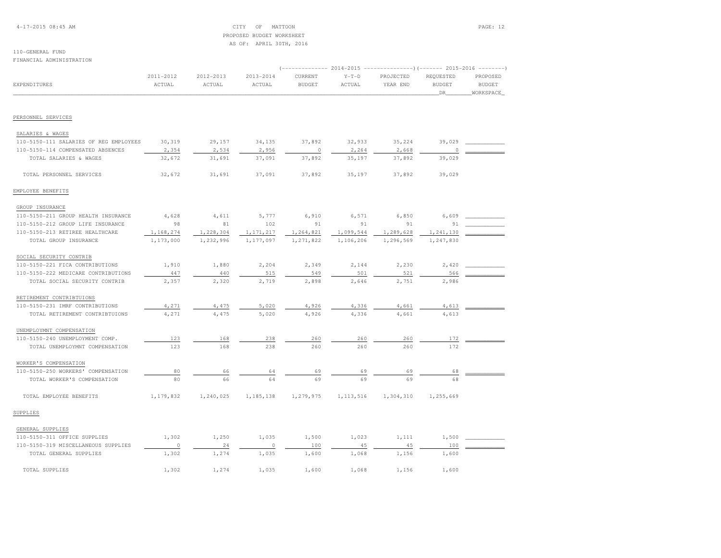4-17-2015 08:45 AM CITY OF MATTOON PAGE: 12 PROPOSED BUDGET WORKSHEETAS OF: APRIL 30TH, 2016

# 110-GENERAL FUND

FINANCIAL ADMINISTRATION

|                                                        |                        | ----------- 2014-2015 ---------------------- (------- 2015-2016 --------- |                     |                          |                        |                       |                                  |                                        |  |
|--------------------------------------------------------|------------------------|---------------------------------------------------------------------------|---------------------|--------------------------|------------------------|-----------------------|----------------------------------|----------------------------------------|--|
| <b>EXPENDITURES</b>                                    | 2011-2012<br>ACTUAL    | 2012-2013<br>ACTUAL                                                       | 2013-2014<br>ACTUAL | CURRENT<br><b>BUDGET</b> | $Y-T-D$<br>ACTUAL      | PROJECTED<br>YEAR END | REQUESTED<br><b>BUDGET</b><br>DR | PROPOSED<br><b>BUDGET</b><br>WORKSPACE |  |
|                                                        |                        |                                                                           |                     |                          |                        |                       |                                  |                                        |  |
| PERSONNEL SERVICES                                     |                        |                                                                           |                     |                          |                        |                       |                                  |                                        |  |
| SALARIES & WAGES                                       |                        |                                                                           |                     |                          |                        |                       |                                  |                                        |  |
| 110-5150-111 SALARIES OF REG EMPLOYEES                 | 30,319                 | 29,157                                                                    | 34,135              | 37,892                   | 32,933                 | 35,224                | 39,029                           |                                        |  |
| 110-5150-114 COMPENSATED ABSENCES                      | 2,354                  | 2,534                                                                     | 2,956               | $\circ$                  | 2,264                  | 2,668                 | 0                                |                                        |  |
| TOTAL SALARIES & WAGES                                 | 32,672                 | 31,691                                                                    | 37,091              | 37,892                   | 35,197                 | 37,892                | 39,029                           |                                        |  |
| TOTAL PERSONNEL SERVICES                               | 32,672                 | 31,691                                                                    | 37,091              | 37,892                   | 35,197                 | 37,892                | 39,029                           |                                        |  |
| EMPLOYEE BENEFITS                                      |                        |                                                                           |                     |                          |                        |                       |                                  |                                        |  |
|                                                        |                        |                                                                           |                     |                          |                        |                       |                                  |                                        |  |
| GROUP INSURANCE<br>110-5150-211 GROUP HEALTH INSURANCE | 4,628                  | 4,611                                                                     | 5,777               | 6,910                    | 6,571                  | 6,850                 | 6,609                            |                                        |  |
| 110-5150-212 GROUP LIFE INSURANCE                      | 98                     | 81                                                                        | 102                 | 91                       | 91                     | 91                    | 91                               |                                        |  |
| 110-5150-213 RETIREE HEALTHCARE                        |                        |                                                                           | 1,171,217           |                          |                        | 1,289,628             | 1,241,130                        |                                        |  |
| TOTAL GROUP INSURANCE                                  | 1,168,274<br>1,173,000 | 1,228,304<br>1,232,996                                                    | 1,177,097           | 1,264,821<br>1,271,822   | 1,099,544<br>1,106,206 | 1,296,569             | 1,247,830                        |                                        |  |
|                                                        |                        |                                                                           |                     |                          |                        |                       |                                  |                                        |  |
| SOCIAL SECURITY CONTRIB                                |                        |                                                                           |                     |                          |                        |                       |                                  |                                        |  |
| 110-5150-221 FICA CONTRIBUTIONS                        | 1,910                  | 1,880                                                                     | 2,204               | 2,349                    | 2,144                  | 2,230                 | 2,420                            |                                        |  |
| 110-5150-222 MEDICARE CONTRIBUTIONS                    | 447                    | 440                                                                       | 515                 | 549                      | 501                    | 521                   | 566                              |                                        |  |
| TOTAL SOCIAL SECURITY CONTRIB                          | 2,357                  | 2,320                                                                     | 2,719               | 2,898                    | 2,646                  | 2,751                 | 2,986                            |                                        |  |
| RETIREMENT CONTRIBTUIONS                               |                        |                                                                           |                     |                          |                        |                       |                                  |                                        |  |
| 110-5150-231 IMRF CONTRIBUTIONS                        | 4,271                  | 4,475                                                                     | 5,020               | 4,926                    | 4,336                  | 4,661                 | 4,613                            |                                        |  |
| TOTAL RETIREMENT CONTRIBTUIONS                         | 4,271                  | 4,475                                                                     | 5,020               | 4,926                    | 4,336                  | 4,661                 | 4,613                            |                                        |  |
| UNEMPLOYMNT COMPENSATION                               |                        |                                                                           |                     |                          |                        |                       |                                  |                                        |  |
| 110-5150-240 UNEMPLOYMENT COMP.                        | 123                    | 168                                                                       | 238                 | 260                      | 260                    | 260                   | 172                              |                                        |  |
| TOTAL UNEMPLOYMNT COMPENSATION                         | 123                    | 168                                                                       | 238                 | 260                      | 260                    | 260                   | 172                              |                                        |  |
| WORKER'S COMPENSATION                                  |                        |                                                                           |                     |                          |                        |                       |                                  |                                        |  |
| 110-5150-250 WORKERS' COMPENSATION                     | 80                     | 66                                                                        | 64                  | 69                       | 69                     | 69                    | 68                               |                                        |  |
| TOTAL WORKER'S COMPENSATION                            | 80                     | 66                                                                        | 64                  | 69                       | 69                     | 69                    | 68                               |                                        |  |
| TOTAL EMPLOYEE BENEFITS                                | 1,179,832              | 1,240,025                                                                 | 1,185,138           | 1,279,975                | 1, 113, 516            | 1,304,310             | 1,255,669                        |                                        |  |
| SUPPLIES                                               |                        |                                                                           |                     |                          |                        |                       |                                  |                                        |  |
| GENERAL SUPPLIES                                       |                        |                                                                           |                     |                          |                        |                       |                                  |                                        |  |
| 110-5150-311 OFFICE SUPPLIES                           | 1,302                  | 1,250                                                                     | 1,035               | 1,500                    | 1,023                  | 1,111                 | 1,500                            |                                        |  |
| 110-5150-319 MISCELLANEOUS SUPPLIES                    | $\circ$                | 24                                                                        | 0                   | 100                      | 45                     | 45                    | 100                              |                                        |  |
| TOTAL GENERAL SUPPLIES                                 | 1,302                  | 1,274                                                                     | 1,035               | 1,600                    | 1,068                  | 1,156                 | 1,600                            |                                        |  |
|                                                        |                        |                                                                           |                     |                          |                        |                       |                                  |                                        |  |
| TOTAL SUPPLIES                                         | 1,302                  | 1,274                                                                     | 1,035               | 1,600                    | 1,068                  | 1,156                 | 1,600                            |                                        |  |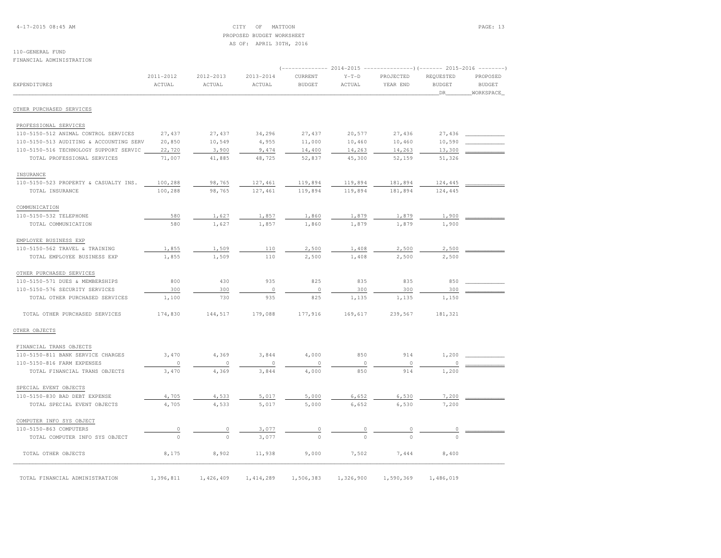4-17-2015 08:45 AM CITY OF MATTOON PAGE: 13 PROPOSED BUDGET WORKSHEETAS OF: APRIL 30TH, 2016

#### 110-GENERAL FUNDFINANCIAL ADMINISTRATION

| EXPENDITURES                            | 2011-2012<br>ACTUAL | 2012-2013<br>ACTUAL | 2013-2014<br>ACTUAL | CURRENT<br><b>BUDGET</b> | $Y-T-D$<br>ACTUAL | PROJECTED<br>YEAR END | REQUESTED<br><b>BUDGET</b><br>DR | PROPOSED<br><b>BUDGET</b><br>WORKSPACE |
|-----------------------------------------|---------------------|---------------------|---------------------|--------------------------|-------------------|-----------------------|----------------------------------|----------------------------------------|
| OTHER PURCHASED SERVICES                |                     |                     |                     |                          |                   |                       |                                  |                                        |
| PROFESSIONAL SERVICES                   |                     |                     |                     |                          |                   |                       |                                  |                                        |
| 110-5150-512 ANIMAL CONTROL SERVICES    | 27,437              | 27,437              | 34,296              | 27,437                   | 20,577            | 27,436                | 27,436                           |                                        |
| 110-5150-513 AUDITING & ACCOUNTING SERV | 20,850              | 10,549              | 4,955               | 11,000                   | 10,460            | 10,460                | 10,590                           |                                        |
| 110-5150-516 TECHNOLOGY SUPPORT SERVIC  | 22,720              | 3,900               | 9,474               | 14,400                   | 14,263            | 14,263                | 13,300                           |                                        |
| TOTAL PROFESSIONAL SERVICES             | 71,007              | 41,885              | 48,725              | 52,837                   | 45,300            | 52,159                | 51,326                           |                                        |
| INSURANCE                               |                     |                     |                     |                          |                   |                       |                                  |                                        |
| 110-5150-523 PROPERTY & CASUALTY INS.   | 100,288             | 98,765              | 127,461             | 119,894                  | 119,894           | 181,894               | 124,445                          |                                        |
| TOTAL INSURANCE                         | 100,288             | 98,765              | 127,461             | 119,894                  | 119,894           | 181,894               | 124,445                          |                                        |
| COMMUNICATION                           |                     |                     |                     |                          |                   |                       |                                  |                                        |
| 110-5150-532 TELEPHONE                  | 580                 | 1,627               | 1,857               | 1,860                    | 1,879             | 1,879                 | 1,900                            |                                        |
| TOTAL COMMUNICATION                     | 580                 | 1,627               | 1,857               | 1,860                    | 1,879             | 1,879                 | 1,900                            |                                        |
| EMPLOYEE BUSINESS EXP                   |                     |                     |                     |                          |                   |                       |                                  |                                        |
| 110-5150-562 TRAVEL & TRAINING          | 1,855               | 1,509               | 110                 | 2,500                    | 1,408             | 2,500                 | 2,500                            |                                        |
| TOTAL EMPLOYEE BUSINESS EXP             | 1,855               | 1,509               | 110                 | 2,500                    | 1,408             | 2,500                 | 2,500                            |                                        |
| OTHER PURCHASED SERVICES                |                     |                     |                     |                          |                   |                       |                                  |                                        |
| 110-5150-571 DUES & MEMBERSHIPS         | 800                 | 430                 | 935                 | 825                      | 835               | 835                   | 850                              |                                        |
| 110-5150-576 SECURITY SERVICES          | 300                 | 300                 | $\circ$             | $\circ$                  | 300               | 300                   | 300                              |                                        |
| TOTAL OTHER PURCHASED SERVICES          | 1,100               | 730                 | 935                 | 825                      | 1,135             | 1,135                 | 1,150                            |                                        |
| TOTAL OTHER PURCHASED SERVICES          | 174,830             | 144,517             | 179,088             | 177,916                  | 169,617           | 239,567               | 181,321                          |                                        |
| OTHER OBJECTS                           |                     |                     |                     |                          |                   |                       |                                  |                                        |
| FINANCIAL TRANS OBJECTS                 |                     |                     |                     |                          |                   |                       |                                  |                                        |
| 110-5150-811 BANK SERVICE CHARGES       | 3,470               | 4,369               | 3,844               | 4,000                    | 850               | 914                   | 1,200                            |                                        |
| 110-5150-816 FARM EXPENSES              | $\circ$             | $\circ$             | $\circ$             | $\circ$                  | $\circ$           | $\circ$               | $\Omega$                         |                                        |
| TOTAL FINANCIAL TRANS OBJECTS           | 3,470               | 4,369               | 3,844               | 4,000                    | 850               | 914                   | 1,200                            |                                        |
| SPECIAL EVENT OBJECTS                   |                     |                     |                     |                          |                   |                       |                                  |                                        |
| 110-5150-830 BAD DEBT EXPENSE           | 4,705               | 4,533               | 5,017               | 5,000                    | 6,652             | 6,530                 | 7,200                            |                                        |
| TOTAL SPECIAL EVENT OBJECTS             | 4,705               | 4,533               | 5,017               | 5,000                    | 6,652             | 6,530                 | 7,200                            |                                        |
| COMPUTER INFO SYS OBJECT                |                     |                     |                     |                          |                   |                       |                                  |                                        |
| 110-5150-863 COMPUTERS                  | 0                   | 0                   | 3,077               | 0                        | 0                 | 0                     | 0                                |                                        |
| TOTAL COMPUTER INFO SYS OBJECT          | $\Omega$            | $\Omega$            | 3,077               | $\Omega$                 | $\Omega$          |                       | $\cap$                           |                                        |
| TOTAL OTHER OBJECTS                     | 8,175               | 8,902               | 11,938              | 9,000                    | 7,502             | 7,444                 | 8,400                            |                                        |
| TOTAL FINANCIAL ADMINISTRATION          | 1,396,811           | 1,426,409           | 1, 414, 289         | 1,506,383                | 1,326,900         | 1,590,369             | 1,486,019                        |                                        |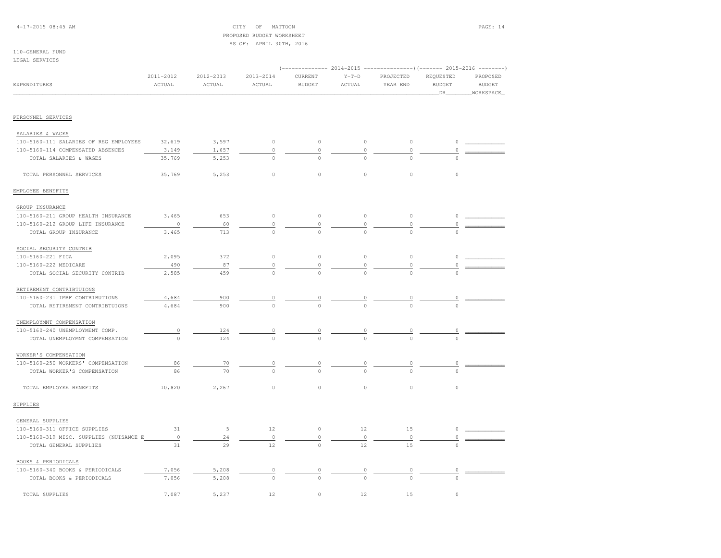## 4-17-2015 08:45 AM CITY OF MATTOON PAGE: 14 PROPOSED BUDGET WORKSHEETAS OF: APRIL 30TH, 2016

#### 110-GENERAL FUNDLEGAL SERVICES

|                                         |                     |                     |                         |                          |                   |                                 | (-------------- 2014-2015 ----------------) (------- 2015-2016 --------) |                                        |
|-----------------------------------------|---------------------|---------------------|-------------------------|--------------------------|-------------------|---------------------------------|--------------------------------------------------------------------------|----------------------------------------|
| EXPENDITURES                            | 2011-2012<br>ACTUAL | 2012-2013<br>ACTUAL | $2013 - 2014$<br>ACTUAL | CURRENT<br><b>BUDGET</b> | $Y-T-D$<br>ACTUAL | PROJECTED<br>YEAR END           | REQUESTED<br><b>BUDGET</b><br>DR                                         | PROPOSED<br><b>BUDGET</b><br>WORKSPACE |
|                                         |                     |                     |                         |                          |                   |                                 |                                                                          |                                        |
| PERSONNEL SERVICES                      |                     |                     |                         |                          |                   |                                 |                                                                          |                                        |
| SALARIES & WAGES                        |                     |                     |                         |                          |                   |                                 |                                                                          |                                        |
| 110-5160-111 SALARIES OF REG EMPLOYEES  | 32,619              | 3,597               | $\circ$                 | $\circ$                  | 0                 | $\circ$                         | 0                                                                        |                                        |
| 110-5160-114 COMPENSATED ABSENCES       | 3,149               | 1,657               | $\circ$                 | $\mathbb O$              | 0                 | 0                               | $\Omega$                                                                 |                                        |
| TOTAL SALARIES & WAGES                  | 35,769              | 5,253               | $\circ$                 | $\mathbf{0}$             | $\Omega$          | $\cap$                          |                                                                          |                                        |
| TOTAL PERSONNEL SERVICES                | 35,769              | 5,253               | $\circ$                 | $\circ$                  | $\circ$           | $\circ$                         | $\circ$                                                                  |                                        |
| EMPLOYEE BENEFITS                       |                     |                     |                         |                          |                   |                                 |                                                                          |                                        |
| GROUP INSURANCE                         |                     |                     |                         |                          |                   |                                 |                                                                          |                                        |
| 110-5160-211 GROUP HEALTH INSURANCE     | 3,465               | 653                 | $\circ$                 | $\circ$                  | $\mathbb O$       | $\circ$                         | $\circ$                                                                  |                                        |
| 110-5160-212 GROUP LIFE INSURANCE       | $\circ$             | 60                  | 0                       | $\circ$                  | 0                 | 0                               | 0                                                                        |                                        |
| TOTAL GROUP INSURANCE                   | 3,465               | 713                 | $\circ$                 | $\circ$                  | $\Omega$          | $\circ$                         | $\circ$                                                                  |                                        |
| SOCIAL SECURITY CONTRIB                 |                     |                     |                         |                          |                   |                                 |                                                                          |                                        |
| 110-5160-221 FICA                       | 2,095               | 372                 | $\circ$                 | $\circ$                  | $\mathbb O$       | $\circ$                         | $\circ$                                                                  |                                        |
| 110-5160-222 MEDICARE                   | 490                 | 87                  | $\mathbb O$             | $\circ$                  | 0                 | 0                               | 0                                                                        |                                        |
| TOTAL SOCIAL SECURITY CONTRIB           | 2,585               | 459                 | $\Omega$                | $\Omega$                 | $\cap$            | $\cap$                          | $\cap$                                                                   |                                        |
| RETIREMENT CONTRIBTUIONS                |                     |                     |                         |                          |                   |                                 |                                                                          |                                        |
| 110-5160-231 IMRF CONTRIBUTIONS         | 4,684               | 900                 | 0                       |                          |                   |                                 |                                                                          |                                        |
| TOTAL RETIREMENT CONTRIBTUIONS          | 4,684               | 900                 | $\Omega$                | $\Omega$                 |                   |                                 |                                                                          |                                        |
| UNEMPLOYMNT COMPENSATION                |                     |                     |                         |                          |                   |                                 |                                                                          |                                        |
| 110-5160-240 UNEMPLOYMENT COMP.         | $\circ$             | 124                 | 0                       | 0                        | 0                 | 0                               | 0                                                                        |                                        |
| TOTAL UNEMPLOYMNT COMPENSATION          | $\Omega$            | 124                 |                         |                          |                   |                                 |                                                                          |                                        |
| WORKER'S COMPENSATION                   |                     |                     |                         |                          |                   |                                 |                                                                          |                                        |
| 110-5160-250 WORKERS' COMPENSATION      | 86                  | 70                  | $\overline{0}$          | $\overline{0}$           | $\overline{0}$    | $\begin{matrix} 0 \end{matrix}$ | 0                                                                        |                                        |
| TOTAL WORKER'S COMPENSATION             | 86                  | 70                  | $\Omega$                | $\Omega$                 |                   | $\cap$                          | $\cap$                                                                   |                                        |
| TOTAL EMPLOYEE BENEFITS                 | 10,820              | 2,267               | $\circ$                 | $\circ$                  | $\circ$           | 0                               | $\circ$                                                                  |                                        |
| SUPPLIES                                |                     |                     |                         |                          |                   |                                 |                                                                          |                                        |
| GENERAL SUPPLIES                        |                     |                     |                         |                          |                   |                                 |                                                                          |                                        |
| 110-5160-311 OFFICE SUPPLIES            | 31                  | 5                   | 12                      | $\circ$                  | 12                | 15                              | 0                                                                        |                                        |
| 110-5160-319 MISC. SUPPLIES (NUISANCE E | $\circ$             | 24                  | $\circ$                 | $\circ$                  | $\circ$           | $\circ$                         | 0                                                                        |                                        |
| TOTAL GENERAL SUPPLIES                  | 31                  | 29                  | 12                      | $\mathbb O$              | 12                | 15                              |                                                                          |                                        |
| BOOKS & PERIODICALS                     |                     |                     |                         |                          |                   |                                 |                                                                          |                                        |
| 110-5160-340 BOOKS & PERIODICALS        | 7,056               | 5,208               | 0                       |                          |                   | 0                               | 0                                                                        |                                        |
| TOTAL BOOKS & PERIODICALS               | 7,056               | 5,208               | $\Omega$                | $\Omega$                 | $\Omega$          | $\Omega$                        | $\Omega$                                                                 |                                        |
| TOTAL SUPPLIES                          | 7,087               | 5,237               | 12                      | $\circ$                  | 12                | 15                              | $\circ$                                                                  |                                        |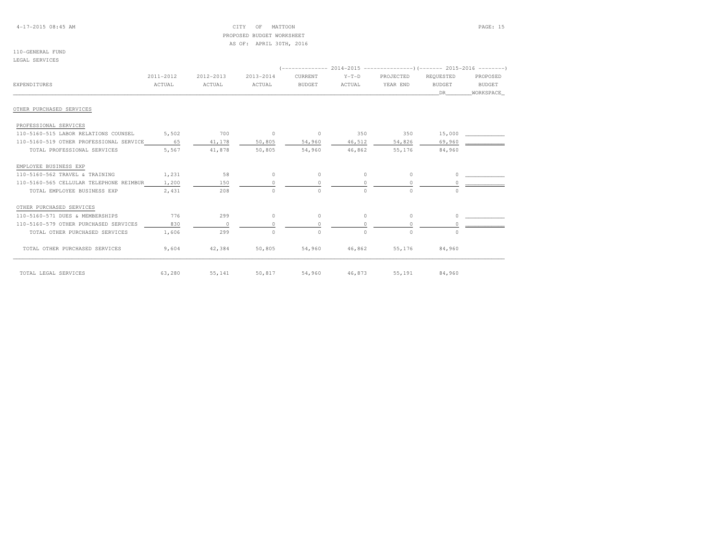4-17-2015 08:45 AM CITY OF MATTOON PAGE: 15 PROPOSED BUDGET WORKSHEETAS OF: APRIL 30TH, 2016

#### 110-GENERAL FUNDLEGAL SERVICES

|                                         | 2011-2012 | 2012-2013   | 2013-2014  | CURRENT       | $Y-T-D$  | PROJECTED | REQUESTED     | PROPOSED  |
|-----------------------------------------|-----------|-------------|------------|---------------|----------|-----------|---------------|-----------|
| EXPENDITURES                            | ACTUAL    | ACTUAL      | ACTUAL     | <b>BUDGET</b> | ACTUAL   | YEAR END  | <b>BUDGET</b> | BUDGET    |
|                                         |           |             |            |               |          |           | DR            | WORKSPACE |
| OTHER PURCHASED SERVICES                |           |             |            |               |          |           |               |           |
| PROFESSIONAL SERVICES                   |           |             |            |               |          |           |               |           |
| 110-5160-515 LABOR RELATIONS COUNSEL    | 5,502     | 700         | $\sim$ 0   | $\circ$       | 350      | 350       | 15,000        |           |
| 110-5160-519 OTHER PROFESSIONAL SERVICE | 65        | 41,178      | 50,805     | 54,960        | 46,512   | 54,826    | 69,960        |           |
| TOTAL PROFESSIONAL SERVICES             | 5,567     | 41,878      | 50,805     | 54,960        | 46,862   | 55,176    | 84,960        |           |
| EMPLOYEE BUSINESS EXP                   |           |             |            |               |          |           |               |           |
| 110-5160-562 TRAVEL & TRAINING          | 1,231     | 58          | $\circ$    | $\circ$       | $\circ$  | $\circ$   |               |           |
| 110-5160-565 CELLULAR TELEPHONE REIMBUR | 1,200     | 150         | $\Omega$   | $\Omega$      |          | $\cap$    |               |           |
| TOTAL EMPLOYEE BUSINESS EXP             | 2,431     | 208         | $\bigcirc$ | $\cap$        | $\cap$   | $\cap$    |               |           |
| OTHER PURCHASED SERVICES                |           |             |            |               |          |           |               |           |
| 110-5160-571 DUES & MEMBERSHIPS         | 776       | 299         | $\circ$    | $\circ$       | $\Omega$ | $\Omega$  |               |           |
| 110-5160-579 OTHER PURCHASED SERVICES   | 830       | $\mathbb O$ | $\Omega$   | 0             |          | $\Omega$  |               |           |
| TOTAL OTHER PURCHASED SERVICES          | 1,606     | 299         | $\bigcirc$ | $\Omega$      | $\cap$   | $\Omega$  |               |           |
| TOTAL OTHER PURCHASED SERVICES          | 9,604     | 42,384      | 50,805     | 54,960        | 46,862   | 55,176    | 84,960        |           |
| TOTAL LEGAL SERVICES                    | 63,280    | 55,141      | 50,817     | 54,960        | 46,873   | 55,191    | 84,960        |           |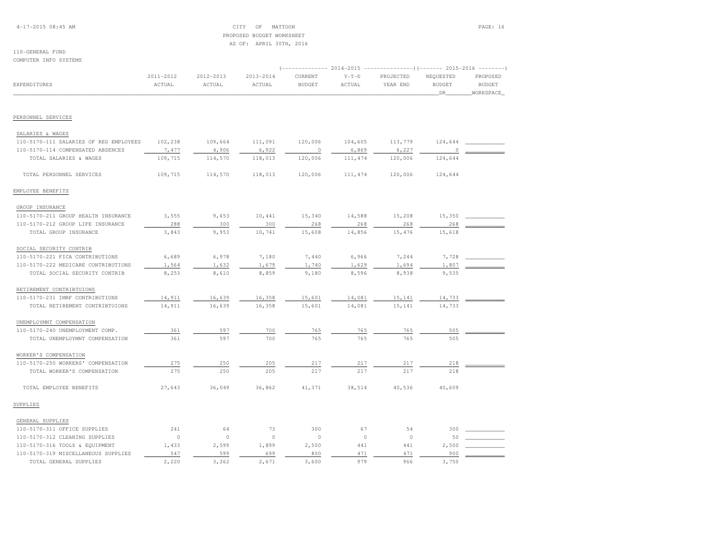4-17-2015 08:45 AM CITY OF MATTOON PAGE: 16 PROPOSED BUDGET WORKSHEETAS OF: APRIL 30TH, 2016

#### 110-GENERAL FUNDCOMPUTER INFO SYSTEMS

 (-------------- 2014-2015 ---------------)(------- 2015-2016 --------) 2011-2012 2012-2013 2013-2014 CURRENT Y-T-D PROJECTED REQUESTED PROPOSED**BUDGET** EXPENDITURES ACTUAL ACTUAL ACTUAL BUDGET ACTUAL YEAR END BUDGET BUDGET\_WORKSPACE\_ \_\_\_\_\_\_\_\_\_\_\_\_\_\_\_\_\_\_\_\_\_\_\_\_\_\_\_\_\_\_\_\_\_\_\_\_\_\_\_\_\_\_\_\_\_\_\_\_\_\_\_\_\_\_\_\_\_\_\_\_\_\_\_\_\_\_\_\_\_\_\_\_\_\_\_\_\_\_\_\_\_\_\_\_\_\_\_\_\_\_\_\_\_\_\_\_\_\_\_\_\_\_\_\_\_\_\_\_\_\_\_\_\_\_\_\_\_\_\_\_\_\_\_\_\_\_\_\_\_\_DR\_\_\_\_\_\_\_\_WORKSPACE\_PERSONNEL SERVICES SALARIES & WAGES 110-5170-111 SALARIES OF REG EMPLOYEES 102,238 109,664 111,091 120,006 104,605 113,779 124,644 \_\_\_\_\_\_\_\_\_\_\_\_ $110-5170-114 \text{ COMPENSATED ABSENCES} \label{eq:110-5170-114}$  TOTAL SALARIES & WAGES 109,715 114,570 118,013 120,006 111,474 120,006 124,644 TOTAL PERSONNEL SERVICES 109,715 114,570 118,013 120,006 111,474 120,006 124,644EMPLOYEE BENEFITS GROUP INSURANCE 110-5170-211 GROUP HEALTH INSURANCE 3,555 9,653 10,441 15,340 14,588 15,208 15,350 \_\_\_\_\_\_\_\_\_\_\_\_ 110-5170-212 GROUP LIFE INSURANCE 288 300 300 268 268 268 268 \_\_\_\_\_\_\_\_\_\_\_\_ TOTAL GROUP INSURANCE 3,843 9,953 10,741 15,608 14,856 15,476 15,618 SOCIAL SECURITY CONTRIB 110-5170-221 FICA CONTRIBUTIONS 6,689 6,978 7,180 7,440 6,966 7,244 7,728 \_\_\_\_\_\_\_\_\_\_\_\_110-5170-222 MEDICARE CONTRIBUTIONS  $1,564$   $1,632$   $1,679$   $1,740$   $1,629$   $1,694$   $1,807$  TOTAL SOCIAL SECURITY CONTRIB 8,253 8,610 8,859 9,180 8,596 8,938 9,535 RETIREMENT CONTRIBTUIONS110-5170-231 IMRF CONTRIBUTIONS 14,911 16,639 16,358 15,601 14,081 15,141 14,733 Languary TOTAL RETIREMENT CONTRIBTUIONS 14,911 16,639 16,358 15,601 14,081 15,141 14,733 UNEMPLOYMNT COMPENSATION 110-5170-240 UNEMPLOYMENT COMP. 361 597 700 765 765 765 505 \_\_\_\_\_\_\_\_\_\_\_\_TOTAL UNEMPLOYMNT COMPENSATION 361 597 700 765 765 765 505 505 WORKER'S COMPENSATION 110-5170-250 WORKERS' COMPENSATION 275 250 205 217 217 217 218 \_\_\_\_\_\_\_\_\_\_\_\_ TOTAL WORKER'S COMPENSATION 275 250 205 217 217 217 218 TOTAL EMPLOYEE BENEFITS 27,643 36,049 36,862 41,371 38,514 40,536 40,609SUPPLIES GENERAL SUPPLIES 110-5170-311 OFFICE SUPPLIES 241 64 73 300 67 54 300 \_\_\_\_\_\_\_\_\_\_\_\_110-5170-312 CLEANING SUPPLIES 0 0 0 0 0 0 0 0 0 50 <u>\_</u> 110-5170-316 TOOLS & EQUIPMENT 1,433 2,599 1,899 2,500 441 441 2,500 110-5170-319 MISCELLANEOUS SUPPLIES 547 599 699 800 471 471 900 \_\_\_\_\_\_\_\_\_\_\_\_TOTAL GENERAL SUPPLIES 2,220 3,262 2,671 3,600 979 966 3,750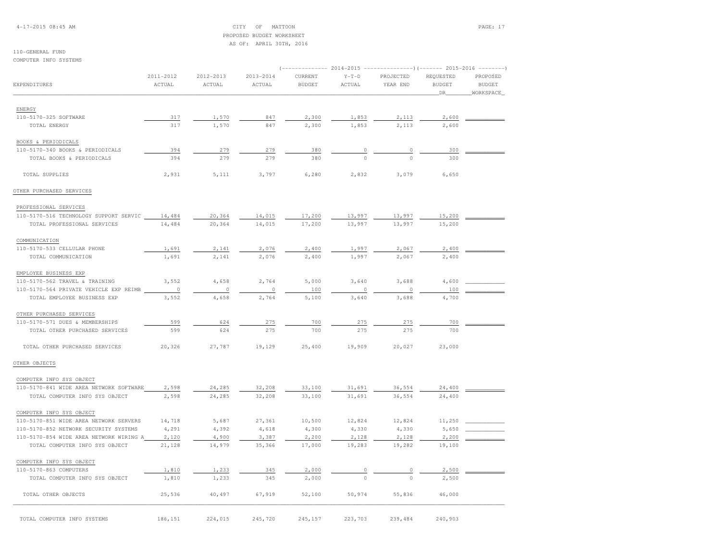4-17-2015 08:45 AM CITY OF MATTOON PAGE: 17 PROPOSED BUDGET WORKSHEETAS OF: APRIL 30TH, 2016

## 110-GENERAL FUND

COMPUTER INFO SYSTEMS

|                                         |           |           |           | ------------ 2014-2015 |              | $------------)$ (------- 2015-2016<br>$- - - - - - - -$ |                            |               |
|-----------------------------------------|-----------|-----------|-----------|------------------------|--------------|---------------------------------------------------------|----------------------------|---------------|
|                                         | 2011-2012 | 2012-2013 | 2013-2014 | CURRENT                | $Y-T-D$      | PROJECTED                                               | REQUESTED<br><b>BUDGET</b> | PROPOSED      |
| EXPENDITURES                            | ACTUAL    | ACTUAL    | ACTUAL    | <b>BUDGET</b>          | ACTUAL       | YEAR END                                                |                            | <b>BUDGET</b> |
|                                         |           |           |           |                        |              |                                                         | DR.                        | WORKSPACE     |
| ENERGY                                  |           |           |           |                        |              |                                                         |                            |               |
| 110-5170-325 SOFTWARE                   | 317       | 1,570     | 847       | 2,300                  | 1,853        | 2,113                                                   | 2,600                      |               |
| TOTAL ENERGY                            | 317       | 1,570     | 847       | 2,300                  | 1,853        | 2,113                                                   | 2,600                      |               |
|                                         |           |           |           |                        |              |                                                         |                            |               |
| <b>BOOKS &amp; PERIODICALS</b>          |           |           |           |                        |              |                                                         |                            |               |
| 110-5170-340 BOOKS & PERIODICALS        | 394       | 279       | 279       | 380                    | 0            | 0                                                       | 300                        |               |
| TOTAL BOOKS & PERIODICALS               | 394       | 279       | 279       | 380                    | $\Omega$     | $\Omega$                                                | 300                        |               |
| TOTAL SUPPLIES                          | 2,931     | 5,111     | 3,797     | 6,280                  | 2,832        | 3,079                                                   | 6,650                      |               |
| OTHER PURCHASED SERVICES                |           |           |           |                        |              |                                                         |                            |               |
| PROFESSIONAL SERVICES                   |           |           |           |                        |              |                                                         |                            |               |
| 110-5170-516 TECHNOLOGY SUPPORT SERVIC  | 14,484    | 20,364    | 14,015    | 17,200                 | 13,997       | 13,997                                                  | 15,200                     |               |
| TOTAL PROFESSIONAL SERVICES             | 14,484    | 20,364    | 14,015    | 17,200                 | 13,997       | 13,997                                                  | 15,200                     |               |
|                                         |           |           |           |                        |              |                                                         |                            |               |
| COMMUNICATION                           |           |           |           |                        |              |                                                         |                            |               |
| 110-5170-533 CELLULAR PHONE             | 1,691     | 2,141     | 2,076     | 2,400                  | 1,997        | 2,067                                                   | 2,400                      |               |
| TOTAL COMMUNICATION                     | 1,691     | 2,141     | 2,076     | 2,400                  | 1,997        | 2,067                                                   | 2,400                      |               |
| EMPLOYEE BUSINESS EXP                   |           |           |           |                        |              |                                                         |                            |               |
| 110-5170-562 TRAVEL & TRAINING          | 3,552     | 4,658     | 2,764     | 5,000                  | 3,640        | 3,688                                                   | 4,600                      |               |
| 110-5170-564 PRIVATE VEHICLE EXP REIMB  | $\circ$   | $\circ$   | $\circ$   | 100                    | $\circ$      | $\circ$                                                 | 100                        |               |
| TOTAL EMPLOYEE BUSINESS EXP             | 3,552     | 4,658     | 2,764     | 5,100                  | 3,640        | 3,688                                                   | 4,700                      |               |
| OTHER PURCHASED SERVICES                |           |           |           |                        |              |                                                         |                            |               |
| 110-5170-571 DUES & MEMBERSHIPS         | 599       | 624       | 275       | 700                    | 275          | 275                                                     | 700                        |               |
| TOTAL OTHER PURCHASED SERVICES          | 599       | 624       | 275       | 700                    | 275          | 275                                                     | 700                        |               |
| TOTAL OTHER PURCHASED SERVICES          | 20,326    | 27,787    | 19,129    | 25,400                 | 19,909       | 20,027                                                  | 23,000                     |               |
| OTHER OBJECTS                           |           |           |           |                        |              |                                                         |                            |               |
|                                         |           |           |           |                        |              |                                                         |                            |               |
| COMPUTER INFO SYS OBJECT                |           |           |           |                        |              |                                                         |                            |               |
| 110-5170-841 WIDE AREA NETWORK SOFTWARE | 2,598     | 24,285    | 32,208    | 33,100                 | 31,691       | 36,554                                                  | 24,400                     |               |
| TOTAL COMPUTER INFO SYS OBJECT          | 2,598     | 24,285    | 32,208    | 33,100                 | 31,691       | 36,554                                                  | 24,400                     |               |
| COMPUTER INFO SYS OBJECT                |           |           |           |                        |              |                                                         |                            |               |
| 110-5170-851 WIDE AREA NETWORK SERVERS  | 14,718    | 5,687     | 27,361    | 10,500                 | 12,824       | 12,824                                                  | 11,250                     |               |
| 110-5170-852 NETWORK SECURITY SYSTEMS   | 4,291     | 4,392     | 4,618     | 4,300                  | 4,330        | 4,330                                                   | 5,650                      |               |
| 110-5170-854 WIDE AREA NETWORK WIRING A | 2,120     | 4,900     | 3,387     | 2,200                  | 2,128        | 2,128                                                   | 2,200                      |               |
| TOTAL COMPUTER INFO SYS OBJECT          | 21,128    | 14,979    | 35,366    | 17,000                 | 19,283       | 19,282                                                  | 19,100                     |               |
| COMPUTER INFO SYS OBJECT                |           |           |           |                        |              |                                                         |                            |               |
| 110-5170-863 COMPUTERS                  | 1,810     | 1,233     | 345       | 2,000                  |              | $\circ$                                                 | 2,500                      |               |
| TOTAL COMPUTER INFO SYS OBJECT          | 1,810     | 1,233     | 345       | 2,000                  | $\mathbf{0}$ | $\circ$                                                 | 2,500                      |               |
| TOTAL OTHER OBJECTS                     | 25,536    | 40,497    | 67,919    | 52,100                 | 50,974       | 55,836                                                  | 46,000                     |               |
|                                         |           |           |           |                        |              |                                                         |                            |               |
| TOTAL COMPUTER INFO SYSTEMS             | 186,151   | 224,015   | 245,720   | 245,157                | 223,703      | 239,484                                                 | 240,903                    |               |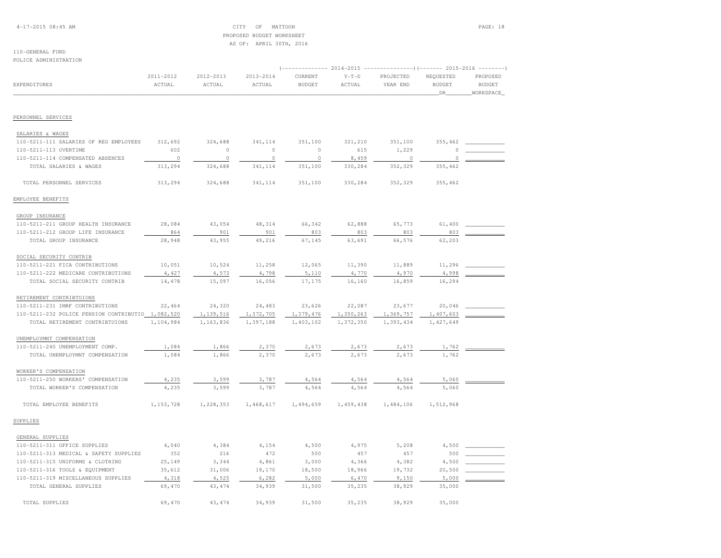4-17-2015 08:45 AM CITY OF MATTOON PAGE: 18 PROPOSED BUDGET WORKSHEETAS OF: APRIL 30TH, 2016

#### 110-GENERAL FUNDPOLICE ADMINISTRATION

| FULLUL ADMINISINAIIUN                             |                     |                     |                     |                          |                   | (------------- 2014-2015 ----------------)(------- 2015-2016 --------) |                                  |                                        |
|---------------------------------------------------|---------------------|---------------------|---------------------|--------------------------|-------------------|------------------------------------------------------------------------|----------------------------------|----------------------------------------|
| EXPENDITURES                                      | 2011-2012<br>ACTUAL | 2012-2013<br>ACTUAL | 2013-2014<br>ACTUAL | CURRENT<br><b>BUDGET</b> | $Y-T-D$<br>ACTUAL | PROJECTED<br>YEAR END                                                  | REQUESTED<br><b>BUDGET</b><br>DR | PROPOSED<br><b>BUDGET</b><br>WORKSPACE |
| PERSONNEL SERVICES                                |                     |                     |                     |                          |                   |                                                                        |                                  |                                        |
| SALARIES & WAGES                                  |                     |                     |                     |                          |                   |                                                                        |                                  |                                        |
| 110-5211-111 SALARIES OF REG EMPLOYEES            | 312,692             | 324,688             | 341,114             | 351,100                  | 321,210           | 351,100                                                                | 355,462                          |                                        |
| 110-5211-113 OVERTIME                             | 602                 | $\mathbb O$         | $\circ$             | $\circ$                  | 615               | 1,229                                                                  | $\circ$                          |                                        |
| 110-5211-114 COMPENSATED ABSENCES                 | $\circ$             | $\circ$             | $\circ$             | $\circ$                  | 8,459             | $\circ$                                                                | $\Omega$                         |                                        |
| TOTAL SALARIES & WAGES                            | 313,294             | 324,688             | 341,114             | 351,100                  | 330,284           | 352,329                                                                | 355,462                          |                                        |
| TOTAL PERSONNEL SERVICES                          | 313,294             | 324,688             | 341,114             | 351,100                  | 330,284           | 352,329                                                                | 355,462                          |                                        |
| EMPLOYEE BENEFITS                                 |                     |                     |                     |                          |                   |                                                                        |                                  |                                        |
| GROUP INSURANCE                                   |                     |                     |                     |                          |                   |                                                                        |                                  |                                        |
| 110-5211-211 GROUP HEALTH INSURANCE               | 28,084              | 43,054              | 48,314              | 66,342                   | 62,888            | 65,773                                                                 | 61,400                           |                                        |
| 110-5211-212 GROUP LIFE INSURANCE                 | 864                 | 901                 | 901                 | 803                      | 803               | 803                                                                    | 803                              |                                        |
| TOTAL GROUP INSURANCE                             | 28,948              | 43,955              | 49,216              | 67,145                   | 63,691            | 66,576                                                                 | 62,203                           |                                        |
| SOCIAL SECURITY CONTRIB                           |                     |                     |                     |                          |                   |                                                                        |                                  |                                        |
| 110-5211-221 FICA CONTRIBUTIONS                   | 10,051              | 10,524              | 11,258              | 12,065                   | 11,390            | 11,889                                                                 | 11,296                           |                                        |
| 110-5211-222 MEDICARE CONTRIBUTIONS               | 4,427               | 4,573               | 4,798               | 5,110                    | 4,770             | 4,970                                                                  | 4,998                            |                                        |
| TOTAL SOCIAL SECURITY CONTRIB                     | 14,478              | 15,097              | 16,056              | 17,175                   | 16,160            | 16,859                                                                 | 16,294                           |                                        |
| RETIREMENT CONTRIBTUIONS                          |                     |                     |                     |                          |                   |                                                                        |                                  |                                        |
| 110-5211-231 IMRF CONTRIBUTIONS                   | 22,464              | 24,320              | 24,483              | 23,626                   | 22,087            | 23,677                                                                 | 20,046                           |                                        |
| 110-5211-232 POLICE PENSION CONTRIBUTIO 1,082,520 |                     | 1,139,516           | 1,372,705           | 1,379,476                | 1,350,263         | 1,369,757                                                              | 1,407,603                        |                                        |
| TOTAL RETIREMENT CONTRIBTUIONS                    | 1,104,984           | 1,163,836           | 1,397,188           | 1,403,102                | 1,372,350         | 1,393,434                                                              | 1,427,649                        |                                        |
| UNEMPLOYMNT COMPENSATION                          |                     |                     |                     |                          |                   |                                                                        |                                  |                                        |
| 110-5211-240 UNEMPLOYMENT COMP.                   | 1,084               | 1,866               | 2,370               | 2,673                    | 2,673             | 2,673                                                                  | 1,762                            |                                        |
| TOTAL UNEMPLOYMNT COMPENSATION                    | 1,084               | 1,866               | 2,370               | 2,673                    | 2,673             | 2,673                                                                  | 1,762                            |                                        |
| WORKER'S COMPENSATION                             |                     |                     |                     |                          |                   |                                                                        |                                  |                                        |
| 110-5211-250 WORKERS' COMPENSATION                | 4,235               | 3,599               | 3,787               | 4,564                    | 4,564             | 4,564                                                                  | 5,060                            |                                        |
| TOTAL WORKER'S COMPENSATION                       | 4,235               | 3,599               | 3,787               | 4,564                    | 4,564             | 4,564                                                                  | 5,060                            |                                        |
| TOTAL EMPLOYEE BENEFITS                           | 1,153,728           | 1,228,353           | 1,468,617           | 1,494,659                | 1,459,438         | 1,484,106                                                              | 1,512,968                        |                                        |
| SUPPLIES                                          |                     |                     |                     |                          |                   |                                                                        |                                  |                                        |
| GENERAL SUPPLIES                                  |                     |                     |                     |                          |                   |                                                                        |                                  |                                        |
| 110-5211-311 OFFICE SUPPLIES                      | 4,040               | 4,384               | 4,154               | 4,500                    | 4,975             | 5,208                                                                  | 4,500                            |                                        |
| 110-5211-313 MEDICAL & SAFETY SUPPLIES            | 352                 | 216                 | 472                 | 500                      | 457               | 457                                                                    | 500                              |                                        |
| 110-5211-315 UNIFORMS & CLOTHING                  | 25,149              | 3,344               | 4,861               | 3,000                    | 4,366             | 4,382                                                                  | 4,500                            |                                        |
| 110-5211-316 TOOLS & EQUIPMENT                    | 35,612              | 31,006              | 19,170              | 18,500                   | 18,966            | 19,732                                                                 | 20,500                           |                                        |
| 110-5211-319 MISCELLANEOUS SUPPLIES               | 4,318               | 4,525               | 6,282               | 5,000                    | 6,470             | 9,150                                                                  | 5,000                            |                                        |
| TOTAL GENERAL SUPPLIES                            | 69,470              | 43, 474             | 34,939              | 31,500                   | 35,235            | 38,929                                                                 | 35,000                           |                                        |

TOTAL SUPPLIES 69,470 43,474 34,939 31,500 35,235 38,929 35,000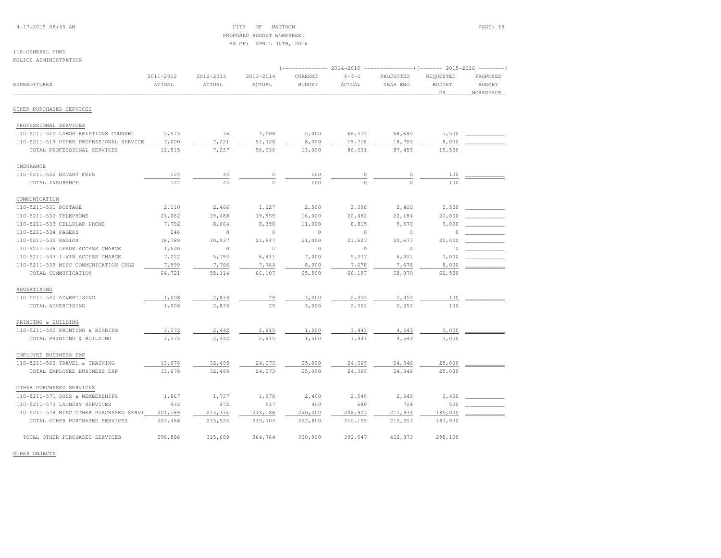4-17-2015 08:45 AM CITY OF MATTOON PAGE: 19 PROPOSED BUDGET WORKSHEETAS OF: APRIL 30TH, 2016

### 110-GENERAL FUNDPOLICE ADMINISTRATION

|                                                               |                     |                     |                     | $-----------2014-2015$   |                   |                       | ----------------) (------- 2015-2016 --------- |                                        |
|---------------------------------------------------------------|---------------------|---------------------|---------------------|--------------------------|-------------------|-----------------------|------------------------------------------------|----------------------------------------|
| EXPENDITURES                                                  | 2011-2012<br>ACTUAL | 2012-2013<br>ACTUAL | 2013-2014<br>ACTUAL | CURRENT<br><b>BUDGET</b> | $Y-T-D$<br>ACTUAL | PROJECTED<br>YEAR END | REQUESTED<br><b>BUDGET</b><br>DR               | PROPOSED<br><b>BUDGET</b><br>WORKSPACE |
| OTHER PURCHASED SERVICES                                      |                     |                     |                     |                          |                   |                       |                                                |                                        |
|                                                               |                     |                     |                     |                          |                   |                       |                                                |                                        |
| PROFESSIONAL SERVICES<br>110-5211-515 LABOR RELATIONS COUNSEL | 5,515               | 16                  | 4,508               | 5,000                    | 66,315            | 68,690                | 7,500                                          |                                        |
| 110-5211-519 OTHER PROFESSIONAL SERVICE                       | 7,000               | 7,221               | 51,728              | 8,000                    | 19,716            | 18,765                | 8,000                                          |                                        |
| TOTAL PROFESSIONAL SERVICES                                   | 12,515              | 7,237               | 56,236              | 13,000                   | 86,031            | 87,455                | 15,500                                         |                                        |
| INSURANCE                                                     |                     |                     |                     |                          |                   |                       |                                                |                                        |
| 110-5211-522 NOTARY FEES                                      | 124                 | 44                  | 0                   | 100                      | $\circ$           | $\circ$               | 100                                            |                                        |
| TOTAL INSURANCE                                               | 124                 | 44                  | $\Omega$            | 100                      | $\Omega$          | $\Omega$              | 100                                            |                                        |
| COMMUNICATION                                                 |                     |                     |                     |                          |                   |                       |                                                |                                        |
| 110-5211-531 POSTAGE                                          | 2,110               | 2,466               | 1,627               | 2,500                    | 2,308             | 2,460                 | 2,500                                          |                                        |
| 110-5211-532 TELEPHONE                                        | 21,062              | 19,488              | 19,959              | 16,000                   | 20,492            | 22,184                | 20,000                                         |                                        |
| 110-5211-533 CELLULAR PHONE                                   | 7,792               | 8,664               | 8,398               | 11,000                   | 8,815             | 9,570                 | 9,000                                          |                                        |
| 110-5211-534 PAGERS                                           | 246                 | $\circ$             | $\circ$             | $\circ$                  | $\circ$           | 0                     | 0                                              |                                        |
| 110-5211-535 RADIOS                                           | 16,789              | 10,937              | 21,947              | 21,000                   | 21,627            | 20,677                | 20,000                                         |                                        |
| 110-5211-536 LEADS ACCESS CHARGE                              | 1,500               | $\circ$             | $\circ$             | $\circ$                  | $\circ$           | $\circ$               | $\Omega$                                       |                                        |
| 110-5211-537 I-WIN ACCESS CHARGE                              | 7,222               | 5,794               | 6,411               | 7,000                    | 5,277             | 6,401                 | 7,000                                          |                                        |
| 110-5211-539 MISC COMMUNICATION CHGS                          | 7,999               | 7,766               | 7,764               | 8,000                    | 7,678             | 7,678                 | 8,000                                          |                                        |
| TOTAL COMMUNICATION                                           | 64,721              | 55,114              | 66,107              | 65,500                   | 66,197            | 68,970                | 66,500                                         |                                        |
| ADVERTISING                                                   |                     |                     |                     |                          |                   |                       |                                                |                                        |
| 110-5211-540 ADVERTISING                                      | 1,008               | 2,833               | 29                  | 3,000                    | 2,352             | 2,352                 | 100                                            |                                        |
| TOTAL ADVERTISING                                             | 1,008               | 2,833               | 29                  | 3,000                    | 2,352             | 2,352                 | 100                                            |                                        |
| PRINTING & BUILDING                                           |                     |                     |                     |                          |                   |                       |                                                |                                        |
| 110-5211-550 PRINTING & BINDING                               | 3,372               | 2,442               | 2,615               | 1,500                    | 3,443             | 4,543                 | 3,000                                          |                                        |
| TOTAL PRINTING & BUILDING                                     | 3,372               | 2,442               | 2,615               | 1,500                    | 3,443             | 4,543                 | 3,000                                          |                                        |
| EMPLOYEE BUSINESS EXP                                         |                     |                     |                     |                          |                   |                       |                                                |                                        |
| 110-5211-562 TRAVEL & TRAINING                                | 13,678              | 32,495              | 24,073              | 25,000                   | 24,369            | 24,346                | 25,000                                         |                                        |
| TOTAL EMPLOYEE BUSINESS EXP                                   | 13,678              | 32,495              | 24,073              | 25,000                   | 24,369            | 24,346                | 25,000                                         |                                        |
| OTHER PURCHASED SERVICES                                      |                     |                     |                     |                          |                   |                       |                                                |                                        |
| 110-5211-571 DUES & MEMBERSHIPS                               | 1,867               | 1,737               | 1,978               | 2,400                    | 2,549             | 2,549                 | 2,400                                          |                                        |
| 110-5211-573 LAUNDRY SERVICES                                 | 432                 | 472                 | 537                 | 400                      | 680               | 724                   | 500                                            |                                        |
| 110-5211-579 MISC OTHER PURCHASED SERVI                       | 201,169             | 213,316             | 213,188             | 220,000                  | 206,927           | 211,934               | 185,000                                        |                                        |
| TOTAL OTHER PURCHASED SERVICES                                | 203,468             | 215,524             | 215,703             | 222,800                  | 210,155           | 215,207               | 187,900                                        |                                        |
| TOTAL OTHER PURCHASED SERVICES                                | 298,886             | 315,689             | 364,764             | 330,900                  | 392,547           | 402,873               | 298,100                                        |                                        |

OTHER OBJECTS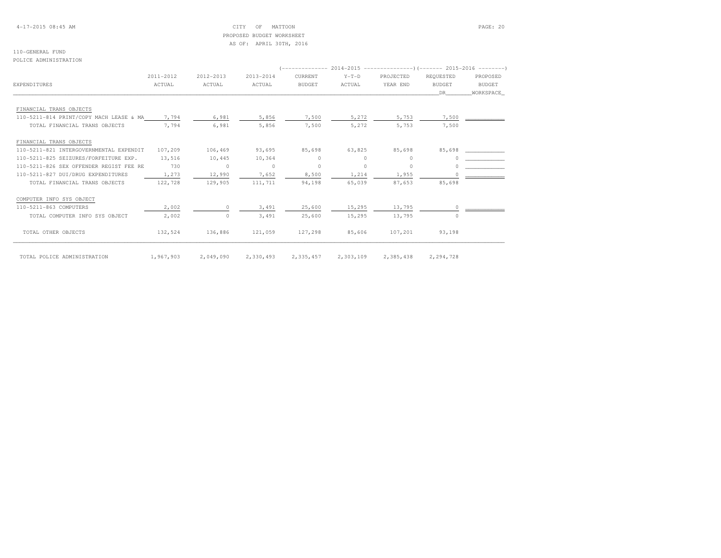## 4-17-2015 08:45 AM CITY OF MATTOON PAGE: 20 PROPOSED BUDGET WORKSHEETAS OF: APRIL 30TH, 2016

#### 110-GENERAL FUNDPOLICE ADMINISTRATION

|                                         | 2011-2012 | 2012-2013 | 2013-2014 | CURRENT       | $Y-T-D$   | PROJECTED | REQUESTED     | PROPOSED  |
|-----------------------------------------|-----------|-----------|-----------|---------------|-----------|-----------|---------------|-----------|
| EXPENDITURES                            | ACTUAL    | ACTUAL    | ACTUAL    | <b>BUDGET</b> | ACTUAL    | YEAR END  | <b>BUDGET</b> | BUDGET    |
|                                         |           |           |           |               |           |           | DR            | WORKSPACE |
| FINANCIAL TRANS OBJECTS                 |           |           |           |               |           |           |               |           |
| 110-5211-814 PRINT/COPY MACH LEASE & MA | 7,794     | 6,981     | 5,856     | 7,500         | 5,272     | 5,753     | 7,500         |           |
| TOTAL FINANCIAL TRANS OBJECTS           | 7.794     | 6,981     | 5,856     | 7,500         | 5,272     | 5,753     | 7,500         |           |
| FINANCIAL TRANS OBJECTS                 |           |           |           |               |           |           |               |           |
| 110-5211-821 INTERGOVERNMENTAL EXPENDIT | 107,209   | 106,469   | 93,695    | 85,698        | 63,825    | 85,698    | 85,698        |           |
| 110-5211-825 SEIZURES/FORFEITURE EXP.   | 13,516    | 10,445    | 10,364    | $\Omega$      | $\Omega$  | $\Omega$  |               |           |
| 110-5211-826 SEX OFFENDER REGIST FEE RE | 730       | $\circ$   | $\circ$   | $\circ$       | $\circ$   | $\Omega$  |               |           |
| 110-5211-827 DUI/DRUG EXPENDITURES      | 1,273     | 12,990    | 7,652     | 8,500         | 1,214     | 1,955     |               |           |
| TOTAL FINANCIAL TRANS OBJECTS           | 122,728   | 129,905   | 111,711   | 94,198        | 65,039    | 87,653    | 85,698        |           |
| COMPUTER INFO SYS OBJECT                |           |           |           |               |           |           |               |           |
| 110-5211-863 COMPUTERS                  | 2,002     | $\Omega$  | 3,491     | 25,600        | 15,295    | 13,795    | $\Omega$      |           |
| TOTAL COMPUTER INFO SYS OBJECT          | 2,002     | $\circ$   | 3,491     | 25,600        | 15,295    | 13,795    | 0             |           |
| TOTAL OTHER OBJECTS                     | 132,524   | 136,886   | 121,059   | 127,298       | 85,606    | 107,201   | 93,198        |           |
| TOTAL POLICE ADMINISTRATION             | 1,967,903 | 2,049,090 | 2,330,493 | 2,335,457     | 2,303,109 | 2,385,438 | 2,294,728     |           |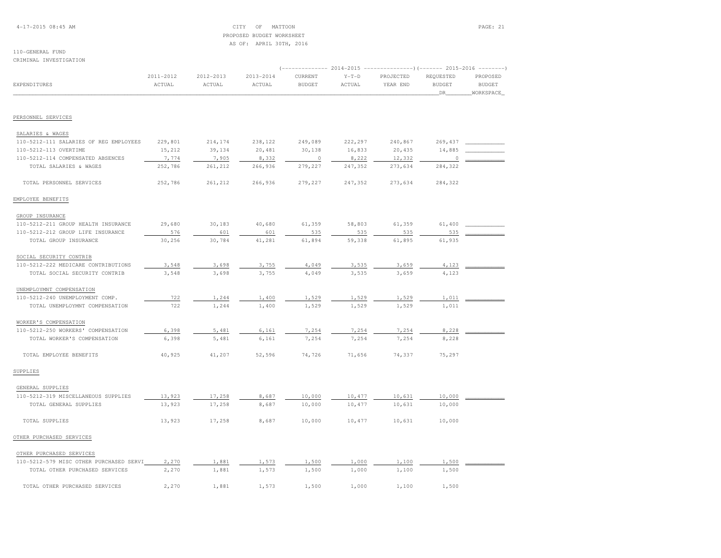4-17-2015 08:45 AM CITY OF MATTOON PAGE: 21 PROPOSED BUDGET WORKSHEETAS OF: APRIL 30TH, 2016

#### 110-GENERAL FUNDCRIMINAL INVESTIGATION

|                                                             | 2011-2012 | 2012-2013      | 2013-2014      | CURRENT       | $Y-T-D$ | PROJECTED | REQUESTED     | PROPOSED      |
|-------------------------------------------------------------|-----------|----------------|----------------|---------------|---------|-----------|---------------|---------------|
| <b>EXPENDITURES</b>                                         | ACTUAL    | ACTUAL         | ACTUAL         | <b>BUDGET</b> | ACTUAL  | YEAR END  | <b>BUDGET</b> | <b>BUDGET</b> |
|                                                             |           |                |                |               |         |           | DR            | WORKSPACE     |
| PERSONNEL SERVICES                                          |           |                |                |               |         |           |               |               |
|                                                             |           |                |                |               |         |           |               |               |
| SALARIES & WAGES                                            |           |                |                |               |         |           |               |               |
| 110-5212-111 SALARIES OF REG EMPLOYEES                      | 229,801   | 214,174        | 238,122        | 249,089       | 222,297 | 240,867   | 269,437       |               |
| 110-5212-113 OVERTIME                                       | 15,212    | 39,134         | 20,481         | 30,138        | 16,833  | 20,435    | 14,885        |               |
| 110-5212-114 COMPENSATED ABSENCES                           | 7,774     | 7,905          | 8,332          | $\circ$       | 8,222   | 12,332    | 0             |               |
| TOTAL SALARIES & WAGES                                      | 252,786   | 261,212        | 266,936        | 279,227       | 247,352 | 273,634   | 284,322       |               |
| TOTAL PERSONNEL SERVICES                                    | 252,786   | 261,212        | 266,936        | 279,227       | 247,352 | 273,634   | 284,322       |               |
| EMPLOYEE BENEFITS                                           |           |                |                |               |         |           |               |               |
| GROUP INSURANCE                                             |           |                |                |               |         |           |               |               |
| 110-5212-211 GROUP HEALTH INSURANCE                         | 29,680    | 30,183         | 40,680         | 61,359        | 58,803  | 61,359    | 61,400        |               |
| 110-5212-212 GROUP LIFE INSURANCE                           | 576       | 601            | 601            | 535           | 535     | 535       | 535           |               |
| TOTAL GROUP INSURANCE                                       | 30,256    | 30,784         | 41,281         | 61,894        | 59,338  | 61,895    | 61,935        |               |
| SOCIAL SECURITY CONTRIB                                     |           |                |                |               |         |           |               |               |
| 110-5212-222 MEDICARE CONTRIBUTIONS                         | 3,548     | 3,698          | 3,755          | 4,049         | 3,535   | 3,659     | 4,123         |               |
| TOTAL SOCIAL SECURITY CONTRIB                               | 3,548     | 3,698          | 3,755          | 4,049         | 3,535   | 3,659     | 4,123         |               |
| UNEMPLOYMNT COMPENSATION                                    |           |                |                |               |         |           |               |               |
| 110-5212-240 UNEMPLOYMENT COMP.                             | 722       | 1,244          | 1,400          | 1,529         | 1,529   | 1,529     | 1,011         |               |
| TOTAL UNEMPLOYMNT COMPENSATION                              | 722       | 1,244          | 1,400          | 1,529         | 1,529   | 1,529     | 1,011         |               |
|                                                             |           |                |                |               |         |           |               |               |
| WORKER'S COMPENSATION<br>110-5212-250 WORKERS' COMPENSATION | 6,398     |                |                | 7,254         | 7,254   | 7,254     | 8,228         |               |
| TOTAL WORKER'S COMPENSATION                                 | 6,398     | 5,481<br>5,481 | 6,161<br>6,161 | 7,254         | 7,254   | 7,254     | 8,228         |               |
|                                                             |           |                |                |               |         |           |               |               |
| TOTAL EMPLOYEE BENEFITS                                     | 40,925    | 41,207         | 52,596         | 74,726        | 71,656  | 74,337    | 75,297        |               |
| SUPPLIES                                                    |           |                |                |               |         |           |               |               |
| GENERAL SUPPLIES                                            |           |                |                |               |         |           |               |               |
| 110-5212-319 MISCELLANEOUS SUPPLIES                         | 13,923    | 17,258         | 8,687          | 10,000        | 10,477  | 10,631    | 10,000        |               |
| TOTAL GENERAL SUPPLIES                                      | 13,923    | 17,258         | 8,687          | 10,000        | 10,477  | 10,631    | 10,000        |               |
| TOTAL SUPPLIES                                              | 13,923    | 17,258         | 8,687          | 10,000        | 10,477  | 10,631    | 10,000        |               |
| OTHER PURCHASED SERVICES                                    |           |                |                |               |         |           |               |               |
| OTHER PURCHASED SERVICES                                    |           |                |                |               |         |           |               |               |
| 110-5212-579 MISC OTHER PURCHASED SERVI                     | 2,270     | 1,881          | 1,573          | 1,500         | 1,000   | 1,100     | 1,500         |               |
| TOTAL OTHER PURCHASED SERVICES                              | 2,270     | 1,881          | 1,573          | 1,500         | 1,000   | 1,100     | 1,500         |               |
| TOTAL OTHER PURCHASED SERVICES                              | 2,270     | 1,881          | 1,573          | 1,500         | 1,000   | 1,100     | 1,500         |               |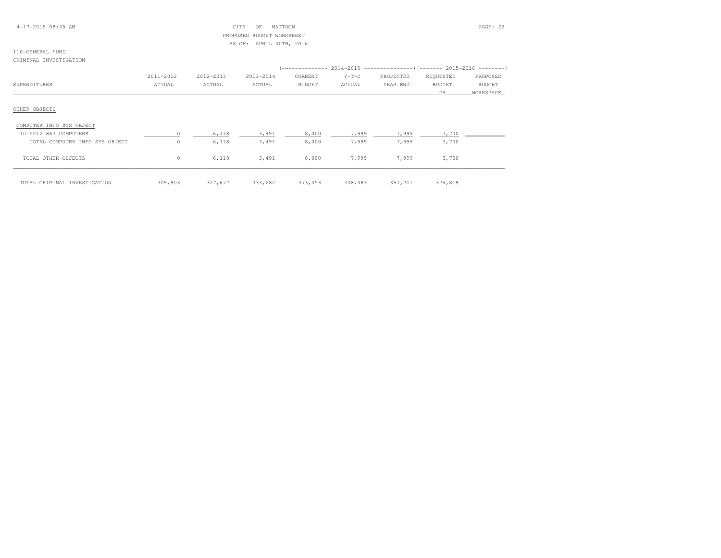## 4-17-2015 08:45 AM CITY OF MATTOON PAGE: 22 PROPOSED BUDGET WORKSHEETAS OF: APRIL 30TH, 2016

#### 110-GENERAL FUNDCRIMINAL INVESTIGATION

|                                |           |           |           |               |         | '-------------        2014-2015 ---------------------        2015-2016 ---------- |               |               |
|--------------------------------|-----------|-----------|-----------|---------------|---------|-----------------------------------------------------------------------------------|---------------|---------------|
|                                | 2011-2012 | 2012-2013 | 2013-2014 | CURRENT       | $Y-T-D$ | PROJECTED                                                                         | REQUESTED     | PROPOSED      |
| EXPENDITURES                   | ACTUAL    | ACTUAL    | ACTUAL    | <b>BUDGET</b> | ACTUAL  | YEAR END                                                                          | <b>BUDGET</b> | <b>BUDGET</b> |
|                                |           |           |           |               |         |                                                                                   | DR            | WORKSPACE     |
| OTHER OBJECTS                  |           |           |           |               |         |                                                                                   |               |               |
| COMPUTER INFO SYS OBJECT       |           |           |           |               |         |                                                                                   |               |               |
| 110-5212-863 COMPUTERS         |           | 6,118     | 3,491     | 8,000         | 7,999   | 7,999                                                                             | 3,700         |               |
| TOTAL COMPUTER INFO SYS OBJECT | $\Omega$  | 6,118     | 3,491     | 8,000         | 7,999   | 7,999                                                                             | 3,700         |               |
| TOTAL OTHER OBJECTS            | $\circ$   | 6,118     | 3,491     | 8,000         | 7,999   | 7,999                                                                             | 3,700         |               |
| TOTAL CRIMINAL INVESTIGATION   | 309,903   | 327,677   | 333,282   | 373,453       | 338,483 | 367,701                                                                           | 374,819       |               |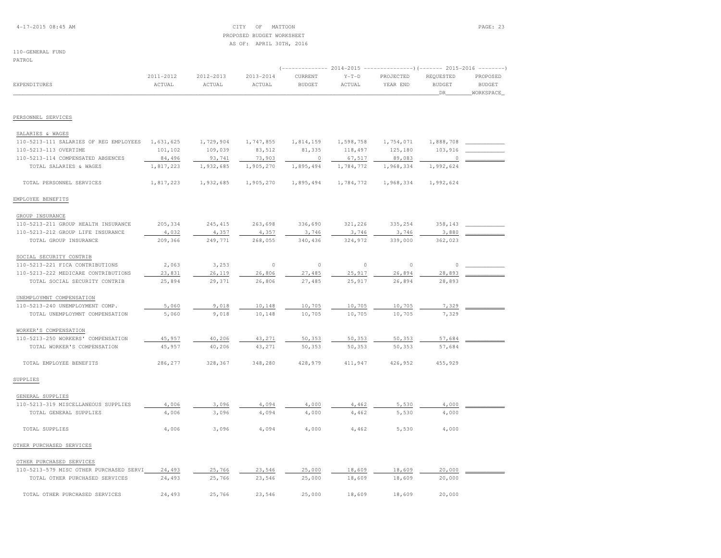## 4-17-2015 08:45 AM CITY OF MATTOON PAGE: 23 PROPOSED BUDGET WORKSHEETAS OF: APRIL 30TH, 2016

## 110-GENERAL FUND

PATROL

| <b>EXPENDITURES</b>                     | 2011-2012<br>ACTUAL | 2012-2013<br>$\verb ACTUAL $ | 2013-2014<br>ACTUAL | CURRENT<br><b>BUDGET</b> | $Y-T-D$<br>ACTUAL | PROJECTED<br>YEAR END | REQUESTED<br><b>BUDGET</b><br>DR | PROPOSED<br><b>BUDGET</b><br>WORKSPACE |
|-----------------------------------------|---------------------|------------------------------|---------------------|--------------------------|-------------------|-----------------------|----------------------------------|----------------------------------------|
|                                         |                     |                              |                     |                          |                   |                       |                                  |                                        |
| PERSONNEL SERVICES                      |                     |                              |                     |                          |                   |                       |                                  |                                        |
| SALARIES & WAGES                        |                     |                              |                     |                          |                   |                       |                                  |                                        |
| 110-5213-111 SALARIES OF REG EMPLOYEES  | 1,631,625           | 1,729,904                    | 1,747,855           | 1,814,159                | 1,598,758         | 1,754,071             | 1,888,708                        |                                        |
| 110-5213-113 OVERTIME                   | 101,102             | 109,039                      | 83,512              | 81,335                   | 118,497           | 125,180               | 103,916                          |                                        |
| 110-5213-114 COMPENSATED ABSENCES       | 84,496              | 93,741                       | 73,903              | $\circ$                  | 67,517            | 89,083                |                                  |                                        |
| TOTAL SALARIES & WAGES                  | 1,817,223           | 1,932,685                    | 1,905,270           | 1,895,494                | 1,784,772         | 1,968,334             | 1,992,624                        |                                        |
| TOTAL PERSONNEL SERVICES                | 1,817,223           | 1,932,685                    | 1,905,270           | 1,895,494                | 1,784,772         | 1,968,334             | 1,992,624                        |                                        |
| EMPLOYEE BENEFITS                       |                     |                              |                     |                          |                   |                       |                                  |                                        |
| GROUP INSURANCE                         |                     |                              |                     |                          |                   |                       |                                  |                                        |
| 110-5213-211 GROUP HEALTH INSURANCE     | 205,334             | 245, 415                     | 263,698             | 336,690                  | 321,226           | 335,254               | 358,143                          |                                        |
| 110-5213-212 GROUP LIFE INSURANCE       | 4,032               | 4,357                        | 4,357               | 3,746                    | 3,746             | 3,746                 | 3,880                            |                                        |
| TOTAL GROUP INSURANCE                   | 209,366             | 249,771                      | 268,055             | 340,436                  | 324,972           | 339,000               | 362,023                          |                                        |
| SOCIAL SECURITY CONTRIB                 |                     |                              |                     |                          |                   |                       |                                  |                                        |
| 110-5213-221 FICA CONTRIBUTIONS         | 2,063               | 3,253                        | $\circ$             | $\circ$                  | $\circ$           | $\circ$               | $\circ$                          |                                        |
| 110-5213-222 MEDICARE CONTRIBUTIONS     | 23,831              | 26,119                       | 26,806              | 27,485                   | 25,917            | 26,894                | 28,893                           |                                        |
| TOTAL SOCIAL SECURITY CONTRIB           | 25,894              | 29,371                       | 26,806              | 27,485                   | 25,917            | 26,894                | 28,893                           |                                        |
| UNEMPLOYMNT COMPENSATION                |                     |                              |                     |                          |                   |                       |                                  |                                        |
| 110-5213-240 UNEMPLOYMENT COMP.         | 5,060               | 9,018                        | 10,148              | 10,705                   | 10,705            | 10,705                | 7,329                            |                                        |
| TOTAL UNEMPLOYMNT COMPENSATION          | 5,060               | 9,018                        | 10,148              | 10,705                   | 10,705            | 10,705                | 7,329                            |                                        |
| WORKER'S COMPENSATION                   |                     |                              |                     |                          |                   |                       |                                  |                                        |
| 110-5213-250 WORKERS' COMPENSATION      | 45,957              | 40,206                       | 43,271              | 50,353                   | 50,353            | 50,353                | 57,684                           |                                        |
| TOTAL WORKER'S COMPENSATION             | 45,957              | 40,206                       | 43,271              | 50,353                   | 50,353            | 50,353                | 57,684                           |                                        |
| TOTAL EMPLOYEE BENEFITS                 | 286,277             | 328,367                      | 348,280             | 428,979                  | 411,947           | 426,952               | 455,929                          |                                        |
| SUPPLIES                                |                     |                              |                     |                          |                   |                       |                                  |                                        |
| GENERAL SUPPLIES                        |                     |                              |                     |                          |                   |                       |                                  |                                        |
| 110-5213-319 MISCELLANEOUS SUPPLIES     | 4,006               | 3,096                        | 4,094               | 4,000                    | 4,462             | 5,530                 | 4,000                            |                                        |
| TOTAL GENERAL SUPPLIES                  | 4,006               | 3,096                        | 4,094               | 4,000                    | 4,462             | 5,530                 | 4,000                            |                                        |
| TOTAL SUPPLIES                          | 4,006               | 3,096                        | 4,094               | 4,000                    | 4,462             | 5,530                 | 4,000                            |                                        |
| OTHER PURCHASED SERVICES                |                     |                              |                     |                          |                   |                       |                                  |                                        |
| OTHER PURCHASED SERVICES                |                     |                              |                     |                          |                   |                       |                                  |                                        |
| 110-5213-579 MISC OTHER PURCHASED SERVI | 24,493              | 25,766                       | 23,546              | 25,000                   | 18,609            | 18,609                | 20,000                           |                                        |
| TOTAL OTHER PURCHASED SERVICES          | 24,493              | 25,766                       | 23,546              | 25,000                   | 18,609            | 18,609                | 20,000                           |                                        |
| TOTAL OTHER PURCHASED SERVICES          | 24,493              | 25,766                       | 23,546              | 25,000                   | 18,609            | 18,609                | 20,000                           |                                        |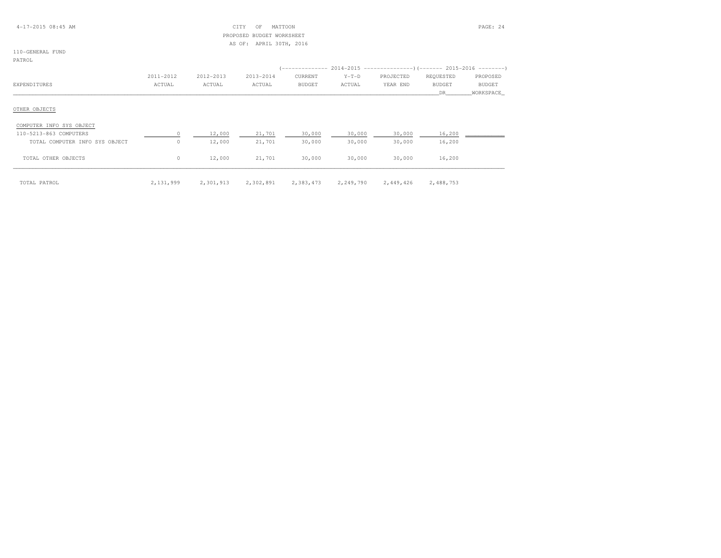| $4 - 17 - 201508:45AM$ |  |  |
|------------------------|--|--|
|------------------------|--|--|

## $CITY$  OF MATTOON PAGE: 24 PROPOSED BUDGET WORKSHEETAS OF: APRIL 30TH, 2016

## 110-GENERAL FUND

PATROL

|                                | 2011-2012 | 2012-2013 | 2013-2014 | CURRENT       | $Y-T-D$   | PROJECTED | REQUESTED     | PROPOSED      |
|--------------------------------|-----------|-----------|-----------|---------------|-----------|-----------|---------------|---------------|
| EXPENDITURES                   | ACTUAL    | ACTUAL    | ACTUAL    | <b>BUDGET</b> | ACTUAL    | YEAR END  | <b>BUDGET</b> | <b>BUDGET</b> |
|                                |           |           |           |               |           |           | DR            | WORKSPACE     |
| OTHER OBJECTS                  |           |           |           |               |           |           |               |               |
| COMPUTER INFO SYS OBJECT       |           |           |           |               |           |           |               |               |
| 110-5213-863 COMPUTERS         | $\circ$   | 12,000    | 21,701    | 30,000        | 30,000    | 30,000    | 16,200        |               |
| TOTAL COMPUTER INFO SYS OBJECT | 0         | 12,000    | 21,701    | 30,000        | 30,000    | 30,000    | 16,200        |               |
| TOTAL OTHER OBJECTS            | 0         | 12,000    | 21,701    | 30,000        | 30,000    | 30,000    | 16,200        |               |
| TOTAL PATROL                   | 2,131,999 | 2,301,913 | 2,302,891 | 2,383,473     | 2,249,790 | 2,449,426 | 2,488,753     |               |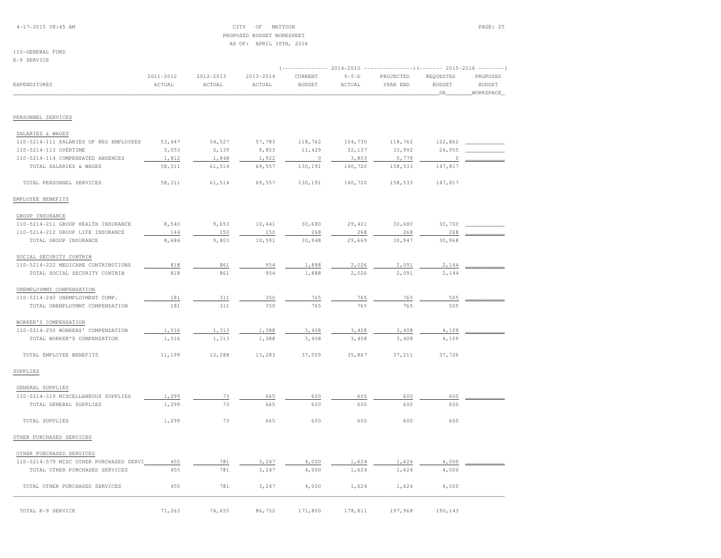## 4-17-2015 08:45 AM CITY OF MATTOON PAGE: 25 PROPOSED BUDGET WORKSHEETAS OF: APRIL 30TH, 2016

# 110-GENERAL FUND

K-9 SERVICE

| EXPENDITURES                            | 2011-2012<br>ACTUAL | 2012-2013<br>ACTUAL | 2013-2014<br>ACTUAL | CURRENT<br><b>BUDGET</b> | $Y-T-D$<br>ACTUAL | PROJECTED<br>YEAR END | REQUESTED<br><b>BUDGET</b> | PROPOSED<br><b>BUDGET</b> |
|-----------------------------------------|---------------------|---------------------|---------------------|--------------------------|-------------------|-----------------------|----------------------------|---------------------------|
|                                         |                     |                     |                     |                          |                   |                       | DR                         | WORKSPACE                 |
| PERSONNEL SERVICES                      |                     |                     |                     |                          |                   |                       |                            |                           |
| SALARIES & WAGES                        |                     |                     |                     |                          |                   |                       |                            |                           |
| 110-5214-111 SALARIES OF REG EMPLOYEES  | 53,447              | 54,527              | 57,783              | 118,762                  | 104,730           | 118,762               | 122,862                    |                           |
| 110-5214-113 OVERTIME                   | 3,053               | 5,139               | 9,853               | 11,429                   | 32,137            | 33,992                | 24,955                     |                           |
| 110-5214-114 COMPENSATED ABSENCES       | 1,812               | 1,848               | 1,922               | $\circ$                  | 3,853             | 5,779                 | 0                          |                           |
| TOTAL SALARIES & WAGES                  | 58,311              | 61,514              | 69,557              | 130,191                  | 140,720           | 158,533               | 147,817                    |                           |
| TOTAL PERSONNEL SERVICES                | 58,311              | 61,514              | 69,557              | 130,191                  | 140,720           | 158,533               | 147,817                    |                           |
| EMPLOYEE BENEFITS                       |                     |                     |                     |                          |                   |                       |                            |                           |
| GROUP INSURANCE                         |                     |                     |                     |                          |                   |                       |                            |                           |
| 110-5214-211 GROUP HEALTH INSURANCE     | 8,540               | 9,653               | 10,441              | 30,680                   | 29,401            | 30,680                | 30,700                     |                           |
| 110-5214-212 GROUP LIFE INSURANCE       | 144                 | 150                 | 150                 | 268                      | 268               | 268                   | 268                        |                           |
| TOTAL GROUP INSURANCE                   | 8,684               | 9,803               | 10,591              | 30,948                   | 29,669            | 30,947                | 30,968                     |                           |
| SOCIAL SECURITY CONTRIB                 |                     |                     |                     |                          |                   |                       |                            |                           |
| 110-5214-222 MEDICARE CONTRIBUTIONS     | 818                 | 861                 | 954                 | 1,888                    | 2,026             | 2,091                 | 2,144                      |                           |
| TOTAL SOCIAL SECURITY CONTRIB           | 818                 | 861                 | 954                 | 1,888                    | 2,026             | 2,091                 | 2,144                      |                           |
| UNEMPLOYMNT COMPENSATION                |                     |                     |                     |                          |                   |                       |                            |                           |
| 110-5214-240 UNEMPLOYMENT COMP.         | 181                 | 311                 | 350                 | 765                      | 765               | 765                   | 505                        |                           |
| TOTAL UNEMPLOYMNT COMPENSATION          | 181                 | 311                 | 350                 | 765                      | 765               | 765                   | 505                        |                           |
| WORKER'S COMPENSATION                   |                     |                     |                     |                          |                   |                       |                            |                           |
| 110-5214-250 WORKERS' COMPENSATION      | 1,516               | 1,313               | 1,388               | 3,408                    | 3,408             | 3,408                 | 4,109                      |                           |
| TOTAL WORKER'S COMPENSATION             | 1,516               | 1,313               | 1,388               | 3,408                    | 3,408             | 3,408                 | 4,109                      |                           |
| TOTAL EMPLOYEE BENEFITS                 | 11,199              | 12,288              | 13,283              | 37,009                   | 35,867            | 37,211                | 37,726                     |                           |
| SUPPLIES                                |                     |                     |                     |                          |                   |                       |                            |                           |
| GENERAL SUPPLIES                        |                     |                     |                     |                          |                   |                       |                            |                           |
| 110-5214-319 MISCELLANEOUS SUPPLIES     | 1,299               | 73                  | 665                 | 600                      | 600               | 600                   | 600                        |                           |
| TOTAL GENERAL SUPPLIES                  | 1,299               | 73                  | 665                 | 600                      | 600               | 600                   | 600                        |                           |
| TOTAL SUPPLIES                          | 1,299               | 73                  | 665                 | 600                      | 600               | 600                   | 600                        |                           |
| OTHER PURCHASED SERVICES                |                     |                     |                     |                          |                   |                       |                            |                           |
| OTHER PURCHASED SERVICES                |                     |                     |                     |                          |                   |                       |                            |                           |
| 110-5214-579 MISC OTHER PURCHASED SERVI | 455                 | 781                 | 3,247               | 4,000                    | 1,624             | 1,624                 | 4,000                      |                           |
| TOTAL OTHER PURCHASED SERVICES          | 455                 | 781                 | 3,247               | 4,000                    | 1,624             | 1,624                 | 4,000                      |                           |
| TOTAL OTHER PURCHASED SERVICES          | 455                 | 781                 | 3,247               | 4,000                    | 1,624             | 1,624                 | 4,000                      |                           |
| TOTAL K-9 SERVICE                       | 71,263              | 74,655              | 86,752              | 171,800                  | 178,811           | 197,968               | 190,143                    |                           |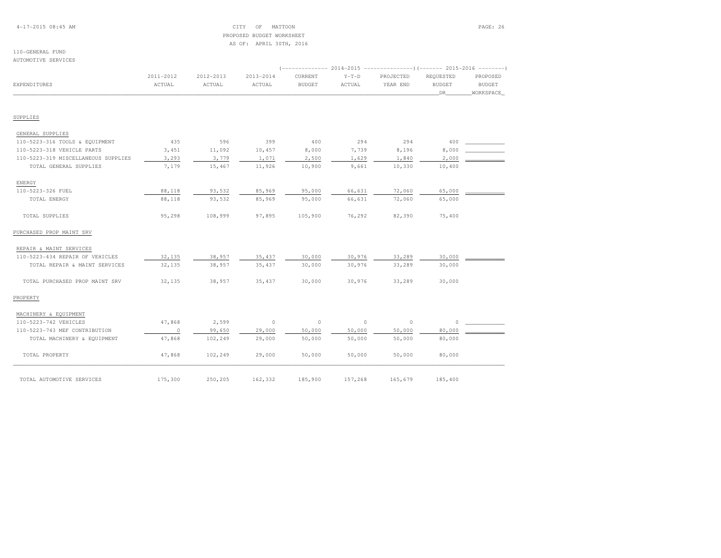## 4-17-2015 08:45 AM CITY OF MATTOON PAGE: 26 PROPOSED BUDGET WORKSHEETAS OF: APRIL 30TH, 2016

#### 110-GENERAL FUNDAUTOMOTIVE SERVICES

|                                     |                     |                     |                         | ------------             | 2014-2015         |                       |                                  |                                        |
|-------------------------------------|---------------------|---------------------|-------------------------|--------------------------|-------------------|-----------------------|----------------------------------|----------------------------------------|
| EXPENDITURES                        | 2011-2012<br>ACTUAL | 2012-2013<br>ACTUAL | $2013 - 2014$<br>ACTUAL | CURRENT<br><b>BUDGET</b> | $Y-T-D$<br>ACTUAL | PROJECTED<br>YEAR END | REQUESTED<br><b>BUDGET</b><br>DR | PROPOSED<br><b>BUDGET</b><br>WORKSPACE |
|                                     |                     |                     |                         |                          |                   |                       |                                  |                                        |
| SUPPLIES                            |                     |                     |                         |                          |                   |                       |                                  |                                        |
| GENERAL SUPPLIES                    |                     |                     |                         |                          |                   |                       |                                  |                                        |
| 110-5223-316 TOOLS & EQUIPMENT      | 435                 | 596                 | 399                     | 400                      | 294               | 294                   | 400                              |                                        |
| 110-5223-318 VEHICLE PARTS          | 3,451               | 11,092              | 10,457                  | 8,000                    | 7,739             | 8,196                 | 8,000                            |                                        |
| 110-5223-319 MISCELLANEOUS SUPPLIES | 3,293               | 3,779               | 1,071                   | 2,500                    | 1,629             | 1,840                 | 2,000                            |                                        |
| TOTAL GENERAL SUPPLIES              | 7,179               | 15,467              | 11,926                  | 10,900                   | 9,661             | 10,330                | 10,400                           |                                        |
| ENERGY                              |                     |                     |                         |                          |                   |                       |                                  |                                        |
| 110-5223-326 FUEL                   | 88,118              | 93,532              | 85,969                  | 95,000                   | 66,631            | 72,060                | 65,000                           |                                        |
| TOTAL ENERGY                        | 88,118              | 93,532              | 85,969                  | 95,000                   | 66,631            | 72,060                | 65,000                           |                                        |
| TOTAL SUPPLIES                      | 95,298              | 108,999             | 97,895                  | 105,900                  | 76,292            | 82,390                | 75,400                           |                                        |
| PURCHASED PROP MAINT SRV            |                     |                     |                         |                          |                   |                       |                                  |                                        |
| REPAIR & MAINT SERVICES             |                     |                     |                         |                          |                   |                       |                                  |                                        |
| 110-5223-434 REPAIR OF VEHICLES     | 32,135              | 38,957              | 35, 437                 | 30,000                   | 30,976            | 33,289                | 30,000                           |                                        |
| TOTAL REPAIR & MAINT SERVICES       | 32,135              | 38,957              | 35,437                  | 30,000                   | 30,976            | 33,289                | 30,000                           |                                        |
| TOTAL PURCHASED PROP MAINT SRV      | 32,135              | 38,957              | 35,437                  | 30,000                   | 30,976            | 33,289                | 30,000                           |                                        |
| PROPERTY                            |                     |                     |                         |                          |                   |                       |                                  |                                        |
| MACHINERY & EQUIPMENT               |                     |                     |                         |                          |                   |                       |                                  |                                        |
| 110-5223-742 VEHICLES               | 47,868              | 2,599               | $\circ$                 | $\mathbb O$              | $\circ$           | $\circ$               | $\Omega$                         |                                        |
| 110-5223-743 MEF CONTRIBUTION       | $\mathbb O$         | 99,650              | 29,000                  | 50,000                   | 50,000            | 50,000                | 80,000                           |                                        |
| TOTAL MACHINERY & EQUIPMENT         | 47,868              | 102,249             | 29,000                  | 50,000                   | 50,000            | 50,000                | 80,000                           |                                        |
| TOTAL PROPERTY                      | 47,868              | 102,249             | 29,000                  | 50,000                   | 50,000            | 50,000                | 80,000                           |                                        |
| TOTAL AUTOMOTIVE SERVICES           | 175,300             | 250,205             | 162,332                 | 185,900                  | 157,268           | 165,679               | 185,400                          |                                        |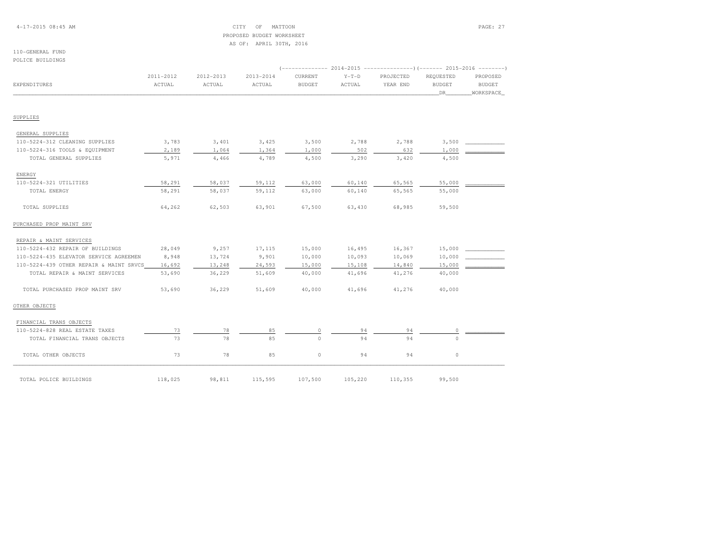## 4-17-2015 08:45 AM CITY OF MATTOON PAGE: 27 PROPOSED BUDGET WORKSHEETAS OF: APRIL 30TH, 2016

#### 110-GENERAL FUNDPOLICE BUILDINGS

|                                         | 2011-2012 | 2012-2013 | 2013-2014 | CURRENT       | $Y-T-D$ | PROJECTED | REOUESTED     | PROPOSED      |
|-----------------------------------------|-----------|-----------|-----------|---------------|---------|-----------|---------------|---------------|
| EXPENDITURES                            | ACTUAL    | ACTUAL    | ACTUAL    | <b>BUDGET</b> | ACTUAL  | YEAR END  | <b>BUDGET</b> | <b>BUDGET</b> |
|                                         |           |           |           |               |         |           | DR            | WORKSPACE     |
|                                         |           |           |           |               |         |           |               |               |
| SUPPLIES                                |           |           |           |               |         |           |               |               |
| GENERAL SUPPLIES                        |           |           |           |               |         |           |               |               |
| 110-5224-312 CLEANING SUPPLIES          | 3,783     | 3,401     | 3,425     | 3,500         | 2,788   | 2,788     | 3,500         |               |
| 110-5224-316 TOOLS & EQUIPMENT          | 2,189     | 1,064     | 1,364     | 1,000         | 502     | 632       | 1,000         |               |
| TOTAL GENERAL SUPPLIES                  | 5,971     | 4,466     | 4,789     | 4,500         | 3,290   | 3,420     | 4,500         |               |
| ENERGY                                  |           |           |           |               |         |           |               |               |
| 110-5224-321 UTILITIES                  | 58,291    | 58,037    | 59,112    | 63,000        | 60,140  | 65,565    | 55,000        |               |
| TOTAL ENERGY                            | 58,291    | 58,037    | 59,112    | 63,000        | 60,140  | 65,565    | 55,000        |               |
| TOTAL SUPPLIES                          | 64,262    | 62,503    | 63,901    | 67,500        | 63,430  | 68,985    | 59,500        |               |
| PURCHASED PROP MAINT SRV                |           |           |           |               |         |           |               |               |
| REPAIR & MAINT SERVICES                 |           |           |           |               |         |           |               |               |
| 110-5224-432 REPAIR OF BUILDINGS        | 28,049    | 9,257     | 17,115    | 15,000        | 16,495  | 16,367    | 15,000        |               |
| 110-5224-435 ELEVATOR SERVICE AGREEMEN  | 8,948     | 13,724    | 9,901     | 10,000        | 10,093  | 10,069    | 10,000        |               |
| 110-5224-439 OTHER REPAIR & MAINT SRVCS | 16,692    | 13,248    | 24,593    | 15,000        | 15,108  | 14,840    | 15,000        |               |
| TOTAL REPAIR & MAINT SERVICES           | 53,690    | 36,229    | 51,609    | 40,000        | 41,696  | 41,276    | 40,000        |               |
| TOTAL PURCHASED PROP MAINT SRV          | 53,690    | 36,229    | 51,609    | 40,000        | 41,696  | 41,276    | 40,000        |               |
| OTHER OBJECTS                           |           |           |           |               |         |           |               |               |
| FINANCIAL TRANS OBJECTS                 |           |           |           |               |         |           |               |               |
| 110-5224-828 REAL ESTATE TAXES          | 73        | 78        | 85        | $\circ$       | 94      | 94        | 0             |               |
| TOTAL FINANCIAL TRANS OBJECTS           | 73        | 78        | 85        | $\Omega$      | 94      | 94        | $\cap$        |               |
| TOTAL OTHER OBJECTS                     | 73        | 78        | 85        | $\circ$       | 94      | 94        | $\mathbb O$   |               |
| TOTAL POLICE BUILDINGS                  | 118,025   | 98,811    | 115,595   | 107,500       | 105,220 | 110,355   | 99,500        |               |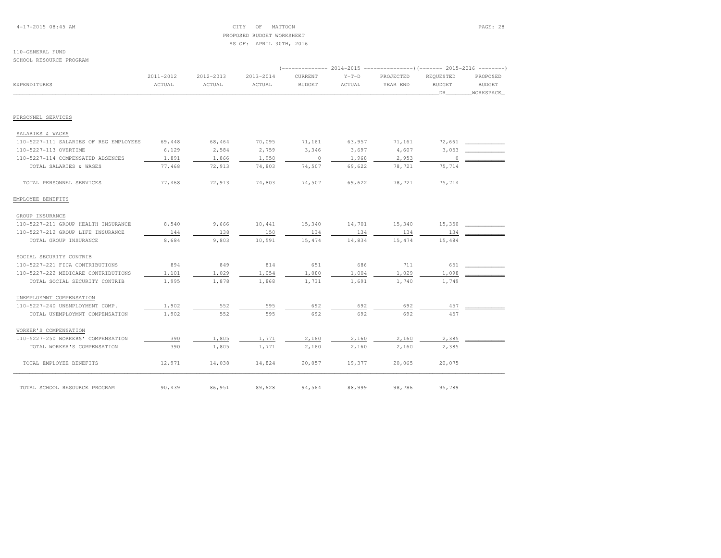## 4-17-2015 08:45 AM CITY OF MATTOON PAGE: 28 PROPOSED BUDGET WORKSHEETAS OF: APRIL 30TH, 2016

#### 110-GENERAL FUNDSCHOOL RESOURCE PROGRAM

|                                        |                     |                     |                     |                          |                   |                       | $2014-2015$ ---------------)(------- 2015-2016 --------) |                           |  |  |  |  |
|----------------------------------------|---------------------|---------------------|---------------------|--------------------------|-------------------|-----------------------|----------------------------------------------------------|---------------------------|--|--|--|--|
| EXPENDITURES                           | 2011-2012<br>ACTUAL | 2012-2013<br>ACTUAL | 2013-2014<br>ACTUAL | CURRENT<br><b>BUDGET</b> | $Y-T-D$<br>ACTUAL | PROJECTED<br>YEAR END | REQUESTED<br><b>BUDGET</b>                               | PROPOSED<br><b>BUDGET</b> |  |  |  |  |
|                                        |                     |                     |                     |                          |                   |                       | DR                                                       | WORKSPACE                 |  |  |  |  |
| PERSONNEL SERVICES                     |                     |                     |                     |                          |                   |                       |                                                          |                           |  |  |  |  |
| SALARIES & WAGES                       |                     |                     |                     |                          |                   |                       |                                                          |                           |  |  |  |  |
| 110-5227-111 SALARIES OF REG EMPLOYEES | 69,448              | 68,464              | 70,095              | 71,161                   | 63,957            | 71,161                |                                                          | 72,661                    |  |  |  |  |
| 110-5227-113 OVERTIME                  | 6,129               | 2,584               | 2,759               | 3,346                    | 3,697             | 4,607                 | 3,053                                                    |                           |  |  |  |  |
| 110-5227-114 COMPENSATED ABSENCES      | 1,891               | 1,866               | 1,950               | $\sim$ 0                 | 1,968             | 2,953                 | $\overline{0}$                                           |                           |  |  |  |  |
| TOTAL SALARIES & WAGES                 | 77,468              | 72,913              | 74,803              | 74,507                   | 69,622            | 78,721                | 75,714                                                   |                           |  |  |  |  |
| TOTAL PERSONNEL SERVICES               | 77,468              | 72,913              | 74,803              | 74,507                   | 69,622            | 78,721                | 75,714                                                   |                           |  |  |  |  |
| EMPLOYEE BENEFITS                      |                     |                     |                     |                          |                   |                       |                                                          |                           |  |  |  |  |
| GROUP INSURANCE                        |                     |                     |                     |                          |                   |                       |                                                          |                           |  |  |  |  |
| 110-5227-211 GROUP HEALTH INSURANCE    | 8,540               | 9,666               | 10,441              | 15,340                   | 14,701            | 15,340                | 15,350                                                   |                           |  |  |  |  |
| 110-5227-212 GROUP LIFE INSURANCE      | 144                 | 138                 | 150                 | 134                      | 134               | 134                   | 134                                                      |                           |  |  |  |  |
| TOTAL GROUP INSURANCE                  | 8,684               | 9,803               | 10,591              | 15,474                   | 14,834            | 15,474                | 15,484                                                   |                           |  |  |  |  |
| SOCIAL SECURITY CONTRIB                |                     |                     |                     |                          |                   |                       |                                                          |                           |  |  |  |  |
| 110-5227-221 FICA CONTRIBUTIONS        | 894                 | 849                 | 814                 | 651                      | 686               | 711                   | 651                                                      |                           |  |  |  |  |
| 110-5227-222 MEDICARE CONTRIBUTIONS    | 1,101               | 1,029               | 1,054               | 1,080                    | 1,004             | 1,029                 | 1,098                                                    |                           |  |  |  |  |
| TOTAL SOCIAL SECURITY CONTRIB          | 1,995               | 1,878               | 1,868               | 1,731                    | 1,691             | 1,740                 | 1,749                                                    |                           |  |  |  |  |
| UNEMPLOYMNT COMPENSATION               |                     |                     |                     |                          |                   |                       |                                                          |                           |  |  |  |  |
| 110-5227-240 UNEMPLOYMENT COMP.        | 1,902               | 552                 | 595                 | 692                      | 692               | 692                   | 457                                                      |                           |  |  |  |  |
| TOTAL UNEMPLOYMNT COMPENSATION         | 1,902               | 552                 | 595                 | 692                      | 692               | 692                   | 457                                                      |                           |  |  |  |  |
| WORKER'S COMPENSATION                  |                     |                     |                     |                          |                   |                       |                                                          |                           |  |  |  |  |
| 110-5227-250 WORKERS' COMPENSATION     | 390                 | 1,805               | 1,771               | 2,160                    | 2,160             | 2,160                 | 2,385                                                    |                           |  |  |  |  |
| TOTAL WORKER'S COMPENSATION            | 390                 | 1,805               | 1,771               | 2,160                    | 2,160             | 2,160                 | 2,385                                                    |                           |  |  |  |  |
| TOTAL EMPLOYEE BENEFITS                | 12,971              | 14,038              | 14,824              | 20,057                   | 19,377            | 20,065                | 20,075                                                   |                           |  |  |  |  |
| TOTAL SCHOOL RESOURCE PROGRAM          | 90,439              | 86,951              | 89,628              | 94,564                   | 88,999            | 98,786                | 95,789                                                   |                           |  |  |  |  |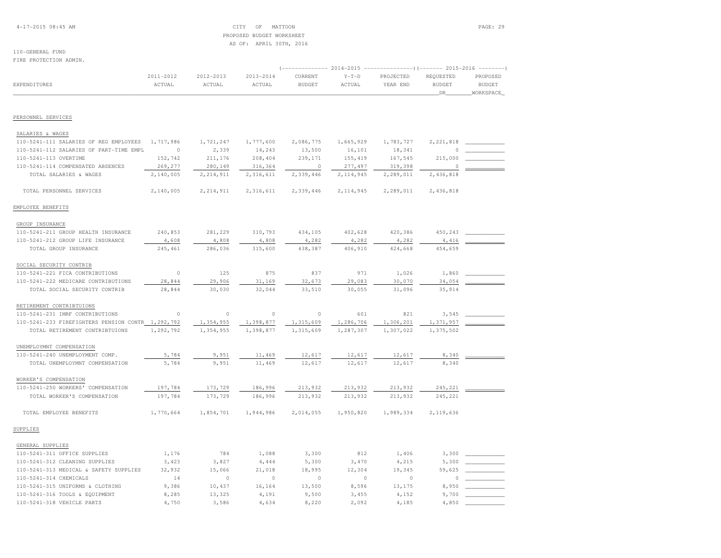## 4-17-2015 08:45 AM CITY OF MATTOON PAGE: 29 PROPOSED BUDGET WORKSHEETAS OF: APRIL 30TH, 2016

 $4,850$ 

#### 110-GENERAL FUNDFIRE PROTECTION ADMIN.

|                                                   | 2011-2012 | 2012-2013   | 2013-2014 | CURRENT       | 2014-2015<br>$Y-T-D$ | PROJECTED | 2015-2016<br>REQUESTED | PROPOSED      |
|---------------------------------------------------|-----------|-------------|-----------|---------------|----------------------|-----------|------------------------|---------------|
| EXPENDITURES                                      | ACTUAL    | ACTUAL      | ACTUAL    | <b>BUDGET</b> | ACTUAL               | YEAR END  | <b>BUDGET</b>          | <b>BUDGET</b> |
|                                                   |           |             |           |               |                      |           | DR                     | WORKSPACE     |
| PERSONNEL SERVICES                                |           |             |           |               |                      |           |                        |               |
| SALARIES & WAGES                                  |           |             |           |               |                      |           |                        |               |
| 110-5241-111 SALARIES OF REG EMPLOYEES            | 1,717,986 | 1,721,247   | 1,777,600 | 2,086,775     | 1,665,929            | 1,783,727 | 2, 221, 818            |               |
| 110-5241-112 SALARIES OF PART-TIME EMPL           | $\circ$   | 2,339       | 14,243    | 13,500        | 16,101               | 18,341    | $\Omega$               |               |
| 110-5241-113 OVERTIME                             | 152,742   | 211,176     | 208,404   | 239,171       | 155, 419             | 167,545   | 215,000                |               |
| 110-5241-114 COMPENSATED ABSENCES                 | 269,277   | 280,149     | 316,364   | $\Omega$      | 277,497              | 319,398   | $\Omega$               |               |
| TOTAL SALARIES & WAGES                            | 2,140,005 | 2, 214, 911 | 2,316,611 | 2,339,446     | 2,114,945            | 2,289,011 | 2,436,818              |               |
| TOTAL PERSONNEL SERVICES                          | 2,140,005 | 2, 214, 911 | 2,316,611 | 2,339,446     | 2, 114, 945          | 2,289,011 | 2,436,818              |               |
| EMPLOYEE BENEFITS                                 |           |             |           |               |                      |           |                        |               |
| GROUP INSURANCE                                   |           |             |           |               |                      |           |                        |               |
| 110-5241-211 GROUP HEALTH INSURANCE               | 240,853   | 281,229     | 310,793   | 434,105       | 402,628              | 420,386   | 450,243                |               |
| 110-5241-212 GROUP LIFE INSURANCE                 | 4,608     | 4,808       | 4,808     | 4,282         | 4,282                | 4,282     | 4,416                  |               |
| TOTAL GROUP INSURANCE                             | 245,461   | 286,036     | 315,600   | 438,387       | 406,910              | 424,668   | 454,659                |               |
| SOCIAL SECURITY CONTRIB                           |           |             |           |               |                      |           |                        |               |
| 110-5241-221 FICA CONTRIBUTIONS                   | $\circ$   | 125         | 875       | 837           | 971                  | 1,026     | 1,860                  |               |
| 110-5241-222 MEDICARE CONTRIBUTIONS               | 28,844    | 29,906      | 31,169    | 32,673        | 29,083               | 30,070    | 34,054                 |               |
| TOTAL SOCIAL SECURITY CONTRIB                     | 28,844    | 30,030      | 32,044    | 33,510        | 30,055               | 31,096    | 35,914                 |               |
| RETIREMENT CONTRIBTUIONS                          |           |             |           |               |                      |           |                        |               |
| 110-5241-231 IMRF CONTRIBUTIONS                   | $\circ$   | $\circ$     | $\circ$   | $\circ$       | 601                  | 821       | 3,545                  |               |
| 110-5241-233 FIREFIGHTERS PENSION CONTR 1,292,792 |           | 1,354,955   | 1,398,877 | 1,315,609     | 1,286,706            | 1,306,201 | 1,371,957              |               |
| TOTAL RETIREMENT CONTRIBTUIONS                    | 1,292,792 | 1,354,955   | 1,398,877 | 1,315,609     | 1,287,307            | 1,307,022 | 1,375,502              |               |
| UNEMPLOYMNT COMPENSATION                          |           |             |           |               |                      |           |                        |               |
| 110-5241-240 UNEMPLOYMENT COMP.                   | 5,784     | 9,951       | 11,469    | 12,617        | 12,617               | 12,617    | 8,340                  |               |
| TOTAL UNEMPLOYMNT COMPENSATION                    | 5,784     | 9,951       | 11,469    | 12,617        | 12,617               | 12,617    | 8,340                  |               |
| WORKER'S COMPENSATION                             |           |             |           |               |                      |           |                        |               |
| 110-5241-250 WORKERS' COMPENSATION                | 197,784   | 173,729     | 186,996   | 213,932       | 213,932              | 213,932   | 245,221                |               |
| TOTAL WORKER'S COMPENSATION                       | 197,784   | 173,729     | 186,996   | 213,932       | 213,932              | 213,932   | 245,221                |               |
| TOTAL EMPLOYEE BENEFITS                           | 1,770,664 | 1,854,701   | 1,944,986 | 2,014,055     | 1,950,820            | 1,989,334 | 2,119,636              |               |
| SUPPLIES                                          |           |             |           |               |                      |           |                        |               |
| GENERAL SUPPLIES                                  |           |             |           |               |                      |           |                        |               |
| 110-5241-311 OFFICE SUPPLIES                      | 1,176     | 784         | 1,088     | 3,300         | 812                  | 1,406     | 3,300                  |               |
| 110-5241-312 CLEANING SUPPLIES                    | 3,423     | 3,827       | 4,444     | 5,300         | 3,470                | 4,215     | 5,300                  |               |
| 110-5241-313 MEDICAL & SAFETY SUPPLIES            | 32,932    | 15,066      | 21,018    | 18,995        | 12,304               | 19,345    | 59,625                 |               |
| 110-5241-314 CHEMICALS                            | 14        | $\Omega$    | $\Omega$  | $\Omega$      | $\Omega$             | $\circ$   | $\Omega$               |               |
| 110-5241-315 UNIFORMS & CLOTHING                  | 9,386     | 10,437      | 16,164    | 13,500        | 8,596                | 13,175    | 8,950                  |               |
| 110-5241-316 TOOLS & EQUIPMENT                    | 8,285     | 13,325      | 4,191     | 9,500         | 3,455                | 4,152     | 9,700                  |               |

110-5241-318 VEHICLE PARTS 4,750 3,586 4,634 8,220 2,092 4,185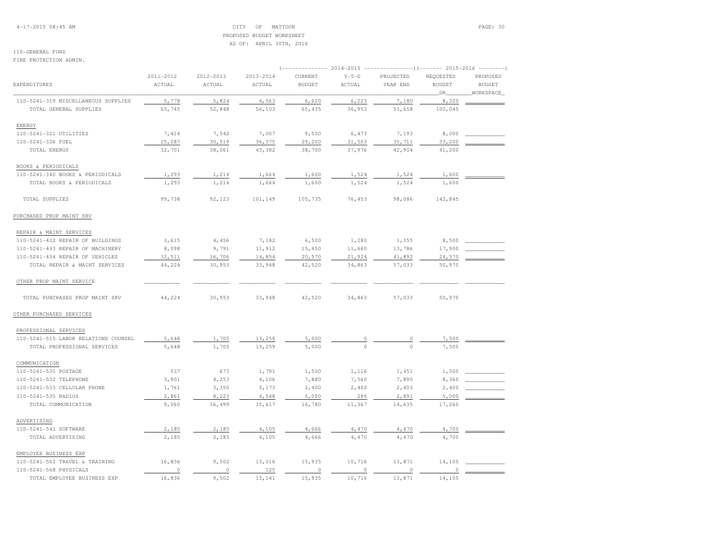4-17-2015 08:45 AM CITY OF MATTOON PAGE: 30 PROPOSED BUDGET WORKSHEETAS OF: APRIL 30TH, 2016

## 110-GENERAL FUND

#### FIRE PROTECTION ADMIN.

|                                      | 2011-2012 | 2012-2013 | $2013 - 2014$ | CURRENT       | $Y-T-D$  | PROJECTED | REQUESTED     | PROPOSED      |  |  |  |
|--------------------------------------|-----------|-----------|---------------|---------------|----------|-----------|---------------|---------------|--|--|--|
| EXPENDITURES                         | ACTUAL    | ACTUAL    | ACTUAL        | <b>BUDGET</b> | ACTUAL   | YEAR END  | <b>BUDGET</b> | <b>BUDGET</b> |  |  |  |
|                                      |           |           |               |               |          |           | DR            | WORKSPACE     |  |  |  |
| 110-5241-319 MISCELLANEOUS SUPPLIES  | 5,778     | 5,824     | 4,563         | 6,620         | 6,223    | 7,180     | 8,320         |               |  |  |  |
| TOTAL GENERAL SUPPLIES               | 65,745    | 52,848    | 56,103        | 65,435        | 36,953   | 53,658    | 100,045       |               |  |  |  |
| ENERGY                               |           |           |               |               |          |           |               |               |  |  |  |
| 110-5241-321 UTILITIES               | 7,414     | 7,542     | 7,007         | 9,500         | 6,473    | 7,193     | 8,000         |               |  |  |  |
| 110-5241-326 FUEL                    | 25,287    | 30,519    | 36,375        | 29,200        | 31,503   | 35,711    | 33,200        |               |  |  |  |
| TOTAL ENERGY                         | 32,701    | 38,061    | 43,382        | 38,700        | 37,976   | 42,904    | 41,200        |               |  |  |  |
| BOOKS & PERIODICALS                  |           |           |               |               |          |           |               |               |  |  |  |
| 110-5241-340 BOOKS & PERIODICALS     | 1,293     | 1,214     | 1,664         | 1,600         | 1,524    | 1,524     | 1,600         |               |  |  |  |
| TOTAL BOOKS & PERIODICALS            | 1,293     | 1,214     | 1,664         | 1,600         | 1,524    | 1,524     | 1,600         |               |  |  |  |
| TOTAL SUPPLIES                       | 99,738    | 92,123    | 101,149       | 105,735       | 76,453   | 98,086    | 142,845       |               |  |  |  |
| PURCHASED PROP MAINT SRV             |           |           |               |               |          |           |               |               |  |  |  |
| REPAIR & MAINT SERVICES              |           |           |               |               |          |           |               |               |  |  |  |
| 110-5241-432 REPAIR OF BUILDINGS     | 3,615     | 4,456     | 7,182         | 6,500         | 1,280    | 1,355     | 8,500         |               |  |  |  |
| 110-5241-433 REPAIR OF MACHINERY     | 8,098     | 9,791     | 11,912        | 15,450        | 11,660   | 13,786    | 17,900        |               |  |  |  |
| 110-5241-434 REPAIR OF VEHICLES      | 32,511    | 16,706    | 14,854        | 20,570        | 21,924   | 41,892    | 24,570        |               |  |  |  |
| TOTAL REPAIR & MAINT SERVICES        | 44,224    | 30,953    | 33,948        | 42,520        | 34,863   | 57,033    | 50,970        |               |  |  |  |
| OTHER PROP MAINT SERVICE             |           |           |               |               |          |           |               |               |  |  |  |
| TOTAL PURCHASED PROP MAINT SRV       | 44,224    | 30,953    | 33,948        | 42,520        | 34,863   | 57,033    | 50,970        |               |  |  |  |
| OTHER PURCHASED SERVICES             |           |           |               |               |          |           |               |               |  |  |  |
| PROFESSIONAL SERVICES                |           |           |               |               |          |           |               |               |  |  |  |
| 110-5241-515 LABOR RELATIONS COUNSEL | 5,648     | 1,705     | 13,259        | 5,000         | $\circ$  | 0         | 7,500         |               |  |  |  |
| TOTAL PROFESSIONAL SERVICES          | 5,648     | 1,705     | 13,259        | 5,000         | $\Omega$ | $\Omega$  | 7,500         |               |  |  |  |
| COMMUNICATION                        |           |           |               |               |          |           |               |               |  |  |  |
| 110-5241-531 POSTAGE                 | 537       | 673       | 1,791         | 1,500         | 1,116    | 1,451     | 1,500         |               |  |  |  |
| 110-5241-532 TELEPHONE               | 3,901     | 4,253     | 4,106         | 7,880         | 7,560    | 7,890     | 8,360         |               |  |  |  |
| 110-5241-533 CELLULAR PHONE          | 1,761     | 3,350     | 5,173         | 2,400         | 2,402    | 2,403     | 2,400         |               |  |  |  |
| 110-5241-535 RADIOS                  | 2,861     | 8,223     | 4,548         | 5,000         | 289      | 2,891     | 5,000         |               |  |  |  |
| TOTAL COMMUNICATION                  | 9,060     | 16,499    | 15,617        | 16,780        | 11,367   | 14,635    | 17,260        |               |  |  |  |
| ADVERTISING                          |           |           |               |               |          |           |               |               |  |  |  |
| 110-5241-541 SOFTWARE                | 2,185     | 2,185     | 4,105         | 4,666         | 4,470    | 4,470     | 4,700         |               |  |  |  |
| TOTAL ADVERTISING                    | 2,185     | 2,185     | 4,105         | 4,666         | 4,470    | 4,470     | 4,700         |               |  |  |  |
| EMPLOYEE BUSINESS EXP                |           |           |               |               |          |           |               |               |  |  |  |
| 110-5241-562 TRAVEL & TRAINING       | 16,836    | 9,502     | 13,016        | 15,935        | 10,716   | 13,871    | 14,105        |               |  |  |  |
| 110-5241-568 PHYSICALS               | $\circ$   | $\circ$   | 125           | $\circ$       | $\,$ 0   | $\circ$   | $\circ$       |               |  |  |  |
| TOTAL EMPLOYEE BUSINESS EXP          | 16,836    | 9,502     | 13,141        | 15,935        | 10,716   | 13,871    | 14,105        |               |  |  |  |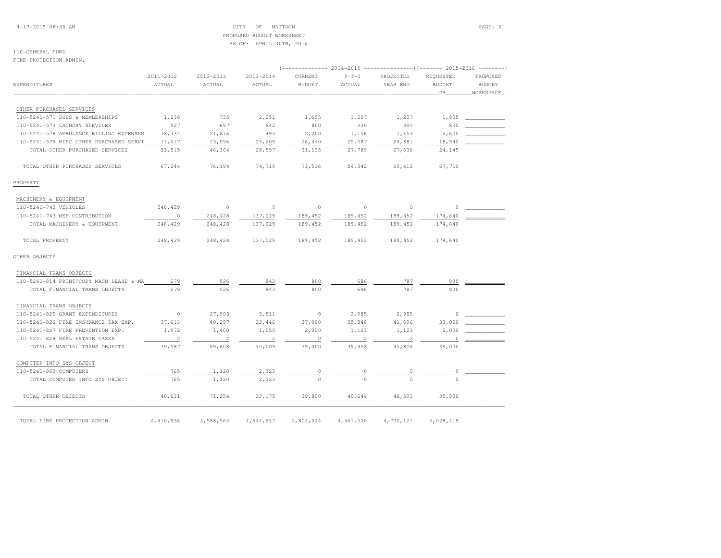4-17-2015 08:45 AM CITY OF MATTOON PAGE: 31 PROPOSED BUDGET WORKSHEETAS OF: APRIL 30TH, 2016

## 110-GENERAL FUND

FIRE PROTECTION ADMIN.

| <b>EXPENDITURES</b>                     | 2011-2012<br>ACTUAL | 2012-2013<br>ACTUAL | 2013-2014<br>ACTUAL | CURRENT<br><b>BUDGET</b> | $Y-T-D$<br>ACTUAL | PROJECTED<br>YEAR END | REQUESTED<br><b>BUDGET</b><br>DR | PROPOSED<br><b>BUDGET</b><br>WORKSPACE |
|-----------------------------------------|---------------------|---------------------|---------------------|--------------------------|-------------------|-----------------------|----------------------------------|----------------------------------------|
|                                         |                     |                     |                     |                          |                   |                       |                                  |                                        |
| OTHER PURCHASED SERVICES                |                     |                     |                     |                          |                   |                       |                                  |                                        |
| 110-5241-571 DUES & MEMBERSHIPS         | 1,238               | 735                 | 2,251               | 1,695                    | 1,207             | 1,207                 | 1,805                            |                                        |
| 110-5241-573 LAUNDRY SERVICES           | 527                 | 697                 | 642                 | 800                      | 330               | 395                   | 800                              |                                        |
| 110-5241-578 AMBULANCE BILLING EXPENSES | 18,334              | 21,816              | 494                 | 2,200                    | 1,156             | 1,153                 | 2,600                            |                                        |
| 110-5241-579 MISC OTHER PURCHASED SERVI | 13, 417             | 23,056              | 25,209              | 26,440                   | 25,097            | 24,881                | 18,940                           |                                        |
| TOTAL OTHER PURCHASED SERVICES          | 33,515              | 46,304              | 28,597              | 31,135                   | 27,789            | 27,636                | 24,145                           |                                        |
| TOTAL OTHER PURCHASED SERVICES          | 67,244              | 76,194              | 74,719              | 73,516                   | 54,342            | 60,612                | 67,710                           |                                        |
| PROPERTY                                |                     |                     |                     |                          |                   |                       |                                  |                                        |
| MACHINERY & EQUIPMENT                   |                     |                     |                     |                          |                   |                       |                                  |                                        |
| 110-5241-742 VEHICLES                   | 248,429             | $\circ$             | $\circ$             | $\circ$                  | $\circ$           | $\circ$               | 0                                |                                        |
| 110-5241-743 MEF CONTRIBUTION           | $\circ$             | 248,428             | 137,029             | 189,452                  | 189,452           | 189,452               | 174,640                          |                                        |
| TOTAL MACHINERY & EQUIPMENT             | 248,429             | 248,428             | 137,029             | 189,452                  | 189,452           | 189,452               | 174,640                          |                                        |
| TOTAL PROPERTY                          | 248,429             | 248,428             | 137,029             | 189,452                  | 189,452           | 189,452               | 174,640                          |                                        |
| OTHER OBJECTS                           |                     |                     |                     |                          |                   |                       |                                  |                                        |
| FINANCIAL TRANS OBJECTS                 |                     |                     |                     |                          |                   |                       |                                  |                                        |
| 110-5241-814 PRINT/COPY MACH LEASE & MA | 279                 | 526                 | 843                 | 800                      | 686               | 787                   | 800                              |                                        |
| TOTAL FINANCIAL TRANS OBJECTS           | 279                 | 526                 | 843                 | 800                      | 686               | 787                   | 800                              |                                        |
| FINANCIAL TRANS OBJECTS                 |                     |                     |                     |                          |                   |                       |                                  |                                        |
| 110-5241-825 GRANT EXPENDITURES         | $\circ$             | 27,908              | 5,511               | $\circ$                  | 2,985             | 2,985                 | 0                                |                                        |
| 110-5241-826 FIRE INSURANCE TAX EXP.    | 37,613              | 40,297              | 23,446              | 37,000                   | 35,848            | 41,696                | 33,000                           |                                        |
| 110-5241-827 FIRE PREVENTION EXP.       | 1,972               | 1,400               | 1,050               | 2,000                    | 1,123             | 1,123                 | 2,000                            |                                        |
| 110-5241-828 REAL ESTATE TAXES          | $\overline{c}$      | $\overline{2}$      | 2                   | $\circ$                  | $\overline{2}$    | $\overline{2}$        | $\circ$                          |                                        |
| TOTAL FINANCIAL TRANS OBJECTS           | 39,587              | 69,608              | 30,009              | 39,000                   | 39,958            | 45,806                | 35,000                           |                                        |
| COMPUTER INFO SYS OBJECT                |                     |                     |                     |                          |                   |                       |                                  |                                        |
| 110-5241-863 COMPUTERS                  | 765                 | 1,120               | 2,323               |                          |                   |                       |                                  |                                        |
| TOTAL COMPUTER INFO SYS OBJECT          | 765                 | 1,120               | 2,323               | $\Omega$                 | $\Omega$          | $\cap$                | $\Omega$                         |                                        |
| TOTAL OTHER OBJECTS                     | 40,631              | 71,254              | 33,175              | 39,800                   | 40,644            | 46,593                | 35,800                           |                                        |
| TOTAL FIRE PROTECTION ADMIN.            | 4,410,936           | 4,588,564           | 4,641,617           | 4,804,524                | 4,461,520         | 4,730,121             | 5,028,419                        |                                        |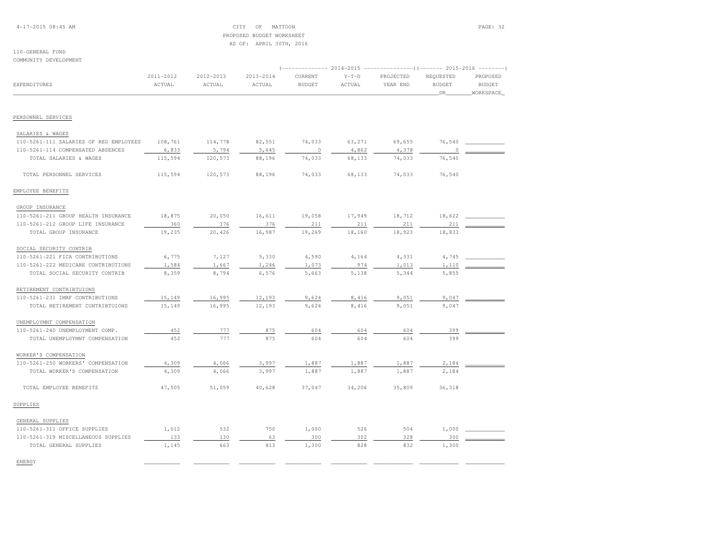4-17-2015 08:45 AM CITY OF MATTOON PAGE: 32 PROPOSED BUDGET WORKSHEETAS OF: APRIL 30TH, 2016

#### 110-GENERAL FUNDCOMMUNITY DEVELOPMENT

|                                        | 2011-2012 | 2012-2013 | 2013-2014 | CURRENT       | $Y-T-D$ | PROJECTED | REQUESTED     | PROPOSED      |
|----------------------------------------|-----------|-----------|-----------|---------------|---------|-----------|---------------|---------------|
| <b>EXPENDITURES</b>                    | ACTUAL    | ACTUAL    | ACTUAL    | <b>BUDGET</b> | ACTUAL  | YEAR END  | <b>BUDGET</b> | <b>BUDGET</b> |
|                                        |           |           |           |               |         |           | DR.           | WORKSPACE     |
| PERSONNEL SERVICES                     |           |           |           |               |         |           |               |               |
|                                        |           |           |           |               |         |           |               |               |
| SALARIES & WAGES                       |           |           |           |               |         |           |               |               |
| 110-5261-111 SALARIES OF REG EMPLOYEES | 108,761   | 114,778   | 82,551    | 74,033        | 63,271  | 69,655    | 76,540        |               |
| 110-5261-114 COMPENSATED ABSENCES      | 6,833     | 5,794     | 5,645     | $\circ$       | 4,862   | 4,378     | 0             |               |
| TOTAL SALARIES & WAGES                 | 115,594   | 120,573   | 88,196    | 74,033        | 68,133  | 74,033    | 76,540        |               |
| TOTAL PERSONNEL SERVICES               | 115,594   | 120,573   | 88,196    | 74,033        | 68,133  | 74,033    | 76,540        |               |
| EMPLOYEE BENEFITS                      |           |           |           |               |         |           |               |               |
| GROUP INSURANCE                        |           |           |           |               |         |           |               |               |
| 110-5261-211 GROUP HEALTH INSURANCE    | 18,875    | 20,050    | 16,611    | 19,058        | 17,949  | 18,712    | 18,622        |               |
| 110-5261-212 GROUP LIFE INSURANCE      | 360       | 376       | 376       | 211           | 211     | 211       | 211           |               |
| TOTAL GROUP INSURANCE                  | 19,235    | 20,426    | 16,987    | 19,269        | 18,160  | 18,923    | 18,833        |               |
| SOCIAL SECURITY CONTRIB                |           |           |           |               |         |           |               |               |
| 110-5261-221 FICA CONTRIBUTIONS        | 6,775     | 7,127     | 5,330     | 4,590         | 4,164   | 4,331     | 4,745         |               |
| 110-5261-222 MEDICARE CONTRIBUTIONS    | 1,584     | 1,667     | 1,246     | 1,073         | 974     | 1,013     | 1,110         |               |
| TOTAL SOCIAL SECURITY CONTRIB          | 8,359     | 8,794     | 6,576     | 5,663         | 5,138   | 5,344     | 5,855         |               |
| RETIREMENT CONTRIBTUIONS               |           |           |           |               |         |           |               |               |
| 110-5261-231 IMRF CONTRIBUTIONS        | 15,149    | 16,995    | 12,193    | 9,624         | 8,416   | 9,051     | 9,047         |               |
| TOTAL RETIREMENT CONTRIBTUIONS         | 15,149    | 16,995    | 12,193    | 9,624         | 8,416   | 9,051     | 9,047         |               |
| UNEMPLOYMNT COMPENSATION               |           |           |           |               |         |           |               |               |
| 110-5261-240 UNEMPLOYMENT COMP.        | 452       | 777       | 875       | 604           | 604     | 604       | 399           |               |
| TOTAL UNEMPLOYMNT COMPENSATION         | 452       | 777       | 875       | 604           | 604     | 604       | 399           |               |
| WORKER'S COMPENSATION                  |           |           |           |               |         |           |               |               |
| 110-5261-250 WORKERS' COMPENSATION     | 4,309     | 4,066     | 3,997     | 1,887         | 1,887   | 1,887     | 2,184         |               |
| TOTAL WORKER'S COMPENSATION            | 4,309     | 4,066     | 3,997     | 1,887         | 1,887   | 1,887     | 2,184         |               |
| TOTAL EMPLOYEE BENEFITS                | 47,505    | 51,059    | 40,628    | 37,047        | 34,206  | 35,809    | 36,318        |               |
| SUPPLIES                               |           |           |           |               |         |           |               |               |
| GENERAL SUPPLIES                       |           |           |           |               |         |           |               |               |
| 110-5261-311 OFFICE SUPPLIES           | 1,012     | 532       | 750       | 1,000         | 526     | 504       | 1,000         |               |
| 110-5261-319 MISCELLANEOUS SUPPLIES    | 133       | 130       | 63        | 300           | 302     | 328       | 300           |               |
| TOTAL GENERAL SUPPLIES                 | 1,145     | 663       | 813       | 1,300         | 828     | 832       | 1,300         |               |
| ENERGY                                 |           |           |           |               |         |           |               |               |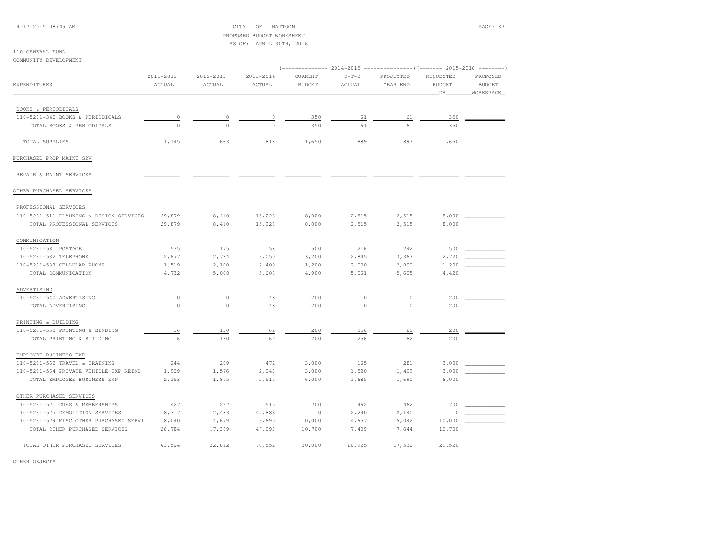4-17-2015 08:45 AM CITY OF MATTOON PAGE: 33 PROPOSED BUDGET WORKSHEETAS OF: APRIL 30TH, 2016

### 110-GENERAL FUNDCOMMUNITY DEVELOPMENT

| ( --------------    |                                                                                      |                                                                                     |                                                                             |                                                                    |                                                                              |                                                                      |                                                                                                                                |  |  |
|---------------------|--------------------------------------------------------------------------------------|-------------------------------------------------------------------------------------|-----------------------------------------------------------------------------|--------------------------------------------------------------------|------------------------------------------------------------------------------|----------------------------------------------------------------------|--------------------------------------------------------------------------------------------------------------------------------|--|--|
| 2011-2012<br>ACTUAL | 2012-2013<br>ACTUAL                                                                  | 2013-2014<br>ACTUAL                                                                 | CURRENT<br><b>BUDGET</b>                                                    | $Y-T-D$<br>ACTUAL                                                  | PROJECTED<br>YEAR END                                                        | REQUESTED<br><b>BUDGET</b>                                           | PROPOSED<br><b>BUDGET</b>                                                                                                      |  |  |
|                     |                                                                                      |                                                                                     |                                                                             |                                                                    |                                                                              | DR.                                                                  | WORKSPACE                                                                                                                      |  |  |
|                     |                                                                                      |                                                                                     |                                                                             |                                                                    |                                                                              |                                                                      |                                                                                                                                |  |  |
|                     |                                                                                      |                                                                                     |                                                                             |                                                                    |                                                                              |                                                                      |                                                                                                                                |  |  |
|                     |                                                                                      |                                                                                     |                                                                             |                                                                    |                                                                              |                                                                      |                                                                                                                                |  |  |
|                     |                                                                                      |                                                                                     |                                                                             |                                                                    |                                                                              |                                                                      |                                                                                                                                |  |  |
| 1,145               | 663                                                                                  | 813                                                                                 | 1,650                                                                       | 889                                                                | 893                                                                          | 1,650                                                                |                                                                                                                                |  |  |
|                     |                                                                                      |                                                                                     |                                                                             |                                                                    |                                                                              |                                                                      |                                                                                                                                |  |  |
|                     |                                                                                      |                                                                                     |                                                                             |                                                                    |                                                                              |                                                                      |                                                                                                                                |  |  |
|                     |                                                                                      |                                                                                     |                                                                             |                                                                    |                                                                              |                                                                      |                                                                                                                                |  |  |
|                     |                                                                                      |                                                                                     |                                                                             |                                                                    |                                                                              |                                                                      |                                                                                                                                |  |  |
| 29,879              | 8,410                                                                                | 15,228                                                                              | 8,000                                                                       | 2,515                                                              | 2,515                                                                        | 8,000                                                                |                                                                                                                                |  |  |
| 29,879              | 8,410                                                                                | 15,228                                                                              | 8,000                                                                       | 2,515                                                              | 2,515                                                                        | 8,000                                                                |                                                                                                                                |  |  |
|                     |                                                                                      |                                                                                     |                                                                             |                                                                    |                                                                              |                                                                      |                                                                                                                                |  |  |
|                     |                                                                                      |                                                                                     |                                                                             |                                                                    |                                                                              |                                                                      |                                                                                                                                |  |  |
|                     |                                                                                      |                                                                                     |                                                                             |                                                                    |                                                                              |                                                                      |                                                                                                                                |  |  |
|                     |                                                                                      |                                                                                     |                                                                             |                                                                    |                                                                              |                                                                      |                                                                                                                                |  |  |
| 4,732               | 5,008                                                                                | 5,608                                                                               | 4,900                                                                       | 5,061                                                              | 5,605                                                                        | 4,420                                                                |                                                                                                                                |  |  |
|                     |                                                                                      |                                                                                     |                                                                             |                                                                    |                                                                              |                                                                      |                                                                                                                                |  |  |
|                     |                                                                                      |                                                                                     |                                                                             |                                                                    |                                                                              |                                                                      |                                                                                                                                |  |  |
| $\Omega$            | $\cap$                                                                               | 48                                                                                  | 200                                                                         | $\cap$                                                             | $\cap$                                                                       | 200                                                                  |                                                                                                                                |  |  |
|                     |                                                                                      |                                                                                     |                                                                             |                                                                    |                                                                              |                                                                      |                                                                                                                                |  |  |
|                     |                                                                                      |                                                                                     |                                                                             |                                                                    |                                                                              |                                                                      |                                                                                                                                |  |  |
|                     |                                                                                      |                                                                                     |                                                                             |                                                                    |                                                                              |                                                                      |                                                                                                                                |  |  |
|                     |                                                                                      |                                                                                     |                                                                             |                                                                    |                                                                              |                                                                      |                                                                                                                                |  |  |
|                     |                                                                                      |                                                                                     |                                                                             |                                                                    |                                                                              |                                                                      |                                                                                                                                |  |  |
| 244                 | 299                                                                                  | 472                                                                                 | 3,000                                                                       | 165                                                                | 281                                                                          | 3,000                                                                |                                                                                                                                |  |  |
| 1,909               | 1,576                                                                                | 2,043                                                                               | 3,000                                                                       | 1,520                                                              | 1,409                                                                        | 3,000                                                                |                                                                                                                                |  |  |
| 2,153               | 1,875                                                                                | 2,515                                                                               | 6,000                                                                       | 1,685                                                              | 1,690                                                                        | 6,000                                                                |                                                                                                                                |  |  |
|                     |                                                                                      |                                                                                     |                                                                             |                                                                    |                                                                              |                                                                      |                                                                                                                                |  |  |
| 427                 | 227                                                                                  | 515                                                                                 | 700                                                                         | 462                                                                | 462                                                                          | 700                                                                  |                                                                                                                                |  |  |
|                     |                                                                                      |                                                                                     | $\circ$                                                                     |                                                                    |                                                                              |                                                                      |                                                                                                                                |  |  |
|                     |                                                                                      |                                                                                     |                                                                             |                                                                    |                                                                              |                                                                      |                                                                                                                                |  |  |
| 26,784              | 17,389                                                                               | 47,093                                                                              | 10,700                                                                      | 7,409                                                              | 7,644                                                                        | 10,700                                                               |                                                                                                                                |  |  |
|                     | 32,812                                                                               | 70,552                                                                              | 30,000                                                                      | 16,925                                                             | 17,536                                                                       | 29,520                                                               |                                                                                                                                |  |  |
|                     | 0<br>$\Omega$<br>535<br>2,677<br>1,519<br>0<br>16<br>16<br>8,317<br>18,040<br>63,564 | $\theta$<br>$\Omega$<br>175<br>2,734<br>2,100<br>0<br>130<br>130<br>12,483<br>4,679 | 0<br>$\Omega$<br>158<br>3,050<br>2,400<br>48<br>62<br>62<br>42,888<br>3,690 | 350<br>350<br>500<br>3,200<br>1,200<br>200<br>200<br>200<br>10,000 | 61<br>61<br>216<br>2,845<br>2,000<br>$\circ$<br>256<br>256<br>2,290<br>4,657 | 61<br>61<br>242<br>3,363<br>2,000<br>0<br>82<br>82<br>2,140<br>5,042 | $2014-2015$ ---------------) (------- 2015-2016 --------<br>350<br>350<br>500<br>2,720<br>1,200<br>200<br>200<br>200<br>10,000 |  |  |

OTHER OBJECTS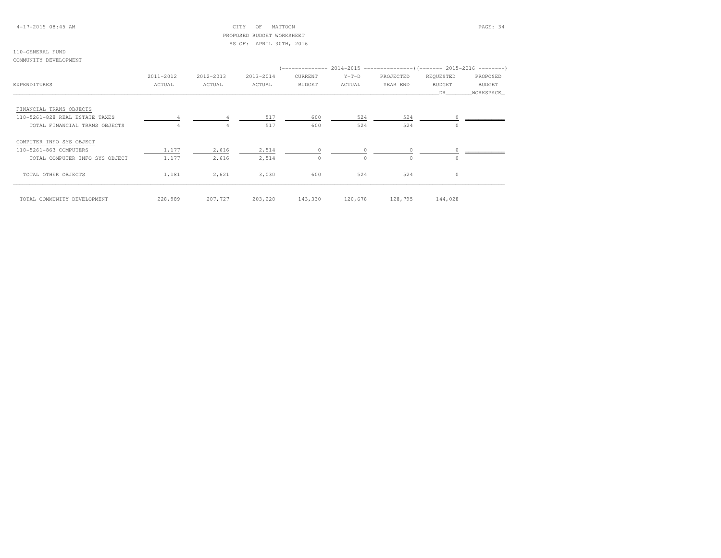## 4-17-2015 08:45 AM CITY OF MATTOON PAGE: 34 PROPOSED BUDGET WORKSHEETAS OF: APRIL 30TH, 2016

### 110-GENERAL FUNDCOMMUNITY DEVELOPMENT

|                                |           |           |           |         |          | (-------------- 2014-2015 ---------------------- 2015-2016 ---------- |                       |               |
|--------------------------------|-----------|-----------|-----------|---------|----------|-----------------------------------------------------------------------|-----------------------|---------------|
|                                | 2011-2012 | 2012-2013 | 2013-2014 | CURRENT | $Y-T-D$  | PROJECTED                                                             | REQUESTED             | PROPOSED      |
| EXPENDITURES                   | ACTUAL    | ACTUAL    | ACTUAL    | BUDGET  | ACTUAL   | YEAR END                                                              | <b>BUDGET</b><br>DR . | <b>BUDGET</b> |
|                                |           |           |           |         |          |                                                                       |                       | WORKSPACE     |
| FINANCIAL TRANS OBJECTS        |           |           |           |         |          |                                                                       |                       |               |
| 110-5261-828 REAL ESTATE TAXES | 4         |           | 517       | 600     | 524      | 524                                                                   |                       |               |
| TOTAL FINANCIAL TRANS OBJECTS  |           | 4         | 517       | 600     | 524      | 524                                                                   | $\Omega$              |               |
| COMPUTER INFO SYS OBJECT       |           |           |           |         |          |                                                                       |                       |               |
| 110-5261-863 COMPUTERS         | 1,177     | 2,616     | 2,514     | $\circ$ |          | $\circ$                                                               |                       |               |
| TOTAL COMPUTER INFO SYS OBJECT | 1,177     | 2,616     | 2,514     | $\circ$ | $\Omega$ | $\Omega$                                                              | $\Omega$              |               |
| TOTAL OTHER OBJECTS            | 1,181     | 2,621     | 3,030     | 600     | 524      | 524                                                                   | $\circ$               |               |
| TOTAL COMMUNITY DEVELOPMENT    | 228,989   | 207,727   | 203,220   | 143,330 | 120,678  | 128,795                                                               | 144,028               |               |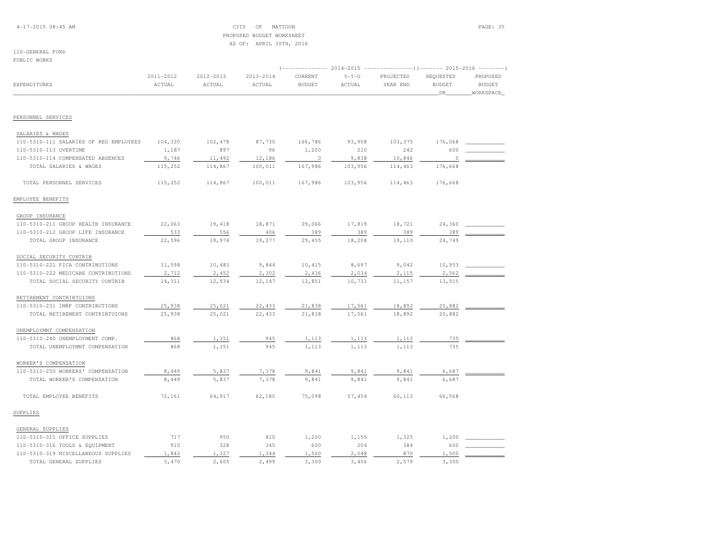## 4-17-2015 08:45 AM CITY OF MATTOON PAGE: 35 PROPOSED BUDGET WORKSHEETAS OF: APRIL 30TH, 2016

#### 110-GENERAL FUNDPUBLIC WORKS

|                                        |           |           |           | (------------- 2014-2015 |         |           |               |               |
|----------------------------------------|-----------|-----------|-----------|--------------------------|---------|-----------|---------------|---------------|
|                                        | 2011-2012 | 2012-2013 | 2013-2014 | CURRENT                  | $Y-T-D$ | PROJECTED | REQUESTED     | PROPOSED      |
| EXPENDITURES                           | ACTUAL    | ACTUAL    | ACTUAL    | <b>BUDGET</b>            | ACTUAL  | YEAR END  | <b>BUDGET</b> | <b>BUDGET</b> |
|                                        |           |           |           |                          |         |           | DR            | WORKSPACE     |
|                                        |           |           |           |                          |         |           |               |               |
| PERSONNEL SERVICES                     |           |           |           |                          |         |           |               |               |
| SALARIES & WAGES                       |           |           |           |                          |         |           |               |               |
| 110-5310-111 SALARIES OF REG EMPLOYEES | 104,320   | 102,478   | 87,730    | 166,786                  | 93,908  | 103,375   | 176,068       |               |
| 110-5310-113 OVERTIME                  | 1,187     | 897       | 96        | 1,200                    | 210     | 242       | 600           |               |
| 110-5310-114 COMPENSATED ABSENCES      | 9,746     | 11,492    | 12,186    | $\circ$                  | 9,838   | 10,846    | $\circ$       |               |
| TOTAL SALARIES & WAGES                 | 115,252   | 114,867   | 100,011   | 167,986                  | 103,956 | 114,463   | 176,668       |               |
| TOTAL PERSONNEL SERVICES               | 115,252   | 114,867   | 100,011   | 167,986                  | 103,956 | 114,463   | 176,668       |               |
| EMPLOYEE BENEFITS                      |           |           |           |                          |         |           |               |               |
| GROUP INSURANCE                        |           |           |           |                          |         |           |               |               |
| 110-5310-211 GROUP HEALTH INSURANCE    | 22,063    | 19,418    | 18,871    | 29,066                   | 17,819  | 18,721    | 24,360        |               |
| 110-5310-212 GROUP LIFE INSURANCE      | 533       | 556       | 406       | 389                      | 389     | 389       | 389           |               |
| TOTAL GROUP INSURANCE                  | 22,596    | 19,974    | 19,277    | 29,455                   | 18,208  | 19,110    | 24,749        |               |
| SOCIAL SECURITY CONTRIB                |           |           |           |                          |         |           |               |               |
| 110-5310-221 FICA CONTRIBUTIONS        | 11,598    | 10,483    | 9,844     | 10,415                   | 8,697   | 9,042     | 10,953        |               |
| 110-5310-222 MEDICARE CONTRIBUTIONS    | 2,712     | 2,452     | 2,302     | 2,436                    | 2,034   | 2,115     | 2,562         |               |
| TOTAL SOCIAL SECURITY CONTRIB          | 14,311    | 12,934    | 12,147    | 12,851                   | 10,731  | 11,157    | 13,515        |               |
| RETIREMENT CONTRIBTUIONS               |           |           |           |                          |         |           |               |               |
| 110-5310-231 IMRF CONTRIBUTIONS        | 25,938    | 25,021    | 22,433    | 21,838                   | 17,561  | 18,892    | 20,882        |               |
| TOTAL RETIREMENT CONTRIBTUIONS         | 25,938    | 25,021    | 22,433    | 21,838                   | 17,561  | 18,892    | 20,882        |               |
| UNEMPLOYMNT COMPENSATION               |           |           |           |                          |         |           |               |               |
| 110-5310-240 UNEMPLOYMENT COMP.        | 868       | 1,151     | 945       | 1,113                    | 1,113   | 1,113     | 735           |               |
| TOTAL UNEMPLOYMNT COMPENSATION         | 868       | 1,151     | 945       | 1,113                    | 1,113   | 1,113     | 735           |               |
| WORKER'S COMPENSATION                  |           |           |           |                          |         |           |               |               |
| 110-5310-250 WORKERS' COMPENSATION     | 8,449     | 5,837     | 7,378     | 9,841                    | 9,841   | 9,841     | 6,687         |               |
| TOTAL WORKER'S COMPENSATION            | 8,449     | 5,837     | 7,378     | 9,841                    | 9,841   | 9,841     | 6,687         |               |
| TOTAL EMPLOYEE BENEFITS                | 72,161    | 64,917    | 62,180    | 75,098                   | 57,454  | 60,113    | 66,568        |               |
| SUPPLIES                               |           |           |           |                          |         |           |               |               |
| GENERAL SUPPLIES                       |           |           |           |                          |         |           |               |               |
| 110-5310-311 OFFICE SUPPLIES           | 717       | 950       | 810       | 1,200                    | 1,155   | 1,325     | 1,200         |               |
| 110-5310-316 TOOLS & EQUIPMENT         | 910       | 328       | 345       | 600                      | 204     | 384       | 600           |               |
| 110-5310-319 MISCELLANEOUS SUPPLIES    | 1,843     | 1,327     | 1,344     | 1,500                    | 2,048   | 870       | 1,500         |               |
| TOTAL GENERAL SUPPLIES                 | 3,470     | 2,605     | 2,499     | 3,300                    | 3,406   | 2,579     | 3,300         |               |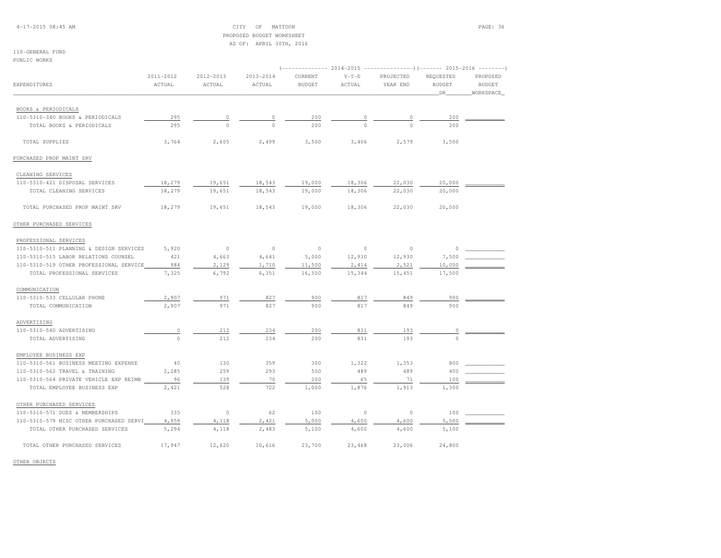4-17-2015 08:45 AM CITY OF MATTOON PAGE: 36 PROPOSED BUDGET WORKSHEETAS OF: APRIL 30TH, 2016

110-GENERAL FUNDPUBLIC WORKS

|                                         |           | (-------------- 2014-2015 ----------------)(------- 2015-2016 --------) |           |               |          |                |                                                                                                                                                                                       |               |  |  |
|-----------------------------------------|-----------|-------------------------------------------------------------------------|-----------|---------------|----------|----------------|---------------------------------------------------------------------------------------------------------------------------------------------------------------------------------------|---------------|--|--|
|                                         | 2011-2012 | 2012-2013                                                               | 2013-2014 | CURRENT       | $Y-T-D$  | PROJECTED      | REQUESTED                                                                                                                                                                             | PROPOSED      |  |  |
| EXPENDITURES                            | ACTUAL    | ACTUAL                                                                  | ACTUAL    | <b>BUDGET</b> | ACTUAL   | YEAR END       | <b>BUDGET</b>                                                                                                                                                                         | <b>BUDGET</b> |  |  |
|                                         |           |                                                                         |           |               |          |                | DR<br>200<br>200<br>3,500<br>20,000<br>20,000<br>20,000<br>$\Omega$<br>7,500<br>10,000<br>17,500<br>900<br>900<br>0<br>$\circ$<br>800<br>400<br>100<br>1,300<br>100<br>5,000<br>5,100 | WORKSPACE     |  |  |
| BOOKS & PERIODICALS                     |           |                                                                         |           |               |          |                |                                                                                                                                                                                       |               |  |  |
| 110-5310-340 BOOKS & PERIODICALS        | 295       | 0                                                                       |           | 200           |          | $\circ$        |                                                                                                                                                                                       |               |  |  |
| TOTAL BOOKS & PERIODICALS               | 295       | $\Omega$                                                                | $\Omega$  | 200           | $\Omega$ | $\Omega$       |                                                                                                                                                                                       |               |  |  |
|                                         |           |                                                                         |           |               |          |                |                                                                                                                                                                                       |               |  |  |
| TOTAL SUPPLIES                          | 3,764     | 2,605                                                                   | 2,499     | 3,500         | 3,406    | 2,579          |                                                                                                                                                                                       |               |  |  |
| PURCHASED PROP MAINT SRV                |           |                                                                         |           |               |          |                |                                                                                                                                                                                       |               |  |  |
| CLEANING SERVICES                       |           |                                                                         |           |               |          |                |                                                                                                                                                                                       |               |  |  |
| 110-5310-421 DISPOSAL SERVICES          | 18,279    | 19,651                                                                  | 18,543    | 19,000        | 18,306   | 22,030         |                                                                                                                                                                                       |               |  |  |
| TOTAL CLEANING SERVICES                 | 18,279    | 19,651                                                                  | 18,543    | 19,000        | 18,306   | 22,030         |                                                                                                                                                                                       |               |  |  |
| TOTAL PURCHASED PROP MAINT SRV          | 18,279    | 19,651                                                                  | 18,543    | 19,000        | 18,306   | 22,030         |                                                                                                                                                                                       |               |  |  |
| OTHER PURCHASED SERVICES                |           |                                                                         |           |               |          |                |                                                                                                                                                                                       |               |  |  |
| PROFESSIONAL SERVICES                   |           |                                                                         |           |               |          |                |                                                                                                                                                                                       |               |  |  |
| 110-5310-511 PLANNING & DESIGN SERVICES | 5,920     | $\circ$                                                                 | $\circ$   | $\circ$       | $\circ$  | $\circ$        |                                                                                                                                                                                       |               |  |  |
| 110-5310-515 LABOR RELATIONS COUNSEL    | 421       | 4,663                                                                   | 4,641     | 5,000         | 12,930   | 12,930         |                                                                                                                                                                                       |               |  |  |
| 110-5310-519 OTHER PROFESSIONAL SERVICE | 984       | 2,129                                                                   | 1,710     | 11,500        | 2,414    | 2,521          |                                                                                                                                                                                       |               |  |  |
| TOTAL PROFESSIONAL SERVICES             | 7,325     | 6,792                                                                   | 6,351     | 16,500        | 15,344   | 15,451         |                                                                                                                                                                                       |               |  |  |
| COMMUNICATION                           |           |                                                                         |           |               |          |                |                                                                                                                                                                                       |               |  |  |
| 110-5310-533 CELLULAR PHONE             | 2,907     | 971                                                                     | 827       | 900           | 817      | 849            |                                                                                                                                                                                       |               |  |  |
| TOTAL COMMUNICATION                     | 2,907     | 971                                                                     | 827       | 900           | 817      | 849            |                                                                                                                                                                                       |               |  |  |
|                                         |           |                                                                         |           |               |          |                |                                                                                                                                                                                       |               |  |  |
| ADVERTISING<br>110-5310-540 ADVERTISING | 0         | 212                                                                     | 234       | 200           | 831      | 193            |                                                                                                                                                                                       |               |  |  |
| TOTAL ADVERTISING                       | $\circ$   | 212                                                                     | 234       | 200           | 831      | 193            |                                                                                                                                                                                       |               |  |  |
|                                         |           |                                                                         |           |               |          |                |                                                                                                                                                                                       |               |  |  |
| EMPLOYEE BUSINESS EXP                   |           |                                                                         |           |               |          |                |                                                                                                                                                                                       |               |  |  |
| 110-5310-561 BUSINESS MEETING EXPENSE   | 40        | 130                                                                     | 359       | 300           | 1,322    | 1,353          |                                                                                                                                                                                       |               |  |  |
| 110-5310-562 TRAVEL & TRAINING          | 2,285     | 259                                                                     | 293       | 500           | 489      | 489            |                                                                                                                                                                                       |               |  |  |
| 110-5310-564 PRIVATE VEHICLE EXP REIMB  | 96        | 139                                                                     | 70        | 200           | 65       | 71             |                                                                                                                                                                                       |               |  |  |
| TOTAL EMPLOYEE BUSINESS EXP             | 2,421     | 528                                                                     | 722       | 1,000         | 1,876    | 1,913          |                                                                                                                                                                                       |               |  |  |
| OTHER PURCHASED SERVICES                |           |                                                                         |           |               |          |                |                                                                                                                                                                                       |               |  |  |
| 110-5310-571 DUES & MEMBERSHIPS         | 335       | $\circ$                                                                 | 62        | 100           | $\circ$  | $\overline{0}$ |                                                                                                                                                                                       |               |  |  |
| 110-5310-579 MISC OTHER PURCHASED SERVI | 4,959     | 4,118                                                                   | 2,421     | 5,000         | 4,600    | 4,600          |                                                                                                                                                                                       |               |  |  |
| TOTAL OTHER PURCHASED SERVICES          | 5,294     | 4,118                                                                   | 2,483     | 5,100         | 4,600    | 4,600          |                                                                                                                                                                                       |               |  |  |
| TOTAL OTHER PURCHASED SERVICES          | 17,947    | 12,620                                                                  | 10,616    | 23,700        | 23,468   | 23,006         | 24,800                                                                                                                                                                                |               |  |  |

OTHER OBJECTS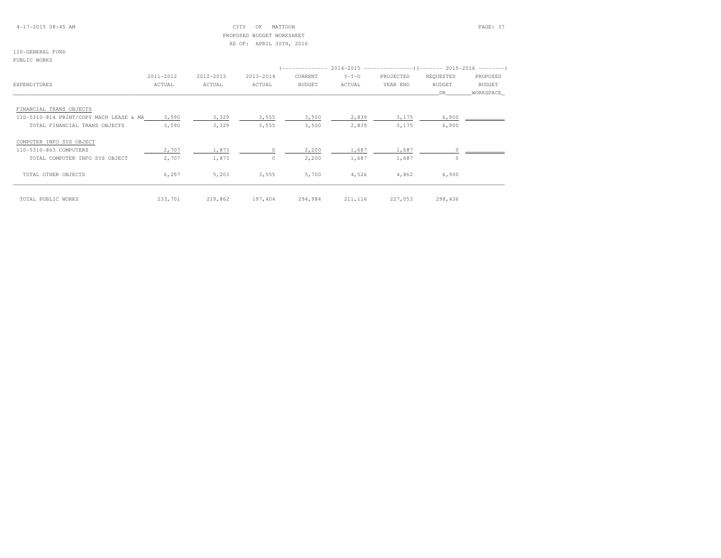## 4-17-2015 08:45 AM CITY OF MATTOON PAGE: 37 PROPOSED BUDGET WORKSHEETAS OF: APRIL 30TH, 2016

110-GENERAL FUNDPUBLIC WORKS

|                                         | 2011-2012 | 2012-2013 | 2013-2014 | CURRENT       | $Y-T-D$  | PROJECTED | REQUESTED     | PROPOSED      |
|-----------------------------------------|-----------|-----------|-----------|---------------|----------|-----------|---------------|---------------|
| <b>EXPENDITURES</b>                     | ACTUAL    | ACTUAL    | ACTUAL    | <b>BUDGET</b> | ACTUAL   | YEAR END  | <b>BUDGET</b> | <b>BUDGET</b> |
|                                         |           |           |           |               |          |           | DR            | WORKSPACE     |
| FINANCIAL TRANS OBJECTS                 |           |           |           |               |          |           |               |               |
| 110-5310-814 PRINT/COPY MACH LEASE & MA | 3,590     | 3,329     | 3,555     | 3,500         | 2,839    | 3,175     | 6,900         |               |
| TOTAL FINANCIAL TRANS OBJECTS           | 3,590     | 3,329     | 3,555     | 3,500         | 2,839    | 3,175     | 6,900         |               |
| COMPUTER INFO SYS OBJECT                |           |           |           |               |          |           |               |               |
| 110-5310-863 COMPUTERS                  | 2,707     | 1,873     | $\Omega$  | 2,200         | 1,687    | 1,687     |               |               |
| TOTAL COMPUTER INFO SYS OBJECT          | 2,707     | 1,873     | $\circ$   | 2,200         | 1,687    | 1,687     | $\Omega$      |               |
| TOTAL OTHER OBJECTS                     | 6,297     | 5,203     | 3,555     | 5,700         | 4,526    | 4,862     | 6,900         |               |
| TOTAL PUBLIC WORKS                      | 233,701   | 219,862   | 197,404   | 294,984       | 211, 116 | 227,053   | 298,436       |               |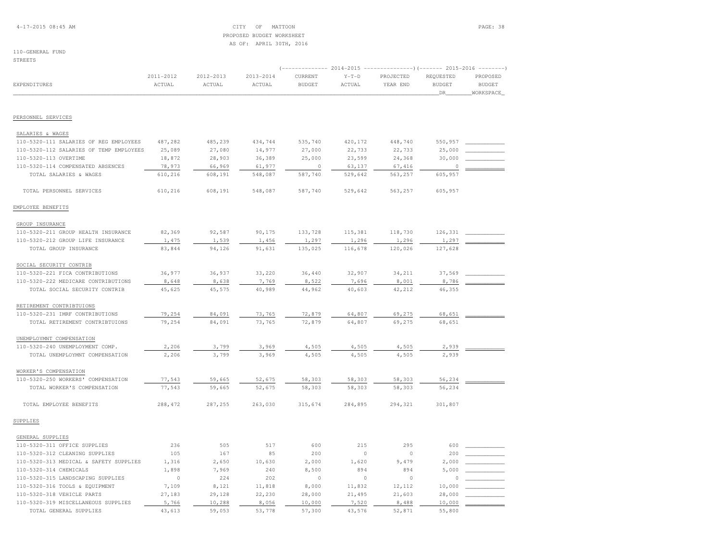## 4-17-2015 08:45 AM CITY OF MATTOON PAGE: 38 PROPOSED BUDGET WORKSHEETAS OF: APRIL 30TH, 2016

## 110-GENERAL FUND

STREETS

|                                         |                     |                     |                     | $2014-2015$ ----------------)(------- 2015-2016<br>--------- |                   |                       |                                    |                                        |  |
|-----------------------------------------|---------------------|---------------------|---------------------|--------------------------------------------------------------|-------------------|-----------------------|------------------------------------|----------------------------------------|--|
| EXPENDITURES                            | 2011-2012<br>ACTUAL | 2012-2013<br>ACTUAL | 2013-2014<br>ACTUAL | CURRENT<br><b>BUDGET</b>                                     | $Y-T-D$<br>ACTUAL | PROJECTED<br>YEAR END | REQUESTED<br><b>BUDGET</b><br>_DR_ | PROPOSED<br><b>BUDGET</b><br>WORKSPACE |  |
|                                         |                     |                     |                     |                                                              |                   |                       |                                    |                                        |  |
| PERSONNEL SERVICES                      |                     |                     |                     |                                                              |                   |                       |                                    |                                        |  |
| SALARIES & WAGES                        |                     |                     |                     |                                                              |                   |                       |                                    |                                        |  |
| 110-5320-111 SALARIES OF REG EMPLOYEES  | 487,282             | 485,239             | 434,744             | 535,740                                                      | 420,172           | 448,740               | 550,957                            |                                        |  |
| 110-5320-112 SALARIES OF TEMP EMPLOYEES | 25,089              | 27,080              | 14,977              | 27,000                                                       | 22,733            | 22,733                | 25,000                             |                                        |  |
| 110-5320-113 OVERTIME                   | 18,872              | 28,903              | 36,389              | 25,000                                                       | 23,599            | 24,368                | 30,000                             |                                        |  |
| 110-5320-114 COMPENSATED ABSENCES       | 78,973              | 66,969              | 61,977              | $\Omega$                                                     | 63,137            | 67,416                | $\Omega$                           |                                        |  |
| TOTAL SALARIES & WAGES                  | 610,216             | 608,191             | 548,087             | 587,740                                                      | 529,642           | 563,257               | 605,957                            |                                        |  |
| TOTAL PERSONNEL SERVICES                | 610,216             | 608,191             | 548,087             | 587,740                                                      | 529,642           | 563,257               | 605,957                            |                                        |  |
| EMPLOYEE BENEFITS                       |                     |                     |                     |                                                              |                   |                       |                                    |                                        |  |
| GROUP INSURANCE                         |                     |                     |                     |                                                              |                   |                       |                                    |                                        |  |
| 110-5320-211 GROUP HEALTH INSURANCE     | 82,369              | 92,587              | 90,175              | 133,728                                                      | 115,381           | 118,730               | 126,331                            |                                        |  |
| 110-5320-212 GROUP LIFE INSURANCE       | 1,475               | 1,539               | 1,456               | 1,297                                                        | 1,296             | 1,296                 | 1,297                              |                                        |  |
| TOTAL GROUP INSURANCE                   | 83,844              | 94,126              | 91,631              | 135,025                                                      | 116,678           | 120,026               | 127,628                            |                                        |  |
| SOCIAL SECURITY CONTRIB                 |                     |                     |                     |                                                              |                   |                       |                                    |                                        |  |
| 110-5320-221 FICA CONTRIBUTIONS         | 36,977              | 36,937              | 33,220              | 36,440                                                       | 32,907            | 34,211                | 37,569                             |                                        |  |
| 110-5320-222 MEDICARE CONTRIBUTIONS     | 8,648               | 8,638               | 7,769               | 8,522                                                        | 7,696             | 8,001                 | 8,786                              |                                        |  |
| TOTAL SOCIAL SECURITY CONTRIB           | 45,625              | 45,575              | 40,989              | 44,962                                                       | 40,603            | 42,212                | 46,355                             |                                        |  |
| RETIREMENT CONTRIBTUIONS                |                     |                     |                     |                                                              |                   |                       |                                    |                                        |  |
| 110-5320-231 IMRF CONTRIBUTIONS         | 79,254              | 84,091              | 73,765              | 72,879                                                       | 64,807            | 69,275                | 68,651                             |                                        |  |
| TOTAL RETIREMENT CONTRIBTUIONS          | 79,254              | 84,091              | 73,765              | 72,879                                                       | 64,807            | 69,275                | 68,651                             |                                        |  |
| UNEMPLOYMNT COMPENSATION                |                     |                     |                     |                                                              |                   |                       |                                    |                                        |  |
| 110-5320-240 UNEMPLOYMENT COMP.         | 2,206               | 3,799               | 3,969               | 4,505                                                        | 4,505             | 4,505                 | 2,939                              |                                        |  |
| TOTAL UNEMPLOYMNT COMPENSATION          | 2,206               | 3,799               | 3,969               | 4,505                                                        | 4,505             | 4,505                 | 2,939                              |                                        |  |
| WORKER'S COMPENSATION                   |                     |                     |                     |                                                              |                   |                       |                                    |                                        |  |
| 110-5320-250 WORKERS' COMPENSATION      | 77,543              | 59,665              | 52,675              | 58,303                                                       | 58,303            | 58,303                | 56,234                             |                                        |  |
| TOTAL WORKER'S COMPENSATION             | 77,543              | 59,665              | 52,675              | 58,303                                                       | 58,303            | 58,303                | 56,234                             |                                        |  |
| TOTAL EMPLOYEE BENEFITS                 | 288, 472            | 287,255             | 263,030             | 315,674                                                      | 284,895           | 294,321               | 301,807                            |                                        |  |
| SUPPLIES                                |                     |                     |                     |                                                              |                   |                       |                                    |                                        |  |
| GENERAL SUPPLIES                        |                     |                     |                     |                                                              |                   |                       |                                    |                                        |  |
| 110-5320-311 OFFICE SUPPLIES            | 236                 | 505                 | 517                 | 600                                                          | 215               | 295                   | 600                                |                                        |  |
| 110-5320-312 CLEANING SUPPLIES          | 105                 | 167                 | 85                  | 200                                                          | $\mathbb O$       | $\mathbb O$           | 200                                |                                        |  |
| 110-5320-313 MEDICAL & SAFETY SUPPLIES  | 1,316               | 2,650               | 10,630              | 2,000                                                        | 1,620             | 9,479                 | 2,000                              |                                        |  |
| 110-5320-314 CHEMICALS                  | 1,898               | 7,969               | 240                 | 8,500                                                        | 894               | 894                   | 5,000                              |                                        |  |
| 110-5320-315 LANDSCAPING SUPPLIES       | $\mathbb O$         | 224                 | 202                 | $\circ$                                                      | $\mathbb O$       | $\circ$               | $\Omega$                           |                                        |  |
| 110-5320-316 TOOLS & EQUIPMENT          | 7,109               | 8,121               | 11,818              | 8,000                                                        | 11,832            | 12,112                | 10,000                             |                                        |  |
| 110-5320-318 VEHICLE PARTS              | 27,183              | 29,128              | 22,230              | 28,000                                                       | 21,495            | 21,603                | 28,000                             |                                        |  |
| 110-5320-319 MISCELLANEOUS SUPPLIES     | 5,766               | 10,288              | 8,056               | 10,000                                                       | 7,520             | 8,488                 | 10,000                             |                                        |  |
| TOTAL GENERAL SUPPLIES                  | 43,613              | 59,053              | 53,778              | 57,300                                                       | 43,576            | 52,871                | 55,800                             |                                        |  |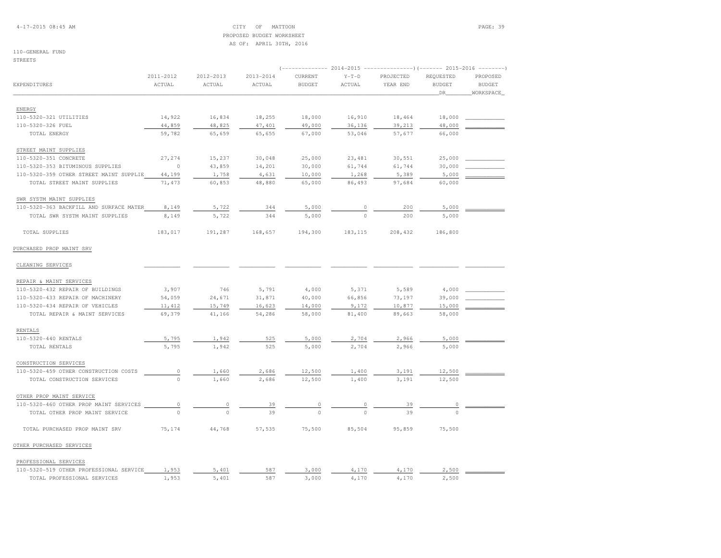4-17-2015 08:45 AM CITY OF MATTOON PAGE: 39 PROPOSED BUDGET WORKSHEETAS OF: APRIL 30TH, 2016

# 110-GENERAL FUND

STREETS

|                                         | 2014-2015<br>----------------) (------- 2015-2016 --------<br>(-------------- |                     |                     |                          |                   |                       |                            |                           |  |  |
|-----------------------------------------|-------------------------------------------------------------------------------|---------------------|---------------------|--------------------------|-------------------|-----------------------|----------------------------|---------------------------|--|--|
| EXPENDITURES                            | 2011-2012<br>ACTUAL                                                           | 2012-2013<br>ACTUAL | 2013-2014<br>ACTUAL | CURRENT<br><b>BUDGET</b> | $Y-T-D$<br>ACTUAL | PROJECTED<br>YEAR END | REQUESTED<br><b>BUDGET</b> | PROPOSED<br><b>BUDGET</b> |  |  |
|                                         |                                                                               |                     |                     |                          |                   |                       | DR                         | WORKSPACE                 |  |  |
| ENERGY                                  |                                                                               |                     |                     |                          |                   |                       |                            |                           |  |  |
| 110-5320-321 UTILITIES                  | 14,922                                                                        | 16,834              | 18,255              | 18,000                   | 16,910            | 18,464                | 18,000                     |                           |  |  |
| 110-5320-326 FUEL                       | 44,859                                                                        | 48,825              | 47,401              | 49,000                   | 36,136            | 39,213                | 48,000                     |                           |  |  |
| TOTAL ENERGY                            | 59,782                                                                        | 65,659              | 65,655              | 67,000                   | 53,046            | 57,677                | 66,000                     |                           |  |  |
| STREET MAINT SUPPLIES                   |                                                                               |                     |                     |                          |                   |                       |                            |                           |  |  |
| 110-5320-351 CONCRETE                   | 27,274                                                                        | 15,237              | 30,048              | 25,000                   | 23,481            | 30,551                | 25,000                     |                           |  |  |
| 110-5320-353 BITUMINOUS SUPPLIES        | $\circ$                                                                       | 43,859              | 14,201              | 30,000                   | 61,744            | 61,744                | 30,000                     |                           |  |  |
| 110-5320-359 OTHER STREET MAINT SUPPLIE | 44,199                                                                        | 1,758               | 4,631               | 10,000                   | 1,268             | 5,389                 | 5,000                      |                           |  |  |
| TOTAL STREET MAINT SUPPLIES             | 71,473                                                                        | 60,853              | 48,880              | 65,000                   | 86,493            | 97,684                | 60,000                     |                           |  |  |
| SWR SYSTM MAINT SUPPLIES                |                                                                               |                     |                     |                          |                   |                       |                            |                           |  |  |
| 110-5320-363 BACKFILL AND SURFACE MATER | 8,149                                                                         | 5,722               | 344                 | 5,000                    | $\Omega$          | 200                   | 5,000                      |                           |  |  |
| TOTAL SWR SYSTM MAINT SUPPLIES          | 8,149                                                                         | 5,722               | 344                 | 5,000                    | $\Omega$          | 200                   | 5,000                      |                           |  |  |
| TOTAL SUPPLIES                          | 183,017                                                                       | 191,287             | 168,657             | 194,300                  | 183, 115          | 208,432               | 186,800                    |                           |  |  |
| PURCHASED PROP MAINT SRV                |                                                                               |                     |                     |                          |                   |                       |                            |                           |  |  |
| CLEANING SERVICES                       |                                                                               |                     |                     |                          |                   |                       |                            |                           |  |  |
| REPAIR & MAINT SERVICES                 |                                                                               |                     |                     |                          |                   |                       |                            |                           |  |  |
| 110-5320-432 REPAIR OF BUILDINGS        | 3,907                                                                         | 746                 | 5,791               | 4,000                    | 5,371             | 5,589                 | 4,000                      |                           |  |  |
| 110-5320-433 REPAIR OF MACHINERY        | 54,059                                                                        | 24,671              | 31,871              | 40,000                   | 66,856            | 73,197                | 39,000                     |                           |  |  |
| 110-5320-434 REPAIR OF VEHICLES         | 11, 412                                                                       | 15,749              | 16,623              | 14,000                   | 9,172             | 10,877                | 15,000                     |                           |  |  |
| TOTAL REPAIR & MAINT SERVICES           | 69,379                                                                        | 41,166              | 54,286              | 58,000                   | 81,400            | 89,663                | 58,000                     |                           |  |  |
| <b>RENTALS</b>                          |                                                                               |                     |                     |                          |                   |                       |                            |                           |  |  |
| 110-5320-440 RENTALS                    | 5,795                                                                         | 1,942               | 525                 | 5,000                    | 2,704             | 2,966                 | 5,000                      |                           |  |  |
| TOTAL RENTALS                           | 5,795                                                                         | 1,942               | 525                 | 5,000                    | 2,704             | 2,966                 | 5,000                      |                           |  |  |
| CONSTRUCTION SERVICES                   |                                                                               |                     |                     |                          |                   |                       |                            |                           |  |  |
| 110-5320-459 OTHER CONSTRUCTION COSTS   | $\mathbb O$                                                                   | 1,660               | 2,686               | 12,500                   | 1,400             | 3,191                 | 12,500                     |                           |  |  |
| TOTAL CONSTRUCTION SERVICES             | $\circ$                                                                       | 1,660               | 2,686               | 12,500                   | 1,400             | 3,191                 | 12,500                     |                           |  |  |
| OTHER PROP MAINT SERVICE                |                                                                               |                     |                     |                          |                   |                       |                            |                           |  |  |
| 110-5320-460 OTHER PROP MAINT SERVICES  | 0                                                                             | 0                   | 39                  | $\circ$                  |                   | 39                    | 0                          |                           |  |  |
| TOTAL OTHER PROP MAINT SERVICE          | $\cap$                                                                        | $\circ$             | 39                  | $\circ$                  | $\cap$            | 39                    | $\Omega$                   |                           |  |  |
| TOTAL PURCHASED PROP MAINT SRV          | 75,174                                                                        | 44,768              | 57,535              | 75,500                   | 85,504            | 95,859                | 75,500                     |                           |  |  |
| OTHER PURCHASED SERVICES                |                                                                               |                     |                     |                          |                   |                       |                            |                           |  |  |
| PROFESSIONAL SERVICES                   |                                                                               |                     |                     |                          |                   |                       |                            |                           |  |  |
| 110-5320-519 OTHER PROFESSIONAL SERVICE | 1,953                                                                         | 5,401               | 587                 | 3,000                    | 4,170             | 4,170                 | 2,500                      |                           |  |  |
| TOTAL PROFESSIONAL SERVICES             | 1,953                                                                         | 5,401               | 587                 | 3,000                    | 4,170             | 4,170                 | 2,500                      |                           |  |  |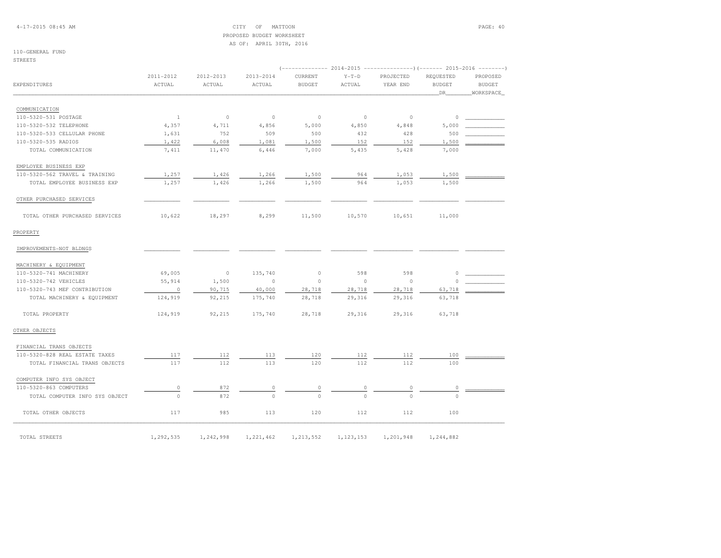4-17-2015 08:45 AM CITY OF MATTOON PAGE: 40 PROPOSED BUDGET WORKSHEETAS OF: APRIL 30TH, 2016

## 110-GENERAL FUND

STREETS

|                                |                     |                     |                     | $(---------- 2014-2015$ ---------------) (------- 2015-2016 -------) |                   |                       |                            |                           |  |
|--------------------------------|---------------------|---------------------|---------------------|----------------------------------------------------------------------|-------------------|-----------------------|----------------------------|---------------------------|--|
| EXPENDITURES                   | 2011-2012<br>ACTUAL | 2012-2013<br>ACTUAL | 2013-2014<br>ACTUAL | CURRENT<br><b>BUDGET</b>                                             | $Y-T-D$<br>ACTUAL | PROJECTED<br>YEAR END | REQUESTED<br><b>BUDGET</b> | PROPOSED<br><b>BUDGET</b> |  |
|                                |                     |                     |                     |                                                                      |                   |                       | DR.                        | WORKSPACE                 |  |
| COMMUNICATION                  |                     |                     |                     |                                                                      |                   |                       |                            |                           |  |
| 110-5320-531 POSTAGE           | $\mathbf{1}$        | $\circ$             | $\circ$             | $\circ$                                                              | $\circ$           | $\circ$               | $\circ$                    |                           |  |
| 110-5320-532 TELEPHONE         | 4,357               | 4,711               | 4,856               | 5,000                                                                | 4,850             | 4,848                 | 5,000                      |                           |  |
| 110-5320-533 CELLULAR PHONE    | 1,631               | 752                 | 509                 | 500                                                                  | 432               | 428                   | 500                        |                           |  |
| 110-5320-535 RADIOS            | 1,422               | 6,008               | 1,081               | 1,500                                                                | 152               | 152                   | 1,500                      |                           |  |
| TOTAL COMMUNICATION            | 7,411               | 11,470              | 6,446               | 7,000                                                                | 5,435             | 5,428                 | 7,000                      |                           |  |
| EMPLOYEE BUSINESS EXP          |                     |                     |                     |                                                                      |                   |                       |                            |                           |  |
| 110-5320-562 TRAVEL & TRAINING | 1,257               | 1,426               | 1,266               | 1,500                                                                | 964               | 1,053                 | 1,500                      |                           |  |
| TOTAL EMPLOYEE BUSINESS EXP    | 1,257               | 1,426               | 1,266               | 1,500                                                                | 964               | 1,053                 | 1,500                      |                           |  |
| OTHER PURCHASED SERVICES       |                     |                     |                     |                                                                      |                   |                       |                            |                           |  |
| TOTAL OTHER PURCHASED SERVICES | 10,622              | 18,297              | 8,299               | 11,500                                                               | 10,570            | 10,651                | 11,000                     |                           |  |
| PROPERTY                       |                     |                     |                     |                                                                      |                   |                       |                            |                           |  |
|                                |                     |                     |                     |                                                                      |                   |                       |                            |                           |  |
| IMPROVEMENTS-NOT BLDNGS        |                     |                     |                     |                                                                      |                   |                       |                            |                           |  |
| MACHINERY & EQUIPMENT          |                     |                     |                     |                                                                      |                   |                       |                            |                           |  |
| 110-5320-741 MACHINERY         | 69,005              | $\circ$             | 135,740             | 0                                                                    | 598               | 598                   | 0                          |                           |  |
| 110-5320-742 VEHICLES          | 55,914              | 1,500               | $\circ$             | $\circ$                                                              | $\circ$           | $\circ$               | $\circ$                    |                           |  |
| 110-5320-743 MEF CONTRIBUTION  | $\overline{0}$      | 90,715              | 40,000              | 28,718                                                               | 28,718            | 28,718                | 63,718                     |                           |  |
| TOTAL MACHINERY & EQUIPMENT    | 124,919             | 92,215              | 175,740             | 28,718                                                               | 29,316            | 29,316                | 63,718                     |                           |  |
| TOTAL PROPERTY                 | 124,919             | 92,215              | 175,740             | 28,718                                                               | 29,316            | 29,316                | 63,718                     |                           |  |
| OTHER OBJECTS                  |                     |                     |                     |                                                                      |                   |                       |                            |                           |  |
| FINANCIAL TRANS OBJECTS        |                     |                     |                     |                                                                      |                   |                       |                            |                           |  |
| 110-5320-828 REAL ESTATE TAXES | 117                 | 112                 | 113                 | 120                                                                  | 112               | 112                   | 100                        |                           |  |
| TOTAL FINANCIAL TRANS OBJECTS  | 117                 | 112                 | 113                 | 120                                                                  | 112               | 112                   | 100                        |                           |  |
| COMPUTER INFO SYS OBJECT       |                     |                     |                     |                                                                      |                   |                       |                            |                           |  |
| 110-5320-863 COMPUTERS         | $\circ$             | 872                 | 0                   |                                                                      |                   |                       | $\circ$                    |                           |  |
| TOTAL COMPUTER INFO SYS OBJECT | $\Omega$            | 872                 | $\Omega$            | $\Omega$                                                             | $\Omega$          | $\Omega$              | $\Omega$                   |                           |  |
| TOTAL OTHER OBJECTS            | 117                 | 985                 | 113                 | 120                                                                  | 112               | 112                   | 100                        |                           |  |
| TOTAL STREETS                  | 1,292,535           | 1,242,998           | 1,221,462           | 1,213,552                                                            | 1,123,153         | 1,201,948             | 1,244,882                  |                           |  |
|                                |                     |                     |                     |                                                                      |                   |                       |                            |                           |  |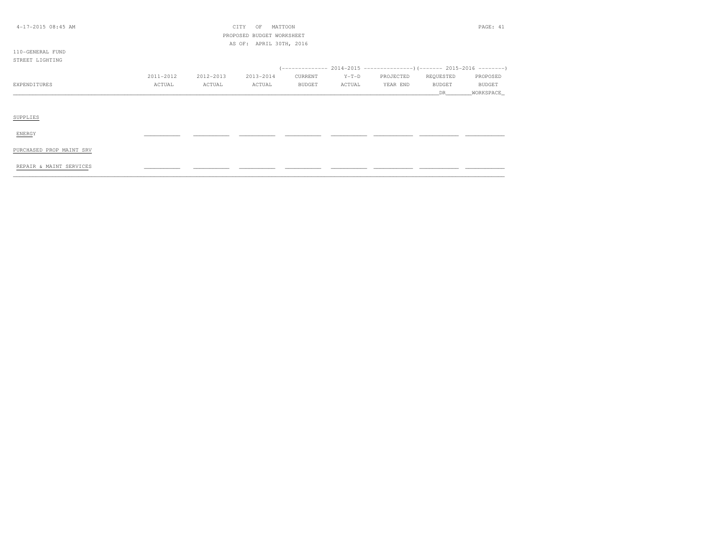| $4-17-2015$ 08:45 AM<br>PAGE: 41<br>CITY<br>OF<br>MATTOON |           |           |         |                                                      |           |               |             |
|-----------------------------------------------------------|-----------|-----------|---------|------------------------------------------------------|-----------|---------------|-------------|
|                                                           |           |           |         |                                                      |           |               |             |
|                                                           |           |           |         |                                                      |           |               |             |
|                                                           |           |           |         |                                                      |           |               |             |
|                                                           |           |           |         |                                                      |           |               |             |
|                                                           |           |           |         |                                                      |           |               |             |
| 2011-2012                                                 | 2012-2013 | 2013-2014 | CURRENT | $Y-T-D$                                              | PROJECTED | REQUESTED     | PROPOSED    |
| ACTUAL                                                    | ACTUAL    | ACTUAL    | BUDGET  | ACTUAL                                               | YEAR END  | <b>BUDGET</b> | BUDGET      |
|                                                           |           |           |         |                                                      |           | DR            | _WORKSPACE_ |
|                                                           |           |           |         |                                                      |           |               |             |
|                                                           |           |           |         |                                                      |           |               |             |
|                                                           |           |           |         |                                                      |           |               |             |
|                                                           |           |           |         |                                                      |           |               |             |
|                                                           |           |           |         |                                                      |           |               |             |
|                                                           |           |           |         |                                                      |           |               |             |
|                                                           |           |           |         |                                                      |           |               |             |
|                                                           |           |           |         |                                                      |           |               |             |
|                                                           |           |           |         |                                                      |           |               |             |
|                                                           |           |           |         | PROPOSED BUDGET WORKSHEET<br>AS OF: APRIL 30TH, 2016 |           |               |             |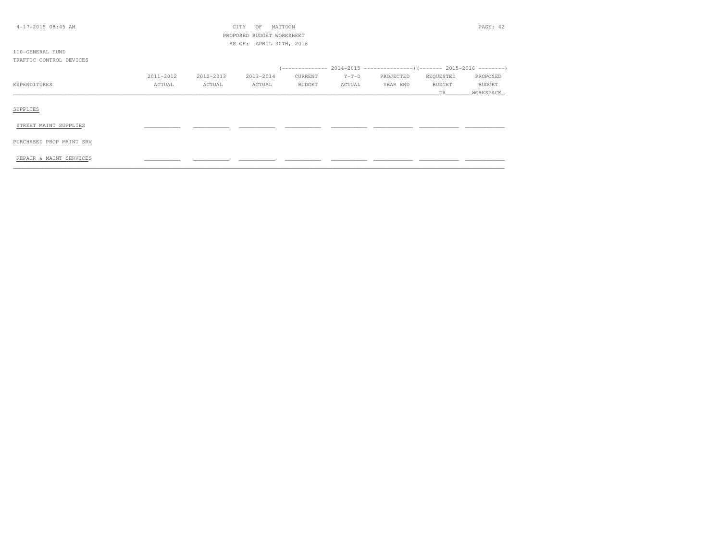| $4-17-2015$ 08:45 AM     |           |           | MATTOON<br>CITY<br>OF     |         |         |           |               | PAGE: 42      |
|--------------------------|-----------|-----------|---------------------------|---------|---------|-----------|---------------|---------------|
|                          |           |           | PROPOSED BUDGET WORKSHEET |         |         |           |               |               |
|                          |           |           | AS OF: APRIL 30TH, 2016   |         |         |           |               |               |
| 110-GENERAL FUND         |           |           |                           |         |         |           |               |               |
| TRAFFIC CONTROL DEVICES  |           |           |                           |         |         |           |               |               |
|                          |           |           |                           |         |         |           |               |               |
|                          | 2011-2012 | 2012-2013 | 2013-2014                 | CURRENT | $Y-T-D$ | PROJECTED | REQUESTED     | PROPOSED      |
| EXPENDITURES             | ACTUAL    | ACTUAL    | ACTUAL                    | BUDGET  | ACTUAL  | YEAR END  | <b>BUDGET</b> | <b>BUDGET</b> |
|                          |           |           |                           |         |         |           | DR.           | WORKSPACE_    |
|                          |           |           |                           |         |         |           |               |               |
| SUPPLIES                 |           |           |                           |         |         |           |               |               |
|                          |           |           |                           |         |         |           |               |               |
| STREET MAINT SUPPLIES    |           |           |                           |         |         |           |               |               |
|                          |           |           |                           |         |         |           |               |               |
| PURCHASED PROP MAINT SRV |           |           |                           |         |         |           |               |               |
|                          |           |           |                           |         |         |           |               |               |
| REPAIR & MAINT SERVICES  |           |           |                           |         |         |           |               |               |
|                          |           |           |                           |         |         |           |               |               |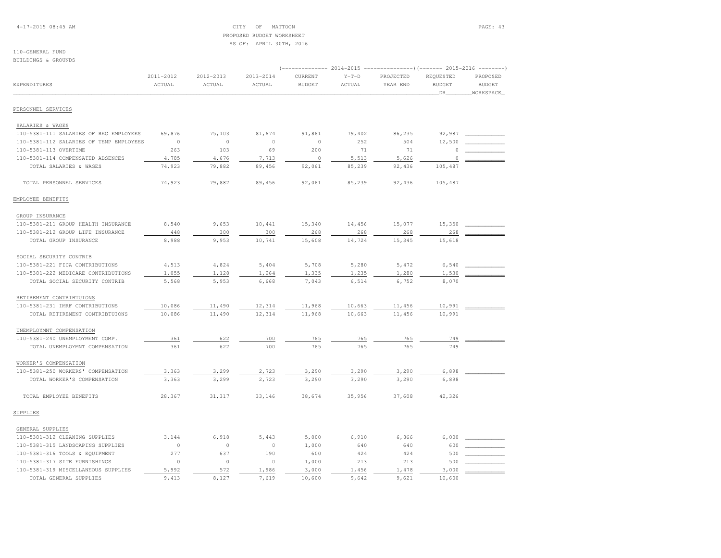4-17-2015 08:45 AM CITY OF MATTOON PAGE: 43 PROPOSED BUDGET WORKSHEETAS OF: APRIL 30TH, 2016

#### 110-GENERAL FUNDBUILDINGS & GROUNDS

|                                         |                     | $2014-2015$ ----------------)(------- 2015-2016 |                     |                          |                   |                       |                            |                           |
|-----------------------------------------|---------------------|-------------------------------------------------|---------------------|--------------------------|-------------------|-----------------------|----------------------------|---------------------------|
| EXPENDITURES                            | 2011-2012<br>ACTUAL | 2012-2013<br>ACTUAL                             | 2013-2014<br>ACTUAL | CURRENT<br><b>BUDGET</b> | $Y-T-D$<br>ACTUAL | PROJECTED<br>YEAR END | REQUESTED<br><b>BUDGET</b> | PROPOSED<br><b>BUDGET</b> |
|                                         |                     |                                                 |                     |                          |                   |                       | DR                         | WORKSPACE                 |
| PERSONNEL SERVICES                      |                     |                                                 |                     |                          |                   |                       |                            |                           |
| SALARIES & WAGES                        |                     |                                                 |                     |                          |                   |                       |                            |                           |
| 110-5381-111 SALARIES OF REG EMPLOYEES  | 69,876              | 75,103                                          | 81,674              | 91,861                   | 79,402            | 86,235                | 92,987                     |                           |
| 110-5381-112 SALARIES OF TEMP EMPLOYEES | $\circ$             | $\circ$                                         | $\circ$             | $\circ$                  | 252               | 504                   | 12,500                     |                           |
| 110-5381-113 OVERTIME                   | 263                 | 103                                             | 69                  | 200                      | 71                | 71                    |                            |                           |
| 110-5381-114 COMPENSATED ABSENCES       | 4,785               | 4,676                                           | 7,713               | $\circ$                  | 5,513             | 5,626                 | $\Omega$                   |                           |
| TOTAL SALARIES & WAGES                  | 74,923              | 79,882                                          | 89,456              | 92,061                   | 85,239            | 92,436                | 105,487                    |                           |
| TOTAL PERSONNEL SERVICES                | 74,923              | 79,882                                          | 89,456              | 92,061                   | 85,239            | 92,436                | 105,487                    |                           |
| EMPLOYEE BENEFITS                       |                     |                                                 |                     |                          |                   |                       |                            |                           |
| GROUP INSURANCE                         |                     |                                                 |                     |                          |                   |                       |                            |                           |
| 110-5381-211 GROUP HEALTH INSURANCE     | 8,540               | 9,653                                           | 10,441              | 15,340                   | 14,456            | 15,077                | 15,350                     |                           |
| 110-5381-212 GROUP LIFE INSURANCE       | 448                 | 300                                             | 300                 | 268                      | 268               | 268                   | 268                        |                           |
| TOTAL GROUP INSURANCE                   | 8,988               | 9,953                                           | 10,741              | 15,608                   | 14,724            | 15,345                | 15,618                     |                           |
| SOCIAL SECURITY CONTRIB                 |                     |                                                 |                     |                          |                   |                       |                            |                           |
| 110-5381-221 FICA CONTRIBUTIONS         | 4,513               | 4,824                                           | 5,404               | 5,708                    | 5,280             | 5,472                 | 6,540                      |                           |
| 110-5381-222 MEDICARE CONTRIBUTIONS     | 1,055               | 1,128                                           | 1,264               | 1,335                    | 1,235             | 1,280                 | 1,530                      |                           |
| TOTAL SOCIAL SECURITY CONTRIB           | 5,568               | 5,953                                           | 6,668               | 7,043                    | 6,514             | 6,752                 | 8,070                      |                           |
| RETIREMENT CONTRIBTUIONS                |                     |                                                 |                     |                          |                   |                       |                            |                           |
| 110-5381-231 IMRF CONTRIBUTIONS         | 10,086              | 11,490                                          | 12,314              | 11,968                   | 10,663            | 11,456                | 10,991                     |                           |
| TOTAL RETIREMENT CONTRIBTUIONS          | 10,086              | 11,490                                          | 12,314              | 11,968                   | 10,663            | 11,456                | 10,991                     |                           |
| UNEMPLOYMNT COMPENSATION                |                     |                                                 |                     |                          |                   |                       |                            |                           |
| 110-5381-240 UNEMPLOYMENT COMP.         | 361                 | 622                                             | 700                 | 765                      | 765               | 765                   | 749                        |                           |
| TOTAL UNEMPLOYMNT COMPENSATION          | 361                 | 622                                             | 700                 | 765                      | 765               | 765                   | 749                        |                           |
| WORKER'S COMPENSATION                   |                     |                                                 |                     |                          |                   |                       |                            |                           |
| 110-5381-250 WORKERS' COMPENSATION      | 3,363               | 3,299                                           | 2,723               | 3,290                    | 3,290             | 3,290                 | 6,898                      |                           |
| TOTAL WORKER'S COMPENSATION             | 3,363               | 3,299                                           | 2,723               | 3,290                    | 3,290             | 3,290                 | 6,898                      |                           |
| TOTAL EMPLOYEE BENEFITS                 | 28,367              | 31,317                                          | 33,146              | 38,674                   | 35,956            | 37,608                | 42,326                     |                           |
| SUPPLIES                                |                     |                                                 |                     |                          |                   |                       |                            |                           |
| GENERAL SUPPLIES                        |                     |                                                 |                     |                          |                   |                       |                            |                           |
| 110-5381-312 CLEANING SUPPLIES          | 3,144               | 6,918                                           | 5,443               | 5,000                    | 6,910             | 6,866                 | 6,000                      |                           |
| 110-5381-315 LANDSCAPING SUPPLIES       | $\mathbb O$         | $\circ$                                         | $\circ$             | 1,000                    | 640               | 640                   | 600                        |                           |
| 110-5381-316 TOOLS & EQUIPMENT          | 277                 | 637                                             | 190                 | 600                      | 424               | 424                   | 500                        |                           |
| 110-5381-317 SITE FURNISHINGS           | $\circ$             | $\circ$                                         | $\circ$             | 1,000                    | 213               | 213                   | 500                        |                           |
| 110-5381-319 MISCELLANEOUS SUPPLIES     | 5,992               | 572                                             | 1,986               | 3,000                    | 1,456             | 1,478                 | 3,000                      |                           |
| TOTAL GENERAL SUPPLIES                  | 9,413               | 8,127                                           | 7,619               | 10,600                   | 9,642             | 9,621                 | 10,600                     |                           |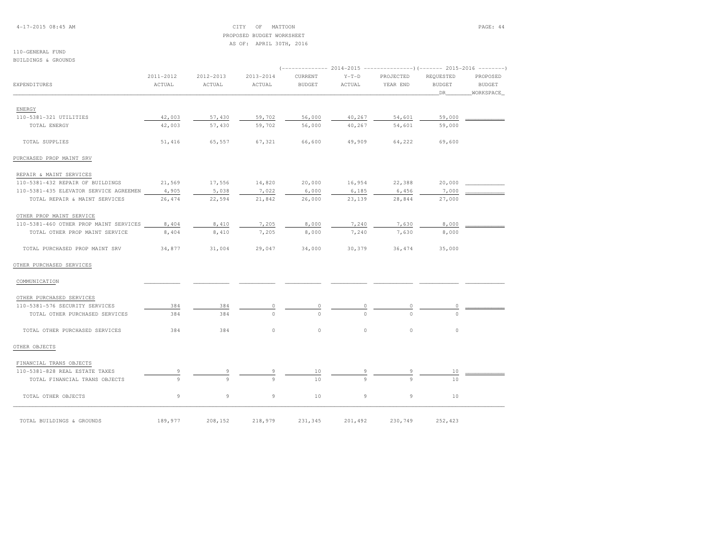4-17-2015 08:45 AM CITY OF MATTOON PAGE: 44 PROPOSED BUDGET WORKSHEETAS OF: APRIL 30TH, 2016

## 110-GENERAL FUND

BUILDINGS & GROUNDS

|                                        |           |           |           |               |         | (------------- 2014-2015 ----------------)(------- 2015-2016 --------) |               |               |
|----------------------------------------|-----------|-----------|-----------|---------------|---------|------------------------------------------------------------------------|---------------|---------------|
|                                        | 2011-2012 | 2012-2013 | 2013-2014 | CURRENT       | $Y-T-D$ | PROJECTED                                                              | REQUESTED     | PROPOSED      |
| EXPENDITURES                           | ACTUAL    | ACTUAL    | ACTUAL    | <b>BUDGET</b> | ACTUAL  | YEAR END                                                               | <b>BUDGET</b> | <b>BUDGET</b> |
|                                        |           |           |           |               |         |                                                                        | DR            | WORKSPACE     |
| ENERGY                                 |           |           |           |               |         |                                                                        |               |               |
| 110-5381-321 UTILITIES                 | 42,003    | 57,430    | 59,702    | 56,000        | 40,267  | 54,601                                                                 | 59,000        |               |
| TOTAL ENERGY                           | 42,003    | 57,430    | 59,702    | 56,000        | 40,267  | 54,601                                                                 | 59,000        |               |
| TOTAL SUPPLIES                         | 51,416    | 65,557    | 67,321    | 66,600        | 49,909  | 64,222                                                                 | 69,600        |               |
| PURCHASED PROP MAINT SRV               |           |           |           |               |         |                                                                        |               |               |
| REPAIR & MAINT SERVICES                |           |           |           |               |         |                                                                        |               |               |
| 110-5381-432 REPAIR OF BUILDINGS       | 21,569    | 17,556    | 14,820    | 20,000        | 16,954  | 22,388                                                                 | 20,000        |               |
| 110-5381-435 ELEVATOR SERVICE AGREEMEN | 4,905     | 5,038     | 7,022     | 6,000         | 6,185   | 6,456                                                                  | 7,000         |               |
| TOTAL REPAIR & MAINT SERVICES          | 26,474    | 22,594    | 21,842    | 26,000        | 23,139  | 28,844                                                                 | 27,000        |               |
| OTHER PROP MAINT SERVICE               |           |           |           |               |         |                                                                        |               |               |
| 110-5381-460 OTHER PROP MAINT SERVICES | 8,404     | 8,410     | 7,205     | 8,000         | 7,240   | 7,630                                                                  | 8,000         |               |
| TOTAL OTHER PROP MAINT SERVICE         | 8,404     | 8,410     | 7,205     | 8,000         | 7,240   | 7,630                                                                  | 8,000         |               |
| TOTAL PURCHASED PROP MAINT SRV         | 34,877    | 31,004    | 29,047    | 34,000        | 30,379  | 36,474                                                                 | 35,000        |               |
| OTHER PURCHASED SERVICES               |           |           |           |               |         |                                                                        |               |               |
| COMMUNICATION                          |           |           |           |               |         |                                                                        |               |               |
| OTHER PURCHASED SERVICES               |           |           |           |               |         |                                                                        |               |               |
| 110-5381-576 SECURITY SERVICES         | 384       | 384       | 0         | $\circ$       |         | $\circ$                                                                | 0             |               |
| TOTAL OTHER PURCHASED SERVICES         | 384       | 384       | $\Omega$  | $\Omega$      | $\cap$  | $\Omega$                                                               | $\Omega$      |               |
| TOTAL OTHER PURCHASED SERVICES         | 384       | 384       | $\circ$   | $\circ$       | $\circ$ | $\circ$                                                                | $\circ$       |               |
| OTHER OBJECTS                          |           |           |           |               |         |                                                                        |               |               |
| FINANCIAL TRANS OBJECTS                |           |           |           |               |         |                                                                        |               |               |
| 110-5381-828 REAL ESTATE TAXES         |           |           |           | 10            |         |                                                                        | 10            |               |
| TOTAL FINANCIAL TRANS OBJECTS          | 9         | 9         | 9         | 10            | 9       | $\circ$                                                                | 10            |               |
| TOTAL OTHER OBJECTS                    | 9         | 9         | 9         | 10            | 9       | 9                                                                      | 10            |               |
| TOTAL BUILDINGS & GROUNDS              | 189,977   | 208,152   | 218,979   | 231,345       | 201,492 | 230,749                                                                | 252,423       |               |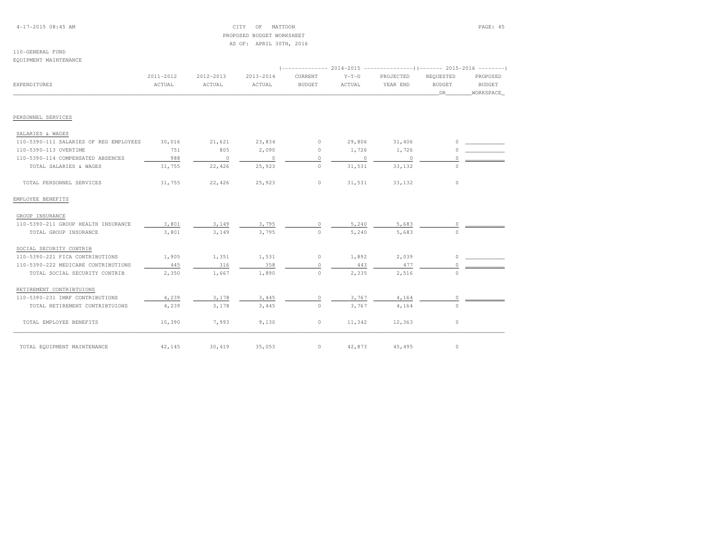## 4-17-2015 08:45 AM CITY OF MATTOON PAGE: 45 PROPOSED BUDGET WORKSHEETAS OF: APRIL 30TH, 2016

#### 110-GENERAL FUNDEQUIPMENT MAINTENANCE

|                                        |           |           | -------------- |               |         |           |               |               |  |
|----------------------------------------|-----------|-----------|----------------|---------------|---------|-----------|---------------|---------------|--|
|                                        | 2011-2012 | 2012-2013 | 2013-2014      | CURRENT       | $Y-T-D$ | PROJECTED | REOUESTED     | PROPOSED      |  |
| EXPENDITURES                           | ACTUAL    | ACTUAL    | ACTUAL         | <b>BUDGET</b> | ACTUAL  | YEAR END  | <b>BUDGET</b> | <b>BUDGET</b> |  |
|                                        |           |           |                |               |         |           | DR            | WORKSPACE     |  |
| PERSONNEL SERVICES                     |           |           |                |               |         |           |               |               |  |
| SALARIES & WAGES                       |           |           |                |               |         |           |               |               |  |
| 110-5390-111 SALARIES OF REG EMPLOYEES | 30,016    | 21,621    | 23,834         | $\circ$       | 29,806  | 31,406    |               |               |  |
| 110-5390-113 OVERTIME                  | 751       | 805       | 2,090          | $\circ$       | 1,726   | 1,726     |               |               |  |
| 110-5390-114 COMPENSATED ABSENCES      | 988       | $\circ$   | $\circ$        | $\Omega$      | $\circ$ | 0         |               |               |  |
| TOTAL SALARIES & WAGES                 | 31,755    | 22,426    | 25,923         | $\circ$       | 31,531  | 33,132    | $\Omega$      |               |  |
| TOTAL PERSONNEL SERVICES               | 31,755    | 22,426    | 25,923         | $\circ$       | 31,531  | 33,132    | $\Omega$      |               |  |
| EMPLOYEE BENEFITS                      |           |           |                |               |         |           |               |               |  |
| GROUP INSURANCE                        |           |           |                |               |         |           |               |               |  |
| 110-5390-211 GROUP HEALTH INSURANCE    | 3,801     | 3,149     | 3,795          | $\bigcap$     | 5,240   | 5,683     | $\Omega$      |               |  |
| TOTAL GROUP INSURANCE                  | 3,801     | 3,149     | 3,795          | $\circ$       | 5,240   | 5,683     |               |               |  |
| SOCIAL SECURITY CONTRIB                |           |           |                |               |         |           |               |               |  |
| 110-5390-221 FICA CONTRIBUTIONS        | 1,905     | 1,351     | 1,531          | $\circ$       | 1,892   | 2,039     | $\Omega$      |               |  |
| 110-5390-222 MEDICARE CONTRIBUTIONS    | 445       | 316       | 358            | $\circ$       | 443     | 477       |               |               |  |
| TOTAL SOCIAL SECURITY CONTRIB          | 2,350     | 1,667     | 1,890          | $\Omega$      | 2,335   | 2,516     | $\cap$        |               |  |
| RETIREMENT CONTRIBTUIONS               |           |           |                |               |         |           |               |               |  |
| 110-5390-231 IMRF CONTRIBUTIONS        | 4,239     | 3,178     | 3,445          | $\circ$       | 3,767   | 4,164     | 0             |               |  |
| TOTAL RETIREMENT CONTRIBTUIONS         | 4,239     | 3,178     | 3,445          | $\circ$       | 3,767   | 4,164     | $\Omega$      |               |  |
| TOTAL EMPLOYEE BENEFITS                | 10,390    | 7,993     | 9,130          | $\circ$       | 11,342  | 12,363    | 0             |               |  |
| TOTAL EQUIPMENT MAINTENANCE            | 42,145    | 30,419    | 35,053         | $\circ$       | 42,873  | 45,495    | $\circ$       |               |  |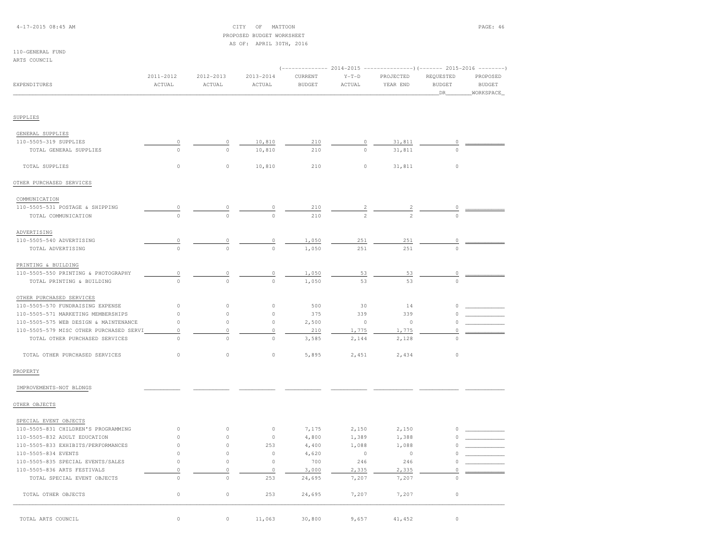## 4-17-2015 08:45 AM CITY OF MATTOON PAGE: 46 PROPOSED BUDGET WORKSHEETAS OF: APRIL 30TH, 2016

## 110-GENERAL FUNDARTS COUNCIL

| EXPENDITURES                            | 2011-2012<br>ACTUAL | 2012-2013<br>ACTUAL | 2013-2014<br>ACTUAL | CURRENT<br><b>BUDGET</b> | $Y-T-D$<br>ACTUAL | PROJECTED<br>YEAR END | REQUESTED<br><b>BUDGET</b><br>DR. | PROPOSED<br><b>BUDGET</b><br>WORKSPACE |
|-----------------------------------------|---------------------|---------------------|---------------------|--------------------------|-------------------|-----------------------|-----------------------------------|----------------------------------------|
| SUPPLIES                                |                     |                     |                     |                          |                   |                       |                                   |                                        |
|                                         |                     |                     |                     |                          |                   |                       |                                   |                                        |
| GENERAL SUPPLIES                        |                     |                     |                     |                          |                   |                       |                                   |                                        |
| 110-5505-319 SUPPLIES                   | $\circ$             | 0                   | 10,810              | 210                      | $\circ$           | 31,811                | 0                                 |                                        |
| TOTAL GENERAL SUPPLIES                  | $\circ$             | $\circ$             | 10,810              | 210                      | $\circ$           | 31,811                | $\Omega$                          |                                        |
| TOTAL SUPPLIES                          | $\circ$             | $\circ$             | 10,810              | 210                      | $\circ$           | 31,811                | $\circ$                           |                                        |
| OTHER PURCHASED SERVICES                |                     |                     |                     |                          |                   |                       |                                   |                                        |
| COMMUNICATION                           |                     |                     |                     |                          |                   |                       |                                   |                                        |
| 110-5505-531 POSTAGE & SHIPPING         | $\circ$             |                     | 0                   | 210                      | $\frac{2}{2}$     | $\frac{2}{2}$         |                                   |                                        |
| TOTAL COMMUNICATION                     | $\circ$             |                     | $\theta$            | 210                      |                   |                       |                                   |                                        |
| ADVERTISING                             |                     |                     |                     |                          |                   |                       |                                   |                                        |
| 110-5505-540 ADVERTISING                | $\mathbb O$         | $\mathbb O$         | $\mathbb O$         | 1,050                    | 251               | 251                   | $\mathbb O$                       |                                        |
| TOTAL ADVERTISING                       | $\circ$             | $\circ$             | $\circ$             | 1,050                    | 251               | 251                   | $\Omega$                          |                                        |
| PRINTING & BUILDING                     |                     |                     |                     |                          |                   |                       |                                   |                                        |
| 110-5505-550 PRINTING & PHOTOGRAPHY     | $\overline{0}$      | 0                   | $\mathbb O$         | 1,050                    | 53                | 53                    | 0                                 |                                        |
| TOTAL PRINTING & BUILDING               | $\Omega$            | $\Omega$            | $\circ$             | 1,050                    | 53                | 53                    | $\circ$                           |                                        |
| OTHER PURCHASED SERVICES                |                     |                     |                     |                          |                   |                       |                                   |                                        |
| 110-5505-570 FUNDRAISING EXPENSE        | $\circ$             | 0                   | $\circ$             | 500                      | 30                | 14                    |                                   |                                        |
| 110-5505-571 MARKETING MEMBERSHIPS      | $\circ$             | $\circ$             | $\circ$             | 375                      | 339               | 339                   | $\Omega$                          |                                        |
| 110-5505-575 WEB DESIGN & MAINTENANCE   | $\circ$             | $\circ$             | $\circ$             | 2,500                    | $\circ$           | $\circ$               | 0                                 |                                        |
| 110-5505-579 MISC OTHER PURCHASED SERVI | $\mathbb O$         | $\mathbb O$         | $\circ$             | 210                      | 1,775             | 1,775                 | $\mathbb O$                       |                                        |
| TOTAL OTHER PURCHASED SERVICES          | $\circ$             | $\circ$             | $\circ$             | 3,585                    | 2,144             | 2,128                 | $\Omega$                          |                                        |
| TOTAL OTHER PURCHASED SERVICES          | $\circ$             | $\circ$             | $\circ$             | 5,895                    | 2,451             | 2,434                 | $\circ$                           |                                        |
| PROPERTY                                |                     |                     |                     |                          |                   |                       |                                   |                                        |
| IMPROVEMENTS-NOT BLDNGS                 |                     |                     |                     |                          |                   |                       |                                   |                                        |
| OTHER OBJECTS                           |                     |                     |                     |                          |                   |                       |                                   |                                        |
| SPECIAL EVENT OBJECTS                   |                     |                     |                     |                          |                   |                       |                                   |                                        |
| 110-5505-831 CHILDREN'S PROGRAMMING     | $\circ$             | $\circ$             | $\circ$             | 7,175                    | 2,150             | 2,150                 | $\Omega$                          |                                        |
| 110-5505-832 ADULT EDUCATION            | $\circ$             | 0                   | $\circ$             | 4,800                    | 1,389             | 1,388                 |                                   |                                        |
| 110-5505-833 EXHIBITS/PERFORMANCES      | $\circ$             | $\Omega$            | 253                 | 4,400                    | 1,088             | 1,088                 |                                   |                                        |
| 110-5505-834 EVENTS                     | $\circ$             | $\Omega$            | $\circ$             | 4,620                    | $\circ$           | $\circ$               | 0                                 |                                        |
| 110-5505-835 SPECIAL EVENTS/SALES       | $\circ$             | $\mathbb O$         | $\circ$             | 700                      | 246               | 246                   | 0                                 |                                        |
| 110-5505-836 ARTS FESTIVALS             | $\circ$             | 0                   | $\circ$             | 3,000                    | 2,335             | 2,335                 | 0                                 |                                        |
| TOTAL SPECIAL EVENT OBJECTS             | $\mathbb O$         | $\circ$             | 253                 | 24,695                   | 7,207             | 7,207                 | $\Omega$                          |                                        |
| TOTAL OTHER OBJECTS                     | $\circ$             | $\circ$             | 253                 | 24,695                   | 7,207             | 7,207                 | $\mathbb O$                       |                                        |
| TOTAL ARTS COUNCIL                      | $\circ$             | $\circ$             | 11,063              | 30,800                   | 9,657             | 41,452                | $\circ$                           |                                        |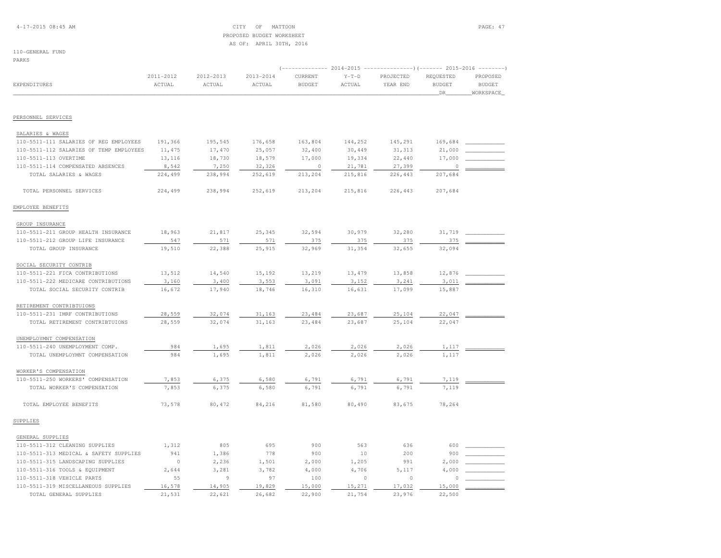# PROPOSED BUDGET WORKSHEETAS OF: APRIL 30TH, 2016

## 110-GENERAL FUND

PARKS

|                                         |                     |                     |                     |                          |                   | (------------- 2014-2015 ---------------------- 2015-2016 ---------- |                            |                           |
|-----------------------------------------|---------------------|---------------------|---------------------|--------------------------|-------------------|----------------------------------------------------------------------|----------------------------|---------------------------|
| EXPENDITURES                            | 2011-2012<br>ACTUAL | 2012-2013<br>ACTUAL | 2013-2014<br>ACTUAL | CURRENT<br><b>BUDGET</b> | $Y-T-D$<br>ACTUAL | PROJECTED<br>YEAR END                                                | REQUESTED<br><b>BUDGET</b> | PROPOSED<br><b>BUDGET</b> |
|                                         |                     |                     |                     |                          |                   |                                                                      | _DR_                       | WORKSPACE                 |
| PERSONNEL SERVICES                      |                     |                     |                     |                          |                   |                                                                      |                            |                           |
| SALARIES & WAGES                        |                     |                     |                     |                          |                   |                                                                      |                            |                           |
| 110-5511-111 SALARIES OF REG EMPLOYEES  | 191,366             | 195,545             | 176,658             | 163,804                  | 144,252           | 145,291                                                              | 169,684                    |                           |
| 110-5511-112 SALARIES OF TEMP EMPLOYEES | 11,475              | 17,470              | 25,057              | 32,400                   | 30,449            | 31, 313                                                              | 21,000                     |                           |
| 110-5511-113 OVERTIME                   | 13,116              | 18,730              | 18,579              | 17,000                   | 19,334            | 22,440                                                               | 17,000                     |                           |
| 110-5511-114 COMPENSATED ABSENCES       | 8,542               | 7,250               | 32,326              | $\circ$                  | 21,781            | 27,399                                                               | $\circ$                    |                           |
| TOTAL SALARIES & WAGES                  | 224,499             | 238,994             | 252,619             | 213,204                  | 215,816           | 226,443                                                              | 207,684                    |                           |
| TOTAL PERSONNEL SERVICES                | 224,499             | 238,994             | 252,619             | 213,204                  | 215,816           | 226,443                                                              | 207,684                    |                           |
| EMPLOYEE BENEFITS                       |                     |                     |                     |                          |                   |                                                                      |                            |                           |
| GROUP INSURANCE                         |                     |                     |                     |                          |                   |                                                                      |                            |                           |
| 110-5511-211 GROUP HEALTH INSURANCE     | 18,963              | 21,817              | 25,345              | 32,594                   | 30,979            | 32,280                                                               | 31,719                     |                           |
| 110-5511-212 GROUP LIFE INSURANCE       | 547                 | 571                 | 571                 | 375                      | 375               | 375                                                                  | 375                        |                           |
| TOTAL GROUP INSURANCE                   | 19,510              | 22,388              | 25,915              | 32,969                   | 31,354            | 32,655                                                               | 32,094                     |                           |
| SOCIAL SECURITY CONTRIB                 |                     |                     |                     |                          |                   |                                                                      |                            |                           |
| 110-5511-221 FICA CONTRIBUTIONS         | 13,512              | 14,540              | 15,192              | 13,219                   | 13,479            | 13,858                                                               | 12,876                     |                           |
| 110-5511-222 MEDICARE CONTRIBUTIONS     | 3,160               | 3,400               | 3,553               | 3,091                    | 3,152             | 3,241                                                                | 3,011                      |                           |
| TOTAL SOCIAL SECURITY CONTRIB           | 16,672              | 17,940              | 18,746              | 16,310                   | 16,631            | 17,099                                                               | 15,887                     |                           |
| RETIREMENT CONTRIBTUIONS                |                     |                     |                     |                          |                   |                                                                      |                            |                           |
| 110-5511-231 IMRF CONTRIBUTIONS         | 28,559              | 32,074              | 31,163              | 23,484                   | 23,687            | 25,104                                                               | 22,047                     |                           |
| TOTAL RETIREMENT CONTRIBTUIONS          | 28,559              | 32,074              | 31,163              | 23,484                   | 23,687            | 25,104                                                               | 22,047                     |                           |
| UNEMPLOYMNT COMPENSATION                |                     |                     |                     |                          |                   |                                                                      |                            |                           |
| 110-5511-240 UNEMPLOYMENT COMP.         | 984                 | 1,695               | 1,811               | 2,026                    | 2,026             | 2,026                                                                | 1,117                      |                           |
| TOTAL UNEMPLOYMNT COMPENSATION          | 984                 | 1,695               | 1,811               | 2,026                    | 2,026             | 2,026                                                                | 1,117                      |                           |
| WORKER'S COMPENSATION                   |                     |                     |                     |                          |                   |                                                                      |                            |                           |
| 110-5511-250 WORKERS' COMPENSATION      | 7,853               | 6,375               | 6,580               | 6,791                    | 6,791             | 6,791                                                                | 7,119                      |                           |
| TOTAL WORKER'S COMPENSATION             | 7,853               | 6,375               | 6,580               | 6,791                    | 6,791             | 6,791                                                                | 7,119                      |                           |
| TOTAL EMPLOYEE BENEFITS                 | 73,578              | 80,472              | 84,216              | 81,580                   | 80,490            | 83,675                                                               | 78,264                     |                           |
| SUPPLIES                                |                     |                     |                     |                          |                   |                                                                      |                            |                           |
| GENERAL SUPPLIES                        |                     |                     |                     |                          |                   |                                                                      |                            |                           |
| 110-5511-312 CLEANING SUPPLIES          | 1,312               | 805                 | 695                 | 900                      | 563               | 636                                                                  | 600                        |                           |
| 110-5511-313 MEDICAL & SAFETY SUPPLIES  | 941                 | 1,386               | 778                 | 900                      | 10                | 200                                                                  | 900                        |                           |
| 110-5511-315 LANDSCAPING SUPPLIES       | $\circ$             | 2,236               | 1,501               | 2,000                    | 1,205             | 991                                                                  | 2,000                      |                           |
| 110-5511-316 TOOLS & EQUIPMENT          | 2,644               | 3,281               | 3,782               | 4,000                    | 4,706             | 5,117                                                                | 4,000                      |                           |
| 110-5511-318 VEHICLE PARTS              | 55                  | 9                   | 97                  | 100                      | $\circ$           | $\circ$                                                              | $\Omega$                   |                           |
| 110-5511-319 MISCELLANEOUS SUPPLIES     | 16,578              | 14,905              | 19,829              | 15,000                   | 15,271            | 17,032                                                               | 15,000                     |                           |
| TOTAL GENERAL SUPPLIES                  | 21,531              | 22,621              | 26,682              | 22,900                   | 21,754            | 23,976                                                               | 22,500                     |                           |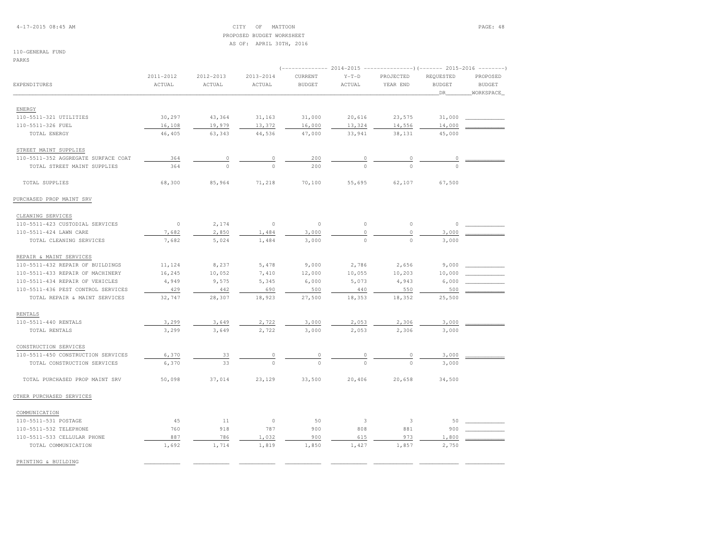## 4-17-2015 08:45 AM CITY OF MATTOON PAGE: 48 PROPOSED BUDGET WORKSHEETAS OF: APRIL 30TH, 2016

## 110-GENERAL FUND

PARKS

|                                     |                     |                     |                     |                          |                   | (-------------- 2014-2015 ----------------)(------- 2015-2016 --------) |                                                                                                                                                                                                   |                           |  |  |
|-------------------------------------|---------------------|---------------------|---------------------|--------------------------|-------------------|-------------------------------------------------------------------------|---------------------------------------------------------------------------------------------------------------------------------------------------------------------------------------------------|---------------------------|--|--|
| EXPENDITURES                        | 2011-2012<br>ACTUAL | 2012-2013<br>ACTUAL | 2013-2014<br>ACTUAL | CURRENT<br><b>BUDGET</b> | $Y-T-D$<br>ACTUAL | PROJECTED<br>YEAR END                                                   | REQUESTED<br><b>BUDGET</b>                                                                                                                                                                        | PROPOSED<br><b>BUDGET</b> |  |  |
|                                     |                     |                     |                     |                          |                   |                                                                         | DR<br>31,000<br>14,000<br>45,000<br>0<br>$\cap$<br>67,500<br>0<br>3,000<br>3,000<br>9,000<br>10,000<br>6,000<br>500<br>25,500<br>3,000<br>3,000<br>3,000<br>3,000<br>34,500<br>50<br>900<br>1,800 | WORKSPACE                 |  |  |
| ENERGY                              |                     |                     |                     |                          |                   |                                                                         |                                                                                                                                                                                                   |                           |  |  |
| 110-5511-321 UTILITIES              | 30,297              | 43,364              | 31,163              | 31,000                   | 20,616            | 23,575                                                                  |                                                                                                                                                                                                   |                           |  |  |
| 110-5511-326 FUEL                   | 16,108              | 19,979              | 13,372              | 16,000                   | 13,324            | 14,556                                                                  |                                                                                                                                                                                                   |                           |  |  |
| TOTAL ENERGY                        | 46,405              | 63,343              | 44,536              | 47,000                   | 33,941            | 38,131                                                                  |                                                                                                                                                                                                   |                           |  |  |
|                                     |                     |                     |                     |                          |                   |                                                                         |                                                                                                                                                                                                   |                           |  |  |
| STREET MAINT SUPPLIES               |                     |                     |                     |                          |                   |                                                                         |                                                                                                                                                                                                   |                           |  |  |
| 110-5511-352 AGGREGATE SURFACE COAT | 364                 | $\circ$             | 0                   | 200                      | $\circ$           | 0                                                                       |                                                                                                                                                                                                   |                           |  |  |
| TOTAL STREET MAINT SUPPLIES         | 364                 | $\Omega$            | $\Omega$            | 200                      | $\cap$            | $\cap$                                                                  |                                                                                                                                                                                                   |                           |  |  |
| TOTAL SUPPLIES                      | 68,300              | 85,964              | 71,218              | 70,100                   | 55,695            | 62,107                                                                  |                                                                                                                                                                                                   |                           |  |  |
| PURCHASED PROP MAINT SRV            |                     |                     |                     |                          |                   |                                                                         |                                                                                                                                                                                                   |                           |  |  |
| CLEANING SERVICES                   |                     |                     |                     |                          |                   |                                                                         |                                                                                                                                                                                                   |                           |  |  |
| 110-5511-423 CUSTODIAL SERVICES     | $\circ$             | 2,174               | $\circ$             | $\circ$                  | $\circ$           | $\circ$                                                                 |                                                                                                                                                                                                   |                           |  |  |
| 110-5511-424 LAWN CARE              | 7,682               | 2,850               | 1,484               | 3,000                    | $\mathbb O$       | $\circ$                                                                 |                                                                                                                                                                                                   |                           |  |  |
| TOTAL CLEANING SERVICES             | 7,682               | 5,024               | 1,484               | 3,000                    | $\Omega$          | $\Omega$                                                                |                                                                                                                                                                                                   |                           |  |  |
| REPAIR & MAINT SERVICES             |                     |                     |                     |                          |                   |                                                                         |                                                                                                                                                                                                   |                           |  |  |
| 110-5511-432 REPAIR OF BUILDINGS    | 11,124              | 8,237               | 5,478               | 9,000                    | 2,786             | 2,656                                                                   |                                                                                                                                                                                                   |                           |  |  |
| 110-5511-433 REPAIR OF MACHINERY    | 16,245              | 10,052              | 7,410               | 12,000                   | 10,055            | 10,203                                                                  |                                                                                                                                                                                                   |                           |  |  |
| 110-5511-434 REPAIR OF VEHICLES     | 4,949               | 9,575               | 5,345               | 6,000                    | 5,073             | 4,943                                                                   |                                                                                                                                                                                                   |                           |  |  |
| 110-5511-436 PEST CONTROL SERVICES  | 429                 | 442                 | 690                 | 500                      | 440               | 550                                                                     |                                                                                                                                                                                                   |                           |  |  |
| TOTAL REPAIR & MAINT SERVICES       | 32,747              | 28,307              | 18,923              | 27,500                   | 18,353            | 18,352                                                                  |                                                                                                                                                                                                   |                           |  |  |
| <b>RENTALS</b>                      |                     |                     |                     |                          |                   |                                                                         |                                                                                                                                                                                                   |                           |  |  |
| 110-5511-440 RENTALS                | 3,299               | 3,649               | 2,722               | 3,000                    | 2,053             | 2,306                                                                   |                                                                                                                                                                                                   |                           |  |  |
| TOTAL RENTALS                       | 3,299               | 3,649               | 2,722               | 3,000                    | 2,053             | 2,306                                                                   |                                                                                                                                                                                                   |                           |  |  |
| CONSTRUCTION SERVICES               |                     |                     |                     |                          |                   |                                                                         |                                                                                                                                                                                                   |                           |  |  |
| 110-5511-450 CONSTRUCTION SERVICES  | 6,370               |                     | 0                   | 0                        | 0                 | 0                                                                       |                                                                                                                                                                                                   |                           |  |  |
| TOTAL CONSTRUCTION SERVICES         | 6,370               | 33<br>33            | $\Omega$            |                          |                   | $\Omega$                                                                |                                                                                                                                                                                                   |                           |  |  |
|                                     |                     |                     |                     |                          |                   |                                                                         |                                                                                                                                                                                                   |                           |  |  |
| TOTAL PURCHASED PROP MAINT SRV      | 50,098              | 37,014              | 23,129              | 33,500                   | 20,406            | 20,658                                                                  |                                                                                                                                                                                                   |                           |  |  |
| OTHER PURCHASED SERVICES            |                     |                     |                     |                          |                   |                                                                         |                                                                                                                                                                                                   |                           |  |  |
| COMMUNICATION                       |                     |                     |                     |                          |                   |                                                                         |                                                                                                                                                                                                   |                           |  |  |
| 110-5511-531 POSTAGE                | 45                  | 11                  | $\circ$             | 50                       | 3                 | 3                                                                       |                                                                                                                                                                                                   |                           |  |  |
| 110-5511-532 TELEPHONE              | 760                 | 918                 | 787                 | 900                      | 808               | 881                                                                     |                                                                                                                                                                                                   |                           |  |  |
| 110-5511-533 CELLULAR PHONE         | 887                 | 786                 | 1,032               | 900                      | 615               | 973                                                                     |                                                                                                                                                                                                   |                           |  |  |
| TOTAL COMMUNICATION                 | 1,692               | 1,714               | 1,819               | 1,850                    | 1,427             | 1,857                                                                   | 2,750                                                                                                                                                                                             |                           |  |  |
| PRINTING & BUILDING                 |                     |                     |                     |                          |                   |                                                                         |                                                                                                                                                                                                   |                           |  |  |
|                                     |                     |                     |                     |                          |                   |                                                                         |                                                                                                                                                                                                   |                           |  |  |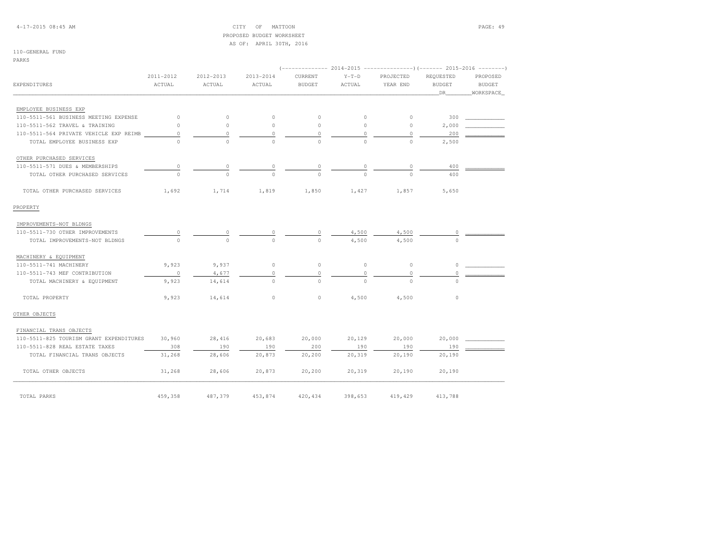## 4-17-2015 08:45 AM CITY OF MATTOON PAGE: 49 PROPOSED BUDGET WORKSHEETAS OF: APRIL 30TH, 2016

## 110-GENERAL FUND

PARKS

|                                         |           |           |           |               | 2014-2015 | ---------------)(------- 2015-2016 -------- |               |               |
|-----------------------------------------|-----------|-----------|-----------|---------------|-----------|---------------------------------------------|---------------|---------------|
|                                         | 2011-2012 | 2012-2013 | 2013-2014 | CURRENT       | $Y-T-D$   | PROJECTED                                   | REQUESTED     | PROPOSED      |
| EXPENDITURES                            | ACTUAL    | ACTUAL    | ACTUAL    | <b>BUDGET</b> | ACTUAL    | YEAR END                                    | <b>BUDGET</b> | <b>BUDGET</b> |
|                                         |           |           |           |               |           |                                             | DR            | WORKSPACE     |
|                                         |           |           |           |               |           |                                             |               |               |
| EMPLOYEE BUSINESS EXP                   |           |           |           |               |           |                                             |               |               |
| 110-5511-561 BUSINESS MEETING EXPENSE   | $\circ$   | $\circ$   | $\circ$   | $\circ$       | $\circ$   | $\circ$                                     | 300           |               |
| 110-5511-562 TRAVEL & TRAINING          | $\circ$   | $\circ$   | $\circ$   | $\circ$       | $\circ$   | $\circ$                                     | 2,000         |               |
| 110-5511-564 PRIVATE VEHICLE EXP REIMB  | $\circ$   | $\circ$   | 0         | $\circ$       | 0         | $\circ$                                     | 200           |               |
| TOTAL EMPLOYEE BUSINESS EXP             | $\cap$    | $\Omega$  | $\Omega$  | $\Omega$      | $\Omega$  | $\cap$                                      | 2,500         |               |
| OTHER PURCHASED SERVICES                |           |           |           |               |           |                                             |               |               |
| 110-5511-571 DUES & MEMBERSHIPS         | 0         | 0         | 0         | $\circ$       | 0         | $\circ$                                     | 400           |               |
| TOTAL OTHER PURCHASED SERVICES          | $\Omega$  | $\Omega$  | $\Omega$  | $\Omega$      | $\Omega$  | $\Omega$                                    | 400           |               |
| TOTAL OTHER PURCHASED SERVICES          | 1,692     | 1,714     | 1,819     | 1,850         | 1,427     | 1,857                                       | 5,650         |               |
| PROPERTY                                |           |           |           |               |           |                                             |               |               |
| IMPROVEMENTS-NOT BLDNGS                 |           |           |           |               |           |                                             |               |               |
| 110-5511-730 OTHER IMPROVEMENTS         |           |           |           |               | 4,500     | 4,500                                       |               |               |
| TOTAL IMPROVEMENTS-NOT BLDNGS           | $\cap$    | $\Omega$  | $\Omega$  | $\Omega$      | 4,500     | 4,500                                       | $\cap$        |               |
| MACHINERY & EQUIPMENT                   |           |           |           |               |           |                                             |               |               |
| 110-5511-741 MACHINERY                  | 9,923     | 9,937     | $\circ$   | $\circ$       | $\circ$   | $\circ$                                     | $\circ$       |               |
| 110-5511-743 MEF CONTRIBUTION           | $\circ$   | 4,677     | $\circ$   | $\circ$       | 0         | $\circ$                                     | $\Omega$      |               |
| TOTAL MACHINERY & EQUIPMENT             | 9,923     | 14,614    | $\circ$   | $\circ$       | $\circ$   | $\circ$                                     | $\circ$       |               |
| TOTAL PROPERTY                          | 9,923     | 14,614    | $\circ$   | $\circ$       | 4,500     | 4,500                                       | $\circ$       |               |
| OTHER OBJECTS                           |           |           |           |               |           |                                             |               |               |
| FINANCIAL TRANS OBJECTS                 |           |           |           |               |           |                                             |               |               |
| 110-5511-825 TOURISM GRANT EXPENDITURES | 30,960    | 28,416    | 20,683    | 20,000        | 20,129    | 20,000                                      | 20,000        |               |
| 110-5511-828 REAL ESTATE TAXES          | 308       | 190       | 190       | 200           | 190       | 190                                         | 190           |               |
| TOTAL FINANCIAL TRANS OBJECTS           | 31,268    | 28,606    | 20,873    | 20,200        | 20,319    | 20,190                                      | 20,190        |               |
| TOTAL OTHER OBJECTS                     | 31,268    | 28,606    | 20,873    | 20,200        | 20,319    | 20,190                                      | 20,190        |               |
| TOTAL PARKS                             | 459,358   | 487,379   | 453,874   | 420,434       | 398,653   | 419,429                                     | 413,788       |               |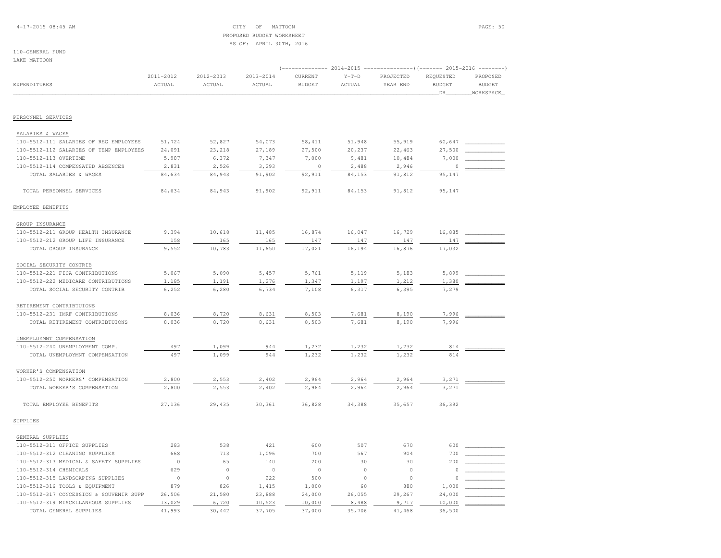## 4-17-2015 08:45 AM CITY OF MATTOON PAGE: 50 PROPOSED BUDGET WORKSHEETAS OF: APRIL 30TH, 2016

## 110-GENERAL FUNDLAKE MATTOON

|                                         |           |           |           |               | ------------)(------- 2015-2016 | $-- - - - - - -$ |               |               |
|-----------------------------------------|-----------|-----------|-----------|---------------|---------------------------------|------------------|---------------|---------------|
|                                         | 2011-2012 | 2012-2013 | 2013-2014 | CURRENT       | $Y-T-D$                         | PROJECTED        | REQUESTED     | PROPOSED      |
| EXPENDITURES                            | ACTUAL    | ACTUAL    | ACTUAL    | <b>BUDGET</b> | ACTUAL                          | YEAR END         | <b>BUDGET</b> | <b>BUDGET</b> |
|                                         |           |           |           |               |                                 |                  | DR            | WORKSPACE     |
|                                         |           |           |           |               |                                 |                  |               |               |
| PERSONNEL SERVICES                      |           |           |           |               |                                 |                  |               |               |
| SALARIES & WAGES                        |           |           |           |               |                                 |                  |               |               |
| 110-5512-111 SALARIES OF REG EMPLOYEES  | 51,724    | 52,827    | 54,073    | 58,411        | 51,948                          | 55,919           | 60,647        |               |
| 110-5512-112 SALARIES OF TEMP EMPLOYEES | 24,091    | 23,218    | 27,189    | 27,500        | 20,237                          | 22,463           | 27,500        |               |
| 110-5512-113 OVERTIME                   | 5,987     | 6,372     | 7,347     | 7,000         | 9,481                           | 10,484           | 7,000         |               |
| 110-5512-114 COMPENSATED ABSENCES       | 2,831     | 2,526     | 3,293     | $\circ$       | 2,488                           | 2,946            | $\circ$       |               |
| TOTAL SALARIES & WAGES                  | 84,634    | 84,943    | 91,902    | 92,911        | 84,153                          | 91,812           | 95,147        |               |
| TOTAL PERSONNEL SERVICES                | 84,634    | 84,943    | 91,902    | 92,911        | 84,153                          | 91,812           | 95,147        |               |
| EMPLOYEE BENEFITS                       |           |           |           |               |                                 |                  |               |               |
| GROUP INSURANCE                         |           |           |           |               |                                 |                  |               |               |
| 110-5512-211 GROUP HEALTH INSURANCE     | 9,394     | 10,618    | 11,485    | 16,874        | 16,047                          | 16,729           | 16,885        |               |
| 110-5512-212 GROUP LIFE INSURANCE       | 158       | 165       | 165       | 147           | 147                             | 147              | 147           |               |
| TOTAL GROUP INSURANCE                   | 9,552     | 10,783    | 11,650    | 17,021        | 16,194                          | 16,876           | 17,032        |               |
| SOCIAL SECURITY CONTRIB                 |           |           |           |               |                                 |                  |               |               |
| 110-5512-221 FICA CONTRIBUTIONS         | 5,067     | 5,090     | 5,457     | 5,761         | 5,119                           | 5,183            | 5,899         |               |
| 110-5512-222 MEDICARE CONTRIBUTIONS     | 1,185     | 1,191     | 1,276     | 1,347         | 1,197                           | 1,212            | 1,380         |               |
| TOTAL SOCIAL SECURITY CONTRIB           | 6,252     | 6,280     | 6,734     | 7,108         | 6,317                           | 6,395            | 7,279         |               |
| RETIREMENT CONTRIBTUIONS                |           |           |           |               |                                 |                  |               |               |
| 110-5512-231 IMRF CONTRIBUTIONS         | 8,036     | 8,720     | 8,631     | 8,503         | 7,681                           | 8,190            | 7,996         |               |
| TOTAL RETIREMENT CONTRIBTUIONS          | 8,036     | 8,720     | 8,631     | 8,503         | 7,681                           | 8,190            | 7,996         |               |
|                                         |           |           |           |               |                                 |                  |               |               |
| UNEMPLOYMNT COMPENSATION                |           |           |           |               |                                 |                  |               |               |
| 110-5512-240 UNEMPLOYMENT COMP.         | 497       | 1,099     | 944       | 1,232         | 1,232                           | 1,232            | 814           |               |
| TOTAL UNEMPLOYMNT COMPENSATION          | 497       | 1,099     | 944       | 1,232         | 1,232                           | 1,232            | 814           |               |
| WORKER'S COMPENSATION                   |           |           |           |               |                                 |                  |               |               |
| 110-5512-250 WORKERS' COMPENSATION      | 2,800     | 2,553     | 2,402     | 2,964         | 2,964                           | 2,964            | 3,271         |               |
| TOTAL WORKER'S COMPENSATION             | 2,800     | 2,553     | 2,402     | 2,964         | 2,964                           | 2,964            | 3,271         |               |
| TOTAL EMPLOYEE BENEFITS                 | 27,136    | 29,435    | 30,361    | 36,828        | 34,388                          | 35,657           | 36,392        |               |
| SUPPLIES                                |           |           |           |               |                                 |                  |               |               |
| GENERAL SUPPLIES                        |           |           |           |               |                                 |                  |               |               |
| 110-5512-311 OFFICE SUPPLIES            | 283       | 538       | 421       | 600           | 507                             | 670              | 600           |               |
| 110-5512-312 CLEANING SUPPLIES          | 668       | 713       | 1,096     | 700           | 567                             | 904              | 700           |               |
| 110-5512-313 MEDICAL & SAFETY SUPPLIES  | $\circ$   | 65        | 140       | 200           | 30                              | 30               | 200           |               |
| 110-5512-314 CHEMICALS                  | 629       | $\circ$   | $\circ$   | $\circ$       | $\circ$                         | $\circ$          | 0             |               |
| 110-5512-315 LANDSCAPING SUPPLIES       | $\circ$   | $\circ$   | 222       | 500           | $\circ$                         | $\circ$          | 0             |               |
| 110-5512-316 TOOLS & EQUIPMENT          | 879       | 826       | 1,415     | 1,000         | 60                              | 880              | 1,000         |               |
| 110-5512-317 CONCESSION & SOUVENIR SUPP | 26,506    | 21,580    | 23,888    | 24,000        | 26,055                          | 29,267           | 24,000        |               |
| 110-5512-319 MISCELLANEOUS SUPPLIES     | 13,029    | 6,720     | 10,523    | 10,000        | 8,488                           | 9,717            | 10,000        |               |
| TOTAL GENERAL SUPPLIES                  | 41,993    | 30,442    | 37,705    | 37,000        | 35,706                          | 41,468           | 36,500        |               |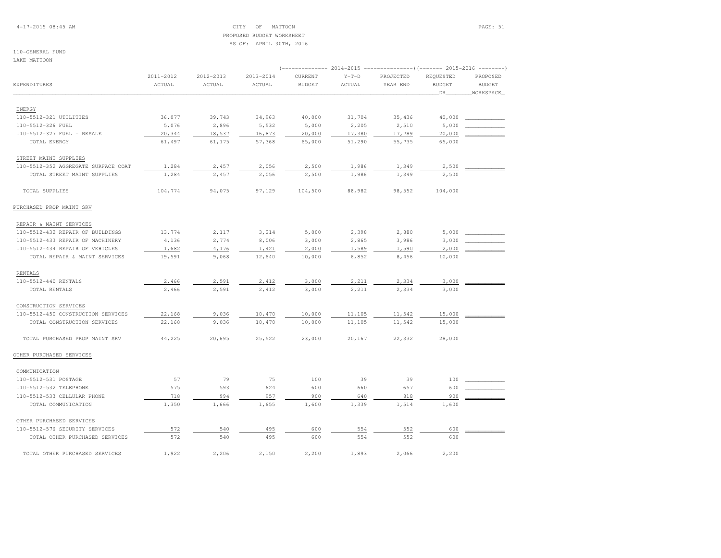## 4-17-2015 08:45 AM CITY OF MATTOON PAGE: 51 PROPOSED BUDGET WORKSHEETAS OF: APRIL 30TH, 2016

#### 110-GENERAL FUNDLAKE MATTOON

|                                     |                     |                     |                         | <i>( _____________</i>   | 2014-2015         |                       |                                   | ---------------)(------- 2015-2016 -------- |  |  |
|-------------------------------------|---------------------|---------------------|-------------------------|--------------------------|-------------------|-----------------------|-----------------------------------|---------------------------------------------|--|--|
| EXPENDITURES                        | 2011-2012<br>ACTUAL | 2012-2013<br>ACTUAL | $2013 - 2014$<br>ACTUAL | CURRENT<br><b>BUDGET</b> | $Y-T-D$<br>ACTUAL | PROJECTED<br>YEAR END | REQUESTED<br><b>BUDGET</b><br>DR. | PROPOSED<br><b>BUDGET</b><br>WORKSPACE      |  |  |
|                                     |                     |                     |                         |                          |                   |                       |                                   |                                             |  |  |
| ENERGY                              |                     |                     |                         |                          |                   |                       |                                   |                                             |  |  |
| 110-5512-321 UTILITIES              | 36,077              | 39,743              | 34,963                  | 40,000                   | 31,704            | 35,436                | 40,000                            |                                             |  |  |
| 110-5512-326 FUEL                   | 5,076               | 2,896               | 5,532                   | 5,000                    | 2,205             | 2,510                 | 5,000                             |                                             |  |  |
| 110-5512-327 FUEL - RESALE          | 20,344              | 18,537              | 16,873                  | 20,000                   | 17,380            | 17,789                | 20,000                            |                                             |  |  |
| TOTAL ENERGY                        | 61,497              | 61,175              | 57,368                  | 65,000                   | 51,290            | 55,735                | 65,000                            |                                             |  |  |
| STREET MAINT SUPPLIES               |                     |                     |                         |                          |                   |                       |                                   |                                             |  |  |
| 110-5512-352 AGGREGATE SURFACE COAT | 1,284               | 2,457               | 2,056                   | 2,500                    | 1,986             | 1,349                 | 2,500                             |                                             |  |  |
| TOTAL STREET MAINT SUPPLIES         | 1,284               | 2,457               | 2,056                   | 2,500                    | 1,986             | 1,349                 | 2,500                             |                                             |  |  |
| TOTAL SUPPLIES                      | 104,774             | 94,075              | 97,129                  | 104,500                  | 88,982            | 98,552                | 104,000                           |                                             |  |  |
| PURCHASED PROP MAINT SRV            |                     |                     |                         |                          |                   |                       |                                   |                                             |  |  |
| REPAIR & MAINT SERVICES             |                     |                     |                         |                          |                   |                       |                                   |                                             |  |  |
| 110-5512-432 REPAIR OF BUILDINGS    | 13,774              | 2,117               | 3,214                   | 5,000                    | 2,398             | 2,880                 | 5,000                             |                                             |  |  |
| 110-5512-433 REPAIR OF MACHINERY    | 4,136               | 2,774               | 8,006                   | 3,000                    | 2,865             | 3,986                 | 3,000                             |                                             |  |  |
| 110-5512-434 REPAIR OF VEHICLES     | 1,682               | 4,176               | 1,421                   | 2,000                    | 1,589             | 1,590                 | 2,000                             |                                             |  |  |
| TOTAL REPAIR & MAINT SERVICES       | 19,591              | 9,068               | 12,640                  | 10,000                   | 6,852             | 8,456                 | 10,000                            |                                             |  |  |
| RENTALS                             |                     |                     |                         |                          |                   |                       |                                   |                                             |  |  |
| 110-5512-440 RENTALS                | 2,466               | 2,591               | 2,412                   | 3,000                    | 2,211             | 2,334                 | 3,000                             |                                             |  |  |
| TOTAL RENTALS                       | 2,466               | 2,591               | 2,412                   | 3,000                    | 2,211             | 2,334                 | 3,000                             |                                             |  |  |
| CONSTRUCTION SERVICES               |                     |                     |                         |                          |                   |                       |                                   |                                             |  |  |
| 110-5512-450 CONSTRUCTION SERVICES  | 22,168              | 9,036               | 10,470                  | 10,000                   | 11,105            | 11,542                | 15,000                            |                                             |  |  |
| TOTAL CONSTRUCTION SERVICES         | 22,168              | 9,036               | 10,470                  | 10,000                   | 11,105            | 11,542                | 15,000                            |                                             |  |  |
| TOTAL PURCHASED PROP MAINT SRV      | 44,225              | 20,695              | 25,522                  | 23,000                   | 20,167            | 22,332                | 28,000                            |                                             |  |  |
| OTHER PURCHASED SERVICES            |                     |                     |                         |                          |                   |                       |                                   |                                             |  |  |
| COMMUNICATION                       |                     |                     |                         |                          |                   |                       |                                   |                                             |  |  |
| 110-5512-531 POSTAGE                | 57                  | 79                  | 75                      | 100                      | 39                | 39                    | 100                               |                                             |  |  |
| 110-5512-532 TELEPHONE              | 575                 | 593                 | 624                     | 600                      | 660               | 657                   | 600                               |                                             |  |  |
| 110-5512-533 CELLULAR PHONE         | 718                 | 994                 | 957                     | 900                      | 640               | 818                   | 900                               |                                             |  |  |
| TOTAL COMMUNICATION                 | 1,350               | 1,666               | 1,655                   | 1,600                    | 1,339             | 1,514                 | 1,600                             |                                             |  |  |
| OTHER PURCHASED SERVICES            |                     |                     |                         |                          |                   |                       |                                   |                                             |  |  |
| 110-5512-576 SECURITY SERVICES      | 572                 | 540                 | 495                     | 600                      | 554               | 552                   | 600                               |                                             |  |  |
| TOTAL OTHER PURCHASED SERVICES      | 572                 | 540                 | 495                     | 600                      | 554               | 552                   | 600                               |                                             |  |  |
| TOTAL OTHER PURCHASED SERVICES      | 1,922               | 2,206               | 2,150                   | 2,200                    | 1,893             | 2,066                 | 2,200                             |                                             |  |  |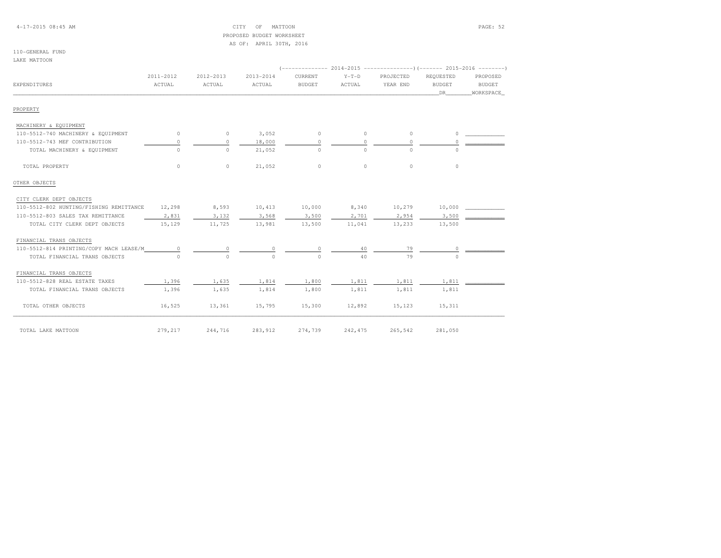4-17-2015 08:45 AM CITY OF MATTOON PAGE: 52 PROPOSED BUDGET WORKSHEETAS OF: APRIL 30TH, 2016

#### 110-GENERAL FUNDLAKE MATTOON

|                                         | 2011-2012 | 2012-2013 | 2013-2014 | CURRENT  | $Y-T-D$  | PROJECTED  | REQUESTED     | PROPOSED  |  |  |  |
|-----------------------------------------|-----------|-----------|-----------|----------|----------|------------|---------------|-----------|--|--|--|
| EXPENDITURES                            | ACTUAL    | ACTUAL    | ACTUAL    | BUDGET   | ACTUAL   | YEAR END   | <b>BUDGET</b> | BUDGET    |  |  |  |
|                                         |           |           |           |          |          |            | DR            | WORKSPACE |  |  |  |
| PROPERTY                                |           |           |           |          |          |            |               |           |  |  |  |
| MACHINERY & EQUIPMENT                   |           |           |           |          |          |            |               |           |  |  |  |
| 110-5512-740 MACHINERY & EQUIPMENT      | $\circ$   | $\circ$   | 3,052     | $\circ$  | $\circ$  | $\circ$    | $\circ$       |           |  |  |  |
| 110-5512-743 MEF CONTRIBUTION           | $\Omega$  | $\Omega$  | 18,000    | $\Omega$ | $\Omega$ | $\Omega$   | $\Omega$      |           |  |  |  |
| TOTAL MACHINERY & EQUIPMENT             | $\Omega$  | $\Omega$  | 21,052    | $\Omega$ | $\Omega$ | $\bigcirc$ | $\Omega$      |           |  |  |  |
| TOTAL PROPERTY                          | $\circ$   | $\circ$   | 21,052    | $\circ$  | $\circ$  | $\circ$    | $\circ$       |           |  |  |  |
| OTHER OBJECTS                           |           |           |           |          |          |            |               |           |  |  |  |
| CITY CLERK DEPT OBJECTS                 |           |           |           |          |          |            |               |           |  |  |  |
| 110-5512-802 HUNTING/FISHING REMITTANCE | 12,298    | 8,593     | 10,413    | 10,000   | 8,340    | 10,279     | 10,000        |           |  |  |  |
| 110-5512-803 SALES TAX REMITTANCE       | 2,831     | 3,132     | 3,568     | 3,500    | 2,701    | 2,954      | 3,500         |           |  |  |  |
| TOTAL CITY CLERK DEPT OBJECTS           | 15,129    | 11,725    | 13,981    | 13,500   | 11,041   | 13,233     | 13,500        |           |  |  |  |
| FINANCIAL TRANS OBJECTS                 |           |           |           |          |          |            |               |           |  |  |  |
| 110-5512-814 PRINTING/COPY MACH LEASE/M | $\Omega$  |           |           |          | 40       | 79         |               |           |  |  |  |
| TOTAL FINANCIAL TRANS OBJECTS           | $\Omega$  | $\Omega$  | $\Omega$  | $\Omega$ | 40       | 79         | $\cap$        |           |  |  |  |
| FINANCIAL TRANS OBJECTS                 |           |           |           |          |          |            |               |           |  |  |  |
| 110-5512-828 REAL ESTATE TAXES          | 1,396     | 1,635     | 1,814     | 1,800    | 1,811    | 1,811      | 1,811         |           |  |  |  |
| TOTAL FINANCIAL TRANS OBJECTS           | 1,396     | 1,635     | 1,814     | 1,800    | 1,811    | 1,811      | 1,811         |           |  |  |  |
| TOTAL OTHER OBJECTS                     | 16,525    | 13,361    | 15,795    | 15,300   | 12,892   | 15,123     | 15,311        |           |  |  |  |
| TOTAL LAKE MATTOON                      | 279,217   | 244,716   | 283,912   | 274,739  | 242, 475 | 265,542    | 281,050       |           |  |  |  |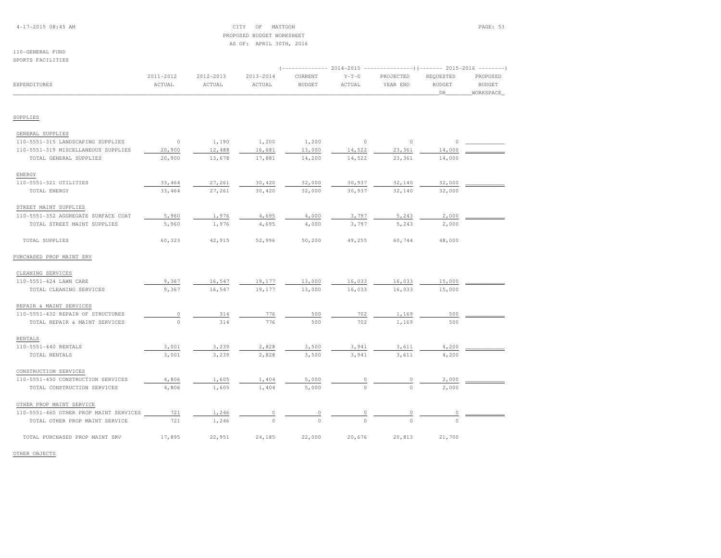## 4-17-2015 08:45 AM CITY OF MATTOON PAGE: 53 PROPOSED BUDGET WORKSHEETAS OF: APRIL 30TH, 2016

#### 110-GENERAL FUNDSPORTS FACILITIES

|                                        |           |           |           |               |                | $(-$ ------------- 2014-2015 ----------------) (------- 2015-2016 --------) |               |               |  |
|----------------------------------------|-----------|-----------|-----------|---------------|----------------|-----------------------------------------------------------------------------|---------------|---------------|--|
|                                        | 2011-2012 | 2012-2013 | 2013-2014 | CURRENT       | $Y-T-D$        | PROJECTED                                                                   | REQUESTED     | PROPOSED      |  |
| EXPENDITURES                           | ACTUAL    | ACTUAL    | ACTUAL    | <b>BUDGET</b> | ACTUAL         | YEAR END                                                                    | <b>BUDGET</b> | <b>BUDGET</b> |  |
|                                        |           |           |           |               |                |                                                                             | _DR_          | WORKSPACE     |  |
| SUPPLIES                               |           |           |           |               |                |                                                                             |               |               |  |
| GENERAL SUPPLIES                       |           |           |           |               |                |                                                                             |               |               |  |
| 110-5551-315 LANDSCAPING SUPPLIES      | $\circ$   | 1,190     | 1,200     | 1,200         | $\overline{0}$ | $\circ$                                                                     | 0             |               |  |
| 110-5551-319 MISCELLANEOUS SUPPLIES    | 20,900    | 12,488    | 16,681    | 13,000        | 14,522         | 23,361                                                                      | 14,000        |               |  |
| TOTAL GENERAL SUPPLIES                 | 20,900    | 13,678    | 17,881    | 14,200        | 14,522         | 23,361                                                                      | 14,000        |               |  |
| ENERGY                                 |           |           |           |               |                |                                                                             |               |               |  |
| 110-5551-321 UTILITIES                 | 33,464    | 27,261    | 30,420    | 32,000        | 30,937         | 32,140                                                                      | 32,000        |               |  |
| TOTAL ENERGY                           | 33,464    | 27,261    | 30,420    | 32,000        | 30,937         | 32,140                                                                      | 32,000        |               |  |
| STREET MAINT SUPPLIES                  |           |           |           |               |                |                                                                             |               |               |  |
| 110-5551-352 AGGREGATE SURFACE COAT    | 5,960     | 1,976     | 4,695     | 4,000         | 3,797          | 5,243                                                                       | 2,000         |               |  |
| TOTAL STREET MAINT SUPPLIES            | 5,960     | 1,976     | 4,695     | 4,000         | 3,797          | 5,243                                                                       | 2,000         |               |  |
| TOTAL SUPPLIES                         | 60,323    | 42,915    | 52,996    | 50,200        | 49,255         | 60,744                                                                      | 48,000        |               |  |
| PURCHASED PROP MAINT SRV               |           |           |           |               |                |                                                                             |               |               |  |
| CLEANING SERVICES                      |           |           |           |               |                |                                                                             |               |               |  |
| 110-5551-424 LAWN CARE                 | 9,367     | 16,547    | 19,177    | 13,000        | 16,033         | 16,033                                                                      | 15,000        |               |  |
| TOTAL CLEANING SERVICES                | 9,367     | 16,547    | 19,177    | 13,000        | 16,033         | 16,033                                                                      | 15,000        |               |  |
| REPAIR & MAINT SERVICES                |           |           |           |               |                |                                                                             |               |               |  |
| 110-5551-432 REPAIR OF STRUCTURES      | $\circ$   | 314       | 776       | 500           | 702            | 1,169                                                                       | 500           |               |  |
| TOTAL REPAIR & MAINT SERVICES          | $\Omega$  | 314       | 776       | 500           | 702            | 1,169                                                                       | 500           |               |  |
| RENTALS                                |           |           |           |               |                |                                                                             |               |               |  |
| 110-5551-440 RENTALS                   | 3,001     | 3,239     | 2,828     | 3,500         | 3,941          | 3,611                                                                       | 4,200         |               |  |
| TOTAL RENTALS                          | 3,001     | 3,239     | 2,828     | 3,500         | 3,941          | 3,611                                                                       | 4,200         |               |  |
| CONSTRUCTION SERVICES                  |           |           |           |               |                |                                                                             |               |               |  |
| 110-5551-450 CONSTRUCTION SERVICES     | 4,806     | 1,605     | 1,404     | 5,000         |                | 0                                                                           | 2,000         |               |  |
| TOTAL CONSTRUCTION SERVICES            | 4,806     | 1,605     | 1,404     | 5,000         | $\Omega$       | $\Omega$                                                                    | 2,000         |               |  |
| OTHER PROP MAINT SERVICE               |           |           |           |               |                |                                                                             |               |               |  |
| 110-5551-460 OTHER PROP MAINT SERVICES | 721       | 1,246     |           |               |                |                                                                             |               |               |  |
| TOTAL OTHER PROP MAINT SERVICE         | 721       | 1,246     |           |               |                |                                                                             |               |               |  |
| TOTAL PURCHASED PROP MAINT SRV         | 17,895    | 22,951    | 24,185    | 22,000        | 20,676         | 20,813                                                                      | 21,700        |               |  |

OTHER OBJECTS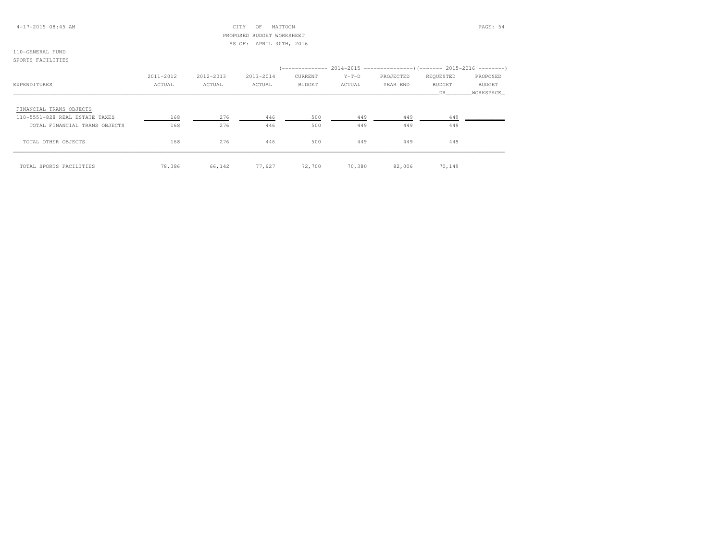## 4-17-2015 08:45 AM CITY OF MATTOON PAGE: 54 PROPOSED BUDGET WORKSHEETAS OF: APRIL 30TH, 2016

#### 110-GENERAL FUNDSPORTS FACILITIES

|                                | 2011-2012 | 2012-2013 | 2013-2014 | CURRENT       | $Y-T-D$ | PROJECTED | REQUESTED | PROPOSED      |  |  |
|--------------------------------|-----------|-----------|-----------|---------------|---------|-----------|-----------|---------------|--|--|
| EXPENDITURES                   | ACTUAL    | ACTUAL    | ACTUAL    | <b>BUDGET</b> | ACTUAL  | YEAR END  | BUDGET    | <b>BUDGET</b> |  |  |
|                                |           |           |           |               |         |           | DR.       | WORKSPACE     |  |  |
| FINANCIAL TRANS OBJECTS        |           |           |           |               |         |           |           |               |  |  |
| 110-5551-828 REAL ESTATE TAXES | 168       | 276       | 446       | 500           | 449     | 449       | 449       |               |  |  |
| TOTAL FINANCIAL TRANS OBJECTS  | 168       | 276       | 446       | 500           | 449     | 449       | 449       |               |  |  |
| TOTAL OTHER OBJECTS            | 168       | 276       | 446       | 500           | 449     | 449       | 449       |               |  |  |
| TOTAL SPORTS FACILITIES        | 78,386    | 66,142    | 77,627    | 72,700        | 70,380  | 82,006    | 70,149    |               |  |  |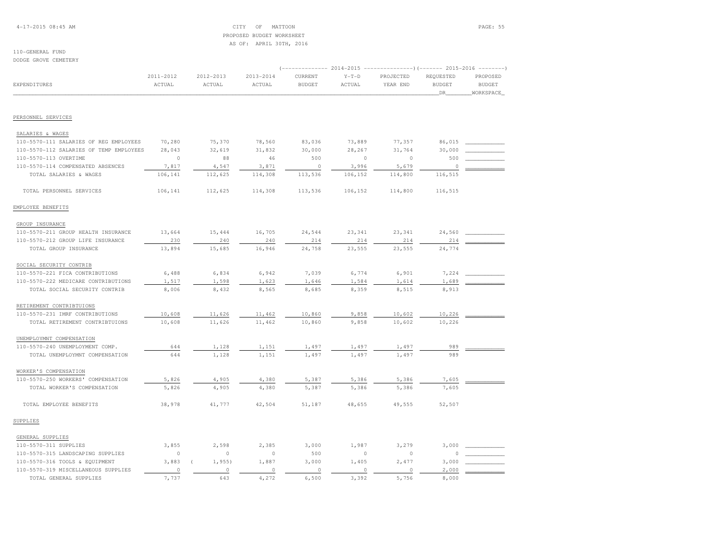## 4-17-2015 08:45 AM CITY OF MATTOON PAGE: 55 PROPOSED BUDGET WORKSHEETAS OF: APRIL 30TH, 2016

#### 110-GENERAL FUNDDODGE GROVE CEMETERY

|                                         |           |           |           |               | $-- 2014 - 2015$<br>$-------)$ (------- 2015-2016<br>$- - - - - - -$ |           |               |               |  |
|-----------------------------------------|-----------|-----------|-----------|---------------|----------------------------------------------------------------------|-----------|---------------|---------------|--|
|                                         | 2011-2012 | 2012-2013 | 2013-2014 | CURRENT       | $Y-T-D$                                                              | PROJECTED | REQUESTED     | PROPOSED      |  |
| <b>EXPENDITURES</b>                     | ACTUAL    | ACTUAL    | ACTUAL    | <b>BUDGET</b> | ACTUAL                                                               | YEAR END  | <b>BUDGET</b> | <b>BUDGET</b> |  |
|                                         |           |           |           |               |                                                                      |           | DR.           | WORKSPACE     |  |
|                                         |           |           |           |               |                                                                      |           |               |               |  |
| PERSONNEL SERVICES                      |           |           |           |               |                                                                      |           |               |               |  |
| SALARIES & WAGES                        |           |           |           |               |                                                                      |           |               |               |  |
| 110-5570-111 SALARIES OF REG EMPLOYEES  | 70,280    | 75,370    | 78,560    | 83,036        | 73,889                                                               | 77,357    | 86,015        |               |  |
| 110-5570-112 SALARIES OF TEMP EMPLOYEES | 28,043    | 32,619    | 31,832    | 30,000        | 28,267                                                               | 31,764    | 30,000        |               |  |
| 110-5570-113 OVERTIME                   | $\circ$   | 88        | 46        | 500           | $\circ$                                                              | $\circ$   | 500           |               |  |
| 110-5570-114 COMPENSATED ABSENCES       | 7,817     | 4,547     | 3,871     | $\circ$       | 3,996                                                                | 5,679     | 0             |               |  |
| TOTAL SALARIES & WAGES                  | 106,141   | 112,625   | 114,308   | 113,536       | 106,152                                                              | 114,800   | 116,515       |               |  |
| TOTAL PERSONNEL SERVICES                | 106,141   | 112,625   | 114,308   | 113,536       | 106,152                                                              | 114,800   | 116,515       |               |  |
| EMPLOYEE BENEFITS                       |           |           |           |               |                                                                      |           |               |               |  |
| GROUP INSURANCE                         |           |           |           |               |                                                                      |           |               |               |  |
| 110-5570-211 GROUP HEALTH INSURANCE     | 13,664    | 15,444    | 16,705    | 24,544        | 23,341                                                               | 23,341    | 24,560        |               |  |
| 110-5570-212 GROUP LIFE INSURANCE       | 230       | 240       | 240       | 214           | 214                                                                  | 214       | 214           |               |  |
| TOTAL GROUP INSURANCE                   | 13,894    | 15,685    | 16,946    | 24,758        | 23,555                                                               | 23,555    | 24,774        |               |  |
| SOCIAL SECURITY CONTRIB                 |           |           |           |               |                                                                      |           |               |               |  |
| 110-5570-221 FICA CONTRIBUTIONS         | 6,488     | 6,834     | 6,942     | 7,039         | 6,774                                                                | 6,901     | 7,224         |               |  |
| 110-5570-222 MEDICARE CONTRIBUTIONS     | 1,517     | 1,598     | 1,623     | 1,646         | 1,584                                                                | 1,614     | 1,689         |               |  |
| TOTAL SOCIAL SECURITY CONTRIB           | 8,006     | 8,432     | 8,565     | 8,685         | 8,359                                                                | 8,515     | 8,913         |               |  |
| RETIREMENT CONTRIBTUIONS                |           |           |           |               |                                                                      |           |               |               |  |
| 110-5570-231 IMRF CONTRIBUTIONS         | 10,608    | 11,626    | 11,462    | 10,860        | 9,858                                                                | 10,602    | 10,226        |               |  |
| TOTAL RETIREMENT CONTRIBTUIONS          | 10,608    | 11,626    | 11,462    | 10,860        | 9,858                                                                | 10,602    | 10,226        |               |  |
| UNEMPLOYMNT COMPENSATION                |           |           |           |               |                                                                      |           |               |               |  |
| 110-5570-240 UNEMPLOYMENT COMP.         | 644       | 1,128     | 1,151     | 1,497         | 1,497                                                                | 1,497     | 989           |               |  |
| TOTAL UNEMPLOYMNT COMPENSATION          | 644       | 1,128     | 1,151     | 1,497         | 1,497                                                                | 1,497     | 989           |               |  |
| WORKER'S COMPENSATION                   |           |           |           |               |                                                                      |           |               |               |  |
| 110-5570-250 WORKERS' COMPENSATION      | 5,826     | 4,905     | 4,380     | 5,387         | 5,386                                                                | 5,386     | 7,605         |               |  |
| TOTAL WORKER'S COMPENSATION             | 5,826     | 4,905     | 4,380     | 5,387         | 5,386                                                                | 5,386     | 7,605         |               |  |
| TOTAL EMPLOYEE BENEFITS                 | 38,978    | 41,777    | 42,504    | 51,187        | 48,655                                                               | 49,555    | 52,507        |               |  |
| SUPPLIES                                |           |           |           |               |                                                                      |           |               |               |  |
| GENERAL SUPPLIES                        |           |           |           |               |                                                                      |           |               |               |  |
| 110-5570-311 SUPPLIES                   | 3,855     | 2,598     | 2,385     | 3,000         | 1,987                                                                | 3,279     | 3,000         |               |  |
| 110-5570-315 LANDSCAPING SUPPLIES       | $\circ$   | $\circ$   | $\circ$   | 500           | $\mathbb O$                                                          | $\circ$   | 0             |               |  |
| 110-5570-316 TOOLS & EQUIPMENT          | 3,883     | $1,955$ ) | 1,887     | 3,000         | 1,405                                                                | 2,477     | 3,000         |               |  |
| 110-5570-319 MISCELLANEOUS SUPPLIES     | $\circ$   | $\circ$   | $\circ$   | $\circ$       | $\circ$                                                              | $\circ$   | 2,000         |               |  |
| TOTAL GENERAL SUPPLIES                  | 7,737     | 643       | 4,272     | 6,500         | 3,392                                                                | 5,756     | 8,000         |               |  |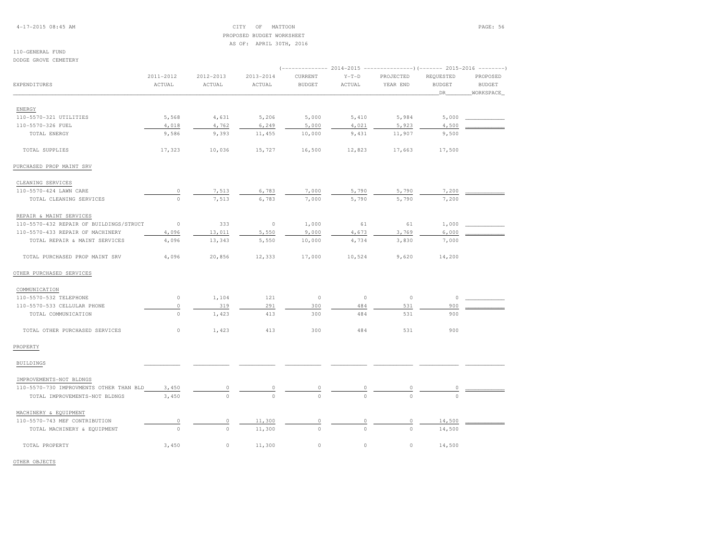4-17-2015 08:45 AM CITY OF MATTOON PAGE: 56 PROPOSED BUDGET WORKSHEETAS OF: APRIL 30TH, 2016

## 110-GENERAL FUND

DODGE GROVE CEMETERY

|                                         | 2011-2012   | 2012-2013   | 2013-2014 | CURRENT       | $Y-T-D$  | PROJECTED  | REQUESTED     | PROPOSED      |
|-----------------------------------------|-------------|-------------|-----------|---------------|----------|------------|---------------|---------------|
| EXPENDITURES                            | ACTUAL      | ACTUAL      | ACTUAL    | <b>BUDGET</b> | ACTUAL   | YEAR END   | <b>BUDGET</b> | <b>BUDGET</b> |
|                                         |             |             |           |               |          |            | DR            | WORKSPACE     |
| ENERGY                                  |             |             |           |               |          |            |               |               |
| 110-5570-321 UTILITIES                  | 5,568       | 4,631       | 5,206     | 5,000         | 5,410    | 5,984      | 5,000         |               |
| 110-5570-326 FUEL                       | 4,018       | 4,762       | 6,249     | 5,000         | 4,021    | 5,923      | 4,500         |               |
| TOTAL ENERGY                            | 9,586       | 9,393       | 11,455    | 10,000        | 9,431    | 11,907     | 9,500         |               |
|                                         |             |             |           |               |          |            |               |               |
| TOTAL SUPPLIES                          | 17,323      | 10,036      | 15,727    | 16,500        | 12,823   | 17,663     | 17,500        |               |
| PURCHASED PROP MAINT SRV                |             |             |           |               |          |            |               |               |
| CLEANING SERVICES                       |             |             |           |               |          |            |               |               |
| 110-5570-424 LAWN CARE                  | 0           | 7,513       | 6,783     | 7,000         | 5,790    | 5,790      | 7,200         |               |
| TOTAL CLEANING SERVICES                 | $\circ$     | 7,513       | 6,783     | 7,000         | 5,790    | 5,790      | 7,200         |               |
| REPAIR & MAINT SERVICES                 |             |             |           |               |          |            |               |               |
| 110-5570-432 REPAIR OF BUILDINGS/STRUCT | $\circ$     | 333         | $\circ$   | 1,000         | 61       | 61         | 1,000         |               |
| 110-5570-433 REPAIR OF MACHINERY        | 4,096       | 13,011      | 5,550     | 9,000         | 4,673    | 3,769      | 6,000         |               |
| TOTAL REPAIR & MAINT SERVICES           | 4,096       | 13,343      | 5,550     | 10,000        | 4,734    | 3,830      | 7,000         |               |
| TOTAL PURCHASED PROP MAINT SRV          | 4,096       | 20,856      | 12,333    | 17,000        | 10,524   | 9,620      | 14,200        |               |
| OTHER PURCHASED SERVICES                |             |             |           |               |          |            |               |               |
| COMMUNICATION                           |             |             |           |               |          |            |               |               |
| 110-5570-532 TELEPHONE                  | 0           | 1,104       | 121       | $\circ$       | $\circ$  | $\circ$    | $\circ$       |               |
| 110-5570-533 CELLULAR PHONE             | $\mathbb O$ | 319         | 291       | 300           | 484      | 531        | 900           |               |
| TOTAL COMMUNICATION                     | $\circ$     | 1,423       | 413       | 300           | 484      | 531        | 900           |               |
| TOTAL OTHER PURCHASED SERVICES          | $\mathbb O$ | 1,423       | 413       | 300           | 484      | 531        | 900           |               |
| PROPERTY                                |             |             |           |               |          |            |               |               |
| <b>BUILDINGS</b>                        |             |             |           |               |          |            |               |               |
| IMPROVEMENTS-NOT BLDNGS                 |             |             |           |               |          |            |               |               |
| 110-5570-730 IMPROVMENTS OTHER THAN BLD | 3,450       |             |           |               |          |            |               |               |
| TOTAL IMPROVEMENTS-NOT BLDNGS           | 3,450       | $\Omega$    |           |               |          |            |               |               |
| MACHINERY & EQUIPMENT                   |             |             |           |               |          |            |               |               |
| 110-5570-743 MEF CONTRIBUTION           | 0           | 0           | 11,300    | $\circ$       | $\circ$  | $\circ$    | 14,500        |               |
| TOTAL MACHINERY & EQUIPMENT             | $\Omega$    | $\circ$     | 11,300    | $\circ$       | $\Omega$ | $\bigcirc$ | 14,500        |               |
| TOTAL PROPERTY                          | 3,450       | $\mathbb O$ | 11,300    | $\circ$       | $\circ$  | 0          | 14,500        |               |

OTHER OBJECTS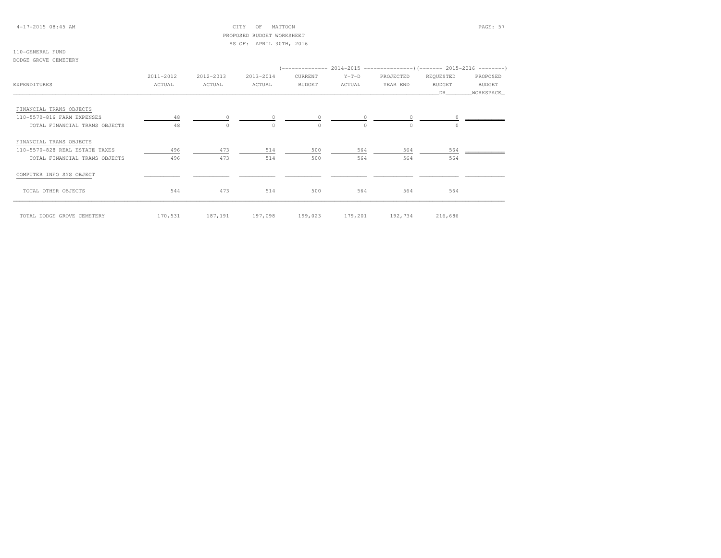## 4-17-2015 08:45 AM CITY OF MATTOON PAGE: 57 PROPOSED BUDGET WORKSHEETAS OF: APRIL 30TH, 2016

#### 110-GENERAL FUNDDODGE GROVE CEMETERY

|                                |           |           |                                                                  |               |          |                 | (-------------- 2014-2015 ----------------) (------- 2015-2016 --------)                                                                                                                                                                                                                                                           |               |
|--------------------------------|-----------|-----------|------------------------------------------------------------------|---------------|----------|-----------------|------------------------------------------------------------------------------------------------------------------------------------------------------------------------------------------------------------------------------------------------------------------------------------------------------------------------------------|---------------|
|                                | 2011-2012 | 2012-2013 | 2013-2014                                                        | CURRENT       | $Y-T-D$  | PROJECTED       | REQUESTED                                                                                                                                                                                                                                                                                                                          | PROPOSED      |
| <b>EXPENDITURES</b>            | ACTUAL    | ACTUAL    | ACTUAL                                                           | <b>BUDGET</b> | ACTUAL   | YEAR END        | <b>BUDGET</b>                                                                                                                                                                                                                                                                                                                      | <b>BUDGET</b> |
|                                |           |           |                                                                  |               |          |                 | DR                                                                                                                                                                                                                                                                                                                                 | WORKSPACE     |
| FINANCIAL TRANS OBJECTS        |           |           |                                                                  |               |          |                 |                                                                                                                                                                                                                                                                                                                                    |               |
| 110-5570-816 FARM EXPENSES     | 48        |           | $\begin{array}{ccccccc}\n0 & & & 0 & & & 0 & & & 0\n\end{array}$ |               |          |                 | $\overline{0}$ and $\overline{0}$ and $\overline{0}$ and $\overline{0}$ and $\overline{0}$ and $\overline{0}$ and $\overline{0}$ and $\overline{0}$ and $\overline{0}$ and $\overline{0}$ and $\overline{0}$ and $\overline{0}$ and $\overline{0}$ and $\overline{0}$ and $\overline{0}$ and $\overline{0}$ and $\overline{0}$ and |               |
| TOTAL FINANCIAL TRANS OBJECTS  | 48        | $\Omega$  | $\Omega$                                                         | $\Omega$      | $\Omega$ | $\Omega$        | $\cap$                                                                                                                                                                                                                                                                                                                             |               |
| FINANCIAL TRANS OBJECTS        |           |           |                                                                  |               |          |                 |                                                                                                                                                                                                                                                                                                                                    |               |
| 110-5570-828 REAL ESTATE TAXES | 496       | 473       | 514                                                              | 500           | 564      | 564             | 564                                                                                                                                                                                                                                                                                                                                |               |
| TOTAL FINANCIAL TRANS OBJECTS  | 496       | 473       | 514                                                              | 500           | 564      | 564             | 564                                                                                                                                                                                                                                                                                                                                |               |
| COMPUTER INFO SYS OBJECT       |           |           |                                                                  |               |          |                 |                                                                                                                                                                                                                                                                                                                                    |               |
| TOTAL OTHER OBJECTS            | 544       | 473       | 514                                                              | 500           | 564      | 564             | 564                                                                                                                                                                                                                                                                                                                                |               |
| TOTAL DODGE GROVE CEMETERY     | 170,531   | 187,191   | 197,098                                                          | 199,023       |          | 179,201 192,734 | 216,686                                                                                                                                                                                                                                                                                                                            |               |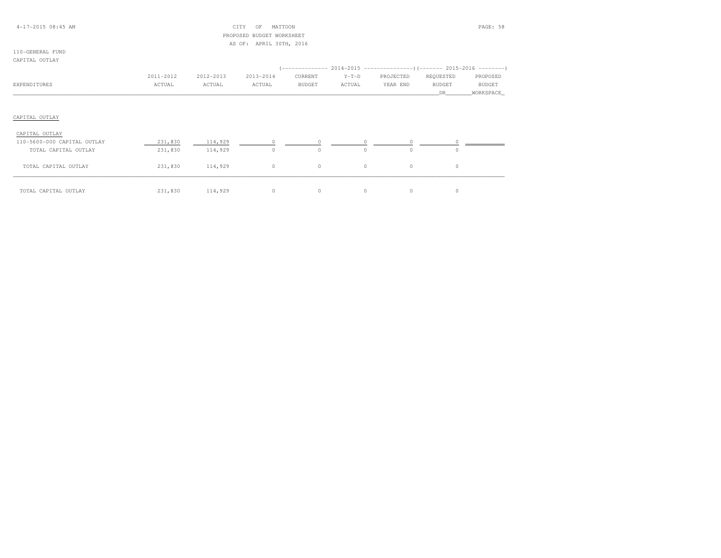## 4-17-2015 08:45 AM CITY OF MATTOON PAGE: 58 PROPOSED BUDGET WORKSHEETAS OF: APRIL 30TH, 2016

#### 110-GENERAL FUNDCAPITAL OUTLAY

|                             | 2011-2012 | 2012-2013 | 2013-2014 | CURRENT       | $Y-T-D$ | PROJECTED | REQUESTED     | PROPOSED  |
|-----------------------------|-----------|-----------|-----------|---------------|---------|-----------|---------------|-----------|
| EXPENDITURES                | ACTUAL    | ACTUAL    | ACTUAL    | <b>BUDGET</b> | ACTUAL  | YEAR END  | <b>BUDGET</b> | BUDGET    |
|                             |           |           |           |               |         |           | DR.           | WORKSPACE |
|                             |           |           |           |               |         |           |               |           |
|                             |           |           |           |               |         |           |               |           |
| CAPITAL OUTLAY              |           |           |           |               |         |           |               |           |
| CAPITAL OUTLAY              |           |           |           |               |         |           |               |           |
| 110-5600-000 CAPITAL OUTLAY | 231,830   | 114,929   |           |               |         |           |               |           |

| TOTAL CAPITAL OUTLAY | 231,830 | 114,929 |  |  |  |
|----------------------|---------|---------|--|--|--|
| TOTAL CAPITAL OUTLAY | 231,830 | 114,929 |  |  |  |
| TOTAL CAPITAL OUTLAY | 231,830 | 114,929 |  |  |  |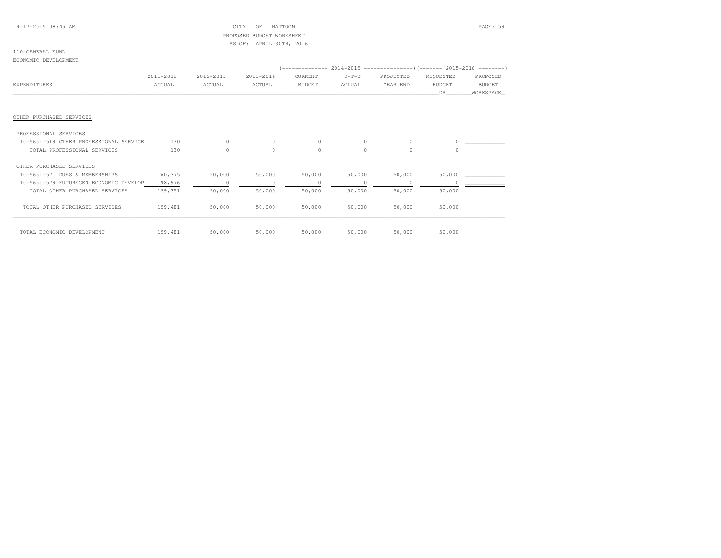## 4-17-2015 08:45 AM CITY OF MATTOON PAGE: 59 PROPOSED BUDGET WORKSHEETAS OF: APRIL 30TH, 2016

#### 110-GENERAL FUNDECONOMIC DEVELOPMENT

|                                         | 2011-2012 | 2012-2013      | 2013-2014 | CURRENT       | $Y-T-D$  | PROJECTED | REQUESTED     | PROPOSED      |  |
|-----------------------------------------|-----------|----------------|-----------|---------------|----------|-----------|---------------|---------------|--|
| EXPENDITURES                            | ACTUAL    | ACTUAL         | ACTUAL    | <b>BUDGET</b> | ACTUAL   | YEAR END  | <b>BUDGET</b> | <b>BUDGET</b> |  |
|                                         |           |                |           |               |          |           | DR            | WORKSPACE     |  |
|                                         |           |                |           |               |          |           |               |               |  |
| OTHER PURCHASED SERVICES                |           |                |           |               |          |           |               |               |  |
| PROFESSIONAL SERVICES                   |           |                |           |               |          |           |               |               |  |
| 110-5651-519 OTHER PROFESSIONAL SERVICE | 130       |                |           |               | $\Omega$ | $\circ$   | $\Omega$      |               |  |
| TOTAL PROFESSIONAL SERVICES             | 130       | $\Omega$       | $\Omega$  | $\Omega$      | $\cap$   | $\Omega$  | $\Omega$      |               |  |
| OTHER PURCHASED SERVICES                |           |                |           |               |          |           |               |               |  |
| 110-5651-571 DUES & MEMBERSHIPS         | 60,375    | 50,000         | 50,000    | 50,000        | 50,000   | 50,000    | 50,000        |               |  |
| 110-5651-579 FUTUREGEN ECONOMIC DEVELOP | 98,976    | $\overline{0}$ | $\Omega$  | $\sim$ 0      | $\circ$  | $\circ$   |               |               |  |
| TOTAL OTHER PURCHASED SERVICES          | 159,351   | 50,000         | 50,000    | 50,000        | 50,000   | 50,000    | 50,000        |               |  |
| TOTAL OTHER PURCHASED SERVICES          | 159,481   | 50,000         | 50,000    | 50,000        | 50,000   | 50,000    | 50,000        |               |  |
| TOTAL ECONOMIC DEVELOPMENT              | 159,481   | 50,000         | 50,000    | 50,000        | 50,000   | 50,000    | 50,000        |               |  |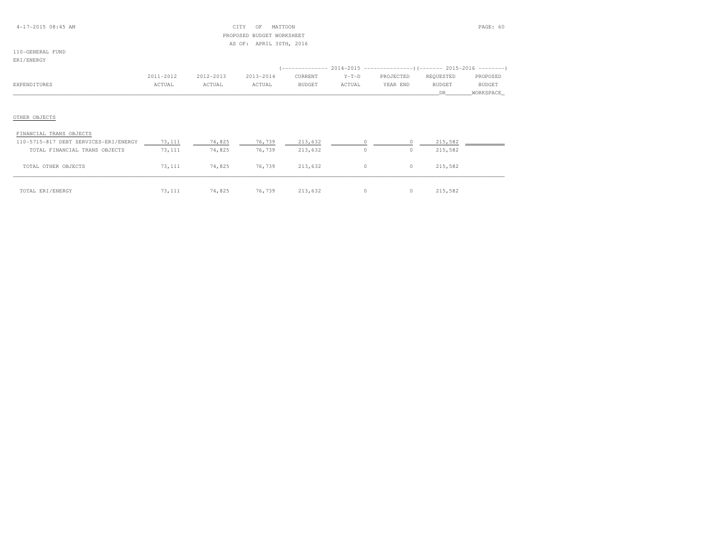## 4-17-2015 08:45 AM CITY OF MATTOON PAGE: 60 PROPOSED BUDGET WORKSHEETAS OF: APRIL 30TH, 2016

# 110-GENERAL FUND

|              | 2011-2012 | 2012-2013 | 2013-2014 | CURRENT       | $Y-T-D$ | PROJECTED | REOUESTED     | PROPOSED      |
|--------------|-----------|-----------|-----------|---------------|---------|-----------|---------------|---------------|
| EXPENDITURES | ACTUAL    | ACTUAL    | ACTUAL    | <b>BUDGET</b> | ACTUAL  | YEAR END  | <b>BUDGET</b> | <b>BUDGET</b> |
|              |           |           |           |               |         |           |               | _WORKSPACE_   |

## OTHER OBJECTS

| FINANCIAL TRANS OBJECTS               |        |        |        |         |          |          |         |  |
|---------------------------------------|--------|--------|--------|---------|----------|----------|---------|--|
| 110-5715-817 DEBT SERVICES-ERI/ENERGY | 73,111 | 74,825 | 76,739 | 213,632 |          |          | 215,582 |  |
| TOTAL FINANCIAL TRANS OBJECTS         | 73,111 | 74,825 | 76,739 | 213,632 | 0        | $\circ$  | 215,582 |  |
| TOTAL OTHER OBJECTS                   | 73,111 | 74,825 | 76,739 | 213,632 | $\Omega$ | $\circ$  | 215,582 |  |
| TOTAL ERI/ENERGY                      | 73,111 | 74,825 | 76,739 | 213,632 | $\Omega$ | $\Omega$ | 215,582 |  |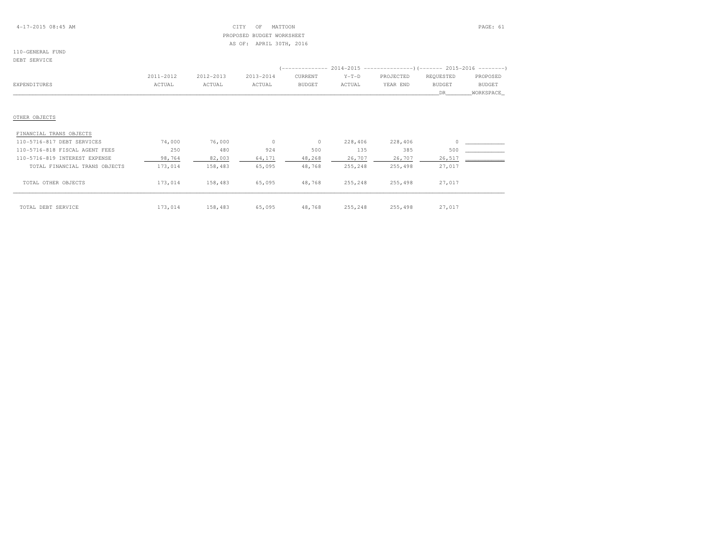## 4-17-2015 08:45 AM CITY OF MATTOON PAGE: 61 PROPOSED BUDGET WORKSHEETAS OF: APRIL 30TH, 2016

#### 110-GENERAL FUNDDEBT SERVICE

|                                | 2011-2012 | 2012-2013 | 2013-2014 | CURRENT       | $Y-T-D$ | PROJECTED | REQUESTED     | PROPOSED  |
|--------------------------------|-----------|-----------|-----------|---------------|---------|-----------|---------------|-----------|
| EXPENDITURES                   | ACTUAL    | ACTUAL    | ACTUAL    | <b>BUDGET</b> | ACTUAL  | YEAR END  | <b>BUDGET</b> | BUDGET    |
|                                |           |           |           |               |         |           | DR            | WORKSPACE |
|                                |           |           |           |               |         |           |               |           |
| OTHER OBJECTS                  |           |           |           |               |         |           |               |           |
|                                |           |           |           |               |         |           |               |           |
| FINANCIAL TRANS OBJECTS        |           |           |           |               |         |           |               |           |
| 110-5716-817 DEBT SERVICES     | 74,000    | 76,000    | $\circ$   | $\circ$       | 228,406 | 228,406   |               |           |
| 110-5716-818 FISCAL AGENT FEES | 250       | 480       | 924       | 500           | 135     | 385       | 500           |           |
| 110-5716-819 INTEREST EXPENSE  | 98,764    | 82,003    | 64,171    | 48,268        | 26,707  | 26,707    | 26,517        |           |
| TOTAL FINANCIAL TRANS OBJECTS  | 173,014   | 158,483   | 65,095    | 48,768        | 255,248 | 255,498   | 27,017        |           |
| TOTAL OTHER OBJECTS            | 173,014   | 158,483   | 65,095    | 48,768        | 255,248 | 255,498   | 27,017        |           |
|                                |           |           |           |               |         |           |               |           |
| TOTAL DEBT SERVICE             | 173,014   | 158,483   | 65,095    | 48,768        | 255,248 | 255,498   | 27,017        |           |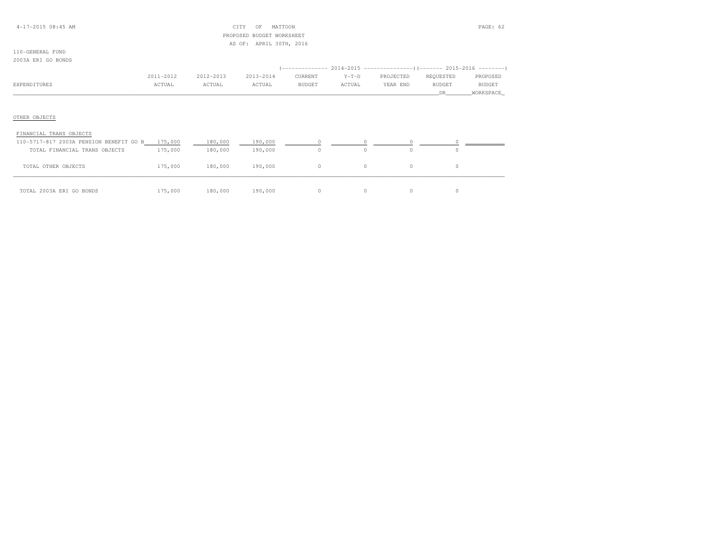## 4-17-2015 08:45 AM CITY OF MATTOON PAGE: 62 PROPOSED BUDGET WORKSHEETAS OF: APRIL 30TH, 2016

#### 110-GENERAL FUND2003A ERI GO BONDS

|              |           |           |           |               |         | (------------- 2014-2015 ----------------) (------- 2015-2016 --------) |               |           |
|--------------|-----------|-----------|-----------|---------------|---------|-------------------------------------------------------------------------|---------------|-----------|
|              | 2011-2012 | 2012-2013 | 2013-2014 | CURRENT       | $Y-T-D$ | PROJECTED                                                               | REOUESTED     | PROPOSED  |
| EXPENDITURES | ACTUAL    | ACTUAL    | ACTUAL    | <b>BUDGET</b> | ACTUAL  | YEAR END                                                                | <b>BUDGET</b> | BUDGET    |
|              |           |           |           |               |         |                                                                         |               | WORKSPACE |

## OTHER OBJECTS

| FINANCIAL TRANS OBJECTS                 |         |         |         |               |   |  |
|-----------------------------------------|---------|---------|---------|---------------|---|--|
| 110-5717-817 2003A PENSION BENEFIT GO B | 175,000 | 180,000 | 190,000 |               |   |  |
| TOTAL FINANCIAL TRANS OBJECTS           | 175,000 | 180,000 | 190,000 | $\bigcap$     | 0 |  |
| OTHER OBJECTS<br>TOTAL                  | 175,000 | 180,000 | 190,000 | $\mathcal{O}$ |   |  |
| TOTAL 2003A ERI GO BONDS                | 175,000 | 180,000 | 190,000 |               |   |  |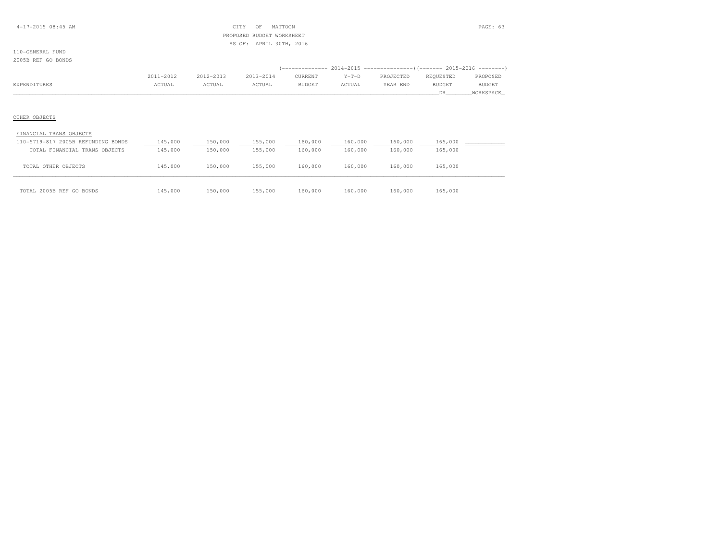## 4-17-2015 08:45 AM CITY OF MATTOON PAGE: 63 PROPOSED BUDGET WORKSHEETAS OF: APRIL 30TH, 2016

#### 110-GENERAL FUND2005B REF GO BONDS

|              |                                                                 |                                                           |           |         |               | '-------------- 2014-2015 ---------------------- (------- 2015-2016 ----------) |           |               |
|--------------|-----------------------------------------------------------------|-----------------------------------------------------------|-----------|---------|---------------|---------------------------------------------------------------------------------|-----------|---------------|
|              | 2011-2012                                                       | 2012-2013                                                 | 2013-2014 | CURRENT | $Y-T-D$       | PROJECTED                                                                       | REOUESTED | PROPOSED      |
| EXPENDITURES | <b>CTUAL</b><br>the contract of the contract of the contract of | ACTUAL<br>the contract of the contract of the contract of | ACTUAL    | BUDGET  | <b>\CTUAL</b> | VFAR<br>END                                                                     | BUDGET    | <b>BUDGET</b> |
|              |                                                                 |                                                           |           |         |               |                                                                                 |           | WORKSPACE     |

## OTHER OBJECTS

| FINANCIAL TRANS OBJECTS            |         |         |         |         |         |         |         |  |
|------------------------------------|---------|---------|---------|---------|---------|---------|---------|--|
| 110-5719-817 2005B REFUNDING BONDS | 145,000 | 150,000 | 155,000 | 160,000 | 160,000 | 160,000 | 165,000 |  |
| TOTAL FINANCIAL TRANS OBJECTS      | 145,000 | 150,000 | 155,000 | 160,000 | 160,000 | 160,000 | 165,000 |  |
| TOTAL OTHER OBJECTS                | 145,000 | 150,000 | 155,000 | 160,000 | 160,000 | 160,000 | 165,000 |  |
| TOTAL 2005B REF GO BONDS           | 145,000 | 150,000 | 155,000 | 160,000 | 160,000 | 160,000 | 165,000 |  |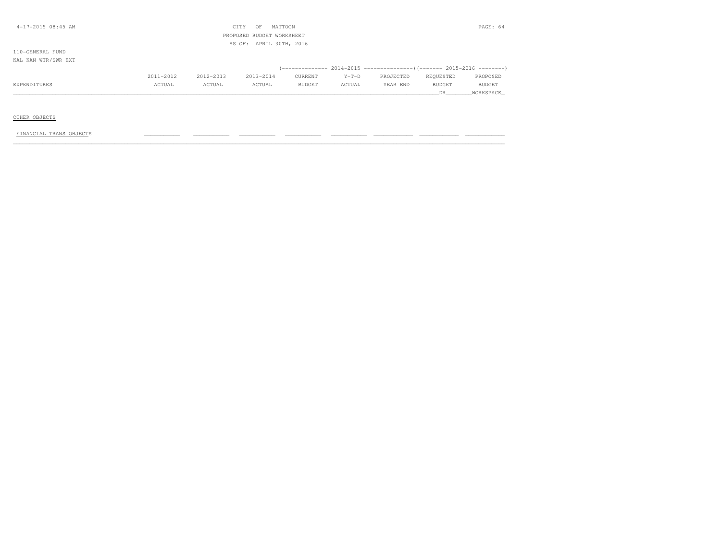| $4 - 17 - 2015$ 08:45 AM |           |           | CITY<br>OF                | MATTOON       |         |                                                                                   |           | PAGE: 64      |
|--------------------------|-----------|-----------|---------------------------|---------------|---------|-----------------------------------------------------------------------------------|-----------|---------------|
|                          |           |           | PROPOSED BUDGET WORKSHEET |               |         |                                                                                   |           |               |
|                          |           |           | AS OF: APRIL 30TH, 2016   |               |         |                                                                                   |           |               |
| 110-GENERAL FUND         |           |           |                           |               |         |                                                                                   |           |               |
| KAL KAN WTR/SWR EXT      |           |           |                           |               |         |                                                                                   |           |               |
|                          |           |           |                           |               |         | (-------------- 2014-2015 ----------------------- 2015-2016 --------------------- |           |               |
|                          | 2011-2012 | 2012-2013 | 2013-2014                 | CURRENT       | $Y-T-D$ | PROJECTED                                                                         | REQUESTED | PROPOSED      |
| EXPENDITURES             | ACTUAL    | ACTUAL    | ACTUAL                    | <b>BUDGET</b> | ACTUAL  | YEAR END                                                                          | BUDGET    | <b>BUDGET</b> |
|                          |           |           |                           |               |         |                                                                                   | DR.       | WORKSPACE     |
|                          |           |           |                           |               |         |                                                                                   |           |               |

## OTHER OBJECTS

#### FINANCIAL TRANS OBJECTS \_\_\_\_\_\_\_\_\_\_\_ \_\_\_\_\_\_\_\_\_\_\_ \_\_\_\_\_\_\_\_\_\_\_ \_\_\_\_\_\_\_\_\_\_\_ \_\_\_\_\_\_\_\_\_\_\_ \_\_\_\_\_\_\_\_\_\_\_\_ \_\_\_\_\_\_\_\_\_\_\_\_ \_\_\_\_\_\_\_\_\_\_\_\_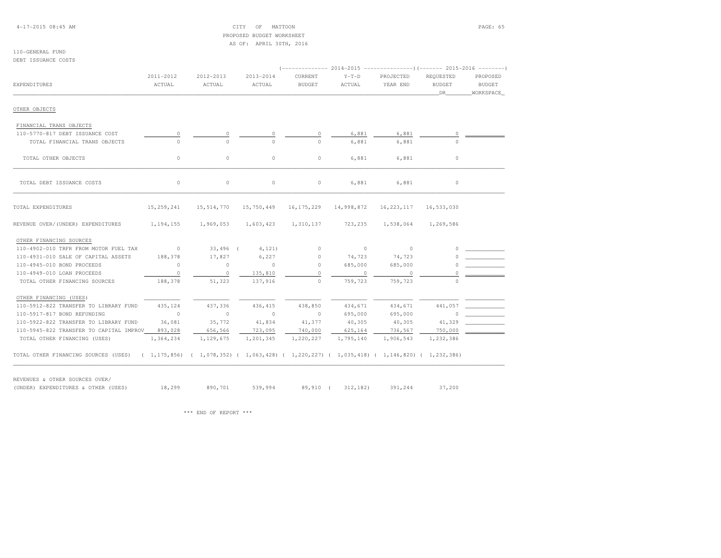4-17-2015 08:45 AM CITY OF MATTOON PAGE: 65 PROPOSED BUDGET WORKSHEETAS OF: APRIL 30TH, 2016

#### 110-GENERAL FUNDDEBT ISSUANCE COSTS

|                                                                                                                          |            |                                                          |                 |                           |           | $2014-2015$ ----------------)(------- 2015-2016 --------) |                     |           |
|--------------------------------------------------------------------------------------------------------------------------|------------|----------------------------------------------------------|-----------------|---------------------------|-----------|-----------------------------------------------------------|---------------------|-----------|
|                                                                                                                          | 2011-2012  | 2012-2013                                                | 2013-2014       | CURRENT                   | $Y-T-D$   | PROJECTED                                                 | REOUESTED           | PROPOSED  |
| EXPENDITURES                                                                                                             | ACTUAL     | ACTUAL                                                   | ACTUAL          | <b>BUDGET</b>             | ACTUAL    | YEAR END                                                  | <b>BUDGET</b>       | BUDGET    |
|                                                                                                                          |            |                                                          |                 |                           |           |                                                           | DR                  | WORKSPACE |
| OTHER OBJECTS                                                                                                            |            |                                                          |                 |                           |           |                                                           |                     |           |
| FINANCIAL TRANS OBJECTS                                                                                                  |            |                                                          |                 |                           |           |                                                           |                     |           |
| 110-5770-817 DEBT ISSUANCE COST                                                                                          | 0          | 0                                                        |                 | 0                         | 6,881     | 6,881                                                     |                     |           |
| TOTAL FINANCIAL TRANS OBJECTS                                                                                            | $\cap$     | $\cap$                                                   | $\Omega$        | $\Omega$                  | 6,881     | 6,881                                                     | $\cap$              |           |
| TOTAL OTHER OBJECTS                                                                                                      | $\circ$    | $\circ$                                                  | $\circ$         | $\circ$                   | 6,881     | 6,881                                                     | $\circ$             |           |
| TOTAL DEBT ISSUANCE COSTS                                                                                                | $\circ$    | $\circ$                                                  | 0               | $\circ$                   | 6,881     | 6,881                                                     | $\circ$             |           |
| TOTAL EXPENDITURES                                                                                                       | 15,259,241 | 15, 514, 770                                             | 15,750,449      | 16, 175, 229 14, 998, 872 |           | 16, 223, 117 16, 533, 030                                 |                     |           |
| REVENUE OVER/(UNDER) EXPENDITURES                                                                                        |            | 1, 194, 155 1, 969, 053 1, 603, 423 1, 310, 137 723, 235 |                 |                           |           |                                                           | 1,538,064 1,269,586 |           |
| OTHER FINANCING SOURCES                                                                                                  |            |                                                          |                 |                           |           |                                                           |                     |           |
| 110-4902-010 TRFR FROM MOTOR FUEL TAX                                                                                    | $\sim$ 0   |                                                          | 33,496 ( 4,121) | $\circ$                   | $\sim$ 0  | $\sim$ 0                                                  | $\cap$              |           |
| 110-4931-010 SALE OF CAPITAL ASSETS                                                                                      | 188,378    | 17,827                                                   | 6,227           | $\circ$                   | 74,723    | 74,723                                                    |                     |           |
| 110-4945-010 BOND PROCEEDS                                                                                               | $\sim$ 0   | $\circ$                                                  | $\sim$ 0        | $\Omega$                  | 685,000   | 685,000                                                   |                     |           |
| 110-4949-010 LOAN PROCEEDS                                                                                               | $\circ$    | $\circ$                                                  | 135,810         | $\cap$                    | $\circ$   |                                                           |                     |           |
| TOTAL OTHER FINANCING SOURCES                                                                                            | 188,378    | 51,323                                                   | 137,916         | $\Omega$                  | 759,723   | 759,723                                                   |                     |           |
| OTHER FINANCING (USES)                                                                                                   |            |                                                          |                 |                           |           |                                                           |                     |           |
| 110-5912-822 TRANSFER TO LIBRARY FUND                                                                                    | 435,124    | 437,336                                                  | 436,415         | 438,850                   | 434,671   | 434,671                                                   | 441,057             |           |
| 110-5917-817 BOND REFUNDING                                                                                              | $\sim$ 0   | $\circ$                                                  | $\sim$ 0        | $\sim$ 0                  | 695,000   | 695,000                                                   | $\Omega$            |           |
| 110-5922-822 TRANSFER TO LIBRARY FUND                                                                                    | 36,081     | 35,772                                                   | 41,834          | 41,377                    | 40,305    | 40,305                                                    | 41,329              |           |
| 110-5945-822 TRANSFER TO CAPITAL IMPROV                                                                                  | 893,028    | 656,566                                                  | 723,095         | 740,000                   | 625,164   | 736,567                                                   | 750,000             |           |
| TOTAL OTHER FINANCING (USES)                                                                                             | 1,364,234  | 1,129,675                                                | 1,201,345       | 1,220,227                 | 1,795,140 | 1,906,543                                                 | 1,232,386           |           |
| TOTAL OTHER FINANCING SOURCES (USES) (1,175,856) (1,078,352) (1,063,428) (1,220,227) (1,035,418) (1,146,820) (1,232,386) |            |                                                          |                 |                           |           |                                                           |                     |           |

REVENUES & OTHER SOURCES OVER/

(UNDER) EXPENDITURES & OTHER (USES) 18,299 890,701 539,994 89,910 ( 312,182) 391,244 37,200

\*\*\* END OF REPORT \*\*\*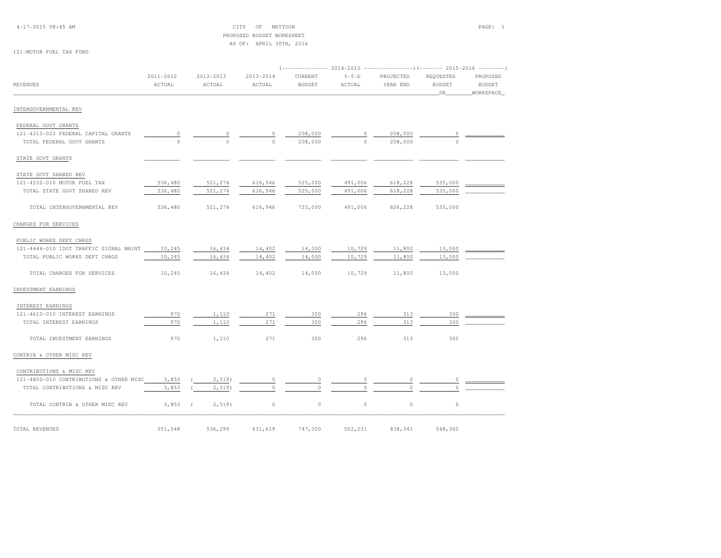4-17-2015 08:45 AM CITY OF MATTOON PAGE: 1 PROPOSED BUDGET WORKSHEETAS OF: APRIL 30TH, 2016

121-MOTOR FUEL TAX FUND

|                                               |                     |                         |                     |                          |                   | (------------- 2014-2015 -----------------) (------- 2015-2016 --------) |                                  |                                        |
|-----------------------------------------------|---------------------|-------------------------|---------------------|--------------------------|-------------------|--------------------------------------------------------------------------|----------------------------------|----------------------------------------|
| <b>REVENUES</b>                               | 2011-2012<br>ACTUAL | 2012-2013<br>ACTUAL     | 2013-2014<br>ACTUAL | CURRENT<br><b>BUDGET</b> | $Y-T-D$<br>ACTUAL | PROJECTED<br>YEAR END                                                    | REQUESTED<br><b>BUDGET</b><br>DR | PROPOSED<br><b>BUDGET</b><br>WORKSPACE |
| INTERGOVERNMENTAL REV                         |                     |                         |                     |                          |                   |                                                                          |                                  |                                        |
| FEDERAL GOVT GRANTS                           |                     |                         |                     |                          |                   |                                                                          |                                  |                                        |
| 121-4313-023 FEDERAL CAPITAL GRANTS           |                     |                         |                     | 208,000                  |                   | 208,000                                                                  |                                  |                                        |
| TOTAL FEDERAL GOVT GRANTS                     |                     |                         |                     | 208,000                  | $\cap$            | 208,000                                                                  | $\cap$                           |                                        |
| STATE GOVT GRANTS                             |                     |                         |                     |                          |                   |                                                                          |                                  |                                        |
| STATE GOVT SHARED REV                         |                     |                         |                     |                          |                   |                                                                          |                                  |                                        |
| 121-4332-010 MOTOR FUEL TAX                   | 536,480             | 521,274                 | 616,946             | 525,000                  | 491,006           | 618,228                                                                  | 535,000                          |                                        |
| TOTAL STATE GOVT SHARED REV                   | 536,480             | 521,274                 | 616,946             | 525,000                  | 491,006           | 618,228                                                                  | 535,000                          |                                        |
| TOTAL INTERGOVERNMENTAL REV                   | 536,480             | 521,274                 | 616,946             | 733,000                  | 491,006           | 826,228                                                                  | 535,000                          |                                        |
| CHARGES FOR SERVICES                          |                     |                         |                     |                          |                   |                                                                          |                                  |                                        |
| PUBLIC WORKS DEPT CHRGS                       |                     |                         |                     |                          |                   |                                                                          |                                  |                                        |
| 121-4444-010 IDOT TRAFFIC SIGNAL MAINT 10,245 |                     | 16,434                  | 14,402              | 14,000                   | 10,729            | 11,800                                                                   | 13,000                           |                                        |
| TOTAL PUBLIC WORKS DEPT CHRGS                 | 10,245              | 16,434                  | 14,402              | 14,000                   | 10,729            | 11,800                                                                   | 13,000                           |                                        |
| TOTAL CHARGES FOR SERVICES                    | 10,245              | 16,434                  | 14,402              | 14,000                   | 10,729            | 11,800                                                                   | 13,000                           |                                        |
| INVESTMENT EARNINGS                           |                     |                         |                     |                          |                   |                                                                          |                                  |                                        |
| INTEREST EARNINGS                             |                     |                         |                     |                          |                   |                                                                          |                                  |                                        |
| 121-4610-010 INTEREST EARNINGS                | 970                 | 1,110                   | 271                 | 300                      | 296               | 313                                                                      | 300                              |                                        |
| TOTAL INTEREST EARNINGS                       | 970                 | 1,110                   | 271                 | 300                      | 296               | 313                                                                      | 300                              |                                        |
| TOTAL INVESTMENT EARNINGS                     | 970                 | 1,110                   | 271                 | 300                      | 296               | 313                                                                      | 300                              |                                        |
| CONTRIB & OTHER MISC REV                      |                     |                         |                     |                          |                   |                                                                          |                                  |                                        |
| CONTRIBUTIONS & MISC REV                      |                     |                         |                     |                          |                   |                                                                          |                                  |                                        |
| 121-4800-010 CONTRIBUTIONS & OTHER MISC       | 3,853               | 2,519)                  | 0                   | $\Omega$                 |                   | 0                                                                        |                                  |                                        |
| TOTAL CONTRIBUTIONS & MISC REV                | 3,853               | $2,519$ )               |                     | $\Omega$                 |                   | $\Omega$                                                                 |                                  |                                        |
| TOTAL CONTRIB & OTHER MISC REV                | 3,853               | $2,519$ )<br>$\sqrt{2}$ | $\circ$             | $\circ$                  | $\circ$           | $\circ$                                                                  | $\circ$                          |                                        |
| TOTAL REVENUES                                | 551,548             | 536,299                 | 631,619             | 747,300                  | 502,031           | 838,341                                                                  | 548,300                          |                                        |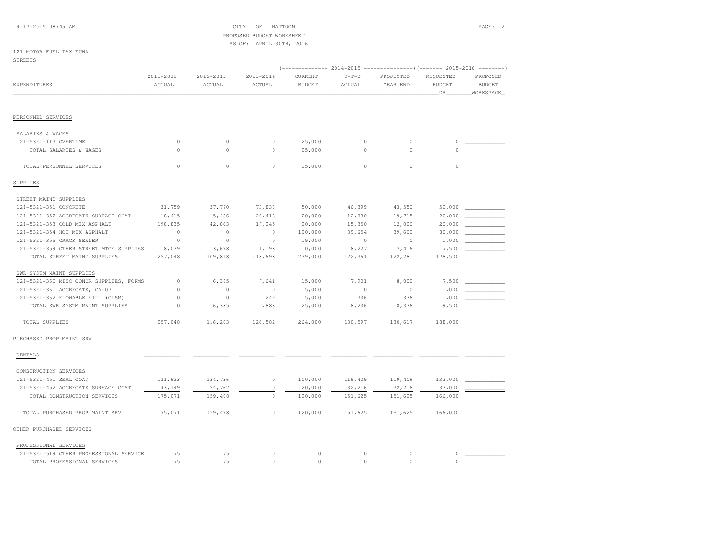4-17-2015 08:45 AM CITY OF MATTOON PAGE: 2 PROPOSED BUDGET WORKSHEETAS OF: APRIL 30TH, 2016

#### 121-MOTOR FUEL TAX FUNDSTREETS

| EXPENDITURES                            | 2011-2012<br>ACTUAL | 2012-2013<br>ACTUAL | 2013-2014<br>ACTUAL | CURRENT<br><b>BUDGET</b> | $Y-T-D$<br>ACTUAL | PROJECTED<br>YEAR END | REQUESTED<br><b>BUDGET</b><br>DR | PROPOSED<br><b>BUDGET</b><br>WORKSPACE |
|-----------------------------------------|---------------------|---------------------|---------------------|--------------------------|-------------------|-----------------------|----------------------------------|----------------------------------------|
| PERSONNEL SERVICES                      |                     |                     |                     |                          |                   |                       |                                  |                                        |
| SALARIES & WAGES                        |                     |                     |                     |                          |                   |                       |                                  |                                        |
| 121-5321-113 OVERTIME                   | 0                   | 0                   | 0                   | 25,000                   | $\circ$           | 0                     | 0                                |                                        |
| TOTAL SALARIES & WAGES                  | $\Omega$            | $\Omega$            | $\Omega$            | 25,000                   | $\Omega$          | $\Omega$              | $\cap$                           |                                        |
| TOTAL PERSONNEL SERVICES                | $\circ$             | 0                   | $\circ$             | 25,000                   | $\circ$           | $\circ$               | $\circ$                          |                                        |
| SUPPLIES                                |                     |                     |                     |                          |                   |                       |                                  |                                        |
| STREET MAINT SUPPLIES                   |                     |                     |                     |                          |                   |                       |                                  |                                        |
| 121-5321-351 CONCRETE                   | 31,759              | 37,770              | 73,838              | 50,000                   | 46,399            | 43,550                | 50,000                           |                                        |
| 121-5321-352 AGGREGATE SURFACE COAT     | 18,415              | 15,486              | 26,418              | 20,000                   | 12,730            | 19,715                | 20,000                           |                                        |
| 121-5321-353 COLD MIX ASPHALT           | 198,835             | 42,863              | 17,245              | 20,000                   | 15,350            | 12,000                | 20,000                           |                                        |
| 121-5321-354 HOT MIX ASPHALT            | $\circ$             | $\circ$             | $\circ$             | 120,000                  | 39,654            | 39,600                | 80,000                           |                                        |
| 121-5321-355 CRACK SEALER               | $\circ$             | $\circ$             | $\circ$             | 19,000                   | $\circ$           | $\circ$               | 1,000                            |                                        |
| 121-5321-359 OTHER STREET MTCE SUPPLIES | 8,039               | 13,698              | 1,198               | 10,000                   | 8,227             | 7,416                 | 7,500                            |                                        |
| TOTAL STREET MAINT SUPPLIES             | 257,048             | 109,818             | 118,698             | 239,000                  | 122,361           | 122,281               | 178,500                          |                                        |
| SWR SYSTM MAINT SUPPLIES                |                     |                     |                     |                          |                   |                       |                                  |                                        |
| 121-5321-360 MISC CONCR SUPPLIES, FORMS | $\circ$             | 6,385               | 7,641               | 15,000                   | 7,901             | 8,000                 | 7,500                            |                                        |
| 121-5321-361 AGGREGATE, CA-07           | $\Omega$            | $\circ$             | $\circ$             | 5,000                    | $\circ$           | $\circ$               | 1,000                            |                                        |
| 121-5321-362 FLOWABLE FILL (CLSM)       | $\circ$             | $\circ$             | 242                 | 5,000                    | 336               | 336                   | 1,000                            |                                        |
| TOTAL SWR SYSTM MAINT SUPPLIES          | $\circ$             | 6,385               | 7,883               | 25,000                   | 8,236             | 8,336                 | 9,500                            |                                        |
| TOTAL SUPPLIES                          | 257,048             | 116,203             | 126,582             | 264,000                  | 130,597           | 130,617               | 188,000                          |                                        |
| PURCHASED PROP MAINT SRV                |                     |                     |                     |                          |                   |                       |                                  |                                        |
| <b>RENTALS</b>                          |                     |                     |                     |                          |                   |                       |                                  |                                        |

| CONULINO CILON DENVICED             |         |         |         |         |         |         |  |
|-------------------------------------|---------|---------|---------|---------|---------|---------|--|
| 121-5321-451 SEAL COAT              | 131,923 | 134,736 | 100,000 | 119,409 | 119,409 | 133,000 |  |
| 121-5321-452 AGGREGATE SURFACE COAT | 43,149  | 24,762  | 20,000  | 32,216  | 32,216  | 33,000  |  |
| TOTAL CONSTRUCTION SERVICES         | 175,071 | 159,498 | 120,000 | 151,625 | 151,625 | 166,000 |  |
| TOTAL PURCHASED PROP MAINT SRV      | 175,071 | 159,498 | 120,000 | 151,625 | 151,625 | 166,000 |  |
|                                     |         |         |         |         |         |         |  |

# OTHER PURCHASED SERVICES

| PROFESSIONAL SERVICES |  |  |
|-----------------------|--|--|
|-----------------------|--|--|

| OTHER PROFESSIONAL SERVICE<br>101<br><u>+ + +</u> |  |  |  |  |
|---------------------------------------------------|--|--|--|--|
| TOTAL PROFESSIONAL SERVICES                       |  |  |  |  |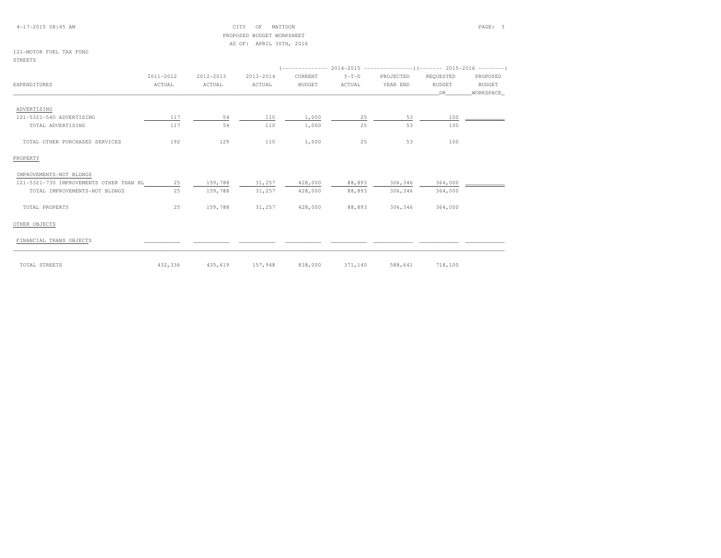## 4-17-2015 08:45 AM CITY OF MATTOON PAGE: 3 PROPOSED BUDGET WORKSHEETAS OF: APRIL 30TH, 2016

#### 121-MOTOR FUEL TAX FUNDSTREETS

|                                         |           |           |           |               |         | $($ -------------- 2014-2015 -----------------) (------- 2015-2016 --------) |               |           |
|-----------------------------------------|-----------|-----------|-----------|---------------|---------|------------------------------------------------------------------------------|---------------|-----------|
|                                         | 2011-2012 | 2012-2013 | 2013-2014 | CURRENT       | $Y-T-D$ | PROJECTED                                                                    | REQUESTED     | PROPOSED  |
| EXPENDITURES                            | ACTUAL    | ACTUAL    | ACTUAL    | <b>BUDGET</b> | ACTUAL  | YEAR END                                                                     | <b>BUDGET</b> | BUDGET    |
|                                         |           |           |           |               |         |                                                                              | <b>DR</b>     | WORKSPACE |
| ADVERTISING                             |           |           |           |               |         |                                                                              |               |           |
| 121-5321-540 ADVERTISING                | 117       | 54        | 110       | 1,000         | 25      | 53                                                                           | 100           |           |
| TOTAL ADVERTISING                       | 117       | 54        | 110       | 1,000         | 25      | 53                                                                           | 100           |           |
| TOTAL OTHER PURCHASED SERVICES          | 192       | 129       | 110       | 1,000         | 25      | 53                                                                           | 100           |           |
| PROPERTY                                |           |           |           |               |         |                                                                              |               |           |
| IMPROVEMENTS-NOT BLDNGS                 |           |           |           |               |         |                                                                              |               |           |
| 121-5321-730 IMPROVEMENTS OTHER THAN BL | 25        | 159,788   | 31,257    | 428,000       | 88,893  | 306,346                                                                      | 364,000       |           |
| TOTAL IMPROVEMENTS-NOT BLDNGS           | 25        | 159,788   | 31,257    | 428,000       | 88,893  | 306,346                                                                      | 364,000       |           |
| TOTAL PROPERTY                          | 25        | 159,788   | 31,257    | 428,000       | 88,893  | 306,346                                                                      | 364,000       |           |
| OTHER OBJECTS                           |           |           |           |               |         |                                                                              |               |           |
| FINANCIAL TRANS OBJECTS                 |           |           |           |               |         |                                                                              |               |           |
| TOTAL STREETS                           | 432,336   | 435,619   | 157,948   | 838,000       | 371,140 | 588,641                                                                      | 718,100       |           |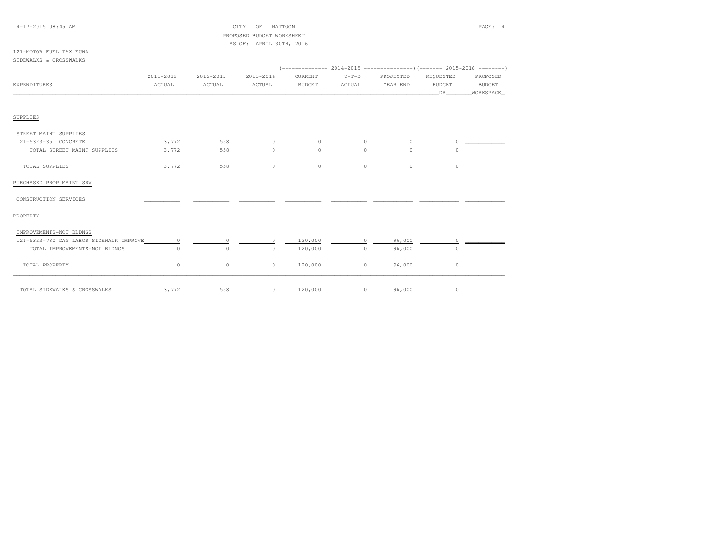## 4-17-2015 08:45 AM CITY OF MATTOON PAGE: 4 PROPOSED BUDGET WORKSHEETAS OF: APRIL 30TH, 2016

#### 121-MOTOR FUEL TAX FUNDSIDEWALKS & CROSSWALKS

|                                         | 2011-2012 | 2012-2013 | 2013-2014 | CURRENT        | $Y-T-D$  | PROJECTED  | REQUESTED     | PROPOSED      |
|-----------------------------------------|-----------|-----------|-----------|----------------|----------|------------|---------------|---------------|
| EXPENDITURES                            | ACTUAL    | ACTUAL    | ACTUAL    | <b>BUDGET</b>  | ACTUAL   | YEAR END   | <b>BUDGET</b> | <b>BUDGET</b> |
|                                         |           |           |           |                |          |            | DR 1          | WORKSPACE     |
|                                         |           |           |           |                |          |            |               |               |
| SUPPLIES                                |           |           |           |                |          |            |               |               |
| STREET MAINT SUPPLIES                   |           |           |           |                |          |            |               |               |
| 121-5323-351 CONCRETE                   | 3,772     | 558       | $\circ$   | $\circ$        | $\circ$  | $\circ$    | $\circ$       |               |
| TOTAL STREET MAINT SUPPLIES             | 3,772     | 558       | $\circ$   | $\Omega$       | $\Omega$ | $\Omega$   |               |               |
| TOTAL SUPPLIES                          | 3,772     | 558       | $\circ$   | $\circ$        | $\circ$  | $\circ$    | $\circ$       |               |
| PURCHASED PROP MAINT SRV                |           |           |           |                |          |            |               |               |
| CONSTRUCTION SERVICES                   |           |           |           |                |          |            |               |               |
| PROPERTY                                |           |           |           |                |          |            |               |               |
| IMPROVEMENTS-NOT BLDNGS                 |           |           |           |                |          |            |               |               |
| 121-5323-730 DAY LABOR SIDEWALK IMPROVE | $\Omega$  | $\Omega$  | $\Omega$  | 120,000        | $\Omega$ | 96,000     |               |               |
| TOTAL IMPROVEMENTS-NOT BLDNGS           | $\Omega$  | $\circ$   | $\circ$   | 120,000        | $\circ$  | 96,000     | $\Omega$      |               |
| TOTAL PROPERTY                          | 0         | $\circ$   | $\circ$   | 120,000        | $\circ$  | 96,000     | $\circ$       |               |
| TOTAL SIDEWALKS & CROSSWALKS            | 3,772     | 558       |           | $0 \t 120,000$ |          | $0$ 96,000 | $\circ$       |               |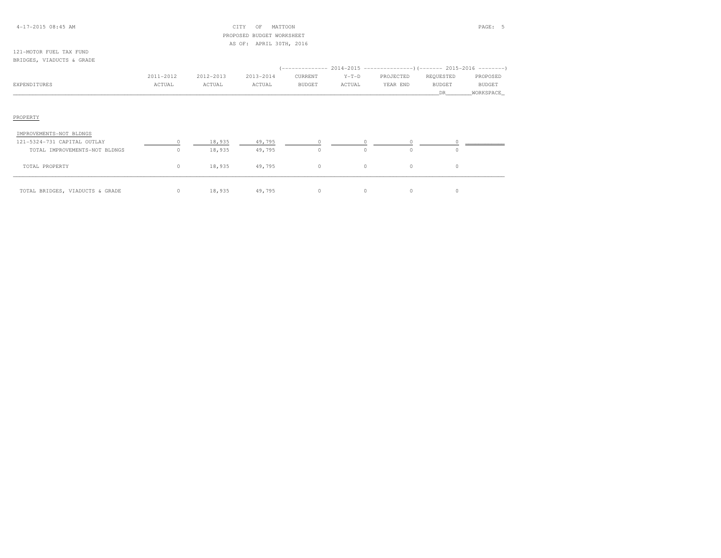## 4-17-2015 08:45 AM CITY OF MATTOON PAGE: 5 PROPOSED BUDGET WORKSHEETAS OF: APRIL 30TH, 2016

#### 121-MOTOR FUEL TAX FUNDBRIDGES, VIADUCTS & GRADE

|              |           |           |           |               |         | (-------------- 2014-2015 -------------------- ) (------- 2015-2016 ---------) |               |               |
|--------------|-----------|-----------|-----------|---------------|---------|--------------------------------------------------------------------------------|---------------|---------------|
|              | 2011-2012 | 2012-2013 | 2013-2014 | CURRENT       | $Y-T-D$ | PROJECTED                                                                      | REOUESTED     | PROPOSED      |
| EXPENDITURES | ACTUAL    | ACTUAL    | ACTUAL    | <b>BUDGET</b> | ACTUAL  | YEAR END                                                                       | <b>BUDGET</b> | <b>BUDGET</b> |
|              |           |           |           |               |         |                                                                                |               | WORKSPACE     |

## PROPERTY

| IMPROVEMENTS-NOT BLDNGS         |    |        |        |         |  |  |
|---------------------------------|----|--------|--------|---------|--|--|
| 121-5324-731 CAPITAL OUTLAY     |    | 18,935 | 49,795 |         |  |  |
| TOTAL IMPROVEMENTS-NOT BLDNGS   |    | 18,935 | 49,795 |         |  |  |
| TOTAL PROPERTY                  | 0. | 18,935 | 49,795 | $\circ$ |  |  |
| TOTAL BRIDGES, VIADUCTS & GRADE |    | 18,935 | 49,795 |         |  |  |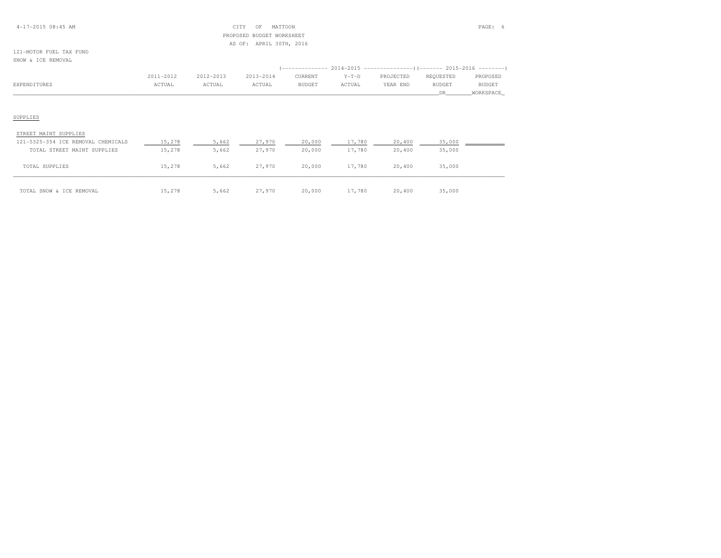## 4-17-2015 08:45 AM CITY OF MATTOON PAGE: 6 PROPOSED BUDGET WORKSHEETAS OF: APRIL 30TH, 2016

## 121-MOTOR FUEL TAX FUNDSNOW & ICE REMOVAL

|              | 2011-2012 | 2012-2013 | $2013 - 2014$ | CURRENT       | $Y-T-D$ | PROJECTED | REOUESTED     | PROPOSED      |
|--------------|-----------|-----------|---------------|---------------|---------|-----------|---------------|---------------|
| EXPENDITURES | ACTUAL    | ACTUAL    | ACTUAL        | <b>BUDGET</b> | ACTUAL  | YEAR END  | <b>BUDGET</b> | <b>BUDGET</b> |
|              |           |           |               |               |         |           |               | WORKSPACE     |

## SUPPLIES

| STREET MAINT SUPPLIES              |        |       |        |        |        |        |        |  |
|------------------------------------|--------|-------|--------|--------|--------|--------|--------|--|
| 121-5325-354 ICE REMOVAL CHEMICALS | 15,278 | 5,662 | 27,970 | 20,000 | 17,780 | 20,400 | 35,000 |  |
| TOTAL STREET MAINT SUPPLIES        | 15,278 | 5,662 | 27,970 | 20,000 | 17,780 | 20,400 | 35,000 |  |
| TOTAL SUPPLIES                     | 15,278 | 5,662 | 27,970 | 20,000 | 17,780 | 20,400 | 35,000 |  |
| TOTAL SNOW & ICE REMOVAL           | 15,278 | 5,662 | 27,970 | 20,000 | 17,780 | 20,400 | 35,000 |  |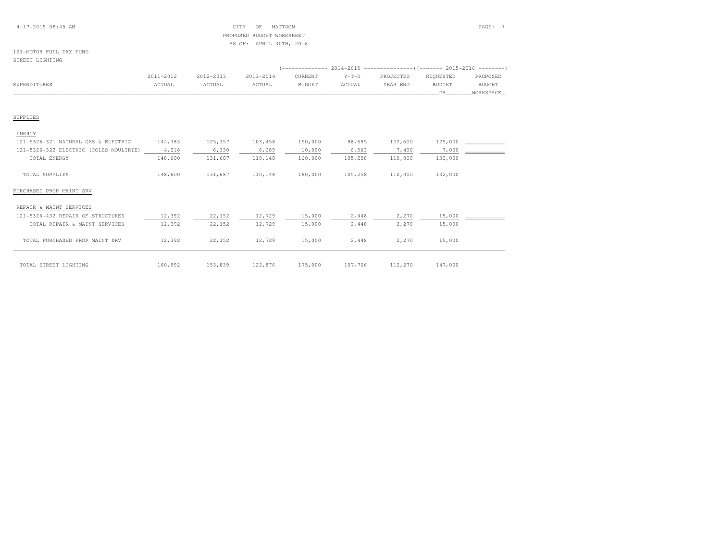## 4-17-2015 08:45 AM CITY OF MATTOON PAGE: 7 PROPOSED BUDGET WORKSHEETAS OF: APRIL 30TH, 2016

#### 121-MOTOR FUEL TAX FUNDSTREET LIGHTING

|                                              | 2011-2012 | 2012-2013 | 2013-2014 | CURRENT       | $Y-T-D$ | PROJECTED | REOUESTED | PROPOSED      |
|----------------------------------------------|-----------|-----------|-----------|---------------|---------|-----------|-----------|---------------|
| EXPENDITURES                                 | ACTUAL    | ACTUAL    | ACTUAL    | <b>BUDGET</b> | ACTUAL  | YEAR END  | BUDGET    | <b>BUDGET</b> |
|                                              |           |           |           |               |         |           | DR        | WORKSPACE     |
| SUPPLIES                                     |           |           |           |               |         |           |           |               |
| ENERGY                                       |           |           |           |               |         |           |           |               |
| 121-5326-321 NATURAL GAS & ELECTRIC          | 144,383   | 125,357   | 103,458   | 150,000       | 98,695  | 102,600   | 125,000   |               |
| 121-5326-322 ELECTRIC (COLES MOULTRIE) 4,218 |           | 6,330     | 6,689     | 10,000        | 6,563   | 7,400     | 7,000     |               |
| TOTAL ENERGY                                 | 148,600   | 131,687   | 110,148   | 160,000       | 105,258 | 110,000   | 132,000   |               |
| TOTAL SUPPLIES                               | 148,600   | 131,687   | 110,148   | 160,000       | 105,258 | 110,000   | 132,000   |               |
| PURCHASED PROP MAINT SRV                     |           |           |           |               |         |           |           |               |
| REPAIR & MAINT SERVICES                      |           |           |           |               |         |           |           |               |
| 121-5326-432 REPAIR OF STRUCTURES            | 12,392    | 22,152    | 12,729    | 15,000        | 2,448   | 2,270     | 15,000    |               |
| TOTAL REPAIR & MAINT SERVICES                | 12,392    | 22,152    | 12,729    | 15,000        | 2,448   | 2,270     | 15,000    |               |
| TOTAL PURCHASED PROP MAINT SRV               | 12,392    | 22,152    | 12,729    | 15,000        | 2,448   | 2,270     | 15,000    |               |
| TOTAL STREET LIGHTING                        | 160,992   | 153,839   | 122,876   | 175,000       | 107,706 | 112,270   | 147,000   |               |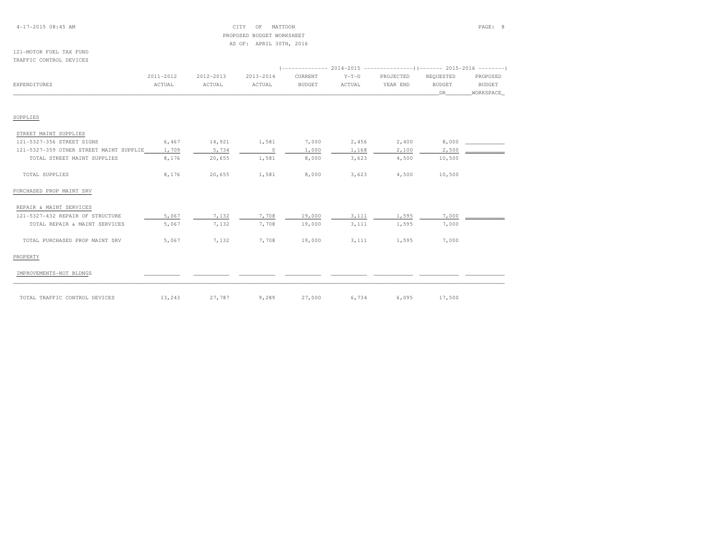## 4-17-2015 08:45 AM CITY OF MATTOON PAGE: 8 PROPOSED BUDGET WORKSHEETAS OF: APRIL 30TH, 2016

#### 121-MOTOR FUEL TAX FUNDTRAFFIC CONTROL DEVICES

|                                         | 2011-2012 | 2012-2013 | 2013-2014 | CURRENT       | $Y-T-D$ | PROJECTED | REOUESTED     | PROPOSED  |  |  |
|-----------------------------------------|-----------|-----------|-----------|---------------|---------|-----------|---------------|-----------|--|--|
| EXPENDITURES                            | ACTUAL    | ACTUAL    | ACTUAL    | <b>BUDGET</b> | ACTUAL  | YEAR END  | <b>BUDGET</b> | BUDGET    |  |  |
|                                         |           |           |           |               |         |           | DR.           | WORKSPACE |  |  |
| SUPPLIES                                |           |           |           |               |         |           |               |           |  |  |
| STREET MAINT SUPPLIES                   |           |           |           |               |         |           |               |           |  |  |
| 121-5327-356 STREET SIGNS               | 6,467     | 14,921    | 1,581     | 7,000         | 2,456   | 2,400     | 8,000         |           |  |  |
| 121-5327-359 OTHER STREET MAINT SUPPLIE | 1,709     | 5,734     | $\circ$   | 1,000         | 1,168   | 2,100     | 2,500         |           |  |  |
| TOTAL STREET MAINT SUPPLIES             | 8,176     | 20,655    | 1,581     | 8,000         | 3,623   | 4,500     | 10,500        |           |  |  |
| TOTAL SUPPLIES                          | 8,176     | 20,655    | 1,581     | 8,000         | 3,623   | 4,500     | 10,500        |           |  |  |
| PURCHASED PROP MAINT SRV                |           |           |           |               |         |           |               |           |  |  |
| REPAIR & MAINT SERVICES                 |           |           |           |               |         |           |               |           |  |  |
| 121-5327-432 REPAIR OF STRUCTURE        | 5,067     | 7,132     | 7,708     | 19,000        | 3,111   | 1,595     | 7,000         |           |  |  |
| TOTAL REPAIR & MAINT SERVICES           | 5,067     | 7,132     | 7,708     | 19,000        | 3,111   | 1,595     | 7,000         |           |  |  |
| TOTAL PURCHASED PROP MAINT SRV          | 5,067     | 7,132     | 7,708     | 19,000        | 3,111   | 1,595     | 7,000         |           |  |  |
| PROPERTY                                |           |           |           |               |         |           |               |           |  |  |
| IMPROVEMENTS-NOT BLDNGS                 |           |           |           |               |         |           |               |           |  |  |
| TOTAL TRAFFIC CONTROL DEVICES           | 13,243    | 27,787    | 9,289     | 27,000        | 6,734   | 6,095     | 17,500        |           |  |  |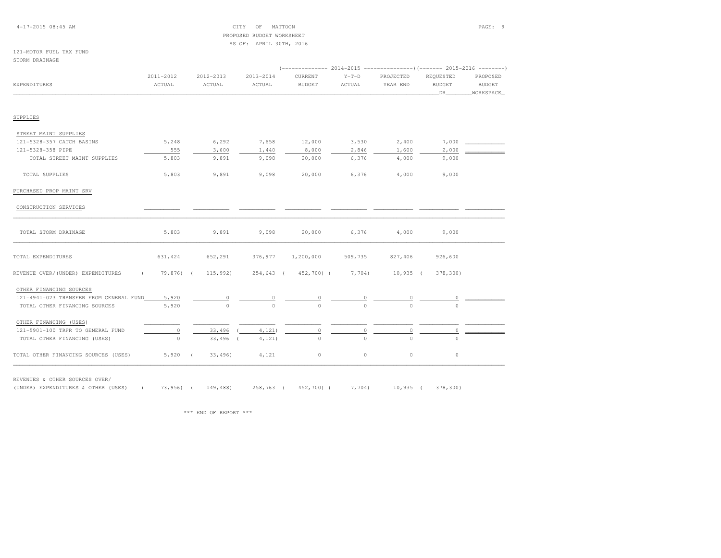## 4-17-2015 08:45 AM CITY OF MATTOON PAGE: 9 PROPOSED BUDGET WORKSHEETAS OF: APRIL 30TH, 2016

### 121-MOTOR FUEL TAX FUNDSTORM DRAINAGE

|                                                 | 2011-2012 | 2012-2013          | 2013-2014 | CURRENT                     | $Y-T-D$ | PROJECTED | REQUESTED     | PROPOSED      |  |
|-------------------------------------------------|-----------|--------------------|-----------|-----------------------------|---------|-----------|---------------|---------------|--|
| EXPENDITURES                                    | ACTUAL    | ACTUAL             | ACTUAL    | <b>BUDGET</b>               | ACTUAL  | YEAR END  | <b>BUDGET</b> | <b>BUDGET</b> |  |
|                                                 |           |                    |           |                             |         |           | DR            | _WORKSPACE_   |  |
| SUPPLIES                                        |           |                    |           |                             |         |           |               |               |  |
| STREET MAINT SUPPLIES                           |           |                    |           |                             |         |           |               |               |  |
| 121-5328-357 CATCH BASINS                       | 5,248     | 6,292              | 7,658     | 12,000                      | 3,530   | 2,400     | 7,000         |               |  |
| 121-5328-358 PIPE                               | 555       | 3,600              | 1,440     | 8,000                       | 2,846   | 1,600     | 2,000         |               |  |
| TOTAL STREET MAINT SUPPLIES                     | 5,803     | 9,891              | 9,098     | 20,000                      | 6,376   | 4,000     | 9,000         |               |  |
| TOTAL SUPPLIES                                  | 5,803     | 9,891              | 9,098     | 20,000                      | 6,376   | 4,000     | 9,000         |               |  |
| PURCHASED PROP MAINT SRV                        |           |                    |           |                             |         |           |               |               |  |
| CONSTRUCTION SERVICES                           |           |                    |           |                             |         |           |               |               |  |
| TOTAL STORM DRAINAGE                            | 5,803     | 9,891              | 9,098     | 20,000                      | 6,376   | 4,000     | 9,000         |               |  |
| TOTAL EXPENDITURES                              | 631,424   | 652,291            | 376,977   | 1,200,000                   | 509,735 | 827,406   | 926,600       |               |  |
| REVENUE OVER/(UNDER) EXPENDITURES<br>$\sqrt{2}$ |           | 79,876) ( 115,992) |           | 254,643 ( 452,700) ( 7,704) |         | 10,935 (  | 378,300)      |               |  |
| OTHER FINANCING SOURCES                         |           |                    |           |                             |         |           |               |               |  |
| 121-4941-023 TRANSFER FROM GENERAL FUND         | 5,920     |                    |           |                             |         |           |               |               |  |
| TOTAL OTHER FINANCING SOURCES                   | 5,920     | $\Omega$           | $\Omega$  | $\Omega$                    |         |           |               |               |  |
| OTHER FINANCING (USES)                          |           |                    |           |                             |         |           |               |               |  |
| 121-5901-100 TRFR TO GENERAL FUND               | $\Omega$  | 33,496             | 4,121     | $\Omega$                    |         | 0         |               |               |  |
| TOTAL OTHER FINANCING (USES)                    | $\circ$   | $33,496$ (         | 4, 121)   | $\circ$                     |         | $\Omega$  |               |               |  |
| TOTAL OTHER FINANCING SOURCES (USES)            | $5,920$ ( | 33,496             | 4,121     | $\circ$                     | $\circ$ | $\circ$   | $\circ$       |               |  |

REVENUES & OTHER SOURCES OVER/

(UNDER) EXPENDITURES & OTHER (USES) ( 73,956) ( 149,488) 258,763 ( 452,700) ( 7,704) 10,935 ( 378,300)

\*\*\* END OF REPORT \*\*\*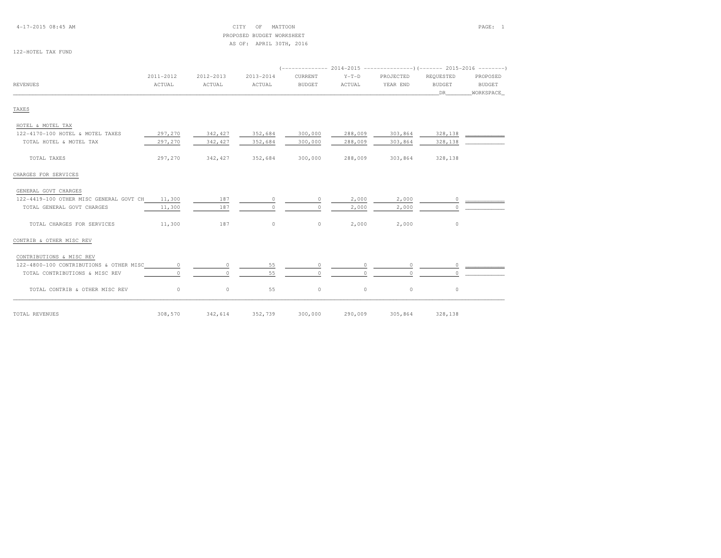# PROPOSED BUDGET WORKSHEETAS OF: APRIL 30TH, 2016

122-HOTEL TAX FUND

|                                         | 2011-2012 | 2012-2013 | 2013-2014 | CURRENT       | $Y-T-D$  | PROJECTED | REQUESTED     | PROPOSED                                |
|-----------------------------------------|-----------|-----------|-----------|---------------|----------|-----------|---------------|-----------------------------------------|
| <b>REVENUES</b>                         | ACTUAL    | ACTUAL    | ACTUAL    | <b>BUDGET</b> | ACTUAL   | YEAR END  | <b>BUDGET</b> | <b>BUDGET</b>                           |
|                                         |           |           |           |               |          |           | DR            | WORKSPACE                               |
| TAXES                                   |           |           |           |               |          |           |               |                                         |
| HOTEL & MOTEL TAX                       |           |           |           |               |          |           |               |                                         |
| 122-4170-100 HOTEL & MOTEL TAXES        | 297,270   | 342,427   | 352,684   | 300,000       | 288,009  | 303,864   | 328,138       |                                         |
| TOTAL HOTEL & MOTEL TAX                 | 297,270   | 342,427   | 352,684   | 300,000       | 288,009  | 303,864   | 328,138       |                                         |
| TOTAL TAXES                             | 297,270   | 342,427   | 352,684   | 300,000       | 288,009  | 303,864   | 328,138       |                                         |
| CHARGES FOR SERVICES                    |           |           |           |               |          |           |               |                                         |
| GENERAL GOVT CHARGES                    |           |           |           |               |          |           |               |                                         |
| 122-4419-100 OTHER MISC GENERAL GOVT CH | 11,300    | 187       | $\circ$   | $\circ$       | 2,000    | 2,000     |               | $\overline{0}$ $\overline{\phantom{0}}$ |
| TOTAL GENERAL GOVT CHARGES              | 11,300    | 187       | $\Omega$  | $\Omega$      | 2,000    | 2,000     | $\Omega$      |                                         |
| TOTAL CHARGES FOR SERVICES              | 11,300    | 187       | $\circ$   | 0             | 2,000    | 2,000     | $\circ$       |                                         |
| CONTRIB & OTHER MISC REV                |           |           |           |               |          |           |               |                                         |
| CONTRIBUTIONS & MISC REV                |           |           |           |               |          |           |               |                                         |
| 122-4800-100 CONTRIBUTIONS & OTHER MISC | $\circ$   | $\Omega$  | 55        |               | $\circ$  |           | $\circ$       |                                         |
| TOTAL CONTRIBUTIONS & MISC REV          | $\Omega$  | $\Omega$  | 55        | $\circ$       | $\Omega$ |           | $\Omega$      |                                         |
| TOTAL CONTRIB & OTHER MISC REV          | $\circ$   | $\circ$   | 55        | $\mathbb O$   | $\circ$  | $\circ$   | $\circ$       |                                         |
| TOTAL REVENUES                          | 308,570   | 342,614   | 352,739   | 300,000       | 290,009  | 305,864   | 328,138       |                                         |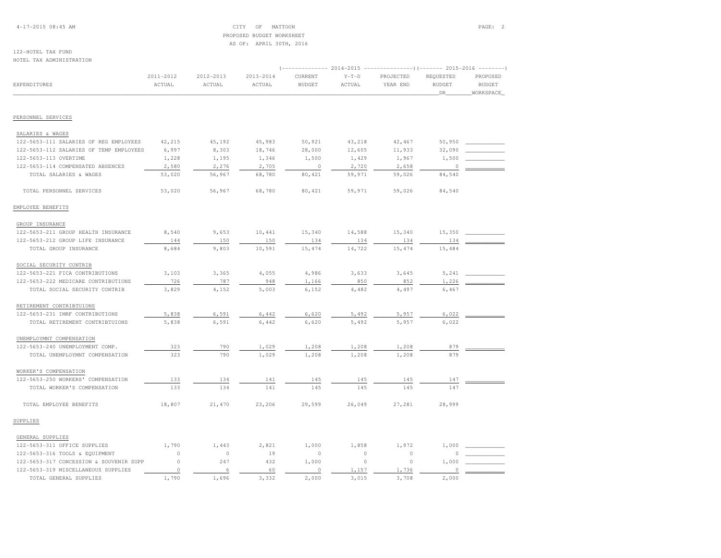4-17-2015 08:45 AM CITY OF MATTOON PAGE: 2 PROPOSED BUDGET WORKSHEETAS OF: APRIL 30TH, 2016

#### 122-HOTEL TAX FUNDHOTEL TAX ADMINISTRATION

|                                         |             |           |           | 2014-2015<br>---------------) (------- 2015-2016<br>$-- - - - - -$ |         |           |               |               |
|-----------------------------------------|-------------|-----------|-----------|--------------------------------------------------------------------|---------|-----------|---------------|---------------|
|                                         | 2011-2012   | 2012-2013 | 2013-2014 | CURRENT                                                            | $Y-T-D$ | PROJECTED | REQUESTED     | PROPOSED      |
| EXPENDITURES                            | ACTUAL      | ACTUAL    | ACTUAL    | <b>BUDGET</b>                                                      | ACTUAL  | YEAR END  | <b>BUDGET</b> | <b>BUDGET</b> |
|                                         |             |           |           |                                                                    |         |           | _DR_          | WORKSPACE     |
|                                         |             |           |           |                                                                    |         |           |               |               |
| PERSONNEL SERVICES                      |             |           |           |                                                                    |         |           |               |               |
| SALARIES & WAGES                        |             |           |           |                                                                    |         |           |               |               |
| 122-5653-111 SALARIES OF REG EMPLOYEES  | 42,215      | 45,192    | 45,983    | 50,921                                                             | 43,218  | 42,467    | 50,950        |               |
| 122-5653-112 SALARIES OF TEMP EMPLOYEES | 6,997       | 8,303     | 18,746    | 28,000                                                             | 12,605  | 11,933    | 32,090        |               |
| 122-5653-113 OVERTIME                   | 1,228       | 1,195     | 1,346     | 1,500                                                              | 1,429   | 1,967     | 1,500         |               |
| 122-5653-114 COMPENSATED ABSENCES       | 2,580       | 2,276     | 2,705     | $\circ$                                                            | 2,720   | 2,658     |               |               |
| TOTAL SALARIES & WAGES                  | 53,020      | 56,967    | 68,780    | 80,421                                                             | 59,971  | 59,026    | 84,540        |               |
| TOTAL PERSONNEL SERVICES                | 53,020      | 56,967    | 68,780    | 80,421                                                             | 59,971  | 59,026    | 84,540        |               |
| EMPLOYEE BENEFITS                       |             |           |           |                                                                    |         |           |               |               |
| GROUP INSURANCE                         |             |           |           |                                                                    |         |           |               |               |
| 122-5653-211 GROUP HEALTH INSURANCE     | 8,540       | 9,653     | 10,441    | 15,340                                                             | 14,588  | 15,340    | 15,350        |               |
| 122-5653-212 GROUP LIFE INSURANCE       | 144         | 150       | 150       | 134                                                                | 134     | 134       | 134           |               |
| TOTAL GROUP INSURANCE                   | 8,684       | 9,803     | 10,591    | 15,474                                                             | 14,722  | 15,474    | 15,484        |               |
| SOCIAL SECURITY CONTRIB                 |             |           |           |                                                                    |         |           |               |               |
| 122-5653-221 FICA CONTRIBUTIONS         | 3,103       | 3,365     | 4,055     | 4,986                                                              | 3,633   | 3,645     | 5,241         |               |
| 122-5653-222 MEDICARE CONTRIBUTIONS     | 726         | 787       | 948       | 1,166                                                              | 850     | 852       | 1,226         |               |
| TOTAL SOCIAL SECURITY CONTRIB           | 3,829       | 4,152     | 5,003     | 6,152                                                              | 4,482   | 4,497     | 6,467         |               |
| RETIREMENT CONTRIBTUIONS                |             |           |           |                                                                    |         |           |               |               |
| 122-5653-231 IMRF CONTRIBUTIONS         | 5,838       | 6,591     | 6,442     | 6,620                                                              | 5,492   | 5,957     | 6,022         |               |
| TOTAL RETIREMENT CONTRIBTUIONS          | 5,838       | 6,591     | 6,442     | 6,620                                                              | 5,492   | 5,957     | 6,022         |               |
| UNEMPLOYMNT COMPENSATION                |             |           |           |                                                                    |         |           |               |               |
| 122-5653-240 UNEMPLOYMENT COMP.         | 323         | 790       | 1,029     | 1,208                                                              | 1,208   | 1,208     | 879           |               |
| TOTAL UNEMPLOYMNT COMPENSATION          | 323         | 790       | 1,029     | 1,208                                                              | 1,208   | 1,208     | 879           |               |
| WORKER'S COMPENSATION                   |             |           |           |                                                                    |         |           |               |               |
| 122-5653-250 WORKERS' COMPENSATION      | 133         | 134       | 141       | 145                                                                | 145     | 145       | 147           |               |
| TOTAL WORKER'S COMPENSATION             | 133         | 134       | 141       | 145                                                                | 145     | 145       | 147           |               |
| TOTAL EMPLOYEE BENEFITS                 | 18,807      | 21,470    | 23,206    | 29,599                                                             | 26,049  | 27,281    | 28,999        |               |
| SUPPLIES                                |             |           |           |                                                                    |         |           |               |               |
| GENERAL SUPPLIES                        |             |           |           |                                                                    |         |           |               |               |
| 122-5653-311 OFFICE SUPPLIES            | 1,790       | 1,443     | 2,821     | 1,000                                                              | 1,858   | 1,972     | 1,000         |               |
| 122-5653-316 TOOLS & EQUIPMENT          | $\circ$     | $\circ$   | 19        | $\circ$                                                            | $\circ$ | $\circ$   | $\cap$        |               |
| 122-5653-317 CONCESSION & SOUVENIR SUPP | $\mathbb O$ | 247       | 432       | 1,000                                                              | $\circ$ | $\circ$   | 1,000         |               |
| 122-5653-319 MISCELLANEOUS SUPPLIES     | $\circ$     | 6         | 60        | $\circ$                                                            | 1,157   | 1,736     | $\Omega$      |               |
| TOTAL GENERAL SUPPLIES                  | 1,790       | 1,696     | 3.332     | 2,000                                                              | 3,015   | 3,708     | 2,000         |               |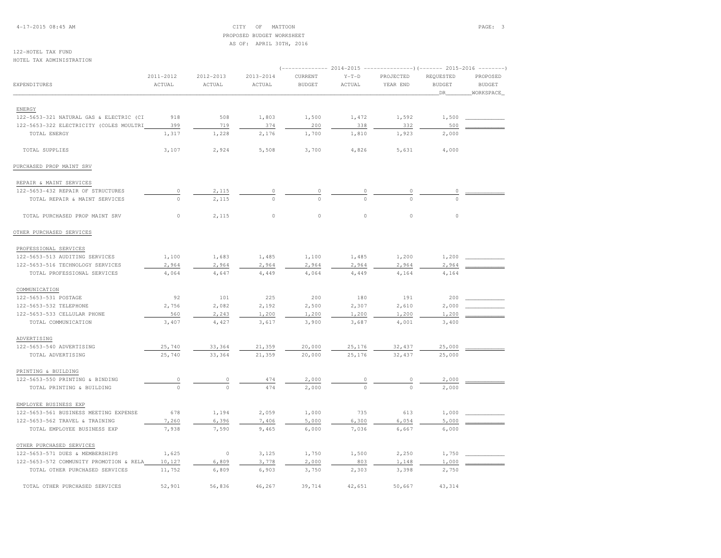4-17-2015 08:45 AM CITY OF MATTOON PAGE: 3 PROPOSED BUDGET WORKSHEETAS OF: APRIL 30TH, 2016

122-HOTEL TAX FUNDHOTEL TAX ADMINISTRATION

|                                         |                     |                     |                     | $---------2014-2015$     |                   |                       | $------------)$ (------- 2015-2016 --------) |                           |  |  |  |  |
|-----------------------------------------|---------------------|---------------------|---------------------|--------------------------|-------------------|-----------------------|----------------------------------------------|---------------------------|--|--|--|--|
| EXPENDITURES                            | 2011-2012<br>ACTUAL | 2012-2013<br>ACTUAL | 2013-2014<br>ACTUAL | CURRENT<br><b>BUDGET</b> | $Y-T-D$<br>ACTUAL | PROJECTED<br>YEAR END | REQUESTED<br><b>BUDGET</b>                   | PROPOSED<br><b>BUDGET</b> |  |  |  |  |
|                                         |                     |                     |                     |                          |                   |                       | DR                                           | WORKSPACE                 |  |  |  |  |
| ENERGY                                  |                     |                     |                     |                          |                   |                       |                                              |                           |  |  |  |  |
| 122-5653-321 NATURAL GAS & ELECTRIC (CI | 918                 | 508                 | 1,803               | 1,500                    | 1,472             | 1,592                 | 1,500                                        |                           |  |  |  |  |
| 122-5653-322 ELECTRICITY (COLES MOULTRI | 399                 | 719                 | 374                 | 200                      | 338               | 332                   | 500                                          |                           |  |  |  |  |
| TOTAL ENERGY                            | 1,317               | 1,228               | 2,176               | 1,700                    | 1,810             | 1,923                 | 2,000                                        |                           |  |  |  |  |
| TOTAL SUPPLIES                          | 3,107               | 2,924               | 5,508               | 3,700                    | 4,826             | 5,631                 | 4,000                                        |                           |  |  |  |  |
| PURCHASED PROP MAINT SRV                |                     |                     |                     |                          |                   |                       |                                              |                           |  |  |  |  |
| REPAIR & MAINT SERVICES                 |                     |                     |                     |                          |                   |                       |                                              |                           |  |  |  |  |
| 122-5653-432 REPAIR OF STRUCTURES       | $\mathbb O$         | 2,115               | 0                   |                          |                   |                       |                                              |                           |  |  |  |  |
| TOTAL REPAIR & MAINT SERVICES           | $\circ$             | 2,115               | $\circ$             | $\cap$                   | $\cap$            | $\Omega$              | $\cap$                                       |                           |  |  |  |  |
| TOTAL PURCHASED PROP MAINT SRV          | $\circ$             | 2,115               | $\circ$             | $\circ$                  | $\circ$           | $\mathbb O$           | $\circ$                                      |                           |  |  |  |  |
| OTHER PURCHASED SERVICES                |                     |                     |                     |                          |                   |                       |                                              |                           |  |  |  |  |
| PROFESSIONAL SERVICES                   |                     |                     |                     |                          |                   |                       |                                              |                           |  |  |  |  |
| 122-5653-513 AUDITING SERVICES          | 1,100               | 1,683               | 1,485               | 1,100                    | 1,485             | 1,200                 | 1,200                                        |                           |  |  |  |  |
| 122-5653-516 TECHNOLOGY SERVICES        | 2,964               | 2,964               | 2,964               | 2,964                    | 2,964             | 2,964                 | 2,964                                        |                           |  |  |  |  |
| TOTAL PROFESSIONAL SERVICES             | 4,064               | 4,647               | 4,449               | 4,064                    | 4,449             | 4,164                 | 4,164                                        |                           |  |  |  |  |
| COMMUNICATION                           |                     |                     |                     |                          |                   |                       |                                              |                           |  |  |  |  |
| 122-5653-531 POSTAGE                    | 92                  | 101                 | 225                 | 200                      | 180               | 191                   | 200                                          |                           |  |  |  |  |
| 122-5653-532 TELEPHONE                  | 2,756               | 2,082               | 2,192               | 2,500                    | 2,307             | 2,610                 | 2,000                                        |                           |  |  |  |  |
| 122-5653-533 CELLULAR PHONE             | 560                 | 2,243               | 1,200               | 1,200                    | 1,200             | 1,200                 | 1,200                                        |                           |  |  |  |  |
| TOTAL COMMUNICATION                     | 3,407               | 4,427               | 3,617               | 3,900                    | 3,687             | 4,001                 | 3,400                                        |                           |  |  |  |  |
| ADVERTISING                             |                     |                     |                     |                          |                   |                       |                                              |                           |  |  |  |  |
| 122-5653-540 ADVERTISING                | 25,740              | 33,364              | 21,359              | 20,000                   | 25,176            | 32,437                | 25,000                                       |                           |  |  |  |  |
| TOTAL ADVERTISING                       | 25,740              | 33,364              | 21,359              | 20,000                   | 25,176            | 32,437                | 25,000                                       |                           |  |  |  |  |
| PRINTING & BUILDING                     |                     |                     |                     |                          |                   |                       |                                              |                           |  |  |  |  |
| 122-5653-550 PRINTING & BINDING         | $\circ$             | 0                   | 474                 | 2,000                    |                   | 0                     | 2,000                                        |                           |  |  |  |  |
| TOTAL PRINTING & BUILDING               | $\circ$             | $\Omega$            | 474                 | 2,000                    |                   | $\Omega$              | 2,000                                        |                           |  |  |  |  |
| EMPLOYEE BUSINESS EXP                   |                     |                     |                     |                          |                   |                       |                                              |                           |  |  |  |  |
| 122-5653-561 BUSINESS MEETING EXPENSE   | 678                 | 1,194               | 2,059               | 1,000                    | 735               | 613                   | 1,000                                        |                           |  |  |  |  |
| 122-5653-562 TRAVEL & TRAINING          | 7,260               | 6,396               | 7,406               | 5,000                    | 6,300             | 6,054                 | 5,000                                        |                           |  |  |  |  |
| TOTAL EMPLOYEE BUSINESS EXP             | 7,938               | 7,590               | 9,465               | 6,000                    | 7,036             | 6,667                 | 6,000                                        |                           |  |  |  |  |
| OTHER PURCHASED SERVICES                |                     |                     |                     |                          |                   |                       |                                              |                           |  |  |  |  |
| 122-5653-571 DUES & MEMBERSHIPS         | 1,625               | $\circ$             | 3,125               | 1,750                    | 1,500             | 2,250                 | 1,750                                        |                           |  |  |  |  |
| 122-5653-572 COMMUNITY PROMOTION & RELA | 10,127              | 6,809               | 3,778               | 2,000                    | 803               | 1,148                 | 1,000                                        |                           |  |  |  |  |
| TOTAL OTHER PURCHASED SERVICES          | 11,752              | 6,809               | 6,903               | 3,750                    | 2,303             | 3,398                 | 2,750                                        |                           |  |  |  |  |
| TOTAL OTHER PURCHASED SERVICES          | 52,901              | 56,836              | 46,267              | 39,714                   | 42,651            | 50,667                | 43, 314                                      |                           |  |  |  |  |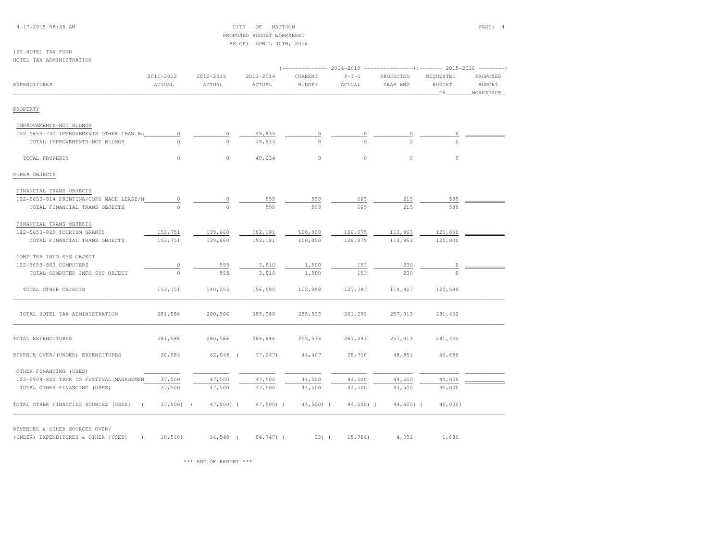4-17-2015 08:45 AM CITY OF MATTOON PAGE: 4 PROPOSED BUDGET WORKSHEETAS OF: APRIL 30TH, 2016

#### 122-HOTEL TAX FUNDHOTEL TAX ADMINISTRATION

|                                                    | 2011-2012  | 2012-2013  | 2013-2014    | CURRENT       | $Y-T-D$    | PROJECTED  | REOUESTED           | PROPOSED                   |
|----------------------------------------------------|------------|------------|--------------|---------------|------------|------------|---------------------|----------------------------|
| EXPENDITURES                                       | ACTUAL     | ACTUAL     | ACTUAL       | <b>BUDGET</b> | ACTUAL     | YEAR END   | <b>BUDGET</b><br>DR | <b>BUDGET</b><br>WORKSPACE |
| PROPERTY                                           |            |            |              |               |            |            |                     |                            |
| IMPROVEMENTS-NOT BLDNGS                            |            |            |              |               |            |            |                     |                            |
| 122-5653-730 IMPROVEMENTS OTHER THAN BL            | $\circ$    | $\circ$    | 49,634       |               |            |            |                     |                            |
| TOTAL IMPROVEMENTS-NOT BLDNGS                      | $\Omega$   | $\Omega$   | 49,634       | $\Omega$      | $\Omega$   |            | $\Omega$            |                            |
| TOTAL PROPERTY                                     | 0          | $\circ$    | 49,634       | $\circ$       | $\circ$    | $\circ$    | $\circ$             |                            |
| OTHER OBJECTS                                      |            |            |              |               |            |            |                     |                            |
| FINANCIAL TRANS OBJECTS                            |            |            |              |               |            |            |                     |                            |
| 122-5653-814 PRINTING/COPY MACH LEASE/M            | $\circ$    | $\circ$    | 599          | 599           | 669        | 215        | 599                 |                            |
| TOTAL FINANCIAL TRANS OBJECTS                      | $\cap$     | $\Omega$   | 599          | 599           | 669        | 215        | 599                 |                            |
| FINANCIAL TRANS OBJECTS                            |            |            |              |               |            |            |                     |                            |
| 122-5653-825 TOURISM GRANTS                        | 153,751    | 139,660    | 192,181      | 100,000       | 126,975    | 113,963    | 120,000             |                            |
| TOTAL FINANCIAL TRANS OBJECTS                      | 153,751    | 139,660    | 192,181      | 100,000       | 126,975    | 113,963    | 120,000             |                            |
| COMPUTER INFO SYS OBJECT                           |            |            |              |               |            |            |                     |                            |
| 122-5653-863 COMPUTERS                             | $\circ$    | 595        | 3,810        | 1,500         | 153        | 230        | $\circ$             |                            |
| TOTAL COMPUTER INFO SYS OBJECT                     | $\circ$    | 595        | 3,810        | 1,500         | 153        | 230        | $\Omega$            |                            |
| TOTAL OTHER OBJECTS                                | 153,751    | 140,255    | 196,590      | 102,099       | 127,797    | 114,407    | 120,599             |                            |
| TOTAL HOTEL TAX ADMINISTRATION                     | 281,586    | 280,566    | 389,986      | 255,533       | 261,293    | 257,013    | 281,452             |                            |
| TOTAL EXPENDITURES                                 | 281,586    | 280,566    | 389,986      | 255,533       | 261,293    | 257,013    | 281,452             |                            |
| REVENUE OVER/(UNDER) EXPENDITURES                  | 26,984     | $62,048$ ( | 37,247)      | 44,467        | 28,716     | 48,851     | 46,686              |                            |
| OTHER FINANCING (USES)                             |            |            |              |               |            |            |                     |                            |
| 122-5904-822 TRFR TO FESTIVAL MANAGEMEN            | 37,500     | 47,500     | 47,500       | 44,500        | 44,500     | 44,500     | 45,000              |                            |
| TOTAL OTHER FINANCING (USES)                       | 37,500     | 47,500     | 47,500       | 44,500        | 44,500     | 44,500     | 45,000              |                            |
| TOTAL OTHER FINANCING SOURCES (USES)<br>$\sqrt{2}$ | $37,500$ ( | $47,500$ ( | $47,500$ ) ( | $44,500$ (    | $44,500$ ( | $44,500$ ( | 45,000              |                            |

REVENUES & OTHER SOURCES OVER/

(UNDER) EXPENDITURES & OTHER (USES) ( 10,516) 14,548 ( 84,747) ( 33) ( 15,784) 4,351 1,686

\*\*\* END OF REPORT \*\*\*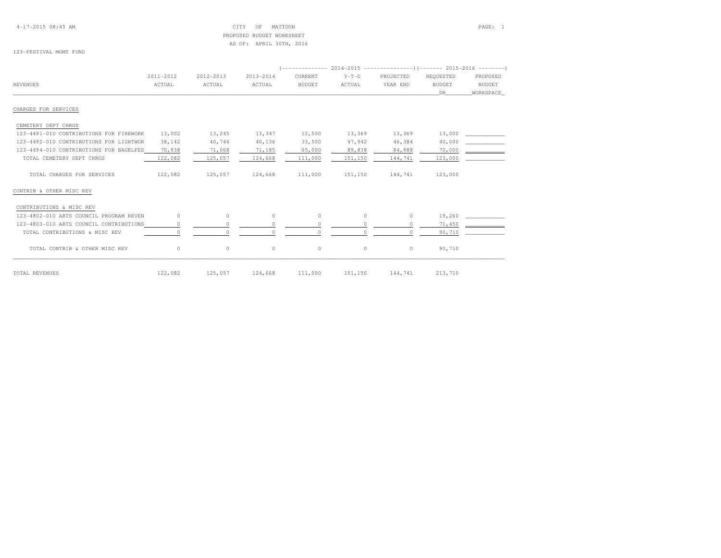4-17-2015 08:45 AM CITY OF MATTOON PAGE: 1 PROPOSED BUDGET WORKSHEETAS OF: APRIL 30TH, 2016

# 123-FESTIVAL MGMT FUND

|                                         | 2011-2012 | 2012-2013 | 2013-2014 | CURRENT       | $Y-T-D$ | PROJECTED | REOUESTED     | PROPOSED      |  |
|-----------------------------------------|-----------|-----------|-----------|---------------|---------|-----------|---------------|---------------|--|
| <b>REVENUES</b>                         | ACTUAL    | ACTUAL    | ACTUAL    | <b>BUDGET</b> | ACTUAL  | YEAR END  | <b>BUDGET</b> | <b>BUDGET</b> |  |
|                                         |           |           |           |               |         |           | DR            | WORKSPACE     |  |
| CHARGES FOR SERVICES                    |           |           |           |               |         |           |               |               |  |
| CEMETERY DEPT CHRGS                     |           |           |           |               |         |           |               |               |  |
| 123-4491-010 CONTRIBUTIONS FOR FIREWORK | 13,002    | 13,245    | 13,347    | 12,500        | 13,369  | 13,369    | 13,000        |               |  |
| 123-4492-010 CONTRIBUTIONS FOR LIGHTWOR | 38,142    | 40,744    | 40,136    | 33,500        | 47,942  | 46,384    | 40,000        |               |  |
| 123-4494-010 CONTRIBUTIONS FOR BAGELFES | 70,938    | 71,068    | 71,185    | 65,000        | 89,838  | 84,988    | 70,000        |               |  |
| TOTAL CEMETERY DEPT CHRGS               | 122,082   | 125,057   | 124,668   | 111,000       | 151,150 | 144,741   | 123,000       |               |  |
| TOTAL CHARGES FOR SERVICES              | 122,082   | 125,057   | 124,668   | 111,000       | 151,150 | 144,741   | 123,000       |               |  |
| CONTRIB & OTHER MISC REV                |           |           |           |               |         |           |               |               |  |
| CONTRIBUTIONS & MISC REV                |           |           |           |               |         |           |               |               |  |
| 123-4802-010 ARTS COUNCIL PROGRAM REVEN | $\circ$   | $\circ$   | $\circ$   | $\circ$       | $\circ$ | $\circ$   | 19,260        |               |  |
| 123-4803-010 ARTS COUNCIL CONTRIBUTIONS | 0         | $\Omega$  | 0         | $\Omega$      |         | $\Omega$  | 71,450        |               |  |
| TOTAL CONTRIBUTIONS & MISC REV          |           | $\cap$    |           |               |         | $\circ$   | 90,710        |               |  |
| TOTAL CONTRIB & OTHER MISC REV          | $\circ$   | $\circ$   | $\circ$   | $\circ$       | $\circ$ | $\circ$   | 90,710        |               |  |
| TOTAL REVENUES                          | 122,082   | 125,057   | 124,668   | 111,000       | 151,150 | 144,741   | 213,710       |               |  |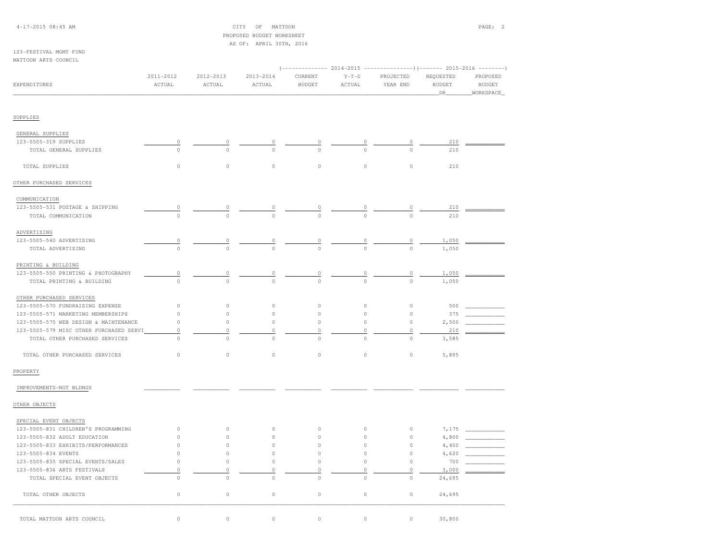4-17-2015 08:45 AM CITY OF MATTOON PAGE: 2 PROPOSED BUDGET WORKSHEETAS OF: APRIL 30TH, 2016

## 123-FESTIVAL MGMT FUNDMATTOON ARTS COUNCIL

| EXPENDITURES                            | 2011-2012<br>ACTUAL | 2012-2013<br>ACTUAL | 2013-2014<br>ACTUAL | CURRENT<br><b>BUDGET</b> | 2014-2015<br>$Y-T-D$<br>ACTUAL | PROJECTED<br>YEAR END | -------)(------- 2015-2016<br>REQUESTED<br><b>BUDGET</b><br>DR | PROPOSED<br><b>BUDGET</b><br>WORKSPACE |
|-----------------------------------------|---------------------|---------------------|---------------------|--------------------------|--------------------------------|-----------------------|----------------------------------------------------------------|----------------------------------------|
| SUPPLIES                                |                     |                     |                     |                          |                                |                       |                                                                |                                        |
|                                         |                     |                     |                     |                          |                                |                       |                                                                |                                        |
| GENERAL SUPPLIES                        |                     |                     |                     |                          |                                |                       |                                                                |                                        |
| 123-5505-319 SUPPLIES                   | $\circ$<br>$\circ$  | 0<br>$\Omega$       | 0<br>$\Omega$       | 0<br>$\Omega$            | $\Omega$                       | 0<br>$\Omega$         | 210<br>210                                                     |                                        |
| TOTAL GENERAL SUPPLIES                  |                     |                     |                     |                          |                                |                       |                                                                |                                        |
| TOTAL SUPPLIES                          | $\circ$             | $\circ$             | $\mathbb O$         | $\circ$                  | $\mathbb O$                    | $\circ$               | 210                                                            |                                        |
| OTHER PURCHASED SERVICES                |                     |                     |                     |                          |                                |                       |                                                                |                                        |
| COMMUNICATION                           |                     |                     |                     |                          |                                |                       |                                                                |                                        |
| 123-5505-531 POSTAGE & SHIPPING         | $\overline{0}$      |                     |                     |                          |                                |                       | 210                                                            |                                        |
| TOTAL COMMUNICATION                     | $\mathbb O$         |                     | $\Omega$            | $\circ$                  | $\circ$                        |                       | 210                                                            |                                        |
| ADVERTISING                             |                     |                     |                     |                          |                                |                       |                                                                |                                        |
| 123-5505-540 ADVERTISING                | $\mathbb O$         | $\circ$             | 0                   | 0                        | 0                              | $\circ$               | 1,050                                                          |                                        |
| TOTAL ADVERTISING                       | $\circ$             | $\circ$             | $\Omega$            | $\circ$                  | $\Omega$                       | $\Omega$              | 1,050                                                          |                                        |
| PRINTING & BUILDING                     |                     |                     |                     |                          |                                |                       |                                                                |                                        |
| 123-5505-550 PRINTING & PHOTOGRAPHY     | $\overline{0}$      | $\mathbb O$         | 0                   | 0                        | 0                              | 0                     | 1,050                                                          |                                        |
| TOTAL PRINTING & BUILDING               | $\circ$             | $\Omega$            | $\Omega$            | $\circ$                  | $\mathbf{0}$                   | $\circ$               | 1,050                                                          |                                        |
| OTHER PURCHASED SERVICES                |                     |                     |                     |                          |                                |                       |                                                                |                                        |
| 123-5505-570 FUNDRAISING EXPENSE        | $\circ$             | $\circ$             | $\mathbb O$         | $\circ$                  | $\circ$                        | $\circ$               | 500                                                            |                                        |
| 123-5505-571 MARKETING MEMBERSHIPS      | $\circ$             | $\mathbb O$         | $\mathbb O$         | $\circ$                  | $\mathbb O$                    | $\mathbb O$           | 375                                                            |                                        |
| 123-5505-575 WEB DESIGN & MAINTENANCE   | $\mathbb O$         | $\circ$             | $\mathbb O$         | $\circ$                  | $\mathbb O$                    | $\circ$               | 2,500                                                          |                                        |
| 123-5505-579 MISC OTHER PURCHASED SERVI | $\mathbb O$         | $\mathbb O$         | $\mathbb O$         | 0                        | $\mathbb O$                    | $\mathbb O$           | 210                                                            |                                        |
| TOTAL OTHER PURCHASED SERVICES          | $\circ$             | $\circ$             | $\circ$             | 0                        | $\mathbb O$                    | $\circ$               | 3,585                                                          |                                        |
| TOTAL OTHER PURCHASED SERVICES          | $\mathbb O$         | $\circ$             | $\mathbb O$         | $\circ$                  | $\circ$                        | $\circ$               | 5,895                                                          |                                        |
| PROPERTY                                |                     |                     |                     |                          |                                |                       |                                                                |                                        |
| IMPROVEMENTS-NOT BLDNGS                 |                     |                     |                     |                          |                                |                       |                                                                |                                        |
| OTHER OBJECTS                           |                     |                     |                     |                          |                                |                       |                                                                |                                        |
| SPECIAL EVENT OBJECTS                   |                     |                     |                     |                          |                                |                       |                                                                |                                        |
| 123-5505-831 CHILDREN'S PROGRAMMING     | $\circ$             | $\circ$             | $\mathbb O$         | $\circ$                  | $\mathbb O$                    | $\circ$               | 7,175                                                          |                                        |
| 123-5505-832 ADULT EDUCATION            | $\circ$             | $\circ$             | $\mathbb O$         | $\circ$                  | $\circ$                        | $\circ$               | 4,800                                                          |                                        |
| 123-5505-833 EXHIBITS/PERFORMANCES      | $\circ$             | $\circ$             | $\mathbb O$         | 0                        | $\mathbb O$                    | $\mathbb O$           | 4,400                                                          |                                        |
| 123-5505-834 EVENTS                     | $\circ$             | $\circ$             | $\circ$             | $\circ$                  | $\circ$                        | $\Omega$              | 4,620                                                          |                                        |
| 123-5505-835 SPECIAL EVENTS/SALES       | $\circ$             | $\circ$             | $\mathbb O$         | $\mathbb O$              | $\circ$                        | $\circ$               | 700                                                            |                                        |
| 123-5505-836 ARTS FESTIVALS             | $\mathbb O$         | $\circ$             | 0                   | 0                        | $\mathbb O$                    | $\circ$               | 3,000                                                          |                                        |
| TOTAL SPECIAL EVENT OBJECTS             | $\circ$             | $\circ$             | $\circ$             | $\circ$                  | $\circ$                        | $\circ$               | 24,695                                                         |                                        |
| TOTAL OTHER OBJECTS                     | $\mathbb O$         | $\circ$             | $\mathbb O$         | $\circ$                  | $\circ$                        | $\circ$               | 24,695                                                         |                                        |
| TOTAL MATTOON ARTS COUNCIL              | $\circ$             | $\circ$             | $\circ$             | 0                        | $\circ$                        | $\circ$               | 30,800                                                         |                                        |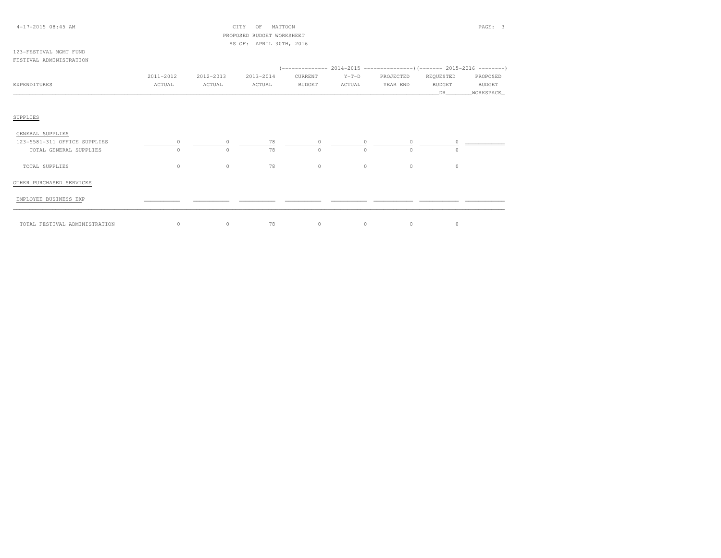## 4-17-2015 08:45 AM CITY OF MATTOON PAGE: 3 PROPOSED BUDGET WORKSHEETAS OF: APRIL 30TH, 2016

### 123-FESTIVAL MGMT FUNDFESTIVAL ADMINISTRATION

|                              |           |           |           |               |          |           | (-------------- 2014-2015 ----------------) (------- 2015-2016 --------) |           |
|------------------------------|-----------|-----------|-----------|---------------|----------|-----------|--------------------------------------------------------------------------|-----------|
|                              | 2011-2012 | 2012-2013 | 2013-2014 | CURRENT       | $Y-T-D$  | PROJECTED | REQUESTED                                                                | PROPOSED  |
| EXPENDITURES                 | ACTUAL    | ACTUAL    | ACTUAL    | <b>BUDGET</b> | ACTUAL   | YEAR END  | BUDGET                                                                   | BUDGET    |
|                              |           |           |           |               |          |           | DR                                                                       | WORKSPACE |
|                              |           |           |           |               |          |           |                                                                          |           |
|                              |           |           |           |               |          |           |                                                                          |           |
| SUPPLIES                     |           |           |           |               |          |           |                                                                          |           |
|                              |           |           |           |               |          |           |                                                                          |           |
| GENERAL SUPPLIES             |           |           |           |               |          |           |                                                                          |           |
| 123-5581-311 OFFICE SUPPLIES |           |           | 78        |               |          |           |                                                                          |           |
| TOTAL GENERAL SUPPLIES       | $\Omega$  | $\Omega$  | 78        | $\Omega$      | $\Omega$ | $\Omega$  | $\Omega$                                                                 |           |
|                              |           |           |           |               |          |           |                                                                          |           |
| TOTAL SUPPLIES               | $\circ$   | $\circ$   | 78        | $\circ$       | $\circ$  | $\circ$   | $\circ$                                                                  |           |
|                              |           |           |           |               |          |           |                                                                          |           |
| OTHER PURCHASED SERVICES     |           |           |           |               |          |           |                                                                          |           |
|                              |           |           |           |               |          |           |                                                                          |           |
| EMPLOYEE BUSINESS EXP        |           |           |           |               |          |           |                                                                          |           |
|                              |           |           |           |               |          |           |                                                                          |           |

\_\_\_\_\_\_\_\_\_\_\_\_\_\_\_\_\_\_\_\_\_\_\_\_\_\_\_\_\_\_\_\_\_\_\_\_\_\_\_\_\_\_\_\_\_\_\_\_\_\_\_\_\_\_\_\_\_\_\_\_\_\_\_\_\_\_\_\_\_\_\_\_\_\_\_\_\_\_\_\_\_\_\_\_\_\_\_\_\_\_\_\_\_\_\_\_\_\_\_\_\_\_\_\_\_\_\_\_\_\_\_\_\_\_\_\_\_\_\_\_\_\_\_\_\_\_\_\_\_\_\_\_\_\_\_\_\_\_\_\_\_\_\_\_\_\_\_\_\_\_ TOTAL FESTIVAL ADMINISTRATION 0 0 78 0 0 0 0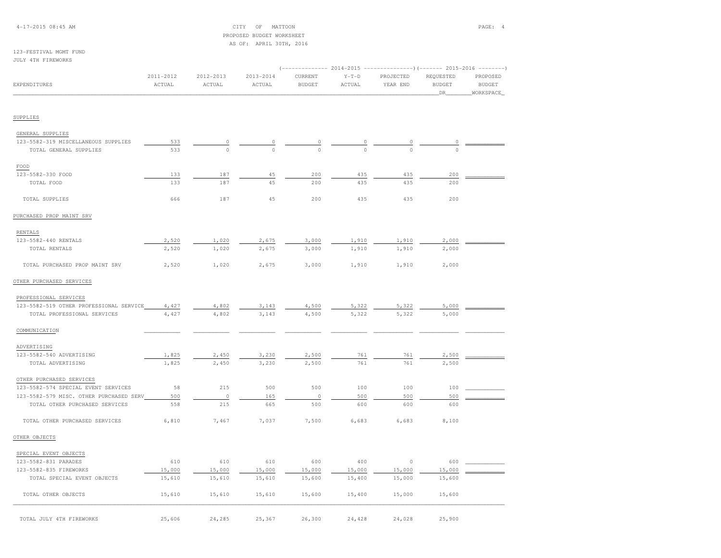## 4-17-2015 08:45 AM CITY OF MATTOON PAGE: 4 PROPOSED BUDGET WORKSHEETAS OF: APRIL 30TH, 2016

## 123-FESTIVAL MGMT FUNDJULY 4TH FIREWORKS

|                                               |                     |                     |                         |                          |                   |                       |                                   | (-------------- 2014-2015 ----------------) (------- 2015-2016 --------) |  |
|-----------------------------------------------|---------------------|---------------------|-------------------------|--------------------------|-------------------|-----------------------|-----------------------------------|--------------------------------------------------------------------------|--|
| <b>EXPENDITURES</b>                           | 2011-2012<br>ACTUAL | 2012-2013<br>ACTUAL | $2013 - 2014$<br>ACTUAL | CURRENT<br><b>BUDGET</b> | $Y-T-D$<br>ACTUAL | PROJECTED<br>YEAR END | REQUESTED<br><b>BUDGET</b><br>DR. | PROPOSED<br><b>BUDGET</b><br>WORKSPACE                                   |  |
| SUPPLIES                                      |                     |                     |                         |                          |                   |                       |                                   |                                                                          |  |
|                                               |                     |                     |                         |                          |                   |                       |                                   |                                                                          |  |
| GENERAL SUPPLIES                              |                     |                     |                         |                          |                   |                       |                                   |                                                                          |  |
| 123-5582-319 MISCELLANEOUS SUPPLIES           | 533                 | 0                   | 0                       |                          |                   |                       |                                   |                                                                          |  |
| TOTAL GENERAL SUPPLIES                        | 533                 | $\circ$             | $\Omega$                | $\Omega$                 |                   | $\Omega$              | $\Omega$                          |                                                                          |  |
| $_{\rm FOOD}$                                 |                     |                     |                         |                          |                   |                       |                                   |                                                                          |  |
| 123-5582-330 FOOD                             | 133                 | 187                 | 45                      | 200                      | 435               | 435                   | 200                               |                                                                          |  |
| TOTAL FOOD                                    | 133                 | 187                 | 45                      | 200                      | 435               | 435                   | 200                               |                                                                          |  |
| TOTAL SUPPLIES                                | 666                 | 187                 | 45                      | 200                      | 435               | 435                   | 200                               |                                                                          |  |
| PURCHASED PROP MAINT SRV                      |                     |                     |                         |                          |                   |                       |                                   |                                                                          |  |
| RENTALS                                       |                     |                     |                         |                          |                   |                       |                                   |                                                                          |  |
| 123-5582-440 RENTALS                          | 2,520               | 1,020               | 2,675                   | 3,000                    | 1,910             | 1,910                 | 2,000                             |                                                                          |  |
| TOTAL RENTALS                                 | 2,520               | 1,020               | 2,675                   | 3,000                    | 1,910             | 1,910                 | 2,000                             |                                                                          |  |
| TOTAL PURCHASED PROP MAINT SRV                | 2,520               | 1,020               | 2,675                   | 3,000                    | 1,910             | 1,910                 | 2,000                             |                                                                          |  |
| OTHER PURCHASED SERVICES                      |                     |                     |                         |                          |                   |                       |                                   |                                                                          |  |
|                                               |                     |                     |                         |                          |                   |                       |                                   |                                                                          |  |
| PROFESSIONAL SERVICES                         |                     |                     |                         |                          |                   |                       |                                   |                                                                          |  |
| 123-5582-519 OTHER PROFESSIONAL SERVICE       | 4,427               | 4,802               | 3,143                   | 4,500                    | 5,322             | 5,322                 | 5,000                             |                                                                          |  |
| TOTAL PROFESSIONAL SERVICES                   | 4,427               | 4,802               | 3,143                   | 4,500                    | 5,322             | 5,322                 | 5,000                             |                                                                          |  |
| COMMUNICATION                                 |                     |                     |                         |                          |                   |                       |                                   |                                                                          |  |
| ADVERTISING                                   |                     |                     |                         |                          |                   |                       |                                   |                                                                          |  |
| 123-5582-540 ADVERTISING                      | 1,825               | 2,450               | 3,230                   | 2,500                    | 761               | 761                   | 2,500                             |                                                                          |  |
| TOTAL ADVERTISING                             | 1,825               | 2,450               | 3,230                   | 2,500                    | 761               | 761                   | 2,500                             |                                                                          |  |
| OTHER PURCHASED SERVICES                      |                     |                     |                         |                          |                   |                       |                                   |                                                                          |  |
| 123-5582-574 SPECIAL EVENT SERVICES           | 58                  | 215                 | 500                     | 500                      | 100               | 100                   | 100                               |                                                                          |  |
| 123-5582-579 MISC. OTHER PURCHASED SERV       | 500                 | $\circ$             | 165                     | $\circ$                  | 500               | 500                   | 500                               |                                                                          |  |
| TOTAL OTHER PURCHASED SERVICES                | 558                 | 215                 | 665                     | 500                      | 600               | 600                   | 600                               |                                                                          |  |
| TOTAL OTHER PURCHASED SERVICES                | 6,810               | 7,467               | 7,037                   | 7,500                    | 6,683             | 6,683                 | 8,100                             |                                                                          |  |
| OTHER OBJECTS                                 |                     |                     |                         |                          |                   |                       |                                   |                                                                          |  |
|                                               |                     |                     |                         |                          |                   |                       |                                   |                                                                          |  |
| SPECIAL EVENT OBJECTS<br>123-5582-831 PARADES | 610                 | 610                 | 610                     | 600                      | 400               | $\circ$               | 600                               |                                                                          |  |
| 123-5582-835 FIREWORKS                        | 15,000              | 15,000              | 15,000                  | 15,000                   | 15,000            | 15,000                | 15,000                            |                                                                          |  |
| TOTAL SPECIAL EVENT OBJECTS                   | 15,610              | 15,610              | 15,610                  | 15,600                   | 15,400            | 15,000                | 15,600                            |                                                                          |  |
| TOTAL OTHER OBJECTS                           | 15,610              | 15,610              | 15,610                  | 15,600                   | 15,400            | 15,000                | 15,600                            |                                                                          |  |
|                                               |                     |                     |                         |                          |                   |                       |                                   |                                                                          |  |
| TOTAL JULY 4TH FIREWORKS                      | 25,606              | 24,285              | 25,367                  | 26,300                   | 24,428            | 24,028                | 25,900                            |                                                                          |  |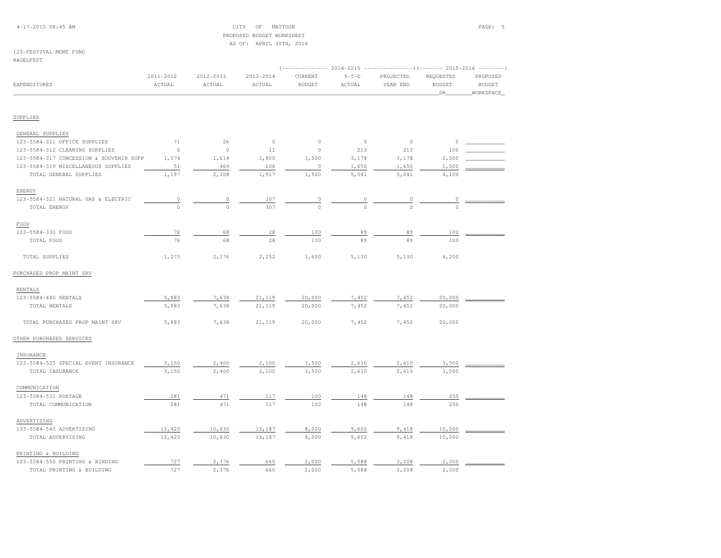## 4-17-2015 08:45 AM CITY OF MATTOON PAGE: 5 PROPOSED BUDGET WORKSHEETAS OF: APRIL 30TH, 2016

# 123-FESTIVAL MGMT FUND

### BAGELFEST

|                                         | (-------------- 2014-2015 ----------------)(------- 2015-2016 --------) |                     |                     |                          |                   |                       |                                   |                                        |  |  |
|-----------------------------------------|-------------------------------------------------------------------------|---------------------|---------------------|--------------------------|-------------------|-----------------------|-----------------------------------|----------------------------------------|--|--|
| EXPENDITURES                            | 2011-2012<br>ACTUAL                                                     | 2012-2013<br>ACTUAL | 2013-2014<br>ACTUAL | CURRENT<br><b>BUDGET</b> | $Y-T-D$<br>ACTUAL | PROJECTED<br>YEAR END | REQUESTED<br><b>BUDGET</b><br>DR. | PROPOSED<br><b>BUDGET</b><br>WORKSPACE |  |  |
|                                         |                                                                         |                     |                     |                          |                   |                       |                                   |                                        |  |  |
| SUPPLIES                                |                                                                         |                     |                     |                          |                   |                       |                                   |                                        |  |  |
| GENERAL SUPPLIES                        |                                                                         |                     |                     |                          |                   |                       |                                   |                                        |  |  |
| 123-5584-311 OFFICE SUPPLIES            | 71                                                                      | 26                  | $\circ$             | $\circ$                  | $\mathbb O$       | $\circ$               | $\circ$                           |                                        |  |  |
| 123-5584-312 CLEANING SUPPLIES          | $\circ$                                                                 | $\circ$             | 11                  | $\circ$                  | 213               | 213                   | 100                               |                                        |  |  |
| 123-5584-317 CONCESSION & SOUVENIR SUPP | 1,074                                                                   | 1,614               | 1,800               | 1,500                    | 3,178             | 3,178                 | 2,500                             |                                        |  |  |
| 123-5584-319 MISCELLANEOUS SUPPLIES     | 51                                                                      | 469                 | 106                 | 0                        | 1,650             | 1,650                 | 1,500                             |                                        |  |  |
| TOTAL GENERAL SUPPLIES                  | 1,197                                                                   | 2,108               | 1,917               | 1,500                    | 5,041             | 5,041                 | 4,100                             |                                        |  |  |
| ENERGY                                  |                                                                         |                     |                     |                          |                   |                       |                                   |                                        |  |  |
| 123-5584-321 NATURAL GAS & ELECTRIC     | $\frac{0}{\sqrt{2}}$                                                    | $\circ$             | 307                 | $\circ$                  | $\circ$           | $\overline{0}$        | $\circ$                           |                                        |  |  |
| TOTAL ENERGY                            | $\circ$                                                                 | $\Omega$            | 307                 | $\Omega$                 | $\Omega$          | $\Omega$              | $\Omega$                          |                                        |  |  |
| FOOD                                    |                                                                         |                     |                     |                          |                   |                       |                                   |                                        |  |  |
| 123-5584-330 FOOD                       | 76                                                                      | 68                  | 28                  | 100                      | 89                | 89                    | 100                               |                                        |  |  |
| TOTAL FOOD                              | 76                                                                      | 68                  | 28                  | 100                      | 89                | 89                    | 100                               |                                        |  |  |
| TOTAL SUPPLIES                          | 1,273                                                                   | 2,176               | 2,252               | 1,600                    | 5,130             | 5,130                 | 4,200                             |                                        |  |  |
| PURCHASED PROP MAINT SRV                |                                                                         |                     |                     |                          |                   |                       |                                   |                                        |  |  |
| RENTALS                                 |                                                                         |                     |                     |                          |                   |                       |                                   |                                        |  |  |
| 123-5584-440 RENTALS                    | 5,983                                                                   | 7,638               | 21,119              | 20,000                   | 7,452             | 7,452                 | 20,000                            |                                        |  |  |
| TOTAL RENTALS                           | 5,983                                                                   | 7,638               | 21,119              | 20,000                   | 7,452             | 7,452                 | 20,000                            |                                        |  |  |
| TOTAL PURCHASED PROP MAINT SRV          | 5,983                                                                   | 7,638               | 21,119              | 20,000                   | 7,452             | 7,452                 | 20,000                            |                                        |  |  |
| OTHER PURCHASED SERVICES                |                                                                         |                     |                     |                          |                   |                       |                                   |                                        |  |  |
| INSURANCE                               |                                                                         |                     |                     |                          |                   |                       |                                   |                                        |  |  |
| 123-5584-525 SPECIAL EVENT INSURANCE    | 3,150                                                                   | 2,400               | 2,100               | 3,500                    | 2,610             | 2,610                 | 3,500                             |                                        |  |  |
| TOTAL INSURANCE                         | 3,150                                                                   | 2,400               | 2,100               | 3,500                    | 2,610             | 2,610                 | 3,500                             |                                        |  |  |
| COMMUNICATION                           |                                                                         |                     |                     |                          |                   |                       |                                   |                                        |  |  |
| 123-5584-531 POSTAGE                    | 281                                                                     | 471                 | 117                 | 100                      | 148               | 148                   | 250                               |                                        |  |  |
| TOTAL COMMUNICATION                     | 281                                                                     | 471                 | 117                 | 100                      | 148               | 148                   | 250                               |                                        |  |  |
| ADVERTISING                             |                                                                         |                     |                     |                          |                   |                       |                                   |                                        |  |  |
| 123-5584-540 ADVERTISING                | 12,420                                                                  | 10,630              | 13,187              | 8,000                    | 9,602             | 9,418                 | 10,000                            |                                        |  |  |
| TOTAL ADVERTISING                       | 12,420                                                                  | 10,630              | 13,187              | 8,000                    | 9,602             | 9,418                 | 10,000                            |                                        |  |  |
| PRINTING & BUILDING                     |                                                                         |                     |                     |                          |                   |                       |                                   |                                        |  |  |
| 123-5584-550 PRINTING & BINDING         | 727                                                                     | 2,376               | 660                 | 2,000                    | 5,588             | 3,208                 | 2,000                             |                                        |  |  |
| TOTAL PRINTING & BUILDING               | 727                                                                     | 2,376               | 660                 | 2,000                    | 5,588             | 3,208                 | 2,000                             |                                        |  |  |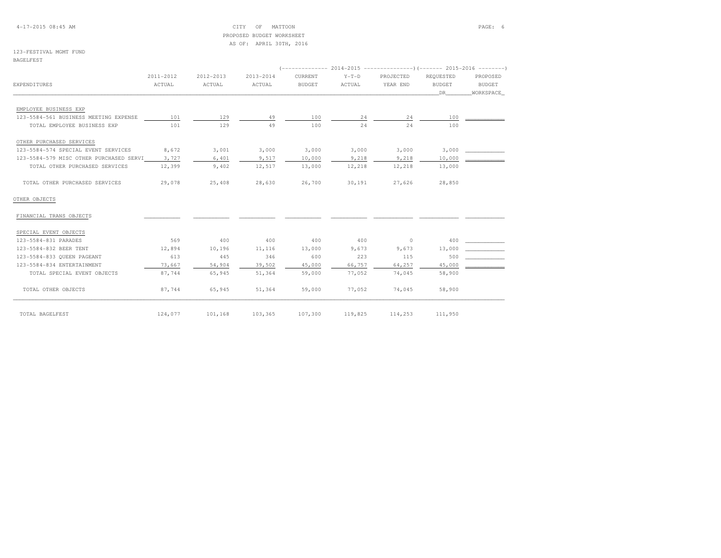4-17-2015 08:45 AM CITY OF MATTOON PAGE: 6 PROPOSED BUDGET WORKSHEETAS OF: APRIL 30TH, 2016

# 123-FESTIVAL MGMT FUND

BAGELFEST

|                                         | 2011-2012 | 2012-2013 | 2013-2014 | CURRENT       | $Y-T-D$ | PROJECTED | REOUESTED     | PROPOSED      |
|-----------------------------------------|-----------|-----------|-----------|---------------|---------|-----------|---------------|---------------|
| EXPENDITURES                            | ACTUAL    | ACTUAL    | ACTUAL    | <b>BUDGET</b> | ACTUAL  | YEAR END  | <b>BUDGET</b> | <b>BUDGET</b> |
|                                         |           |           |           |               |         |           | DR            | WORKSPACE     |
| EMPLOYEE BUSINESS EXP                   |           |           |           |               |         |           |               |               |
| 123-5584-561 BUSINESS MEETING EXPENSE   | 101       | 129       | 49        | 100           | 24      | 24        | 100           |               |
| TOTAL EMPLOYEE BUSINESS EXP             | 101       | 129       | 49        | 100           | 24      | 24        | 100           |               |
| OTHER PURCHASED SERVICES                |           |           |           |               |         |           |               |               |
| 123-5584-574 SPECIAL EVENT SERVICES     | 8,672     | 3,001     | 3,000     | 3,000         | 3,000   | 3,000     | 3,000         |               |
| 123-5584-579 MISC OTHER PURCHASED SERVI | 3,727     | 6,401     | 9,517     | 10,000        | 9,218   | 9,218     | 10,000        |               |
| TOTAL OTHER PURCHASED SERVICES          | 12,399    | 9,402     | 12,517    | 13,000        | 12,218  | 12,218    | 13,000        |               |
| TOTAL OTHER PURCHASED SERVICES          | 29,078    | 25,408    | 28,630    | 26,700        | 30,191  | 27,626    | 28,850        |               |
| OTHER OBJECTS                           |           |           |           |               |         |           |               |               |
| FINANCIAL TRANS OBJECTS                 |           |           |           |               |         |           |               |               |
| SPECIAL EVENT OBJECTS                   |           |           |           |               |         |           |               |               |
| 123-5584-831 PARADES                    | 569       | 400       | 400       | 400           | 400     | $\circ$   | 400           |               |
| 123-5584-832 BEER TENT                  | 12,894    | 10,196    | 11,116    | 13,000        | 9,673   | 9,673     | 13,000        |               |
| 123-5584-833 QUEEN PAGEANT              | 613       | 445       | 346       | 600           | 223     | 115       | 500           |               |
| 123-5584-834 ENTERTAINMENT              | 73,667    | 54,904    | 39,502    | 45,000        | 66,757  | 64,257    | 45,000        |               |
| TOTAL SPECIAL EVENT OBJECTS             | 87,744    | 65,945    | 51,364    | 59,000        | 77,052  | 74,045    | 58,900        |               |
| TOTAL OTHER OBJECTS                     | 87,744    | 65,945    | 51,364    | 59,000        | 77,052  | 74,045    | 58,900        |               |
| TOTAL BAGELFEST                         | 124,077   | 101,168   | 103,365   | 107,300       | 119,825 | 114,253   | 111,950       |               |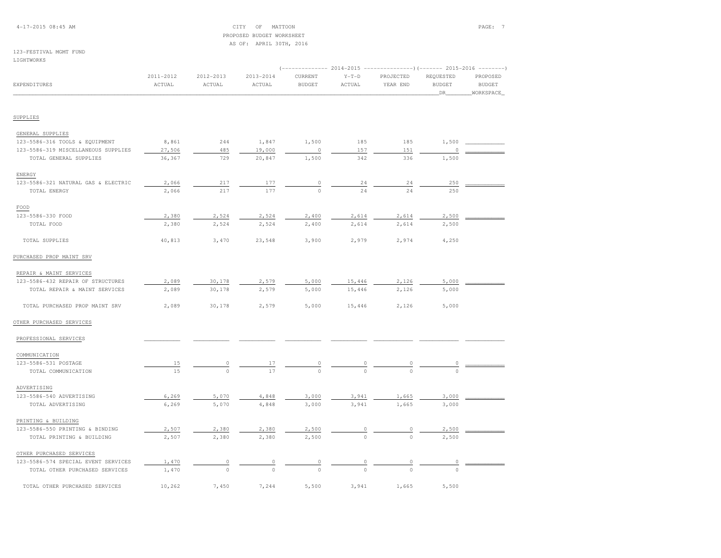## 4-17-2015 08:45 AM CITY OF MATTOON PAGE: 7 PROPOSED BUDGET WORKSHEETAS OF: APRIL 30TH, 2016

# 123-FESTIVAL MGMT FUND

#### LIGHTWORKS

| EXPENDITURES                        | 2011-2012<br>ACTUAL | 2012-2013<br>ACTUAL | $2013 - 2014$<br>ACTUAL | CURRENT<br><b>BUDGET</b> | $Y-T-D$<br>ACTUAL | PROJECTED<br>YEAR END | REQUESTED<br><b>BUDGET</b><br>_DR_ | PROPOSED<br><b>BUDGET</b><br>WORKSPACE |
|-------------------------------------|---------------------|---------------------|-------------------------|--------------------------|-------------------|-----------------------|------------------------------------|----------------------------------------|
| SUPPLIES                            |                     |                     |                         |                          |                   |                       |                                    |                                        |
|                                     |                     |                     |                         |                          |                   |                       |                                    |                                        |
| GENERAL SUPPLIES                    |                     |                     |                         |                          |                   |                       |                                    |                                        |
| 123-5586-316 TOOLS & EQUIPMENT      | 8,861               | 244                 | 1,847                   | 1,500                    | 185               | 185                   | 1,500                              |                                        |
| 123-5586-319 MISCELLANEOUS SUPPLIES | 27,506              | 485                 | 19,000                  | $\circ$                  | 157               | 151                   | n                                  |                                        |
| TOTAL GENERAL SUPPLIES              | 36,367              | 729                 | 20,847                  | 1,500                    | 342               | 336                   | 1,500                              |                                        |
| ENERGY                              |                     |                     |                         |                          |                   |                       |                                    |                                        |
| 123-5586-321 NATURAL GAS & ELECTRIC | 2,066               | 217                 | 177                     | $\circ$                  | 24                | 24                    | 250                                |                                        |
| TOTAL ENERGY                        | 2,066               | 217                 | 177                     | $\circ$                  | 24                | 24                    | 250                                |                                        |
| FOOD                                |                     |                     |                         |                          |                   |                       |                                    |                                        |
| 123-5586-330 FOOD                   | 2,380               | 2,524               | 2,524                   | 2,400                    | 2,614             | 2,614                 | 2,500                              |                                        |
| TOTAL FOOD                          | 2,380               | 2,524               | 2,524                   | 2,400                    | 2,614             | 2,614                 | 2,500                              |                                        |
| TOTAL SUPPLIES                      | 40,813              | 3,470               | 23,548                  | 3,900                    | 2,979             | 2,974                 | 4,250                              |                                        |
| PURCHASED PROP MAINT SRV            |                     |                     |                         |                          |                   |                       |                                    |                                        |
| REPAIR & MAINT SERVICES             |                     |                     |                         |                          |                   |                       |                                    |                                        |
| 123-5586-432 REPAIR OF STRUCTURES   | 2,089               | 30,178              | 2,579                   | 5,000                    | 15,446            | 2,126                 | 5,000                              |                                        |
| TOTAL REPAIR & MAINT SERVICES       | 2,089               | 30,178              | 2,579                   | 5,000                    | 15,446            | 2,126                 | 5,000                              |                                        |
| TOTAL PURCHASED PROP MAINT SRV      | 2,089               | 30,178              | 2,579                   | 5,000                    | 15,446            | 2,126                 | 5,000                              |                                        |
| OTHER PURCHASED SERVICES            |                     |                     |                         |                          |                   |                       |                                    |                                        |
| PROFESSIONAL SERVICES               |                     |                     |                         |                          |                   |                       |                                    |                                        |
| COMMUNICATION                       |                     |                     |                         |                          |                   |                       |                                    |                                        |
| 123-5586-531 POSTAGE                | 15                  | 0                   | 17                      | 0                        |                   |                       |                                    |                                        |
| TOTAL COMMUNICATION                 | 15                  | $\circ$             | 17                      | $\Omega$                 | $\Omega$          | $\Omega$              | $\circ$                            |                                        |
| ADVERTISING                         |                     |                     |                         |                          |                   |                       |                                    |                                        |
| 123-5586-540 ADVERTISING            | 6,269               | 5,070               | 4,848                   | 3,000                    | 3,941             | 1,665                 | 3,000                              |                                        |
| TOTAL ADVERTISING                   | 6,269               | 5,070               | 4,848                   | 3,000                    | 3,941             | 1,665                 | 3,000                              |                                        |
| PRINTING & BUILDING                 |                     |                     |                         |                          |                   |                       |                                    |                                        |
| 123-5586-550 PRINTING & BINDING     | 2,507               | 2,380               | 2,380                   | 2,500                    |                   | 0                     | 2,500                              |                                        |
| TOTAL PRINTING & BUILDING           | 2,507               | 2,380               | 2,380                   | 2,500                    | $\mathbf 0$       | $\circ$               | 2,500                              |                                        |
| OTHER PURCHASED SERVICES            |                     |                     |                         |                          |                   |                       |                                    |                                        |
| 123-5586-574 SPECIAL EVENT SERVICES | 1,470               | $\mathbb O$         | 0                       | 0                        | 0                 | 0                     | 0                                  |                                        |
| TOTAL OTHER PURCHASED SERVICES      | 1,470               | $\circ$             | $\circ$                 | $\circ$                  | $\Omega$          | $\Omega$              |                                    |                                        |
| TOTAL OTHER PURCHASED SERVICES      | 10,262              | 7,450               | 7,244                   | 5,500                    | 3,941             | 1,665                 | 5,500                              |                                        |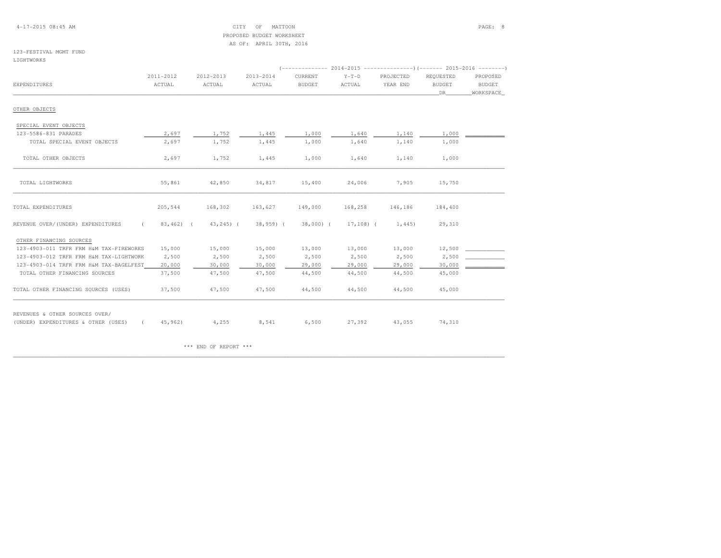4-17-2015 08:45 AM CITY OF MATTOON PAGE: 8 PROPOSED BUDGET WORKSHEETAS OF: APRIL 30TH, 2016

# 123-FESTIVAL MGMT FUND

LIGHTWORKS

|                                                                       | 2011-2012    | 2012-2013     | 2013-2014    | CURRENT       | $Y-T-D$      | PROJECTED | REQUESTED     | PROPOSED  |
|-----------------------------------------------------------------------|--------------|---------------|--------------|---------------|--------------|-----------|---------------|-----------|
| EXPENDITURES                                                          | ACTUAL       | ACTUAL        | ACTUAL       | <b>BUDGET</b> | ACTUAL       | YEAR END  | <b>BUDGET</b> | BUDGET    |
|                                                                       |              |               |              |               |              |           | DR            | WORKSPACE |
| OTHER OBJECTS                                                         |              |               |              |               |              |           |               |           |
| SPECIAL EVENT OBJECTS                                                 |              |               |              |               |              |           |               |           |
| 123-5586-831 PARADES                                                  | 2,697        | 1,752         | 1,445        | 1,000         | 1,640        | 1,140     | 1,000         |           |
| TOTAL SPECIAL EVENT OBJECTS                                           | 2,697        | 1,752         | 1,445        | 1,000         | 1,640        | 1,140     | 1,000         |           |
| TOTAL OTHER OBJECTS                                                   | 2,697        | 1,752         | 1,445        | 1,000         | 1,640        | 1,140     | 1,000         |           |
| TOTAL LIGHTWORKS                                                      | 55,861       | 42,850        | 34,817       | 15,400        | 24,006       | 7,905     | 15,750        |           |
| TOTAL EXPENDITURES                                                    | 205,544      | 168,302       | 163,627      | 149,000       | 168,258      | 146,186   | 184,400       |           |
| REVENUE OVER/(UNDER) EXPENDITURES<br>$\epsilon$                       | $83,462$ ) ( | $43, 245$ ) ( | $38,959$ ) ( | 38,000) (     | $17,108$ ) ( | 1,445)    | 29,310        |           |
| OTHER FINANCING SOURCES                                               |              |               |              |               |              |           |               |           |
| 123-4903-011 TRFR FRM H&M TAX-FIREWORKS                               | 15,000       | 15,000        | 15,000       | 13,000        | 13,000       | 13,000    | 12,500        |           |
| 123-4903-012 TRFR FRM H&M TAX-LIGHTWORK                               | 2,500        | 2,500         | 2,500        | 2,500         | 2,500        | 2,500     | 2,500         |           |
| 123-4903-014 TRFR FRM H&M TAX-BAGELFEST                               | 20,000       | 30,000        | 30,000       | 29,000        | 29,000       | 29,000    | 30,000        |           |
| TOTAL OTHER FINANCING SOURCES                                         | 37,500       | 47,500        | 47,500       | 44,500        | 44,500       | 44,500    | 45,000        |           |
| TOTAL OTHER FINANCING SOURCES (USES)                                  | 37,500       | 47,500        | 47,500       | 44,500        | 44,500       | 44,500    | 45,000        |           |
| REVENUES & OTHER SOURCES OVER/<br>(UNDER) EXPENDITURES & OTHER (USES) | 45,962)      | 4,255         | 8,541        | 6,500         | 27,392       | 43,055    | 74,310        |           |

\*\*\* END OF REPORT \*\*\*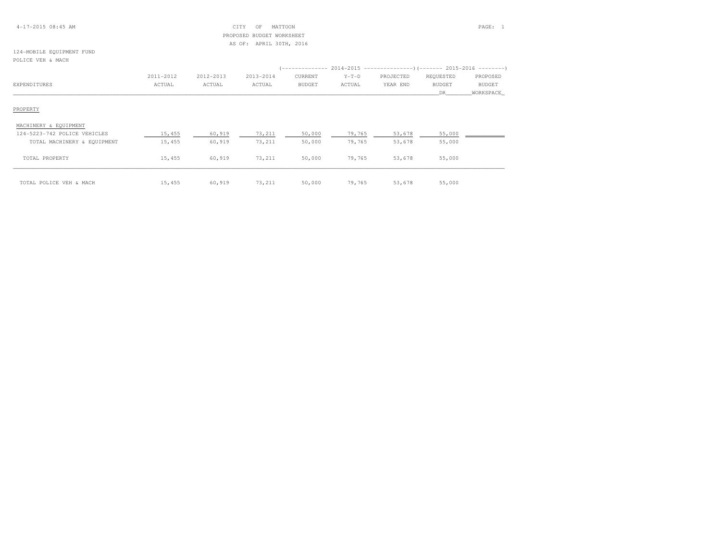| $4 - 17 - 201508:45AM$ |  |  |
|------------------------|--|--|
|------------------------|--|--|

## $\text{CITY}$  of MATTOON PAGE: 1 PROPOSED BUDGET WORKSHEETAS OF: APRIL 30TH, 2016

### 124-MOBILE EQUIPMENT FUNDPOLICE VEH & MACH

|                              | 2011-2012 | 2012-2013 | 2013-2014 | CURRENT | $Y-T-D$ | PROJECTED | REQUESTED     | PROPOSED      |
|------------------------------|-----------|-----------|-----------|---------|---------|-----------|---------------|---------------|
| EXPENDITURES                 | ACTUAL    | ACTUAL    | ACTUAL    | BUDGET  | ACTUAL  | YEAR END  | <b>BUDGET</b> | <b>BUDGET</b> |
|                              |           |           |           |         |         |           | DR            | WORKSPACE     |
|                              |           |           |           |         |         |           |               |               |
| PROPERTY                     |           |           |           |         |         |           |               |               |
|                              |           |           |           |         |         |           |               |               |
| MACHINERY & EQUIPMENT        |           |           |           |         |         |           |               |               |
| 124-5223-742 POLICE VEHICLES | 15,455    | 60,919    | 73,211    | 50,000  | 79,765  | 53,678    | 55,000        |               |
| TOTAL MACHINERY & EQUIPMENT  | 15,455    | 60,919    | 73,211    | 50,000  | 79,765  | 53,678    | 55,000        |               |
|                              |           |           |           |         |         |           |               |               |
| TOTAL PROPERTY               | 15,455    | 60,919    | 73,211    | 50,000  | 79,765  | 53,678    | 55,000        |               |
|                              |           |           |           |         |         |           |               |               |
|                              |           |           |           |         |         |           |               |               |
| TOTAL POLICE VEH & MACH      | 15,455    | 60,919    | 73,211    | 50,000  | 79,765  | 53,678    | 55,000        |               |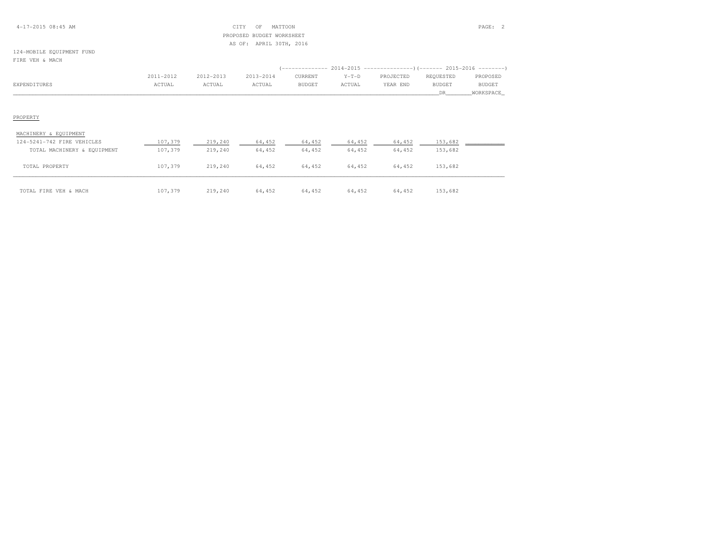## 4-17-2015 08:45 AM CITY OF MATTOON PAGE: 2 PROPOSED BUDGET WORKSHEETAS OF: APRIL 30TH, 2016

## 124-MOBILE EQUIPMENT FUNDFIRE VEH & MACH

|              |               |           |           |               |         | (-------------- 2014-2015 ----------------)(------- 2015-2016 --------) |               |               |
|--------------|---------------|-----------|-----------|---------------|---------|-------------------------------------------------------------------------|---------------|---------------|
|              | $2011 - 2012$ | 2012-2013 | 2013-2014 | CURRENT       | $Y-T-D$ | PROJECTED                                                               | REOUESTED     | PROPOSED      |
| EXPENDITURES | ACTUAL        | ACTUAL    | ACTUAL    | <b>BUDGET</b> | ACTUAL  | YEAR END                                                                | <b>BUDGET</b> | <b>BUDGET</b> |
|              |               |           |           |               |         |                                                                         |               | WORKSPACE     |

### PROPERTY

| MACHINERY & EQUIPMENT       |         |         |        |        |        |        |         |  |
|-----------------------------|---------|---------|--------|--------|--------|--------|---------|--|
| 124-5241-742 FIRE VEHICLES  | 107,379 | 219,240 | 64,452 | 64,452 | 64,452 | 64,452 | 153,682 |  |
| TOTAL MACHINERY & EQUIPMENT | 107,379 | 219,240 | 64,452 | 64,452 | 64,452 | 64,452 | 153,682 |  |
| TOTAL PROPERTY              | 107,379 | 219,240 | 64,452 | 64,452 | 64,452 | 64,452 | 153,682 |  |
| TOTAL FIRE VEH & MACH       | 107,379 | 219,240 | 64,452 | 64,452 | 64,452 | 64,452 | 153,682 |  |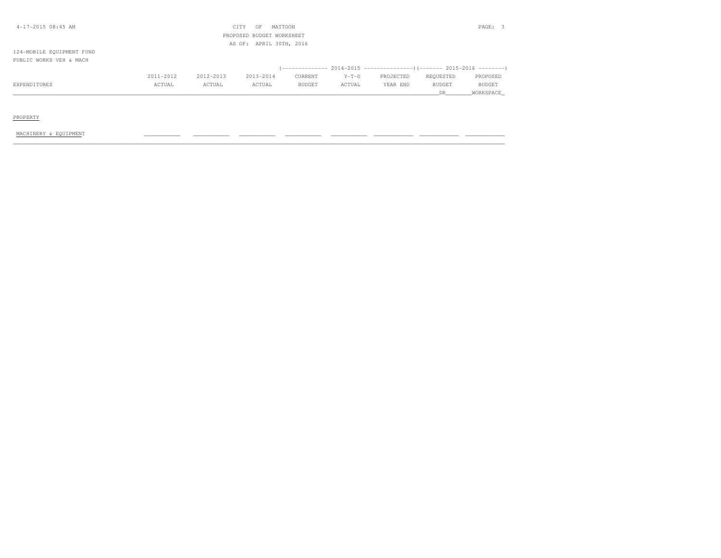| $4-17-2015$ 08:45 AM      |           |           | CITY<br>OF                | MATTOON       |         |           |           | PAGE: 3       |
|---------------------------|-----------|-----------|---------------------------|---------------|---------|-----------|-----------|---------------|
|                           |           |           | PROPOSED BUDGET WORKSHEET |               |         |           |           |               |
|                           |           |           | AS OF: APRIL 30TH, 2016   |               |         |           |           |               |
| 124-MOBILE EQUIPMENT FUND |           |           |                           |               |         |           |           |               |
| PUBLIC WORKS VEH & MACH   |           |           |                           |               |         |           |           |               |
|                           |           |           |                           |               |         |           |           |               |
|                           | 2011-2012 | 2012-2013 | 2013-2014                 | CURRENT       | $Y-T-D$ | PROJECTED | REQUESTED | PROPOSED      |
| EXPENDITURES              | ACTUAL    | ACTUAL    | ACTUAL                    | <b>BUDGET</b> | ACTUAL  | YEAR END  | BUDGET    | <b>BUDGET</b> |
|                           |           |           |                           |               |         |           | DR.       | WORKSPACE     |
|                           |           |           |                           |               |         |           |           |               |

# PROPERTY

### MACHINERY & EQUIPMENT \_\_\_\_\_\_\_\_\_\_\_ \_\_\_\_\_\_\_\_\_\_\_ \_\_\_\_\_\_\_\_\_\_\_ \_\_\_\_\_\_\_\_\_\_\_ \_\_\_\_\_\_\_\_\_\_\_ \_\_\_\_\_\_\_\_\_\_\_\_ \_\_\_\_\_\_\_\_\_\_\_\_ \_\_\_\_\_\_\_\_\_\_\_\_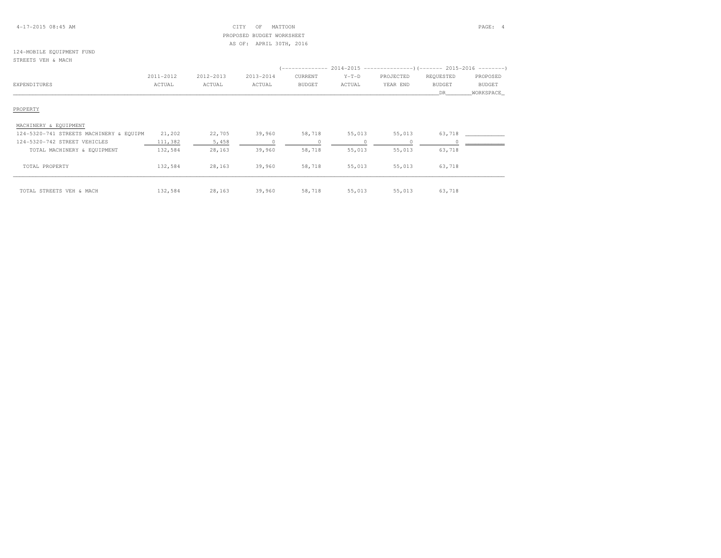## 4-17-2015 08:45 AM CITY OF MATTOON PAGE: 4 PROPOSED BUDGET WORKSHEETAS OF: APRIL 30TH, 2016

## 124-MOBILE EQUIPMENT FUNDSTREETS VEH & MACH

|                                         |           |           |           |               | $($ -------------- 2014-2015 -----------------) (------- 2015-2016 ---------) |           |               |               |
|-----------------------------------------|-----------|-----------|-----------|---------------|-------------------------------------------------------------------------------|-----------|---------------|---------------|
|                                         | 2011-2012 | 2012-2013 | 2013-2014 | CURRENT       | $Y-T-D$                                                                       | PROJECTED | REQUESTED     | PROPOSED      |
| EXPENDITURES                            | ACTUAL    | ACTUAL    | ACTUAL    | <b>BUDGET</b> | ACTUAL                                                                        | YEAR END  | <b>BUDGET</b> | <b>BUDGET</b> |
|                                         |           |           |           |               |                                                                               |           | DR            | WORKSPACE     |
| PROPERTY                                |           |           |           |               |                                                                               |           |               |               |
| MACHINERY & EQUIPMENT                   |           |           |           |               |                                                                               |           |               |               |
| 124-5320-741 STREETS MACHINERY & EQUIPM | 21,202    | 22,705    | 39,960    | 58,718        | 55,013                                                                        | 55,013    | 63,718        |               |
| 124-5320-742 STREET VEHICLES            | 111,382   | 5,458     |           |               |                                                                               |           |               |               |
| TOTAL MACHINERY & EQUIPMENT             | 132,584   | 28,163    | 39,960    | 58,718        | 55,013                                                                        | 55,013    | 63,718        |               |
| TOTAL PROPERTY                          | 132,584   | 28,163    | 39,960    | 58,718        | 55,013                                                                        | 55,013    | 63,718        |               |
| TOTAL STREETS VEH & MACH                | 132,584   | 28,163    | 39,960    | 58,718        | 55,013                                                                        | 55,013    | 63,718        |               |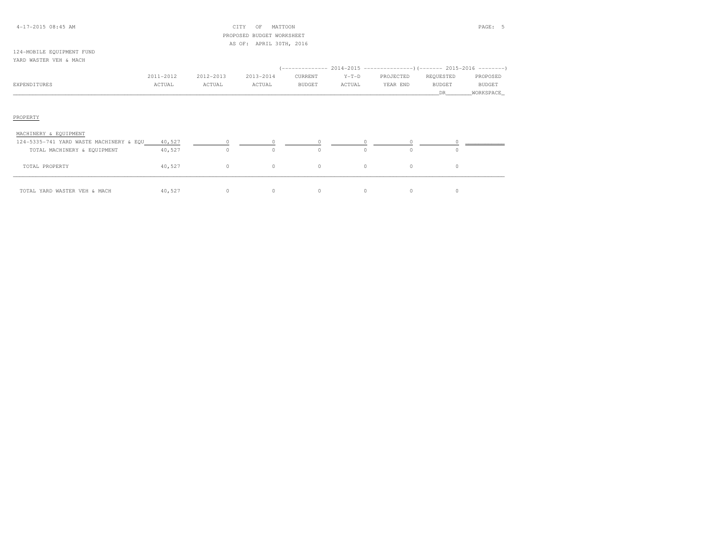## 4-17-2015 08:45 AM CITY OF MATTOON PAGE: 5 PROPOSED BUDGET WORKSHEETAS OF: APRIL 30TH, 2016

## 124-MOBILE EQUIPMENT FUNDYARD WASTER VEH & MACH

|              | 2011-2012 | 2012-2013 | 2013-2014 | CURRENT       | $Y-T-D$ | PROJECTED | REOUESTED | PROPOSED      |
|--------------|-----------|-----------|-----------|---------------|---------|-----------|-----------|---------------|
| EXPENDITURES | ACTUAL    | ACTUAL    | ACTUAL    | <b>BUDGET</b> | ACTUAL  | YEAR END  | BUDGET    | <b>BUDGET</b> |
|              |           |           |           |               |         |           |           | WORKSPACE     |
|              |           |           |           |               |         |           |           |               |

# PROPERTY

| MACHINERY & EQUIPMENT                   |        |  |               |  |  |
|-----------------------------------------|--------|--|---------------|--|--|
| 124-5335-741 YARD WASTE MACHINERY & EQU | 40,527 |  |               |  |  |
| TOTAL MACHINERY & EQUIPMENT             | 40,527 |  | $\circ$       |  |  |
| TOTAL PROPERTY                          | 40,527 |  | $\mathcal{O}$ |  |  |
| TOTAL YARD WASTER VEH & MACH            | 40,527 |  | $\Omega$      |  |  |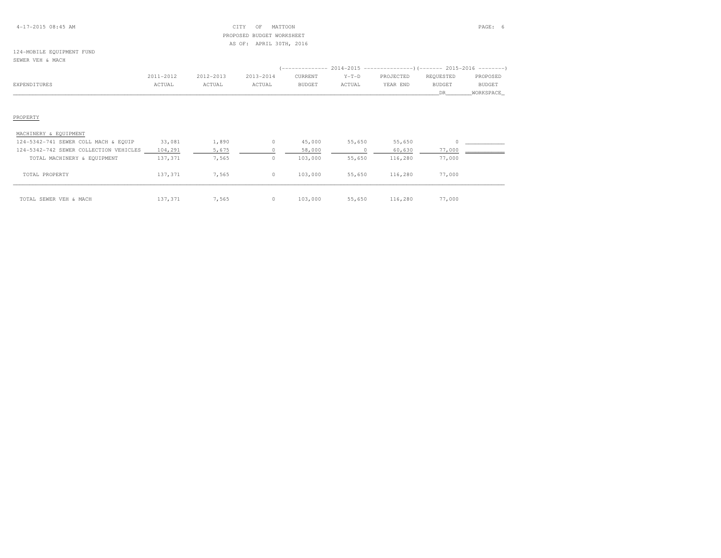## 4-17-2015 08:45 AM CITY OF MATTOON PAGE: 6 PROPOSED BUDGET WORKSHEETAS OF: APRIL 30TH, 2016

# 124-MOBILE EQUIPMENT FUND

|                                        | 2011-2012 | 2012-2013 | 2013-2014 | CURRENT       | $Y-T-D$ | PROJECTED | REQUESTED     | PROPOSED      |
|----------------------------------------|-----------|-----------|-----------|---------------|---------|-----------|---------------|---------------|
| EXPENDITURES                           | ACTUAL    | ACTUAL    | ACTUAL    | <b>BUDGET</b> | ACTUAL  | YEAR END  | <b>BUDGET</b> | <b>BUDGET</b> |
|                                        |           |           |           |               |         |           | DR.           | WORKSPACE     |
|                                        |           |           |           |               |         |           |               |               |
|                                        |           |           |           |               |         |           |               |               |
| PROPERTY                               |           |           |           |               |         |           |               |               |
|                                        |           |           |           |               |         |           |               |               |
| MACHINERY & EQUIPMENT                  |           |           |           |               |         |           |               |               |
| 124-5342-741 SEWER COLL MACH & EQUIP   | 33,081    | 1,890     | $\circ$   | 45,000        | 55,650  | 55,650    |               |               |
| 124-5342-742 SEWER COLLECTION VEHICLES | 104,291   | 5,675     |           | 58,000        |         | 60,630    | 77,000        |               |
| TOTAL MACHINERY & EQUIPMENT            | 137,371   | 7,565     | $\circ$   | 103,000       | 55,650  | 116,280   | 77,000        |               |
|                                        |           |           |           |               |         |           |               |               |
| TOTAL PROPERTY                         | 137,371   | 7,565     | $\circ$   | 103,000       | 55,650  | 116,280   | 77,000        |               |
|                                        |           |           |           |               |         |           |               |               |
| TOTAL SEWER VEH & MACH                 | 137,371   | 7,565     | $\circ$   | 103,000       | 55,650  | 116,280   | 77,000        |               |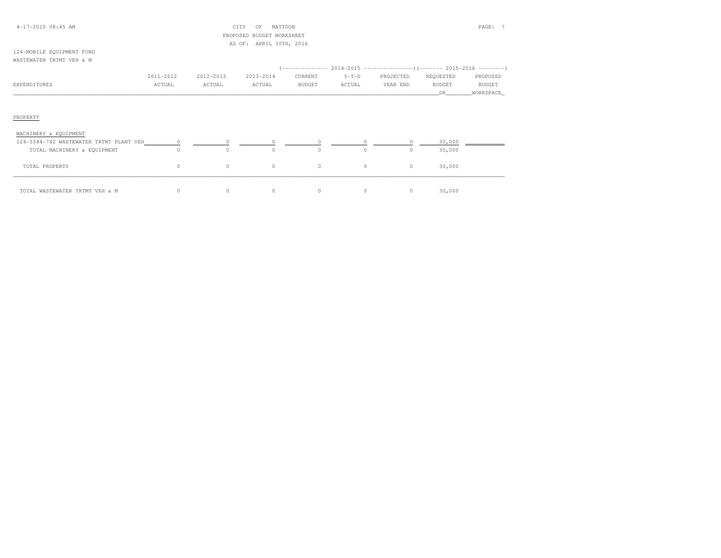## 4-17-2015 08:45 AM CITY OF MATTOON PAGE: 7 PROPOSED BUDGET WORKSHEETAS OF: APRIL 30TH, 2016

#### 124-MOBILE EQUIPMENT FUNDWASTEWATER TRTMT VEH & M

|              | 2011-2012 | 2012-2013 | 2013-2014 | CURRENT       | $Y-T-D$ | PROJECTED | REOUESTED     | PROPOSED      |
|--------------|-----------|-----------|-----------|---------------|---------|-----------|---------------|---------------|
| EXPENDITURES | ACTUAL    | ACTUAL    | ACTUAL    | <b>BUDGET</b> | ACTUAL  | YEAR END  | <b>BUDGET</b> | <b>BUDGET</b> |
|              |           |           |           |               |         |           |               | WORKSPACE     |

# PROPERTY

| MACHINERY & EQUIPMENT                   |   |          |          |          |        |  |
|-----------------------------------------|---|----------|----------|----------|--------|--|
| 124-5344-742 WASTEWATER TRTMT PLANT VEH |   |          |          |          | 30,000 |  |
| TOTAL MACHINERY & EQUIPMENT             | u |          | $\Omega$ | $\Omega$ | 30,000 |  |
| TOTAL PROPERTY                          |   | $\Omega$ | $\Omega$ | $\Omega$ | 30,000 |  |
| TOTAL WASTEWATER TRTMT VEH & M          |   |          | $\Omega$ | $\Omega$ | 30,000 |  |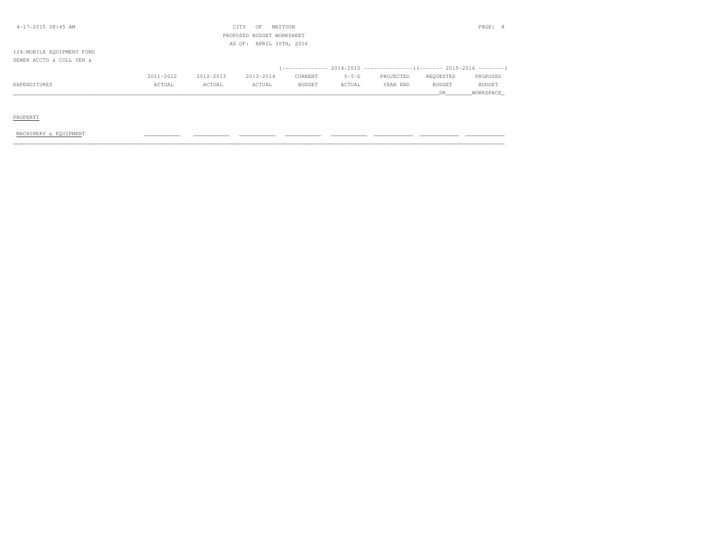| 4-17-2015 08:45 AM        |           |           | CITY<br>OF                | MATTOON                 |         |                                                                               |           | PAGE: 8       |
|---------------------------|-----------|-----------|---------------------------|-------------------------|---------|-------------------------------------------------------------------------------|-----------|---------------|
|                           |           |           | PROPOSED BUDGET WORKSHEET |                         |         |                                                                               |           |               |
|                           |           |           |                           | AS OF: APRIL 30TH, 2016 |         |                                                                               |           |               |
| 124-MOBILE EQUIPMENT FUND |           |           |                           |                         |         |                                                                               |           |               |
| SEWER ACCTG & COLL VEH &  |           |           |                           |                         |         |                                                                               |           |               |
|                           |           |           |                           |                         |         | $($ -------------- 2014-2015 -----------------) (------- 2015-2016 ---------) |           |               |
|                           | 2011-2012 | 2012-2013 | 2013-2014                 | CURRENT                 | $Y-T-D$ | PROJECTED                                                                     | REQUESTED | PROPOSED      |
| EXPENDITURES              | ACTUAL    | ACTUAL    | ACTUAL                    | BUDGET                  | ACTUAL  | YEAR END                                                                      | BUDGET    | <b>BUDGET</b> |
|                           |           |           |                           |                         |         |                                                                               | DR.       | WORKSPACE     |
|                           |           |           |                           |                         |         |                                                                               |           |               |

# PROPERTY

### MACHINERY & EQUIPMENT \_\_\_\_\_\_\_\_\_\_\_ \_\_\_\_\_\_\_\_\_\_\_ \_\_\_\_\_\_\_\_\_\_\_ \_\_\_\_\_\_\_\_\_\_\_ \_\_\_\_\_\_\_\_\_\_\_ \_\_\_\_\_\_\_\_\_\_\_\_ \_\_\_\_\_\_\_\_\_\_\_\_ \_\_\_\_\_\_\_\_\_\_\_\_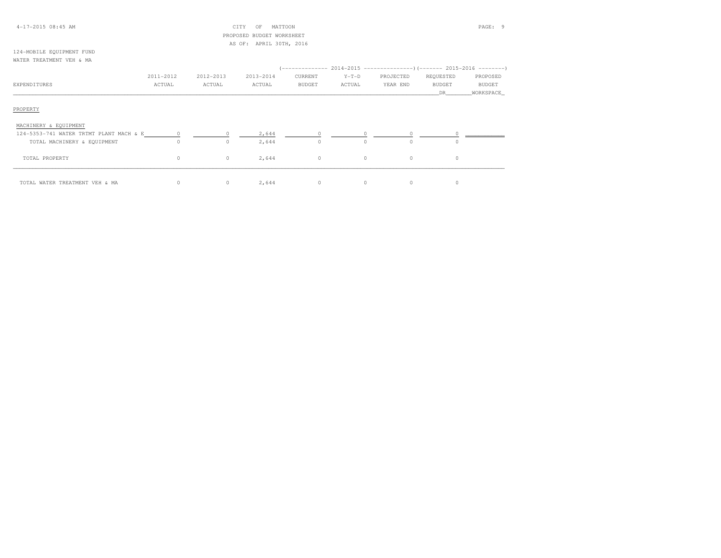| $4-17-2015$ 08:45 AM |
|----------------------|
|----------------------|

## 4-17-2015 08:45 AM CITY OF MATTOON PAGE: 9 PROPOSED BUDGET WORKSHEETAS OF: APRIL 30TH, 2016

#### 124-MOBILE EQUIPMENT FUNDWATER TREATMENT VEH & MA

|                                           | 2011-2012 | 2012-2013 | 2013-2014 | CURRENT  | $Y-T-D$  | PROJECTED | REQUESTED     | PROPOSED      |
|-------------------------------------------|-----------|-----------|-----------|----------|----------|-----------|---------------|---------------|
| EXPENDITURES                              | ACTUAL    | ACTUAL    | ACTUAL    | BUDGET   | ACTUAL   | YEAR END  | <b>BUDGET</b> | <b>BUDGET</b> |
|                                           |           |           |           |          |          |           | DR            | WORKSPACE     |
| PROPERTY                                  |           |           |           |          |          |           |               |               |
| MACHINERY & EQUIPMENT                     |           |           |           |          |          |           |               |               |
| 124-5353-741 WATER TRTMT PLANT MACH & E 0 |           |           | 2,644     |          |          |           |               |               |
| TOTAL MACHINERY & EQUIPMENT               | $\Omega$  | $\Omega$  | 2,644     | $\Omega$ | $\Omega$ | $\Omega$  | $\Omega$      |               |
| TOTAL PROPERTY                            | $\circ$   | $\circ$   | 2,644     | $\circ$  | $\circ$  | $\circ$   | $\circ$       |               |
| TOTAL WATER TREATMENT VEH & MA            | 0         | $\circ$   | 2,644     | 0        | $\circ$  | $\circ$   | $\Omega$      |               |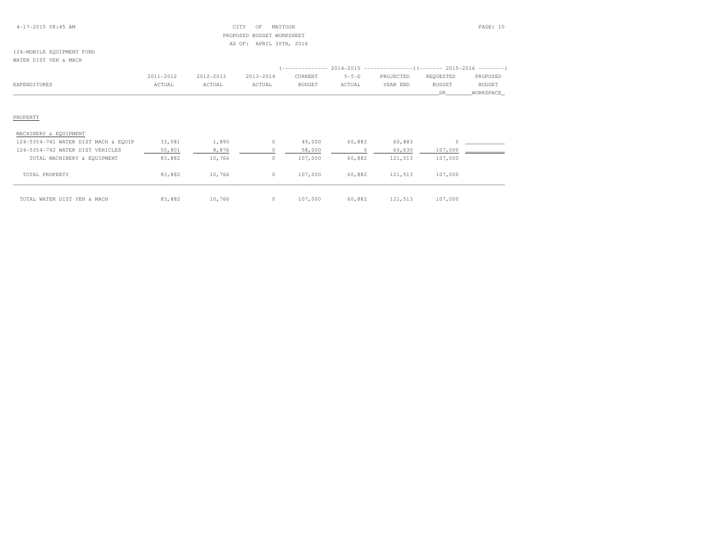## 4-17-2015 08:45 AM CITY OF MATTOON PAGE: 10 PROPOSED BUDGET WORKSHEETAS OF: APRIL 30TH, 2016

## 124-MOBILE EQUIPMENT FUNDWATER DIST VEH & MACH

|                                      |           |           |           | -------------- |         | $2014-2015$ ----------------) (------- 2015-2016 --------) |           |           |
|--------------------------------------|-----------|-----------|-----------|----------------|---------|------------------------------------------------------------|-----------|-----------|
|                                      | 2011-2012 | 2012-2013 | 2013-2014 | CURRENT        | $Y-T-D$ | PROJECTED                                                  | REQUESTED | PROPOSED  |
| EXPENDITURES                         | ACTUAL    | ACTUAL    | ACTUAL    | <b>BUDGET</b>  | ACTUAL  | YEAR END                                                   | BUDGET    | BUDGET    |
|                                      |           |           |           |                |         |                                                            | DR.       | WORKSPACE |
|                                      |           |           |           |                |         |                                                            |           |           |
|                                      |           |           |           |                |         |                                                            |           |           |
| PROPERTY                             |           |           |           |                |         |                                                            |           |           |
|                                      |           |           |           |                |         |                                                            |           |           |
| MACHINERY & EQUIPMENT                |           |           |           |                |         |                                                            |           |           |
| 124-5354-741 WATER DIST MACH & EQUIP | 33,081    | 1,890     | 0         | 49,000         | 60,882  | 60,883                                                     |           |           |
| $124-5354-742$ water nict wrutcire   | 50 901    | 9.976     | $\cap$    | 52 000         |         | 60.630                                                     | 107 000   |           |

| 124-5354-742 WATER DIST VEHICLES | 50,801 | 8,876  | 58,000  |        | 60,630  | 107,000 |  |
|----------------------------------|--------|--------|---------|--------|---------|---------|--|
| TOTAL MACHINERY & EQUIPMENT      | 83,882 | 10,766 | 107,000 | 60,882 | 121,513 | 107,000 |  |
|                                  |        |        |         |        |         |         |  |
| TOTAL PROPERTY                   | 83,882 | 10,766 | 107,000 | 60,882 | 121,513 | 107,000 |  |
|                                  |        |        |         |        |         |         |  |
|                                  |        |        |         |        |         |         |  |
| TOTAL WATER DIST VEH & MACH      | 83,882 | 10,766 | 107,000 | 60,882 | 121,513 | 107,000 |  |
|                                  |        |        |         |        |         |         |  |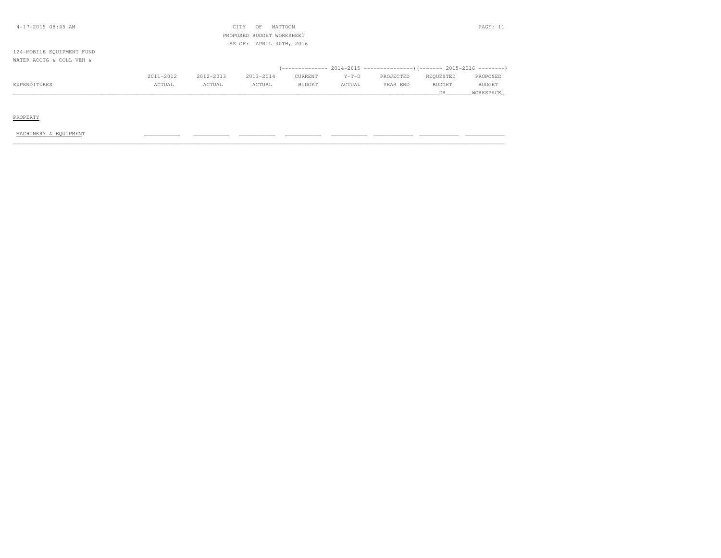| 4-17-2015 08:45 AM        |           |           | CITY<br>OF                | MATTOON                 |         |           |               | PAGE: 11      |
|---------------------------|-----------|-----------|---------------------------|-------------------------|---------|-----------|---------------|---------------|
|                           |           |           | PROPOSED BUDGET WORKSHEET |                         |         |           |               |               |
|                           |           |           |                           | AS OF: APRIL 30TH, 2016 |         |           |               |               |
| 124-MOBILE EQUIPMENT FUND |           |           |                           |                         |         |           |               |               |
| WATER ACCTG & COLL VEH &  |           |           |                           |                         |         |           |               |               |
|                           |           |           |                           |                         |         |           |               |               |
|                           | 2011-2012 | 2012-2013 | 2013-2014                 | CURRENT                 | $Y-T-D$ | PROJECTED | REQUESTED     | PROPOSED      |
| EXPENDITURES              | ACTUAL    | ACTUAL    | ACTUAL                    | <b>BUDGET</b>           | ACTUAL  | YEAR END  | <b>BUDGET</b> | <b>BUDGET</b> |
|                           |           |           |                           |                         |         |           | DR.           | WORKSPACE     |
|                           |           |           |                           |                         |         |           |               |               |

# PROPERTY

### MACHINERY & EQUIPMENT \_\_\_\_\_\_\_\_\_\_\_ \_\_\_\_\_\_\_\_\_\_\_ \_\_\_\_\_\_\_\_\_\_\_ \_\_\_\_\_\_\_\_\_\_\_ \_\_\_\_\_\_\_\_\_\_\_ \_\_\_\_\_\_\_\_\_\_\_\_ \_\_\_\_\_\_\_\_\_\_\_\_ \_\_\_\_\_\_\_\_\_\_\_\_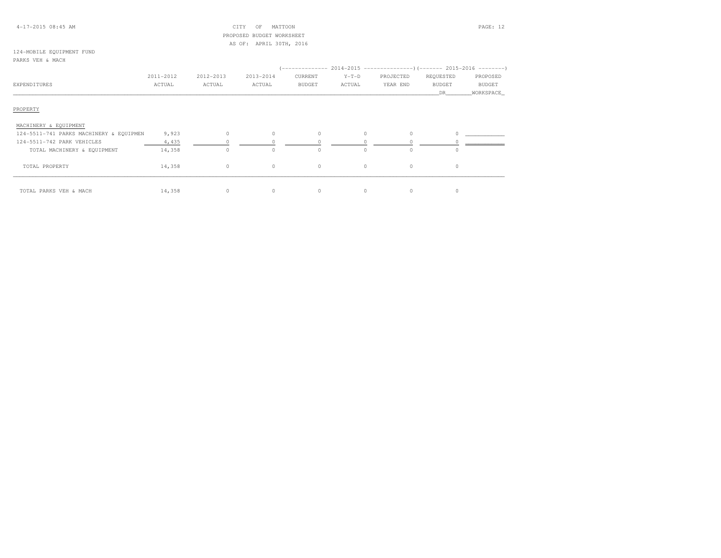## 4-17-2015 08:45 AM CITY OF MATTOON PAGE: 12 PROPOSED BUDGET WORKSHEETAS OF: APRIL 30TH, 2016

# 124-MOBILE EQUIPMENT FUND

| PARKS VEH & MACH |
|------------------|
|------------------|

|                                         | 2011-2012 | 2012-2013 | 2013-2014 | CURRENT       | $Y-T-D$  | PROJECTED | REQUESTED     | PROPOSED      |
|-----------------------------------------|-----------|-----------|-----------|---------------|----------|-----------|---------------|---------------|
| <b>EXPENDITURES</b>                     | ACTUAL    | ACTUAL    | ACTUAL    | <b>BUDGET</b> | ACTUAL   | YEAR END  | <b>BUDGET</b> | <b>BUDGET</b> |
|                                         |           |           |           |               |          |           | DR.           | WORKSPACE     |
| PROPERTY                                |           |           |           |               |          |           |               |               |
| MACHINERY & EQUIPMENT                   |           |           |           |               |          |           |               |               |
| 124-5511-741 PARKS MACHINERY & EQUIPMEN | 9,923     | $\circ$   | $\circ$   | $\Omega$      | 0        | $\Omega$  |               |               |
| 124-5511-742 PARK VEHICLES              | 4,435     |           |           |               |          |           |               |               |
| TOTAL MACHINERY & EQUIPMENT             | 14,358    | $\circ$   | $\Omega$  |               |          | $\Omega$  | $\cap$        |               |
| TOTAL PROPERTY                          | 14,358    | $\circ$   | $\circ$   | $\circ$       | $\Omega$ | $\circ$   | $\circ$       |               |
| TOTAL PARKS VEH & MACH                  | 14,358    | $\circ$   | $\circ$   | $\Omega$      |          | 0         | $\Omega$      |               |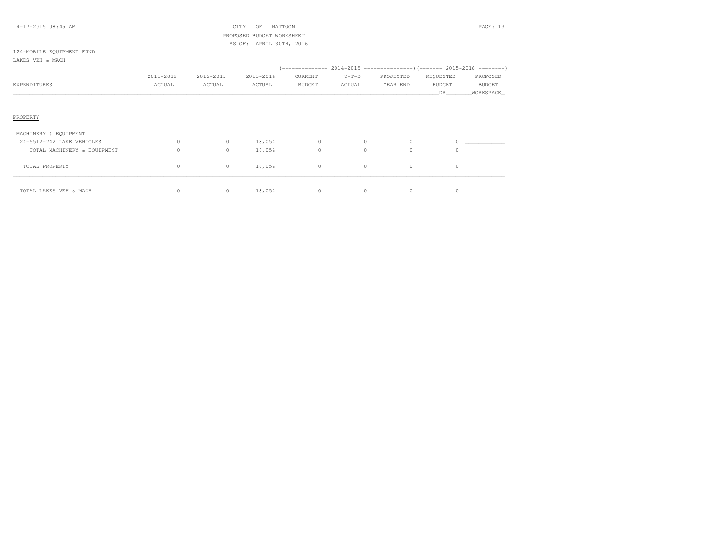## 4-17-2015 08:45 AM CITY OF MATTOON PAGE: 13 PROPOSED BUDGET WORKSHEETAS OF: APRIL 30TH, 2016

### 124-MOBILE EQUIPMENT FUNDLAKES VEH & MACH

|                       | 2011-2012 | 2012-2013 | 2013-2014 | CURRENT       | $Y-T-D$ | PROJECTED | REQUESTED     | PROPOSED      |
|-----------------------|-----------|-----------|-----------|---------------|---------|-----------|---------------|---------------|
| EXPENDITURES          | ACTUAL    | ACTUAL    | ACTUAL    | <b>BUDGET</b> | ACTUAL  | YEAR END  | <b>BUDGET</b> | <b>BUDGET</b> |
|                       |           |           |           |               |         |           | <b>DR</b>     | WORKSPACE     |
|                       |           |           |           |               |         |           |               |               |
|                       |           |           |           |               |         |           |               |               |
| PROPERTY              |           |           |           |               |         |           |               |               |
|                       |           |           |           |               |         |           |               |               |
| MACHINERY & EQUIPMENT |           |           |           |               |         |           |               |               |

| 124-5512-742 LAKE VEHICLES  |    | 18,054 |                  |    |  |  |
|-----------------------------|----|--------|------------------|----|--|--|
| TOTAL MACHINERY & EQUIPMENT | 0  | 18,054 |                  |    |  |  |
| TOTAL PROPERTY              | 0. | 18,054 | $\left( \right)$ | 0. |  |  |
|                             |    |        |                  |    |  |  |
| TOTAL LAKES VEH & MACH      | 0  | 18,054 |                  |    |  |  |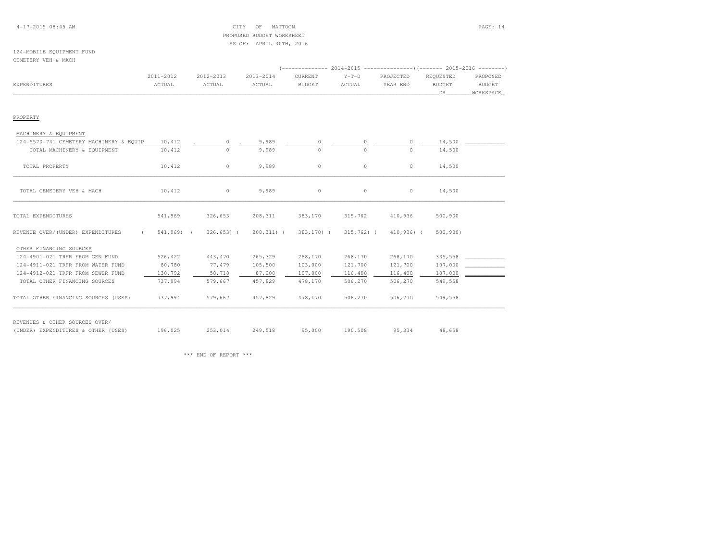## 4-17-2015 08:45 AM CITY OF MATTOON PAGE: 14 PROPOSED BUDGET WORKSHEETAS OF: APRIL 30TH, 2016

## 124-MOBILE EQUIPMENT FUNDCEMETERY VEH & MACH

|                                                 |            |                          |            | (-------------- 2014-2015 ----------------) (------- 2015-2016 --------) |                      |           |               |               |
|-------------------------------------------------|------------|--------------------------|------------|--------------------------------------------------------------------------|----------------------|-----------|---------------|---------------|
|                                                 | 2011-2012  | 2012-2013                | 2013-2014  | CURRENT                                                                  | $Y-T-D$              | PROJECTED | REQUESTED     | PROPOSED      |
| EXPENDITURES                                    | ACTUAL     | ACTUAL                   | ACTUAL     | <b>BUDGET</b>                                                            | ACTUAL               | YEAR END  | <b>BUDGET</b> | <b>BUDGET</b> |
|                                                 |            |                          |            |                                                                          |                      |           | DR.           | WORKSPACE     |
|                                                 |            |                          |            |                                                                          |                      |           |               |               |
|                                                 |            |                          |            |                                                                          |                      |           |               |               |
| PROPERTY                                        |            |                          |            |                                                                          |                      |           |               |               |
|                                                 |            |                          |            |                                                                          |                      |           |               |               |
| MACHINERY & EQUIPMENT                           |            |                          |            |                                                                          |                      |           |               |               |
| 124-5570-741 CEMETERY MACHINERY & EQUIP 10,412  |            | $\circ$                  | 9,989      | $\circ$                                                                  | 0                    | $\circ$   | 14,500        |               |
| TOTAL MACHINERY & EQUIPMENT                     | 10,412     | $\circ$                  | 9,989      | $\circ$                                                                  | $\circ$              | $\circ$   | 14,500        |               |
|                                                 |            |                          |            |                                                                          |                      |           |               |               |
| TOTAL PROPERTY                                  | 10,412     | $\circ$                  | 9,989      | $\circ$                                                                  | $\circ$              | $\circ$   | 14,500        |               |
|                                                 |            |                          |            |                                                                          |                      |           |               |               |
|                                                 |            |                          |            |                                                                          |                      |           |               |               |
| TOTAL CEMETERY VEH & MACH                       | 10,412     | $\sim$ 0 $\sim$ 0 $\sim$ | 9,989      | $\circ$                                                                  | $\circ$              | $\circ$   | 14,500        |               |
|                                                 |            |                          |            |                                                                          |                      |           |               |               |
| TOTAL EXPENDITURES                              | 541,969    | 326,653                  | 208,311    | 383,170                                                                  | 315,762              | 410,936   | 500,900       |               |
|                                                 |            |                          |            |                                                                          |                      |           |               |               |
| REVENUE OVER/(UNDER) EXPENDITURES<br>$\sqrt{2}$ | 541,969) ( | $326, 653$ ) (           | 208,311) ( | 383,170) (                                                               | 315,762) (410,936) ( |           | 500, 900      |               |
|                                                 |            |                          |            |                                                                          |                      |           |               |               |

| OTHER FINANCING SOURCES              |         |         |         |         |         |         |         |  |
|--------------------------------------|---------|---------|---------|---------|---------|---------|---------|--|
| 124-4901-021 TRFR FROM GEN FUND      | 526,422 | 443,470 | 265,329 | 268,170 | 268,170 | 268,170 | 335,558 |  |
| 124-4911-021 TRFR FROM WATER FUND    | 80,780  | 77,479  | 105,500 | 103,000 | 121,700 | 121,700 | 107,000 |  |
| 124-4912-021 TRFR FROM SEWER FUND    | 130,792 | 58,718  | 87,000  | 107,000 | 116,400 | 116,400 | 107,000 |  |
| TOTAL OTHER FINANCING SOURCES        | 737,994 | 579,667 | 457,829 | 478,170 | 506,270 | 506,270 | 549,558 |  |
| TOTAL OTHER FINANCING SOURCES (USES) | 737,994 | 579,667 | 457,829 | 478,170 | 506,270 | 506,270 | 549,558 |  |
| OTHER SOURCES OVER/<br>REVENUES &    |         |         |         |         |         |         |         |  |

(UNDER) EXPENDITURES & OTHER (USES) 196,025 253,014 249,518 95,000 190,508 95,334 48,658

\*\*\* END OF REPORT \*\*\*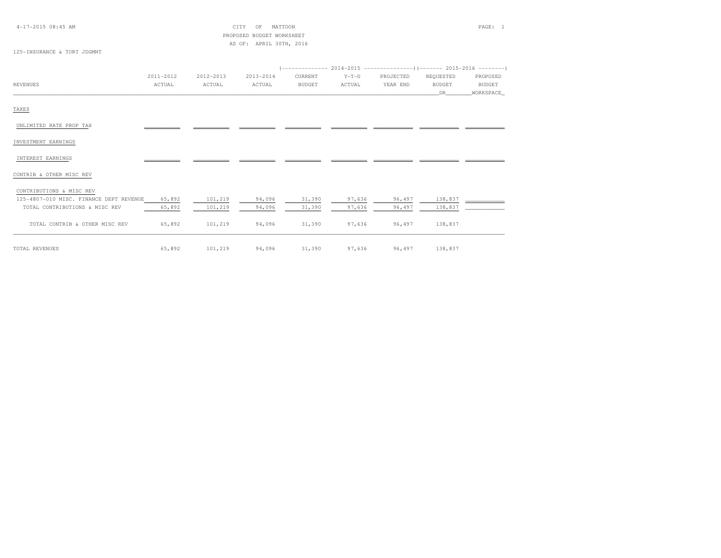4-17-2015 08:45 AM CITY OF MATTOON PAGE: 1 PROPOSED BUDGET WORKSHEETAS OF: APRIL 30TH, 2016

# 125-INSURANCE & TORT JDGMNT

|                                         | 2011-2012 | 2012-2013 | 2013-2014 | CURRENT       | $Y-T-D$ | PROJECTED | REQUESTED     | PROPOSED      |
|-----------------------------------------|-----------|-----------|-----------|---------------|---------|-----------|---------------|---------------|
| REVENUES                                | ACTUAL    | ACTUAL    | ACTUAL    | <b>BUDGET</b> | ACTUAL  | YEAR END  | <b>BUDGET</b> | <b>BUDGET</b> |
|                                         |           |           |           |               |         |           | DR            | WORKSPACE     |
|                                         |           |           |           |               |         |           |               |               |
| TAXES                                   |           |           |           |               |         |           |               |               |
|                                         |           |           |           |               |         |           |               |               |
| UNLIMITED RATE PROP TAX                 |           |           |           |               |         |           |               |               |
|                                         |           |           |           |               |         |           |               |               |
| INVESTMENT EARNINGS                     |           |           |           |               |         |           |               |               |
| INTEREST EARNINGS                       |           |           |           |               |         |           |               |               |
|                                         |           |           |           |               |         |           |               |               |
| CONTRIB & OTHER MISC REV                |           |           |           |               |         |           |               |               |
|                                         |           |           |           |               |         |           |               |               |
| CONTRIBUTIONS & MISC REV                |           |           |           |               |         |           |               |               |
| 125-4807-010 MISC. FINANCE DEPT REVENUE | 65,892    | 101,219   | 94,096    | 31,390        | 97,636  | 96,497    | 138,837       |               |
| TOTAL CONTRIBUTIONS & MISC REV          | 65,892    | 101,219   | 94,096    | 31,390        | 97,636  | 96,497    | 138,837       |               |
|                                         |           |           |           |               |         |           |               |               |
| TOTAL CONTRIB & OTHER MISC REV          | 65,892    | 101,219   | 94,096    | 31,390        | 97,636  | 96,497    | 138,837       |               |
|                                         |           |           |           |               |         |           |               |               |

TOTAL REVENUES 65,892 101,219 94,096 31,390 97,636 96,497 138,837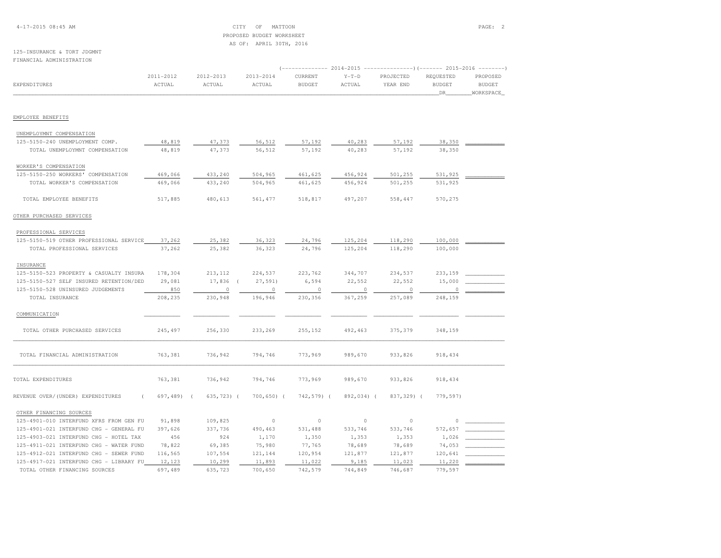4-17-2015 08:45 AM CITY OF MATTOON PAGE: 2 PROPOSED BUDGET WORKSHEETAS OF: APRIL 30TH, 2016

### 125-INSURANCE & TORT JDGMNTFINANCIAL ADMINISTRATION

|                                         | ------------- 2014-2015<br>$-----------() (------ 2015-2016 ------)$ |            |                |               |            |            |               |               |
|-----------------------------------------|----------------------------------------------------------------------|------------|----------------|---------------|------------|------------|---------------|---------------|
|                                         | 2011-2012                                                            | 2012-2013  | $2013 - 2014$  | CURRENT       | $Y-T-D$    | PROJECTED  | REQUESTED     | PROPOSED      |
| <b>EXPENDITURES</b>                     | ACTUAL                                                               | ACTUAL     | ACTUAL         | <b>BUDGET</b> | ACTUAL     | YEAR END   | <b>BUDGET</b> | <b>BUDGET</b> |
|                                         |                                                                      |            |                |               |            |            | DR            | WORKSPACE     |
|                                         |                                                                      |            |                |               |            |            |               |               |
| EMPLOYEE BENEFITS                       |                                                                      |            |                |               |            |            |               |               |
| UNEMPLOYMNT COMPENSATION                |                                                                      |            |                |               |            |            |               |               |
| 125-5150-240 UNEMPLOYMENT COMP.         | 48,819                                                               | 47,373     | 56,512         | 57,192        | 40,283     | 57,192     | 38,350        |               |
| TOTAL UNEMPLOYMNT COMPENSATION          | 48,819                                                               | 47,373     | 56,512         | 57,192        | 40,283     | 57,192     | 38,350        |               |
|                                         |                                                                      |            |                |               |            |            |               |               |
| WORKER'S COMPENSATION                   |                                                                      |            |                |               |            |            |               |               |
| 125-5150-250 WORKERS' COMPENSATION      | 469,066                                                              | 433,240    | 504,965        | 461,625       | 456,924    | 501,255    | 531,925       |               |
| TOTAL WORKER'S COMPENSATION             | 469,066                                                              | 433,240    | 504,965        | 461,625       | 456,924    | 501,255    | 531,925       |               |
| TOTAL EMPLOYEE BENEFITS                 | 517,885                                                              | 480,613    | 561, 477       | 518,817       | 497,207    | 558,447    | 570,275       |               |
| OTHER PURCHASED SERVICES                |                                                                      |            |                |               |            |            |               |               |
| PROFESSIONAL SERVICES                   |                                                                      |            |                |               |            |            |               |               |
| 125-5150-519 OTHER PROFESSIONAL SERVICE | 37,262                                                               | 25,382     | 36,323         | 24,796        | 125,204    | 118,290    | 100,000       |               |
| TOTAL PROFESSIONAL SERVICES             | 37,262                                                               | 25,382     | 36,323         | 24,796        | 125,204    | 118,290    | 100,000       |               |
|                                         |                                                                      |            |                |               |            |            |               |               |
| INSURANCE                               |                                                                      | 213, 112   |                |               | 344,707    |            | 233,159       |               |
| 125-5150-523 PROPERTY & CASUALTY INSURA | 178,304                                                              |            | 224,537        | 223,762       |            | 234,537    |               |               |
| 125-5150-527 SELF INSURED RETENTION/DED | 29,081                                                               | 17,836     | 27,591         | 6,594         | 22,552     | 22,552     | 15,000        |               |
| 125-5150-528 UNINSURED JUDGEMENTS       | 850                                                                  | $\Omega$   | $\circ$        | $\circ$       | $\circ$    | $\circ$    | $\Omega$      |               |
| TOTAL INSURANCE                         | 208,235                                                              | 230,948    | 196,946        | 230,356       | 367,259    | 257,089    | 248,159       |               |
| COMMUNICATION                           |                                                                      |            |                |               |            |            |               |               |
| TOTAL OTHER PURCHASED SERVICES          | 245,497                                                              | 256,330    | 233,269        | 255,152       | 492,463    | 375,379    | 348,159       |               |
| TOTAL FINANCIAL ADMINISTRATION          | 763,381                                                              | 736,942    | 794,746        | 773,969       | 989,670    | 933,826    | 918, 434      |               |
|                                         |                                                                      |            |                |               |            |            |               |               |
| TOTAL EXPENDITURES                      | 763,381                                                              | 736,942    | 794,746        | 773,969       | 989,670    | 933,826    | 918, 434      |               |
| REVENUE OVER/(UNDER) EXPENDITURES       | 697,489)<br>$\sqrt{ }$                                               | 635,723) ( | $700, 650$ ) ( | 742,579) (    | 892,034) ( | 837,329) ( | 779,597)      |               |
| OTHER FINANCING SOURCES                 |                                                                      |            |                |               |            |            |               |               |
| 125-4901-010 INTERFUND XFRS FROM GEN FU | 91,898                                                               | 109,825    | $\circ$        | $\circ$       | $\circ$    | $\circ$    | 0             |               |
| 125-4901-021 INTERFUND CHG - GENERAL FU | 397,626                                                              | 337,736    | 490,463        | 531,488       | 533,746    | 533,746    | 572,657       |               |
| 125-4903-021 INTERFUND CHG - HOTEL TAX  | 456                                                                  | 924        | 1,170          | 1,350         | 1,353      | 1,353      | 1,026         |               |
| 125-4911-021 INTERFUND CHG - WATER FUND | 78,822                                                               | 69,385     | 75,980         | 77,765        | 78,689     | 78,689     | 74,053        |               |
| 125-4912-021 INTERFUND CHG - SEWER FUND | 116,565                                                              | 107,554    | 121,144        | 120,954       | 121,877    | 121,877    | 120,641       |               |
| 125-4917-021 INTERFUND CHG - LIBRARY FU | 12,123                                                               | 10,299     | 11,893         | 11,022        | 9,185      | 11,023     | 11,220        |               |
| TOTAL OTHER FINANCING SOURCES           | 697,489                                                              | 635,723    | 700,650        | 742,579       | 744,849    | 746,687    | 779,597       |               |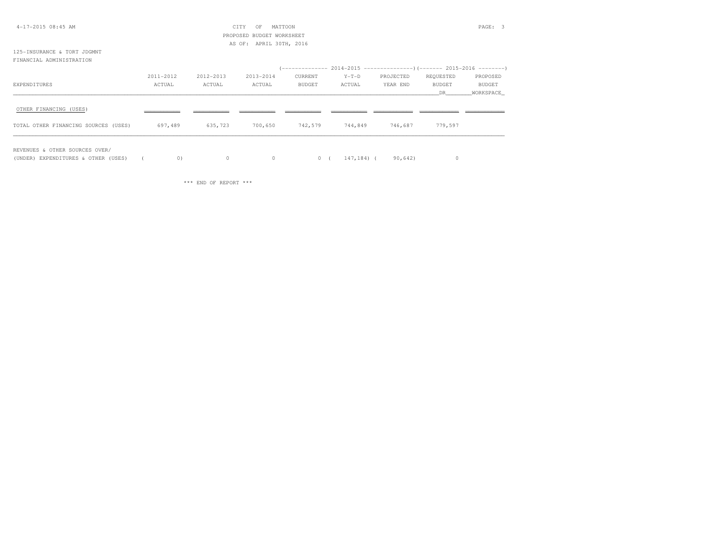| $4-17-2015$ $08:45$ AM               |           |           | CITY<br>OF                | MATTOON       |         |           |               | PAGE: 3       |
|--------------------------------------|-----------|-----------|---------------------------|---------------|---------|-----------|---------------|---------------|
|                                      |           |           | PROPOSED BUDGET WORKSHEET |               |         |           |               |               |
|                                      |           |           | AS OF: APRIL 30TH, 2016   |               |         |           |               |               |
| 125-INSURANCE & TORT JDGMNT          |           |           |                           |               |         |           |               |               |
| FINANCIAL ADMINISTRATION             |           |           |                           |               |         |           |               |               |
|                                      |           |           |                           |               |         |           |               |               |
|                                      | 2011-2012 | 2012-2013 | 2013-2014                 | CURRENT       | $Y-T-D$ | PROJECTED | REQUESTED     | PROPOSED      |
| EXPENDITURES                         | ACTUAL    | ACTUAL    | ACTUAL                    | <b>BUDGET</b> | ACTUAL  | YEAR END  | <b>BUDGET</b> | <b>BUDGET</b> |
|                                      |           |           |                           |               |         |           | DR            | WORKSPACE     |
|                                      |           |           |                           |               |         |           |               |               |
| OTHER FINANCING (USES)               |           |           |                           |               |         |           |               |               |
| TOTAL OTHER FINANCING SOURCES (USES) | 697,489   | 635,723   | 700,650                   | 742,579       | 744,849 | 746,687   | 779,597       |               |
|                                      |           |           |                           |               |         |           |               |               |

REVENUES & OTHER SOURCES OVER/

(UNDER) EXPENDITURES & OTHER (USES) ( 0) 0 0 0 0 ( 147,184) ( 90,642) 0

\*\*\* END OF REPORT \*\*\*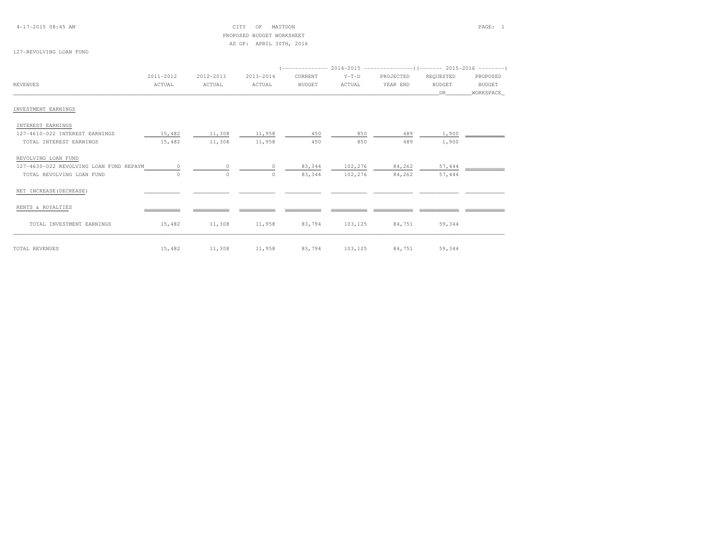4-17-2015 08:45 AM CITY OF MATTOON PAGE: 1 PROPOSED BUDGET WORKSHEETAS OF: APRIL 30TH, 2016

# 127-REVOLVING LOAN FUND

|                                         | 2011-2012 | 2012-2013 | 2013-2014 | CURRENT       | $Y-T-D$ | PROJECTED | REQUESTED | PROPOSED  |
|-----------------------------------------|-----------|-----------|-----------|---------------|---------|-----------|-----------|-----------|
| <b>REVENUES</b>                         | ACTUAL    | ACTUAL    | ACTUAL    | <b>BUDGET</b> | ACTUAL  | YEAR END  | BUDGET    | BUDGET    |
|                                         |           |           |           |               |         |           | DR        | WORKSPACE |
| INVESTMENT EARNINGS                     |           |           |           |               |         |           |           |           |
| INTEREST EARNINGS                       |           |           |           |               |         |           |           |           |
| 127-4610-022 INTEREST EARNINGS          | 15,482    | 11,308    | 11,958    | 450           | 850     | 489       | 1,900     |           |
| TOTAL INTEREST EARNINGS                 | 15,482    | 11,308    | 11,958    | 450           | 850     | 489       | 1,900     |           |
| REVOLVING LOAN FUND                     |           |           |           |               |         |           |           |           |
| 127-4630-022 REVOLVING LOAN FUND REPAYM | $\Omega$  | $\Omega$  | $\Omega$  | 83,344        | 102,276 | 84,262    | 57,444    |           |
| TOTAL REVOLVING LOAN FUND               | 0         | $\circ$   | $\circ$   | 83,344        | 102,276 | 84,262    | 57,444    |           |
| NET INCREASE (DECREASE)                 |           |           |           |               |         |           |           |           |
| RENTS & ROYALTIES                       |           |           |           |               |         |           |           |           |
| TOTAL INVESTMENT EARNINGS               | 15,482    | 11,308    | 11,958    | 83,794        | 103,125 | 84,751    | 59,344    |           |
| TOTAL REVENUES                          | 15,482    | 11,308    | 11,958    | 83,794        | 103,125 | 84,751    | 59,344    |           |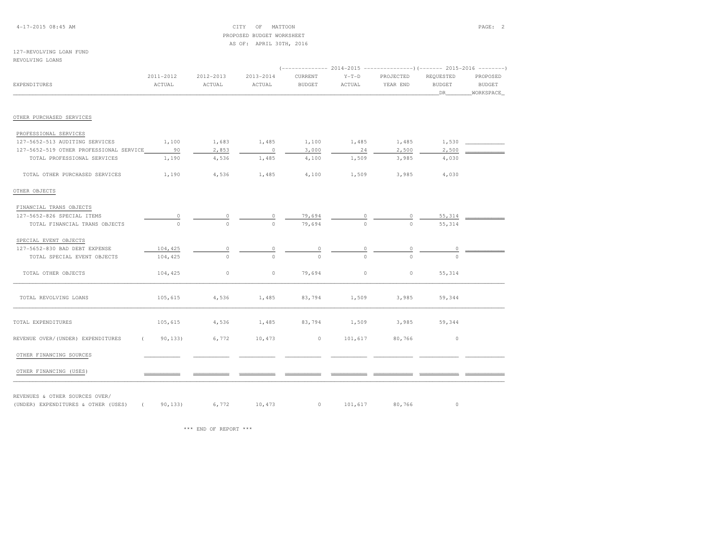## 4-17-2015 08:45 AM CITY OF MATTOON PAGE: 2 PROPOSED BUDGET WORKSHEETAS OF: APRIL 30TH, 2016

### 127-REVOLVING LOAN FUNDREVOLVING LOANS

| <b>EXPENDITURES</b>                        | 2011-2012<br>ACTUAL | 2012-2013<br>ACTUAL | 2013-2014<br>ACTUAL | CURRENT<br><b>BUDGET</b> | $Y-T-D$<br>ACTUAL | PROJECTED<br>YEAR END | REQUESTED<br><b>BUDGET</b><br>DR | PROPOSED<br>BUDGET<br>WORKSPACE |  |
|--------------------------------------------|---------------------|---------------------|---------------------|--------------------------|-------------------|-----------------------|----------------------------------|---------------------------------|--|
|                                            |                     |                     |                     |                          |                   |                       |                                  |                                 |  |
| OTHER PURCHASED SERVICES                   |                     |                     |                     |                          |                   |                       |                                  |                                 |  |
| PROFESSIONAL SERVICES                      |                     |                     |                     |                          |                   |                       |                                  |                                 |  |
| 127-5652-513 AUDITING SERVICES             | 1,100               | 1,683               | 1,485               | 1,100                    | 1,485             | 1,485                 | 1,530                            |                                 |  |
| 127-5652-519 OTHER PROFESSIONAL SERVICE 90 |                     | 2,853               | $\sim$ 0            | 3,000                    | 24                | 2,500                 | 2,500                            |                                 |  |
| TOTAL PROFESSIONAL SERVICES                | 1,190               | 4,536               | 1,485               | 4,100                    | 1,509             | 3,985                 | 4,030                            |                                 |  |
| TOTAL OTHER PURCHASED SERVICES             | 1,190               | 4,536               | 1,485               | 4,100                    | 1,509             | 3,985                 | 4,030                            |                                 |  |
| OTHER OBJECTS                              |                     |                     |                     |                          |                   |                       |                                  |                                 |  |
| FINANCIAL TRANS OBJECTS                    |                     |                     |                     |                          |                   |                       |                                  |                                 |  |
| 127-5652-826 SPECIAL ITEMS                 |                     |                     |                     | 79,694                   | $\frac{0}{0}$     |                       | 55,314                           |                                 |  |
| TOTAL FINANCIAL TRANS OBJECTS              | $\overline{a}$      | $\Omega$            | $\Omega$            | 79,694                   |                   | $\overline{0}$        | 55,314                           |                                 |  |
| SPECIAL EVENT OBJECTS                      |                     |                     |                     |                          |                   |                       |                                  |                                 |  |
| 127-5652-830 BAD DEBT EXPENSE              | 104,425             | 0                   |                     |                          |                   |                       |                                  |                                 |  |
| TOTAL SPECIAL EVENT OBJECTS                | 104,425             | $\Omega$            |                     | $\Omega$                 |                   |                       |                                  |                                 |  |
| TOTAL OTHER OBJECTS                        | 104,425             | $\circ$             | $\circ$             | 79,694                   | $\circ$           | $\circ$               | 55, 314                          |                                 |  |
| TOTAL REVOLVING LOANS                      | 105,615             | 4,536               | 1,485               | 83,794                   | 1,509             | 3,985                 | 59,344                           |                                 |  |
| TOTAL EXPENDITURES                         | 105,615             | 4,536               | 1,485               | 83,794                   | 1,509             | 3,985                 | 59,344                           |                                 |  |
| REVENUE OVER/(UNDER) EXPENDITURES          | 90, 133)            | 6,772               | 10,473              | $\circ$                  | 101,617           | 80,766                | $\circ$                          |                                 |  |
| OTHER FINANCING SOURCES                    |                     |                     |                     |                          |                   |                       |                                  |                                 |  |
| OTHER FINANCING (USES)                     |                     |                     |                     |                          |                   |                       |                                  |                                 |  |

REVENUES & OTHER SOURCES OVER/

(UNDER) EXPENDITURES & OTHER (USES) ( 09,133) 6,772 10,473 0 101,617 80,766 0 0

\*\*\* END OF REPORT \*\*\*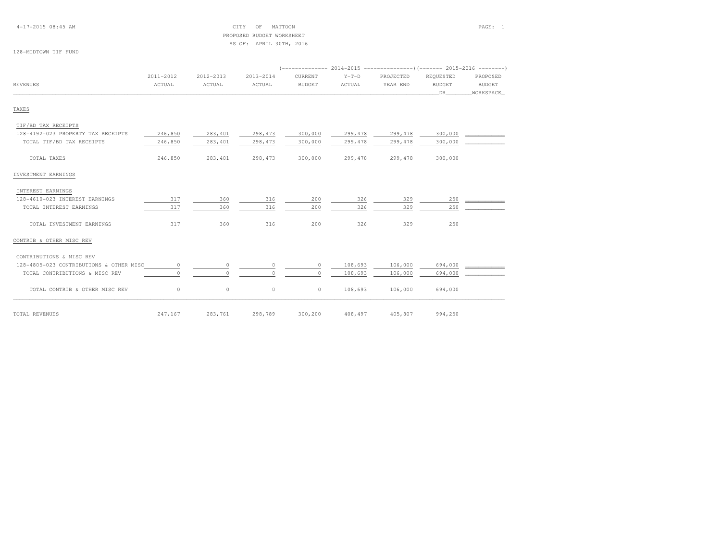# PROPOSED BUDGET WORKSHEETAS OF: APRIL 30TH, 2016

## 128-MIDTOWN TIF FUND

|                                         |                     |                     |                     |                          |                   |                       |                            | PROPOSED<br><b>BUDGET</b><br>WORKSPACE |
|-----------------------------------------|---------------------|---------------------|---------------------|--------------------------|-------------------|-----------------------|----------------------------|----------------------------------------|
| <b>REVENUES</b>                         | 2011-2012<br>ACTUAL | 2012-2013<br>ACTUAL | 2013-2014<br>ACTUAL | CURRENT<br><b>BUDGET</b> | $Y-T-D$<br>ACTUAL | PROJECTED<br>YEAR END | REQUESTED<br><b>BUDGET</b> |                                        |
|                                         |                     |                     |                     |                          |                   |                       | DR                         |                                        |
| TAXES                                   |                     |                     |                     |                          |                   |                       |                            |                                        |
| TIF/BD TAX RECEIPTS                     |                     |                     |                     |                          |                   |                       |                            |                                        |
| 128-4192-023 PROPERTY TAX RECEIPTS      | 246,850             | 283,401             | 298,473             | 300,000                  | 299,478           | 299,478               | 300,000                    |                                        |
| TOTAL TIF/BD TAX RECEIPTS               | 246,850             | 283,401             | 298,473             | 300,000                  | 299,478           | 299,478               | 300,000                    |                                        |
| TOTAL TAXES                             | 246,850             | 283,401             | 298,473             | 300,000                  | 299,478           | 299,478               | 300,000                    |                                        |
| INVESTMENT EARNINGS                     |                     |                     |                     |                          |                   |                       |                            |                                        |
| INTEREST EARNINGS                       |                     |                     |                     |                          |                   |                       |                            |                                        |
| 128-4610-023 INTEREST EARNINGS          | 317                 | 360                 | 316                 | 200                      | 326               | 329                   | 250                        |                                        |
| TOTAL INTEREST EARNINGS                 | 317                 | 360                 | 316                 | 200                      | 326               | 329                   | 250                        |                                        |
| TOTAL INVESTMENT EARNINGS               | 317                 | 360                 | 316                 | 200                      | 326               | 329                   | 250                        |                                        |
| CONTRIB & OTHER MISC REV                |                     |                     |                     |                          |                   |                       |                            |                                        |
| CONTRIBUTIONS & MISC REV                |                     |                     |                     |                          |                   |                       |                            |                                        |
| 128-4805-023 CONTRIBUTIONS & OTHER MISC | $\circ$             | $\circ$             | $\circ$             | $\circ$                  | 108,693           | 106,000               | 694,000                    |                                        |
| TOTAL CONTRIBUTIONS & MISC REV          | $\Omega$            | $\circ$             | $\cap$              | $\Omega$                 | 108,693           | 106,000               | 694,000                    |                                        |
| TOTAL CONTRIB & OTHER MISC REV          | $\circ$             | $\circ$             | $\circ$             | $\circ$                  | 108,693           | 106,000               | 694,000                    |                                        |
| TOTAL REVENUES                          | 247,167             | 283,761             | 298,789             | 300,200                  | 408,497           | 405,807               | 994,250                    |                                        |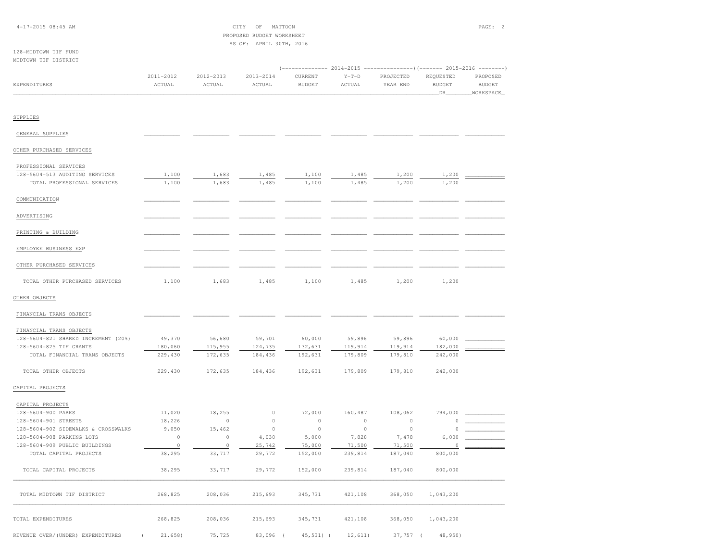# PROPOSED BUDGET WORKSHEETAS OF: APRIL 30TH, 2016

#### 128-MIDTOWN TIF FUNDMIDTOWN TIF DISTRICT

|              |           |           |           |               |         | $(---------- 2014-2015$ ---------------) (------- 2015-2016 -------) |               |               |
|--------------|-----------|-----------|-----------|---------------|---------|----------------------------------------------------------------------|---------------|---------------|
|              | 2011-2012 | 2012-2013 | 2013-2014 | CURRENT       | $Y-T-D$ | PROJECTED                                                            | REOUESTED     | PROPOSED      |
| EXPENDITURES | ACTUAL    | ACTUAL    | ACTUAL    | <b>BUDGET</b> | ACTUAL  | YEAR END                                                             | <b>BUDGET</b> | <b>BUDGET</b> |
|              |           |           |           |               |         |                                                                      |               | WORKSPACE     |
|              |           |           |           |               |         |                                                                      |               |               |

### SUPPLIES

| GENERAL SUPPLIES                    |         |         |         |         |         |         |          |  |
|-------------------------------------|---------|---------|---------|---------|---------|---------|----------|--|
| OTHER PURCHASED SERVICES            |         |         |         |         |         |         |          |  |
| PROFESSIONAL SERVICES               |         |         |         |         |         |         |          |  |
| 128-5604-513 AUDITING SERVICES      | 1,100   | 1,683   | 1,485   | 1,100   | 1,485   | 1,200   | 1,200    |  |
| TOTAL PROFESSIONAL SERVICES         | 1,100   | 1,683   | 1,485   | 1,100   | 1,485   | 1,200   | 1,200    |  |
| COMMUNICATION                       |         |         |         |         |         |         |          |  |
| ADVERTISING                         |         |         |         |         |         |         |          |  |
| PRINTING & BUILDING                 |         |         |         |         |         |         |          |  |
| EMPLOYEE BUSINESS EXP               |         |         |         |         |         |         |          |  |
| OTHER PURCHASED SERVICES            |         |         |         |         |         |         |          |  |
| TOTAL OTHER PURCHASED SERVICES      | 1,100   | 1,683   | 1,485   | 1,100   | 1,485   | 1,200   | 1,200    |  |
| OTHER OBJECTS                       |         |         |         |         |         |         |          |  |
| FINANCIAL TRANS OBJECTS             |         |         |         |         |         |         |          |  |
| FINANCIAL TRANS OBJECTS             |         |         |         |         |         |         |          |  |
| 128-5604-821 SHARED INCREMENT (20%) | 49,370  | 56,680  | 59,701  | 60,000  | 59,896  | 59,896  | 60,000   |  |
| 128-5604-825 TIF GRANTS             | 180,060 | 115,955 | 124,735 | 132,631 | 119,914 | 119,914 | 182,000  |  |
| TOTAL FINANCIAL TRANS OBJECTS       | 229,430 | 172,635 | 184,436 | 192,631 | 179,809 | 179,810 | 242,000  |  |
| TOTAL OTHER OBJECTS                 | 229,430 | 172,635 | 184,436 | 192,631 | 179,809 | 179,810 | 242,000  |  |
| CAPITAL PROJECTS                    |         |         |         |         |         |         |          |  |
| CAPITAL PROJECTS                    |         |         |         |         |         |         |          |  |
| 128-5604-900 PARKS                  | 11,020  | 18,255  | $\circ$ | 72,000  | 160,487 | 108,062 | 794,000  |  |
| 128-5604-901 STREETS                | 18,226  | $\circ$ | $\circ$ | $\circ$ | $\circ$ | $\circ$ | $\cap$   |  |
| 128-5604-902 SIDEWALKS & CROSSWALKS | 9,050   | 15,462  | $\circ$ | $\circ$ | $\circ$ | $\circ$ | $\Omega$ |  |
| 128-5604-908 PARKING LOTS           | $\circ$ | $\circ$ | 4,030   | 5,000   | 7,828   | 7,478   | 6,000    |  |
| 128-5604-909 PUBLIC BUILDINGS       | $\circ$ | $\circ$ | 25,742  | 75,000  | 71,500  | 71,500  | 0        |  |
| TOTAL CAPITAL PROJECTS              | 38,295  | 33,717  | 29,772  | 152,000 | 239,814 | 187,040 | 800,000  |  |
| TOTAL CADITAL DROIDCTO              | 39 295  | 3377    | 20 772  | 152.000 | 239 914 | 197 040 | 900.000  |  |

| 128-5604-909 PUBLIC BUILDINGS |         |         | 25,742  | 75,000  | 71,500  | 71,500  |           |  |
|-------------------------------|---------|---------|---------|---------|---------|---------|-----------|--|
| TOTAL CAPITAL PROJECTS        | 38,295  | 33,717  | 29,772  | 152,000 | 239,814 | 187,040 | 800,000   |  |
| TOTAL CAPITAL PROJECTS        | 38,295  | 33,717  | 29,772  | 152,000 | 239,814 | 187,040 | 800,000   |  |
| TOTAL MIDTOWN TIF DISTRICT    | 268,825 | 208,036 | 215,693 | 345,731 | 421,108 | 368,050 | 1,043,200 |  |
| TOTAL EXPENDITURES            | 268,825 | 208,036 | 215,693 | 345,731 | 421,108 | 368,050 | 1,043,200 |  |

REVENUE OVER/(UNDER) EXPENDITURES ( 21,658) 75,725 83,096 ( 45,531) ( 12,611) 37,757 ( 48,950)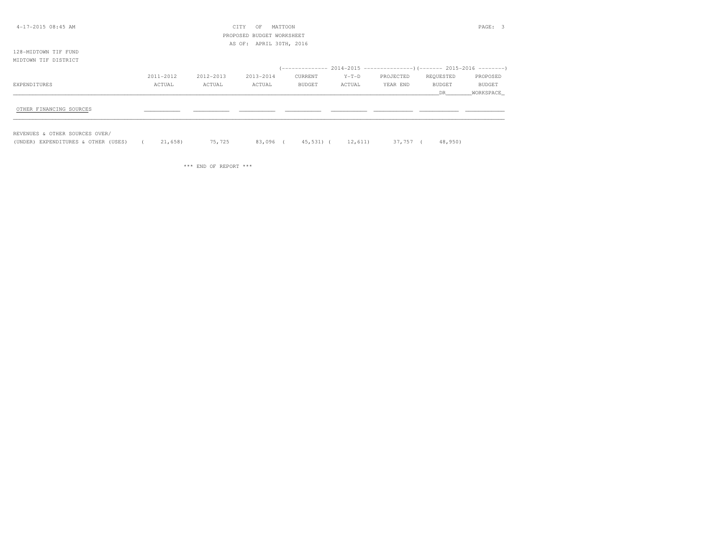| 4-17-2015 08:45 AM      |           |           | CITY<br>OF                | MATTOON |         |           |           | PAGE: 3   |
|-------------------------|-----------|-----------|---------------------------|---------|---------|-----------|-----------|-----------|
|                         |           |           | PROPOSED BUDGET WORKSHEET |         |         |           |           |           |
|                         |           |           | AS OF: APRIL 30TH, 2016   |         |         |           |           |           |
| 128-MIDTOWN TIF FUND    |           |           |                           |         |         |           |           |           |
| MIDTOWN TIF DISTRICT    |           |           |                           |         |         |           |           |           |
|                         |           |           |                           |         |         |           |           |           |
|                         | 2011-2012 | 2012-2013 | 2013-2014                 | CURRENT | $Y-T-D$ | PROJECTED | REQUESTED | PROPOSED  |
| EXPENDITURES            | ACTUAL    | ACTUAL    | ACTUAL                    | BUDGET  | ACTUAL  | YEAR END  | BUDGET    | BUDGET    |
|                         |           |           |                           |         |         |           | DR        | WORKSPACE |
|                         |           |           |                           |         |         |           |           |           |
| OTHER FINANCING SOURCES |           |           |                           |         |         |           |           |           |
|                         |           |           |                           |         |         |           |           |           |
|                         |           |           |                           |         |         |           |           |           |

REVENUES & OTHER SOURCES OVER/

(UNDER) EXPENDITURES & OTHER (USES) ( 21,658) 75,725 83,096 ( 45,531) ( 12,611) 37,757 ( 48,950)

\*\*\* END OF REPORT \*\*\*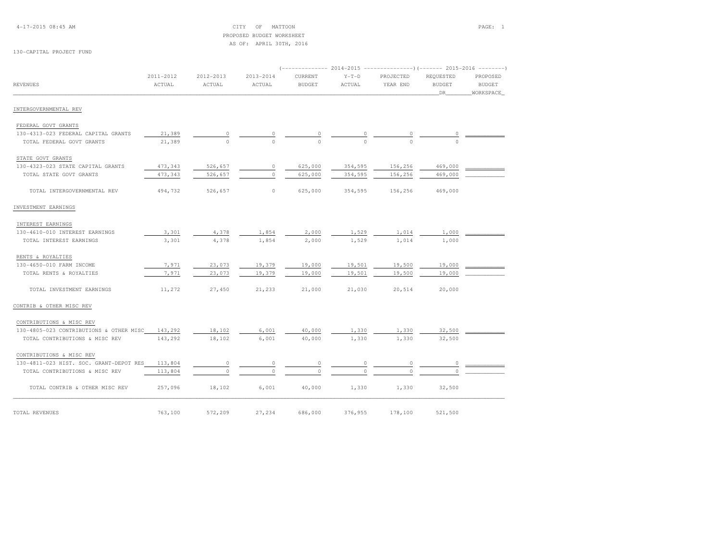4-17-2015 08:45 AM CITY OF MATTOON PAGE: 1 PROPOSED BUDGET WORKSHEETAS OF: APRIL 30TH, 2016

#### 130-CAPITAL PROJECT FUND

|                                         |                     |                     |                     |                          | 2014-2015         | ----------------) (------- 2015-2016 -------- |                                  |                                        |
|-----------------------------------------|---------------------|---------------------|---------------------|--------------------------|-------------------|-----------------------------------------------|----------------------------------|----------------------------------------|
| <b>REVENUES</b>                         | 2011-2012<br>ACTUAL | 2012-2013<br>ACTUAL | 2013-2014<br>ACTUAL | CURRENT<br><b>BUDGET</b> | $Y-T-D$<br>ACTUAL | PROJECTED<br>YEAR END                         | REQUESTED<br><b>BUDGET</b><br>DR | PROPOSED<br><b>BUDGET</b><br>WORKSPACE |
| INTERGOVERNMENTAL REV                   |                     |                     |                     |                          |                   |                                               |                                  |                                        |
| FEDERAL GOVT GRANTS                     |                     |                     |                     |                          |                   |                                               |                                  |                                        |
| 130-4313-023 FEDERAL CAPITAL GRANTS     | 21,389              | 0                   |                     | $\cup$                   |                   | $\circ$                                       |                                  |                                        |
| TOTAL FEDERAL GOVT GRANTS               | 21,389              | $\Omega$            | $\Omega$            | $\Omega$                 | $\Omega$          | $\Omega$                                      |                                  |                                        |
| STATE GOVT GRANTS                       |                     |                     |                     |                          |                   |                                               |                                  |                                        |
| 130-4323-023 STATE CAPITAL GRANTS       | 473,343             | 526,657             | $\circ$             | 625,000                  | 354,595           | 156,256                                       | 469,000                          |                                        |
| TOTAL STATE GOVT GRANTS                 | 473,343             | 526,657             | $\circ$             | 625,000                  | 354,595           | 156,256                                       | 469,000                          |                                        |
| TOTAL INTERGOVERNMENTAL REV             | 494,732             | 526,657             | $\circ$             | 625,000                  | 354,595           | 156,256                                       | 469,000                          |                                        |
| INVESTMENT EARNINGS                     |                     |                     |                     |                          |                   |                                               |                                  |                                        |
| INTEREST EARNINGS                       |                     |                     |                     |                          |                   |                                               |                                  |                                        |
| 130-4610-010 INTEREST EARNINGS          | 3,301               | 4,378               | 1,854               | 2,000                    | 1,529             | 1,014                                         | 1,000                            |                                        |
| TOTAL INTEREST EARNINGS                 | 3,301               | 4,378               | 1,854               | 2,000                    | 1,529             | 1,014                                         | 1,000                            |                                        |
| RENTS & ROYALTIES                       |                     |                     |                     |                          |                   |                                               |                                  |                                        |
| 130-4650-010 FARM INCOME                | 7,971               | 23,073              | 19,379              | 19,000                   | 19,501            | 19,500                                        | 19,000                           |                                        |
| TOTAL RENTS & ROYALTIES                 | 7,971               | 23,073              | 19,379              | 19,000                   | 19,501            | 19,500                                        | 19,000                           |                                        |
| TOTAL INVESTMENT EARNINGS               | 11,272              | 27,450              | 21,233              | 21,000                   | 21,030            | 20,514                                        | 20,000                           |                                        |
| CONTRIB & OTHER MISC REV                |                     |                     |                     |                          |                   |                                               |                                  |                                        |
| CONTRIBUTIONS & MISC REV                |                     |                     |                     |                          |                   |                                               |                                  |                                        |
| 130-4805-023 CONTRIBUTIONS & OTHER MISC | 143,292             | 18,102              | 6,001               | 40,000                   | 1,330             | 1,330                                         | 32,500                           |                                        |
| TOTAL CONTRIBUTIONS & MISC REV          | 143,292             | 18,102              | 6,001               | 40,000                   | 1,330             | 1,330                                         | 32,500                           |                                        |
| CONTRIBUTIONS & MISC REV                |                     |                     |                     |                          |                   |                                               |                                  |                                        |
| 130-4811-023 HIST. SOC. GRANT-DEPOT RES | 113,804             | 0                   | 0                   | $\circ$                  | 0                 | 0                                             | 0                                |                                        |
| TOTAL CONTRIBUTIONS & MISC REV          | 113,804             | $\circ$             | $\circ$             | $\Omega$                 | $\Omega$          | $\Omega$                                      | $\Omega$                         |                                        |
| TOTAL CONTRIB & OTHER MISC REV          | 257,096             | 18,102              | 6,001               | 40,000                   | 1,330             | 1,330                                         | 32,500                           |                                        |
| TOTAL REVENUES                          | 763,100             | 572,209             | 27,234              | 686,000                  | 376,955           | 178,100                                       | 521,500                          |                                        |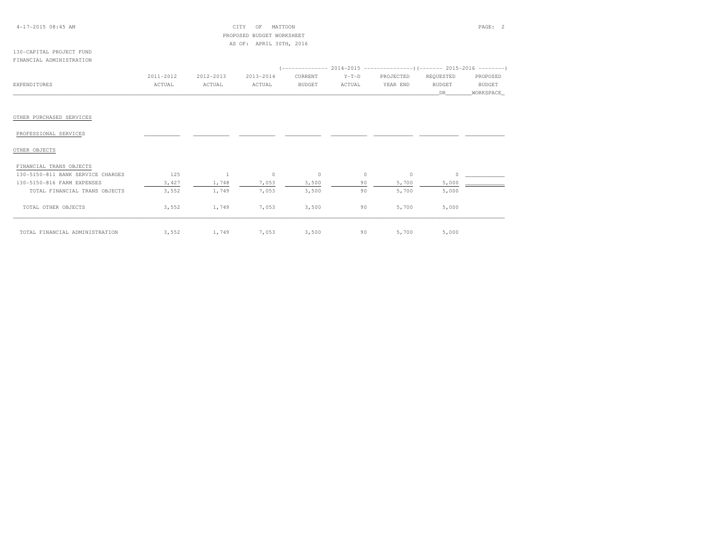#### 4-17-2015 08:45 AM CITY OF MATTOON PAGE: 2 PROPOSED BUDGET WORKSHEETAS OF: APRIL 30TH, 2016

#### 130-CAPITAL PROJECT FUNDFINANCIAL ADMINISTRATION

|                          | 2011-2012 | 2012-2013 | 2013-2014 | CURRENT       | $Y-T-D$ | PROJECTED | REQUESTED     | PROPOSED      |
|--------------------------|-----------|-----------|-----------|---------------|---------|-----------|---------------|---------------|
| EXPENDITURES             | ACTUAL    | ACTUAL    | ACTUAL    | <b>BUDGET</b> | ACTUAL  | YEAR END  | <b>BUDGET</b> | <b>BUDGET</b> |
|                          |           |           |           |               |         |           | DR            | WORKSPACE     |
|                          |           |           |           |               |         |           |               |               |
|                          |           |           |           |               |         |           |               |               |
| OTHER PURCHASED SERVICES |           |           |           |               |         |           |               |               |
|                          |           |           |           |               |         |           |               |               |
| PROFESSIONAL SERVICES    |           |           |           |               |         |           |               |               |
|                          |           |           |           |               |         |           |               |               |
| OTHER OBJECTS            |           |           |           |               |         |           |               |               |
|                          |           |           |           |               |         |           |               |               |
| FINANCIAL TRANS OBJECTS  |           |           |           |               |         |           |               |               |

| 130-5150-811 BANK SERVICE CHARGES | 125   |       | 0     | $\circ$ | 0  |       |       |  |
|-----------------------------------|-------|-------|-------|---------|----|-------|-------|--|
| 130-5150-816 FARM EXPENSES        | 3,427 | 1,748 | 7,053 | 3,500   | 90 | 5,700 | 5,000 |  |
| TOTAL FINANCIAL TRANS OBJECTS     | 3,552 | 1,749 | 7,053 | 3,500   | 90 | 5,700 | 5,000 |  |
| TOTAL OTHER OBJECTS               | 3,552 | 1,749 | 7,053 | 3,500   | 90 | 5,700 | 5,000 |  |
| TOTAL FINANCIAL ADMINISTRATION    | 3,552 | 1,749 | 7,053 | 3,500   | 90 | 5,700 | 5,000 |  |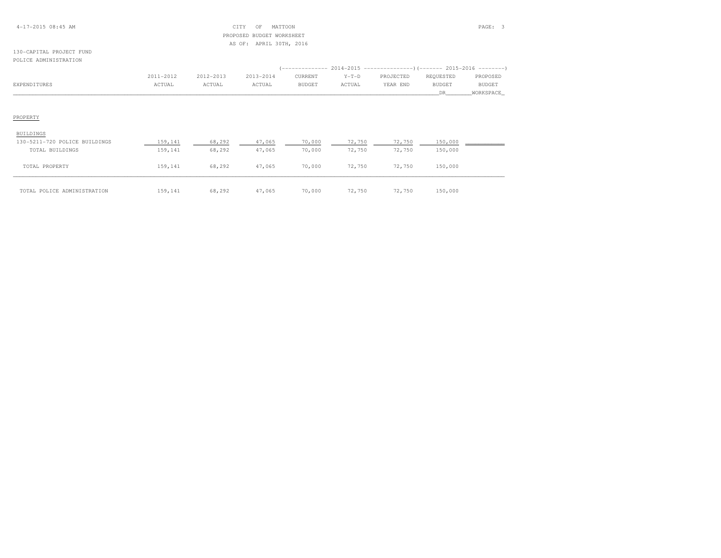#### 4-17-2015 08:45 AM CITY OF MATTOON PAGE: 3 PROPOSED BUDGET WORKSHEETAS OF: APRIL 30TH, 2016

#### 130-CAPITAL PROJECT FUNDPOLICE ADMINISTRATION

|              | 2011-2012 | 2012-2013 | 2013-2014 | CURRENT | $Y-T-D$      | PROJECTED | REOUESTED     | PROPOSED      |
|--------------|-----------|-----------|-----------|---------|--------------|-----------|---------------|---------------|
| EXPENDITURES | ACTUAL    | ACTUAL    | ACTUAL    | BUDGET  | <b>CTUAL</b> | YEAR END  | <b>BUDGET</b> | <b>BUDGET</b> |
|              |           |           |           |         |              |           |               | WORKSPACE     |

| BUILDINGS                     |         |        |        |        |        |        |         |  |
|-------------------------------|---------|--------|--------|--------|--------|--------|---------|--|
| 130-5211-720 POLICE BUILDINGS | 159,141 | 68,292 | 47,065 | 70,000 | 72,750 | 72,750 | 150,000 |  |
| TOTAL BUILDINGS               | 159,141 | 68,292 | 47,065 | 70,000 | 72,750 | 72,750 | 150,000 |  |
| TOTAL PROPERTY                | 159,141 | 68,292 | 47,065 | 70,000 | 72,750 | 72,750 | 150,000 |  |
| TOTAL POLICE ADMINISTRATION   | 159,141 | 68,292 | 47,065 | 70,000 | 72,750 | 72,750 | 150,000 |  |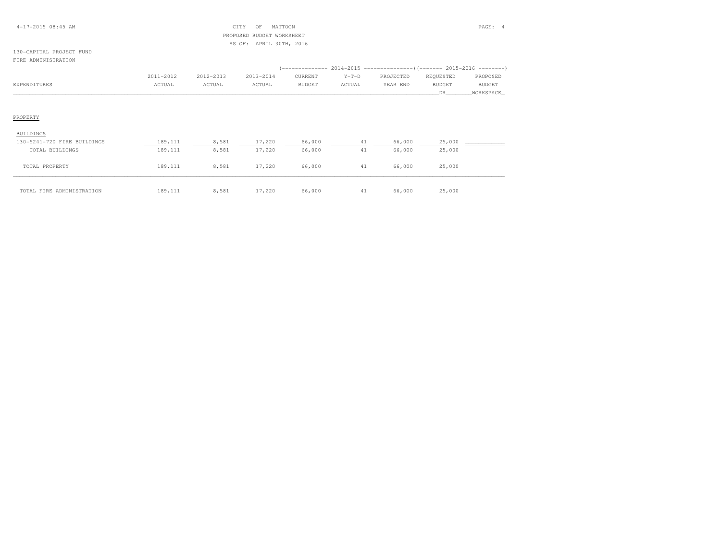#### 4-17-2015 08:45 AM CITY OF MATTOON PAGE: 4 PROPOSED BUDGET WORKSHEETAS OF: APRIL 30TH, 2016

#### 130-CAPITAL PROJECT FUNDFIRE ADMINISTRATION

|              | 2011-2012 | 2012-2013 | 2013-2014 | CURRENT | $Y-T-D$ | PROJECTED | REOUESTED     | PROPOSED      |
|--------------|-----------|-----------|-----------|---------|---------|-----------|---------------|---------------|
| EXPENDITURES | ACTUAL    | ACTUAL    | ACTUAL    | BUDGET  | ACTUAL  | YEAR END  | <b>BUDGET</b> | <b>BUDGET</b> |
|              |           |           |           |         |         |           |               | WORKSPACE     |

| BUILDINGS                   |         |       |        |        |    |        |        |  |
|-----------------------------|---------|-------|--------|--------|----|--------|--------|--|
| 130-5241-720 FIRE BUILDINGS | 189,111 | 8,581 | 17,220 | 66,000 |    | 66,000 | 25,000 |  |
| TOTAL BUILDINGS             | 189,111 | 8,581 | 17,220 | 66,000 | 41 | 66,000 | 25,000 |  |
| TOTAL PROPERTY              | 189,111 | 8,581 | 17,220 | 66,000 | 41 | 66,000 | 25,000 |  |
| TOTAL FIRE ADMINISTRATION   | 189,111 | 8,581 | 17,220 | 66,000 | 41 | 66,000 | 25,000 |  |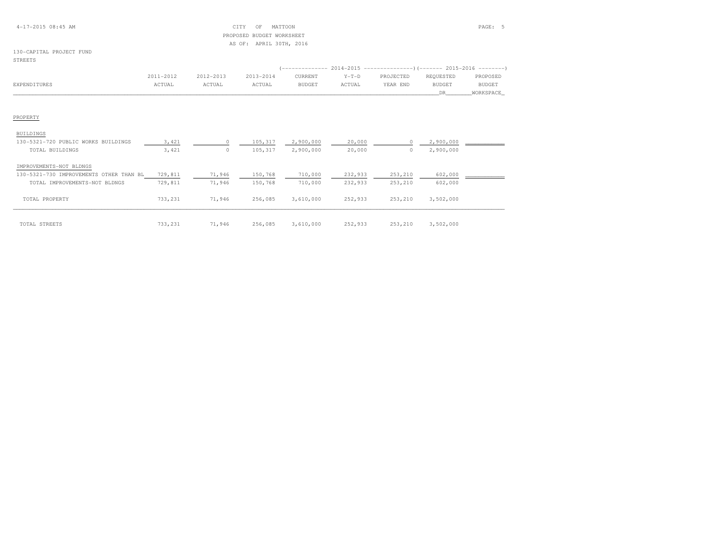#### 4-17-2015 08:45 AM CITY OF MATTOON PAGE: 5 PROPOSED BUDGET WORKSHEETAS OF: APRIL 30TH, 2016

### 130-CAPITAL PROJECT FUND

#### STREETS

| BUILDINGS                               |         |        |         |           |         |          |           |  |
|-----------------------------------------|---------|--------|---------|-----------|---------|----------|-----------|--|
| 130-5321-720 PUBLIC WORKS BUILDINGS     | 3,421   |        | 105,317 | 2,900,000 | 20,000  | $^{(1)}$ | 2,900,000 |  |
| TOTAL BUILDINGS                         | 3,421   |        | 105,317 | 2,900,000 | 20,000  | 0        | 2,900,000 |  |
| IMPROVEMENTS-NOT BLDNGS                 |         |        |         |           |         |          |           |  |
| 130-5321-730 IMPROVEMENTS OTHER THAN BL | 729,811 | 71,946 | 150,768 | 710,000   | 232,933 | 253,210  | 602,000   |  |
| TOTAL IMPROVEMENTS-NOT BLDNGS           | 729,811 | 71,946 | 150,768 | 710,000   | 232,933 | 253,210  | 602,000   |  |
| TOTAL PROPERTY                          | 733,231 | 71,946 | 256,085 | 3,610,000 | 252,933 | 253,210  | 3,502,000 |  |
| TOTAL STREETS                           | 733,231 | 71,946 | 256,085 | 3,610,000 | 252,933 | 253,210  | 3,502,000 |  |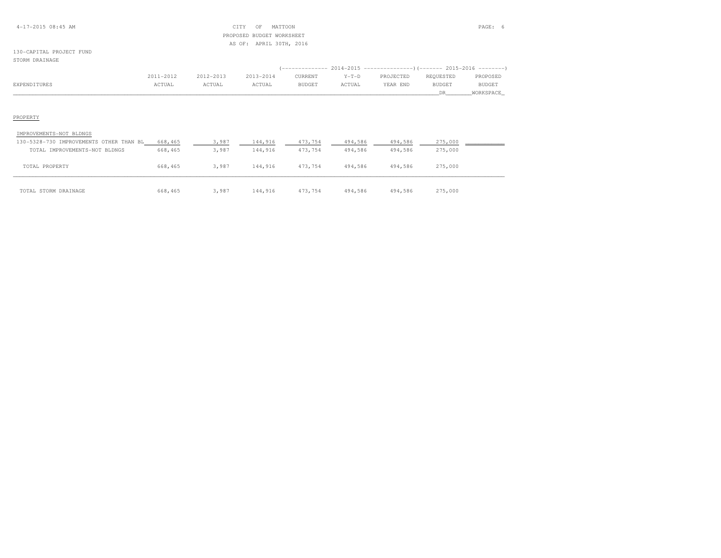#### 4-17-2015 08:45 AM CITY OF MATTOON PAGE: 6 PROPOSED BUDGET WORKSHEETAS OF: APRIL 30TH, 2016

### 130-CAPITAL PROJECT FUND

#### STORM DRAINAGE

|              | 2011-2012 | 2012-2013 | 2013-2014 | CURRENT       | $Y-T-D$ | PROJECTED | REQUESTED | PROPOSED      |
|--------------|-----------|-----------|-----------|---------------|---------|-----------|-----------|---------------|
| EXPENDITURES | ACTUAL    | ACTUAL    | ACTUAL    | <b>BUDGET</b> | ACTUAL  | YEAR END  | BUDGET    | <b>BUDGET</b> |
|              |           |           |           |               |         |           |           | WORKSPACE     |

| IMPROVEMENTS-NOT BLDNGS                 |         |       |         |         |         |         |         |
|-----------------------------------------|---------|-------|---------|---------|---------|---------|---------|
| 130-5328-730 IMPROVEMENTS OTHER THAN BL | 668,465 | 3,987 | 144,916 | 473,754 | 494,586 | 494,586 | 275,000 |
| TOTAL IMPROVEMENTS-NOT BLDNGS           | 668,465 | 3,987 | 144,916 | 473,754 | 494,586 | 494,586 | 275,000 |
| TOTAL PROPERTY                          | 668,465 | 3,987 | 144,916 | 473,754 | 494,586 | 494,586 | 275,000 |
| TOTAL STORM DRAINAGE                    | 668,465 | 3,987 | 144,916 | 473,754 | 494,586 | 494,586 | 275,000 |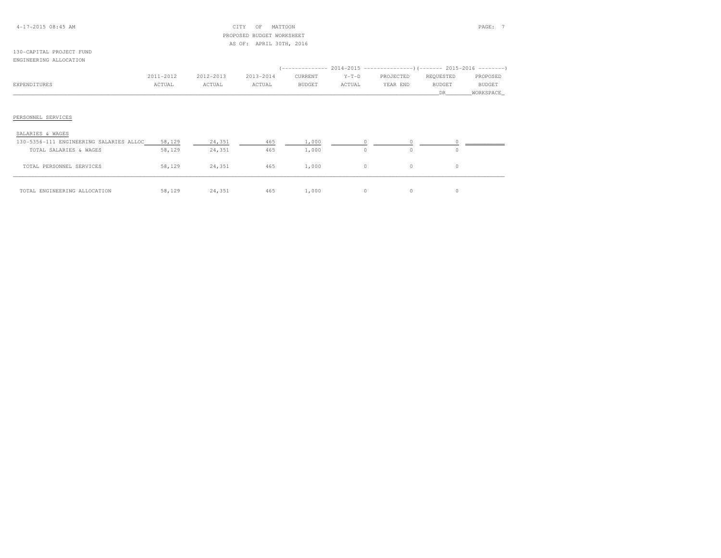#### 4-17-2015 08:45 AM CITY OF MATTOON PAGE: 7 PROPOSED BUDGET WORKSHEETAS OF: APRIL 30TH, 2016

#### 130-CAPITAL PROJECT FUNDENGINEERING ALLOCATION

|              | 2011-2012 | 2012-2013 | 2013-2014 | CURRENT | $Y-T-D$ | PROJECTED | REQUESTED | PROPOSED      |
|--------------|-----------|-----------|-----------|---------|---------|-----------|-----------|---------------|
| EXPENDITURES | ACTUAL    | ACTUAL    | ACTUAL    | BUDGET  | ACTUAL  | YEAR END  | BUDGET    | <b>BUDGET</b> |
|              |           |           |           |         |         |           | DΒ        | WORKSPACE     |
|              |           |           |           |         |         |           |           |               |
|              |           |           |           |         |         |           |           |               |

### PERSONNEL SERVICES

| SALARIES & WAGES                        |        |        |     |       |    |   |    |  |
|-----------------------------------------|--------|--------|-----|-------|----|---|----|--|
| 130-5356-111 ENGINEERING SALARIES ALLOC | 58,129 | 24,351 | 465 | 1,000 |    |   |    |  |
| TOTAL SALARIES & WAGES                  | 58,129 | 24,351 | 465 | 1,000 | 0. |   |    |  |
| TOTAL PERSONNEL SERVICES                | 58,129 | 24,351 | 465 | 1,000 | 0. | 0 | 0. |  |
| TOTAL ENGINEERING ALLOCATION            | 58,129 | 24,351 | 465 | 1,000 | 0. |   |    |  |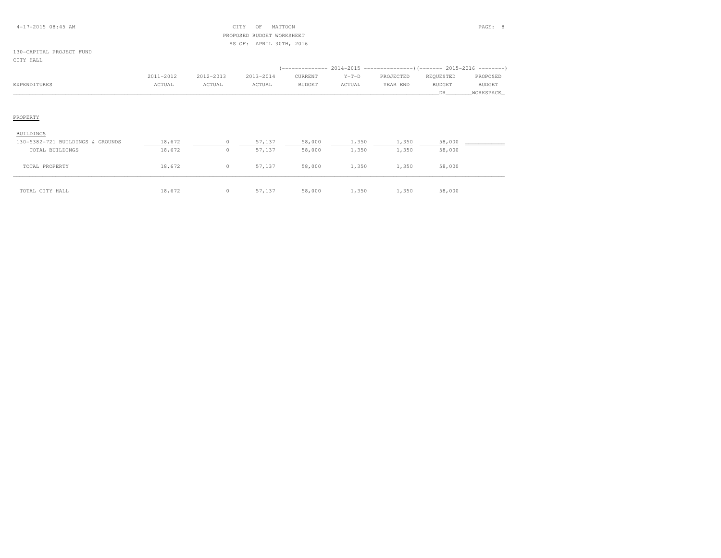#### 4-17-2015 08:45 AM CITY OF MATTOON PAGE: 8 PROPOSED BUDGET WORKSHEETAS OF: APRIL 30TH, 2016

### 130-CAPITAL PROJECT FUND

| IAT. |
|------|
|      |

|              | 2011-2012 | 2012-2013 | 2013-2014 | CURRENT | $Y-T-D$ | PROJECTED | REQUESTED | PROPOSED  |
|--------------|-----------|-----------|-----------|---------|---------|-----------|-----------|-----------|
| EXPENDITURES | ACTUAL    | ACTUAL    | ACTUAL    | BUDGET  | ACTUAL  | YEAR END  | BUDGET    | BUDGET    |
|              |           |           |           |         |         |           | DR        | WORKSPACE |
|              |           |           |           |         |         |           |           |           |

| BUILDINGS                        |        |   |        |        |       |       |        |  |
|----------------------------------|--------|---|--------|--------|-------|-------|--------|--|
| 130-5382-721 BUILDINGS & GROUNDS | 18,672 |   | 57,137 | 58,000 | 1,350 | 1,350 | 58,000 |  |
| TOTAL BUILDINGS                  | 18,672 | 0 | 57,137 | 58,000 | 1,350 | 1,350 | 58,000 |  |
| TOTAL PROPERTY                   | 18,672 | 0 | 57,137 | 58,000 | 1,350 | 1,350 | 58,000 |  |
| TOTAL CITY HALL                  | 18,672 | 0 | 57,137 | 58,000 | 1,350 | 1,350 | 58,000 |  |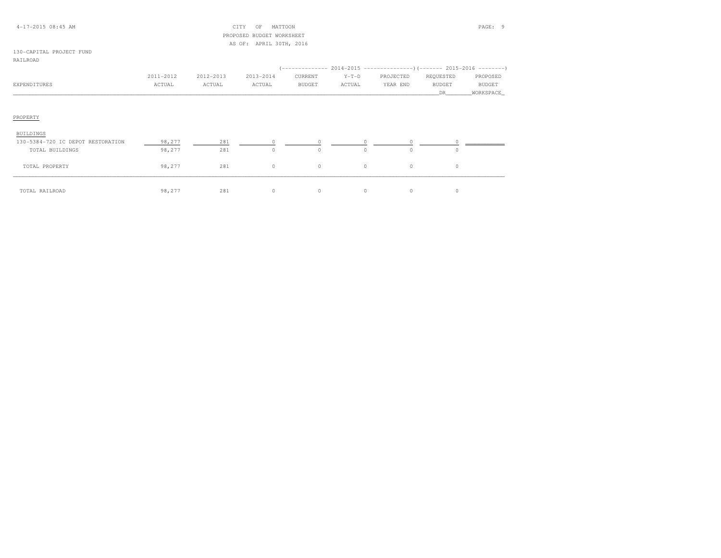#### 4-17-2015 08:45 AM CITY OF MATTOON PAGE: 9 PROPOSED BUDGET WORKSHEETAS OF: APRIL 30TH, 2016

## 130-CAPITAL PROJECT FUND

| RATLROAD |  |
|----------|--|
|          |  |

| ------------- |           |           |           |         |         |           |           |           |
|---------------|-----------|-----------|-----------|---------|---------|-----------|-----------|-----------|
|               | 2011-2012 | 2012-2013 | 2013-2014 | CURRENT | $Y-T-D$ | PROJECTED | REQUESTED | PROPOSED  |
| EXPENDITURES  | ACTUAL    | ACTUAL    | ACTUAL    | BUDGET  | ACTUAL  | YEAR END  | BUDGET    | BUDGET    |
|               |           |           |           |         |         |           | DR        | WORKSPACE |
|               |           |           |           |         |         |           |           |           |
| PROPERTY      |           |           |           |         |         |           |           |           |

| BUILDINGS                         |        |     |          |   |  |  |
|-----------------------------------|--------|-----|----------|---|--|--|
| 130-5384-720 IC DEPOT RESTORATION | 98,277 | 281 |          |   |  |  |
| TOTAL BUILDINGS                   | 98,277 | 281 |          |   |  |  |
| TOTAL PROPERTY                    | 98,277 | 281 | $\Omega$ | 0 |  |  |
| TOTAL RAILROAD                    | 98,277 | 281 | O        |   |  |  |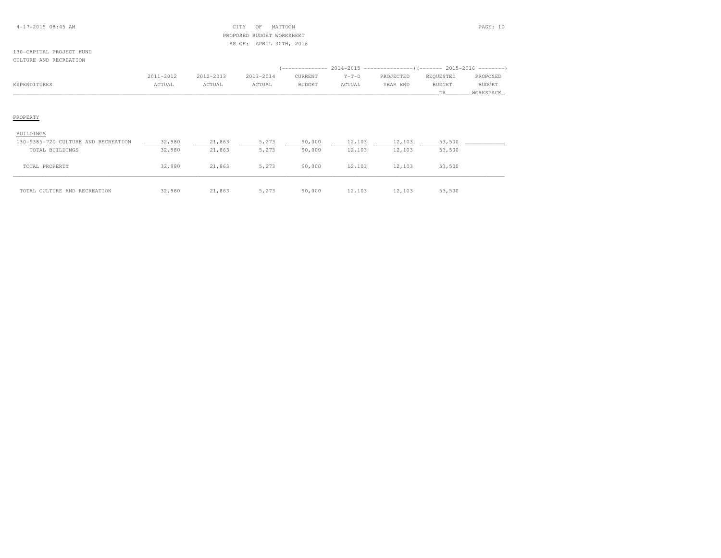#### 4-17-2015 08:45 AM CITY OF MATTOON PAGE: 10 PROPOSED BUDGET WORKSHEETAS OF: APRIL 30TH, 2016

#### 130-CAPITAL PROJECT FUNDCULTURE AND RECREATION

|              | 2011-2012 | 2012-2013 | 2013-2014 | CURRENT       | $Y-T-D$ | PROJECTED | REOUESTED | PROPOSED      |
|--------------|-----------|-----------|-----------|---------------|---------|-----------|-----------|---------------|
| EXPENDITURES | ACTUAL    | ACTUAL    | ACTUAL    | <b>BUDGET</b> | ACTUAL  | YEAR END  | BUDGET    | <b>BUDGET</b> |
|              |           |           |           |               |         |           |           | WORKSPACE     |

| BUILDINGS                           |        |        |       |        |        |        |        |  |
|-------------------------------------|--------|--------|-------|--------|--------|--------|--------|--|
| 130-5385-720 CULTURE AND RECREATION | 32,980 | 21,863 | 5,273 | 90,000 | 12,103 | 12,103 | 53,500 |  |
| TOTAL BUILDINGS                     | 32,980 | 21,863 | 5,273 | 90,000 | 12,103 | 12,103 | 53,500 |  |
| TOTAL PROPERTY                      | 32,980 | 21,863 | 5,273 | 90,000 | 12,103 | 12,103 | 53,500 |  |
| TOTAL CULTURE AND RECREATION        | 32,980 | 21,863 | 5,273 | 90,000 | 12,103 | 12,103 | 53,500 |  |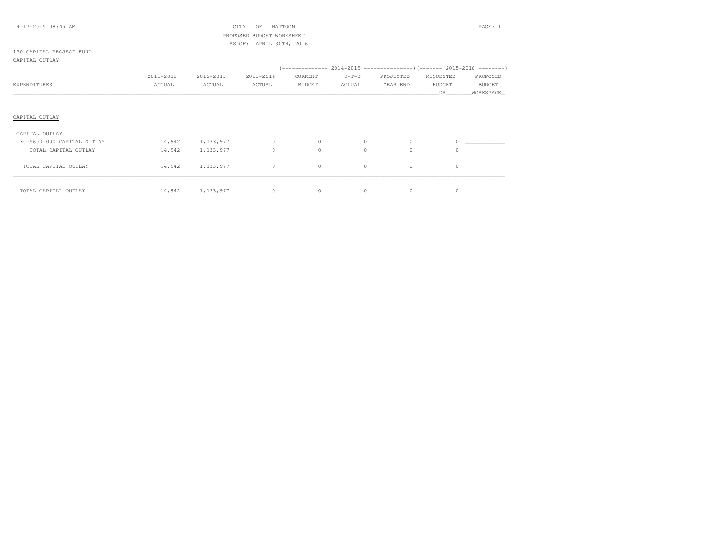#### 4-17-2015 08:45 AM CITY OF MATTOON PAGE: 11 PROPOSED BUDGET WORKSHEETAS OF: APRIL 30TH, 2016

#### 130-CAPITAL PROJECT FUNDCAPITAL OUTLAY

|                             |           |           |           |               |          | (-------------- 2014-2015 --------------------- 2015-2016 ---------- ) |               |               |
|-----------------------------|-----------|-----------|-----------|---------------|----------|------------------------------------------------------------------------|---------------|---------------|
|                             | 2011-2012 | 2012-2013 | 2013-2014 | CURRENT       | $Y-T-D$  | PROJECTED                                                              | REQUESTED     | PROPOSED      |
| EXPENDITURES                | ACTUAL    | ACTUAL    | ACTUAL    | <b>BUDGET</b> | ACTUAL   | YEAR END                                                               | <b>BUDGET</b> | <b>BUDGET</b> |
|                             |           |           |           |               |          |                                                                        | DR.           | WORKSPACE     |
|                             |           |           |           |               |          |                                                                        |               |               |
| CAPITAL OUTLAY              |           |           |           |               |          |                                                                        |               |               |
| CAPITAL OUTLAY              |           |           |           |               |          |                                                                        |               |               |
| 130-5600-000 CAPITAL OUTLAY | 14,942    | 1,133,977 |           |               |          |                                                                        |               |               |
| TOTAL CAPITAL OUTLAY        | 14,942    | 1,133,977 | $\Omega$  | $\circ$       | $\Omega$ | $\circ$                                                                |               |               |

| TOTAL<br>CAPITAL OUTLAY | 14,942 | $\sim$ $ -$<br>$\sim$<br><u> - , - J J J J I I</u> |  |  |  |
|-------------------------|--------|----------------------------------------------------|--|--|--|

TOTAL CAPITAL OUTLAY 14,942 1,133,977 0 0 0 0 0 0 0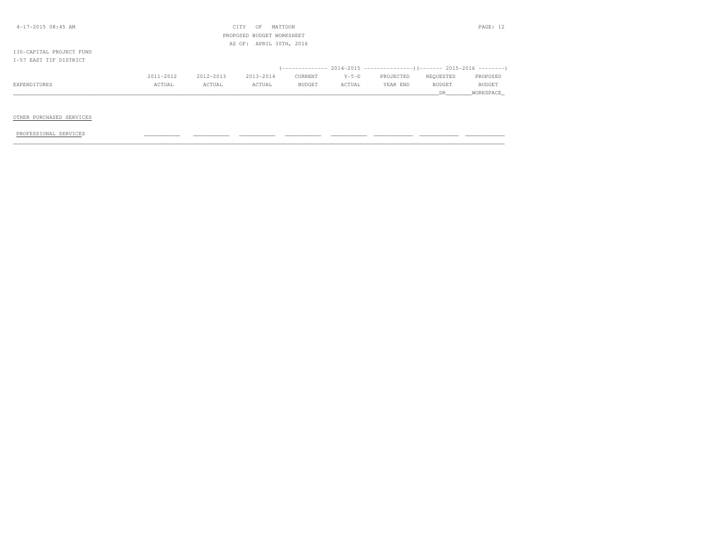| 4-17-2015 08:45 AM       |           |           | CITY<br>OF                | MATTOON |         |           |               | PAGE: 12  |
|--------------------------|-----------|-----------|---------------------------|---------|---------|-----------|---------------|-----------|
|                          |           |           | PROPOSED BUDGET WORKSHEET |         |         |           |               |           |
|                          |           |           | AS OF: APRIL 30TH, 2016   |         |         |           |               |           |
| 130-CAPITAL PROJECT FUND |           |           |                           |         |         |           |               |           |
| T-57 EAST TIF DISTRICT   |           |           |                           |         |         |           |               |           |
|                          |           |           |                           |         |         |           |               |           |
|                          | 2011-2012 | 2012-2013 | 2013-2014                 | CURRENT | $Y-T-D$ | PROJECTED | REQUESTED     | PROPOSED  |
| EXPENDITURES             | ACTUAL    | ACTUAL    | ACTUAL                    | BUDGET  | ACTUAL  | YEAR END  | <b>BUDGET</b> | BUDGET    |
|                          |           |           |                           |         |         |           | DR.           | WORKSPACE |
|                          |           |           |                           |         |         |           |               |           |

#### OTHER PURCHASED SERVICES

PROFESSIONAL SERVICES \_\_\_\_\_\_\_\_\_\_\_ \_\_\_\_\_\_\_\_\_\_\_ \_\_\_\_\_\_\_\_\_\_\_ \_\_\_\_\_\_\_\_\_\_\_ \_\_\_\_\_\_\_\_\_\_\_ \_\_\_\_\_\_\_\_\_\_\_\_ \_\_\_\_\_\_\_\_\_\_\_\_ \_\_\_\_\_\_\_\_\_\_\_\_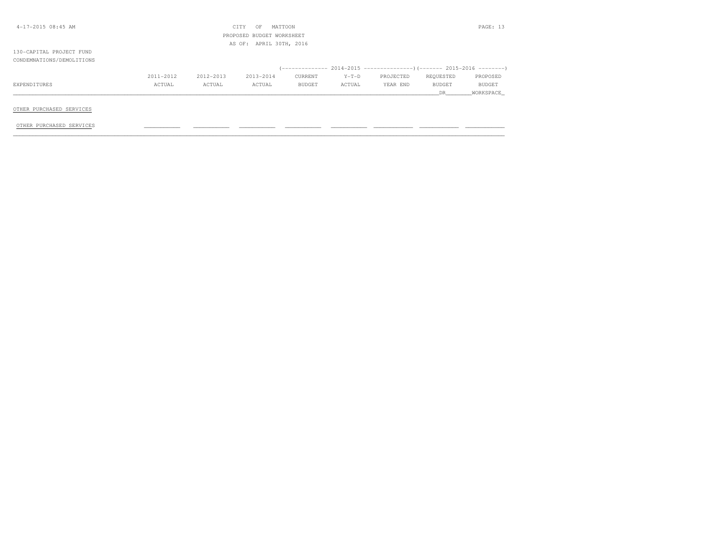| $4-17-2015$ 08:45 AM      |           |           | CITY<br>OF                | MATTOON |         |           |           | PAGE: 13  |
|---------------------------|-----------|-----------|---------------------------|---------|---------|-----------|-----------|-----------|
|                           |           |           | PROPOSED BUDGET WORKSHEET |         |         |           |           |           |
|                           |           |           | AS OF: APRIL 30TH, 2016   |         |         |           |           |           |
| 130-CAPITAL PROJECT FUND  |           |           |                           |         |         |           |           |           |
| CONDEMNATIONS/DEMOLITIONS |           |           |                           |         |         |           |           |           |
|                           |           |           |                           |         |         |           |           |           |
|                           | 2011-2012 | 2012-2013 | 2013-2014                 | CURRENT | $Y-T-D$ | PROJECTED | REOUESTED | PROPOSED  |
| EXPENDITURES              | ACTUAL    | ACTUAL    | ACTUAL                    | BUDGET  | ACTUAL  | YEAR END  | BUDGET    | BUDGET    |
|                           |           |           |                           |         |         |           | DR.       | WORKSPACE |
|                           |           |           |                           |         |         |           |           |           |
| OTHER PURCHASED SERVICES  |           |           |                           |         |         |           |           |           |

OTHER PURCHASED SERVICES \_\_\_\_\_\_\_\_\_\_\_ \_\_\_\_\_\_\_\_\_\_\_ \_\_\_\_\_\_\_\_\_\_\_ \_\_\_\_\_\_\_\_\_\_\_ \_\_\_\_\_\_\_\_\_\_\_ \_\_\_\_\_\_\_\_\_\_\_\_ \_\_\_\_\_\_\_\_\_\_\_\_ \_\_\_\_\_\_\_\_\_\_\_\_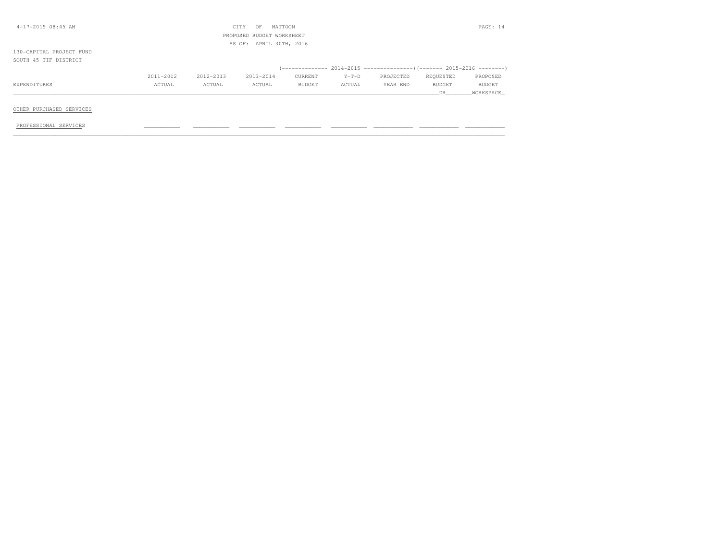| $4-17-2015$ 08:45 AM     |           |           | CITY<br>OF                | MATTOON |         |           |           | PAGE: 14  |
|--------------------------|-----------|-----------|---------------------------|---------|---------|-----------|-----------|-----------|
|                          |           |           | PROPOSED BUDGET WORKSHEET |         |         |           |           |           |
|                          |           |           | AS OF: APRIL 30TH, 2016   |         |         |           |           |           |
| 130-CAPITAL PROJECT FUND |           |           |                           |         |         |           |           |           |
| SOUTH 45 TIF DISTRICT    |           |           |                           |         |         |           |           |           |
|                          |           |           |                           |         |         |           |           |           |
|                          | 2011-2012 | 2012-2013 | 2013-2014                 | CURRENT | $Y-T-D$ | PROJECTED | REQUESTED | PROPOSED  |
| EXPENDITURES             | ACTUAL    | ACTUAL    | ACTUAL                    | BUDGET  | ACTUAL  | YEAR END  | BUDGET    | BUDGET    |
|                          |           |           |                           |         |         |           | DR.       | WORKSPACE |
|                          |           |           |                           |         |         |           |           |           |
| OTHER PURCHASED SERVICES |           |           |                           |         |         |           |           |           |

PROFESSIONAL SERVICES \_\_\_\_\_\_\_\_\_\_\_ \_\_\_\_\_\_\_\_\_\_\_ \_\_\_\_\_\_\_\_\_\_\_ \_\_\_\_\_\_\_\_\_\_\_ \_\_\_\_\_\_\_\_\_\_\_ \_\_\_\_\_\_\_\_\_\_\_\_ \_\_\_\_\_\_\_\_\_\_\_\_ \_\_\_\_\_\_\_\_\_\_\_\_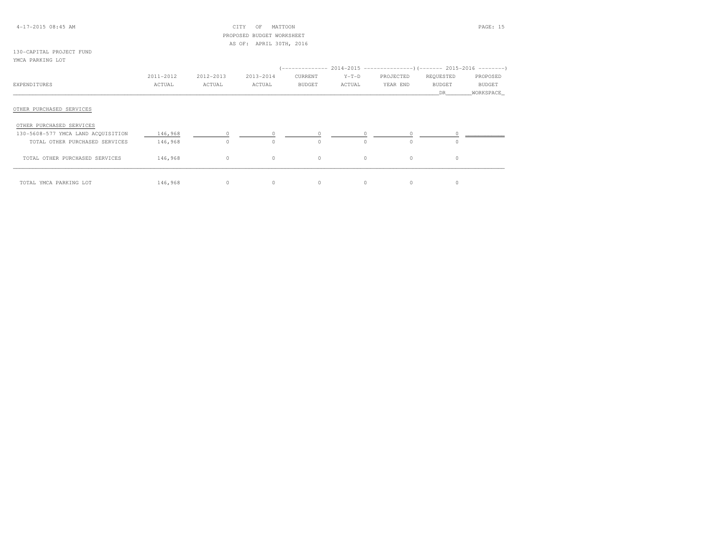| $4-17-2015$ 08:45 AM |  |  |
|----------------------|--|--|
|----------------------|--|--|

#### $CITY$  OF MATTOON PAGE: 15 PROPOSED BUDGET WORKSHEETAS OF: APRIL 30TH, 2016

#### 130-CAPITAL PROJECT FUNDYMCA PARKING LOT

|                                    |           |           |           |          |          | (-------------- 2014-2015 --------------------- 2015-2016 --------- ) |               |               |
|------------------------------------|-----------|-----------|-----------|----------|----------|-----------------------------------------------------------------------|---------------|---------------|
|                                    | 2011-2012 | 2012-2013 | 2013-2014 | CURRENT  | $Y-T-D$  | PROJECTED                                                             | REQUESTED     | PROPOSED      |
| EXPENDITURES                       | ACTUAL    | ACTUAL    | ACTUAL    | BUDGET   | ACTUAL   | YEAR END                                                              | <b>BUDGET</b> | <b>BUDGET</b> |
|                                    |           |           |           |          |          |                                                                       | DR            | WORKSPACE     |
| OTHER PURCHASED SERVICES           |           |           |           |          |          |                                                                       |               |               |
| OTHER PURCHASED SERVICES           |           |           |           |          |          |                                                                       |               |               |
| 130-5608-577 YMCA LAND ACQUISITION | 146,968   | $\Omega$  |           | $\Omega$ | $\Omega$ | $\circ$                                                               |               |               |
| TOTAL OTHER PURCHASED SERVICES     | 146,968   | $\circ$   | $\Omega$  | $\Omega$ | $\Omega$ | $\Omega$                                                              | 0             |               |
| TOTAL OTHER PURCHASED SERVICES     | 146,968   | $\circ$   | $\circ$   | $\circ$  | $\circ$  | $\circ$                                                               | $\circ$       |               |
| TOTAL YMCA PARKING LOT             | 146,968   | $\circ$   | $\circ$   | $\circ$  |          | $\circ$                                                               |               |               |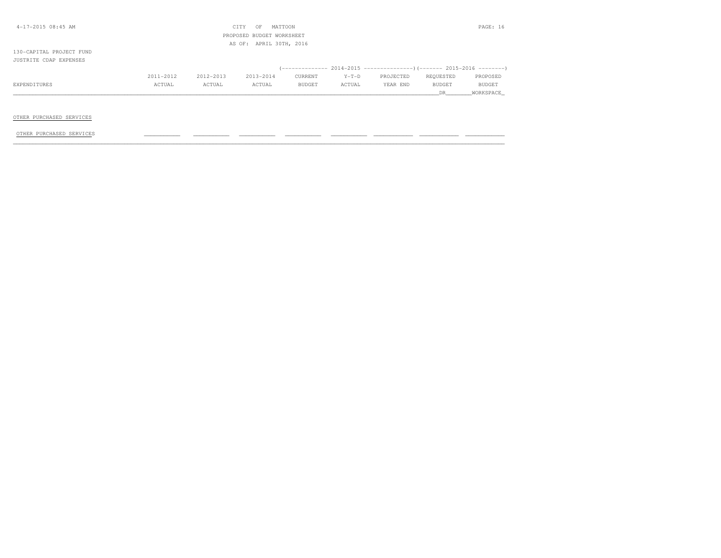| 4-17-2015 08:45 AM       |           |           | CITY<br>OF                | MATTOON |         |                                                                               |               | PAGE: 16  |
|--------------------------|-----------|-----------|---------------------------|---------|---------|-------------------------------------------------------------------------------|---------------|-----------|
|                          |           |           | PROPOSED BUDGET WORKSHEET |         |         |                                                                               |               |           |
|                          |           |           | AS OF: APRIL 30TH, 2016   |         |         |                                                                               |               |           |
| 130-CAPITAL PROJECT FUND |           |           |                           |         |         |                                                                               |               |           |
| JUSTRITE CDAP EXPENSES   |           |           |                           |         |         |                                                                               |               |           |
|                          |           |           |                           |         |         | $($ -------------- 2014-2015 -----------------) (------- 2015-2016 ---------) |               |           |
|                          | 2011-2012 | 2012-2013 | 2013-2014                 | CURRENT | $Y-T-D$ | PROJECTED                                                                     | REQUESTED     | PROPOSED  |
| EXPENDITURES             | ACTUAL    | ACTUAL    | ACTUAL                    | BUDGET  | ACTUAL  | YEAR END                                                                      | <b>BUDGET</b> | BUDGET    |
|                          |           |           |                           |         |         |                                                                               | DR.           | WORKSPACE |
|                          |           |           |                           |         |         |                                                                               |               |           |

#### OTHER PURCHASED SERVICES

OTHER PURCHASED SERVICES \_\_\_\_\_\_\_\_\_\_\_ \_\_\_\_\_\_\_\_\_\_\_ \_\_\_\_\_\_\_\_\_\_\_ \_\_\_\_\_\_\_\_\_\_\_ \_\_\_\_\_\_\_\_\_\_\_ \_\_\_\_\_\_\_\_\_\_\_\_ \_\_\_\_\_\_\_\_\_\_\_\_ \_\_\_\_\_\_\_\_\_\_\_\_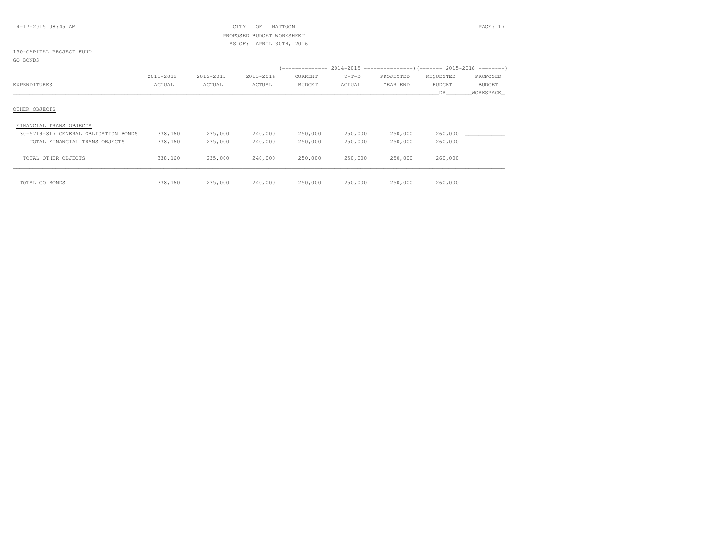#### 4-17-2015 08:45 AM CITY OF MATTOON PAGE: 17 PROPOSED BUDGET WORKSHEETAS OF: APRIL 30TH, 2016

### 130-CAPITAL PROJECT FUND

GO BONDS

|                                       |           |           |           | -------------- |         |           |               |               |
|---------------------------------------|-----------|-----------|-----------|----------------|---------|-----------|---------------|---------------|
|                                       | 2011-2012 | 2012-2013 | 2013-2014 | CURRENT        | $Y-T-D$ | PROJECTED | REQUESTED     | PROPOSED      |
| EXPENDITURES                          | ACTUAL    | ACTUAL    | ACTUAL    | <b>BUDGET</b>  | ACTUAL  | YEAR END  | <b>BUDGET</b> | <b>BUDGET</b> |
|                                       |           |           |           |                |         |           | DR.           | WORKSPACE     |
| OTHER OBJECTS                         |           |           |           |                |         |           |               |               |
| FINANCIAL TRANS OBJECTS               |           |           |           |                |         |           |               |               |
| 130-5719-817 GENERAL OBLIGATION BONDS | 338,160   | 235,000   | 240,000   | 250,000        | 250,000 | 250,000   | 260,000       |               |
| TOTAL FINANCIAL TRANS OBJECTS         | 338,160   | 235,000   | 240,000   | 250,000        | 250,000 | 250,000   | 260,000       |               |
| TOTAL OTHER OBJECTS                   | 338,160   | 235,000   | 240,000   | 250,000        | 250,000 | 250,000   | 260,000       |               |
| TOTAL GO BONDS                        | 338,160   | 235,000   | 240,000   | 250,000        | 250,000 | 250,000   | 260,000       |               |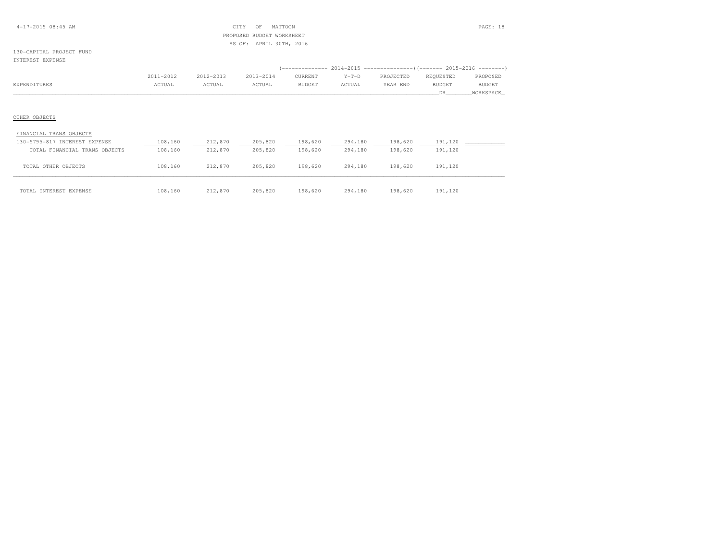#### 4-17-2015 08:45 AM CITY OF MATTOON PAGE: 18 PROPOSED BUDGET WORKSHEETAS OF: APRIL 30TH, 2016

#### 130-CAPITAL PROJECT FUNDINTEREST EXPENSE

|              | 2011-2012 | 2012-2013 | 2013-2014 | CURRENT | $Y-T-D$       | PROJECTED | REOUESTED | PROPOSED   |
|--------------|-----------|-----------|-----------|---------|---------------|-----------|-----------|------------|
| EXPENDITURES | ACTUAL    | ACTUAL    | ACTUAL    | BUDGET  | <b>NCTUAL</b> | YEAR END  | BUDGE1    | BUDGE7     |
|              |           |           |           |         |               |           |           | WORKSPACE_ |

### OTHER OBJECTS

| FINANCIAL TRANS OBJECTS       |         |         |         |         |         |         |         |  |
|-------------------------------|---------|---------|---------|---------|---------|---------|---------|--|
| 130-5795-817 INTEREST EXPENSE | 108,160 | 212,870 | 205,820 | 198,620 | 294,180 | 198,620 | 191,120 |  |
| TOTAL FINANCIAL TRANS OBJECTS | 108,160 | 212,870 | 205,820 | 198,620 | 294,180 | 198,620 | 191,120 |  |
| TOTAL OTHER OBJECTS           | 108,160 | 212,870 | 205,820 | 198,620 | 294,180 | 198,620 | 191,120 |  |
| TOTAL INTEREST EXPENSE        | 108,160 | 212,870 | 205,820 | 198,620 | 294,180 | 198,620 | 191,120 |  |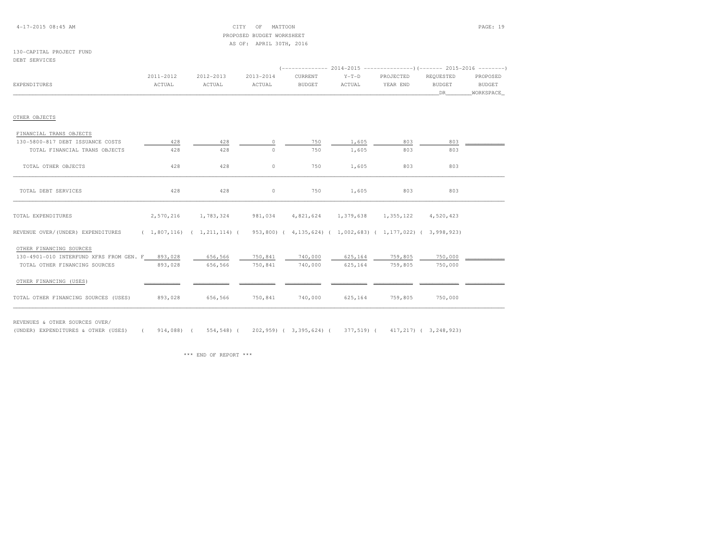#### 4-17-2015 08:45 AM CITY OF MATTOON PAGE: 19 PROPOSED BUDGET WORKSHEETAS OF: APRIL 30TH, 2016

### 130-CAPITAL PROJECT FUND

| DEBT SERVICES |
|---------------|
|---------------|

|                                                                                                                     |           |           |           |                               |         |           | (------------- 2014-2015 ----------------) (------- 2015-2016 --------) |           |
|---------------------------------------------------------------------------------------------------------------------|-----------|-----------|-----------|-------------------------------|---------|-----------|-------------------------------------------------------------------------|-----------|
|                                                                                                                     | 2011-2012 | 2012-2013 | 2013-2014 | CURRENT                       | $Y-T-D$ | PROJECTED | REOUESTED                                                               | PROPOSED  |
| EXPENDITURES                                                                                                        | ACTUAL    | ACTUAL    | ACTUAL    | <b>BUDGET</b>                 | ACTUAL  | YEAR END  | <b>BUDGET</b>                                                           | BUDGET    |
|                                                                                                                     |           |           |           |                               |         |           | DR                                                                      | WORKSPACE |
| OTHER OBJECTS                                                                                                       |           |           |           |                               |         |           |                                                                         |           |
| FINANCIAL TRANS OBJECTS                                                                                             |           |           |           |                               |         |           |                                                                         |           |
| 130-5800-817 DEBT ISSUANCE COSTS                                                                                    | 428       | 428       | $\Omega$  | 750                           | 1,605   | 803       | 803                                                                     |           |
| TOTAL FINANCIAL TRANS OBJECTS                                                                                       | 428       | 428       | $\Omega$  | 750                           | 1,605   | 803       | 803                                                                     |           |
| TOTAL OTHER OBJECTS                                                                                                 | 428       | 428       | $\circ$   | 750                           | 1,605   | 803       | 803                                                                     |           |
| TOTAL DEBT SERVICES                                                                                                 | 428       | 428       | $\circ$   | 750                           | 1,605   | 803       | 803                                                                     |           |
| TOTAL EXPENDITURES                                                                                                  | 2,570,216 | 1,783,324 | 981,034   | 4,821,624 1,379,638 1,355,122 |         |           | 4,520,423                                                               |           |
| REVENUE OVER/(UNDER) EXPENDITURES (1,807,116) (1,211,114) (953,800) (4,135,624) (1,002,683) (1,177,022) (3,998,923) |           |           |           |                               |         |           |                                                                         |           |
| OTHER FINANCING SOURCES                                                                                             |           |           |           |                               |         |           |                                                                         |           |
| 130-4901-010 INTERFUND XFRS FROM GEN. F 893,028                                                                     |           | 656,566   | 750,841   | 740,000                       | 625,164 | 759,805   | 750,000                                                                 |           |
| TOTAL OTHER FINANCING SOURCES                                                                                       | 893,028   | 656,566   | 750,841   | 740,000                       | 625,164 | 759,805   | 750,000                                                                 |           |
| OTHER FINANCING (USES)                                                                                              |           |           |           |                               |         |           |                                                                         |           |
| TOTAL OTHER FINANCING SOURCES (USES)                                                                                | 893,028   | 656,566   | 750,841   | 740,000                       | 625,164 | 759,805   | 750,000                                                                 |           |

REVENUES & OTHER SOURCES OVER/

(UNDER) EXPENDITURES & OTHER (USES) ( 914,088) ( 554,548) ( 202,959) ( 3,395,624) ( 377,519) ( 417,217) ( 3,248,923)

\*\*\* END OF REPORT \*\*\*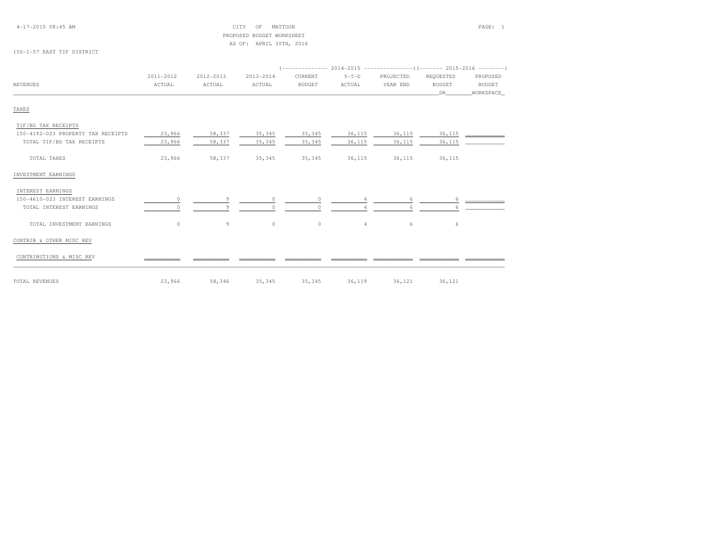### PROPOSED BUDGET WORKSHEETAS OF: APRIL 30TH, 2016

#### 150-I-57 EAST TIF DISTRICT

|                                    | 2011-2012 | 2012-2013 | 2013-2014 | CURRENT       | $Y-T-D$         | PROJECTED | REQUESTED     | PROPOSED      |  |  |
|------------------------------------|-----------|-----------|-----------|---------------|-----------------|-----------|---------------|---------------|--|--|
| <b>REVENUES</b>                    | ACTUAL    | ACTUAL    | ACTUAL    | <b>BUDGET</b> | ACTUAL          | YEAR END  | <b>BUDGET</b> | <b>BUDGET</b> |  |  |
|                                    |           |           |           |               |                 |           | DR            | WORKSPACE_    |  |  |
| TAXES                              |           |           |           |               |                 |           |               |               |  |  |
| TIF/BD TAX RECEIPTS                |           |           |           |               |                 |           |               |               |  |  |
| 150-4192-023 PROPERTY TAX RECEIPTS | 23,966    | 58,337    | 35, 345   | 35,345        | 36,115          | 36,115    | 36,115        |               |  |  |
| TOTAL TIF/BD TAX RECEIPTS          | 23,966    | 58,337    | 35,345    | 35,345        | 36,115          | 36,115    | 36,115        |               |  |  |
| TOTAL TAXES                        | 23,966    | 58,337    | 35,345    | 35,345        | 36,115          | 36,115    | 36,115        |               |  |  |
| INVESTMENT EARNINGS                |           |           |           |               |                 |           |               |               |  |  |
| INTEREST EARNINGS                  |           |           |           |               |                 |           |               |               |  |  |
| 150-4610-023 INTEREST EARNINGS     | $\Omega$  | 9         |           | $\cap$        |                 | 6.        | 6             |               |  |  |
| TOTAL INTEREST EARNINGS            |           | 9         |           |               |                 |           |               |               |  |  |
| TOTAL INVESTMENT EARNINGS          | $\circ$   | 9         | $\circ$   | $\circ$       | $4\overline{ }$ | 6         | 6             |               |  |  |
| CONTRIB & OTHER MISC REV           |           |           |           |               |                 |           |               |               |  |  |
| CONTRIBUTIONS & MISC REV           |           |           |           |               |                 |           |               |               |  |  |
| TOTAL REVENUES                     | 23,966    | 58,346    | 35,345    | 35,345        | 36,119          | 36,121    | 36,121        |               |  |  |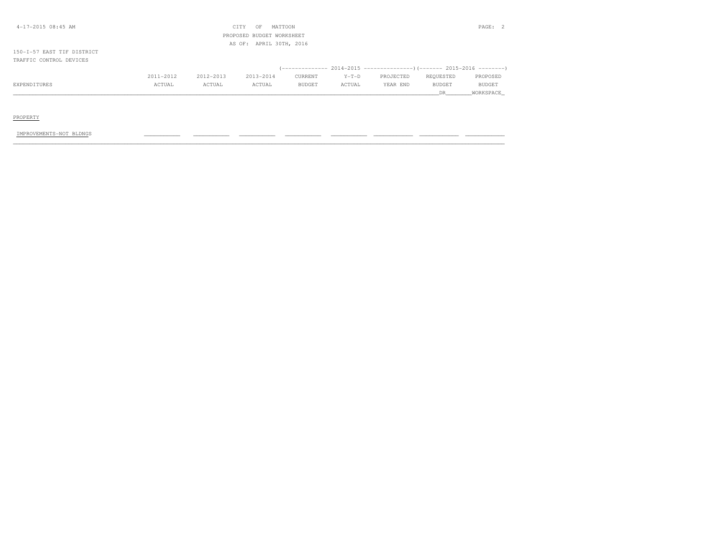| $4-17-2015$ 08:45 AM       |           |           | CITY<br>OF                | MATTOON |         |           |           | PAGE:     |
|----------------------------|-----------|-----------|---------------------------|---------|---------|-----------|-----------|-----------|
|                            |           |           | PROPOSED BUDGET WORKSHEET |         |         |           |           |           |
|                            |           |           | AS OF: APRIL 30TH, 2016   |         |         |           |           |           |
| 150-I-57 EAST TIF DISTRICT |           |           |                           |         |         |           |           |           |
| TRAFFIC CONTROL DEVICES    |           |           |                           |         |         |           |           |           |
|                            |           |           |                           |         |         |           |           |           |
|                            | 2011-2012 | 2012-2013 | 2013-2014                 | CURRENT | $Y-T-D$ | PROJECTED | REQUESTED | PROPOSED  |
| EXPENDITURES               | ACTUAL    | ACTUAL    | ACTUAL                    | BUDGET  | ACTUAL  | YEAR END  | BUDGET    | BUDGET    |
|                            |           |           |                           |         |         |           | DR        | WORKSPACE |
|                            |           |           |                           |         |         |           |           |           |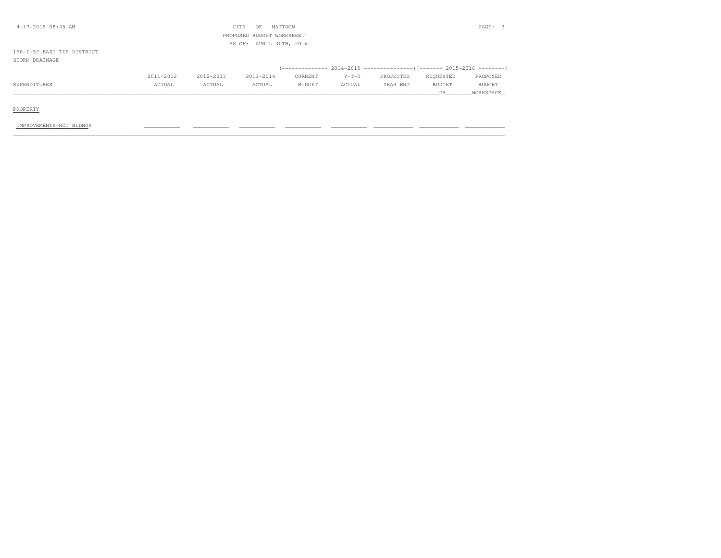| $4 - 17 - 2015$ 08:45 AM   |           |           | CITY<br>OF                | MATTOON |         |           |           | PAGE: 3   |
|----------------------------|-----------|-----------|---------------------------|---------|---------|-----------|-----------|-----------|
|                            |           |           | PROPOSED BUDGET WORKSHEET |         |         |           |           |           |
|                            |           |           | AS OF: APRIL 30TH, 2016   |         |         |           |           |           |
| 150-1-57 EAST TIF DISTRICT |           |           |                           |         |         |           |           |           |
| STORM DRAINAGE             |           |           |                           |         |         |           |           |           |
|                            |           |           |                           |         |         |           |           |           |
|                            | 2011-2012 | 2012-2013 | 2013-2014                 | CURRENT | $Y-T-D$ | PROJECTED | REQUESTED | PROPOSED  |
| EXPENDITURES               | ACTUAL    | ACTUAL    | ACTUAL                    | BUDGET  | ACTUAL  | YEAR END  | BUDGET    | BUDGET    |
|                            |           |           |                           |         |         |           | DR        | WORKSPACE |
|                            |           |           |                           |         |         |           |           |           |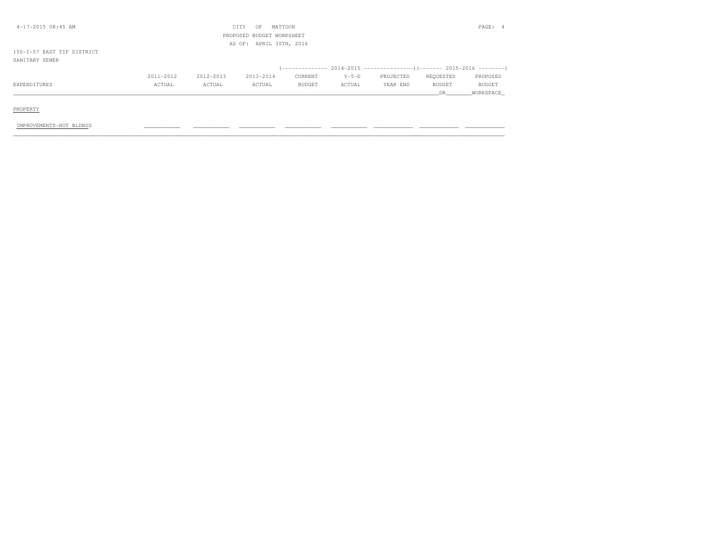| $4-17-2015$ 08:45 AM       |           |           | CITY<br>OF                | MATTOON |         |           |           | PAGE:<br>-4   |
|----------------------------|-----------|-----------|---------------------------|---------|---------|-----------|-----------|---------------|
|                            |           |           | PROPOSED BUDGET WORKSHEET |         |         |           |           |               |
|                            |           |           | AS OF: APRIL 30TH, 2016   |         |         |           |           |               |
| 150-I-57 EAST TIF DISTRICT |           |           |                           |         |         |           |           |               |
| SANITARY SEWER             |           |           |                           |         |         |           |           |               |
|                            |           |           |                           |         |         |           |           |               |
|                            | 2011-2012 | 2012-2013 | 2013-2014                 | CURRENT | $Y-T-D$ | PROJECTED | REQUESTED | PROPOSED      |
| EXPENDITURES               | ACTUAL    | ACTUAL    | ACTUAL                    | BUDGET  | ACTUAL  | YEAR END  | BUDGET    | <b>BUDGET</b> |
|                            |           |           |                           |         |         |           | DR.       | WORKSPACE     |
|                            |           |           |                           |         |         |           |           |               |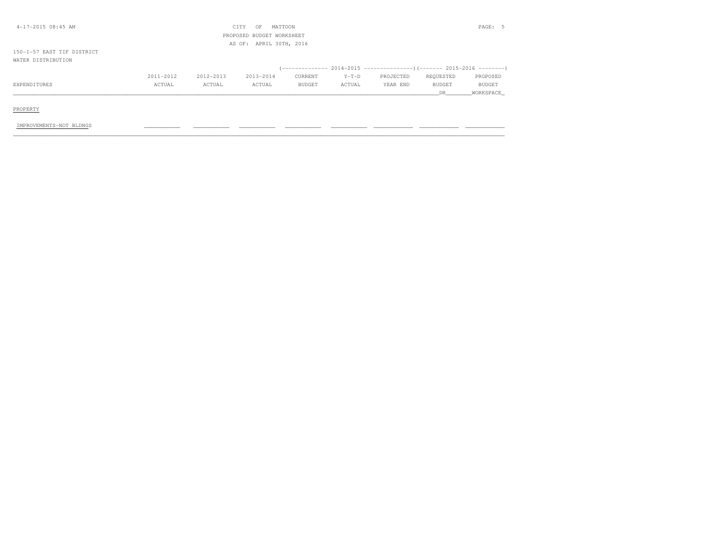| $4-17-2015$ 08:45 AM       |           |           | CITY<br>OF                | MATTOON       |         |           |               | PAGE: 5       |
|----------------------------|-----------|-----------|---------------------------|---------------|---------|-----------|---------------|---------------|
|                            |           |           | PROPOSED BUDGET WORKSHEET |               |         |           |               |               |
|                            |           |           | AS OF: APRIL 30TH, 2016   |               |         |           |               |               |
| 150-I-57 EAST TIF DISTRICT |           |           |                           |               |         |           |               |               |
| WATER DISTRIBUTION         |           |           |                           |               |         |           |               |               |
|                            |           |           |                           |               |         |           |               |               |
|                            | 2011-2012 | 2012-2013 | 2013-2014                 | CURRENT       | $Y-T-D$ | PROJECTED | REQUESTED     | PROPOSED      |
| EXPENDITURES               | ACTUAL    | ACTUAL    | ACTUAL                    | <b>BUDGET</b> | ACTUAL  | YEAR END  | <b>BUDGET</b> | <b>BUDGET</b> |
|                            |           |           |                           |               |         |           | DR            | WORKSPACE     |
|                            |           |           |                           |               |         |           |               |               |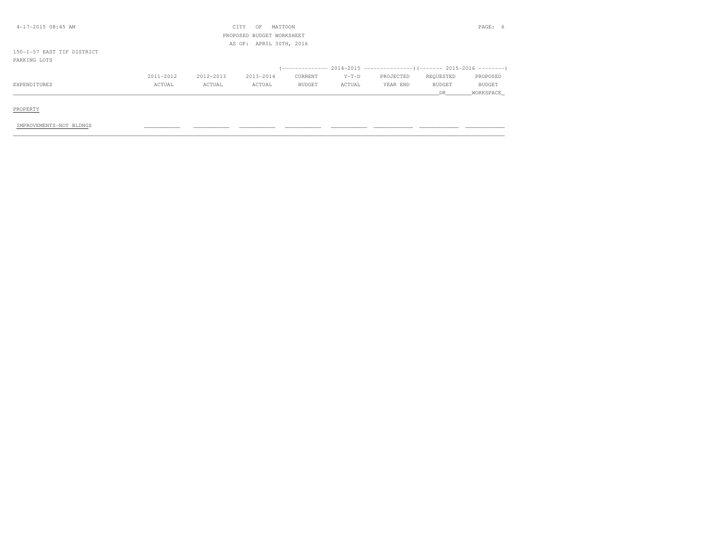| $4-17-2015$ 08:45 AM       |           |               | CITY<br>OF                | MATTOON |         |           |           | PAGE:     |
|----------------------------|-----------|---------------|---------------------------|---------|---------|-----------|-----------|-----------|
|                            |           |               | PROPOSED BUDGET WORKSHEET |         |         |           |           |           |
|                            |           |               | AS OF: APRIL 30TH, 2016   |         |         |           |           |           |
| 150-I-57 EAST TIF DISTRICT |           |               |                           |         |         |           |           |           |
| PARKING LOTS               |           |               |                           |         |         |           |           |           |
|                            |           |               |                           |         |         |           |           |           |
|                            | 2011-2012 | $2012 - 2013$ | 2013-2014                 | CURRENT | $Y-T-D$ | PROJECTED | REQUESTED | PROPOSED  |
| EXPENDITURES               | ACTUAL    | ACTUAL        | ACTUAL                    | BUDGET  | ACTUAL  | YEAR END  | BUDGET    | BUDGET    |
|                            |           |               |                           |         |         |           | DR.       | WORKSPACE |
|                            |           |               |                           |         |         |           |           |           |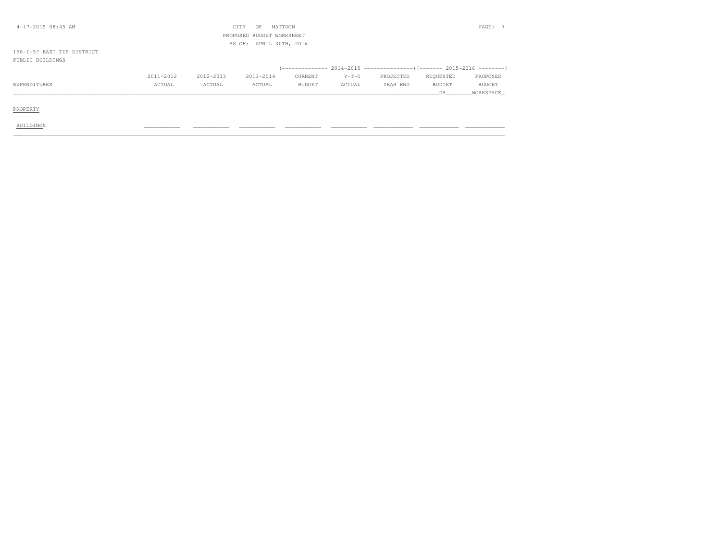| $4-17-2015$ 08:45 AM       |           |           | CITY<br>OF                | MATTOON                                                              |         |           |               | PAGE: 7       |
|----------------------------|-----------|-----------|---------------------------|----------------------------------------------------------------------|---------|-----------|---------------|---------------|
|                            |           |           | PROPOSED BUDGET WORKSHEET |                                                                      |         |           |               |               |
|                            |           |           | AS OF: APRIL 30TH, 2016   |                                                                      |         |           |               |               |
| 150-I-57 EAST TIF DISTRICT |           |           |                           |                                                                      |         |           |               |               |
| PUBLIC BUILDINGS           |           |           |                           |                                                                      |         |           |               |               |
|                            |           |           |                           | (-------------- 2014-2015 -------------------- 2015-2016 --------- ) |         |           |               |               |
|                            | 2011-2012 | 2012-2013 | 2013-2014                 | CURRENT                                                              | $Y-T-D$ | PROJECTED | REQUESTED     | PROPOSED      |
| EXPENDITURES               | ACTUAL    | ACTUAL    | ACTUAL                    | BUDGET                                                               | ACTUAL  | YEAR END  | <b>BUDGET</b> | <b>BUDGET</b> |
|                            |           |           |                           |                                                                      |         |           | DR            | WORKSPACE     |
|                            |           |           |                           |                                                                      |         |           |               |               |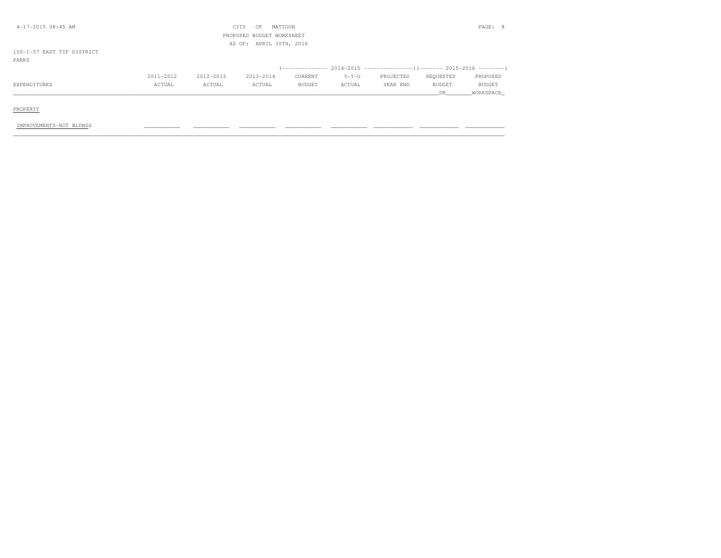| $4-17-2015$ 08:45 AM       |           |           | CITY<br>OF                | MATTOON                 |         |           |           | PAGE: 8   |
|----------------------------|-----------|-----------|---------------------------|-------------------------|---------|-----------|-----------|-----------|
|                            |           |           | PROPOSED BUDGET WORKSHEET |                         |         |           |           |           |
|                            |           |           |                           | AS OF: APRIL 30TH, 2016 |         |           |           |           |
| 150-I-57 EAST TIF DISTRICT |           |           |                           |                         |         |           |           |           |
| PARKS                      |           |           |                           |                         |         |           |           |           |
|                            |           |           |                           |                         |         |           |           |           |
|                            | 2011-2012 | 2012-2013 | 2013-2014                 | CURRENT                 | $Y-T-D$ | PROJECTED | REQUESTED | PROPOSED  |
| EXPENDITURES               | ACTUAL    | ACTUAL    | ACTUAL                    | BUDGET                  | ACTUAL  | YEAR END  | BUDGET    | BUDGET    |
|                            |           |           |                           |                         |         |           | DR.       | WORKSPACE |
|                            |           |           |                           |                         |         |           |           |           |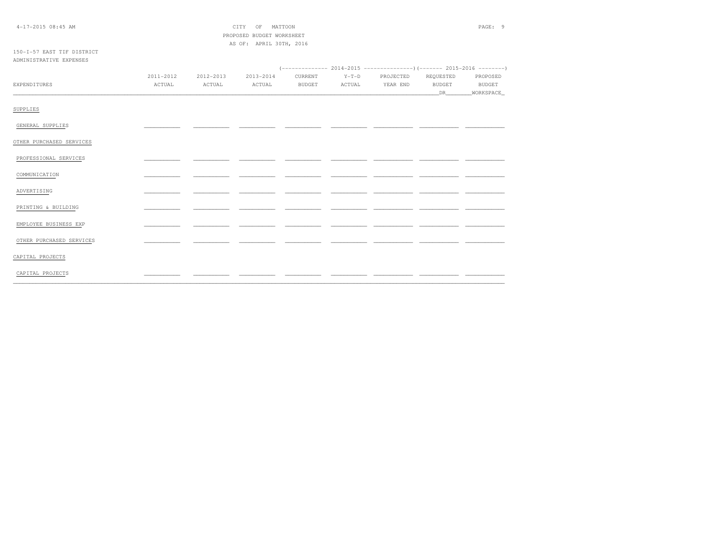|  |  | $4-17-2015$ 08:45 AM |  |
|--|--|----------------------|--|
|--|--|----------------------|--|

 $\begin{tabular}{ll} \multicolumn{2}{c}{\textbf{CITY}}\\ \multicolumn{2}{c}{\textbf{CITY}}\\ \multicolumn{2}{c}{\textbf{CITY}}\\ \multicolumn{2}{c}{\textbf{OF}}\\ \multicolumn{2}{c}{\textbf{MATTOON}}\\ \multicolumn{2}{c}{\textbf{NATTOON}}\\ \multicolumn{2}{c}{\textbf{SUTY}}\\ \multicolumn{2}{c}{\textbf{OFT}}\\ \multicolumn{2}{c}{\textbf{SUTY}}\\ \multicolumn{2}{c}{\textbf{OFT}}\\ \multicolumn{2}{c}{\textbf{SUTY}}\\ \multicolumn{2}{c}{\textbf{OFT}}\\ \$ PROPOSED BUDGET WORKSHEET AS OF: APRIL 30TH, 2016

#### 150-I-57 EAST TIF DISTRICT ADMINISTRATIVE EXPENSES

|                          | 2011-2012 | 2012-2013 | 2013-2014 |               | CURRENT Y-T-D PROJECTED REQUESTED |               | PROPOSED      |  |
|--------------------------|-----------|-----------|-----------|---------------|-----------------------------------|---------------|---------------|--|
| EXPENDITURES             | ACTUAL    | ACTUAL    | ACTUAL    | <b>BUDGET</b> | ACTUAL YEAR END                   | <b>BUDGET</b> | <b>BUDGET</b> |  |
|                          |           |           |           |               |                                   |               |               |  |
| SUPPLIES                 |           |           |           |               |                                   |               |               |  |
| GENERAL SUPPLIES         |           |           |           |               |                                   |               |               |  |
| OTHER PURCHASED SERVICES |           |           |           |               |                                   |               |               |  |
| PROFESSIONAL SERVICES    |           |           |           |               |                                   |               |               |  |
| COMMUNICATION            |           |           |           |               |                                   |               |               |  |
| ADVERTISING              |           |           |           |               |                                   |               |               |  |
| PRINTING & BUILDING      |           |           |           |               |                                   |               |               |  |
| EMPLOYEE BUSINESS EXP    |           |           |           |               |                                   |               |               |  |
| OTHER PURCHASED SERVICES |           |           |           |               |                                   |               |               |  |
| CAPITAL PROJECTS         |           |           |           |               |                                   |               |               |  |
| CAPITAL PROJECTS         |           |           |           |               |                                   |               |               |  |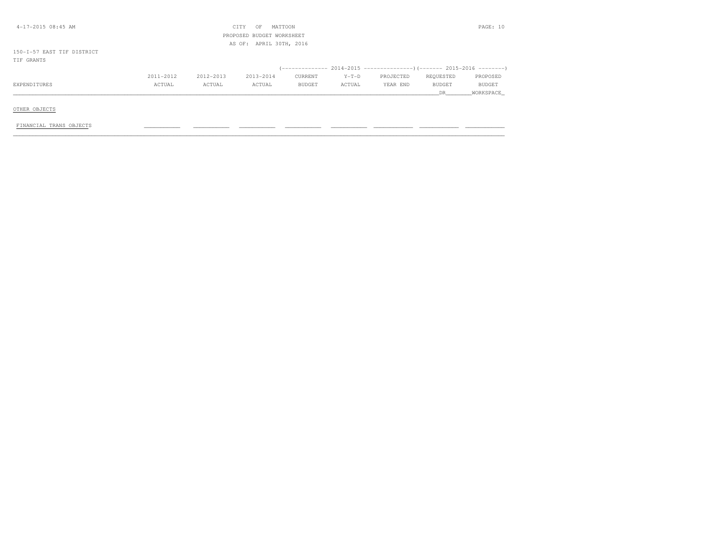| $4-17-2015$ 08:45 AM       |           |           | CITY<br>OF                | MATTOON |         |           |           | PAGE: 10  |
|----------------------------|-----------|-----------|---------------------------|---------|---------|-----------|-----------|-----------|
|                            |           |           | PROPOSED BUDGET WORKSHEET |         |         |           |           |           |
|                            |           |           | AS OF: APRIL 30TH, 2016   |         |         |           |           |           |
| 150-I-57 EAST TIF DISTRICT |           |           |                           |         |         |           |           |           |
| TIF GRANTS                 |           |           |                           |         |         |           |           |           |
|                            |           |           |                           |         |         |           |           |           |
|                            | 2011-2012 | 2012-2013 | 2013-2014                 | CURRENT | $Y-T-D$ | PROJECTED | REQUESTED | PROPOSED  |
| EXPENDITURES               | ACTUAL    | ACTUAL    | ACTUAL                    | BUDGET  | ACTUAL  | YEAR END  | BUDGET    | BUDGET    |
|                            |           |           |                           |         |         |           | DR.       | WORKSPACE |
|                            |           |           |                           |         |         |           |           |           |

OTHER OBJECTS

FINANCIAL TRANS OBJECTS \_\_\_\_\_\_\_\_\_\_\_ \_\_\_\_\_\_\_\_\_\_\_ \_\_\_\_\_\_\_\_\_\_\_ \_\_\_\_\_\_\_\_\_\_\_ \_\_\_\_\_\_\_\_\_\_\_ \_\_\_\_\_\_\_\_\_\_\_\_ \_\_\_\_\_\_\_\_\_\_\_\_ \_\_\_\_\_\_\_\_\_\_\_\_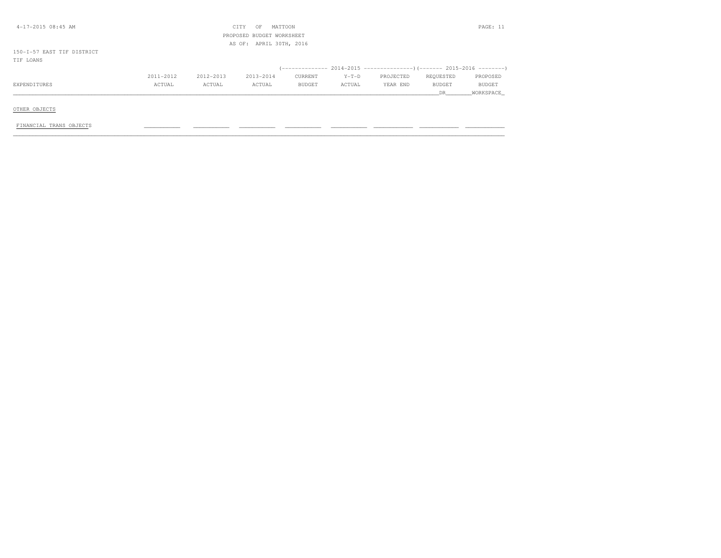| 4-17-2015 08:45 AM         |           |           | CITY<br>OF                | MATTOON |         |           |           | PAGE: 11  |
|----------------------------|-----------|-----------|---------------------------|---------|---------|-----------|-----------|-----------|
|                            |           |           | PROPOSED BUDGET WORKSHEET |         |         |           |           |           |
|                            |           |           | AS OF: APRIL 30TH, 2016   |         |         |           |           |           |
| 150-I-57 EAST TIF DISTRICT |           |           |                           |         |         |           |           |           |
| TIF LOANS                  |           |           |                           |         |         |           |           |           |
|                            |           |           |                           |         |         |           |           |           |
|                            | 2011-2012 | 2012-2013 | 2013-2014                 | CURRENT | $Y-T-D$ | PROJECTED | REQUESTED | PROPOSED  |
| EXPENDITURES               | ACTUAL    | ACTUAL    | ACTUAL                    | BUDGET  | ACTUAL  | YEAR END  | BUDGET    | BUDGET    |
|                            |           |           |                           |         |         |           | DR.       | WORKSPACE |
|                            |           |           |                           |         |         |           |           |           |

OTHER OBJECTS

FINANCIAL TRANS OBJECTS \_\_\_\_\_\_\_\_\_\_\_ \_\_\_\_\_\_\_\_\_\_\_ \_\_\_\_\_\_\_\_\_\_\_ \_\_\_\_\_\_\_\_\_\_\_ \_\_\_\_\_\_\_\_\_\_\_ \_\_\_\_\_\_\_\_\_\_\_\_ \_\_\_\_\_\_\_\_\_\_\_\_ \_\_\_\_\_\_\_\_\_\_\_\_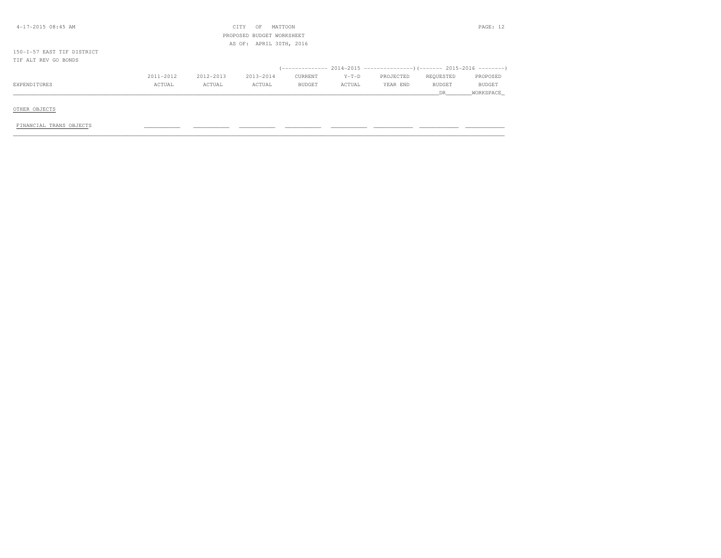| $4-17-2015$ 08:45 AM       |           |           | CITY<br>OF                | MATTOON |         |           |           | PAGE: 12  |
|----------------------------|-----------|-----------|---------------------------|---------|---------|-----------|-----------|-----------|
|                            |           |           | PROPOSED BUDGET WORKSHEET |         |         |           |           |           |
|                            |           |           | AS OF: APRIL 30TH, 2016   |         |         |           |           |           |
| 150-I-57 EAST TIF DISTRICT |           |           |                           |         |         |           |           |           |
| TIF ALT REV GO BONDS       |           |           |                           |         |         |           |           |           |
|                            |           |           |                           |         |         |           |           |           |
|                            | 2011-2012 | 2012-2013 | 2013-2014                 | CURRENT | $Y-T-D$ | PROJECTED | REQUESTED | PROPOSED  |
| EXPENDITURES               | ACTUAL    | ACTUAL    | ACTUAL                    | BUDGET  | ACTUAL  | YEAR END  | BUDGET    | BUDGET    |
|                            |           |           |                           |         |         |           | DR        | WORKSPACE |
|                            |           |           |                           |         |         |           |           |           |
| OTHER OBJECTS              |           |           |                           |         |         |           |           |           |

 $FINANCIAL TRANS OBJECTS$   $\qquad \qquad \qquad$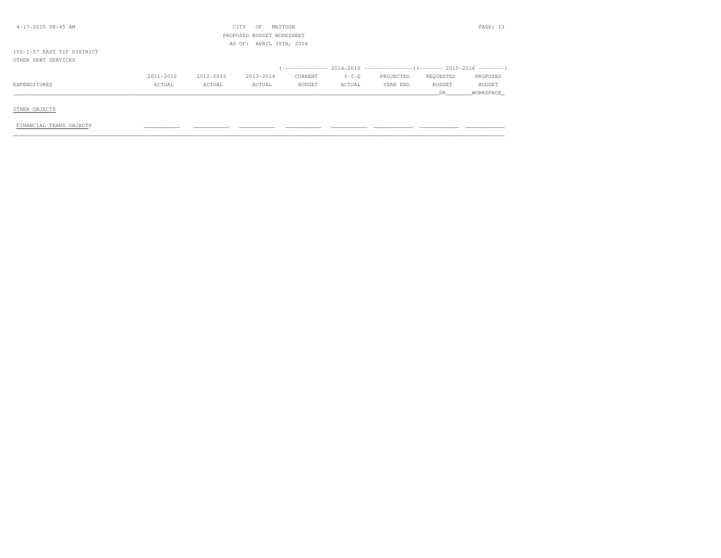| 4-17-2015 08:45 AM         |           |           | CITY<br>MATTOON<br>OF     |               |         |           |               | PAGE: 13      |
|----------------------------|-----------|-----------|---------------------------|---------------|---------|-----------|---------------|---------------|
|                            |           |           | PROPOSED BUDGET WORKSHEET |               |         |           |               |               |
|                            |           |           | AS OF: APRIL 30TH, 2016   |               |         |           |               |               |
| 150-I-57 EAST TIF DISTRICT |           |           |                           |               |         |           |               |               |
| OTHER DEBT SERVICES        |           |           |                           |               |         |           |               |               |
|                            |           |           |                           |               |         |           |               |               |
|                            | 2011-2012 | 2012-2013 | 2013-2014                 | CURRENT       | $Y-T-D$ | PROJECTED | REQUESTED     | PROPOSED      |
| EXPENDITURES               | ACTUAL    | ACTUAL    | ACTUAL                    | <b>BUDGET</b> | ACTUAL  | YEAR END  | <b>BUDGET</b> | <b>BUDGET</b> |
|                            |           |           |                           |               |         |           | DR.           | WORKSPACE     |
|                            |           |           |                           |               |         |           |               |               |
| OTHER OBJECTS              |           |           |                           |               |         |           |               |               |

FINANCIAL TRANS OBJECTS \_\_\_\_\_\_\_\_\_\_\_ \_\_\_\_\_\_\_\_\_\_\_ \_\_\_\_\_\_\_\_\_\_\_ \_\_\_\_\_\_\_\_\_\_\_ \_\_\_\_\_\_\_\_\_\_\_ \_\_\_\_\_\_\_\_\_\_\_\_ \_\_\_\_\_\_\_\_\_\_\_\_ \_\_\_\_\_\_\_\_\_\_\_\_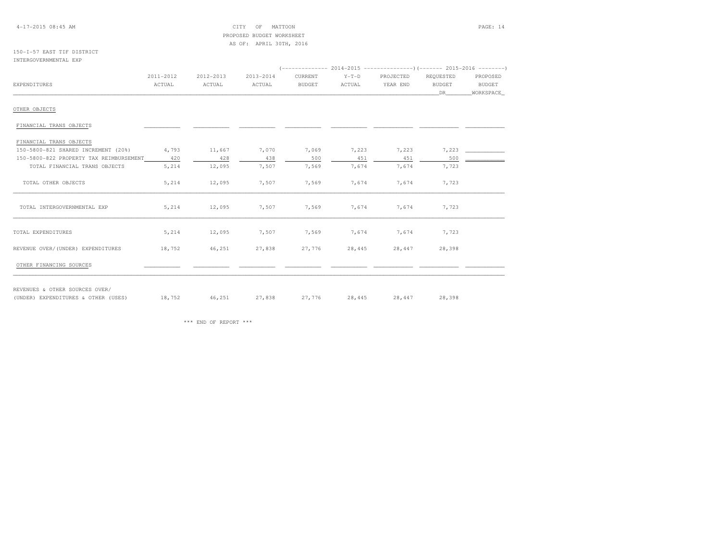#### 4-17-2015 08:45 AM CITY OF MATTOON PAGE: 14 PROPOSED BUDGET WORKSHEETAS OF: APRIL 30TH, 2016

#### 150-I-57 EAST TIF DISTRICTINTERGOVERNMENTAL EXP

| 2011-2012<br>2012-2013<br>ACTUAL<br>ACTUAL | 2013-2014<br>ACTUAL                                        | CURRENT<br><b>BUDGET</b>                                        | $Y-T-D$<br>ACTUAL                                          | PROJECTED<br>YEAR END | REQUESTED<br>BUDGET | PROPOSED<br>BUDGET |
|--------------------------------------------|------------------------------------------------------------|-----------------------------------------------------------------|------------------------------------------------------------|-----------------------|---------------------|--------------------|
|                                            |                                                            |                                                                 |                                                            |                       |                     |                    |
|                                            |                                                            |                                                                 |                                                            |                       |                     |                    |
|                                            |                                                            |                                                                 |                                                            |                       | DR —                | WORKSPACE          |
|                                            |                                                            |                                                                 |                                                            |                       |                     |                    |
|                                            |                                                            |                                                                 |                                                            |                       |                     |                    |
|                                            |                                                            |                                                                 |                                                            |                       |                     |                    |
|                                            |                                                            | 7,069                                                           | 7,223                                                      | 7,223                 | 7,223               |                    |
|                                            |                                                            | 500                                                             | 451                                                        | 451                   | 500                 |                    |
|                                            |                                                            | 7,569                                                           | 7,674                                                      | 7,674                 | 7,723               |                    |
|                                            |                                                            | 7,569                                                           | 7,674                                                      | 7,674                 | 7,723               |                    |
|                                            |                                                            | 7,569                                                           | 7,674                                                      | 7,674                 | 7,723               |                    |
|                                            |                                                            | 7,569                                                           | 7,674                                                      | 7,674                 | 7,723               |                    |
|                                            |                                                            | 27,776                                                          | 28,445                                                     | 28,447                | 28,398              |                    |
|                                            |                                                            |                                                                 |                                                            |                       |                     |                    |
|                                            | 4,793<br>420<br>5,214<br>5,214<br>5,214<br>5,214<br>18,752 | 11,667<br>428<br>12,095<br>12,095<br>12,095<br>12,095<br>46,251 | 7,070<br>438<br>7,507<br>7,507<br>7,507<br>7,507<br>27,838 |                       |                     |                    |

(UNDER) EXPENDITURES & OTHER (USES)

(UNDER) EXPENDITURES & OTHER (USES) 18,752 46,251 27,838 27,776 28,445 28,447 28,398

\*\*\* END OF REPORT \*\*\*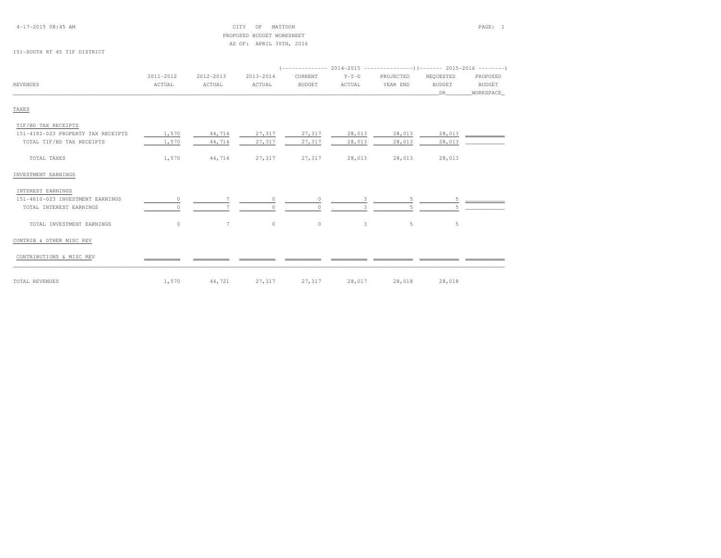### PROPOSED BUDGET WORKSHEETAS OF: APRIL 30TH, 2016

#### 151-SOUTH RT 45 TIF DISTRICT

|                                    | 2011-2012 | 2012-2013       | 2013-2014 | CURRENT       | $Y-T-D$      | PROJECTED | REQUESTED     | PROPOSED  |  |
|------------------------------------|-----------|-----------------|-----------|---------------|--------------|-----------|---------------|-----------|--|
| REVENUES                           | ACTUAL    | ACTUAL          | ACTUAL    | <b>BUDGET</b> | ACTUAL       | YEAR END  | <b>BUDGET</b> | BUDGET    |  |
|                                    |           |                 |           |               |              |           | DR .          | WORKSPACE |  |
| TAXES                              |           |                 |           |               |              |           |               |           |  |
| TIF/BD TAX RECEIPTS                |           |                 |           |               |              |           |               |           |  |
| 151-4192-023 PROPERTY TAX RECEIPTS | 1,570     | 44,714          | 27,317    | 27,317        | 28,013       | 28,013    | 28,013        |           |  |
| TOTAL TIF/BD TAX RECEIPTS          | 1,570     | 44,714          | 27,317    | 27,317        | 28,013       | 28,013    | 28,013        |           |  |
| TOTAL TAXES                        | 1,570     | 44,714          | 27,317    | 27,317        | 28,013       | 28,013    | 28,013        |           |  |
| INVESTMENT EARNINGS                |           |                 |           |               |              |           |               |           |  |
| INTEREST EARNINGS                  |           |                 |           |               |              |           |               |           |  |
| 151-4610-023 INVESTMENT EARNINGS   | 0         |                 | $\circ$   | $\circ$       | 3.           |           |               |           |  |
| TOTAL INTEREST EARNINGS            |           |                 | $\Omega$  | $\Omega$      |              |           |               |           |  |
| TOTAL INVESTMENT EARNINGS          | $\circ$   | $7\phantom{.0}$ | $\circ$   | $\circ$       | $\mathbf{3}$ | 5         | -5            |           |  |
| CONTRIB & OTHER MISC REV           |           |                 |           |               |              |           |               |           |  |
| CONTRIBUTIONS & MISC REV           |           |                 |           |               |              |           |               |           |  |
| TOTAL REVENUES                     | 1,570     | 44,721          | 27,317    | 27,317        | 28,017       | 28,018    | 28,018        |           |  |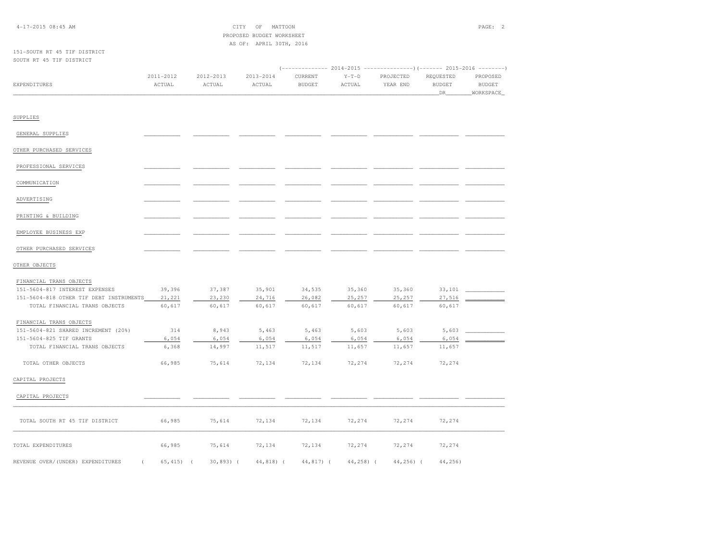### PROPOSED BUDGET WORKSHEETAS OF: APRIL 30TH, 2016

#### 151-SOUTH RT 45 TIF DISTRICTSOUTH RT 45 TIF DISTRICT

|              |           |           |           |               |         | (-------------- 2014-2015 ----------------)(------- 2015-2016 --------) |               |               |
|--------------|-----------|-----------|-----------|---------------|---------|-------------------------------------------------------------------------|---------------|---------------|
|              | 2011-2012 | 2012-2013 | 2013-2014 | CURRENT       | $Y-T-D$ | PROJECTED                                                               | REQUESTED     | PROPOSED      |
| EXPENDITURES | ACTUAL    | ACTUAL    | ACTUAL    | <b>BUDGET</b> | ACTUAL  | YEAR END                                                                | <b>BUDGET</b> | <b>BUDGET</b> |
|              |           |           |           |               |         |                                                                         |               | WORKSPACE_    |

#### SUPPLIES

| GENERAL SUPPLIES         |  |  |  |  |
|--------------------------|--|--|--|--|
| OTHER PURCHASED SERVICES |  |  |  |  |
| PROFESSIONAL SERVICES    |  |  |  |  |
| COMMUNICATION            |  |  |  |  |
| ADVERTISING              |  |  |  |  |
| PRINTING & BUILDING      |  |  |  |  |
| EMPLOYEE BUSINESS EXP    |  |  |  |  |
|                          |  |  |  |  |

# OTHER PURCHASED SERVICES \_\_\_\_\_\_\_\_\_\_\_ \_\_\_\_\_\_\_\_\_\_\_ \_\_\_\_\_\_\_\_\_\_\_ \_\_\_\_\_\_\_\_\_\_\_ \_\_\_\_\_\_\_\_\_\_\_ \_\_\_\_\_\_\_\_\_\_\_\_ \_\_\_\_\_\_\_\_\_\_\_\_ \_\_\_\_\_\_\_\_\_\_\_\_

#### OTHER OBJECTS

| FINANCIAL TRANS OBJECTS                 |        |        |        |        |        |        |        |  |
|-----------------------------------------|--------|--------|--------|--------|--------|--------|--------|--|
| 151-5604-817 INTEREST EXPENSES          | 39,396 | 37,387 | 35,901 | 34,535 | 35,360 | 35,360 | 33,101 |  |
| 151-5604-818 OTHER TIF DEBT INSTRUMENTS | 21,221 | 23,230 | 24,716 | 26,082 | 25,257 | 25,257 | 27,516 |  |
| TOTAL FINANCIAL TRANS OBJECTS           | 60,617 | 60,617 | 60,617 | 60,617 | 60,617 | 60,617 | 60,617 |  |
| FINANCIAL TRANS OBJECTS                 |        |        |        |        |        |        |        |  |
| 151-5604-821 SHARED INCREMENT (20%)     | 314    | 8,943  | 5,463  | 5,463  | 5,603  | 5,603  | 5,603  |  |
| 151-5604-825 TIF GRANTS                 | 6,054  | 6,054  | 6,054  | 6,054  | 6,054  | 6,054  | 6,054  |  |
| TOTAL FINANCIAL TRANS OBJECTS           | 6,368  | 14,997 | 11,517 | 11,517 | 11,657 | 11,657 | 11,657 |  |
| TOTAL OTHER OBJECTS                     | 66,985 | 75,614 | 72,134 | 72,134 | 72,274 | 72,274 | 72,274 |  |
| CAPITAL PROJECTS                        |        |        |        |        |        |        |        |  |
| CAPITAL PROJECTS                        |        |        |        |        |        |        |        |  |
|                                         |        |        |        |        |        |        |        |  |
| TOTAL SOUTH RT 45 TIF DISTRICT          | 66,985 | 75,614 | 72,134 | 72,134 | 72,274 | 72,274 | 72,274 |  |
| TOTAL EXPENDITURES                      | 66,985 | 75,614 | 72,134 | 72,134 | 72,274 | 72,274 | 72,274 |  |

REVENUE OVER/(UNDER) EXPENDITURES ( 65,415) ( 30,893) ( 44,818) ( 44,817) ( 44,258) ( 44,256) ( 44,256)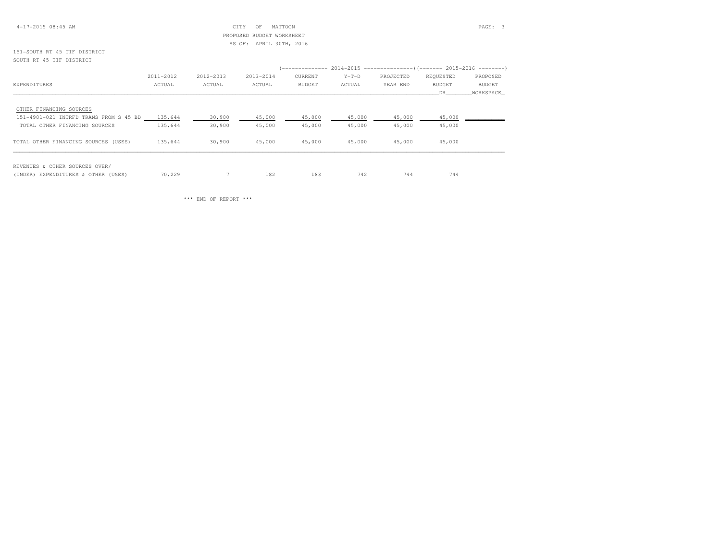#### 4-17-2015 08:45 AM CITY OF MATTOON PAGE: 3 PROPOSED BUDGET WORKSHEETAS OF: APRIL 30TH, 2016

#### 151-SOUTH RT 45 TIF DISTRICTSOUTH RT 45 TIF DISTRICT

|                                        |           |           |           | (-------------- 2014-2015 ---------------------- 2015-2016 --------- |         |           |           |           |
|----------------------------------------|-----------|-----------|-----------|----------------------------------------------------------------------|---------|-----------|-----------|-----------|
|                                        | 2011-2012 | 2012-2013 | 2013-2014 | CURRENT                                                              | $Y-T-D$ | PROJECTED | REQUESTED | PROPOSED  |
| EXPENDITURES                           | ACTUAL    | ACTUAL    | ACTUAL    | <b>BUDGET</b>                                                        | ACTUAL  | YEAR END  | BUDGET    | BUDGET    |
|                                        |           |           |           |                                                                      |         |           | DR        | WORKSPACE |
| OTHER FINANCING SOURCES                |           |           |           |                                                                      |         |           |           |           |
| 151-4901-021 INTRFD TRANS FROM S 45 BD | 135,644   | 30,900    | 45,000    | 45,000                                                               | 45,000  | 45,000    | 45,000    |           |
| TOTAL OTHER FINANCING SOURCES          | 135,644   | 30,900    | 45,000    | 45,000                                                               | 45,000  | 45,000    | 45,000    |           |
| TOTAL OTHER FINANCING SOURCES (USES)   | 135,644   | 30,900    | 45,000    | 45,000                                                               | 45,000  | 45,000    | 45,000    |           |
| REVENUES & OTHER SOURCES OVER/         |           |           |           |                                                                      |         |           |           |           |
| (UNDER) EXPENDITURES & OTHER (USES)    | 70,229    |           | 182       | 183                                                                  | 742     | 744       | 744       |           |

\*\*\* END OF REPORT \*\*\*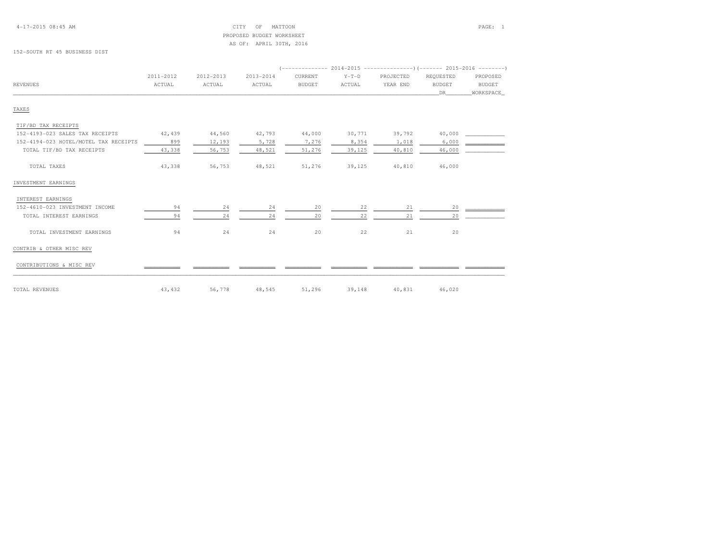#### 4-17-2015 08:45 AM CITY OF MATTOON PAGE: 1 PROPOSED BUDGET WORKSHEETAS OF: APRIL 30TH, 2016

152-SOUTH RT 45 BUSINESS DIST

|                                       | 2011-2012 | 2012-2013 | 2013-2014 | CURRENT       | $Y-T-D$ | PROJECTED | REQUESTED     | PROPOSED      |
|---------------------------------------|-----------|-----------|-----------|---------------|---------|-----------|---------------|---------------|
| <b>REVENUES</b>                       | ACTUAL    | ACTUAL    | ACTUAL    | <b>BUDGET</b> | ACTUAL  | YEAR END  | <b>BUDGET</b> | <b>BUDGET</b> |
|                                       |           |           |           |               |         |           | DR            | WORKSPACE     |
| TAXES                                 |           |           |           |               |         |           |               |               |
| TIF/BD TAX RECEIPTS                   |           |           |           |               |         |           |               |               |
| 152-4193-023 SALES TAX RECEIPTS       | 42,439    | 44,560    | 42,793    | 44,000        | 30,771  | 39,792    | 40,000        |               |
| 152-4194-023 HOTEL/MOTEL TAX RECEIPTS | 899       | 12,193    | 5,728     | 7,276         | 8,354   | 1,018     | 6,000         |               |
| TOTAL TIF/BD TAX RECEIPTS             | 43,338    | 56,753    | 48,521    | 51,276        | 39,125  | 40,810    | 46,000        |               |
| TOTAL TAXES                           | 43,338    | 56,753    | 48,521    | 51,276        | 39,125  | 40,810    | 46,000        |               |
| INVESTMENT EARNINGS                   |           |           |           |               |         |           |               |               |
| INTEREST EARNINGS                     |           |           |           |               |         |           |               |               |
| 152-4610-023 INVESTMENT INCOME        | 94        | 24        | 24        | 20            | 22      | 21        | 20            |               |
| TOTAL INTEREST EARNINGS               | 94        | 24        | 24        | 20            | 22      | 21        | 20            |               |
| TOTAL INVESTMENT EARNINGS             | 94        | 24        | 24        | 20            | 22      | 21        | 20            |               |
| CONTRIB & OTHER MISC REV              |           |           |           |               |         |           |               |               |
| CONTRIBUTIONS & MISC REV              |           |           |           |               |         |           |               |               |
| TOTAL REVENUES                        | 43,432    | 56,778    | 48,545    | 51,296        | 39,148  | 40,831    | 46,020        |               |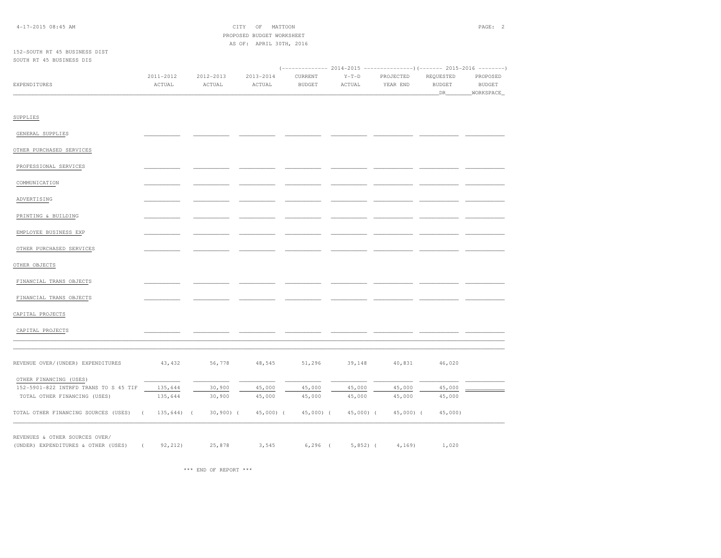| $4 - 17 - 201508:45AM$ |
|------------------------|
|------------------------|

 $CITY$  OF MATTOON PAGE: 2 PROPOSED BUDGET WORKSHEETAS OF: APRIL 30TH, 2016

#### 152-SOUTH RT 45 BUSINESS DISTSOUTH RT 45 BUSINESS DIS

|              | 2011-2012    | 2012-2013 | 2013-2014 | CURRENT | $Y-T-D$ | PROJECTED | REOUESTED | PROPOSED     |
|--------------|--------------|-----------|-----------|---------|---------|-----------|-----------|--------------|
| EXPENDITURES | <b>CTUAL</b> | CTUAL     | ACTUAL    | BUDGET  | ACTUAL  | YEAR END  | BUDGEI    | <b>BUDGE</b> |
|              |              |           |           |         |         |           |           |              |

| SUPPLIES                              |                         |            |            |            |            |            |            |  |
|---------------------------------------|-------------------------|------------|------------|------------|------------|------------|------------|--|
| GENERAL SUPPLIES                      |                         |            |            |            |            |            |            |  |
| OTHER PURCHASED SERVICES              |                         |            |            |            |            |            |            |  |
| PROFESSIONAL SERVICES                 |                         |            |            |            |            |            |            |  |
|                                       |                         |            |            |            |            |            |            |  |
| COMMUNICATION                         |                         |            |            |            |            |            |            |  |
| ADVERTISING                           |                         |            |            |            |            |            |            |  |
| PRINTING & BUILDING                   |                         |            |            |            |            |            |            |  |
| EMPLOYEE BUSINESS EXP                 |                         |            |            |            |            |            |            |  |
| OTHER PURCHASED SERVICES              |                         |            |            |            |            |            |            |  |
|                                       |                         |            |            |            |            |            |            |  |
| OTHER OBJECTS                         |                         |            |            |            |            |            |            |  |
| FINANCIAL TRANS OBJECTS               |                         |            |            |            |            |            |            |  |
| FINANCIAL TRANS OBJECTS               |                         |            |            |            |            |            |            |  |
| CAPITAL PROJECTS                      |                         |            |            |            |            |            |            |  |
| CAPITAL PROJECTS                      |                         |            |            |            |            |            |            |  |
|                                       |                         |            |            |            |            |            |            |  |
| REVENUE OVER/(UNDER) EXPENDITURES     | 43, 432                 | 56,778     | 48,545     | 51,296     | 39,148     | 40,831     | 46,020     |  |
|                                       |                         |            |            |            |            |            |            |  |
| OTHER FINANCING (USES)                |                         |            |            |            |            |            |            |  |
| 152-5901-822 INTRFD TRANS TO S 45 TIF | 135,644                 | 30,900     | 45,000     | 45,000     | 45,000     | 45,000     | 45,000     |  |
| TOTAL OTHER FINANCING (USES)          | 135,644                 | 30,900     | 45,000     | 45,000     | 45,000     | 45,000     | 45,000     |  |
| TOTAL OTHER FINANCING SOURCES (USES)  | $135,644$ (<br>$\left($ | $30,900$ ( | $45,000$ ( | $45,000$ ( | $45,000$ ( | $45,000$ ( | $45,000$ ) |  |

REVENUES & OTHER SOURCES OVER/

\*\*\* END OF REPORT \*\*\*

(UNDER) EXPENDITURES & OTHER (USES) ( 92,212) 25,878 3,545 6,296 ( 5,852) ( 4,169) 1,020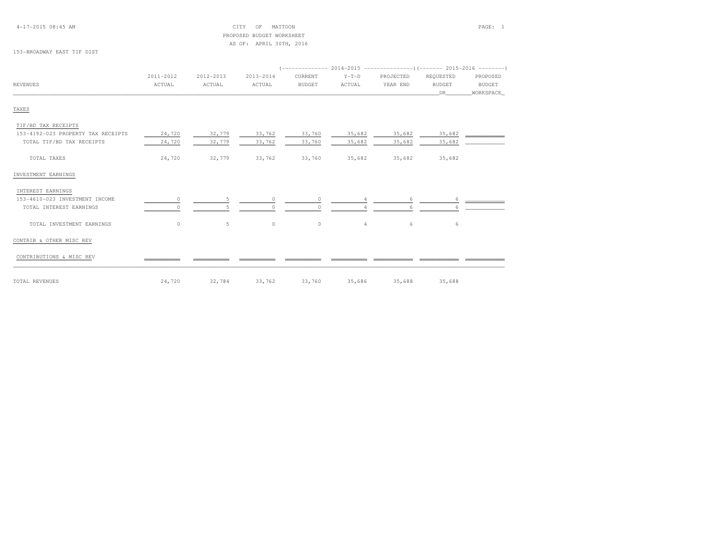#### 4-17-2015 08:45 AM CITY OF MATTOON PAGE: 1 PROPOSED BUDGET WORKSHEETAS OF: APRIL 30TH, 2016

#### 153-BROADWAY EAST TIF DIST

|                                    | 2011-2012 | 2012-2013 | 2013-2014 | CURRENT       | $Y-T-D$        | PROJECTED | REQUESTED     | PROPOSED    |  |  |  |
|------------------------------------|-----------|-----------|-----------|---------------|----------------|-----------|---------------|-------------|--|--|--|
| <b>REVENUES</b>                    | ACTUAL    | ACTUAL    | ACTUAL    | <b>BUDGET</b> | ACTUAL         | YEAR END  | <b>BUDGET</b> | BUDGET      |  |  |  |
|                                    |           |           |           |               |                |           | DR            | _WORKSPACE_ |  |  |  |
| TAXES                              |           |           |           |               |                |           |               |             |  |  |  |
| TIF/BD TAX RECEIPTS                |           |           |           |               |                |           |               |             |  |  |  |
| 153-4192-023 PROPERTY TAX RECEIPTS | 24,720    | 32,779    | 33,762    | 33,760        | 35,682         | 35,682    | 35,682        |             |  |  |  |
| TOTAL TIF/BD TAX RECEIPTS          | 24,720    | 32,779    | 33,762    | 33,760        | 35,682         | 35,682    | 35,682        |             |  |  |  |
| TOTAL TAXES                        | 24,720    | 32,779    | 33,762    | 33,760        | 35,682         | 35,682    | 35,682        |             |  |  |  |
| INVESTMENT EARNINGS                |           |           |           |               |                |           |               |             |  |  |  |
| INTEREST EARNINGS                  |           |           |           |               |                |           |               |             |  |  |  |
| 153-4610-023 INVESTMENT INCOME     | 0         | 5         | $\circ$   | $\circ$       |                | 6         | 6             |             |  |  |  |
| TOTAL INTEREST EARNINGS            |           |           |           | $\cap$        |                |           |               |             |  |  |  |
| TOTAL INVESTMENT EARNINGS          | $\circ$   | 5         | $\circ$   | $\circ$       | $\overline{4}$ | 6         | 6             |             |  |  |  |
| CONTRIB & OTHER MISC REV           |           |           |           |               |                |           |               |             |  |  |  |
| CONTRIBUTIONS & MISC REV           |           |           |           |               |                |           |               |             |  |  |  |
| TOTAL REVENUES                     | 24,720    | 32,784    | 33,762    | 33,760        | 35,686         | 35,688    | 35,688        |             |  |  |  |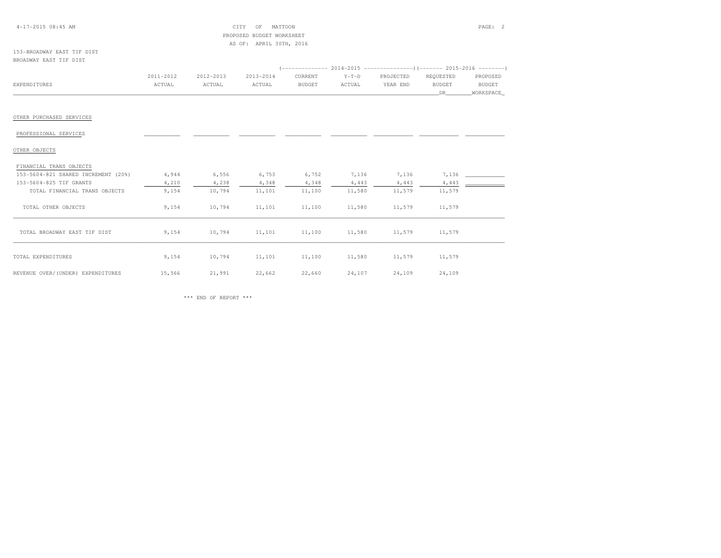#### 4-17-2015 08:45 AM CITY OF MATTOON PAGE: 2 PROPOSED BUDGET WORKSHEETAS OF: APRIL 30TH, 2016

#### 153-BROADWAY EAST TIF DISTBROADWAY EAST TIF DIST

|              |           |           |           |               |         | (-------------- 2014-2015 -----------------) (------- 2015-2016 --------) |               |               |
|--------------|-----------|-----------|-----------|---------------|---------|---------------------------------------------------------------------------|---------------|---------------|
|              | 2011-2012 | 2012-2013 | 2013-2014 | CURRENT       | $Y-T-D$ | PROJECTED                                                                 | REQUESTED     | PROPOSED      |
| EXPENDITURES | ACTUAL    | ACTUAL    | ACTUAL    | <b>BUDGET</b> | ACTUAL  | YEAR END                                                                  | <b>BUDGET</b> | <b>BUDGET</b> |
|              |           |           |           |               |         |                                                                           |               | WORKSPACE     |

#### OTHER PURCHASED SERVICES

# PROFESSIONAL SERVICES \_\_\_\_\_\_\_\_\_\_\_ \_\_\_\_\_\_\_\_\_\_\_ \_\_\_\_\_\_\_\_\_\_\_ \_\_\_\_\_\_\_\_\_\_\_ \_\_\_\_\_\_\_\_\_\_\_ \_\_\_\_\_\_\_\_\_\_\_\_ \_\_\_\_\_\_\_\_\_\_\_\_ \_\_\_\_\_\_\_\_\_\_\_\_

### OTHER OBJECTS

# FINANCIAL TRANS OBJECTS

| r rannorm ranno opoporo             |        |        |        |        |        |        |        |  |
|-------------------------------------|--------|--------|--------|--------|--------|--------|--------|--|
| 153-5604-821 SHARED INCREMENT (20%) | 4,944  | 6,556  | 6,753  | 6,752  | 7,136  | 7,136  | 7,136  |  |
| 153-5604-825 TIF GRANTS             | 4,210  | 4,238  | 4,348  | 4,348  | 4,443  | 4,443  | 4,443  |  |
| TOTAL FINANCIAL TRANS OBJECTS       | 9,154  | 10,794 | 11,101 | 11,100 | 11,580 | 11,579 | 11,579 |  |
| TOTAL OTHER OBJECTS                 | 9,154  | 10,794 | 11,101 | 11,100 | 11,580 | 11,579 | 11,579 |  |
| TOTAL BROADWAY EAST TIF DIST        | 9,154  | 10,794 | 11,101 | 11,100 | 11,580 | 11,579 | 11,579 |  |
| TOTAL EXPENDITURES                  | 9,154  | 10,794 | 11,101 | 11,100 | 11,580 | 11,579 | 11,579 |  |
| REVENUE OVER/(UNDER) EXPENDITURES   | 15,566 | 21,991 | 22,662 | 22,660 | 24,107 | 24,109 | 24,109 |  |

\*\*\* END OF REPORT \*\*\*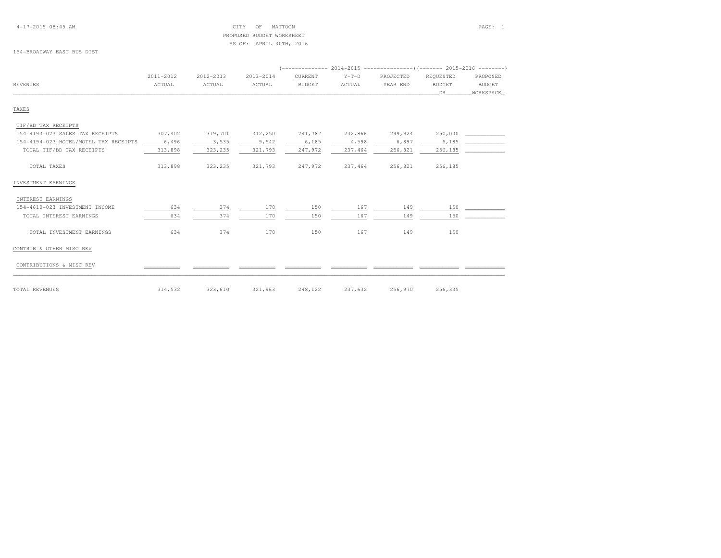#### 4-17-2015 08:45 AM CITY OF MATTOON PAGE: 1 PROPOSED BUDGET WORKSHEETAS OF: APRIL 30TH, 2016

#### 154-BROADWAY EAST BUS DIST

|                                       | 2011-2012 | 2012-2013 | 2013-2014 | CURRENT       | $Y-T-D$ | PROJECTED | REQUESTED     | PROPOSED      |
|---------------------------------------|-----------|-----------|-----------|---------------|---------|-----------|---------------|---------------|
| <b>REVENUES</b>                       | ACTUAL    | ACTUAL    | ACTUAL    | <b>BUDGET</b> | ACTUAL  | YEAR END  | <b>BUDGET</b> | <b>BUDGET</b> |
|                                       |           |           |           |               |         |           | DR            | WORKSPACE     |
| TAXES                                 |           |           |           |               |         |           |               |               |
| TIF/BD TAX RECEIPTS                   |           |           |           |               |         |           |               |               |
| 154-4193-023 SALES TAX RECEIPTS       | 307,402   | 319,701   | 312,250   | 241,787       | 232,866 | 249,924   | 250,000       |               |
| 154-4194-023 HOTEL/MOTEL TAX RECEIPTS | 6,496     | 3,535     | 9,542     | 6,185         | 4,598   | 6,897     | 6,185         |               |
| TOTAL TIF/BD TAX RECEIPTS             | 313,898   | 323,235   | 321,793   | 247,972       | 237,464 | 256,821   | 256,185       |               |
| TOTAL TAXES                           | 313,898   | 323,235   | 321,793   | 247,972       | 237,464 | 256,821   | 256,185       |               |
| INVESTMENT EARNINGS                   |           |           |           |               |         |           |               |               |
| INTEREST EARNINGS                     |           |           |           |               |         |           |               |               |
| 154-4610-023 INVESTMENT INCOME        | 634       | 374       | 170       | 150           | 167     | 149       | 150           |               |
| TOTAL INTEREST EARNINGS               | 634       | 374       | 170       | 150           | 167     | 149       | 150           |               |
| TOTAL INVESTMENT EARNINGS             | 634       | 374       | 170       | 150           | 167     | 149       | 150           |               |
| CONTRIB & OTHER MISC REV              |           |           |           |               |         |           |               |               |
| CONTRIBUTIONS & MISC REV              |           |           |           |               |         |           |               |               |
| TOTAL REVENUES                        | 314,532   | 323,610   | 321,963   | 248,122       | 237,632 | 256,970   | 256,335       |               |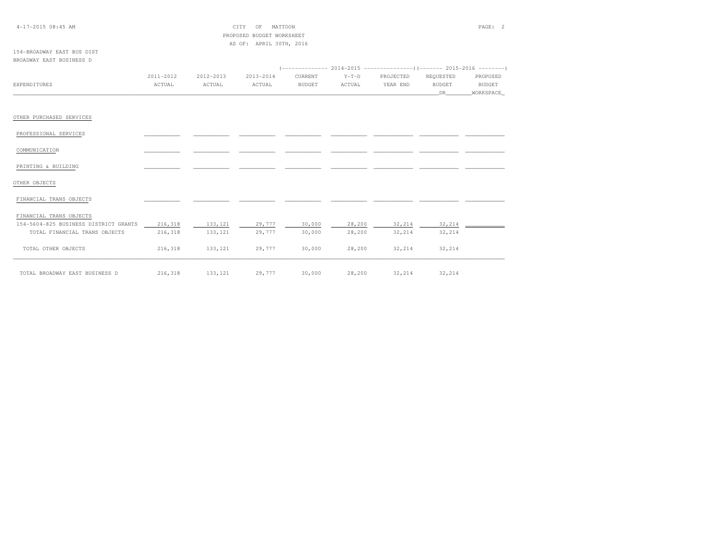| $4-17-2015$ 08:45 AM |  |  |
|----------------------|--|--|
|----------------------|--|--|

 $CITY$  OF MATTOON PAGE: 2 PROPOSED BUDGET WORKSHEETAS OF: APRIL 30TH, 2016

#### 154-BROADWAY EAST BUS DISTBROADWAY EAST BUSINESS D

|                                       | 2011-2012 | 2012-2013 | 2013-2014 | CURRENT       | $Y-T-D$ | PROJECTED | REQUESTED     | PROPOSED  |
|---------------------------------------|-----------|-----------|-----------|---------------|---------|-----------|---------------|-----------|
| EXPENDITURES                          | ACTUAL    | ACTUAL    | ACTUAL    | <b>BUDGET</b> | ACTUAL  | YEAR END  | <b>BUDGET</b> | BUDGET    |
|                                       |           |           |           |               |         |           | <b>DR</b>     | WORKSPACE |
|                                       |           |           |           |               |         |           |               |           |
| OTHER PURCHASED SERVICES              |           |           |           |               |         |           |               |           |
| PROFESSIONAL SERVICES                 |           |           |           |               |         |           |               |           |
| COMMUNICATION                         |           |           |           |               |         |           |               |           |
| PRINTING & BUILDING                   |           |           |           |               |         |           |               |           |
| OTHER OBJECTS                         |           |           |           |               |         |           |               |           |
| FINANCIAL TRANS OBJECTS               |           |           |           |               |         |           |               |           |
| FINANCIAL TRANS OBJECTS               |           |           |           |               |         |           |               |           |
| 154-5604-825 BUSINESS DISTRICT GRANTS | 216,318   | 133,121   | 29,777    | 30,000        | 28,200  | 32,214    | 32,214        |           |
| TOTAL FINANCIAL TRANS OBJECTS         | 216,318   | 133, 121  | 29,777    | 30,000        | 28,200  | 32,214    | 32,214        |           |
| TOTAL OTHER OBJECTS                   | 216,318   | 133,121   | 29,777    | 30,000        | 28,200  | 32,214    | 32,214        |           |
| TOTAL BROADWAY EAST BUSINESS D        | 216,318   | 133,121   | 29,777    | 30,000        | 28,200  | 32,214    | 32,214        |           |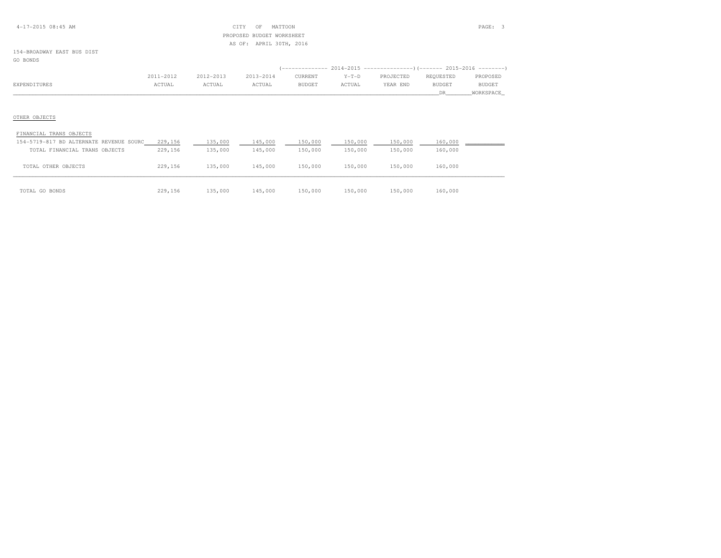#### 4-17-2015 08:45 AM CITY OF MATTOON PAGE: 3 PROPOSED BUDGET WORKSHEETAS OF: APRIL 30TH, 2016

#### 154-BROADWAY EAST BUS DISTGO BONDS

|              | 2011-2012 | 2012-2013 | 2013-2014 | CURRENT       | $Y-T-D$ | PROJECTED | REOUESTED     | PROPOSED      |
|--------------|-----------|-----------|-----------|---------------|---------|-----------|---------------|---------------|
| EXPENDITURES | ACTUAL    | ACTUAL    | ACTUAL    | <b>BUDGET</b> | ACTUAL  | YEAR END  | <b>BUDGET</b> | <b>BUDGET</b> |
|              |           |           |           |               |         |           |               | WORKSPACE_    |

# OTHER OBJECTS

| FINANCIAL TRANS OBJECTS                 |         |         |         |         |         |         |         |
|-----------------------------------------|---------|---------|---------|---------|---------|---------|---------|
| 154-5719-817 BD ALTERNATE REVENUE SOURC | 229,156 | 135,000 | 145,000 | 150,000 | 150,000 | 150,000 | 160,000 |
| TOTAL FINANCIAL TRANS OBJECTS           | 229,156 | 135,000 | 145,000 | 150,000 | 150,000 | 150,000 | 160,000 |
| TOTAL OTHER OBJECTS                     | 229,156 | 135,000 | 145,000 | 150,000 | 150,000 | 150,000 | 160,000 |
| TOTAL GO BONDS                          | 229,156 | 135,000 | 145,000 | 150,000 | 150,000 | 150,000 | 160,000 |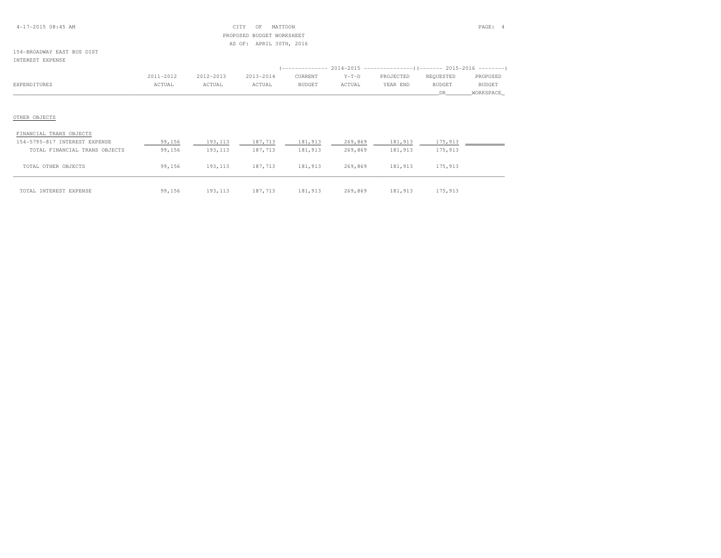#### 4-17-2015 08:45 AM CITY OF MATTOON PAGE: 4 PROPOSED BUDGET WORKSHEETAS OF: APRIL 30TH, 2016

#### 154-BROADWAY EAST BUS DISTINTEREST EXPENSE

|              |           |           |           |               |         | (-------------- 2014-2015 -------------------- )(------- 2015-2016 ---------) |               |           |
|--------------|-----------|-----------|-----------|---------------|---------|-------------------------------------------------------------------------------|---------------|-----------|
|              | 2011-2012 | 2012-2013 | 2013-2014 | CURRENT       | $Y-T-D$ | PROJECTED                                                                     | REOUESTED     | PROPOSED  |
| EXPENDITURES | ACTUAL    | ACTUAL    | ACTUAL    | <b>BUDGET</b> | ACTUAL  | YEAR END                                                                      | <b>BUDGET</b> | BUDGET    |
|              |           |           |           |               |         |                                                                               |               | WORKSPACE |

# OTHER OBJECTS

| FINANCIAL TRANS OBJECTS       |        |          |         |         |         |         |         |  |
|-------------------------------|--------|----------|---------|---------|---------|---------|---------|--|
| 154-5795-817 INTEREST EXPENSE | 99,156 | 193,113  | 187,713 | 181,913 | 269,869 | 181,913 | 175,913 |  |
| TOTAL FINANCIAL TRANS OBJECTS | 99,156 | 193, 113 | 187,713 | 181,913 | 269,869 | 181,913 | 175,913 |  |
| TOTAL OTHER OBJECTS           | 99,156 | 193, 113 | 187.713 | 181,913 | 269,869 | 181,913 | 175,913 |  |
| TOTAL INTEREST EXPENSE        | 99,156 | 193,113  | 187,713 | 181,913 | 269,869 | 181,913 | 175,913 |  |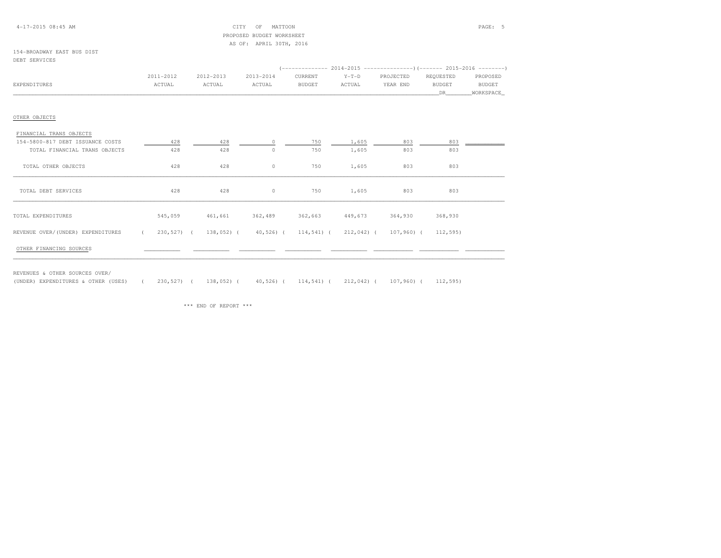#### 4-17-2015 08:45 AM CITY OF MATTOON PAGE: 5 PROPOSED BUDGET WORKSHEETAS OF: APRIL 30TH, 2016

#### 154-BROADWAY EAST BUS DISTDEBT SERVICES

|                                   |                           |           |                                                            | (-------------- 2014-2015 ----------------) (------- 2015-2016 --------) |         |           |               |           |
|-----------------------------------|---------------------------|-----------|------------------------------------------------------------|--------------------------------------------------------------------------|---------|-----------|---------------|-----------|
|                                   | 2011-2012                 | 2012-2013 | 2013-2014                                                  | CURRENT                                                                  | $Y-T-D$ | PROJECTED | REQUESTED     | PROPOSED  |
| EXPENDITURES                      | ACTUAL                    | ACTUAL    | ACTUAL                                                     | <b>BUDGET</b>                                                            | ACTUAL  | YEAR END  | <b>BUDGET</b> | BUDGET    |
|                                   |                           |           |                                                            |                                                                          |         |           | DR            | WORKSPACE |
|                                   |                           |           |                                                            |                                                                          |         |           |               |           |
| OTHER OBJECTS                     |                           |           |                                                            |                                                                          |         |           |               |           |
| FINANCIAL TRANS OBJECTS           |                           |           |                                                            |                                                                          |         |           |               |           |
| 154-5800-817 DEBT ISSUANCE COSTS  | 428                       | 428       | $\Omega$                                                   | 750                                                                      | 1,605   | 803       | 803           |           |
| TOTAL FINANCIAL TRANS OBJECTS     | 428                       | 428       | $\circ$                                                    | 750                                                                      | 1,605   | 803       | 803           |           |
| TOTAL OTHER OBJECTS               | 428                       | 428       | 0                                                          | 750                                                                      | 1,605   | 803       | 803           |           |
| TOTAL DEBT SERVICES               | 428                       | 428       | $\circ$                                                    | 750                                                                      | 1,605   | 803       | 803           |           |
| TOTAL EXPENDITURES                | 545,059                   | 461,661   | 362,489                                                    | 362,663                                                                  | 449,673 | 364,930   | 368,930       |           |
| REVENUE OVER/(UNDER) EXPENDITURES | $230,527$ (<br>$\epsilon$ |           | $138,052$ ( $40,526$ ( $114,541$ ( $212,042$ ( $107,960$ ( |                                                                          |         |           | 112,595)      |           |
| OTHER FINANCING SOURCES           |                           |           |                                                            |                                                                          |         |           |               |           |

REVENUES & OTHER SOURCES OVER/

(UNDER) EXPENDITURES & OTHER (USES) ( 230,527) ( 138,052) ( 40,526) ( 114,541) ( 212,042) ( 107,960) ( 112,595)

\*\*\* END OF REPORT \*\*\*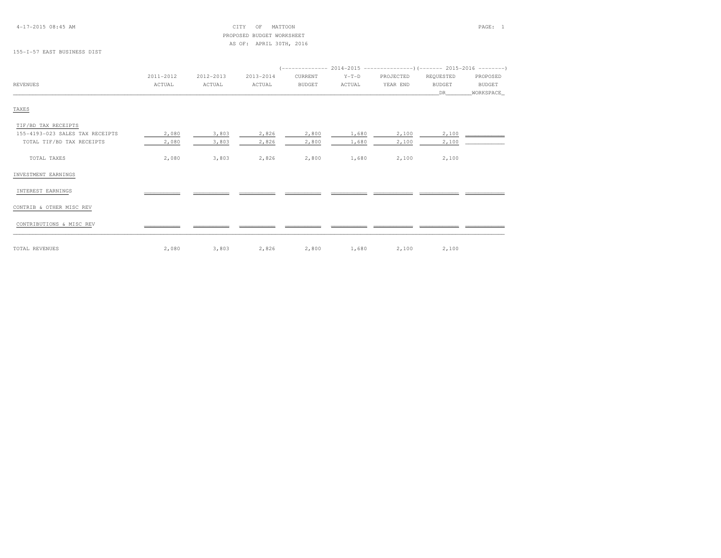#### 4-17-2015 08:45 AM CITY OF MATTOON PAGE: 1 PROPOSED BUDGET WORKSHEETAS OF: APRIL 30TH, 2016

155-I-57 EAST BUSINESS DIST

|                                 | 2011-2012 | 2012-2013 | 2013-2014 | CURRENT       | $Y-T-D$ | PROJECTED | REQUESTED     | PROPOSED      |  |  |  |
|---------------------------------|-----------|-----------|-----------|---------------|---------|-----------|---------------|---------------|--|--|--|
| <b>REVENUES</b>                 | ACTUAL    | ACTUAL    | ACTUAL    | <b>BUDGET</b> | ACTUAL  | YEAR END  | <b>BUDGET</b> | <b>BUDGET</b> |  |  |  |
|                                 |           |           |           |               |         |           | DR            | WORKSPACE     |  |  |  |
| TAXES                           |           |           |           |               |         |           |               |               |  |  |  |
| TIF/BD TAX RECEIPTS             |           |           |           |               |         |           |               |               |  |  |  |
| 155-4193-023 SALES TAX RECEIPTS | 2,080     | 3,803     | 2,826     | 2,800         | 1,680   | 2,100     | 2,100         |               |  |  |  |
| TOTAL TIF/BD TAX RECEIPTS       | 2,080     | 3,803     | 2,826     | 2,800         | 1,680   | 2,100     | 2,100         |               |  |  |  |
| TOTAL TAXES                     | 2,080     | 3,803     | 2,826     | 2,800         | 1,680   | 2,100     | 2,100         |               |  |  |  |
| INVESTMENT EARNINGS             |           |           |           |               |         |           |               |               |  |  |  |
| INTEREST EARNINGS               |           |           |           |               |         |           |               |               |  |  |  |
| CONTRIB & OTHER MISC REV        |           |           |           |               |         |           |               |               |  |  |  |
| CONTRIBUTIONS & MISC REV        |           |           |           |               |         |           |               |               |  |  |  |
| TOTAL REVENUES                  | 2,080     | 3,803     | 2,826     | 2,800         | 1,680   | 2,100     | 2,100         |               |  |  |  |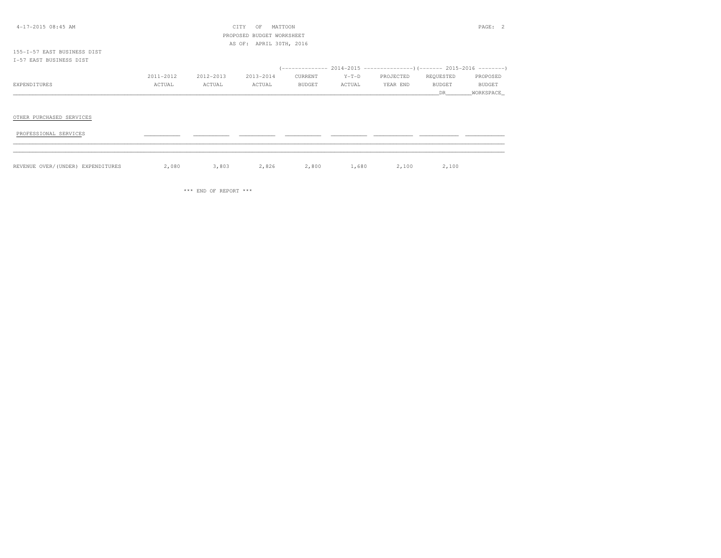| 4-17-2015 08:45 AM                |           |           | CITY<br>OF                | MATTOON       |         |           |           | PAGE: 2       |
|-----------------------------------|-----------|-----------|---------------------------|---------------|---------|-----------|-----------|---------------|
|                                   |           |           | PROPOSED BUDGET WORKSHEET |               |         |           |           |               |
|                                   |           |           | AS OF: APRIL 30TH, 2016   |               |         |           |           |               |
| 155-1-57 EAST BUSINESS DIST       |           |           |                           |               |         |           |           |               |
| I-57 EAST BUSINESS DIST           |           |           |                           |               |         |           |           |               |
|                                   |           |           |                           |               |         |           |           |               |
|                                   | 2011-2012 | 2012-2013 | 2013-2014                 | CURRENT       | $Y-T-D$ | PROJECTED | REQUESTED | PROPOSED      |
| EXPENDITURES                      | ACTUAL    | ACTUAL    | ACTUAL                    | <b>BUDGET</b> | ACTUAL  | YEAR END  | BUDGET    | <b>BUDGET</b> |
|                                   |           |           |                           |               |         |           | DR.       | WORKSPACE     |
|                                   |           |           |                           |               |         |           |           |               |
|                                   |           |           |                           |               |         |           |           |               |
| OTHER PURCHASED SERVICES          |           |           |                           |               |         |           |           |               |
|                                   |           |           |                           |               |         |           |           |               |
| PROFESSIONAL SERVICES             |           |           |                           |               |         |           |           |               |
|                                   |           |           |                           |               |         |           |           |               |
|                                   |           |           |                           |               |         |           |           |               |
|                                   |           |           |                           |               |         |           |           |               |
| REVENUE OVER/(UNDER) EXPENDITURES | 2,080     | 3,803     | 2,826                     | 2,800         | 1,680   | 2,100     | 2,100     |               |

\*\*\* END OF REPORT \*\*\*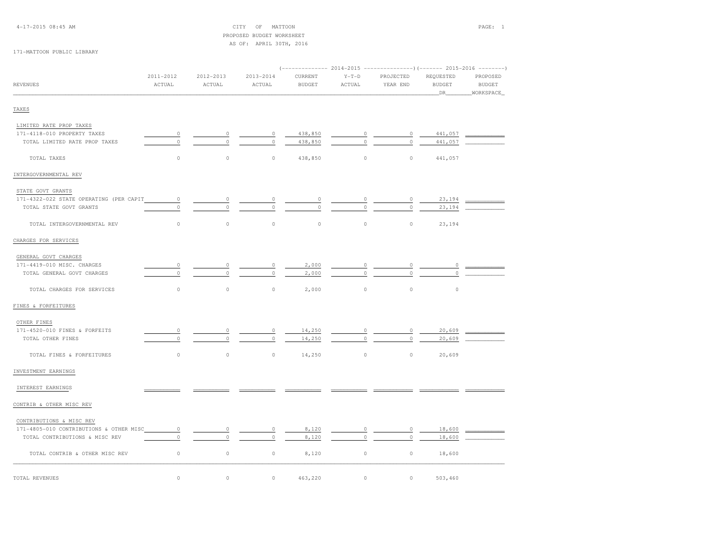# PROPOSED BUDGET WORKSHEETAS OF: APRIL 30TH, 2016

#### 171-MATTOON PUBLIC LIBRARY

|                                         | 2011-2012   | 2012-2013 | 2013-2014   | CURRENT       | $Y-T-D$     | PROJECTED | REQUESTED     | PROPOSED      |
|-----------------------------------------|-------------|-----------|-------------|---------------|-------------|-----------|---------------|---------------|
| <b>REVENUES</b>                         | ACTUAL      | ACTUAL    | ACTUAL      | <b>BUDGET</b> | ACTUAL      | YEAR END  | <b>BUDGET</b> | <b>BUDGET</b> |
|                                         |             |           |             |               |             |           | _DR_          | WORKSPACE     |
| TAXES                                   |             |           |             |               |             |           |               |               |
| LIMITED RATE PROP TAXES                 |             |           |             |               |             |           |               |               |
| 171-4118-010 PROPERTY TAXES             | $\circ$     | $\circ$   | $\circ$     | 438,850       | $\mathbb O$ | $\circ$   | 441,057       |               |
| TOTAL LIMITED RATE PROP TAXES           | $\Omega$    | $\Omega$  | $\mathbb O$ | 438,850       | $\theta$    | $\circ$   | 441,057       |               |
| TOTAL TAXES                             | $\circ$     | $\circ$   | $\circ$     | 438,850       | $\circ$     | $\circ$   | 441,057       |               |
| INTERGOVERNMENTAL REV                   |             |           |             |               |             |           |               |               |
| STATE GOVT GRANTS                       |             |           |             |               |             |           |               |               |
| 171-4322-022 STATE OPERATING (PER CAPIT | $\mathbb O$ | $\circ$   | 0           | $\circ$       | 0           | $\circ$   | 23,194        |               |
| TOTAL STATE GOVT GRANTS                 | $\mathbb O$ | $\circ$   | $\Omega$    | $\circ$       | $\Omega$    | $\circ$   | 23,194        |               |
|                                         |             |           |             |               |             |           |               |               |
| TOTAL INTERGOVERNMENTAL REV             | $\circ$     | $\circ$   | $\circ$     | $\circ$       | $\circ$     | $\circ$   | 23,194        |               |
| CHARGES FOR SERVICES                    |             |           |             |               |             |           |               |               |
| GENERAL GOVT CHARGES                    |             |           |             |               |             |           |               |               |
| 171-4419-010 MISC. CHARGES              | 0           |           | 0           | 2,000         |             | 0         |               |               |
| TOTAL GENERAL GOVT CHARGES              | $\circ$     |           | $\circ$     | 2,000         | $\Omega$    | $\circ$   | $\circ$       |               |
| TOTAL CHARGES FOR SERVICES              | $\circ$     | $\circ$   | 0           | 2,000         | $\mathbb O$ | $\circ$   | $\circ$       |               |
| FINES & FORFEITURES                     |             |           |             |               |             |           |               |               |
| OTHER FINES                             |             |           |             |               |             |           |               |               |
| 171-4520-010 FINES & FORFEITS           | $\circ$     | $\Omega$  | $\circ$     | 14,250        | $\circ$     | $\circ$   | 20,609        |               |
| TOTAL OTHER FINES                       | $\circ$     | $\circ$   | $\circ$     | 14,250        | $\circ$     | $\circ$   | 20,609        |               |
| TOTAL FINES & FORFEITURES               | $\mathbb O$ | $\circ$   | $\circ$     | 14,250        | $\mathbb O$ | $\circ$   | 20,609        |               |
| INVESTMENT EARNINGS                     |             |           |             |               |             |           |               |               |
| INTEREST EARNINGS                       |             |           |             |               |             |           |               |               |
| CONTRIB & OTHER MISC REV                |             |           |             |               |             |           |               |               |
| CONTRIBUTIONS & MISC REV                |             |           |             |               |             |           |               |               |
| 171-4805-010 CONTRIBUTIONS & OTHER MISC | $\circ$     | $\circ$   | 0           | 8,120         | $\mathbb O$ | $\circ$   | 18,600        |               |
| TOTAL CONTRIBUTIONS & MISC REV          | $\circ$     | $\Omega$  | $\circ$     | 8,120         | $\mathbb O$ | $\circ$   | 18,600        |               |
| TOTAL CONTRIB & OTHER MISC REV          | $\mathbb O$ | $\circ$   | $\circ$     | 8,120         | $\mathbb O$ | $\circ$   | 18,600        |               |
| TOTAL REVENUES                          | $\circ$     | $\circ$   | $\circ$     | 463,220       | $\circ$     | $\circ$   | 503,460       |               |
|                                         |             |           |             |               |             |           |               |               |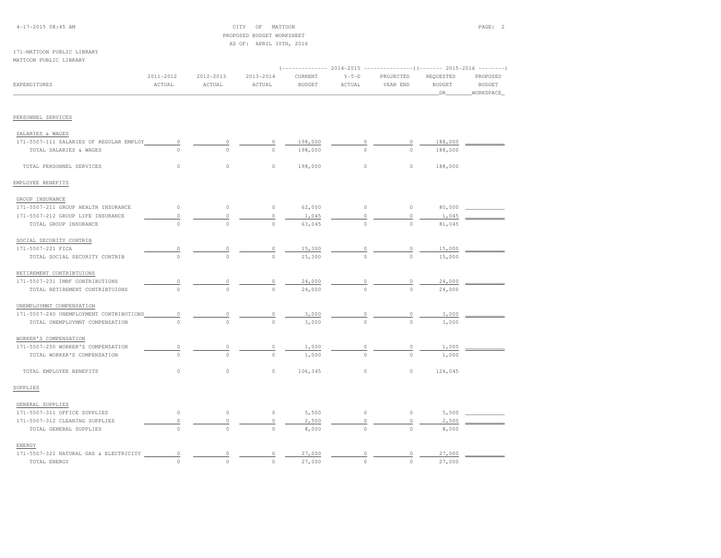#### 4-17-2015 08:45 AM CITY OF MATTOON PAGE: 2 PROPOSED BUDGET WORKSHEETAS OF: APRIL 30TH, 2016

#### 171-MATTOON PUBLIC LIBRARYMATTOON PUBLIC LIBRARY

| <b>EXPENDITURES</b>                     | 2011-2012<br>ACTUAL | 2012-2013<br>ACTUAL | 2013-2014<br>ACTUAL | CURRENT<br><b>BUDGET</b> | $Y-T-D$<br>ACTUAL | PROJECTED<br>YEAR END | REQUESTED<br><b>BUDGET</b><br>DR | PROPOSED<br><b>BUDGET</b><br>WORKSPACE |
|-----------------------------------------|---------------------|---------------------|---------------------|--------------------------|-------------------|-----------------------|----------------------------------|----------------------------------------|
|                                         |                     |                     |                     |                          |                   |                       |                                  |                                        |
| PERSONNEL SERVICES                      |                     |                     |                     |                          |                   |                       |                                  |                                        |
| SALARIES & WAGES                        |                     |                     |                     |                          |                   |                       |                                  |                                        |
| 171-5507-111 SALARIES OF REGULAR EMPLOY | $\circ$             | $\circ$             | 0                   | 198,000                  | $\Omega$          | $\circ$               | 188,000                          |                                        |
| TOTAL SALARIES & WAGES                  | $\Omega$            | $\Omega$            | $\circ$             | 198,000                  | $\Omega$          | $\circ$               | 188,000                          |                                        |
| TOTAL PERSONNEL SERVICES                | $\circ$             | $\circ$             | $\circ$             | 198,000                  | $\circ$           | $\circ$               | 188,000                          |                                        |
| EMPLOYEE BENEFITS                       |                     |                     |                     |                          |                   |                       |                                  |                                        |
| GROUP INSURANCE                         |                     |                     |                     |                          |                   |                       |                                  |                                        |
| 171-5507-211 GROUP HEALTH INSURANCE     | $\circ$             | $\mathbb O$         | $\circ$             | 62,000                   | $\circ$           | $\circ$               | 80,000                           |                                        |
| 171-5507-212 GROUP LIFE INSURANCE       | $\circ$             | $\circ$             | $\circ$             | 1,045                    | $\Omega$          | $\circ$               | 1,045                            |                                        |
| TOTAL GROUP INSURANCE                   | $\circ$             | $\circ$             | $\circ$             | 63,045                   | $\circ$           | $\circ$               | 81,045                           |                                        |
| SOCIAL SECURITY CONTRIB                 |                     |                     |                     |                          |                   |                       |                                  |                                        |
| 171-5507-221 FICA                       | $\circ$             | $\circ$             | 0                   | 15,300                   | $\circ$           | 0                     | 15,000                           |                                        |
| TOTAL SOCIAL SECURITY CONTRIB           | $\circ$             | $\circ$             | $\circ$             | 15,300                   | $\circ$           | $\circ$               | 15,000                           |                                        |
| RETIREMENT CONTRIBTUIONS                |                     |                     |                     |                          |                   |                       |                                  |                                        |
| 171-5507-231 IMRF CONTRIBUTIONS         | $\Omega$            | 0                   | 0                   | 24,000                   | 0                 | 0                     | 24,000                           |                                        |
| TOTAL RETIREMENT CONTRIBTUIONS          | $\cap$              | $\Omega$            | $\Omega$            | 24,000                   | $\cap$            | $\bigcirc$            | 24,000                           |                                        |
| UNEMPLOYMNT COMPENSATION                |                     |                     |                     |                          |                   |                       |                                  |                                        |
| 171-5507-240 UNEMPLOYMENT CONTRIBUTIONS | 0                   | 0                   | 0                   | 3,000                    | $\Omega$          |                       | 3,000                            |                                        |
| TOTAL UNEMPLOYMNT COMPENSATION          | $\Omega$            | $\Omega$            | $\Omega$            | 3,000                    | $\Omega$          | $\Omega$              | 3,000                            |                                        |
| WORKER'S COMPENSATION                   |                     |                     |                     |                          |                   |                       |                                  |                                        |
| 171-5507-250 WORKER'S COMPENSATION      | $\mathbb O$         | $\circ$             | 0                   | 1,000                    | 0                 | $\circ$               | 1,000                            |                                        |
| TOTAL WORKER'S COMPENSATION             | $\circ$             | $\Omega$            | $\circ$             | 1,000                    | $\Omega$          | $\circ$               | 1,000                            |                                        |
| TOTAL EMPLOYEE BENEFITS                 | $\circ$             | $\circ$             | $\circ$             | 106,345                  | $\circ$           | $\circ$               | 124,045                          |                                        |
| SUPPLIES                                |                     |                     |                     |                          |                   |                       |                                  |                                        |
| GENERAL SUPPLIES                        |                     |                     |                     |                          |                   |                       |                                  |                                        |
| 171-5507-311 OFFICE SUPPLIES            | $\circ$             | $\circ$             | $\circ$             | 5,500                    | $\circ$           | $\circ$               | 5,500                            |                                        |
| 171-5507-312 CLEANING SUPPLIES          | $\circ$             | $\circ$             | 0                   | 2,500                    | $\circ$           | $\circ$               | 2,500                            |                                        |
| TOTAL GENERAL SUPPLIES                  | $\circ$             | $\circ$             | $\circ$             | 8,000                    | $\circ$           | $\circ$               | 8,000                            |                                        |
| ENERGY                                  |                     |                     |                     |                          |                   |                       |                                  |                                        |
| 171-5507-321 NATURAL GAS & ELECTRICITY  | $\circ$             | $\circ$             | 0                   | 27,000                   | $\circ$           | $\circ$               | 27,000                           |                                        |
| TOTAL ENERGY                            | $\circ$             | $\circ$             | $\circ$             | 27,000                   | $\circ$           | $\circ$               | 27,000                           |                                        |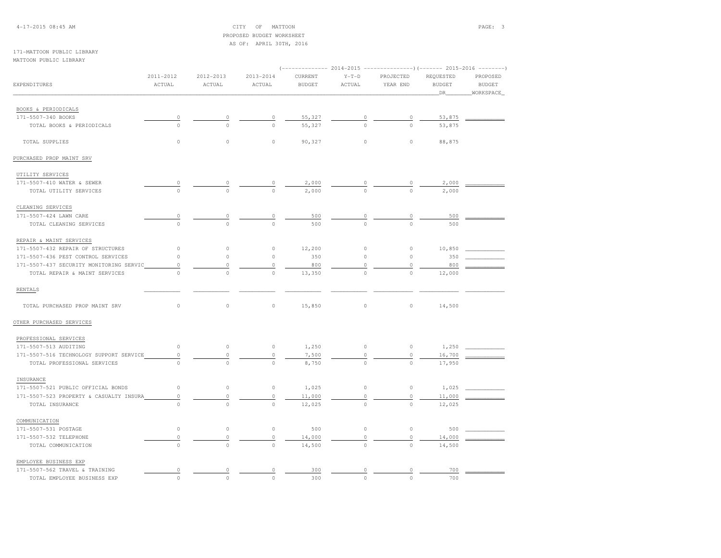4-17-2015 08:45 AM CITY OF MATTOON PAGE: 3 PROPOSED BUDGET WORKSHEETAS OF: APRIL 30TH, 2016

#### 171-MATTOON PUBLIC LIBRARYMATTOON PUBLIC LIBRARY

|                                         | 2011-2012   | 2012-2013            | 2013-2014           | CURRENT       | $Y-T-D$        | PROJECTED | REQUESTED     | PROPOSED      |
|-----------------------------------------|-------------|----------------------|---------------------|---------------|----------------|-----------|---------------|---------------|
| <b>EXPENDITURES</b>                     | ACTUAL      | <b>ACTUAL</b>        | ACTUAL              | <b>BUDGET</b> | ACTUAL         | YEAR END  | <b>BUDGET</b> | <b>BUDGET</b> |
|                                         |             |                      |                     |               |                |           | _DR_          | WORKSPACE     |
|                                         |             |                      |                     |               |                |           |               |               |
| BOOKS & PERIODICALS                     |             |                      |                     |               |                |           |               |               |
| 171-5507-340 BOOKS                      | $\circ$     | $\theta$<br>$\Omega$ | $\circ$<br>$\Omega$ | 55,327        | $\overline{a}$ |           | 53,875        |               |
| TOTAL BOOKS & PERIODICALS               | $\circ$     |                      |                     | 55,327        |                |           | 53,875        |               |
| TOTAL SUPPLIES                          | $\mathbb O$ | $\circ$              | $\circ$             | 90,327        | $\circ$        | $\circ$   | 88,875        |               |
| PURCHASED PROP MAINT SRV                |             |                      |                     |               |                |           |               |               |
| UTILITY SERVICES                        |             |                      |                     |               |                |           |               |               |
| 171-5507-410 WATER & SEWER              |             |                      |                     | 2,000         |                |           | 2,000         |               |
| TOTAL UTILITY SERVICES                  | $\Omega$    |                      |                     | 2,000         |                |           | 2,000         |               |
| CLEANING SERVICES                       |             |                      |                     |               |                |           |               |               |
| 171-5507-424 LAWN CARE                  | 0           |                      | 0                   | 500           | $\overline{0}$ |           | 500           |               |
| TOTAL CLEANING SERVICES                 | $\circ$     | $\Omega$             | $\Omega$            | 500           | $\Omega$       | $\Omega$  | 500           |               |
|                                         |             |                      |                     |               |                |           |               |               |
| REPAIR & MAINT SERVICES                 |             |                      |                     |               |                |           |               |               |
| 171-5507-432 REPAIR OF STRUCTURES       | $\circ$     | $\mathbb O$          | $\circ$             | 12,200        | $\circ$        | $\circ$   | 10,850        |               |
| 171-5507-436 PEST CONTROL SERVICES      | $\circ$     | $\circ$              | $\circ$             | 350           | 0              | $\circ$   | 350           |               |
| 171-5507-437 SECURITY MONITORING SERVIC | $\circ$     | $\circ$              | $\circ$             | 800           | 0              | $\circ$   | 800           |               |
| TOTAL REPAIR & MAINT SERVICES           | $\circ$     | $\circ$              | $\circ$             | 13,350        | $\circ$        | $\circ$   | 12,000        |               |
| <b>RENTALS</b>                          |             |                      |                     |               |                |           |               |               |
| TOTAL PURCHASED PROP MAINT SRV          | $\circ$     | $\circ$              | $\circ$             | 15,850        | $\circ$        | $\circ$   | 14,500        |               |
| OTHER PURCHASED SERVICES                |             |                      |                     |               |                |           |               |               |
| PROFESSIONAL SERVICES                   |             |                      |                     |               |                |           |               |               |
| 171-5507-513 AUDITING                   | $\circ$     | $\mathbb O$          | $\circ$             | 1,250         | $\circ$        | $\circ$   | 1,250         |               |
| 171-5507-516 TECHNOLOGY SUPPORT SERVICE | $\circ$     | $\circ$              | $\circ$             | 7,500         | 0              | $\circ$   | 16,700        |               |
| TOTAL PROFESSIONAL SERVICES             | $\circ$     | $\circ$              | $\circ$             | 8,750         | $\circ$        | $\circ$   | 17,950        |               |
|                                         |             |                      |                     |               |                |           |               |               |
| INSURANCE                               |             |                      |                     |               |                |           |               |               |
| 171-5507-521 PUBLIC OFFICIAL BONDS      | $\circ$     | $\circ$              | $\circ$             | 1,025         | $\circ$        | $\circ$   | 1,025         |               |
| 171-5507-523 PROPERTY & CASUALTY INSURA | $\circ$     | $\circ$              | $\circ$             | 11,000        | 0              | $\circ$   | 11,000        |               |
| TOTAL INSURANCE                         | $\Omega$    | $\Omega$             | $\Omega$            | 12,025        | $\Omega$       | $\Omega$  | 12,025        |               |
| COMMUNICATION                           |             |                      |                     |               |                |           |               |               |
| 171-5507-531 POSTAGE                    | $\circ$     | $\mathbb O$          | $\circ$             | 500           | $\circ$        | $\circ$   | 500           |               |
| 171-5507-532 TELEPHONE                  | $\circ$     | $\mathbb O$          | $\circ$             | 14,000        | 0              | 0         | 14,000        |               |
| TOTAL COMMUNICATION                     | $\circ$     | $\Omega$             | $\circ$             | 14,500        | $\Omega$       | $\Omega$  | 14,500        |               |
| EMPLOYEE BUSINESS EXP                   |             |                      |                     |               |                |           |               |               |
| 171-5507-562 TRAVEL & TRAINING          | $\circ$     | $\mathbb O$          | 0                   | 300           | $\mathbb O$    | $\circ$   | 700           |               |
| TOTAL EMPLOYEE BUSINESS EXP             | $\circ$     | $\circ$              | $\circ$             | 300           | $\circ$        | $\Omega$  | 700           |               |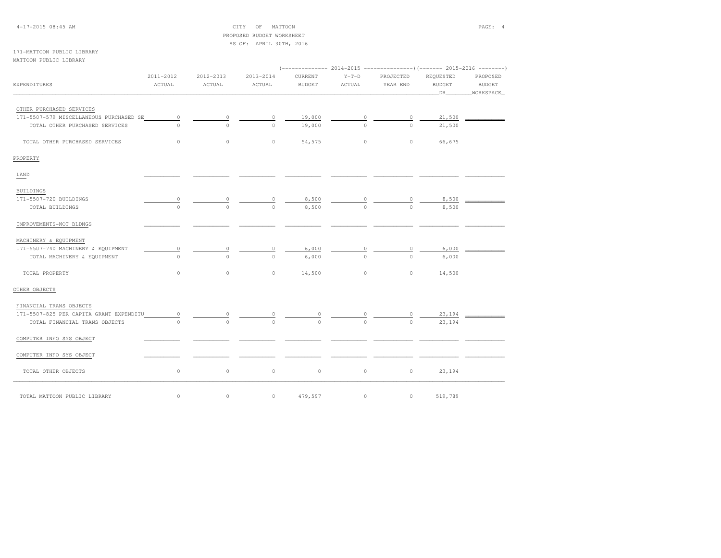| $4 - 17 - 201508:45AM$ |  |  |  |  |  |  |  |
|------------------------|--|--|--|--|--|--|--|
|------------------------|--|--|--|--|--|--|--|

 $CITY$  OF MATTOON PAGE: 4 PROPOSED BUDGET WORKSHEETAS OF: APRIL 30TH, 2016

171-MATTOON PUBLIC LIBRARYMATTOON PUBLIC LIBRARY

|                                         |           |                     |                     | (------------- 2014-2015 ----------------)(------- 2015-2016 --------) |               |               |               |               |
|-----------------------------------------|-----------|---------------------|---------------------|------------------------------------------------------------------------|---------------|---------------|---------------|---------------|
|                                         | 2011-2012 | 2012-2013           | 2013-2014           | CURRENT                                                                | $Y-T-D$       | PROJECTED     | REQUESTED     | PROPOSED      |
| EXPENDITURES                            | ACTUAL    | ACTUAL              | ACTUAL              | <b>BUDGET</b>                                                          | ACTUAL        | YEAR END      | <b>BUDGET</b> | <b>BUDGET</b> |
|                                         |           |                     |                     |                                                                        |               |               | DR            | WORKSPACE     |
|                                         |           |                     |                     |                                                                        |               |               |               |               |
| OTHER PURCHASED SERVICES                |           |                     |                     |                                                                        |               |               |               |               |
|                                         |           |                     |                     |                                                                        |               |               |               |               |
| 171-5507-579 MISCELLANEOUS PURCHASED SE | $\circ$   | $\circ$<br>$\Omega$ | $\circ$<br>$\Omega$ | 19,000                                                                 | $\circ$       | 0<br>$\Omega$ | 21,500        |               |
| TOTAL OTHER PURCHASED SERVICES          | $\cap$    |                     |                     | 19,000                                                                 | $\Omega$      |               | 21,500        |               |
| TOTAL OTHER PURCHASED SERVICES          | $\circ$   | $\circ$             | $\circ$             | 54,575                                                                 | $\circ$       | $\circ$       | 66,675        |               |
| PROPERTY                                |           |                     |                     |                                                                        |               |               |               |               |
| LAND                                    |           |                     |                     |                                                                        |               |               |               |               |
| BUILDINGS                               |           |                     |                     |                                                                        |               |               |               |               |
| 171-5507-720 BUILDINGS                  |           |                     |                     | 8,500                                                                  |               |               | 8,500         |               |
| TOTAL BUILDINGS                         |           | $\Omega$            | $\overline{0}$      | 8,500                                                                  | $\frac{0}{0}$ | $\frac{0}{0}$ | 8,500         |               |
| IMPROVEMENTS-NOT BLDNGS                 |           |                     |                     |                                                                        |               |               |               |               |
|                                         |           |                     |                     |                                                                        |               |               |               |               |
| MACHINERY & EQUIPMENT                   |           |                     |                     |                                                                        |               |               |               |               |
| 171-5507-740 MACHINERY & EQUIPMENT      | 0         |                     | 0                   | 6,000                                                                  |               |               | 6,000         |               |
| TOTAL MACHINERY & EQUIPMENT             | $\Omega$  | $\Omega$            | $\Omega$            | 6,000                                                                  | $\Omega$      | $\Omega$      | 6,000         |               |
| TOTAL PROPERTY                          | $\circ$   | $\circ$             | $\circ$             | 14,500                                                                 | $\circ$       | $\circ$       | 14,500        |               |
| OTHER OBJECTS                           |           |                     |                     |                                                                        |               |               |               |               |
| FINANCIAL TRANS OBJECTS                 |           |                     |                     |                                                                        |               |               |               |               |
| 171-5507-825 PER CAPITA GRANT EXPENDITU | $\circ$   |                     |                     |                                                                        |               |               | 23,194        |               |
| TOTAL FINANCIAL TRANS OBJECTS           | $\Omega$  |                     | $\Omega$            | $\Omega$                                                               |               |               | 23,194        |               |
| COMPUTER INFO SYS OBJECT                |           |                     |                     |                                                                        |               |               |               |               |
|                                         |           |                     |                     |                                                                        |               |               |               |               |
| COMPUTER INFO SYS OBJECT                |           |                     |                     |                                                                        |               |               |               |               |
| TOTAL OTHER OBJECTS                     | $\circ$   | $\circ$             | $\circ$             | $\circ$                                                                | $\circ$       | $\circ$       | 23,194        |               |
| TOTAL MATTOON PUBLIC LIBRARY            | $\circ$   | $\circ$             | $\circ$             | 479,597                                                                | $\circ$       | $\circ$       | 519,789       |               |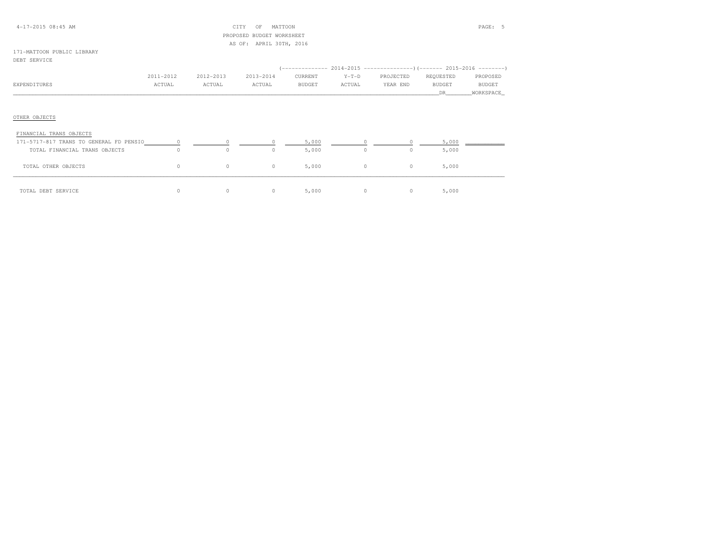#### 4-17-2015 08:45 AM CITY OF MATTOON PAGE: 5 PROPOSED BUDGET WORKSHEETAS OF: APRIL 30TH, 2016

# 171-MATTOON PUBLIC LIBRARY

#### DEBT SERVICE

|              | 2011-2012 | 2012-2013 | 2013-2014 | CURRENT       | $Y-T-D$ | PROJECTED | REOUESTED | PROPOSED      |
|--------------|-----------|-----------|-----------|---------------|---------|-----------|-----------|---------------|
| EXPENDITURES | ACTUAL    | ACTUAL    | ACTUAL    | <b>BUDGET</b> | ACTUAL  | YEAR END  | BUDGET    | <b>BUDGET</b> |
|              |           |           |           |               |         |           |           | WORKSPACE     |

# OTHER OBJECTS

| FINANCIAL TRANS OBJECTS                 |    |   |            |       |          |       |  |
|-----------------------------------------|----|---|------------|-------|----------|-------|--|
| 171-5717-817 TRANS TO GENERAL FD PENSIO |    |   |            | 5,000 |          | 5,000 |  |
| TOTAL FINANCIAL TRANS OBJECTS           |    | 0 |            | 5,000 | 0        | 5,000 |  |
| TOTAL OTHER OBJECTS                     | 0. | 0 | $^{\circ}$ | 5,000 | $\Omega$ | 5,000 |  |
| TOTAL DEBT SERVICE                      |    | 0 |            | 5,000 | 0        | 5,000 |  |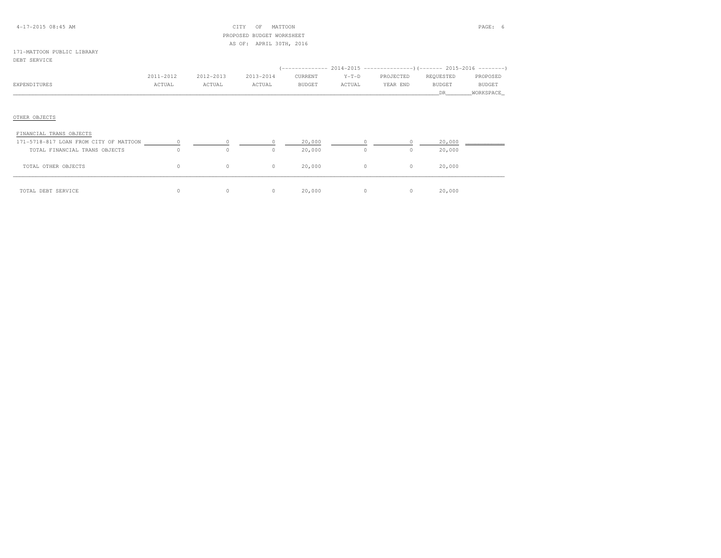#### 4-17-2015 08:45 AM CITY OF MATTOON PAGE: 6 PROPOSED BUDGET WORKSHEETAS OF: APRIL 30TH, 2016

# 171-MATTOON PUBLIC LIBRARY

#### DEBT SERVICE

|              | 2011-2012 | 2012-2013 | 2013-2014 | CURRENT       | $Y-T-D$ | PROJECTED | REOUESTED | PROPOSED      |
|--------------|-----------|-----------|-----------|---------------|---------|-----------|-----------|---------------|
| EXPENDITURES | ACTUAL    | ACTUAL    | ACTUAL    | <b>BUDGET</b> | ACTUAL  | YEAR END  | BUDGET    | <b>BUDGET</b> |
|              |           |           |           |               |         |           |           | WORKSPACE     |

# OTHER OBJECTS

| FINANCIAL TRANS OBJECTS                |   |   |        |          |        |  |
|----------------------------------------|---|---|--------|----------|--------|--|
| 171-5718-817 LOAN FROM CITY OF MATTOON |   |   | 20,000 |          | 20,000 |  |
| TOTAL FINANCIAL TRANS OBJECTS          | 0 |   | 20,000 |          | 20,000 |  |
| TOTAL OTHER OBJECTS                    |   | 0 | 20,000 | $\Omega$ | 20,000 |  |
| TOTAL DEBT SERVICE                     |   |   | 20,000 | 0        | 20,000 |  |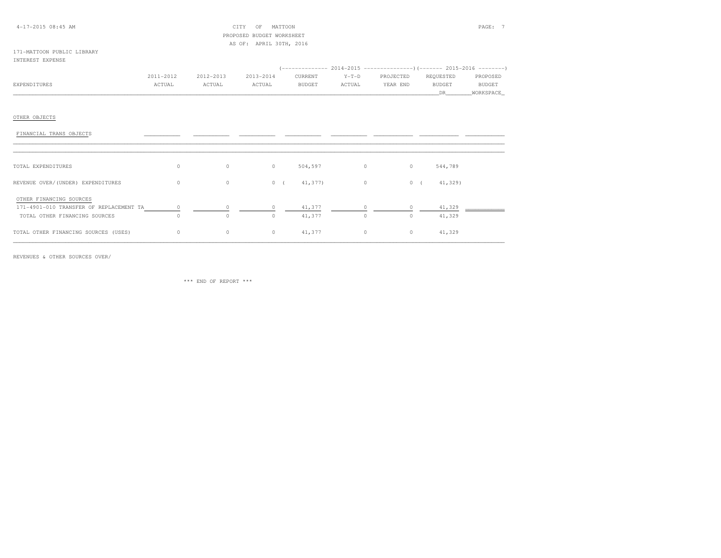#### 4-17-2015 08:45 AM CITY OF MATTOON PAGE: 7 PROPOSED BUDGET WORKSHEETAS OF: APRIL 30TH, 2016

#### 171-MATTOON PUBLIC LIBRARYINTEREST EXPENSE

|              |              |           |           |               |         | (------------- 2014-2015 ----------------)(------- 2015-2016 --------) |           |               |
|--------------|--------------|-----------|-----------|---------------|---------|------------------------------------------------------------------------|-----------|---------------|
|              | 2011-2012    | 2012-2013 | 2013-2014 | CURRENT       | $Y-T-D$ | PROJECTED                                                              | REOUESTED | PROPOSED      |
| EXPENDITURES | <b>CTUAL</b> | ACTUAL    | ACTUAL    | <b>BUDGET</b> | ACTUAL  | YEAR END                                                               | BUDGET    | <b>BUDGET</b> |
|              |              |           |           |               |         |                                                                        |           | WORKSPACE     |

## OTHER OBJECTS

| FINANCIAL TRANS OBJECTS                                                                             |          |         |         |                  |                |                    |                  |
|-----------------------------------------------------------------------------------------------------|----------|---------|---------|------------------|----------------|--------------------|------------------|
| TOTAL EXPENDITURES                                                                                  | 0        | $\circ$ | $\circ$ | 504,597          | $\circ$        | 544,789<br>$\circ$ |                  |
| REVENUE OVER/(UNDER) EXPENDITURES                                                                   | $\circ$  | $\circ$ | 0(      | 41,377)          | $\overline{0}$ | 0(                 | 41,329)          |
| OTHER FINANCING SOURCES<br>171-4901-010 TRANSFER OF REPLACEMENT TA<br>TOTAL OTHER FINANCING SOURCES | $\Omega$ | 0       | $\circ$ | 41,377<br>41,377 | $\circ$        | $\circ$            | 41,329<br>41,329 |
| TOTAL OTHER FINANCING SOURCES (USES)                                                                | $\circ$  | $\circ$ | $\circ$ | 41,377           | $\circ$        | $\circ$            | 41,329           |

REVENUES & OTHER SOURCES OVER/

\*\*\* END OF REPORT \*\*\*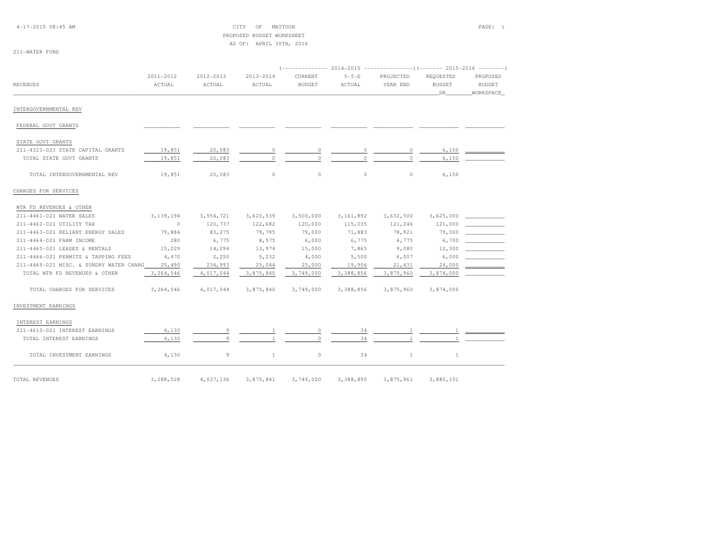4-17-2015 08:45 AM CITY OF MATTOON PAGE: 1 PROPOSED BUDGET WORKSHEETAS OF: APRIL 30TH, 2016

211-WATER FUND

| <b>REVENUES</b>                         | 2011-2012<br>ACTUAL | 2012-2013<br>ACTUAL | 2013-2014<br>ACTUAL | CURRENT<br><b>BUDGET</b> | $Y-T-D$<br>ACTUAL | PROJECTED<br>YEAR END | REQUESTED<br><b>BUDGET</b><br>DR | PROPOSED<br><b>BUDGET</b><br>WORKSPACE |
|-----------------------------------------|---------------------|---------------------|---------------------|--------------------------|-------------------|-----------------------|----------------------------------|----------------------------------------|
| INTERGOVERNMENTAL REV                   |                     |                     |                     |                          |                   |                       |                                  |                                        |
| FEDERAL GOVT GRANTS                     |                     |                     |                     |                          |                   |                       |                                  |                                        |
| STATE GOVT GRANTS                       |                     |                     |                     |                          |                   |                       |                                  |                                        |
| 211-4323-023 STATE CAPITAL GRANTS       | 19,851              | 20,083              | $\circ$             | $\circ$                  | 0                 | 0                     | 6,150                            |                                        |
| TOTAL STATE GOVT GRANTS                 | 19,851              | 20,083              | $\Omega$            | $\Omega$                 | $\Omega$          | $\Omega$              | 6,150                            |                                        |
| TOTAL INTERGOVERNMENTAL REV             | 19,851              | 20,083              | $\circ$             | $\circ$                  | $\circ$           | $\circ$               | 6,150                            |                                        |
| CHARGES FOR SERVICES                    |                     |                     |                     |                          |                   |                       |                                  |                                        |
| WTR FD REVENUES & OTHER                 |                     |                     |                     |                          |                   |                       |                                  |                                        |
| 211-4461-021 WATER SALES                | 3,139,194           | 3,554,721           | 3,620,539           | 3,500,000                | 3,161,892         | 3,632,500             | 3,625,000                        |                                        |
| 211-4462-021 UTILITY TAX                | $\sim$ 0            | 120,737             | 122,682             | 120,000                  | 115,035           | 121,246               | 121,000                          |                                        |
| 211-4463-021 RELIANT ENERGY SALES       | 79,884              | 83,275              | 79,795              | 79,000                   | 71,883            | 78,921                | 79,000                           |                                        |
| 211-4464-021 FARM INCOME                | 280                 | 6,775               | 8,575               | 6,000                    | 6,775             | 6,775                 | 6,700                            |                                        |
| 211-4465-021 LEASES & RENTALS           | 15,229              | 14,294              | 13,974              | 15,000                   | 7,865             | 9,080                 | 12,300                           |                                        |
| 211-4466-021 PERMITS & TAPPING FEES     | 4,470               | 2,250               | 5,232               | 4,000                    | 5,500             | 6,007                 | 6,000                            |                                        |
| 211-4469-021 MISC. & SUNDRY WATER CHARG | 25,490              | 234,993             | 25,044              | 25,000                   | 19,906            | 21,431                | 24,000                           | and the control of the control of      |
| TOTAL WTR FD REVENUES & OTHER           | 3, 264, 546         | 4,017,044           | 3,875,840           | 3,749,000                | 3,388,856         | 3,875,960             | 3,874,000                        |                                        |
| TOTAL CHARGES FOR SERVICES              | 3,264,546           | 4,017,044           | 3,875,840           | 3,749,000                | 3,388,856         | 3,875,960             | 3,874,000                        |                                        |
| INVESTMENT EARNINGS                     |                     |                     |                     |                          |                   |                       |                                  |                                        |
| INTEREST EARNINGS                       |                     |                     |                     |                          |                   |                       |                                  |                                        |
| 211-4610-021 INTEREST EARNINGS          | 4,130               |                     |                     | $\circ$                  | 34                |                       |                                  |                                        |
| TOTAL INTEREST EARNINGS                 | 4,130               |                     |                     | $\Omega$                 | 34                |                       |                                  |                                        |
| TOTAL INVESTMENT EARNINGS               | 4,130               | 9                   | 1                   | $\circ$                  | 34                | $\mathbf{1}$          | $\mathbf{1}$                     |                                        |
| TOTAL REVENUES                          | 3,288,528           | 4,037,136           | 3,875,841           | 3,749,000                | 3,388,890         | 3,875,961             | 3,880,151                        |                                        |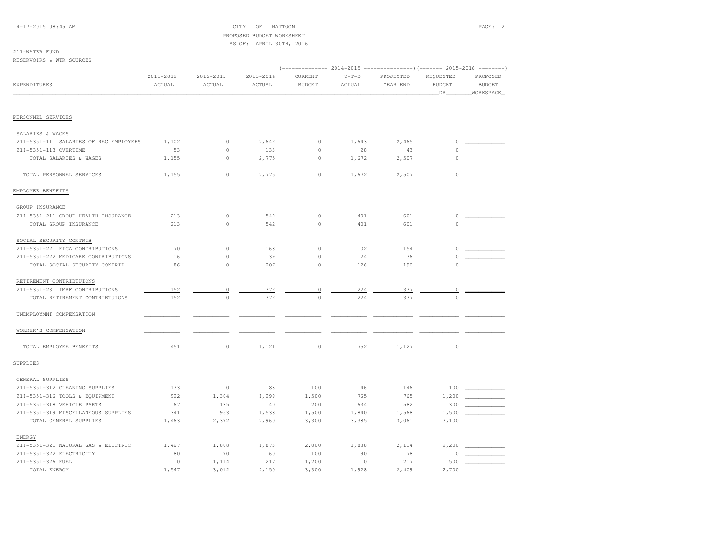4-17-2015 08:45 AM CITY OF MATTOON PAGE: 2 PROPOSED BUDGET WORKSHEETAS OF: APRIL 30TH, 2016

# 211-WATER FUND

RESERVOIRS & WTR SOURCES

|                                        |                     | $--- 2014-2015$<br>----------------) (------- 2015-2016 ---------) |                     |                          |                   |                       |                                  |                                         |  |
|----------------------------------------|---------------------|--------------------------------------------------------------------|---------------------|--------------------------|-------------------|-----------------------|----------------------------------|-----------------------------------------|--|
| EXPENDITURES                           | 2011-2012<br>ACTUAL | 2012-2013<br>ACTUAL                                                | 2013-2014<br>ACTUAL | CURRENT<br><b>BUDGET</b> | $Y-T-D$<br>ACTUAL | PROJECTED<br>YEAR END | REQUESTED<br><b>BUDGET</b><br>DR | PROPOSED<br><b>BUDGET</b><br>WORKSPACE_ |  |
|                                        |                     |                                                                    |                     |                          |                   |                       |                                  |                                         |  |
| PERSONNEL SERVICES                     |                     |                                                                    |                     |                          |                   |                       |                                  |                                         |  |
| SALARIES & WAGES                       |                     |                                                                    |                     |                          |                   |                       |                                  |                                         |  |
| 211-5351-111 SALARIES OF REG EMPLOYEES | 1,102               | $\circ$                                                            | 2,642               | $\circ$                  | 1,643             | 2,465                 | $\circ$                          |                                         |  |
| 211-5351-113 OVERTIME                  | 53                  | $\circ$                                                            | 133                 | $\circ$                  | 28                | 43                    | $\circ$                          |                                         |  |
| TOTAL SALARIES & WAGES                 | 1,155               | $\circ$                                                            | 2,775               | $\circ$                  | 1,672             | 2,507                 | $\Omega$                         |                                         |  |
| TOTAL PERSONNEL SERVICES               | 1,155               | $\circ$                                                            | 2,775               | $\circ$                  | 1,672             | 2,507                 | $\circ$                          |                                         |  |
| EMPLOYEE BENEFITS                      |                     |                                                                    |                     |                          |                   |                       |                                  |                                         |  |
| GROUP INSURANCE                        |                     |                                                                    |                     |                          |                   |                       |                                  |                                         |  |
| 211-5351-211 GROUP HEALTH INSURANCE    | 213                 | $\circ$                                                            | 542                 | 0                        | 401               | 601                   | 0                                |                                         |  |
| TOTAL GROUP INSURANCE                  | 213                 | $\Omega$                                                           | 542                 | $\Omega$                 | 401               | 601                   | $\cap$                           |                                         |  |
| SOCIAL SECURITY CONTRIB                |                     |                                                                    |                     |                          |                   |                       |                                  |                                         |  |
| 211-5351-221 FICA CONTRIBUTIONS        | 70                  | $\circ$                                                            | 168                 | $\circ$                  | 102               | 154                   | $\circ$                          |                                         |  |
| 211-5351-222 MEDICARE CONTRIBUTIONS    | 16                  | $\circ$                                                            | 39                  | $\mathbb O$              | 24                | 36                    | $\Omega$                         |                                         |  |
| TOTAL SOCIAL SECURITY CONTRIB          | 86                  | $\mathbf{0}$                                                       | 207                 | $\mathbf 0$              | 126               | 190                   |                                  |                                         |  |
| RETIREMENT CONTRIBTUIONS               |                     |                                                                    |                     |                          |                   |                       |                                  |                                         |  |
| 211-5351-231 IMRF CONTRIBUTIONS        | 152                 | $\circ$                                                            | 372                 | $\circ$                  | 224               | 337                   |                                  |                                         |  |
| TOTAL RETIREMENT CONTRIBTUIONS         | 152                 | $\Omega$                                                           | 372                 | $\Omega$                 | 224               | 337                   |                                  |                                         |  |
| UNEMPLOYMNT COMPENSATION               |                     |                                                                    |                     |                          |                   |                       |                                  |                                         |  |
| WORKER'S COMPENSATION                  |                     |                                                                    |                     |                          |                   |                       |                                  |                                         |  |
| TOTAL EMPLOYEE BENEFITS                | 451                 | $\circ$                                                            | 1,121               | $\circ$                  | 752               | 1,127                 | $\mathbb O$                      |                                         |  |
| SUPPLIES                               |                     |                                                                    |                     |                          |                   |                       |                                  |                                         |  |
| GENERAL SUPPLIES                       |                     |                                                                    |                     |                          |                   |                       |                                  |                                         |  |
| 211-5351-312 CLEANING SUPPLIES         | 133                 | $\circ$                                                            | 83                  | 100                      | 146               | 146                   | 100                              |                                         |  |
| 211-5351-316 TOOLS & EQUIPMENT         | 922                 | 1,304                                                              | 1,299               | 1,500                    | 765               | 765                   | 1,200                            |                                         |  |
| 211-5351-318 VEHICLE PARTS             | 67                  | 135                                                                | 40                  | 200                      | 634               | 582                   | 300                              |                                         |  |
| 211-5351-319 MISCELLANEOUS SUPPLIES    | 341                 | 953                                                                | 1,538               | 1,500                    | 1,840             | 1,568                 | 1,500                            |                                         |  |
| TOTAL GENERAL SUPPLIES                 | 1,463               | 2,392                                                              | 2,960               | 3,300                    | 3,385             | 3,061                 | 3,100                            |                                         |  |
| ENERGY                                 |                     |                                                                    |                     |                          |                   |                       |                                  |                                         |  |
| 211-5351-321 NATURAL GAS & ELECTRIC    | 1,467               | 1,808                                                              | 1,873               | 2,000                    | 1,838             | 2,114                 | 2,200                            |                                         |  |
| 211-5351-322 ELECTRICITY               | 80                  | 90                                                                 | 60                  | 100                      | 90                | 78                    |                                  |                                         |  |
| 211-5351-326 FUEL                      | $\circ$             | 1,114                                                              | 217                 | 1,200                    | $\circ$           | 217                   | 500                              |                                         |  |
| TOTAL ENERGY                           | 1,547               | 3,012                                                              | 2,150               | 3,300                    | 1,928             | 2,409                 | 2,700                            |                                         |  |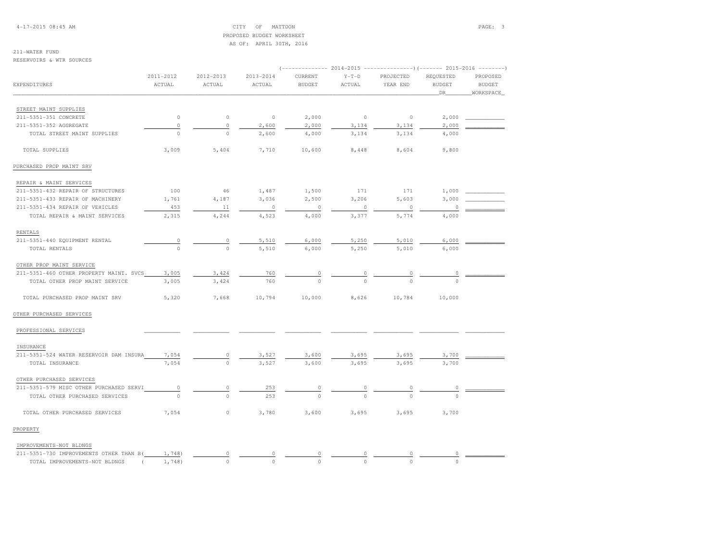4-17-2015 08:45 AM CITY OF MATTOON PAGE: 3 PROPOSED BUDGET WORKSHEETAS OF: APRIL 30TH, 2016

## 211-WATER FUND

RESERVOIRS & WTR SOURCES

|                                           | 2011-2012      | 2012-2013   | 2013-2014 | CURRENT       | $Y-T-D$        | PROJECTED      | REQUESTED     | PROPOSED      |
|-------------------------------------------|----------------|-------------|-----------|---------------|----------------|----------------|---------------|---------------|
| EXPENDITURES                              | ACTUAL         | ACTUAL      | ACTUAL    | <b>BUDGET</b> | ACTUAL         | YEAR END       | <b>BUDGET</b> | <b>BUDGET</b> |
|                                           |                |             |           |               |                |                | DR            | WORKSPACE     |
| STREET MAINT SUPPLIES                     |                |             |           |               |                |                |               |               |
| 211-5351-351 CONCRETE                     | $\circ$        | $\mathbb O$ | $\circ$   | 2,000         | $\circ$        | $\circ$        | 2,000         |               |
| 211-5351-352 AGGREGATE                    | $\circ$        | $\mathbb O$ | 2,600     | 2,000         | 3,134          | 3,134          | 2,000         |               |
| TOTAL STREET MAINT SUPPLIES               | $\circ$        | $\circ$     | 2,600     | 4,000         | 3,134          | 3,134          | 4,000         |               |
| TOTAL SUPPLIES                            | 3,009          | 5,404       | 7,710     | 10,600        | 8,448          | 8,604          | 9,800         |               |
| PURCHASED PROP MAINT SRV                  |                |             |           |               |                |                |               |               |
| REPAIR & MAINT SERVICES                   |                |             |           |               |                |                |               |               |
| 211-5351-432 REPAIR OF STRUCTURES         | 100            | 46          | 1,487     | 1,500         | 171            | 171            | 1,000         |               |
| 211-5351-433 REPAIR OF MACHINERY          | 1,761          | 4,187       | 3,036     | 2,500         | 3,206          | 5,603          | 3,000         |               |
| 211-5351-434 REPAIR OF VEHICLES           | 453            | 11          | $\circ$   | $\circ$       | $\overline{0}$ | $\circ$        | 0             |               |
| TOTAL REPAIR & MAINT SERVICES             | 2,315          | 4,244       | 4,523     | 4,000         | 3,377          | 5,774          | 4,000         |               |
| RENTALS                                   |                |             |           |               |                |                |               |               |
| 211-5351-440 EQUIPMENT RENTAL             | $\overline{0}$ | 0           | 5,510     | 6,000         | 5,250          | 5,010          | 6,000         |               |
| TOTAL RENTALS                             | $\Omega$       | $\Omega$    | 5,510     | 6,000         | 5,250          | 5,010          | 6,000         |               |
| OTHER PROP MAINT SERVICE                  |                |             |           |               |                |                |               |               |
| 211-5351-460 OTHER PROPERTY MAINT. SVCS   | 3,005          | 3,424       | 760       | $\circ$       | $\circ$        | $\overline{0}$ | $\theta$      |               |
| TOTAL OTHER PROP MAINT SERVICE            | 3,005          | 3,424       | 760       | $\Omega$      |                |                |               |               |
| TOTAL PURCHASED PROP MAINT SRV            | 5,320          | 7,668       | 10,794    | 10,000        | 8,626          | 10,784         | 10,000        |               |
| OTHER PURCHASED SERVICES                  |                |             |           |               |                |                |               |               |
| PROFESSIONAL SERVICES                     |                |             |           |               |                |                |               |               |
| INSURANCE                                 |                |             |           |               |                |                |               |               |
| 211-5351-524 WATER RESERVOIR DAM INSURA   | 7,054          |             | 3,527     | 3,600         | 3,695          | 3,695          | 3,700         |               |
| TOTAL INSURANCE                           | 7,054          | $\Omega$    | 3,527     | 3,600         | 3,695          | 3,695          | 3,700         |               |
| OTHER PURCHASED SERVICES                  |                |             |           |               |                |                |               |               |
| 211-5351-579 MISC OTHER PURCHASED SERVI   | $\circ$        |             | 253       |               |                |                |               |               |
| TOTAL OTHER PURCHASED SERVICES            |                | $\Omega$    | 253       |               |                |                |               |               |
| TOTAL OTHER PURCHASED SERVICES            | 7,054          | $\circ$     | 3,780     | 3,600         | 3,695          | 3,695          | 3,700         |               |
| PROPERTY                                  |                |             |           |               |                |                |               |               |
| IMPROVEMENTS-NOT BLDNGS                   |                |             |           |               |                |                |               |               |
| 211-5351-730 IMPROVEMENTS OTHER THAN B (  | 1,748)         | 0           |           |               |                |                |               |               |
| TOTAL IMPROVEMENTS-NOT BLDNGS<br>$\left($ | 1,748)         | $\Omega$    |           |               |                |                |               |               |
|                                           |                |             |           |               |                |                |               |               |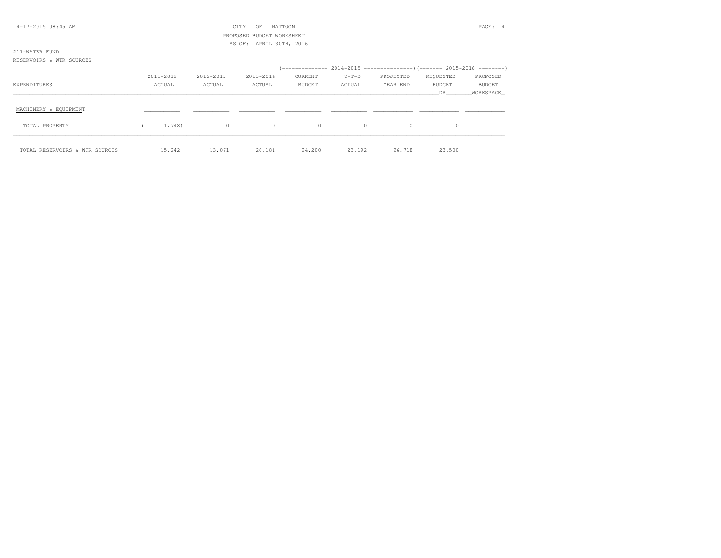| $4-17-2015$ 08:45 AM           |           |           | CITY<br>OF                | MATTOON       |         |           |               | PAGE: 4   |
|--------------------------------|-----------|-----------|---------------------------|---------------|---------|-----------|---------------|-----------|
|                                |           |           | PROPOSED BUDGET WORKSHEET |               |         |           |               |           |
|                                |           |           | AS OF: APRIL 30TH, 2016   |               |         |           |               |           |
| 211-WATER FUND                 |           |           |                           |               |         |           |               |           |
| RESERVOIRS & WTR SOURCES       |           |           |                           |               |         |           |               |           |
|                                |           |           |                           |               |         |           |               |           |
|                                | 2011-2012 | 2012-2013 | 2013-2014                 | CURRENT       | $Y-T-D$ | PROJECTED | REQUESTED     | PROPOSED  |
| EXPENDITURES                   | ACTUAL    | ACTUAL    | ACTUAL                    | <b>BUDGET</b> | ACTUAL  | YEAR END  | <b>BUDGET</b> | BUDGET    |
|                                |           |           |                           |               |         |           | DR            | WORKSPACE |
|                                |           |           |                           |               |         |           |               |           |
| MACHINERY & EQUIPMENT          |           |           |                           |               |         |           |               |           |
|                                |           |           |                           |               |         |           |               |           |
| TOTAL PROPERTY                 | 1,748)    | $\circ$   | $\circ$                   | $\circ$       | $\circ$ | $\circ$   | $\circ$       |           |
|                                |           |           |                           |               |         |           |               |           |
|                                |           |           |                           |               |         |           |               |           |
| TOTAL RESERVOIRS & WTR SOURCES | 15,242    | 13,071    | 26,181                    | 24,200        | 23,192  | 26,718    | 23,500        |           |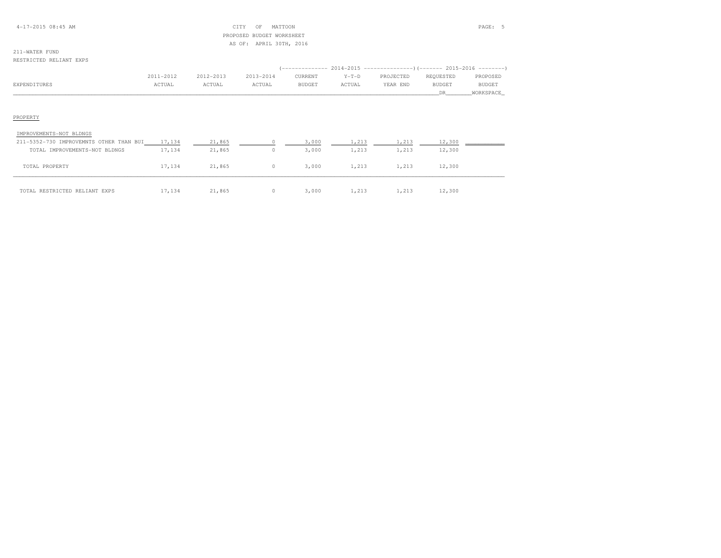#### 4-17-2015 08:45 AM CITY OF MATTOON PAGE: 5 PROPOSED BUDGET WORKSHEETAS OF: APRIL 30TH, 2016

#### RESTRICTED RELIANT EXPS

|              | 2011-2012 | 2012-2013 | 2013-2014 | CURRENT       | $Y-T-D$ | PROJECTED | REQUESTED     | PROPOSED      |
|--------------|-----------|-----------|-----------|---------------|---------|-----------|---------------|---------------|
| EXPENDITURES | ACTUAL    | ACTUAL    | ACTUAL    | <b>BUDGET</b> | ACTUAL  | YEAR END  | <b>BUDGET</b> | <b>BUDGET</b> |
|              |           |           |           |               |         |           |               | WORKSPACE_    |

### PROPERTY

| IMPROVEMENTS-NOT BLDNGS                 |        |        |       |       |       |        |  |
|-----------------------------------------|--------|--------|-------|-------|-------|--------|--|
| 211-5352-730 IMPROVEMNTS OTHER THAN BUI | 17,134 | 21,865 | 3,000 | 1,213 | 1,213 | 12,300 |  |
| TOTAL IMPROVEMENTS-NOT BLDNGS           | 17,134 | 21,865 | 3,000 | 1,213 | 1,213 | 12,300 |  |
| TOTAL PROPERTY                          | 17,134 | 21,865 | 3,000 | 1,213 | 1,213 | 12,300 |  |
| TOTAL RESTRICTED RELIANT EXPS           | 17,134 | 21,865 | 3,000 | 1,213 | 1,213 | 12,300 |  |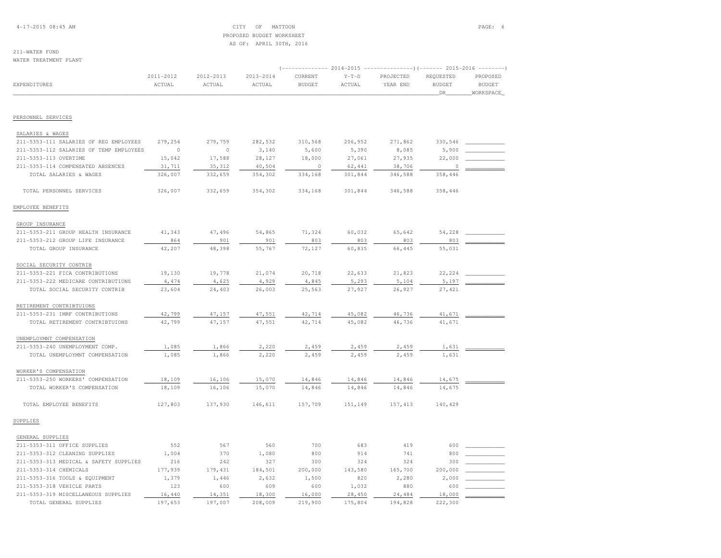4-17-2015 08:45 AM CITY OF MATTOON PAGE: 6 PROPOSED BUDGET WORKSHEETAS OF: APRIL 30TH, 2016

# 211-WATER FUND

WATER TREATMENT PLANT

|                                         |           |           |           | $---------2014-2015$<br>----------------) (------- 2015-2016 |         |           |               |               |  |  |
|-----------------------------------------|-----------|-----------|-----------|--------------------------------------------------------------|---------|-----------|---------------|---------------|--|--|
|                                         | 2011-2012 | 2012-2013 | 2013-2014 | CURRENT                                                      | $Y-T-D$ | PROJECTED | REQUESTED     | PROPOSED      |  |  |
| <b>EXPENDITURES</b>                     | ACTUAL    | ACTUAL    | ACTUAL    | <b>BUDGET</b>                                                | ACTUAL  | YEAR END  | <b>BUDGET</b> | <b>BUDGET</b> |  |  |
|                                         |           |           |           |                                                              |         |           | _DR_          | WORKSPACE_    |  |  |
| PERSONNEL SERVICES                      |           |           |           |                                                              |         |           |               |               |  |  |
|                                         |           |           |           |                                                              |         |           |               |               |  |  |
| SALARIES & WAGES                        |           |           |           |                                                              |         |           |               |               |  |  |
| 211-5353-111 SALARIES OF REG EMPLOYEES  | 279,254   | 279,759   | 282,532   | 310,568                                                      | 206,952 | 271,862   | 330,546       |               |  |  |
| 211-5353-112 SALARIES OF TEMP EMPLOYEES | $\circ$   | $\circ$   | 3,140     | 5,600                                                        | 5,390   | 8,085     | 5,900         |               |  |  |
| 211-5353-113 OVERTIME                   | 15,042    | 17,588    | 28,127    | 18,000                                                       | 27,061  | 27,935    | 22,000        |               |  |  |
| 211-5353-114 COMPENSATED ABSENCES       | 31,711    | 35, 312   | 40,504    | $\circ$                                                      | 62,441  | 38,706    | $\circ$       |               |  |  |
| TOTAL SALARIES & WAGES                  | 326,007   | 332,659   | 354,302   | 334,168                                                      | 301,844 | 346,588   | 358,446       |               |  |  |
| TOTAL PERSONNEL SERVICES                | 326,007   | 332,659   | 354,302   | 334,168                                                      | 301,844 | 346,588   | 358,446       |               |  |  |
| EMPLOYEE BENEFITS                       |           |           |           |                                                              |         |           |               |               |  |  |
| GROUP INSURANCE                         |           |           |           |                                                              |         |           |               |               |  |  |
| 211-5353-211 GROUP HEALTH INSURANCE     | 41,343    | 47,496    | 54,865    | 71,324                                                       | 60,032  | 65,642    | 54,228        |               |  |  |
| 211-5353-212 GROUP LIFE INSURANCE       | 864       | 901       | 901       | 803                                                          | 803     | 803       | 803           |               |  |  |
| TOTAL GROUP INSURANCE                   | 42,207    | 48,398    | 55,767    | 72,127                                                       | 60,835  | 66,445    | 55,031        |               |  |  |
| SOCIAL SECURITY CONTRIB                 |           |           |           |                                                              |         |           |               |               |  |  |
| 211-5353-221 FICA CONTRIBUTIONS         | 19,130    | 19,778    | 21,074    | 20,718                                                       | 22,633  | 21,823    | 22,224        |               |  |  |
| 211-5353-222 MEDICARE CONTRIBUTIONS     | 4,474     | 4,625     | 4,929     | 4,845                                                        | 5,293   | 5,104     | 5,197         |               |  |  |
| TOTAL SOCIAL SECURITY CONTRIB           | 23,604    | 24,403    | 26,003    | 25,563                                                       | 27,927  | 26,927    | 27,421        |               |  |  |
| RETIREMENT CONTRIBTUIONS                |           |           |           |                                                              |         |           |               |               |  |  |
| 211-5353-231 IMRF CONTRIBUTIONS         | 42,799    | 47,157    | 47,551    | 42,714                                                       | 45,082  | 46,736    | 41,671        |               |  |  |
| TOTAL RETIREMENT CONTRIBTUIONS          | 42,799    | 47,157    | 47,551    | 42,714                                                       | 45,082  | 46,736    | 41,671        |               |  |  |
|                                         |           |           |           |                                                              |         |           |               |               |  |  |
| UNEMPLOYMNT COMPENSATION                |           |           |           |                                                              |         |           |               |               |  |  |
| 211-5353-240 UNEMPLOYMENT COMP.         | 1,085     | 1,866     | 2,220     | 2,459                                                        | 2,459   | 2,459     | 1,631         |               |  |  |
| TOTAL UNEMPLOYMNT COMPENSATION          | 1,085     | 1,866     | 2,220     | 2,459                                                        | 2,459   | 2,459     | 1,631         |               |  |  |
| WORKER'S COMPENSATION                   |           |           |           |                                                              |         |           |               |               |  |  |
| 211-5353-250 WORKERS' COMPENSATION      | 18,109    | 16,106    | 15,070    | 14,846                                                       | 14,846  | 14,846    | 14,675        |               |  |  |
| TOTAL WORKER'S COMPENSATION             | 18,109    | 16,106    | 15,070    | 14,846                                                       | 14,846  | 14,846    | 14,675        |               |  |  |
| TOTAL EMPLOYEE BENEFITS                 | 127,803   | 137,930   | 146,611   | 157,709                                                      | 151,149 | 157, 413  | 140,429       |               |  |  |
| SUPPLIES                                |           |           |           |                                                              |         |           |               |               |  |  |
| GENERAL SUPPLIES                        |           |           |           |                                                              |         |           |               |               |  |  |
| 211-5353-311 OFFICE SUPPLIES            | 552       | 567       | 560       | 700                                                          | 683     | 419       | 600           |               |  |  |
| 211-5353-312 CLEANING SUPPLIES          | 1,004     | 370       | 1,080     | 800                                                          | 914     | 741       | 800           |               |  |  |
| 211-5353-313 MEDICAL & SAFETY SUPPLIES  | 216       | 242       | 327       | 300                                                          | 324     | 324       | 300           |               |  |  |
| 211-5353-314 CHEMICALS                  | 177,939   | 179,431   | 184,501   | 200,000                                                      | 143,580 | 165,700   | 200,000       |               |  |  |
| 211-5353-316 TOOLS & EQUIPMENT          | 1,379     | 1,446     | 2,632     | 1,500                                                        | 820     | 2,280     | 2,000         |               |  |  |
| 211-5353-318 VEHICLE PARTS              | 123       | 600       | 609       | 600                                                          | 1,032   | 880       | 600           |               |  |  |
| 211-5353-319 MISCELLANEOUS SUPPLIES     | 16,440    | 14,351    | 18,300    | 16,000                                                       | 28,450  | 24,484    | 18,000        |               |  |  |
| TOTAL GENERAL SUPPLIES                  | 197,653   | 197,007   | 208,009   | 219,900                                                      | 175,804 | 194,828   | 222,300       |               |  |  |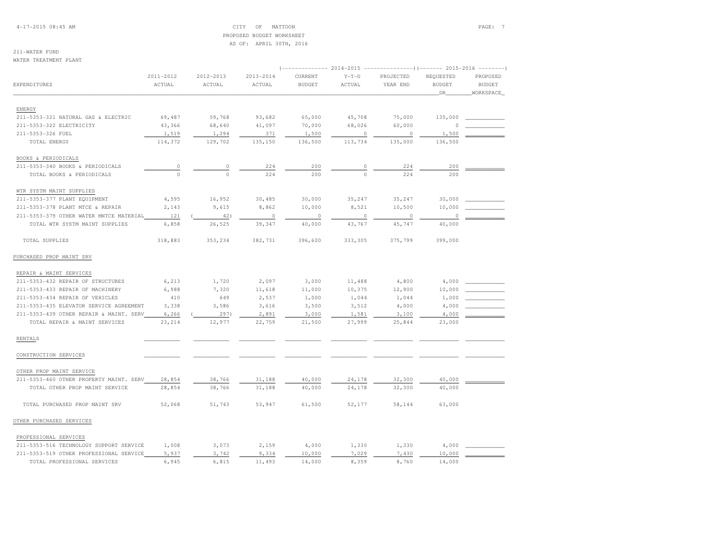4-17-2015 08:45 AM CITY OF MATTOON PAGE: 7 PROPOSED BUDGET WORKSHEETAS OF: APRIL 30TH, 2016

211-WATER FUNDWATER TREATMENT PLANT

| MAIBN INBAINBNI FBANI                   |                     |                     |                     |                          |                   |                       |                                  |                                        |  |  |  |  |
|-----------------------------------------|---------------------|---------------------|---------------------|--------------------------|-------------------|-----------------------|----------------------------------|----------------------------------------|--|--|--|--|
| EXPENDITURES                            | 2011-2012<br>ACTUAL | 2012-2013<br>ACTUAL | 2013-2014<br>ACTUAL | CURRENT<br><b>BUDGET</b> | $Y-T-D$<br>ACTUAL | PROJECTED<br>YEAR END | REQUESTED<br><b>BUDGET</b><br>DR | PROPOSED<br><b>BUDGET</b><br>WORKSPACE |  |  |  |  |
| ENERGY                                  |                     |                     |                     |                          |                   |                       |                                  |                                        |  |  |  |  |
| 211-5353-321 NATURAL GAS & ELECTRIC     | 69,487              | 59,768              | 93,682              | 65,000                   | 45,708            | 75,000                | 135,000                          |                                        |  |  |  |  |
| 211-5353-322 ELECTRICITY                | 43,366              | 68,640              | 41,097              | 70,000                   | 68,026            | 60,000                | $\Omega$                         |                                        |  |  |  |  |
| 211-5353-326 FUEL                       | 1,519               | 1,294               | 371                 | 1,500                    | $\circ$           | $\overline{0}$        | 1,500                            |                                        |  |  |  |  |
| TOTAL ENERGY                            | 114,372             | 129,702             | 135,150             | 136,500                  | 113,734           | 135,000               | 136,500                          |                                        |  |  |  |  |
| BOOKS & PERIODICALS                     |                     |                     |                     |                          |                   |                       |                                  |                                        |  |  |  |  |
| 211-5353-340 BOOKS & PERIODICALS        | $\circ$             | $\circ$             | 224                 | 200                      | 0                 | 224                   | 200                              |                                        |  |  |  |  |
| TOTAL BOOKS & PERIODICALS               | $\circ$             | $\circ$             | 224                 | 200                      | $\circ$           | 224                   | 200                              |                                        |  |  |  |  |
| WTR SYSTM MAINT SUPPLIES                |                     |                     |                     |                          |                   |                       |                                  |                                        |  |  |  |  |
| 211-5353-377 PLANT EQUIPMENT            | 4,595               | 16,952              | 30,485              | 30,000                   | 35,247            | 35,247                | 30,000                           |                                        |  |  |  |  |
| 211-5353-378 PLANT MTCE & REPAIR        | 2,143               | 9,615               | 8,862               | 10,000                   | 8,521             | 10,500                | 10,000                           |                                        |  |  |  |  |
| 211-5353-379 OTHER WATER MNTCE MATERIAL | 121                 | 42)                 | $\circ$             | $\circ$                  | $\circ$           | $\Omega$              | 0                                |                                        |  |  |  |  |
| TOTAL WTR SYSTM MAINT SUPPLIES          | 6,858               | 26,525              | 39,347              | 40,000                   | 43,767            | 45,747                | 40,000                           |                                        |  |  |  |  |
| TOTAL SUPPLIES                          | 318,883             | 353,234             | 382,731             | 396,600                  | 333,305           | 375,799               | 399,000                          |                                        |  |  |  |  |
| PURCHASED PROP MAINT SRV                |                     |                     |                     |                          |                   |                       |                                  |                                        |  |  |  |  |
| REPAIR & MAINT SERVICES                 |                     |                     |                     |                          |                   |                       |                                  |                                        |  |  |  |  |
| 211-5353-432 REPAIR OF STRUCTURES       | 6,213               | 1,720               | 2,097               | 3,000                    | 11,488            | 4,800                 | 4,000                            |                                        |  |  |  |  |
| 211-5353-433 REPAIR OF MACHINERY        | 6,988               | 7,320               | 11,618              | 11,000                   | 10,375            | 12,900                | 10,000                           |                                        |  |  |  |  |
| 211-5353-434 REPAIR OF VEHICLES         | 410                 | 649                 | 2,537               | 1,000                    | 1,044             | 1,044                 | 1,000                            |                                        |  |  |  |  |
| 211-5353-435 ELEVATOR SERVICE AGREEMENT | 3,338               | 3,586               | 3,616               | 3,500                    | 3,512             | 4,000                 | 4,000                            |                                        |  |  |  |  |
| 211-5353-439 OTHER REPAIR & MAINT. SERV | 6,266               | 297)                | 2,891               | 3,000                    | 1,581             | 3,100                 | 4,000                            |                                        |  |  |  |  |
| TOTAL REPAIR & MAINT SERVICES           | 23, 214             | 12,977              | 22,759              | 21,500                   | 27,999            | 25,844                | 23,000                           |                                        |  |  |  |  |
| <b>RENTALS</b>                          |                     |                     |                     |                          |                   |                       |                                  |                                        |  |  |  |  |
| CONSTRUCTION SERVICES                   |                     |                     |                     |                          |                   |                       |                                  |                                        |  |  |  |  |
| OTHER PROP MAINT SERVICE                |                     |                     |                     |                          |                   |                       |                                  |                                        |  |  |  |  |
| 211-5353-460 OTHER PROPERTY MAINT. SERV | 28,854              | 38,766              | 31,188              | 40,000                   | 24,178            | 32,300                | 40,000                           |                                        |  |  |  |  |
| TOTAL OTHER PROP MAINT SERVICE          | 28,854              | 38,766              | 31,188              | 40,000                   | 24,178            | 32,300                | 40,000                           |                                        |  |  |  |  |
| TOTAL PURCHASED PROP MAINT SRV          | 52,068              | 51,743              | 53,947              | 61,500                   | 52,177            | 58,144                | 63,000                           |                                        |  |  |  |  |
| OTHER PURCHASED SERVICES                |                     |                     |                     |                          |                   |                       |                                  |                                        |  |  |  |  |
| PROFESSIONAL SERVICES                   |                     |                     |                     |                          |                   |                       |                                  |                                        |  |  |  |  |
| 211-5353-516 TECHNOLOGY SUPPORT SERVICE | 1,008               | 3,073               | 2,159               | 4,000                    | 1,330             | 1,330                 | 4,000                            |                                        |  |  |  |  |
| 211-5353-519 OTHER PROFESSIONAL SERVICE | 5,937               | 3,742               | 9,334               | 10,000                   | 7,029             | 7,430                 | 10,000                           |                                        |  |  |  |  |
| TOTAL PROFESSIONAL SERVICES             | 6,945               | 6,815               | 11,493              | 14,000                   | 8,359             | 8,760                 | 14,000                           |                                        |  |  |  |  |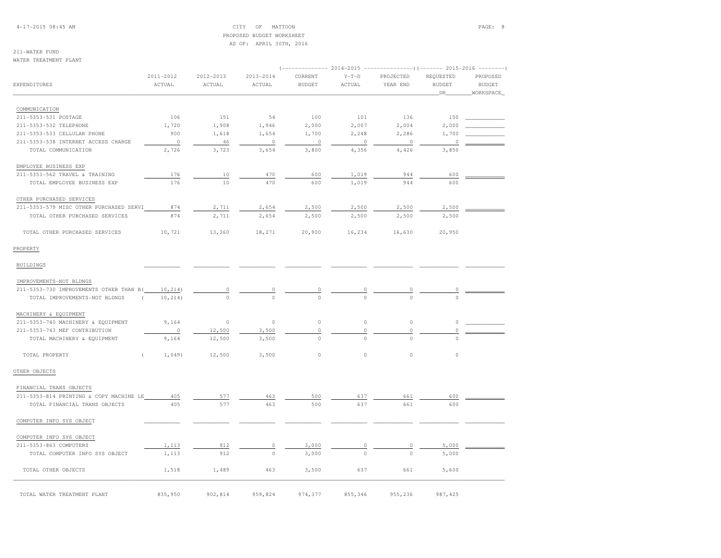4-17-2015 08:45 AM CITY OF MATTOON PAGE: 8 PROPOSED BUDGET WORKSHEETAS OF: APRIL 30TH, 2016

## 211-WATER FUND

WATER TREATMENT PLANT

|                                         | 2011-2012                 | 2012-2013      | 2013-2014 | CURRENT       | $Y-T-D$     | PROJECTED | REQUESTED     | PROPOSED      |
|-----------------------------------------|---------------------------|----------------|-----------|---------------|-------------|-----------|---------------|---------------|
| EXPENDITURES                            | ACTUAL                    | ACTUAL         | ACTUAL    | <b>BUDGET</b> | ACTUAL      | YEAR END  | <b>BUDGET</b> | <b>BUDGET</b> |
|                                         |                           |                |           |               |             |           | DR            | WORKSPACE     |
| COMMUNICATION                           |                           |                |           |               |             |           |               |               |
| 211-5353-531 POSTAGE                    | 106                       | 151            | 54        | 100           | 101         | 136       | 150           |               |
| 211-5353-532 TELEPHONE                  | 1,720                     | 1,908          | 1,946     | 2,000         | 2,007       | 2,004     | 2,000         |               |
| 211-5353-533 CELLULAR PHONE             | 900                       | 1,618          | 1,654     | 1,700         | 2,248       | 2,286     | 1,700         |               |
| 211-5353-538 INTERNET ACCESS CHARGE     | $\circ$                   | 46             | $\circ$   | $\circ$       | $\circ$     | $\circ$   | $\circ$       |               |
| TOTAL COMMUNICATION                     | 2,726                     | 3,723          | 3,654     | 3,800         | 4,356       | 4,426     | 3,850         |               |
| EMPLOYEE BUSINESS EXP                   |                           |                |           |               |             |           |               |               |
| 211-5353-562 TRAVEL & TRAINING          | 176                       | 10             | 470       | 600           | 1,019       | 944       | 600           |               |
| TOTAL EMPLOYEE BUSINESS EXP             | 176                       | 10             | 470       | 600           | 1,019       | 944       | 600           |               |
| OTHER PURCHASED SERVICES                |                           |                |           |               |             |           |               |               |
| 211-5353-579 MISC OTHER PURCHASED SERVI | 874                       | 2,711          | 2,654     | 2,500         | 2,500       | 2,500     | 2,500         |               |
| TOTAL OTHER PURCHASED SERVICES          | 874                       | 2,711          | 2,654     | 2,500         | 2,500       | 2,500     | 2,500         |               |
| TOTAL OTHER PURCHASED SERVICES          | 10,721                    | 13,260         | 18,271    | 20,900        | 16,234      | 16,630    | 20,950        |               |
| PROPERTY                                |                           |                |           |               |             |           |               |               |
| BUILDINGS                               |                           |                |           |               |             |           |               |               |
| IMPROVEMENTS-NOT BLDNGS                 |                           |                |           |               |             |           |               |               |
| 211-5353-730 IMPROVEMENTS OTHER THAN B( | 10, 214)                  | $\overline{0}$ |           |               |             |           |               |               |
| TOTAL IMPROVEMENTS-NOT BLDNGS           | 10, 214)<br>$\left($      | $\circ$        |           | $\frac{0}{0}$ |             |           |               |               |
| MACHINERY & EQUIPMENT                   |                           |                |           |               |             |           |               |               |
| 211-5353-740 MACHINERY & EQUIPMENT      | 9,164                     | $\circ$        | $\circ$   | $\circ$       | $\mathbb O$ | $\circ$   | 0             |               |
| 211-5353-743 MEF CONTRIBUTION           | $\circ$                   | 12,500         | 3,500     | $\mathbb O$   | 0           | 0         | 0             |               |
| TOTAL MACHINERY & EQUIPMENT             | 9,164                     | 12,500         | 3,500     | $\Omega$      | $\Omega$    | $\Omega$  | $\Omega$      |               |
| TOTAL PROPERTY                          | 1,049<br>$\overline{(\ }$ | 12,500         | 3,500     | $\circ$       | $\circ$     | $\circ$   | $\circ$       |               |
| OTHER OBJECTS                           |                           |                |           |               |             |           |               |               |
| FINANCIAL TRANS OBJECTS                 |                           |                |           |               |             |           |               |               |
| 211-5353-814 PRINTING & COPY MACHINE LE | 405                       | 577            | 463       | 500           | 637         | 661       | 600           |               |
| TOTAL FINANCIAL TRANS OBJECTS           | 405                       | 577            | 463       | 500           | 637         | 661       | 600           |               |
| COMPUTER INFO SYS OBJECT                |                           |                |           |               |             |           |               |               |
| COMPUTER INFO SYS OBJECT                |                           |                |           |               |             |           |               |               |
| 211-5353-863 COMPUTERS                  | 1,113                     | 912            | $\circ$   | 3,000         | 0           | 0         | 5,000         |               |
| TOTAL COMPUTER INFO SYS OBJECT          | 1,113                     | 912            | $\circ$   | 3,000         | $\circ$     | $\Omega$  | 5,000         |               |
| TOTAL OTHER OBJECTS                     | 1,518                     | 1,489          | 463       | 3,500         | 637         | 661       | 5,600         |               |
| TOTAL WATER TREATMENT PLANT             | 835,950                   | 902,814        | 959,824   | 974,377       | 855,346     | 955,236   | 987, 425      |               |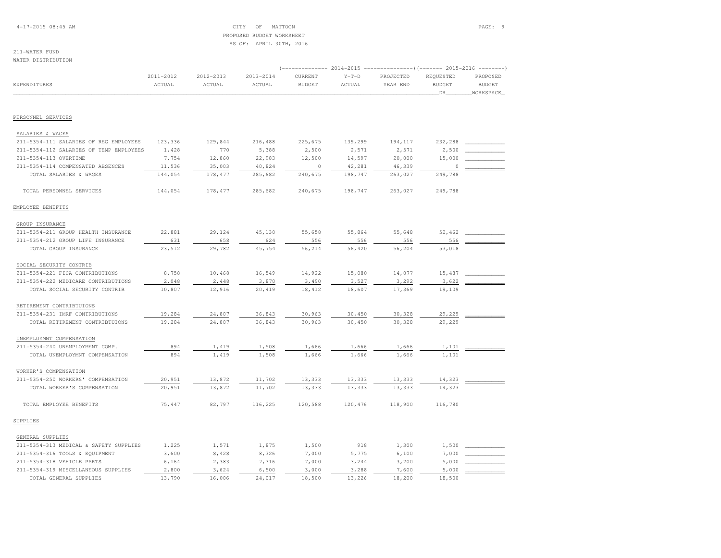#### 4-17-2015 08:45 AM CITY OF MATTOON PAGE: 9 PROPOSED BUDGET WORKSHEETAS OF: APRIL 30TH, 2016

# 211-WATER FUND

WATER DISTRIBUTION

|                                         |           |           |           |                          |                   | (------------- 2014-2015 ----------------)(------- 2015-2016 --------) |                            |                           |
|-----------------------------------------|-----------|-----------|-----------|--------------------------|-------------------|------------------------------------------------------------------------|----------------------------|---------------------------|
| <b>EXPENDITURES</b>                     | 2011-2012 | 2012-2013 | 2013-2014 | CURRENT<br><b>BUDGET</b> | $Y-T-D$<br>ACTUAL | PROJECTED                                                              | REQUESTED<br><b>BUDGET</b> | PROPOSED<br><b>BUDGET</b> |
|                                         | ACTUAL    | ACTUAL    | ACTUAL    |                          |                   | YEAR END                                                               | DR.                        | WORKSPACE                 |
|                                         |           |           |           |                          |                   |                                                                        |                            |                           |
| PERSONNEL SERVICES                      |           |           |           |                          |                   |                                                                        |                            |                           |
| SALARIES & WAGES                        |           |           |           |                          |                   |                                                                        |                            |                           |
| 211-5354-111 SALARIES OF REG EMPLOYEES  | 123,336   | 129,844   | 216,488   | 225,675                  | 139,299           | 194,117                                                                | 232,288                    |                           |
| 211-5354-112 SALARIES OF TEMP EMPLOYEES | 1,428     | 770       | 5,388     | 2,500                    | 2,571             | 2,571                                                                  | 2,500                      |                           |
| 211-5354-113 OVERTIME                   | 7,754     | 12,860    | 22,983    | 12,500                   | 14,597            | 20,000                                                                 | 15,000                     |                           |
| 211-5354-114 COMPENSATED ABSENCES       | 11,536    | 35,003    | 40,824    | $\circ$                  | 42,281            | 46,339                                                                 | $\circ$                    |                           |
| TOTAL SALARIES & WAGES                  | 144,054   | 178, 477  | 285,682   | 240,675                  | 198,747           | 263,027                                                                | 249,788                    |                           |
| TOTAL PERSONNEL SERVICES                | 144,054   | 178,477   | 285,682   | 240,675                  | 198,747           | 263,027                                                                | 249,788                    |                           |
| EMPLOYEE BENEFITS                       |           |           |           |                          |                   |                                                                        |                            |                           |
| GROUP INSURANCE                         |           |           |           |                          |                   |                                                                        |                            |                           |
| 211-5354-211 GROUP HEALTH INSURANCE     | 22,881    | 29,124    | 45,130    | 55,658                   | 55,864            | 55,648                                                                 | 52,462                     |                           |
| 211-5354-212 GROUP LIFE INSURANCE       | 631       | 658       | 624       | 556                      | 556               | 556                                                                    | 556                        |                           |
| TOTAL GROUP INSURANCE                   | 23,512    | 29,782    | 45,754    | 56,214                   | 56,420            | 56,204                                                                 | 53,018                     |                           |
| SOCIAL SECURITY CONTRIB                 |           |           |           |                          |                   |                                                                        |                            |                           |
| 211-5354-221 FICA CONTRIBUTIONS         | 8,758     | 10,468    | 16,549    | 14,922                   | 15,080            | 14,077                                                                 | 15,487                     |                           |
| 211-5354-222 MEDICARE CONTRIBUTIONS     | 2,048     | 2,448     | 3,870     | 3,490                    | 3,527             | 3,292                                                                  | 3,622                      |                           |
| TOTAL SOCIAL SECURITY CONTRIB           | 10,807    | 12,916    | 20,419    | 18,412                   | 18,607            | 17,369                                                                 | 19,109                     |                           |
| RETIREMENT CONTRIBTUIONS                |           |           |           |                          |                   |                                                                        |                            |                           |
| 211-5354-231 IMRF CONTRIBUTIONS         | 19,284    | 24,807    | 36,843    | 30,963                   | 30,450            | 30,328                                                                 | 29,229                     |                           |
| TOTAL RETIREMENT CONTRIBTUIONS          | 19,284    | 24,807    | 36,843    | 30,963                   | 30,450            | 30,328                                                                 | 29,229                     |                           |
| UNEMPLOYMNT COMPENSATION                |           |           |           |                          |                   |                                                                        |                            |                           |
| 211-5354-240 UNEMPLOYMENT COMP.         | 894       | 1,419     | 1,508     | 1,666                    | 1,666             | 1,666                                                                  | 1,101                      |                           |
| TOTAL UNEMPLOYMNT COMPENSATION          | 894       | 1,419     | 1,508     | 1,666                    | 1,666             | 1,666                                                                  | 1,101                      |                           |
| WORKER'S COMPENSATION                   |           |           |           |                          |                   |                                                                        |                            |                           |
| 211-5354-250 WORKERS' COMPENSATION      | 20,951    | 13,872    | 11,702    | 13,333                   | 13,333            | 13,333                                                                 | 14,323                     |                           |
| TOTAL WORKER'S COMPENSATION             | 20,951    | 13,872    | 11,702    | 13,333                   | 13,333            | 13,333                                                                 | 14,323                     |                           |
| TOTAL EMPLOYEE BENEFITS                 | 75,447    | 82,797    | 116,225   | 120,588                  | 120,476           | 118,900                                                                | 116,780                    |                           |
| SUPPLIES                                |           |           |           |                          |                   |                                                                        |                            |                           |
| GENERAL SUPPLIES                        |           |           |           |                          |                   |                                                                        |                            |                           |
| 211-5354-313 MEDICAL & SAFETY SUPPLIES  | 1,225     | 1,571     | 1,875     | 1,500                    | 918               | 1,300                                                                  | 1,500                      |                           |
| 211-5354-316 TOOLS & EQUIPMENT          | 3,600     | 8,428     | 8,326     | 7,000                    | 5,775             | 6,100                                                                  | 7,000                      |                           |
| 211-5354-318 VEHICLE PARTS              | 6,164     | 2,383     | 7,316     | 7,000                    | 3,244             | 3,200                                                                  | 5,000                      |                           |
| 211-5354-319 MISCELLANEOUS SUPPLIES     | 2,800     | 3,624     | 6,500     | 3,000                    | 3,288             | 7,600                                                                  | 5,000                      |                           |
| TOTAL GENERAL SUPPLIES                  | 13,790    | 16,006    | 24,017    | 18,500                   | 13,226            | 18,200                                                                 | 18,500                     |                           |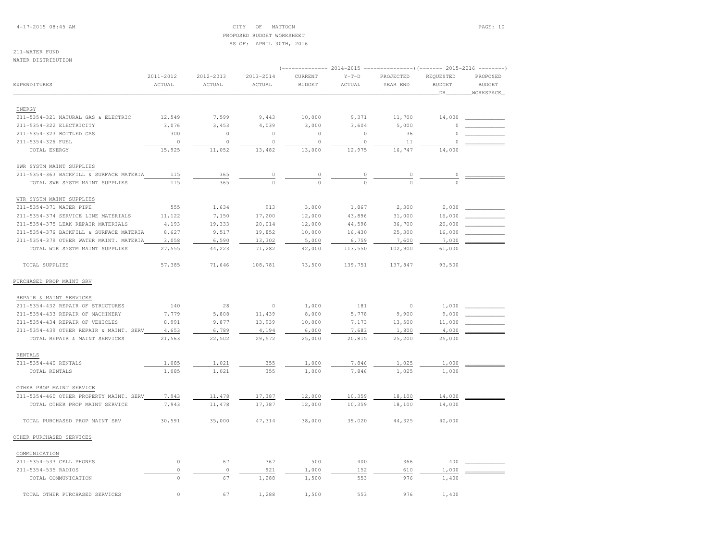4-17-2015 08:45 AM CITY OF MATTOON PAGE: 10 PROPOSED BUDGET WORKSHEETAS OF: APRIL 30TH, 2016

# 211-WATER FUND

WATER DISTRIBUTION

|                                         |                     |                     |                         |                          |                   |                       | $2014-2015$ ----------------)(------- 2015-2016 | $- - - - - - - -$         |
|-----------------------------------------|---------------------|---------------------|-------------------------|--------------------------|-------------------|-----------------------|-------------------------------------------------|---------------------------|
| EXPENDITURES                            | 2011-2012<br>ACTUAL | 2012-2013<br>ACTUAL | $2013 - 2014$<br>ACTUAL | CURRENT<br><b>BUDGET</b> | $Y-T-D$<br>ACTUAL | PROJECTED<br>YEAR END | REQUESTED<br><b>BUDGET</b>                      | PROPOSED<br><b>BUDGET</b> |
|                                         |                     |                     |                         |                          |                   |                       | _DR_                                            | WORKSPACE                 |
| ENERGY                                  |                     |                     |                         |                          |                   |                       |                                                 |                           |
| 211-5354-321 NATURAL GAS & ELECTRIC     | 12,549              | 7,599               | 9,443                   | 10,000                   | 9,371             | 11,700                | 14,000                                          |                           |
| 211-5354-322 ELECTRICITY                | 3,076               | 3,453               | 4,039                   | 3,000                    | 3,604             | 5,000                 | $\Omega$                                        |                           |
| 211-5354-323 BOTTLED GAS                | 300                 | $\circ$             | $\circ$                 | $\circ$                  | $\circ$           | 36                    | $\Omega$                                        |                           |
| 211-5354-326 FUEL                       | $\circ$             | $\mathbb O$         | $\circ$                 | $\circ$                  | $\circ$           | 11                    | $\mathbf 0$                                     |                           |
| TOTAL ENERGY                            | 15,925              | 11,052              | 13,482                  | 13,000                   | 12,975            | 16,747                | 14,000                                          |                           |
| SWR SYSTM MAINT SUPPLIES                |                     |                     |                         |                          |                   |                       |                                                 |                           |
| 211-5354-363 BACKFILL & SURFACE MATERIA | 115                 | 365                 | $\circ$                 | $\mathbb O$              | 0                 | 0                     | $\mathbb O$                                     |                           |
| TOTAL SWR SYSTM MAINT SUPPLIES          | 115                 | 365                 | $\Omega$                | $\Omega$                 | $\Omega$          | $\cap$                | $\Omega$                                        |                           |
| WTR SYSTM MAINT SUPPLIES                |                     |                     |                         |                          |                   |                       |                                                 |                           |
| 211-5354-371 WATER PIPE                 | 555                 | 1,634               | 913                     | 3,000                    | 1,867             | 2,300                 | 2,000                                           |                           |
| 211-5354-374 SERVICE LINE MATERIALS     | 11,122              | 7,150               | 17,200                  | 12,000                   | 43,896            | 31,000                | 16,000                                          |                           |
| 211-5354-375 LEAK REPAIR MATERIALS      | 4,193               | 19,333              | 20,014                  | 12,000                   | 44,598            | 36,700                | 20,000                                          |                           |
| 211-5354-376 BACKFILL & SURFACE MATERIA | 8,627               | 9,517               | 19,852                  | 10,000                   | 16,430            | 25,300                | 16,000                                          |                           |
| 211-5354-379 OTHER WATER MAINT. MATERIA | 3,058               | 6,590               | 13,302                  | 5,000                    | 6,759             | 7,600                 | 7,000                                           |                           |
| TOTAL WTR SYSTM MAINT SUPPLIES          | 27,555              | 44,223              | 71,282                  | 42,000                   | 113,550           | 102,900               | 61,000                                          |                           |
| TOTAL SUPPLIES                          | 57,385              | 71,646              | 108,781                 | 73,500                   | 139,751           | 137,847               | 93,500                                          |                           |
| PURCHASED PROP MAINT SRV                |                     |                     |                         |                          |                   |                       |                                                 |                           |
| REPAIR & MAINT SERVICES                 |                     |                     |                         |                          |                   |                       |                                                 |                           |
| 211-5354-432 REPAIR OF STRUCTURES       | 140                 | 28                  | $\circ$                 | 1,000                    | 181               | $\circ$               | 1,000                                           |                           |
| 211-5354-433 REPAIR OF MACHINERY        | 7,779               | 5,808               | 11,439                  | 8,000                    | 5,778             | 9,900                 | 9,000                                           |                           |
| 211-5354-434 REPAIR OF VEHICLES         | 8,991               | 9,877               | 13,939                  | 10,000                   | 7,173             | 13,500                | 11,000                                          |                           |
| 211-5354-439 OTHER REPAIR & MAINT. SERV | 4,653               | 6,789               | 4,194                   | 6,000                    | 7,683             | 1,800                 | 4,000                                           |                           |
| TOTAL REPAIR & MAINT SERVICES           | 21,563              | 22,502              | 29,572                  | 25,000                   | 20,815            | 25,200                | 25,000                                          |                           |
| <b>RENTALS</b>                          |                     |                     |                         |                          |                   |                       |                                                 |                           |
| 211-5354-440 RENTALS                    | 1,085               | 1,021               | 355                     | 1,000                    | 7,846             | 1,025                 | 1,000                                           |                           |
| TOTAL RENTALS                           | 1,085               | 1,021               | 355                     | 1,000                    | 7,846             | 1,025                 | 1,000                                           |                           |
| OTHER PROP MAINT SERVICE                |                     |                     |                         |                          |                   |                       |                                                 |                           |
| 211-5354-460 OTHER PROPERTY MAINT. SERV | 7,943               | 11,478              | 17,387                  | 12,000                   | 10,359            | 18,100                | 14,000                                          |                           |
| TOTAL OTHER PROP MAINT SERVICE          | 7.943               | 11,478              | 17,387                  | 12,000                   | 10,359            | 18,100                | 14,000                                          |                           |
| TOTAL PURCHASED PROP MAINT SRV          | 30,591              | 35,000              | 47,314                  | 38,000                   | 39,020            | 44,325                | 40,000                                          |                           |
| OTHER PURCHASED SERVICES                |                     |                     |                         |                          |                   |                       |                                                 |                           |
| COMMUNICATION                           |                     |                     |                         |                          |                   |                       |                                                 |                           |
| 211-5354-533 CELL PHONES                | $\mathbb O$         | 67                  | 367                     | 500                      | 400               | 366                   | 400                                             |                           |
| 211-5354-535 RADIOS                     | $\circ$             | $\circ$             | 921                     | 1,000                    | 152               | 610                   | 1,000                                           |                           |
| TOTAL COMMUNICATION                     | $\mathbb O$         | 67                  | 1,288                   | 1,500                    | 553               | 976                   | 1,400                                           |                           |
| TOTAL OTHER PURCHASED SERVICES          | $\Omega$            | 67                  | 1,288                   | 1,500                    | 553               | 976                   | 1,400                                           |                           |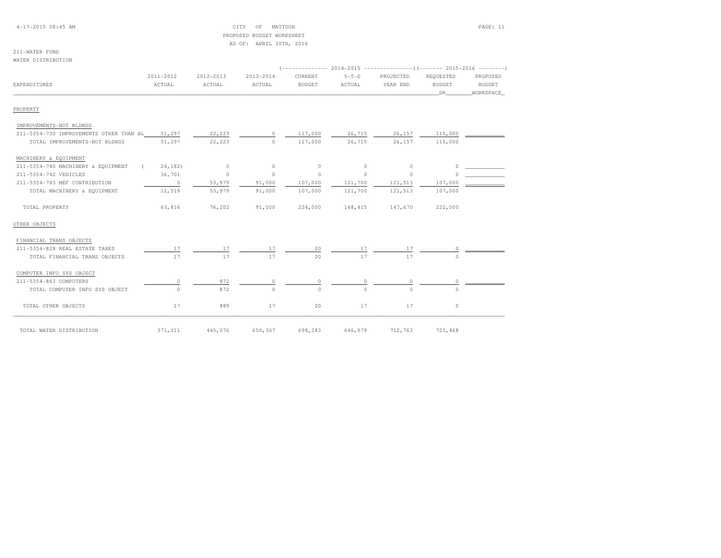#### 4-17-2015 08:45 AM CITY OF MATTOON PAGE: 11 PROPOSED BUDGET WORKSHEETAS OF: APRIL 30TH, 2016

#### 211-WATER FUNDWATER DISTRIBUTION

 (-------------- 2014-2015 ---------------)(------- 2015-2016 --------) 2011-2012 2012-2013 2013-2014 CURRENT Y-T-D PROJECTED REQUESTED PROPOSED**BUDGET** EXPENDITURES ACTUAL ACTUAL ACTUAL BUDGET ACTUAL YEAR END BUDGET BUDGETWORKSPACE \_\_\_\_\_\_\_\_\_\_\_\_\_\_\_\_\_\_\_\_\_\_\_\_\_\_\_\_\_\_\_\_\_\_\_\_\_\_\_\_\_\_\_\_\_\_\_\_\_\_\_\_\_\_\_\_\_\_\_\_\_\_\_\_\_\_\_\_\_\_\_\_\_\_\_\_\_\_\_\_\_\_\_\_\_\_\_\_\_\_\_\_\_\_\_\_\_\_\_\_\_\_\_\_\_\_\_\_\_\_\_\_\_\_\_\_\_\_\_\_\_\_\_\_\_\_\_\_\_\_DR\_\_\_\_\_\_\_\_WORKSPACE\_PROPERTY IMPROVEMENTS-NOT BLDNGS 211-5354-730 IMPROVEMENTS OTHER THAN BL 51,297 22,223 0 117,000 26,715 26,157 115,000 \_\_\_\_\_\_\_\_\_\_\_\_TOTAL IMPROVEMENTS-NOT BLDNGS 51,297 22,223 0 0 117,000 26,715 26,157 115,000<br>TOTAL IMPROVEMENTS-NOT BLDNGS 51,297 22,223 0 0 117,000 26,715 26,157 115,000 MACHINERY & EQUIPMENT 211-5354-740 MACHINERY & EQUIPMENT ( 24,182) 0 0 0 0 0 0 \_\_\_\_\_\_\_\_\_\_\_\_ $\begin{array}{ccc} 0 & \begin{array}{ccc} \end{array} & \begin{array}{ccc} \end{array} & \begin{array}{ccc} \end{array} & \begin{array}{ccc} \end{array} & \begin{array}{ccc} \end{array} & \begin{array}{ccc} \end{array} & \begin{array}{ccc} \end{array} & \begin{array}{ccc} \end{array} & \begin{array}{ccc} \end{array} & \begin{array}{ccc} \end{array} & \begin{array}{ccc} \end{array} & \begin{array}{ccc} \end{array} & \begin{array}{ccc} \end{array} & \begin{array}{ccc} \end{array} & \begin{array}{ccc} \end{array} & \begin{array}{ccc} \end{array} & \begin$ 211-5354-742 VEHICLES 36,701 0 0 0 0 0 0 0 211-5354-743 MEF CONTRIBUTION 0 53,979 91,000 107,000 121,700 121,513 TOTAL MACHINERY & EQUIPMENT 12,519 53,979 91,000 107,000 121,700 121,513 107,000 TOTAL PROPERTY 63,816 76,202 91,000 224,000 148,415 147,670 222,000OTHER OBJECTS FINANCIAL TRANS OBJECTS211-5354-828 REAL ESTATE TAXES 211-5354-828 REAL ESTATE TAXES 17 17 20 17 17 0 \_\_\_\_\_\_\_\_\_\_\_\_\_\_\_\_\_ TOTAL FINANCIAL TRANS OBJECTS 17 17 17 20 17 17 0 COMPUTER INFO SYS OBJECT 211-5354-863 COMPUTERS 0 872 0 0 0 0 0 \_\_\_\_\_\_\_\_\_\_\_\_TOTAL COMPUTER INFO SYS OBJECT TOTAL OTHER OBJECTS 17 889 17 20 17 17 01071 12,763 723,468<br>TOTAL WATER DISTRIBUTION 123,468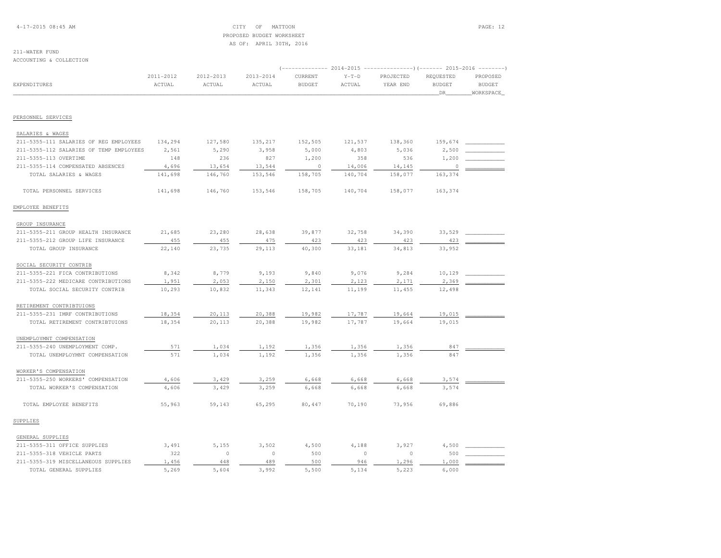4-17-2015 08:45 AM CITY OF MATTOON PAGE: 12 PROPOSED BUDGET WORKSHEETAS OF: APRIL 30TH, 2016

#### 211-WATER FUNDACCOUNTING & COLLECTION

|                                         |           |           |           |               |         | (-------------- 2014-2015 ----------------) (------- 2015-2016 --------) |                       |                            |  |
|-----------------------------------------|-----------|-----------|-----------|---------------|---------|--------------------------------------------------------------------------|-----------------------|----------------------------|--|
|                                         | 2011-2012 | 2012-2013 | 2013-2014 | CURRENT       | $Y-T-D$ | PROJECTED                                                                | REQUESTED             | PROPOSED                   |  |
| <b>EXPENDITURES</b>                     | ACTUAL    | ACTUAL    | ACTUAL    | <b>BUDGET</b> | ACTUAL  | YEAR END                                                                 | <b>BUDGET</b><br>_DR_ | <b>BUDGET</b><br>WORKSPACE |  |
|                                         |           |           |           |               |         |                                                                          |                       |                            |  |
| PERSONNEL SERVICES                      |           |           |           |               |         |                                                                          |                       |                            |  |
| SALARIES & WAGES                        |           |           |           |               |         |                                                                          |                       |                            |  |
| 211-5355-111 SALARIES OF REG EMPLOYEES  | 134,294   | 127,580   | 135,217   | 152,505       | 121,537 | 138,360                                                                  | 159,674               |                            |  |
| 211-5355-112 SALARIES OF TEMP EMPLOYEES | 2,561     | 5,290     | 3,958     | 5,000         | 4,803   | 5,036                                                                    | 2,500                 |                            |  |
| 211-5355-113 OVERTIME                   | 148       | 236       | 827       | 1,200         | 358     | 536                                                                      | 1,200                 |                            |  |
| 211-5355-114 COMPENSATED ABSENCES       | 4,696     | 13,654    | 13,544    | $\circ$       | 14,006  | 14,145                                                                   | $\circ$               |                            |  |
| TOTAL SALARIES & WAGES                  | 141,698   | 146,760   | 153,546   | 158,705       | 140,704 | 158,077                                                                  | 163,374               |                            |  |
| TOTAL PERSONNEL SERVICES                | 141,698   | 146,760   | 153,546   | 158,705       | 140,704 | 158,077                                                                  | 163,374               |                            |  |
| EMPLOYEE BENEFITS                       |           |           |           |               |         |                                                                          |                       |                            |  |
| GROUP INSURANCE                         |           |           |           |               |         |                                                                          |                       |                            |  |
| 211-5355-211 GROUP HEALTH INSURANCE     | 21,685    | 23,280    | 28,638    | 39,877        | 32,758  | 34,390                                                                   | 33,529                |                            |  |
| 211-5355-212 GROUP LIFE INSURANCE       | 455       | 455       | 475       | 423           | 423     | 423                                                                      | 423                   |                            |  |
| TOTAL GROUP INSURANCE                   | 22,140    | 23,735    | 29,113    | 40,300        | 33,181  | 34,813                                                                   | 33,952                |                            |  |
| SOCIAL SECURITY CONTRIB                 |           |           |           |               |         |                                                                          |                       |                            |  |
| 211-5355-221 FICA CONTRIBUTIONS         | 8,342     | 8,779     | 9,193     | 9,840         | 9,076   | 9,284                                                                    | 10,129                |                            |  |
| 211-5355-222 MEDICARE CONTRIBUTIONS     | 1,951     | 2,053     | 2,150     | 2,301         | 2,123   | 2,171                                                                    | 2,369                 |                            |  |
| TOTAL SOCIAL SECURITY CONTRIB           | 10,293    | 10,832    | 11,343    | 12,141        | 11,199  | 11,455                                                                   | 12,498                |                            |  |
| RETIREMENT CONTRIBTUIONS                |           |           |           |               |         |                                                                          |                       |                            |  |
| 211-5355-231 IMRF CONTRIBUTIONS         | 18,354    | 20,113    | 20,388    | 19,982        | 17,787  | 19,664                                                                   | 19,015                |                            |  |
| TOTAL RETIREMENT CONTRIBTUIONS          | 18,354    | 20,113    | 20,388    | 19,982        | 17,787  | 19,664                                                                   | 19,015                |                            |  |
| UNEMPLOYMNT COMPENSATION                |           |           |           |               |         |                                                                          |                       |                            |  |
| 211-5355-240 UNEMPLOYMENT COMP.         | 571       | 1,034     | 1,192     | 1,356         | 1,356   | 1,356                                                                    | 847                   |                            |  |
| TOTAL UNEMPLOYMNT COMPENSATION          | 571       | 1,034     | 1,192     | 1,356         | 1,356   | 1,356                                                                    | 847                   |                            |  |
| WORKER'S COMPENSATION                   |           |           |           |               |         |                                                                          |                       |                            |  |
| 211-5355-250 WORKERS' COMPENSATION      | 4,606     | 3,429     | 3,259     | 6,668         | 6,668   | 6,668                                                                    | 3,574                 |                            |  |
| TOTAL WORKER'S COMPENSATION             | 4,606     | 3,429     | 3,259     | 6,668         | 6,668   | 6,668                                                                    | 3,574                 |                            |  |
| TOTAL EMPLOYEE BENEFITS                 | 55,963    | 59,143    | 65,295    | 80,447        | 70,190  | 73,956                                                                   | 69,886                |                            |  |
| SUPPLIES                                |           |           |           |               |         |                                                                          |                       |                            |  |
| GENERAL SUPPLIES                        |           |           |           |               |         |                                                                          |                       |                            |  |
| 211-5355-311 OFFICE SUPPLIES            | 3,491     | 5,155     | 3,502     | 4,500         | 4,188   | 3,927                                                                    | 4,500                 |                            |  |
| 211-5355-318 VEHICLE PARTS              | 322       | $\circ$   | $\circ$   | 500           | $\circ$ | $\circ$                                                                  | 500                   |                            |  |
| 211-5355-319 MISCELLANEOUS SUPPLIES     | 1,456     | 448       | 489       | 500           | 946     | 1,296                                                                    | 1,000                 |                            |  |
| TOTAL GENERAL SUPPLIES                  | 5,269     | 5,604     | 3,992     | 5,500         | 5,134   | 5,223                                                                    | 6,000                 |                            |  |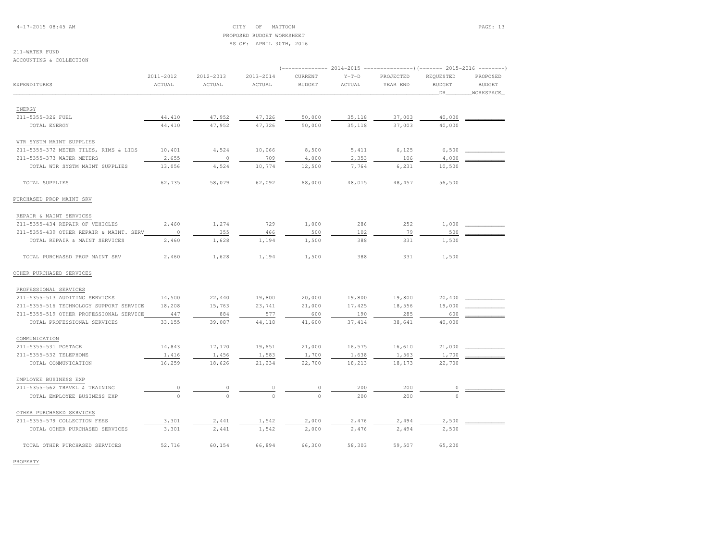4-17-2015 08:45 AM CITY OF MATTOON PAGE: 13 PROPOSED BUDGET WORKSHEETAS OF: APRIL 30TH, 2016

# 211-WATER FUND

ACCOUNTING & COLLECTION

|                                         |                |           |           |               | ------------        2014-2015 ---------------------        2015-2016 ----------- |           |               |               |  |
|-----------------------------------------|----------------|-----------|-----------|---------------|----------------------------------------------------------------------------------|-----------|---------------|---------------|--|
|                                         | 2011-2012      | 2012-2013 | 2013-2014 | CURRENT       | $Y-T-D$                                                                          | PROJECTED | REQUESTED     | PROPOSED      |  |
| EXPENDITURES                            | ACTUAL         | ACTUAL    | ACTUAL    | <b>BUDGET</b> | ACTUAL                                                                           | YEAR END  | <b>BUDGET</b> | <b>BUDGET</b> |  |
|                                         |                |           |           |               |                                                                                  |           | DR            | WORKSPACE     |  |
| ENERGY                                  |                |           |           |               |                                                                                  |           |               |               |  |
| 211-5355-326 FUEL                       | 44,410         | 47,952    | 47,326    | 50,000        | 35,118                                                                           | 37,003    | 40,000        |               |  |
| TOTAL ENERGY                            | 44,410         | 47,952    | 47,326    | 50,000        | 35,118                                                                           | 37,003    | 40,000        |               |  |
|                                         |                |           |           |               |                                                                                  |           |               |               |  |
| WTR SYSTM MAINT SUPPLIES                |                |           |           |               |                                                                                  |           |               |               |  |
| 211-5355-372 METER TILES, RIMS & LIDS   | 10,401         | 4,524     | 10,066    | 8,500         | 5,411                                                                            | 6,125     | 6,500         |               |  |
| 211-5355-373 WATER METERS               | 2,655          | $\circ$   | 709       | 4,000         | 2,353                                                                            | 106       | 4,000         |               |  |
| TOTAL WIR SYSTM MAINT SUPPLIES          | 13,056         | 4,524     | 10,774    | 12,500        | 7,764                                                                            | 6,231     | 10,500        |               |  |
| TOTAL SUPPLIES                          | 62,735         | 58,079    | 62,092    | 68,000        | 48,015                                                                           | 48,457    | 56,500        |               |  |
| PURCHASED PROP MAINT SRV                |                |           |           |               |                                                                                  |           |               |               |  |
| REPAIR & MAINT SERVICES                 |                |           |           |               |                                                                                  |           |               |               |  |
| 211-5355-434 REPAIR OF VEHICLES         | 2,460          | 1,274     | 729       | 1,000         | 286                                                                              | 252       | 1,000         |               |  |
| 211-5355-439 OTHER REPAIR & MAINT. SERV | $\overline{0}$ | 355       | 466       | 500           | 102                                                                              | 79        | 500           |               |  |
| TOTAL REPAIR & MAINT SERVICES           | 2,460          | 1,628     | 1,194     | 1,500         | 388                                                                              | 331       | 1,500         |               |  |
| TOTAL PURCHASED PROP MAINT SRV          | 2,460          | 1,628     | 1,194     | 1,500         | 388                                                                              | 331       | 1,500         |               |  |
| OTHER PURCHASED SERVICES                |                |           |           |               |                                                                                  |           |               |               |  |
| PROFESSIONAL SERVICES                   |                |           |           |               |                                                                                  |           |               |               |  |
| 211-5355-513 AUDITING SERVICES          | 14,500         | 22,440    | 19,800    | 20,000        | 19,800                                                                           | 19,800    | 20,400        |               |  |
| 211-5355-516 TECHNOLOGY SUPPORT SERVICE | 18,208         | 15,763    | 23,741    | 21,000        | 17,425                                                                           | 18,556    | 19,000        |               |  |
| 211-5355-519 OTHER PROFESSIONAL SERVICE | 447            | 884       | 577       | 600           | 190                                                                              | 285       | 600           |               |  |
| TOTAL PROFESSIONAL SERVICES             | 33,155         | 39,087    | 44,118    | 41,600        | 37, 414                                                                          | 38,641    | 40,000        |               |  |
| COMMUNICATION                           |                |           |           |               |                                                                                  |           |               |               |  |
| 211-5355-531 POSTAGE                    | 14,843         | 17,170    | 19,651    | 21,000        | 16,575                                                                           | 16,610    | 21,000        |               |  |
| 211-5355-532 TELEPHONE                  | 1,416          | 1,456     | 1,583     | 1,700         | 1,638                                                                            | 1,563     | 1,700         |               |  |
| TOTAL COMMUNICATION                     | 16,259         | 18,626    | 21,234    | 22,700        | 18,213                                                                           | 18,173    | 22,700        |               |  |
| EMPLOYEE BUSINESS EXP                   |                |           |           |               |                                                                                  |           |               |               |  |
| 211-5355-562 TRAVEL & TRAINING          | $\overline{0}$ |           |           |               | 200                                                                              | 200       | 0             |               |  |
| TOTAL EMPLOYEE BUSINESS EXP             | $\Omega$       | $\Omega$  |           | $\Omega$      | 200                                                                              | 200       |               |               |  |
| OTHER PURCHASED SERVICES                |                |           |           |               |                                                                                  |           |               |               |  |
| 211-5355-579 COLLECTION FEES            | 3,301          | 2,441     | 1,542     | 2,000         | 2,476                                                                            | 2,494     | 2,500         |               |  |
| TOTAL OTHER PURCHASED SERVICES          | 3,301          | 2,441     | 1,542     | 2,000         | 2,476                                                                            | 2,494     | 2,500         |               |  |
| TOTAL OTHER PURCHASED SERVICES          | 52,716         | 60,154    | 66,894    | 66,300        | 58,303                                                                           | 59,507    | 65,200        |               |  |

PROPERTY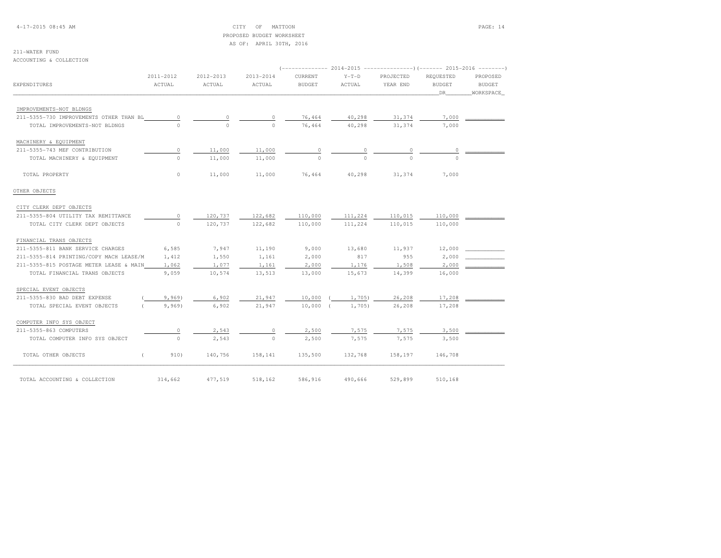#### 4-17-2015 08:45 AM CITY OF MATTOON PAGE: 14 PROPOSED BUDGET WORKSHEETAS OF: APRIL 30TH, 2016

# 211-WATER FUND

ACCOUNTING & COLLECTION

|                                         |                     |                     |                     |                          | 2014-2015         | ---------------)(------- 2015-2016 --------) |                                  |                                        |
|-----------------------------------------|---------------------|---------------------|---------------------|--------------------------|-------------------|----------------------------------------------|----------------------------------|----------------------------------------|
| EXPENDITURES                            | 2011-2012<br>ACTUAL | 2012-2013<br>ACTUAL | 2013-2014<br>ACTUAL | CURRENT<br><b>BUDGET</b> | $Y-T-D$<br>ACTUAL | PROJECTED<br>YEAR END                        | REQUESTED<br><b>BUDGET</b><br>DR | PROPOSED<br><b>BUDGET</b><br>WORKSPACE |
|                                         |                     |                     |                     |                          |                   |                                              |                                  |                                        |
| IMPROVEMENTS-NOT BLDNGS                 |                     |                     |                     |                          |                   |                                              |                                  |                                        |
| 211-5355-730 IMPROVEMENTS OTHER THAN BL | 0                   |                     |                     | 76,464                   | 40,298            | 31,374                                       | 7,000                            |                                        |
| TOTAL IMPROVEMENTS-NOT BLDNGS           | $\cap$              | $\cap$              | $\Omega$            | 76,464                   | 40,298            | 31,374                                       | 7,000                            |                                        |
| MACHINERY & EQUIPMENT                   |                     |                     |                     |                          |                   |                                              |                                  |                                        |
| 211-5355-743 MEF CONTRIBUTION           | 0                   | 11,000              | 11,000              | 0                        | 0                 | 0                                            | 0                                |                                        |
| TOTAL MACHINERY & EQUIPMENT             | $\Omega$            | 11,000              | 11,000              | $\Omega$                 |                   | $\cap$                                       |                                  |                                        |
| TOTAL PROPERTY                          | $\circ$             | 11,000              | 11,000              | 76,464                   | 40,298            | 31,374                                       | 7,000                            |                                        |
| OTHER OBJECTS                           |                     |                     |                     |                          |                   |                                              |                                  |                                        |
| CITY CLERK DEPT OBJECTS                 |                     |                     |                     |                          |                   |                                              |                                  |                                        |
| 211-5355-804 UTILITY TAX REMITTANCE     | 0                   | 120,737             | 122,682             | 110,000                  | 111,224           | 110,015                                      | 110,000                          |                                        |
| TOTAL CITY CLERK DEPT OBJECTS           | $\Omega$            | 120,737             | 122,682             | 110,000                  | 111,224           | 110,015                                      | 110,000                          |                                        |
| FINANCIAL TRANS OBJECTS                 |                     |                     |                     |                          |                   |                                              |                                  |                                        |
| 211-5355-811 BANK SERVICE CHARGES       | 6,585               | 7,947               | 11,190              | 9,000                    | 13,680            | 11,937                                       | 12,000                           |                                        |
| 211-5355-814 PRINTING/COPY MACH LEASE/M | 1,412               | 1,550               | 1,161               | 2,000                    | 817               | 955                                          | 2,000                            |                                        |
| 211-5355-815 POSTAGE METER LEASE & MAIN | 1,062               | 1,077               | 1,161               | 2,000                    | 1,176             | 1,508                                        | 2,000                            |                                        |
| TOTAL FINANCIAL TRANS OBJECTS           | 9,059               | 10,574              | 13,513              | 13,000                   | 15,673            | 14,399                                       | 16,000                           |                                        |
| SPECIAL EVENT OBJECTS                   |                     |                     |                     |                          |                   |                                              |                                  |                                        |
| 211-5355-830 BAD DEBT EXPENSE           | 9,969               | 6,902               | 21,947              | 10,000                   | 1,705)            | 26,208                                       | 17,208                           |                                        |
| TOTAL SPECIAL EVENT OBJECTS             | 9,969               | 6,902               | 21,947              | 10,000                   | 1,705             | 26,208                                       | 17,208                           |                                        |
| COMPUTER INFO SYS OBJECT                |                     |                     |                     |                          |                   |                                              |                                  |                                        |
| 211-5355-863 COMPUTERS                  | $\circ$             | 2,543               | 0                   | 2,500                    | 7,575             | 7,575                                        | 3,500                            |                                        |
| TOTAL COMPUTER INFO SYS OBJECT          | $\Omega$            | 2,543               | $\Omega$            | 2,500                    | 7,575             | 7,575                                        | 3,500                            |                                        |
| TOTAL OTHER OBJECTS                     | 910)                | 140,756             | 158,141             | 135,500                  | 132,768           | 158,197                                      | 146,708                          |                                        |
| TOTAL ACCOUNTING & COLLECTION           | 314,662             | 477,519             | 518,162             | 586,916                  | 490,666           | 529,899                                      | 510,168                          |                                        |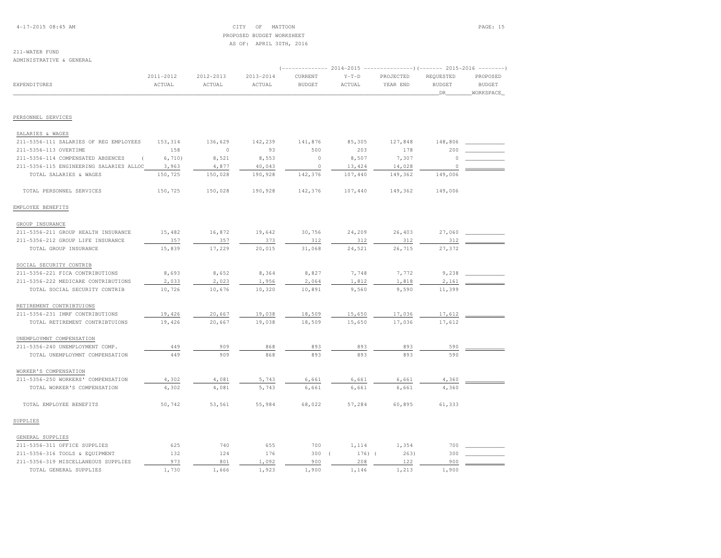4-17-2015 08:45 AM CITY OF MATTOON PAGE: 15 PROPOSED BUDGET WORKSHEETAS OF: APRIL 30TH, 2016

#### 211-WATER FUNDADMINISTRATIVE & GENERAL

|                                         |           | ------------- 2014-2015 ----------------) (------- 2015-2016 -------- |               |               |          |           |               |               |
|-----------------------------------------|-----------|-----------------------------------------------------------------------|---------------|---------------|----------|-----------|---------------|---------------|
|                                         | 2011-2012 | 2012-2013                                                             | $2013 - 2014$ | CURRENT       | $Y-T-D$  | PROJECTED | REQUESTED     | PROPOSED      |
| <b>EXPENDITURES</b>                     | ACTUAL    | ACTUAL                                                                | ACTUAL        | <b>BUDGET</b> | ACTUAL   | YEAR END  | <b>BUDGET</b> | <b>BUDGET</b> |
|                                         |           |                                                                       |               |               |          |           | DR            | WORKSPACE     |
|                                         |           |                                                                       |               |               |          |           |               |               |
| PERSONNEL SERVICES                      |           |                                                                       |               |               |          |           |               |               |
| SALARIES & WAGES                        |           |                                                                       |               |               |          |           |               |               |
| 211-5356-111 SALARIES OF REG EMPLOYEES  | 153,314   | 136,629                                                               | 142,239       | 141,876       | 85,305   | 127,848   | 148,806       |               |
| 211-5356-113 OVERTIME                   | 158       | $\circ$                                                               | 93            | 500           | 203      | 178       | 200           |               |
| 211-5356-114 COMPENSATED ABSENCES       | 6,710)    | 8,521                                                                 | 8,553         | $\circ$       | 8,507    | 7,307     | $\Omega$      |               |
| 211-5356-115 ENGINEERING SALARIES ALLOC | 3,963     | 4,877                                                                 | 40,043        | $\circ$       | 13,424   | 14,028    | $\circ$       |               |
| TOTAL SALARIES & WAGES                  | 150,725   | 150,028                                                               | 190,928       | 142,376       | 107,440  | 149,362   | 149,006       |               |
|                                         |           |                                                                       |               |               |          |           |               |               |
| TOTAL PERSONNEL SERVICES                | 150,725   | 150,028                                                               | 190,928       | 142,376       | 107,440  | 149,362   | 149,006       |               |
| EMPLOYEE BENEFITS                       |           |                                                                       |               |               |          |           |               |               |
| GROUP INSURANCE                         |           |                                                                       |               |               |          |           |               |               |
| 211-5356-211 GROUP HEALTH INSURANCE     | 15,482    | 16,872                                                                | 19,642        | 30,756        | 24,209   | 26,403    | 27,060        |               |
| 211-5356-212 GROUP LIFE INSURANCE       | 357       | 357                                                                   | 373           | 312           | 312      | 312       | 312           |               |
| TOTAL GROUP INSURANCE                   | 15,839    | 17,229                                                                | 20,015        | 31,068        | 24,521   | 26,715    | 27,372        |               |
| SOCIAL SECURITY CONTRIB                 |           |                                                                       |               |               |          |           |               |               |
| 211-5356-221 FICA CONTRIBUTIONS         | 8,693     | 8,652                                                                 | 8,364         | 8,827         | 7,748    | 7,772     | 9,238         |               |
| 211-5356-222 MEDICARE CONTRIBUTIONS     | 2,033     | 2,023                                                                 | 1,956         | 2,064         | 1,812    | 1,818     | 2,161         |               |
| TOTAL SOCIAL SECURITY CONTRIB           | 10,726    | 10,676                                                                | 10,320        | 10,891        | 9,560    | 9,590     | 11,399        |               |
|                                         |           |                                                                       |               |               |          |           |               |               |
| RETIREMENT CONTRIBTUIONS                |           |                                                                       |               |               |          |           |               |               |
| 211-5356-231 IMRF CONTRIBUTIONS         | 19,426    | 20,667                                                                | 19,038        | 18,509        | 15,650   | 17,036    | 17,612        |               |
| TOTAL RETIREMENT CONTRIBTUIONS          | 19,426    | 20,667                                                                | 19,038        | 18,509        | 15,650   | 17,036    | 17,612        |               |
| UNEMPLOYMNT COMPENSATION                |           |                                                                       |               |               |          |           |               |               |
| 211-5356-240 UNEMPLOYMENT COMP.         | 449       | 909                                                                   | 868           | 893           | 893      | 893       | 590           |               |
| TOTAL UNEMPLOYMNT COMPENSATION          | 449       | 909                                                                   | 868           | 893           | 893      | 893       | 590           |               |
| WORKER'S COMPENSATION                   |           |                                                                       |               |               |          |           |               |               |
| 211-5356-250 WORKERS' COMPENSATION      | 4,302     | 4,081                                                                 | 5,743         | 6,661         | 6,661    | 6,661     | 4,360         |               |
| TOTAL WORKER'S COMPENSATION             | 4,302     | 4,081                                                                 | 5,743         | 6,661         | 6,661    | 6,661     | 4,360         |               |
| TOTAL EMPLOYEE BENEFITS                 | 50,742    | 53,561                                                                | 55,984        | 68,022        | 57,284   | 60,895    | 61,333        |               |
|                                         |           |                                                                       |               |               |          |           |               |               |
| SUPPLIES                                |           |                                                                       |               |               |          |           |               |               |
| GENERAL SUPPLIES                        |           |                                                                       |               |               |          |           |               |               |
| 211-5356-311 OFFICE SUPPLIES            | 625       | 740                                                                   | 655           | 700           | 1,114    | 1,354     | 700           |               |
| 211-5356-316 TOOLS & EQUIPMENT          | 132       | 124                                                                   | 176           | 300           | $176)$ ( | 263)      | 300           |               |
| 211-5356-319 MISCELLANEOUS SUPPLIES     | 973       | 801                                                                   | 1,092         | 900           | 208      | 122       | 900           |               |
| TOTAL GENERAL SUPPLIES                  | 1,730     | 1,666                                                                 | 1,923         | 1,900         | 1,146    | 1,213     | 1,900         |               |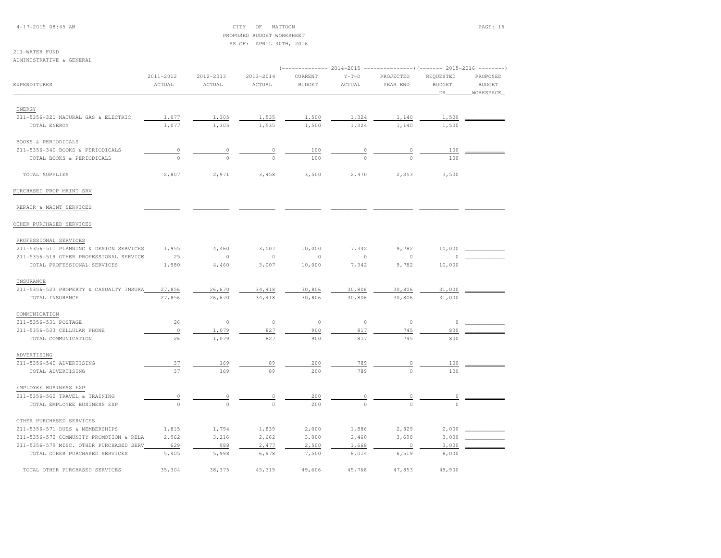#### 4-17-2015 08:45 AM CITY OF MATTOON PAGE: 16 PROPOSED BUDGET WORKSHEETAS OF: APRIL 30TH, 2016

# 211-WATER FUND

ADMINISTRATIVE & GENERAL

|                                         |           |              |           | (-------------- 2014-2015 ----------------)(------- 2015-2016 --------) |          |           |               |               |
|-----------------------------------------|-----------|--------------|-----------|-------------------------------------------------------------------------|----------|-----------|---------------|---------------|
|                                         | 2011-2012 | 2012-2013    | 2013-2014 | CURRENT                                                                 | $Y-T-D$  | PROJECTED | REQUESTED     | PROPOSED      |
| EXPENDITURES                            | ACTUAL    | ACTUAL       | ACTUAL    | <b>BUDGET</b>                                                           | ACTUAL   | YEAR END  | <b>BUDGET</b> | <b>BUDGET</b> |
|                                         |           |              |           |                                                                         |          |           | DR_           | WORKSPACE     |
|                                         |           |              |           |                                                                         |          |           |               |               |
| ENERGY                                  |           |              |           |                                                                         |          |           |               |               |
| 211-5356-321 NATURAL GAS & ELECTRIC     | 1,077     | 1,305        | 1,535     | 1,500                                                                   | 1,324    | 1,140     | 1,500         |               |
| TOTAL ENERGY                            | 1,077     | 1,305        | 1,535     | 1,500                                                                   | 1,324    | 1,140     | 1,500         |               |
| BOOKS & PERIODICALS                     |           |              |           |                                                                         |          |           |               |               |
| 211-5356-340 BOOKS & PERIODICALS        | $\circ$   | $\circ$      | 0         | 100                                                                     | $\circ$  | 0         | 100           |               |
| TOTAL BOOKS & PERIODICALS               | $\circ$   | $\Omega$     | $\Omega$  | 100                                                                     | $\Omega$ | $\cap$    | 100           |               |
|                                         |           |              |           |                                                                         |          |           |               |               |
| TOTAL SUPPLIES                          | 2,807     | 2,971        | 3,458     | 3,500                                                                   | 2,470    | 2,353     | 3,500         |               |
| PURCHASED PROP MAINT SRV                |           |              |           |                                                                         |          |           |               |               |
| REPAIR & MAINT SERVICES                 |           |              |           |                                                                         |          |           |               |               |
| OTHER PURCHASED SERVICES                |           |              |           |                                                                         |          |           |               |               |
| PROFESSIONAL SERVICES                   |           |              |           |                                                                         |          |           |               |               |
| 211-5356-511 PLANNING & DESIGN SERVICES | 1,955     | 4,460        | 3,007     | 10,000                                                                  | 7,342    | 9,782     | 10,000        |               |
| 211-5356-519 OTHER PROFESSIONAL SERVICE | 25        | $\circ$      | 0         | $\circ$                                                                 | $\circ$  | $\circ$   |               |               |
| TOTAL PROFESSIONAL SERVICES             | 1,980     | 4,460        | 3,007     | 10,000                                                                  | 7,342    | 9,782     | 10,000        |               |
| INSURANCE                               |           |              |           |                                                                         |          |           |               |               |
| 211-5356-523 PROPERTY & CASUALTY INSURA | 27,856    | 26,670       | 34,418    | 30,806                                                                  | 30,806   | 30,806    | 31,000        |               |
| TOTAL INSURANCE                         | 27,856    | 26,670       | 34,418    | 30,806                                                                  | 30,806   | 30,806    | 31,000        |               |
|                                         |           |              |           |                                                                         |          |           |               |               |
| COMMUNICATION                           |           |              |           |                                                                         |          |           |               |               |
| 211-5356-531 POSTAGE                    | 26        | $\circ$      | $\circ$   | $\circ$                                                                 | $\circ$  | $\circ$   | 0             |               |
| 211-5356-533 CELLULAR PHONE             | $\circ$   | 1,079        | 827       | 900                                                                     | 817      | 745       | 800           |               |
| TOTAL COMMUNICATION                     | 26        | 1,079        | 827       | 900                                                                     | 817      | 745       | 800           |               |
| ADVERTISING                             |           |              |           |                                                                         |          |           |               |               |
| 211-5356-540 ADVERTISING                | 37        | 169          | 89        | 200                                                                     | 789      | 0         | 100           |               |
| TOTAL ADVERTISING                       | 37        | 169          | 89        | 200                                                                     | 789      | $\Omega$  | 100           |               |
| EMPLOYEE BUSINESS EXP                   |           |              |           |                                                                         |          |           |               |               |
| 211-5356-562 TRAVEL & TRAINING          | $\circ$   | 0            | 0         | 200                                                                     | $\circ$  | $\circ$   | 0             |               |
| TOTAL EMPLOYEE BUSINESS EXP             | $\circ$   | $\mathbf{0}$ | $\circ$   | 200                                                                     | $\circ$  | $\circ$   | $\Omega$      |               |
|                                         |           |              |           |                                                                         |          |           |               |               |
| OTHER PURCHASED SERVICES                |           |              |           |                                                                         |          |           |               |               |
| 211-5356-571 DUES & MEMBERSHIPS         | 1,815     | 1,794        | 1,839     | 2,000                                                                   | 1,886    | 2,829     | 2,000         |               |
| 211-5356-572 COMMUNITY PROMOTION & RELA | 2,962     | 3,216        | 2,662     | 3,000                                                                   | 2,460    | 3,690     | 3,000         |               |
| 211-5356-579 MISC. OTHER PURCHASED SERV | 629       | 988          | 2,477     | 2,500                                                                   | 1,668    | $\circ$   | 3,000         |               |
| TOTAL OTHER PURCHASED SERVICES          | 5,405     | 5,998        | 6,978     | 7,500                                                                   | 6,014    | 6,519     | 8,000         |               |
| TOTAL OTHER PURCHASED SERVICES          | 35,304    | 38,375       | 45,319    | 49,606                                                                  | 45,768   | 47,853    | 49,900        |               |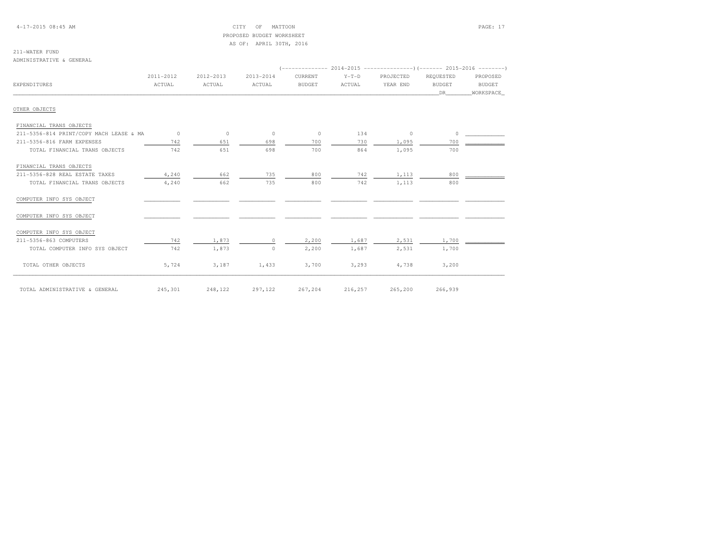4-17-2015 08:45 AM CITY OF MATTOON PAGE: 17 PROPOSED BUDGET WORKSHEETAS OF: APRIL 30TH, 2016

#### 211-WATER FUNDADMINISTRATIVE & GENERAL

|                                         | 2011-2012      | 2012-2013 | 2013-2014 | CURRENT       | $Y-T-D$ | PROJECTED | REOUESTED     | PROPOSED      |  |  |
|-----------------------------------------|----------------|-----------|-----------|---------------|---------|-----------|---------------|---------------|--|--|
| EXPENDITURES                            | ACTUAL         | ACTUAL    | ACTUAL    | <b>BUDGET</b> | ACTUAL  | YEAR END  | <b>BUDGET</b> | <b>BUDGET</b> |  |  |
|                                         |                |           |           |               |         |           | DR            | WORKSPACE     |  |  |
| OTHER OBJECTS                           |                |           |           |               |         |           |               |               |  |  |
| FINANCIAL TRANS OBJECTS                 |                |           |           |               |         |           |               |               |  |  |
| 211-5356-814 PRINT/COPY MACH LEASE & MA | $\overline{0}$ | $\circ$   | $\circ$   | $\circ$       | 134     | $\circ$   | $\circ$       |               |  |  |
| 211-5356-816 FARM EXPENSES              | 742            | 651       | 698       | 700           | 730     | 1,095     | 700           |               |  |  |
| TOTAL FINANCIAL TRANS OBJECTS           | 742            | 651       | 698       | 700           | 864     | 1,095     | 700           |               |  |  |
| FINANCIAL TRANS OBJECTS                 |                |           |           |               |         |           |               |               |  |  |
| 211-5356-828 REAL ESTATE TAXES          | 4,240          | 662       | 735       | 800           | 742     | 1,113     | 800           |               |  |  |
| TOTAL FINANCIAL TRANS OBJECTS           | 4,240          | 662       | 735       | 800           | 742     | 1,113     | 800           |               |  |  |
| COMPUTER INFO SYS OBJECT                |                |           |           |               |         |           |               |               |  |  |
| COMPUTER INFO SYS OBJECT                |                |           |           |               |         |           |               |               |  |  |
| COMPUTER INFO SYS OBJECT                |                |           |           |               |         |           |               |               |  |  |
| 211-5356-863 COMPUTERS                  | 742            | 1,873     | $\Omega$  | 2,200         | 1,687   | 2,531     | 1,700         |               |  |  |
| TOTAL COMPUTER INFO SYS OBJECT          | 742            | 1,873     | $\Omega$  | 2,200         | 1,687   | 2,531     | 1,700         |               |  |  |
| TOTAL OTHER OBJECTS                     | 5,724          | 3,187     | 1,433     | 3,700         | 3,293   | 4,738     | 3,200         |               |  |  |
| TOTAL ADMINISTRATIVE & GENERAL          | 245,301        | 248,122   | 297,122   | 267,204       | 216,257 | 265,200   | 266,939       |               |  |  |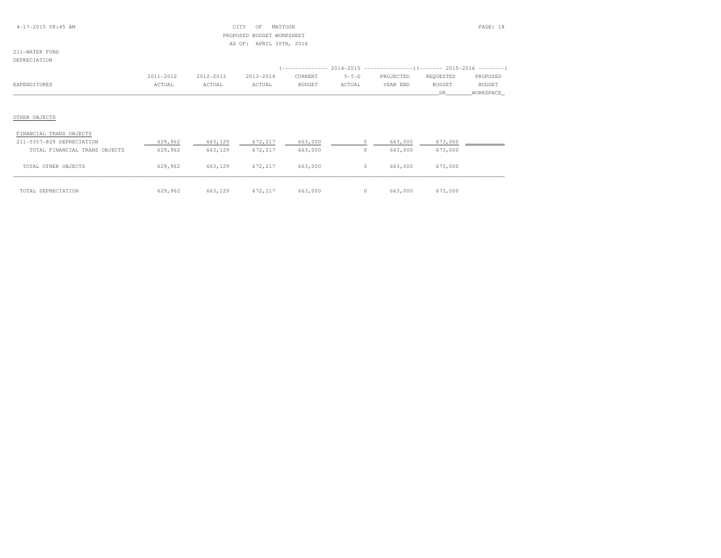#### 4-17-2015 08:45 AM CITY OF MATTOON PAGE: 18 PROPOSED BUDGET WORKSHEETAS OF: APRIL 30TH, 2016

#### 211-WATER FUNDDEPRECIATION

|              | 2011-2012 | 2012-2013 | 2013-2014 | CURRENT       | $Y-T-D$ | PROJECTED | REOUESTED | PROPOSED      |
|--------------|-----------|-----------|-----------|---------------|---------|-----------|-----------|---------------|
| EXPENDITURES | ACTUAL    | ACTUAL    | ACTUAL    | <b>BUDGET</b> | ACTUAL  | YEAR END  | BUDGE1    | <b>BUDGET</b> |
|              |           |           |           |               |         |           |           |               |

# OTHER OBJECTS

| FINANCIAL TRANS OBJECTS       |         |         |         |         |         |         |
|-------------------------------|---------|---------|---------|---------|---------|---------|
| 211-5357-829 DEPRECIATION     | 629,962 | 663,129 | 672,217 | 663,000 | 663,000 | 673,000 |
| TOTAL FINANCIAL TRANS OBJECTS | 629,962 | 663,129 | 672,217 | 663,000 | 663,000 | 673,000 |
| OTHER OBJECTS<br>TOTAL.       | 629,962 | 663,129 | 672.217 | 663,000 | 663,000 | 673,000 |
| TOTAL DEPRECIATION            | 629,962 | 663,129 | 672,217 | 663,000 | 663,000 | 673,000 |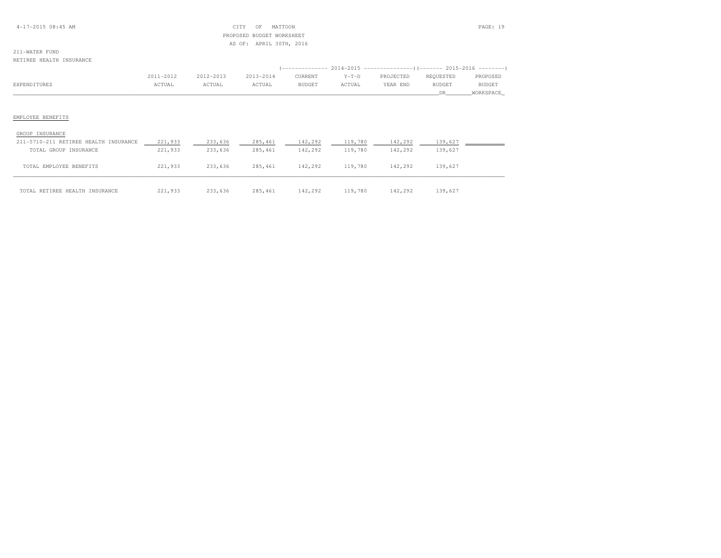### 4-17-2015 08:45 AM CITY OF MATTOON PAGE: 19 PROPOSED BUDGET WORKSHEETAS OF: APRIL 30TH, 2016

### 211-WATER FUNDRETIREE HEALTH INSURANCE

 (-------------- 2014-2015 ---------------)(------- 2015-2016 --------) 2011-2012 2012-2013 2013-2014 CURRENT Y-T-D PROJECTED REQUESTED PROPOSED**BUDGET** EXPENDITURES ACTUAL ACTUAL ACTUAL BUDGET ACTUAL YEAR END BUDGET BUDGET\_\_\_\_\_\_\_\_\_\_\_\_\_\_\_\_\_\_\_\_\_\_\_\_\_\_\_\_\_\_\_\_\_\_\_\_\_\_\_\_\_\_\_\_\_\_\_\_\_\_\_\_\_\_\_\_\_\_\_\_\_\_\_\_\_\_\_\_\_\_\_\_\_\_\_\_\_\_\_\_\_\_\_\_\_\_\_\_\_\_\_\_\_\_\_\_\_\_\_\_\_\_\_\_\_\_\_\_\_\_\_\_\_\_\_\_\_\_\_\_\_\_\_\_\_\_\_\_\_\_DR\_\_\_\_\_\_\_\_WORKSPACE\_

### EMPLOYEE BENEFITS

| GROUP INSURANCE                       |         |         |          |         |         |         |         |  |
|---------------------------------------|---------|---------|----------|---------|---------|---------|---------|--|
| 211-5710-211 RETIREE HEALTH INSURANCE | 221,933 | 233,636 | 285, 461 | 142,292 | 119,780 | 142,292 | 139,627 |  |
| TOTAL GROUP INSURANCE                 | 221,933 | 233,636 | 285, 461 | 142,292 | 119,780 | 142,292 | 139,627 |  |
| TOTAL EMPLOYEE BENEFITS               | 221,933 | 233,636 | 285, 461 | 142,292 | 119,780 | 142,292 | 139,627 |  |
| TOTAL RETIREE HEALTH INSURANCE        | 221,933 | 233,636 | 285, 461 | 142,292 | 119,780 | 142,292 | 139,627 |  |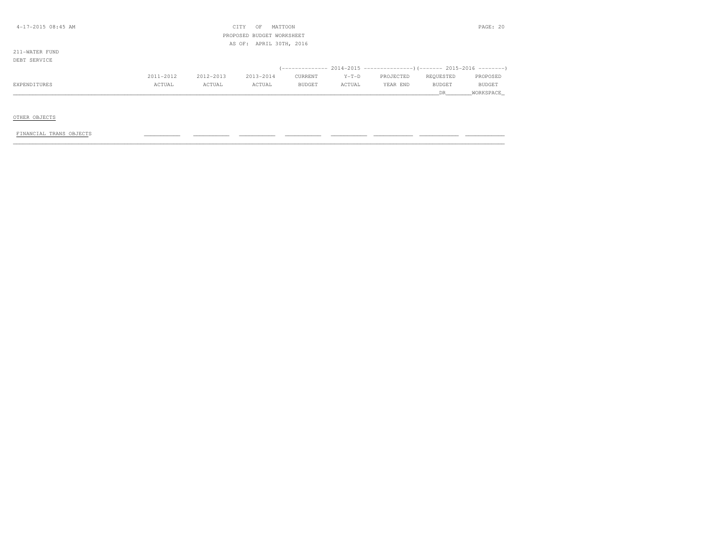| $4-17-2015$ 08:45 AM |           |           | CITY<br>OF                | MATTOON                 |         |           |           | PAGE: 20      |
|----------------------|-----------|-----------|---------------------------|-------------------------|---------|-----------|-----------|---------------|
|                      |           |           | PROPOSED BUDGET WORKSHEET |                         |         |           |           |               |
|                      |           |           |                           | AS OF: APRIL 30TH, 2016 |         |           |           |               |
| 211-WATER FUND       |           |           |                           |                         |         |           |           |               |
| DEBT SERVICE         |           |           |                           |                         |         |           |           |               |
|                      |           |           |                           |                         |         |           |           |               |
|                      | 2011-2012 | 2012-2013 | 2013-2014                 | CURRENT                 | $Y-T-D$ | PROJECTED | REQUESTED | PROPOSED      |
| EXPENDITURES         | ACTUAL    | ACTUAL    | ACTUAL                    | <b>BUDGET</b>           | ACTUAL  | YEAR END  | BUDGET    | <b>BUDGET</b> |
|                      |           |           |                           |                         |         |           | DR        | WORKSPACE     |
|                      |           |           |                           |                         |         |           |           |               |

### OTHER OBJECTS

### FINANCIAL TRANS OBJECTS \_\_\_\_\_\_\_\_\_\_\_ \_\_\_\_\_\_\_\_\_\_\_ \_\_\_\_\_\_\_\_\_\_\_ \_\_\_\_\_\_\_\_\_\_\_ \_\_\_\_\_\_\_\_\_\_\_ \_\_\_\_\_\_\_\_\_\_\_\_ \_\_\_\_\_\_\_\_\_\_\_\_ \_\_\_\_\_\_\_\_\_\_\_\_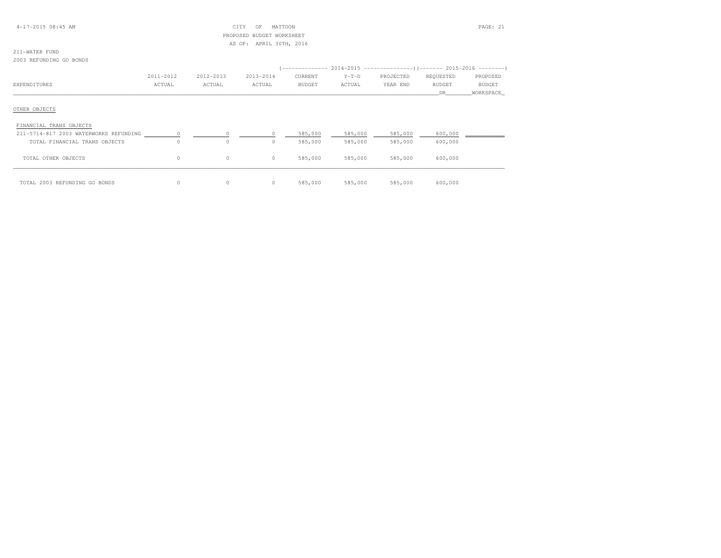### 4-17-2015 08:45 AM CITY OF MATTOON PAGE: 21 PROPOSED BUDGET WORKSHEETAS OF: APRIL 30TH, 2016

# 211-WATER FUND

2003 REFUNDING GO BONDS

|                                        |           |           |           |               |         | (-------------- 2014-2015 ---------------------- 2015-2016 ---------------------- |               |               |  |
|----------------------------------------|-----------|-----------|-----------|---------------|---------|-----------------------------------------------------------------------------------|---------------|---------------|--|
|                                        | 2011-2012 | 2012-2013 | 2013-2014 | CURRENT       | $Y-T-D$ | PROJECTED                                                                         | REQUESTED     | PROPOSED      |  |
| EXPENDITURES                           | ACTUAL    | ACTUAL    | ACTUAL    | <b>BUDGET</b> | ACTUAL  | YEAR END                                                                          | <b>BUDGET</b> | <b>BUDGET</b> |  |
|                                        |           |           |           |               |         |                                                                                   | DR.           | WORKSPACE     |  |
|                                        |           |           |           |               |         |                                                                                   |               |               |  |
| OTHER OBJECTS                          |           |           |           |               |         |                                                                                   |               |               |  |
|                                        |           |           |           |               |         |                                                                                   |               |               |  |
| FINANCIAL TRANS OBJECTS                |           |           |           |               |         |                                                                                   |               |               |  |
| 211-5714-817 2003 WATERWORKS REFUNDING |           | $\sim$ 0  |           | 585,000       | 585,000 | 585,000                                                                           | 600,000       |               |  |
| TOTAL FINANCIAL TRANS OBJECTS          | $\Omega$  | 0         | $\Omega$  | 585,000       | 585,000 | 585,000                                                                           | 600,000       |               |  |
| TOTAL OTHER OBJECTS                    | $\circ$   | $\circ$   | $\circ$   | 585,000       | 585,000 | 585,000                                                                           | 600,000       |               |  |
|                                        |           |           |           |               |         |                                                                                   |               |               |  |
| TOTAL 2003 REFUNDING GO BONDS          |           | 0         | $\circ$   | 585,000       | 585,000 | 585,000                                                                           | 600,000       |               |  |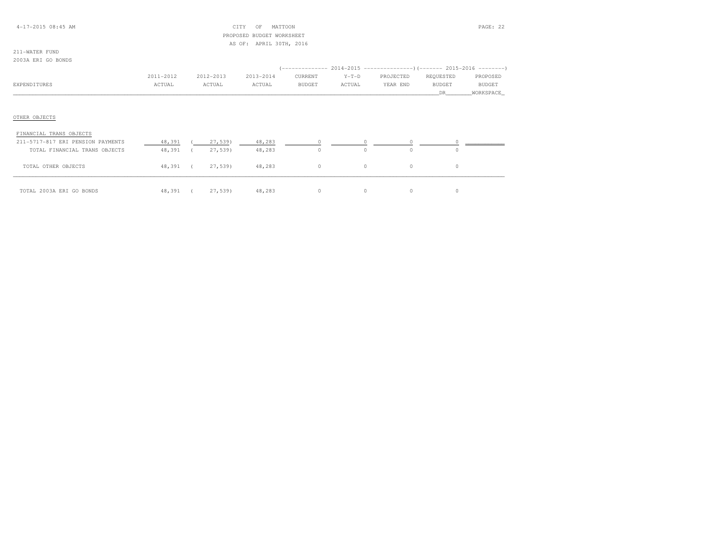### 4-17-2015 08:45 AM CITY OF MATTOON PAGE: 22 PROPOSED BUDGET WORKSHEETAS OF: APRIL 30TH, 2016

### 211-WATER FUND2003A ERI GO BONDS

|                         | 2011-2012 | 2012-2013 | 2013-2014 | CURRENT       | $Y-T-D$ | PROJECTED | REQUESTED     | PROPOSED      |
|-------------------------|-----------|-----------|-----------|---------------|---------|-----------|---------------|---------------|
| EXPENDITURES            | ACTUAL    | ACTUAL    | ACTUAL    | <b>BUDGET</b> | ACTUAL  | YEAR END  | <b>BUDGET</b> | <b>BUDGET</b> |
|                         |           |           |           |               |         |           | DR.           | WORKSPACE     |
|                         |           |           |           |               |         |           |               |               |
|                         |           |           |           |               |         |           |               |               |
| OTHER OBJECTS           |           |           |           |               |         |           |               |               |
|                         |           |           |           |               |         |           |               |               |
| FINANCIAL TRANS OBJECTS |           |           |           |               |         |           |               |               |

| 211-5717-817 ERI PENSION PAYMENTS | 48,391 | 27,539  | 48,283 |          |          |  |
|-----------------------------------|--------|---------|--------|----------|----------|--|
| TOTAL FINANCIAL TRANS OBJECTS     | 48,391 | 27,539) | 48,283 |          |          |  |
| TOTAL OTHER OBJECTS               | 48,391 | 27,539  | 48,283 | $\Omega$ | $^{(1)}$ |  |
|                                   |        |         |        |          |          |  |
| TOTAL 2003A ERI GO BONDS          | 48,391 | 27,539  | 48,283 | $\Omega$ |          |  |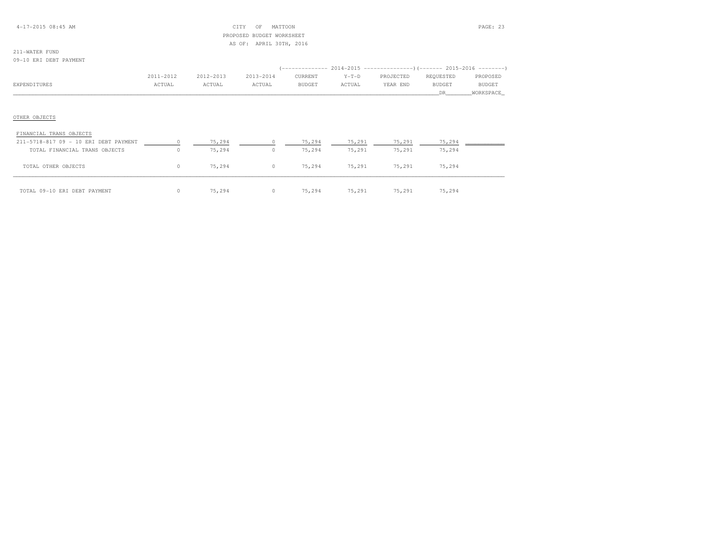### 4-17-2015 08:45 AM CITY OF MATTOON PAGE: 23 PROPOSED BUDGET WORKSHEETAS OF: APRIL 30TH, 2016

# 211-WATER FUND

09-10 ERI DEBT PAYMENT

|              | 2011-2012 | 2012-2013 | 2013-2014 | CURRENT       | $Y-T-D$ | PROJECTED | REOUESTED | PROPOSED      |
|--------------|-----------|-----------|-----------|---------------|---------|-----------|-----------|---------------|
| EXPENDITURES | ACTUAL    | ACTUAL    | ACTUAL    | <b>BUDGET</b> | ACTUAL  | YEAR END  | BUDGET    | <b>BUDGET</b> |
|              |           |           |           |               |         |           |           | WORKSPACE     |

| FINANCIAL TRANS OBJECTS               |        |          |        |        |        |        |  |
|---------------------------------------|--------|----------|--------|--------|--------|--------|--|
| 211-5718-817 09 - 10 ERI DEBT PAYMENT | 75,294 |          | 75,294 | 75,291 | 75,291 | 75,294 |  |
| TOTAL FINANCIAL TRANS OBJECTS         | 75,294 | 0        | 75,294 | 75,291 | 75,291 | 75,294 |  |
| TOTAL OTHER OBJECTS                   | 75,294 | $\circ$  | 75,294 | 75,291 | 75,291 | 75,294 |  |
| TOTAL 09-10 ERI DEBT PAYMENT          | 75,294 | $\Omega$ | 75,294 | 75,291 | 75,291 | 75,294 |  |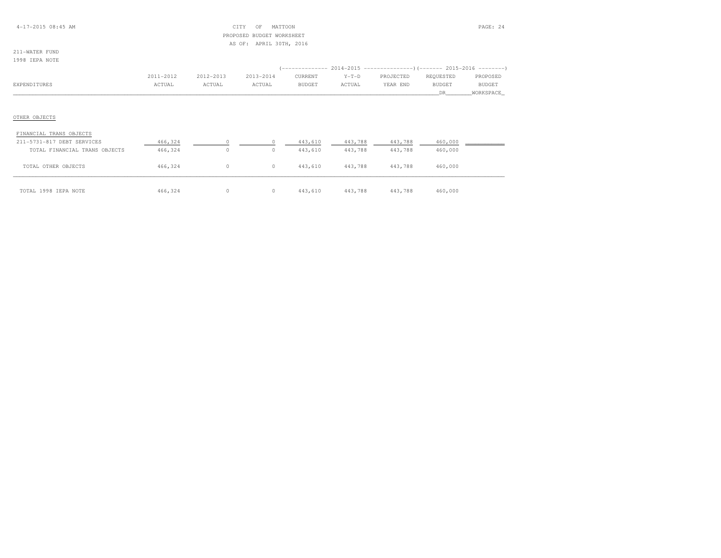### 4-17-2015 08:45 AM CITY OF MATTOON PAGE: 24 PROPOSED BUDGET WORKSHEETAS OF: APRIL 30TH, 2016

### 211-WATER FUND1998 IEPA NOTE

|              | 2011-2012 | 2012-2013 | 2013-2014 | CURRENT       | $Y-T-D$ | PROJECTED | REOUESTED     | PROPOSED      |
|--------------|-----------|-----------|-----------|---------------|---------|-----------|---------------|---------------|
| EXPENDITURES | ACTUAL    | ACTUAL    | ACTUAL    | <b>BUDGET</b> | ACTUAL  | YEAR END  | <b>BUDGET</b> | <b>BUDGET</b> |
|              |           |           |           |               |         |           |               | WORKSPACE     |

| FINANCIAL TRANS OBJECTS       |         |   |          |         |         |         |         |  |
|-------------------------------|---------|---|----------|---------|---------|---------|---------|--|
| 211-5731-817 DEBT SERVICES    | 466,324 |   |          | 443,610 | 443,788 | 443,788 | 460,000 |  |
| TOTAL FINANCIAL TRANS OBJECTS | 466,324 | 0 | $\circ$  | 443,610 | 443,788 | 443,788 | 460,000 |  |
| TOTAL OTHER OBJECTS           | 466,324 | 0 | $\Omega$ | 443,610 | 443,788 | 443,788 | 460,000 |  |
| TOTAL 1998 IEPA NOTE          | 466,324 | 0 |          | 443,610 | 443,788 | 443,788 | 460,000 |  |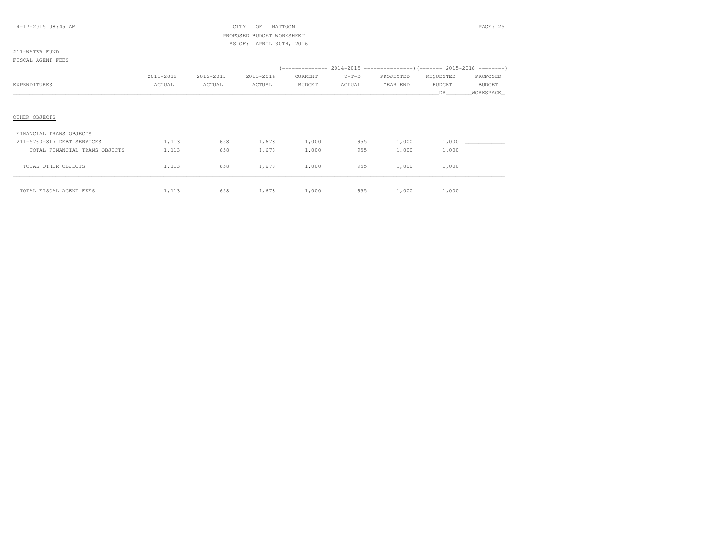### 4-17-2015 08:45 AM CITY OF MATTOON PAGE: 25 PROPOSED BUDGET WORKSHEETAS OF: APRIL 30TH, 2016

### 211-WATER FUNDFISCAL AGENT FEES

|              | 2011-2012 | 2012-2013 | 2013-2014 | CURRENT       | $Y-T-D$ | PROJECTED | REOUESTED     | PROPOSED      |
|--------------|-----------|-----------|-----------|---------------|---------|-----------|---------------|---------------|
| EXPENDITURES | ACTUAL    | ACTUAL    | ACTUAL    | <b>BUDGET</b> | ACTUAL  | YEAR END  | <b>BUDGET</b> | <b>BUDGET</b> |
|              |           |           |           |               |         |           |               | WORKSPACE     |
|              |           |           |           |               |         |           |               |               |
|              |           |           |           |               |         |           |               |               |

| FINANCIAL TRANS OBJECTS       |       |     |       |       |     |       |       |  |
|-------------------------------|-------|-----|-------|-------|-----|-------|-------|--|
| 211-5760-817 DEBT SERVICES    | 1,113 | 658 | 1,678 | 1,000 | 955 | 1,000 | 1,000 |  |
| TOTAL FINANCIAL TRANS OBJECTS | 1,113 | 658 | 1,678 | 1,000 | 955 | 1,000 | 1,000 |  |
| TOTAL OTHER OBJECTS           | 1,113 | 658 | 1,678 | 1,000 | 955 | 1,000 | 1,000 |  |
| TOTAL FISCAL AGENT FEES       | 1,113 | 658 | 1,678 | 1,000 | 955 | 1,000 | 1,000 |  |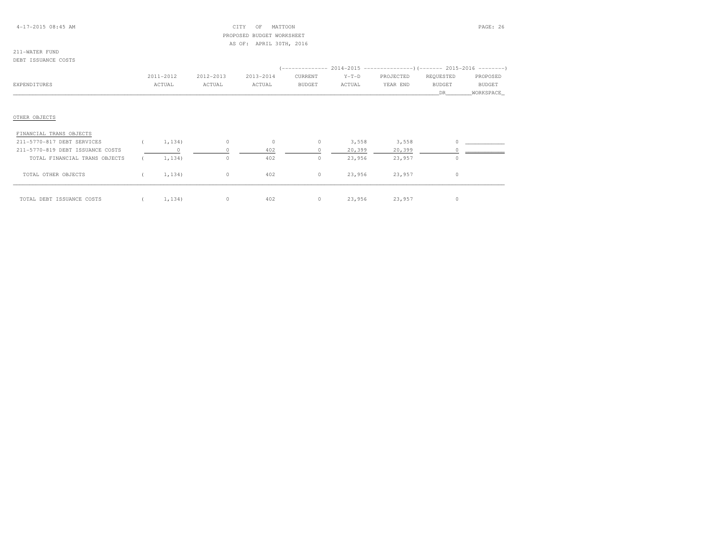### 4-17-2015 08:45 AM CITY OF MATTOON PAGE: 26 PROPOSED BUDGET WORKSHEETAS OF: APRIL 30TH, 2016

#### DEBT ISSUANCE COSTS

|                                  |           |           |           |         |         |         | ------------- 2014-2015 --------------------- (------- 2015-2016 ---------- ) |               |               |
|----------------------------------|-----------|-----------|-----------|---------|---------|---------|-------------------------------------------------------------------------------|---------------|---------------|
|                                  | 2011-2012 | 2012-2013 | 2013-2014 |         | CURRENT | $Y-T-D$ | PROJECTED                                                                     | REQUESTED     | PROPOSED      |
| EXPENDITURES                     | ACTUAL    | ACTUAL    | ACTUAL    |         | BUDGET  | ACTUAL  | YEAR END                                                                      | <b>BUDGET</b> | <b>BUDGET</b> |
|                                  |           |           |           |         |         |         |                                                                               | DR            | WORKSPACE     |
|                                  |           |           |           |         |         |         |                                                                               |               |               |
|                                  |           |           |           |         |         |         |                                                                               |               |               |
| OTHER OBJECTS                    |           |           |           |         |         |         |                                                                               |               |               |
|                                  |           |           |           |         |         |         |                                                                               |               |               |
| FINANCIAL TRANS OBJECTS          |           |           |           |         |         |         |                                                                               |               |               |
| 211-5770-817 DEBT SERVICES       | 1,134)    | 0         |           | $\circ$ | $\circ$ | 3,558   | 3,558                                                                         |               |               |
| 211-5770-819 DEBT ISSUANCE COSTS | $\Omega$  | $\cap$    |           | 402     |         | 20,399  | 20,399                                                                        |               |               |
| TOTAL FINANCIAL TRANS OBJECTS    | 1, 134)   | 0         |           | 402     | $\circ$ | 23,956  | 23,957                                                                        | $\circ$       |               |
| TOTAL OTHER OBJECTS              | 1,134)    | 0         |           | 402     | $\circ$ | 23,956  | 23,957                                                                        | $\circ$       |               |
|                                  |           |           |           |         |         |         |                                                                               |               |               |

\_\_\_\_\_\_\_\_\_\_\_\_\_\_\_\_\_\_\_\_\_\_\_\_\_\_\_\_\_\_\_\_\_\_\_\_\_\_\_\_\_\_\_\_\_\_\_\_\_\_\_\_\_\_\_\_\_\_\_\_\_\_\_\_\_\_\_\_\_\_\_\_\_\_\_\_\_\_\_\_\_\_\_\_\_\_\_\_\_\_\_\_\_\_\_\_\_\_\_\_\_\_\_\_\_\_\_\_\_\_\_\_\_\_\_\_\_\_\_\_\_\_\_\_\_\_\_\_\_\_\_\_\_\_\_\_\_\_\_\_\_\_\_\_\_\_\_\_\_\_ TOTAL DEBT ISSUANCE COSTS ( 1,134) 0 402 0 23,956 23,957 0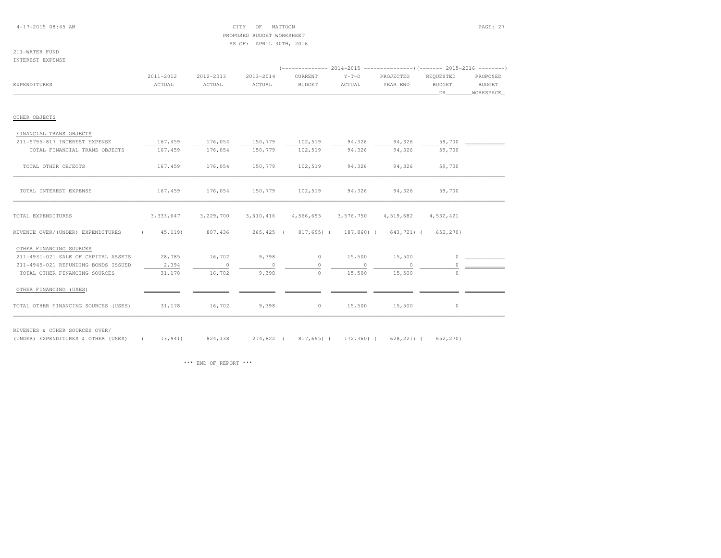### 4-17-2015 08:45 AM CITY OF MATTOON PAGE: 27 PROPOSED BUDGET WORKSHEETAS OF: APRIL 30TH, 2016

### 211-WATER FUNDINTEREST EXPENSE

|                                      | 2011-2012   | 2012-2013 | 2013-2014      | CURRENT                                 | $Y-T-D$       | PROJECTED | REOUESTED     | PROPOSED  |
|--------------------------------------|-------------|-----------|----------------|-----------------------------------------|---------------|-----------|---------------|-----------|
| EXPENDITURES                         | ACTUAL      | ACTUAL    | ACTUAL         | <b>BUDGET</b>                           | ACTUAL        | YEAR END  | <b>BUDGET</b> | BUDGET    |
|                                      |             |           |                |                                         |               |           | DR            | WORKSPACE |
| OTHER OBJECTS                        |             |           |                |                                         |               |           |               |           |
| FINANCIAL TRANS OBJECTS              |             |           |                |                                         |               |           |               |           |
| 211-5795-817 INTEREST EXPENSE        | 167,459     | 176,054   | 150,779        | 102,519                                 | 94,326        | 94,326    | 59,700        |           |
| TOTAL FINANCIAL TRANS OBJECTS        | 167,459     | 176,054   | 150,779        | 102,519                                 | 94,326        | 94,326    | 59,700        |           |
| TOTAL OTHER OBJECTS                  | 167,459     | 176,054   | 150,779        | 102,519                                 | 94,326        | 94,326    | 59,700        |           |
| TOTAL INTEREST EXPENSE               | 167,459     | 176,054   | 150,779        | 102,519                                 | 94,326        | 94,326    | 59,700        |           |
| TOTAL EXPENDITURES                   | 3, 333, 647 | 3,229,700 |                | 3,610,416 4,566,695 3,576,750 4,519,682 |               |           | 4,532,421     |           |
| REVENUE OVER/(UNDER) EXPENDITURES    | (45, 119)   | 807,436   |                | 265,425 (817,695) (187,860) (643,721) ( |               |           | 652,270)      |           |
| OTHER FINANCING SOURCES              |             |           |                |                                         |               |           |               |           |
| 211-4931-021 SALE OF CAPITAL ASSETS  | 28,785      | 16,702    | 9,398          |                                         | $0 \t 15,500$ | 15,500    | $\Omega$      |           |
| 211-4945-021 REFUNDING BONDS ISSUED  | 2,394       | $\sim$ 0  | $\overline{0}$ | $\circ$                                 | $\sim$ 0      | $\sim$ 0  | $\circ$       |           |
| TOTAL OTHER FINANCING SOURCES        | 31,178      | 16,702    | 9,398          | $\circ$                                 | 15,500        | 15,500    | $\Omega$      |           |
| OTHER FINANCING (USES)               |             |           |                |                                         |               |           |               |           |
| TOTAL OTHER FINANCING SOURCES (USES) | 31,178      | 16,702    | 9,398          | $\circ$                                 | 15,500        | 15,500    | $\circ$       |           |

REVENUES & OTHER SOURCES OVER/

(UNDER) EXPENDITURES & OTHER (USES) ( 13,941) 824,138 274,822 ( 817,695) ( 172,360) ( 628,221) ( 652,270)

\*\*\* END OF REPORT \*\*\*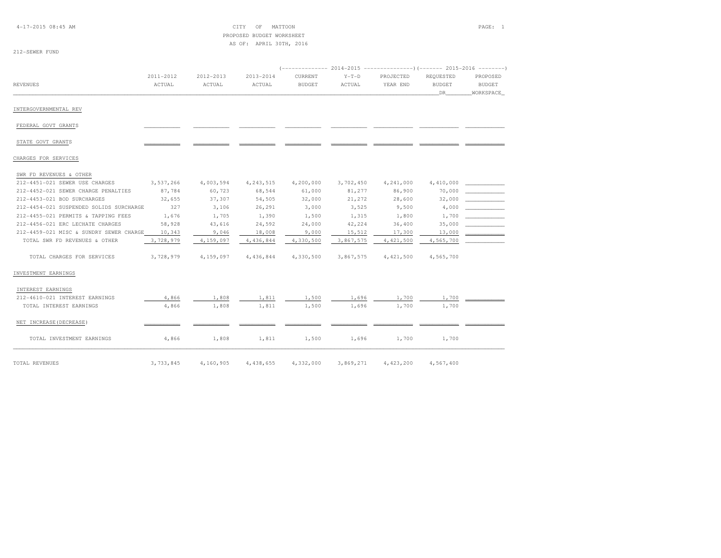4-17-2015 08:45 AM CITY OF MATTOON PAGE: 1 PROPOSED BUDGET WORKSHEETAS OF: APRIL 30TH, 2016

### 212-SEWER FUND

|                                         |                     |                     |                     |                          | 2014-2015         |                       |                                   |                                        |
|-----------------------------------------|---------------------|---------------------|---------------------|--------------------------|-------------------|-----------------------|-----------------------------------|----------------------------------------|
| <b>REVENUES</b>                         | 2011-2012<br>ACTUAL | 2012-2013<br>ACTUAL | 2013-2014<br>ACTUAL | CURRENT<br><b>BUDGET</b> | $Y-T-D$<br>ACTUAL | PROJECTED<br>YEAR END | REQUESTED<br><b>BUDGET</b><br>DR. | PROPOSED<br><b>BUDGET</b><br>WORKSPACE |
| INTERGOVERNMENTAL REV                   |                     |                     |                     |                          |                   |                       |                                   |                                        |
| FEDERAL GOVT GRANTS                     |                     |                     |                     |                          |                   |                       |                                   |                                        |
| STATE GOVT GRANTS                       |                     |                     |                     |                          |                   |                       |                                   |                                        |
| CHARGES FOR SERVICES                    |                     |                     |                     |                          |                   |                       |                                   |                                        |
| SWR FD REVENUES & OTHER                 |                     |                     |                     |                          |                   |                       |                                   |                                        |
| 212-4451-021 SEWER USE CHARGES          | 3,537,266           | 4,003,594           | 4, 243, 515         | 4,200,000                | 3,702,450         | 4,241,000             | 4,410,000                         |                                        |
| 212-4452-021 SEWER CHARGE PENALTIES     | 87,784              | 60,723              | 68,544              | 61,000                   | 81,277            | 86,900                | 70,000                            |                                        |
| 212-4453-021 BOD SURCHARGES             | 32,655              | 37,307              | 54,505              | 32,000                   | 21,272            | 28,600                | 32,000                            |                                        |
| 212-4454-021 SUSPENDED SOLIDS SURCHARGE | 327                 | 3,106               | 26,291              | 3,000                    | 3,525             | 9,500                 | 4,000                             |                                        |
| 212-4455-021 PERMITS & TAPPING FEES     | 1,676               | 1,705               | 1,390               | 1,500                    | 1,315             | 1,800                 | 1,700                             |                                        |
| 212-4456-021 ERC LECHATE CHARGES        | 58,928              | 43,616              | 24,592              | 24,000                   | 42,224            | 36,400                | 35,000                            |                                        |
| 212-4459-021 MISC & SUNDRY SEWER CHARGE | 10,343              | 9,046               | 18,008              | 9,000                    | 15,512            | 17,300                | 13,000                            |                                        |
| TOTAL SWR FD REVENUES & OTHER           | 3,728,979           | 4,159,097           | 4,436,844           | 4,330,500                | 3,867,575         | 4, 421, 500           | 4,565,700                         |                                        |
| TOTAL CHARGES FOR SERVICES              | 3,728,979           | 4,159,097           | 4,436,844           | 4,330,500                | 3,867,575         | 4, 421, 500           | 4,565,700                         |                                        |
| INVESTMENT EARNINGS                     |                     |                     |                     |                          |                   |                       |                                   |                                        |
| INTEREST EARNINGS                       |                     |                     |                     |                          |                   |                       |                                   |                                        |
| 212-4610-021 INTEREST EARNINGS          | 4,866               | 1,808               | 1,811               | 1,500                    | 1,696             | 1,700                 | 1,700                             |                                        |
| TOTAL INTEREST EARNINGS                 | 4,866               | 1,808               | 1,811               | 1,500                    | 1,696             | 1,700                 | 1,700                             |                                        |
| NET INCREASE (DECREASE)                 |                     |                     |                     |                          |                   |                       |                                   |                                        |
| TOTAL INVESTMENT EARNINGS               | 4,866               | 1,808               | 1,811               | 1,500                    | 1,696             | 1,700                 | 1,700                             |                                        |
| TOTAL REVENUES                          | 3,733,845           | 4,160,905           | 4,438,655           | 4,332,000                | 3,869,271         | 4, 423, 200           | 4,567,400                         |                                        |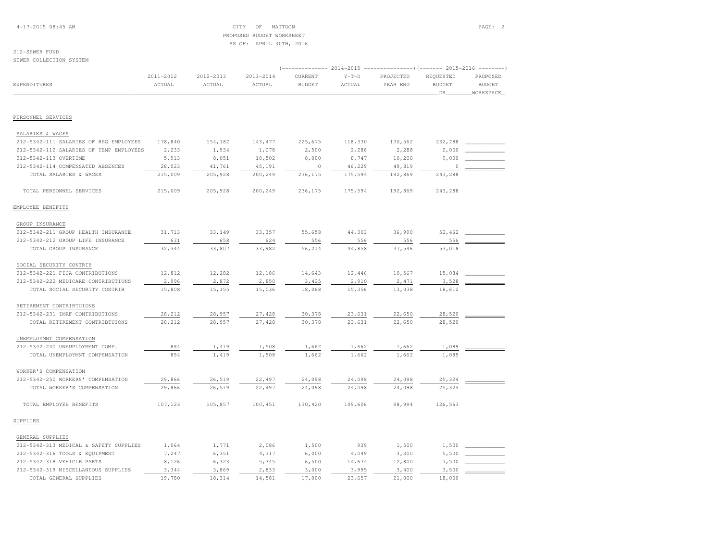4-17-2015 08:45 AM CITY OF MATTOON PAGE: 2 PROPOSED BUDGET WORKSHEETAS OF: APRIL 30TH, 2016

### 212-SEWER FUND

SEWER COLLECTION SYSTEM

|                                         |                     |                     |                     |                          | 2014-2015         |                       | ----- 2015-2016                    |                                        |
|-----------------------------------------|---------------------|---------------------|---------------------|--------------------------|-------------------|-----------------------|------------------------------------|----------------------------------------|
| EXPENDITURES                            | 2011-2012<br>ACTUAL | 2012-2013<br>ACTUAL | 2013-2014<br>ACTUAL | CURRENT<br><b>BUDGET</b> | $Y-T-D$<br>ACTUAL | PROJECTED<br>YEAR END | REQUESTED<br><b>BUDGET</b><br>_DR_ | PROPOSED<br><b>BUDGET</b><br>WORKSPACE |
|                                         |                     |                     |                     |                          |                   |                       |                                    |                                        |
| PERSONNEL SERVICES                      |                     |                     |                     |                          |                   |                       |                                    |                                        |
| SALARIES & WAGES                        |                     |                     |                     |                          |                   |                       |                                    |                                        |
| 212-5342-111 SALARIES OF REG EMPLOYEES  | 178,840             | 154,182             | 143, 477            | 225,675                  | 118,330           | 130,562               | 232,288                            |                                        |
| 212-5342-112 SALARIES OF TEMP EMPLOYEES | 2,233               | 1,934               | 1,078               | 2,500                    | 2,288             | 2,288                 | 2,000                              |                                        |
| 212-5342-113 OVERTIME                   | 5,913               | 8,051               | 10,502              | 8,000                    | 8,747             | 10,200                | 9,000                              |                                        |
| 212-5342-114 COMPENSATED ABSENCES       | 28,023              | 41,761              | 45,191              | $\circ$                  | 46,229            | 49,819                | $\Omega$                           |                                        |
| TOTAL SALARIES & WAGES                  | 215,009             | 205,928             | 200,249             | 236,175                  | 175,594           | 192,869               | 243,288                            |                                        |
| TOTAL PERSONNEL SERVICES                | 215,009             | 205,928             | 200,249             | 236,175                  | 175,594           | 192,869               | 243,288                            |                                        |
| EMPLOYEE BENEFITS                       |                     |                     |                     |                          |                   |                       |                                    |                                        |
| GROUP INSURANCE                         |                     |                     |                     |                          |                   |                       |                                    |                                        |
| 212-5342-211 GROUP HEALTH INSURANCE     | 31,713              | 33,149              | 33,357              | 55,658                   | 44,303            | 36,990                | 52,462                             |                                        |
| 212-5342-212 GROUP LIFE INSURANCE       | 631                 | 658                 | 624                 | 556                      | 556               | 556                   | 556                                |                                        |
| TOTAL GROUP INSURANCE                   | 32,344              | 33,807              | 33,982              | 56,214                   | 44,858            | 37,546                | 53,018                             |                                        |
| SOCIAL SECURITY CONTRIB                 |                     |                     |                     |                          |                   |                       |                                    |                                        |
| 212-5342-221 FICA CONTRIBUTIONS         | 12,812              | 12,282              | 12,186              | 14,643                   | 12,446            | 10,567                | 15,084                             |                                        |
| 212-5342-222 MEDICARE CONTRIBUTIONS     | 2,996               | 2,872               | 2,850               | 3,425                    | 2,910             | 2,471                 | 3,528                              |                                        |
| TOTAL SOCIAL SECURITY CONTRIB           | 15,808              | 15,155              | 15,036              | 18,068                   | 15,356            | 13,038                | 18,612                             |                                        |
| RETIREMENT CONTRIBTUIONS                |                     |                     |                     |                          |                   |                       |                                    |                                        |
| 212-5342-231 IMRF CONTRIBUTIONS         | 28,212              | 28,957              | 27,428              | 30,378                   | 23,631            | 22,650                | 28,520                             |                                        |
| TOTAL RETIREMENT CONTRIBTUIONS          | 28,212              | 28,957              | 27,428              | 30,378                   | 23,631            | 22,650                | 28,520                             |                                        |
| UNEMPLOYMNT COMPENSATION                |                     |                     |                     |                          |                   |                       |                                    |                                        |
| 212-5342-240 UNEMPLOYMENT COMP.         | 894                 | 1,419               | 1,508               | 1,662                    | 1,662             | 1,662                 | 1,089                              |                                        |
| TOTAL UNEMPLOYMNT COMPENSATION          | 894                 | 1,419               | 1,508               | 1,662                    | 1,662             | 1,662                 | 1,089                              |                                        |
| WORKER'S COMPENSATION                   |                     |                     |                     |                          |                   |                       |                                    |                                        |
| 212-5342-250 WORKERS' COMPENSATION      | 29,866              | 26,519              | 22,497              | 24,098                   | 24,098            | 24,098                | 25,324                             |                                        |
| TOTAL WORKER'S COMPENSATION             | 29,866              | 26,519              | 22,497              | 24,098                   | 24,098            | 24,098                | 25,324                             |                                        |
| TOTAL EMPLOYEE BENEFITS                 | 107,123             | 105,857             | 100,451             | 130,420                  | 109,606           | 98,994                | 126,563                            |                                        |
| SUPPLIES                                |                     |                     |                     |                          |                   |                       |                                    |                                        |
| GENERAL SUPPLIES                        |                     |                     |                     |                          |                   |                       |                                    |                                        |
| 212-5342-313 MEDICAL & SAFETY SUPPLIES  | 1,064               | 1,771               | 2,086               | 1,500                    | 939               | 1,500                 | 1,500                              |                                        |
| 212-5342-316 TOOLS & EQUIPMENT          | 7,247               | 6,351               | 4,317               | 6,000                    | 4,049             | 3,300                 | 5,500                              |                                        |
| 212-5342-318 VEHICLE PARTS              | 8,126               | 6,323               | 5,345               | 6,500                    | 14,674            | 12,800                | 7,500                              |                                        |
| 212-5342-319 MISCELLANEOUS SUPPLIES     | 3,344               | 3,869               | 2,833               | 3,000                    | 3,995             | 3,400                 | 3,500                              |                                        |
| TOTAL GENERAL SUPPLIES                  | 19,780              | 18,314              | 14,581              | 17,000                   | 23,657            | 21,000                | 18,000                             |                                        |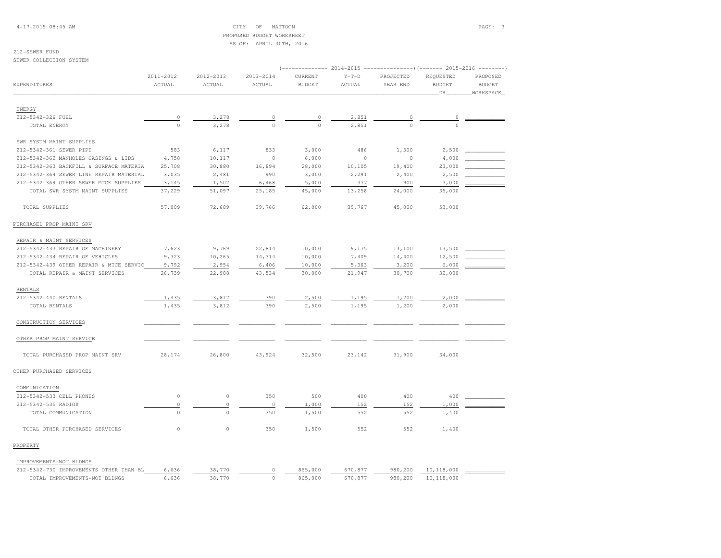4-17-2015 08:45 AM CITY OF MATTOON PAGE: 3 PROPOSED BUDGET WORKSHEETAS OF: APRIL 30TH, 2016

### 212-SEWER FUND

SEWER COLLECTION SYSTEM

|                                         |             |             |                            | $--------- 2014-2015$ |         |           | ----------------) (------- 2015-2016 ---------) |               |
|-----------------------------------------|-------------|-------------|----------------------------|-----------------------|---------|-----------|-------------------------------------------------|---------------|
|                                         | 2011-2012   | 2012-2013   | 2013-2014                  | CURRENT               | $Y-T-D$ | PROJECTED | REQUESTED                                       | PROPOSED      |
| EXPENDITURES                            | ACTUAL      | ACTUAL      | ACTUAL                     | <b>BUDGET</b>         | ACTUAL  | YEAR END  | <b>BUDGET</b>                                   | <b>BUDGET</b> |
|                                         |             |             |                            |                       |         |           | DR                                              | WORKSPACE     |
| ENERGY                                  |             |             |                            |                       |         |           |                                                 |               |
| 212-5342-326 FUEL                       | $\mathbb O$ | 3,278       |                            | $\mathbb O$           | 2,851   |           |                                                 |               |
| TOTAL ENERGY                            | $\circ$     | 3,278       | $\overline{0}$<br>$\Omega$ | $\Omega$              | 2,851   |           | $\circ$<br>$\Omega$                             |               |
|                                         |             |             |                            |                       |         |           |                                                 |               |
| SWR SYSTM MAINT SUPPLIES                |             |             |                            |                       |         |           |                                                 |               |
| 212-5342-361 SEWER PIPE                 | 583         | 6,117       | 833                        | 3,000                 | 486     | 1,300     | 2,500                                           |               |
| 212-5342-362 MANHOLES CASINGS & LIDS    | 4,758       | 10,117      | $\circ$                    | 6,000                 | $\circ$ | $\circ$   | 4,000                                           |               |
| 212-5342-363 BACKFILL & SURFACE MATERIA | 25,708      | 30,880      | 16,894                     | 28,000                | 10,105  | 19,400    | 23,000                                          |               |
| 212-5342-364 SEWER LINE REPAIR MATERIAL | 3,035       | 2,481       | 990                        | 3,000                 | 2,291   | 2,400     | 2,500                                           |               |
| 212-5342-369 OTHER SEWER MTCE SUPPLIES  | 3,145       | 1,502       | 6,468                      | 5,000                 | 377     | 900       | 3,000                                           |               |
| TOTAL SWR SYSTM MAINT SUPPLIES          | 37,229      | 51,097      | 25,185                     | 45,000                | 13,258  | 24,000    | 35,000                                          |               |
| TOTAL SUPPLIES                          | 57,009      | 72,689      | 39,766                     | 62,000                | 39,767  | 45,000    | 53,000                                          |               |
| PURCHASED PROP MAINT SRV                |             |             |                            |                       |         |           |                                                 |               |
| REPAIR & MAINT SERVICES                 |             |             |                            |                       |         |           |                                                 |               |
| 212-5342-433 REPAIR OF MACHINERY        | 7,623       | 9,769       | 22,814                     | 10,000                | 9,175   | 13,100    | 13,500                                          |               |
| 212-5342-434 REPAIR OF VEHICLES         | 9,323       | 10,265      | 14,314                     | 10,000                | 7,409   | 14,400    | 12,500                                          |               |
| 212-5342-439 OTHER REPAIR & MTCE SERVIC | 9,792       | 2,954       | 6,406                      | 10,000                | 5,363   | 3,200     | 6,000                                           |               |
| TOTAL REPAIR & MAINT SERVICES           | 26,739      | 22,988      | 43,534                     | 30,000                | 21,947  | 30,700    | 32,000                                          |               |
| RENTALS                                 |             |             |                            |                       |         |           |                                                 |               |
| 212-5342-440 RENTALS                    | 1,435       | 3,812       | 390                        | 2,500                 | 1,195   | 1,200     | 2,000                                           |               |
| TOTAL RENTALS                           | 1,435       | 3,812       | 390                        | 2,500                 | 1,195   | 1,200     | 2,000                                           |               |
|                                         |             |             |                            |                       |         |           |                                                 |               |
| CONSTRUCTION SERVICES                   |             |             |                            |                       |         |           |                                                 |               |
| OTHER PROP MAINT SERVICE                |             |             |                            |                       |         |           |                                                 |               |
| TOTAL PURCHASED PROP MAINT SRV          | 28,174      | 26,800      | 43,924                     | 32,500                | 23,142  | 31,900    | 34,000                                          |               |
| OTHER PURCHASED SERVICES                |             |             |                            |                       |         |           |                                                 |               |
| COMMUNICATION                           |             |             |                            |                       |         |           |                                                 |               |
| 212-5342-533 CELL PHONES                | $\mathbb O$ | $\circ$     | 350                        | 500                   | 400     | 400       | 400                                             |               |
| 212-5342-535 RADIOS                     | $\mathbb O$ | $\circ$     | $\circ$                    | 1,000                 | 152     | 152       | 1,000                                           |               |
| TOTAL COMMUNICATION                     | $\circ$     | $\circ$     | 350                        | 1,500                 | 552     | 552       | 1,400                                           |               |
| TOTAL OTHER PURCHASED SERVICES          | $\mathbb O$ | $\mathbb O$ | 350                        | 1,500                 | 552     | 552       | 1,400                                           |               |
| PROPERTY                                |             |             |                            |                       |         |           |                                                 |               |
| IMPROVEMENTS-NOT BLDNGS                 |             |             |                            |                       |         |           |                                                 |               |
| 212-5342-730 IMPROVEMENTS OTHER THAN BL | 6,636       | 38,770      | 0                          | 865,000               | 670,877 | 980,200   | 10,118,000                                      |               |
| TOTAL IMPROVEMENTS-NOT BLDNGS           | 6,636       | 38,770      | $\circ$                    | 865,000               | 670,877 | 980,200   | 10,118,000                                      |               |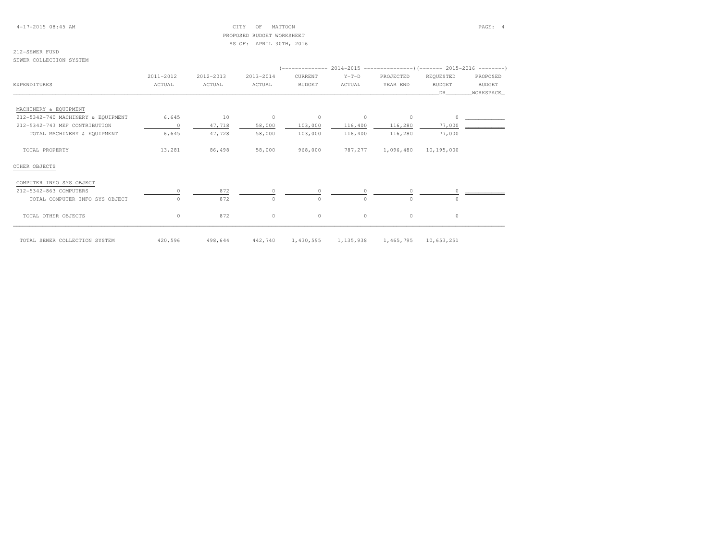4-17-2015 08:45 AM CITY OF MATTOON PAGE: 4 PROPOSED BUDGET WORKSHEETAS OF: APRIL 30TH, 2016

# 212-SEWER FUND

SEWER COLLECTION SYSTEM

|                                    |           |           |                |               |         | (-------------- 2014-2015 -------------------) (------- 2015-2016 ---------) |               |               |
|------------------------------------|-----------|-----------|----------------|---------------|---------|------------------------------------------------------------------------------|---------------|---------------|
|                                    | 2011-2012 | 2012-2013 | 2013-2014      | CURRENT       | $Y-T-D$ | PROJECTED                                                                    | REQUESTED     | PROPOSED      |
| EXPENDITURES                       | ACTUAL    | ACTUAL    | ACTUAL         | <b>BUDGET</b> | ACTUAL  | YEAR END                                                                     | <b>BUDGET</b> | <b>BUDGET</b> |
|                                    |           |           |                |               |         |                                                                              | DR            | WORKSPACE     |
| MACHINERY & EQUIPMENT              |           |           |                |               |         |                                                                              |               |               |
| 212-5342-740 MACHINERY & EQUIPMENT | 6,645     | 10        | $\overline{0}$ | $\circ$       | $\circ$ | $\circ$                                                                      | $\circ$       |               |
| 212-5342-743 MEF CONTRIBUTION      | $\circ$   | 47,718    | 58,000         | 103,000       | 116,400 | 116,280                                                                      | 77,000        |               |
| TOTAL MACHINERY & EQUIPMENT        | 6,645     | 47,728    | 58,000         | 103,000       | 116,400 | 116,280                                                                      | 77,000        |               |
| TOTAL PROPERTY                     | 13,281    | 86,498    | 58,000         | 968,000       | 787,277 | 1,096,480                                                                    | 10,195,000    |               |
| OTHER OBJECTS                      |           |           |                |               |         |                                                                              |               |               |
| COMPUTER INFO SYS OBJECT           |           |           |                |               |         |                                                                              |               |               |
| 212-5342-863 COMPUTERS             |           | 872       |                |               |         |                                                                              |               |               |
| TOTAL COMPUTER INFO SYS OBJECT     |           | 872       | $\Omega$       |               | $\cap$  | $\Omega$                                                                     | $\cap$        |               |
| TOTAL OTHER OBJECTS                | $\circ$   | 872       | $\circ$        | $\circ$       | $\circ$ | $\circ$                                                                      | $\circ$       |               |

TOTAL SEWER COLLECTION SYSTEM 420,596 498,644 442,740 1,430,595 1,135,938 1,465,795 10,653,251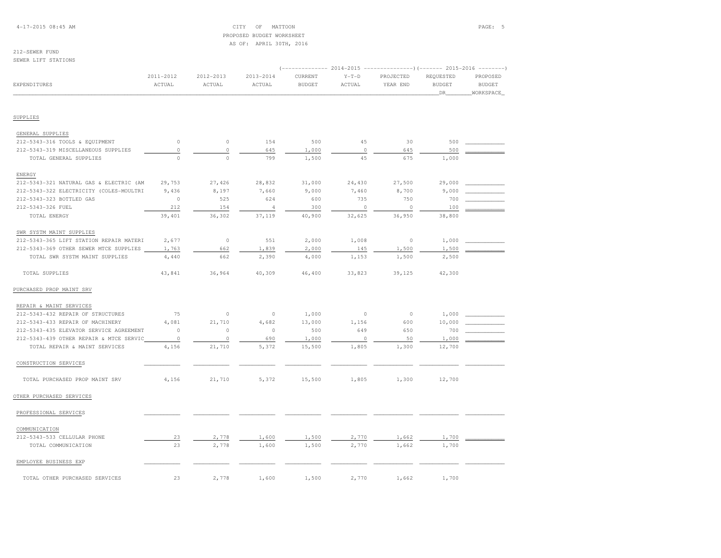# PROPOSED BUDGET WORKSHEETAS OF: APRIL 30TH, 2016

# 212-SEWER FUND

SEWER LIFT STATIONS

|                                         |                     |                     |                     |                          | $-- 2014 - 2015$  | -------------)(------- 2015-2016 --------) |                                  |                                        |
|-----------------------------------------|---------------------|---------------------|---------------------|--------------------------|-------------------|--------------------------------------------|----------------------------------|----------------------------------------|
| EXPENDITURES                            | 2011-2012<br>ACTUAL | 2012-2013<br>ACTUAL | 2013-2014<br>ACTUAL | CURRENT<br><b>BUDGET</b> | $Y-T-D$<br>ACTUAL | PROJECTED<br>YEAR END                      | REQUESTED<br><b>BUDGET</b><br>DR | PROPOSED<br><b>BUDGET</b><br>WORKSPACE |
|                                         |                     |                     |                     |                          |                   |                                            |                                  |                                        |
| SUPPLIES                                |                     |                     |                     |                          |                   |                                            |                                  |                                        |
| GENERAL SUPPLIES                        |                     |                     |                     |                          |                   |                                            |                                  |                                        |
| 212-5343-316 TOOLS & EQUIPMENT          | $\mathbb O$         | $\mathbb O$         | 154                 | 500                      | 45                | 30                                         | 500                              |                                        |
| 212-5343-319 MISCELLANEOUS SUPPLIES     | $\mathbb O$         | $\mathbb O$         | 645                 | 1,000                    | $\circ$           | 645                                        | 500                              |                                        |
| TOTAL GENERAL SUPPLIES                  | $\Omega$            | $\circ$             | 799                 | 1,500                    | 45                | 675                                        | 1,000                            |                                        |
| <b>ENERGY</b>                           |                     |                     |                     |                          |                   |                                            |                                  |                                        |
| 212-5343-321 NATURAL GAS & ELECTRIC (AM | 29,753              | 27,426              | 28,832              | 31,000                   | 24,430            | 27,500                                     | 29,000                           |                                        |
| 212-5343-322 ELECTRICITY (COLES-MOULTRI | 9,436               | 8,197               | 7,660               | 9,000                    | 7,460             | 8,700                                      | 9,000                            |                                        |
| 212-5343-323 BOTTLED GAS                | $\circ$             | 525                 | 624                 | 600                      | 735               | 750                                        | 700                              |                                        |
| 212-5343-326 FUEL                       | 212                 | 154                 | $\overline{4}$      | 300                      | $\circ$           | $\circ$                                    | 100                              |                                        |
| TOTAL ENERGY                            | 39,401              | 36,302              | 37,119              | 40,900                   | 32,625            | 36,950                                     | 38,800                           |                                        |
| SWR SYSTM MAINT SUPPLIES                |                     |                     |                     |                          |                   |                                            |                                  |                                        |
| 212-5343-365 LIFT STATION REPAIR MATERI | 2,677               | $\mathbb O$         | 551                 | 2,000                    | 1,008             | $\circ$                                    | 1,000                            |                                        |
| 212-5343-369 OTHER SEWER MTCE SUPPLIES  | 1,763               | 662                 | 1,839               | 2,000                    | 145               | 1,500                                      | 1,500                            |                                        |
| TOTAL SWR SYSTM MAINT SUPPLIES          | 4,440               | 662                 | 2,390               | 4,000                    | 1,153             | 1,500                                      | 2,500                            |                                        |
| TOTAL SUPPLIES                          | 43,841              | 36,964              | 40,309              | 46,400                   | 33,823            | 39,125                                     | 42,300                           |                                        |
| PURCHASED PROP MAINT SRV                |                     |                     |                     |                          |                   |                                            |                                  |                                        |
| REPAIR & MAINT SERVICES                 |                     |                     |                     |                          |                   |                                            |                                  |                                        |
| 212-5343-432 REPAIR OF STRUCTURES       | 75                  | $\mathbb O$         | $\circ$             | 1,000                    | $\circ$           | $\circ$                                    | 1,000                            |                                        |
| 212-5343-433 REPAIR OF MACHINERY        | 4,081               | 21,710              | 4,682               | 13,000                   | 1,156             | 600                                        | 10,000                           |                                        |
| 212-5343-435 ELEVATOR SERVICE AGREEMENT | $\circ$             | $\circ$             | $\circ$             | 500                      | 649               | 650                                        | 700                              |                                        |
| 212-5343-439 OTHER REPAIR & MTCE SERVIC | $\circ$             | $\circ$             | 690                 | 1,000                    | $\circ$           | 50                                         | 1,000                            |                                        |
| TOTAL REPAIR & MAINT SERVICES           | 4,156               | 21,710              | 5,372               | 15,500                   | 1,805             | 1,300                                      | 12,700                           |                                        |
| CONSTRUCTION SERVICES                   |                     |                     |                     |                          |                   |                                            |                                  |                                        |
| TOTAL PURCHASED PROP MAINT SRV          | 4,156               | 21,710              | 5,372               | 15,500                   | 1,805             | 1,300                                      | 12,700                           |                                        |
| OTHER PURCHASED SERVICES                |                     |                     |                     |                          |                   |                                            |                                  |                                        |
| PROFESSIONAL SERVICES                   |                     |                     |                     |                          |                   |                                            |                                  |                                        |
| COMMUNICATION                           |                     |                     |                     |                          |                   |                                            |                                  |                                        |
| 212-5343-533 CELLULAR PHONE             | 23                  | 2,778               | 1,600               | 1,500                    | 2,770             | 1,662                                      | 1,700                            |                                        |
| TOTAL COMMUNICATION                     | 23                  | 2,778               | 1,600               | 1,500                    | 2,770             | 1,662                                      | 1,700                            |                                        |
| EMPLOYEE BUSINESS EXP                   |                     |                     |                     |                          |                   |                                            |                                  |                                        |
| TOTAL OTHER PURCHASED SERVICES          | 23                  | 2,778               | 1,600               | 1,500                    | 2,770             | 1,662                                      | 1,700                            |                                        |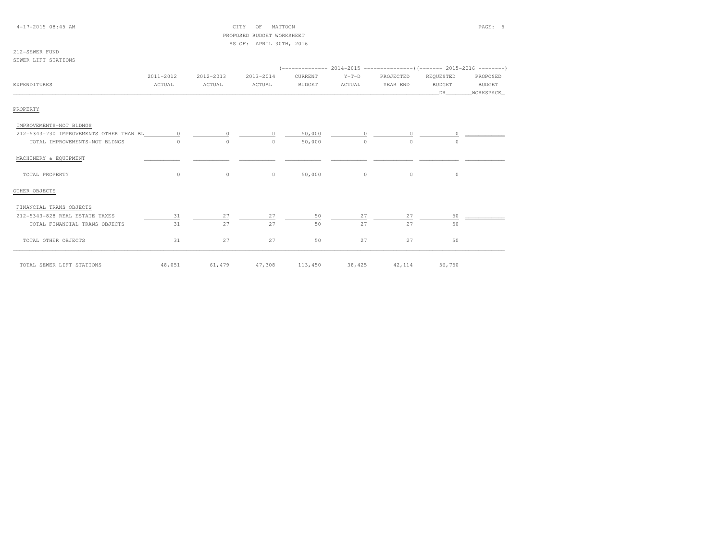# PROPOSED BUDGET WORKSHEETAS OF: APRIL 30TH, 2016

### 212-SEWER FUNDSEWER LIFT STATIONS

 (-------------- 2014-2015 ---------------)(------- 2015-2016 --------) 2011-2012 2012-2013 2013-2014 CURRENT Y-T-D PROJECTED REQUESTED PROPOSED**BUDGET** EXPENDITURES ACTUAL ACTUAL ACTUAL BUDGET ACTUAL YEAR END BUDGET BUDGET\_\_WORKSPACE\_ \_\_\_\_\_\_\_\_\_\_\_\_\_\_\_\_\_\_\_\_\_\_\_\_\_\_\_\_\_\_\_\_\_\_\_\_\_\_\_\_\_\_\_\_\_\_\_\_\_\_\_\_\_\_\_\_\_\_\_\_\_\_\_\_\_\_\_\_\_\_\_\_\_\_\_\_\_\_\_\_\_\_\_\_\_\_\_\_\_\_\_\_\_\_\_\_\_\_\_\_\_\_\_\_\_\_\_\_\_\_\_\_\_\_\_\_\_\_\_\_\_\_\_\_\_\_\_\_\_\_DR\_\_\_\_\_\_\_\_WORKSPACE\_PROPERTY IMPROVEMENTS-NOT BLDNGS212-5343-730 IMPROVEMENTS OTHER THAN BL 212-5343-730 IMPROVEMENTS OTHER THAN BL 0 0 0 50,000 0 0 0 \_\_\_\_\_\_\_\_\_\_\_\_ $\begin{array}{c}\n0 \\
\hline\n0\n\end{array}$  TOTAL IMPROVEMENTS-NOT BLDNGS 0 0 0 50,000 0 0 0MACHINERY & EQUIPMENT TOTAL PROPERTY 0 0 0 50,000 0 0 0OTHER OBJECTS FINANCIAL TRANS OBJECTS 212-5343-828 REAL ESTATE TAXES 31 27 27 50 27 27 50 \_\_\_\_\_\_\_\_\_\_\_\_ $-5343-828$  REAL ESTATE TAXES  $\frac{31}{31}$   $\frac{27}{27}$   $\frac{27}{27}$   $\frac{50}{50}$   $\frac{27}{27}$   $\frac{27}{27}$   $\frac{27}{27}$   $\frac{50}{50}$  = TOTAL OTHER OBJECTS 31 27 27 50 27 27 501071 TOTAL SEWER LIFT STATIONS 48,051 61,479 47,308 113,450 38,425 42,114 56,750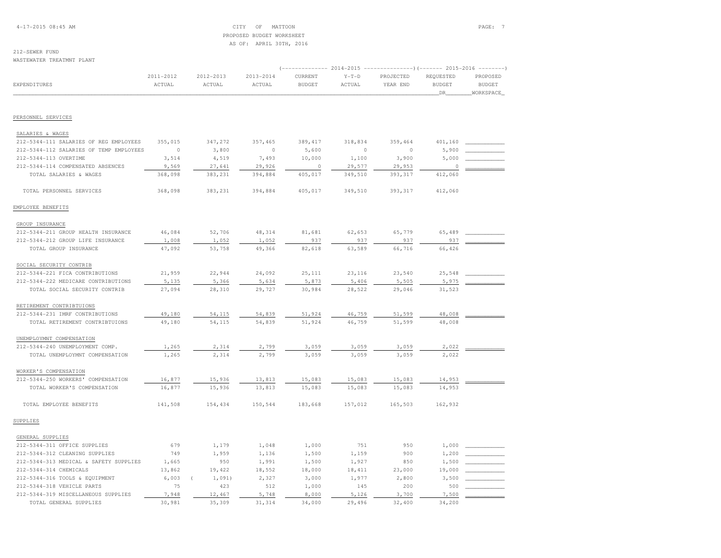4-17-2015 08:45 AM CITY OF MATTOON PAGE: 7 PROPOSED BUDGET WORKSHEETAS OF: APRIL 30TH, 2016

### 212-SEWER FUND

WASTEWATER TREATMNT PLANT

|                                         |                     |                     |                         |                          | 2014-2015         |                       | -)(------- 2015-2016              |                                        |
|-----------------------------------------|---------------------|---------------------|-------------------------|--------------------------|-------------------|-----------------------|-----------------------------------|----------------------------------------|
| EXPENDITURES                            | 2011-2012<br>ACTUAL | 2012-2013<br>ACTUAL | $2013 - 2014$<br>ACTUAL | CURRENT<br><b>BUDGET</b> | $Y-T-D$<br>ACTUAL | PROJECTED<br>YEAR END | REQUESTED<br><b>BUDGET</b><br>DR. | PROPOSED<br><b>BUDGET</b><br>WORKSPACE |
|                                         |                     |                     |                         |                          |                   |                       |                                   |                                        |
| PERSONNEL SERVICES                      |                     |                     |                         |                          |                   |                       |                                   |                                        |
| SALARIES & WAGES                        |                     |                     |                         |                          |                   |                       |                                   |                                        |
| 212-5344-111 SALARIES OF REG EMPLOYEES  | 355,015             | 347,272             | 357,465                 | 389,417                  | 318,834           | 359,464               | 401,160                           |                                        |
| 212-5344-112 SALARIES OF TEMP EMPLOYEES | $\circ$             | 3,800               | $\circ$                 | 5,600                    | $\circ$           | $\circ$               | 5,900                             |                                        |
| 212-5344-113 OVERTIME                   | 3,514               | 4,519               | 7,493                   | 10,000                   | 1,100             | 3,900                 | 5,000                             |                                        |
| 212-5344-114 COMPENSATED ABSENCES       | 9,569               | 27,641              | 29,926                  | $\circ$                  | 29,577            | 29,953                | $\mathbf 0$                       |                                        |
| TOTAL SALARIES & WAGES                  | 368,098             | 383,231             | 394,884                 | 405,017                  | 349,510           | 393, 317              | 412,060                           |                                        |
| TOTAL PERSONNEL SERVICES                | 368,098             | 383,231             | 394,884                 | 405,017                  | 349,510           | 393,317               | 412,060                           |                                        |
| EMPLOYEE BENEFITS                       |                     |                     |                         |                          |                   |                       |                                   |                                        |
| GROUP INSURANCE                         |                     |                     |                         |                          |                   |                       |                                   |                                        |
| 212-5344-211 GROUP HEALTH INSURANCE     | 46,084              | 52,706              | 48,314                  | 81,681                   | 62,653            | 65,779                | 65,489                            |                                        |
| 212-5344-212 GROUP LIFE INSURANCE       | 1,008               | 1,052               | 1,052                   | 937                      | 937               | 937                   | 937                               |                                        |
| TOTAL GROUP INSURANCE                   | 47,092              | 53,758              | 49,366                  | 82,618                   | 63,589            | 66,716                | 66,426                            |                                        |
| SOCIAL SECURITY CONTRIB                 |                     |                     |                         |                          |                   |                       |                                   |                                        |
| 212-5344-221 FICA CONTRIBUTIONS         | 21,959              | 22,944              | 24,092                  | 25,111                   | 23,116            | 23,540                | 25,548                            |                                        |
| 212-5344-222 MEDICARE CONTRIBUTIONS     | 5,135               | 5,366               | 5,634                   | 5,873                    | 5,406             | 5,505                 | 5,975                             |                                        |
| TOTAL SOCIAL SECURITY CONTRIB           | 27,094              | 28,310              | 29,727                  | 30,984                   | 28,522            | 29,046                | 31,523                            |                                        |
|                                         |                     |                     |                         |                          |                   |                       |                                   |                                        |
| RETIREMENT CONTRIBTUIONS                |                     |                     |                         |                          |                   |                       |                                   |                                        |
| 212-5344-231 IMRF CONTRIBUTIONS         | 49,180              | 54,115              | 54,839                  | 51,924                   | 46,759            | 51,599                | 48,008                            |                                        |
| TOTAL RETIREMENT CONTRIBTUIONS          | 49,180              | 54,115              | 54,839                  | 51,924                   | 46,759            | 51,599                | 48,008                            |                                        |
| UNEMPLOYMNT COMPENSATION                |                     |                     |                         |                          |                   |                       |                                   |                                        |
| 212-5344-240 UNEMPLOYMENT COMP.         | 1,265               | 2,314               | 2,799                   | 3,059                    | 3,059             | 3,059                 | 2,022                             |                                        |
| TOTAL UNEMPLOYMNT COMPENSATION          | 1,265               | 2,314               | 2,799                   | 3,059                    | 3,059             | 3,059                 | 2,022                             |                                        |
| WORKER'S COMPENSATION                   |                     |                     |                         |                          |                   |                       |                                   |                                        |
| 212-5344-250 WORKERS' COMPENSATION      | 16,877              | 15,936              | 13,813                  | 15,083                   | 15,083            | 15,083                | 14,953                            |                                        |
| TOTAL WORKER'S COMPENSATION             | 16,877              | 15,936              | 13,813                  | 15,083                   | 15,083            | 15,083                | 14,953                            |                                        |
| TOTAL EMPLOYEE BENEFITS                 | 141,508             | 154,434             | 150,544                 | 183,668                  | 157,012           | 165,503               | 162,932                           |                                        |
| SUPPLIES                                |                     |                     |                         |                          |                   |                       |                                   |                                        |
| GENERAL SUPPLIES                        |                     |                     |                         |                          |                   |                       |                                   |                                        |
| 212-5344-311 OFFICE SUPPLIES            | 679                 | 1,179               | 1,048                   | 1,000                    | 751               | 950                   | 1,000                             |                                        |
| 212-5344-312 CLEANING SUPPLIES          | 749                 | 1,959               | 1,136                   | 1,500                    | 1,159             | 900                   | 1,200                             |                                        |
| 212-5344-313 MEDICAL & SAFETY SUPPLIES  | 1,665               | 950                 | 1,991                   | 1,500                    | 1,927             | 850                   | 1,500                             |                                        |
| 212-5344-314 CHEMICALS                  | 13,862              | 19,422              | 18,552                  | 18,000                   | 18,411            | 23,000                | 19,000                            |                                        |
| 212-5344-316 TOOLS & EQUIPMENT          | 6,003               | 1,091)<br>$\left($  | 2,327                   | 3,000                    | 1,977             | 2,800                 | 3,500                             |                                        |
| 212-5344-318 VEHICLE PARTS              | 75                  | 423                 | 512                     | 1,000                    | 145               | 200                   | 500                               |                                        |
| 212-5344-319 MISCELLANEOUS SUPPLIES     | 7,948               | 12,467              | 5,748                   | 8,000                    | 5,126             | 3,700                 | 7,500                             |                                        |
| TOTAL GENERAL SUPPLIES                  | 30,981              | 35,309              | 31, 314                 | 34,000                   | 29,496            | 32,400                | 34,200                            |                                        |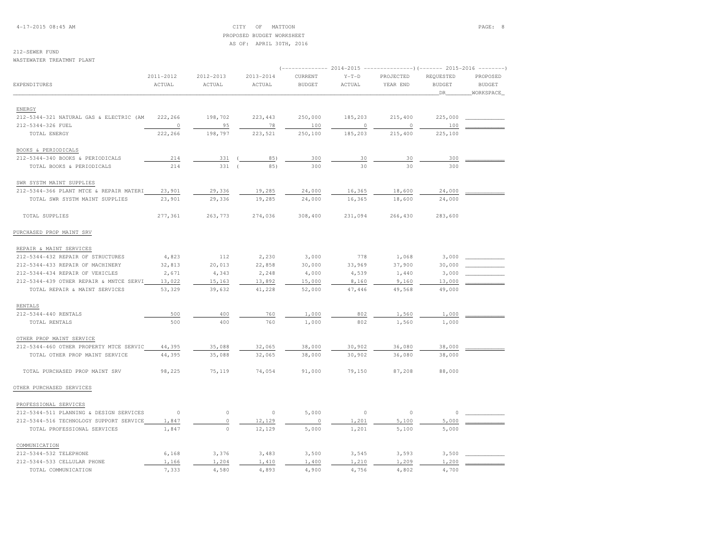4-17-2015 08:45 AM CITY OF MATTOON PAGE: 8 PROPOSED BUDGET WORKSHEETAS OF: APRIL 30TH, 2016

212-SEWER FUND

WASTEWATER TREATMNT PLANT

|                                         |                     |                     |                     |                          |                   | $2014-2015$ ---------------)(------- 2015-2016 -------- |                                  |                                        |
|-----------------------------------------|---------------------|---------------------|---------------------|--------------------------|-------------------|---------------------------------------------------------|----------------------------------|----------------------------------------|
| EXPENDITURES                            | 2011-2012<br>ACTUAL | 2012-2013<br>ACTUAL | 2013-2014<br>ACTUAL | CURRENT<br><b>BUDGET</b> | $Y-T-D$<br>ACTUAL | PROJECTED<br>YEAR END                                   | REQUESTED<br><b>BUDGET</b><br>DR | PROPOSED<br><b>BUDGET</b><br>WORKSPACE |
|                                         |                     |                     |                     |                          |                   |                                                         |                                  |                                        |
| ENERGY                                  |                     |                     |                     |                          |                   |                                                         |                                  |                                        |
| 212-5344-321 NATURAL GAS & ELECTRIC (AM | 222,266             | 198,702             | 223, 443            | 250,000                  | 185,203           | 215,400                                                 | 225,000                          |                                        |
| 212-5344-326 FUEL                       | 0                   | 95                  | 78                  | 100                      | $\circ$           | $\circ$                                                 | 100                              |                                        |
| TOTAL ENERGY                            | 222,266             | 198,797             | 223,521             | 250,100                  | 185,203           | 215,400                                                 | 225,100                          |                                        |
| BOOKS & PERIODICALS                     |                     |                     |                     |                          |                   |                                                         |                                  |                                        |
| 212-5344-340 BOOKS & PERIODICALS        | 214                 | 331                 | 85)                 | 300                      | 30                | 30                                                      | 300                              |                                        |
| TOTAL BOOKS & PERIODICALS               | 214                 | 331                 | 85)                 | 300                      | 30                | 30                                                      | 300                              |                                        |
| SWR SYSTM MAINT SUPPLIES                |                     |                     |                     |                          |                   |                                                         |                                  |                                        |
| 212-5344-366 PLANT MTCE & REPAIR MATERI | 23,901              | 29,336              | 19,285              | 24,000                   | 16,365            | 18,600                                                  | 24,000                           |                                        |
| TOTAL SWR SYSTM MAINT SUPPLIES          | 23,901              | 29,336              | 19,285              | 24,000                   | 16,365            | 18,600                                                  | 24,000                           |                                        |
| TOTAL SUPPLIES                          | 277,361             | 263,773             | 274,036             | 308,400                  | 231,094           | 266,430                                                 | 283,600                          |                                        |
| PURCHASED PROP MAINT SRV                |                     |                     |                     |                          |                   |                                                         |                                  |                                        |
| REPAIR & MAINT SERVICES                 |                     |                     |                     |                          |                   |                                                         |                                  |                                        |
| 212-5344-432 REPAIR OF STRUCTURES       | 4,823               | 112                 | 2,230               | 3,000                    | 778               | 1,068                                                   | 3,000                            |                                        |
| 212-5344-433 REPAIR OF MACHINERY        | 32,813              | 20,013              | 22,858              | 30,000                   | 33,969            | 37,900                                                  | 30,000                           |                                        |
| 212-5344-434 REPAIR OF VEHICLES         | 2,671               | 4,343               | 2,248               | 4,000                    | 4,539             | 1,440                                                   | 3,000                            |                                        |
| 212-5344-439 OTHER REPAIR & MNTCE SERVI | 13,022              | 15,163              | 13,892              | 15,000                   | 8,160             | 9,160                                                   | 13,000                           |                                        |
| TOTAL REPAIR & MAINT SERVICES           | 53,329              | 39,632              | 41,228              | 52,000                   | 47,446            | 49,568                                                  | 49,000                           |                                        |
| RENTALS                                 |                     |                     |                     |                          |                   |                                                         |                                  |                                        |
| 212-5344-440 RENTALS                    | 500                 | 400                 | 760                 | 1,000                    | 802               | 1,560                                                   | 1,000                            |                                        |
| TOTAL RENTALS                           | 500                 | 400                 | 760                 | 1,000                    | 802               | 1,560                                                   | 1,000                            |                                        |
| OTHER PROP MAINT SERVICE                |                     |                     |                     |                          |                   |                                                         |                                  |                                        |
| 212-5344-460 OTHER PROPERTY MTCE SERVIC | 44,395              | 35,088              | 32,065              | 38,000                   | 30,902            | 36,080                                                  | 38,000                           |                                        |
| TOTAL OTHER PROP MAINT SERVICE          | 44,395              | 35,088              | 32,065              | 38,000                   | 30,902            | 36,080                                                  | 38,000                           |                                        |
| TOTAL PURCHASED PROP MAINT SRV          | 98,225              | 75,119              | 74,054              | 91,000                   | 79,150            | 87,208                                                  | 88,000                           |                                        |
| OTHER PURCHASED SERVICES                |                     |                     |                     |                          |                   |                                                         |                                  |                                        |
| PROFESSIONAL SERVICES                   |                     |                     |                     |                          |                   |                                                         |                                  |                                        |
| 212-5344-511 PLANNING & DESIGN SERVICES | $\circ$             | $\circ$             | $\circ$             | 5,000                    | $\circ$           | $\circ$                                                 | $\Omega$                         |                                        |
| 212-5344-516 TECHNOLOGY SUPPORT SERVICE | 1,847               | $\circ$             | 12,129              | $\circ$                  | 1,201             | 5,100                                                   | 5,000                            |                                        |
| TOTAL PROFESSIONAL SERVICES             | 1,847               | $\circ$             | 12,129              | 5,000                    | 1,201             | 5,100                                                   | 5,000                            |                                        |
| COMMUNICATION                           |                     |                     |                     |                          |                   |                                                         |                                  |                                        |
| 212-5344-532 TELEPHONE                  | 6,168               | 3,376               | 3,483               | 3,500                    | 3,545             | 3,593                                                   | 3,500                            |                                        |
| 212-5344-533 CELLULAR PHONE             | 1,166               | 1,204               | 1,410               | 1,400                    | 1,210             | 1,209                                                   | 1,200                            |                                        |
| TOTAL COMMUNICATION                     | 7,333               | 4,580               | 4,893               | 4,900                    | 4,756             | 4,802                                                   | 4,700                            |                                        |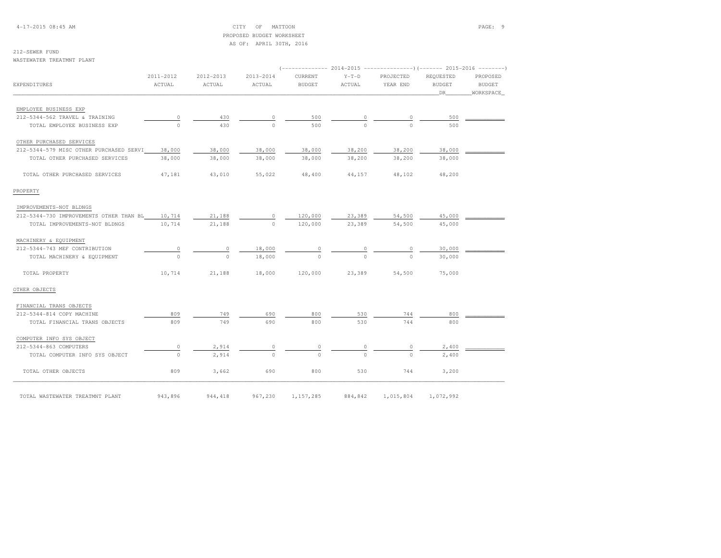4-17-2015 08:45 AM CITY OF MATTOON PAGE: 9 PROPOSED BUDGET WORKSHEETAS OF: APRIL 30TH, 2016

# 212-SEWER FUND

WASTEWATER TREATMNT PLANT

|                                         | 2011-2012                 | 2012-2013 | 2013-2014        | CURRENT       | $Y-T-D$  | PROJECTED | REQUESTED     | PROPOSED      |
|-----------------------------------------|---------------------------|-----------|------------------|---------------|----------|-----------|---------------|---------------|
| <b>EXPENDITURES</b>                     | ACTUAL                    | ACTUAL    | ACTUAL           | <b>BUDGET</b> | ACTUAL   | YEAR END  | <b>BUDGET</b> | <b>BUDGET</b> |
|                                         |                           |           |                  |               |          |           | DR            | WORKSPACE     |
| EMPLOYEE BUSINESS EXP                   |                           |           |                  |               |          |           |               |               |
| 212-5344-562 TRAVEL & TRAINING          | 0                         | 430       | 0                | 500           | 0        | $\circ$   | 500           |               |
| TOTAL EMPLOYEE BUSINESS EXP             | $\cap$                    | 430       | $\Omega$         | 500           | $\cap$   | $\Omega$  | 500           |               |
|                                         |                           |           |                  |               |          |           |               |               |
| OTHER PURCHASED SERVICES                |                           |           |                  |               |          |           |               |               |
| 212-5344-579 MISC OTHER PURCHASED SERVI | 38,000                    | 38,000    | 38,000           | 38,000        | 38,200   | 38,200    | 38,000        |               |
| TOTAL OTHER PURCHASED SERVICES          | 38,000                    | 38,000    | 38,000           | 38,000        | 38,200   | 38,200    | 38,000        |               |
| TOTAL OTHER PURCHASED SERVICES          | 47,181                    | 43,010    | 55,022           | 48,400        | 44,157   | 48,102    | 48,200        |               |
| PROPERTY                                |                           |           |                  |               |          |           |               |               |
| IMPROVEMENTS-NOT BLDNGS                 |                           |           |                  |               |          |           |               |               |
| 212-5344-730 IMPROVEMENTS OTHER THAN BL | 10,714                    | 21,188    | 0                | 120,000       | 23,389   | 54,500    | 45,000        |               |
| TOTAL IMPROVEMENTS-NOT BLDNGS           | 10,714                    | 21,188    | $\bigcirc$       | 120,000       | 23,389   | 54,500    | 45,000        |               |
| MACHINERY & EQUIPMENT                   |                           |           |                  |               |          |           |               |               |
| 212-5344-743 MEF CONTRIBUTION           |                           | 0         |                  | 0             |          | $\circ$   | 30,000        |               |
|                                         | $\overline{0}$<br>$\circ$ | $\circ$   | 18,000<br>18,000 | $\circ$       | $\Omega$ | $\Omega$  | 30,000        |               |
| TOTAL MACHINERY & EQUIPMENT             |                           |           |                  |               |          |           |               |               |
| TOTAL PROPERTY                          | 10,714                    | 21,188    | 18,000           | 120,000       | 23,389   | 54,500    | 75,000        |               |
| OTHER OBJECTS                           |                           |           |                  |               |          |           |               |               |
| FINANCIAL TRANS OBJECTS                 |                           |           |                  |               |          |           |               |               |
| 212-5344-814 COPY MACHINE               | 809                       | 749       | 690              | 800           | 530      | 744       | 800           |               |
| TOTAL FINANCIAL TRANS OBJECTS           | 809                       | 749       | 690              | 800           | 530      | 744       | 800           |               |
| COMPUTER INFO SYS OBJECT                |                           |           |                  |               |          |           |               |               |
| 212-5344-863 COMPUTERS                  | 0                         | 2,914     | 0                | $\circ$       |          | 0         | 2,400         |               |
| TOTAL COMPUTER INFO SYS OBJECT          | $\circ$                   | 2,914     | $\Omega$         | $\Omega$      | $\cap$   | $\Omega$  | 2,400         |               |
|                                         |                           |           |                  | 800           |          |           |               |               |
| TOTAL OTHER OBJECTS                     | 809                       | 3,662     | 690              |               | 530      | 744       | 3,200         |               |
| TOTAL WASTEWATER TREATMNT PLANT         | 943,896                   | 944,418   | 967,230          | 1,157,285     | 884,842  | 1,015,804 | 1,072,992     |               |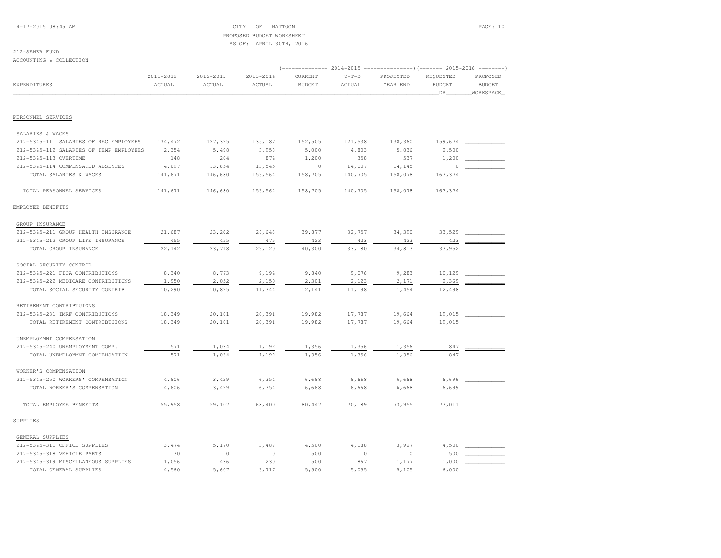4-17-2015 08:45 AM CITY OF MATTOON PAGE: 10 PROPOSED BUDGET WORKSHEETAS OF: APRIL 30TH, 2016

# 212-SEWER FUND

ACCOUNTING & COLLECTION

|                                         |           |           |           | (-------------- 2014-2015 ----------------) (------- 2015-2016 --------) |         |           |               |               |
|-----------------------------------------|-----------|-----------|-----------|--------------------------------------------------------------------------|---------|-----------|---------------|---------------|
|                                         | 2011-2012 | 2012-2013 | 2013-2014 | CURRENT                                                                  | $Y-T-D$ | PROJECTED | REQUESTED     | PROPOSED      |
| EXPENDITURES                            | ACTUAL    | ACTUAL    | ACTUAL    | <b>BUDGET</b>                                                            | ACTUAL  | YEAR END  | <b>BUDGET</b> | <b>BUDGET</b> |
|                                         |           |           |           |                                                                          |         |           | DR            | WORKSPACE_    |
|                                         |           |           |           |                                                                          |         |           |               |               |
| PERSONNEL SERVICES                      |           |           |           |                                                                          |         |           |               |               |
| SALARIES & WAGES                        |           |           |           |                                                                          |         |           |               |               |
| 212-5345-111 SALARIES OF REG EMPLOYEES  | 134,472   | 127,325   | 135,187   | 152,505                                                                  | 121,538 | 138,360   | 159,674       |               |
| 212-5345-112 SALARIES OF TEMP EMPLOYEES | 2,354     | 5,498     | 3,958     | 5,000                                                                    | 4,803   | 5,036     | 2,500         |               |
| 212-5345-113 OVERTIME                   | 148       | 204       | 874       | 1,200                                                                    | 358     | 537       | 1,200         |               |
| 212-5345-114 COMPENSATED ABSENCES       | 4,697     | 13,654    | 13,545    | $\circ$                                                                  | 14,007  | 14,145    | $\Omega$      |               |
| TOTAL SALARIES & WAGES                  | 141,671   | 146,680   | 153,564   | 158,705                                                                  | 140,705 | 158,078   | 163,374       |               |
| TOTAL PERSONNEL SERVICES                | 141,671   | 146,680   | 153,564   | 158,705                                                                  | 140,705 | 158,078   | 163,374       |               |
| EMPLOYEE BENEFITS                       |           |           |           |                                                                          |         |           |               |               |
| GROUP INSURANCE                         |           |           |           |                                                                          |         |           |               |               |
| 212-5345-211 GROUP HEALTH INSURANCE     | 21,687    | 23,262    | 28,646    | 39,877                                                                   | 32,757  | 34,390    | 33,529        |               |
| 212-5345-212 GROUP LIFE INSURANCE       | 455       | 455       | 475       | 423                                                                      | 423     | 423       | 423           |               |
| TOTAL GROUP INSURANCE                   | 22,142    | 23,718    | 29,120    | 40,300                                                                   | 33,180  | 34,813    | 33,952        |               |
| SOCIAL SECURITY CONTRIB                 |           |           |           |                                                                          |         |           |               |               |
| 212-5345-221 FICA CONTRIBUTIONS         | 8,340     | 8,773     | 9,194     | 9,840                                                                    | 9,076   | 9,283     | 10,129        |               |
| 212-5345-222 MEDICARE CONTRIBUTIONS     | 1,950     | 2,052     | 2,150     | 2,301                                                                    | 2,123   | 2,171     | 2,369         |               |
| TOTAL SOCIAL SECURITY CONTRIB           | 10,290    | 10,825    | 11,344    | 12,141                                                                   | 11,198  | 11,454    | 12,498        |               |
|                                         |           |           |           |                                                                          |         |           |               |               |
| RETIREMENT CONTRIBTUIONS                |           |           |           |                                                                          |         |           |               |               |
| 212-5345-231 IMRF CONTRIBUTIONS         | 18,349    | 20,101    | 20,391    | 19,982                                                                   | 17,787  | 19,664    | 19,015        |               |
| TOTAL RETIREMENT CONTRIBTUIONS          | 18,349    | 20,101    | 20,391    | 19,982                                                                   | 17,787  | 19,664    | 19,015        |               |
| UNEMPLOYMNT COMPENSATION                |           |           |           |                                                                          |         |           |               |               |
| 212-5345-240 UNEMPLOYMENT COMP.         | 571       | 1,034     | 1,192     | 1,356                                                                    | 1,356   | 1,356     | 847           |               |
| TOTAL UNEMPLOYMNT COMPENSATION          | 571       | 1,034     | 1,192     | 1,356                                                                    | 1,356   | 1,356     | 847           |               |
| WORKER'S COMPENSATION                   |           |           |           |                                                                          |         |           |               |               |
| 212-5345-250 WORKERS' COMPENSATION      | 4,606     | 3,429     | 6,354     | 6,668                                                                    | 6,668   | 6,668     | 6,699         |               |
| TOTAL WORKER'S COMPENSATION             | 4,606     | 3,429     | 6,354     | 6,668                                                                    | 6,668   | 6,668     | 6,699         |               |
| TOTAL EMPLOYEE BENEFITS                 | 55,958    | 59,107    | 68,400    | 80,447                                                                   | 70,189  | 73,955    | 73,011        |               |
| SUPPLIES                                |           |           |           |                                                                          |         |           |               |               |
| GENERAL SUPPLIES                        |           |           |           |                                                                          |         |           |               |               |
| 212-5345-311 OFFICE SUPPLIES            | 3,474     | 5,170     | 3,487     | 4,500                                                                    | 4,188   | 3,927     | 4,500         |               |
| 212-5345-318 VEHICLE PARTS              | 30        | $\circ$   | $\circ$   | 500                                                                      | $\circ$ | $\circ$   | 500           |               |
| 212-5345-319 MISCELLANEOUS SUPPLIES     | 1,056     | 436       | 230       | 500                                                                      | 867     | 1,177     | 1,000         |               |
| TOTAL GENERAL SUPPLIES                  | 4,560     | 5,607     | 3,717     | 5,500                                                                    | 5,055   | 5,105     | 6,000         |               |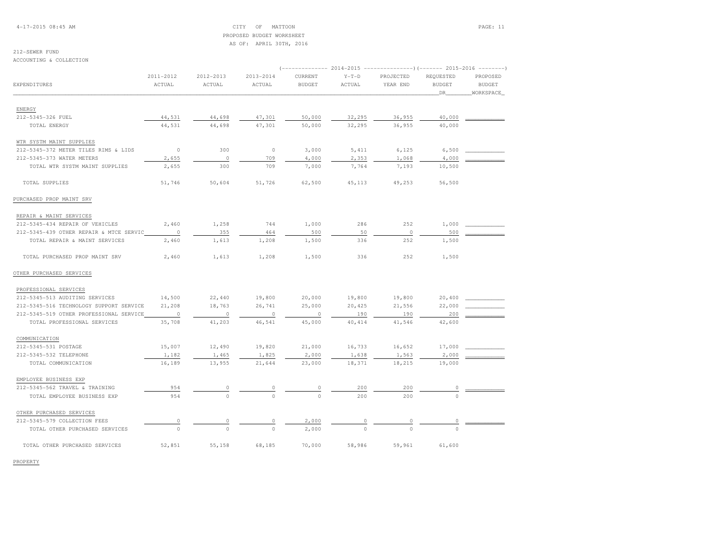4-17-2015 08:45 AM CITY OF MATTOON PAGE: 11 PROPOSED BUDGET WORKSHEETAS OF: APRIL 30TH, 2016

# 212-SEWER FUND

ACCOUNTING & COLLECTION

| 2011-2012<br>2012-2013<br>2013-2014<br>CURRENT<br>$Y-T-D$<br>PROJECTED<br>REQUESTED<br>PROPOSED<br>EXPENDITURES<br>ACTUAL<br>ACTUAL<br><b>BUDGET</b><br>ACTUAL<br><b>BUDGET</b><br><b>BUDGET</b><br>ACTUAL<br>YEAR END<br><b>DR</b><br>WORKSPACE<br>ENERGY<br>44,531<br>47,301<br>32,295<br>36,955<br>40,000<br>212-5345-326 FUEL<br>44,698<br>50,000<br>44,531<br>47,301<br>32,295<br>36,955<br>40,000<br>44,698<br>50,000<br>TOTAL ENERGY<br>WTR SYSTM MAINT SUPPLIES<br>$\mathbb O$<br>300<br>$\circ$<br>3,000<br>5,411<br>6,125<br>6,500<br>212-5345-372 METER TILES RIMS & LIDS<br>$\circ$<br>709<br>2,353<br>4,000<br>212-5345-373 WATER METERS<br>2,655<br>4,000<br>1,068<br>300<br>709<br>2,655<br>7,000<br>7,764<br>7,193<br>10,500<br>TOTAL WTR SYSTM MAINT SUPPLIES<br>51,746<br>50,604<br>51,726<br>45,113<br>49,253<br>56,500<br>TOTAL SUPPLIES<br>62,500<br>PURCHASED PROP MAINT SRV<br>REPAIR & MAINT SERVICES<br>2,460<br>1,258<br>744<br>286<br>252<br>1,000<br>212-5345-434 REPAIR OF VEHICLES<br>1,000<br>$\circ$<br>500<br>$\circ$<br>355<br>464<br>500<br>50<br>212-5345-439 OTHER REPAIR & MTCE SERVIC<br>2,460<br>1,613<br>1,208<br>1,500<br>336<br>252<br>1,500<br>TOTAL REPAIR & MAINT SERVICES<br>2,460<br>1,613<br>1,208<br>1,500<br>336<br>252<br>1,500<br>TOTAL PURCHASED PROP MAINT SRV<br>OTHER PURCHASED SERVICES<br>PROFESSIONAL SERVICES<br>20,400<br>212-5345-513 AUDITING SERVICES<br>14,500<br>22,440<br>19,800<br>20,000<br>19,800<br>19,800 |
|------------------------------------------------------------------------------------------------------------------------------------------------------------------------------------------------------------------------------------------------------------------------------------------------------------------------------------------------------------------------------------------------------------------------------------------------------------------------------------------------------------------------------------------------------------------------------------------------------------------------------------------------------------------------------------------------------------------------------------------------------------------------------------------------------------------------------------------------------------------------------------------------------------------------------------------------------------------------------------------------------------------------------------------------------------------------------------------------------------------------------------------------------------------------------------------------------------------------------------------------------------------------------------------------------------------------------------------------------------------------------------------------------------------------------------------------------------------------------------|
|                                                                                                                                                                                                                                                                                                                                                                                                                                                                                                                                                                                                                                                                                                                                                                                                                                                                                                                                                                                                                                                                                                                                                                                                                                                                                                                                                                                                                                                                                    |
|                                                                                                                                                                                                                                                                                                                                                                                                                                                                                                                                                                                                                                                                                                                                                                                                                                                                                                                                                                                                                                                                                                                                                                                                                                                                                                                                                                                                                                                                                    |
|                                                                                                                                                                                                                                                                                                                                                                                                                                                                                                                                                                                                                                                                                                                                                                                                                                                                                                                                                                                                                                                                                                                                                                                                                                                                                                                                                                                                                                                                                    |
|                                                                                                                                                                                                                                                                                                                                                                                                                                                                                                                                                                                                                                                                                                                                                                                                                                                                                                                                                                                                                                                                                                                                                                                                                                                                                                                                                                                                                                                                                    |
|                                                                                                                                                                                                                                                                                                                                                                                                                                                                                                                                                                                                                                                                                                                                                                                                                                                                                                                                                                                                                                                                                                                                                                                                                                                                                                                                                                                                                                                                                    |
|                                                                                                                                                                                                                                                                                                                                                                                                                                                                                                                                                                                                                                                                                                                                                                                                                                                                                                                                                                                                                                                                                                                                                                                                                                                                                                                                                                                                                                                                                    |
|                                                                                                                                                                                                                                                                                                                                                                                                                                                                                                                                                                                                                                                                                                                                                                                                                                                                                                                                                                                                                                                                                                                                                                                                                                                                                                                                                                                                                                                                                    |
|                                                                                                                                                                                                                                                                                                                                                                                                                                                                                                                                                                                                                                                                                                                                                                                                                                                                                                                                                                                                                                                                                                                                                                                                                                                                                                                                                                                                                                                                                    |
|                                                                                                                                                                                                                                                                                                                                                                                                                                                                                                                                                                                                                                                                                                                                                                                                                                                                                                                                                                                                                                                                                                                                                                                                                                                                                                                                                                                                                                                                                    |
|                                                                                                                                                                                                                                                                                                                                                                                                                                                                                                                                                                                                                                                                                                                                                                                                                                                                                                                                                                                                                                                                                                                                                                                                                                                                                                                                                                                                                                                                                    |
|                                                                                                                                                                                                                                                                                                                                                                                                                                                                                                                                                                                                                                                                                                                                                                                                                                                                                                                                                                                                                                                                                                                                                                                                                                                                                                                                                                                                                                                                                    |
|                                                                                                                                                                                                                                                                                                                                                                                                                                                                                                                                                                                                                                                                                                                                                                                                                                                                                                                                                                                                                                                                                                                                                                                                                                                                                                                                                                                                                                                                                    |
|                                                                                                                                                                                                                                                                                                                                                                                                                                                                                                                                                                                                                                                                                                                                                                                                                                                                                                                                                                                                                                                                                                                                                                                                                                                                                                                                                                                                                                                                                    |
|                                                                                                                                                                                                                                                                                                                                                                                                                                                                                                                                                                                                                                                                                                                                                                                                                                                                                                                                                                                                                                                                                                                                                                                                                                                                                                                                                                                                                                                                                    |
|                                                                                                                                                                                                                                                                                                                                                                                                                                                                                                                                                                                                                                                                                                                                                                                                                                                                                                                                                                                                                                                                                                                                                                                                                                                                                                                                                                                                                                                                                    |
|                                                                                                                                                                                                                                                                                                                                                                                                                                                                                                                                                                                                                                                                                                                                                                                                                                                                                                                                                                                                                                                                                                                                                                                                                                                                                                                                                                                                                                                                                    |
|                                                                                                                                                                                                                                                                                                                                                                                                                                                                                                                                                                                                                                                                                                                                                                                                                                                                                                                                                                                                                                                                                                                                                                                                                                                                                                                                                                                                                                                                                    |
|                                                                                                                                                                                                                                                                                                                                                                                                                                                                                                                                                                                                                                                                                                                                                                                                                                                                                                                                                                                                                                                                                                                                                                                                                                                                                                                                                                                                                                                                                    |
|                                                                                                                                                                                                                                                                                                                                                                                                                                                                                                                                                                                                                                                                                                                                                                                                                                                                                                                                                                                                                                                                                                                                                                                                                                                                                                                                                                                                                                                                                    |
|                                                                                                                                                                                                                                                                                                                                                                                                                                                                                                                                                                                                                                                                                                                                                                                                                                                                                                                                                                                                                                                                                                                                                                                                                                                                                                                                                                                                                                                                                    |
|                                                                                                                                                                                                                                                                                                                                                                                                                                                                                                                                                                                                                                                                                                                                                                                                                                                                                                                                                                                                                                                                                                                                                                                                                                                                                                                                                                                                                                                                                    |
| 22,000<br>21,208<br>18,763<br>26,741<br>25,000<br>20,425<br>21,556<br>212-5345-516 TECHNOLOGY SUPPORT SERVICE                                                                                                                                                                                                                                                                                                                                                                                                                                                                                                                                                                                                                                                                                                                                                                                                                                                                                                                                                                                                                                                                                                                                                                                                                                                                                                                                                                      |
| $\circ$<br>190<br>190<br>200<br>212-5345-519 OTHER PROFESSIONAL SERVICE<br>$\circ$<br>$\circ$<br>$\circ$                                                                                                                                                                                                                                                                                                                                                                                                                                                                                                                                                                                                                                                                                                                                                                                                                                                                                                                                                                                                                                                                                                                                                                                                                                                                                                                                                                           |
| 35,708<br>41,203<br>46,541<br>45,000<br>40, 414<br>41,546<br>42,600<br>TOTAL PROFESSIONAL SERVICES                                                                                                                                                                                                                                                                                                                                                                                                                                                                                                                                                                                                                                                                                                                                                                                                                                                                                                                                                                                                                                                                                                                                                                                                                                                                                                                                                                                 |
| COMMUNICATION                                                                                                                                                                                                                                                                                                                                                                                                                                                                                                                                                                                                                                                                                                                                                                                                                                                                                                                                                                                                                                                                                                                                                                                                                                                                                                                                                                                                                                                                      |
| 15,007<br>12,490<br>19,820<br>16,733<br>16,652<br>17,000<br>212-5345-531 POSTAGE<br>21,000                                                                                                                                                                                                                                                                                                                                                                                                                                                                                                                                                                                                                                                                                                                                                                                                                                                                                                                                                                                                                                                                                                                                                                                                                                                                                                                                                                                         |
| 1,825<br>1,638<br>1,563<br>2,000<br>212-5345-532 TELEPHONE<br>1,182<br>1,465<br>2,000                                                                                                                                                                                                                                                                                                                                                                                                                                                                                                                                                                                                                                                                                                                                                                                                                                                                                                                                                                                                                                                                                                                                                                                                                                                                                                                                                                                              |
| 16,189<br>18,215<br>TOTAL COMMUNICATION<br>13,955<br>21,644<br>23,000<br>18,371<br>19,000                                                                                                                                                                                                                                                                                                                                                                                                                                                                                                                                                                                                                                                                                                                                                                                                                                                                                                                                                                                                                                                                                                                                                                                                                                                                                                                                                                                          |
| EMPLOYEE BUSINESS EXP                                                                                                                                                                                                                                                                                                                                                                                                                                                                                                                                                                                                                                                                                                                                                                                                                                                                                                                                                                                                                                                                                                                                                                                                                                                                                                                                                                                                                                                              |
| 212-5345-562 TRAVEL & TRAINING<br>954<br>200<br>200                                                                                                                                                                                                                                                                                                                                                                                                                                                                                                                                                                                                                                                                                                                                                                                                                                                                                                                                                                                                                                                                                                                                                                                                                                                                                                                                                                                                                                |
| 954<br>200<br>200<br>TOTAL EMPLOYEE BUSINESS EXP                                                                                                                                                                                                                                                                                                                                                                                                                                                                                                                                                                                                                                                                                                                                                                                                                                                                                                                                                                                                                                                                                                                                                                                                                                                                                                                                                                                                                                   |
| OTHER PURCHASED SERVICES                                                                                                                                                                                                                                                                                                                                                                                                                                                                                                                                                                                                                                                                                                                                                                                                                                                                                                                                                                                                                                                                                                                                                                                                                                                                                                                                                                                                                                                           |
| 2,000<br>212-5345-579 COLLECTION FEES<br>$\mathbf 0$<br>$\circ$<br>$\circ$<br>$\circ$<br>0<br>0                                                                                                                                                                                                                                                                                                                                                                                                                                                                                                                                                                                                                                                                                                                                                                                                                                                                                                                                                                                                                                                                                                                                                                                                                                                                                                                                                                                    |
| $\Omega$<br>$\circ$<br>$\Omega$<br>$\Omega$<br>$\Omega$<br>TOTAL OTHER PURCHASED SERVICES<br>2,000<br>$\Omega$                                                                                                                                                                                                                                                                                                                                                                                                                                                                                                                                                                                                                                                                                                                                                                                                                                                                                                                                                                                                                                                                                                                                                                                                                                                                                                                                                                     |
| 52,851<br>55,158<br>68,185<br>70,000<br>58,986<br>61,600<br>TOTAL OTHER PURCHASED SERVICES<br>59,961                                                                                                                                                                                                                                                                                                                                                                                                                                                                                                                                                                                                                                                                                                                                                                                                                                                                                                                                                                                                                                                                                                                                                                                                                                                                                                                                                                               |

PROPERTY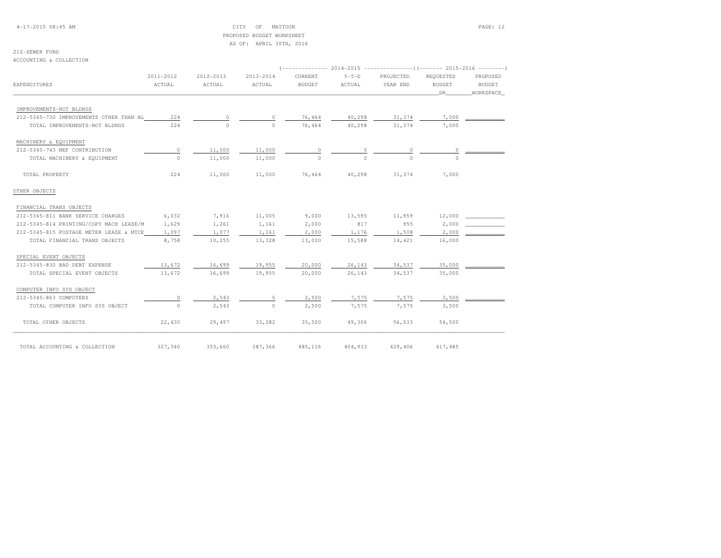### 4-17-2015 08:45 AM CITY OF MATTOON PAGE: 12 PROPOSED BUDGET WORKSHEETAS OF: APRIL 30TH, 2016

### 212-SEWER FUND

ACCOUNTING & COLLECTION

| EXPENDITURES                            | 2011-2012<br>ACTUAL | 2012-2013<br>ACTUAL | 2013-2014<br>ACTUAL | CURRENT<br>BUDGET | $Y-T-D$<br>ACTUAL | PROJECTED<br>YEAR END | REQUESTED<br><b>BUDGET</b><br>DR | PROPOSED<br>BUDGET<br>WORKSPACE |
|-----------------------------------------|---------------------|---------------------|---------------------|-------------------|-------------------|-----------------------|----------------------------------|---------------------------------|
| IMPROVEMENTS-NOT BLDNGS                 |                     |                     |                     |                   |                   |                       |                                  |                                 |
| 212-5345-730 IMPROVEMENTS OTHER THAN BL | 224                 | 0                   |                     | 76,464            | 40,298            | 31,374                | 7,000                            |                                 |
| TOTAL IMPROVEMENTS-NOT BLDNGS           | 224                 | $\Omega$            | $\Omega$            | 76,464            | 40,298            | 31,374                | 7,000                            |                                 |
| MACHINERY & EQUIPMENT                   |                     |                     |                     |                   |                   |                       |                                  |                                 |
| 212-5345-743 MEF CONTRIBUTION           | $\circ$             | 11,000              | 11,000              | $\circ$           | $\mathbb O$       | $\circ$               | $\circ$                          |                                 |
| TOTAL MACHINERY & EQUIPMENT             | $\Omega$            | 11,000              | 11,000              | $\Omega$          | $\Omega$          | $\Omega$              | $\Omega$                         |                                 |
| TOTAL PROPERTY                          | 224                 | 11,000              | 11,000              | 76,464            | 40,298            | 31,374                | 7,000                            |                                 |
| OTHER OBJECTS                           |                     |                     |                     |                   |                   |                       |                                  |                                 |
| FINANCIAL TRANS OBJECTS                 |                     |                     |                     |                   |                   |                       |                                  |                                 |
| 212-5345-811 BANK SERVICE CHARGES       | 6,032               | 7,916               | 11,005              | 9,000             | 13,595            | 11,959                | 12,000                           |                                 |
| 212-5345-814 PRINTING/COPY MACH LEASE/M | 1,629               | 1,261               | 1,161               | 2,000             | 817               | 955                   | 2,000                            |                                 |
| 212-5345-815 POSTAGE METER LEASE & MTCE | 1,097               | 1,077               | 1,161               | 2,000             | 1,176             | 1,508                 | 2,000                            |                                 |
| TOTAL FINANCIAL TRANS OBJECTS           | 8,758               | 10,255              | 13,328              | 13,000            | 15,588            | 14,421                | 16,000                           |                                 |
| SPECIAL EVENT OBJECTS                   |                     |                     |                     |                   |                   |                       |                                  |                                 |
| 212-5345-830 BAD DEBT EXPENSE           | 13,672              | 16,699              | 19,955              | 20,000            | 26,143            | 34,537                | 35,000                           |                                 |
| TOTAL SPECIAL EVENT OBJECTS             | 13,672              | 16,699              | 19,955              | 20,000            | 26,143            | 34,537                | 35,000                           |                                 |
| COMPUTER INFO SYS OBJECT                |                     |                     |                     |                   |                   |                       |                                  |                                 |
| 212-5345-863 COMPUTERS                  | $\circ$             | 2,543               | $\Omega$            | 2,500             | 7,575             | 7,575                 | 3,500                            |                                 |
| TOTAL COMPUTER INFO SYS OBJECT          | $\circ$             | 2,543               | $\bigcirc$          | 2,500             | 7,575             | 7,575                 | 3,500                            |                                 |
| TOTAL OTHER OBJECTS                     | 22,430              | 29,497              | 33,282              | 35,500            | 49,306            | 56,533                | 54,500                           |                                 |
| TOTAL ACCOUNTING & COLLECTION           | 327,340             | 353,660             | 387,366             | 485,116           | 404,933           | 429,406               | 417,485                          |                                 |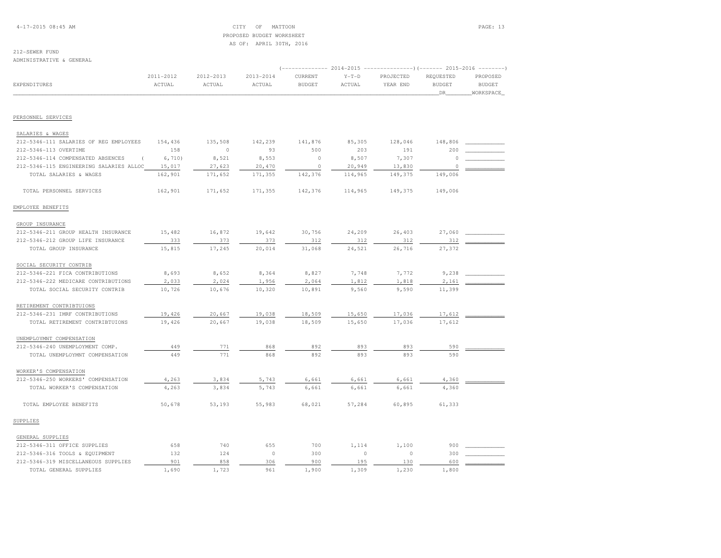4-17-2015 08:45 AM CITY OF MATTOON PAGE: 13 PROPOSED BUDGET WORKSHEETAS OF: APRIL 30TH, 2016

# 212-SEWER FUND

ADMINISTRATIVE & GENERAL

|                                         |                     |                     |                         |                          |                   |                       | (-------------- 2014-2015 ----------------)(------- 2015-2016 --------) |                                        |
|-----------------------------------------|---------------------|---------------------|-------------------------|--------------------------|-------------------|-----------------------|-------------------------------------------------------------------------|----------------------------------------|
| EXPENDITURES                            | 2011-2012<br>ACTUAL | 2012-2013<br>ACTUAL | $2013 - 2014$<br>ACTUAL | CURRENT<br><b>BUDGET</b> | $Y-T-D$<br>ACTUAL | PROJECTED<br>YEAR END | REQUESTED<br><b>BUDGET</b><br>DR                                        | PROPOSED<br><b>BUDGET</b><br>WORKSPACE |
|                                         |                     |                     |                         |                          |                   |                       |                                                                         |                                        |
| PERSONNEL SERVICES                      |                     |                     |                         |                          |                   |                       |                                                                         |                                        |
| SALARIES & WAGES                        |                     |                     |                         |                          |                   |                       |                                                                         |                                        |
| 212-5346-111 SALARIES OF REG EMPLOYEES  | 154,436             | 135,508             | 142,239                 | 141,876                  | 85,305            | 128,046               | 148,806                                                                 |                                        |
| 212-5346-113 OVERTIME                   | 158                 | $\circ$             | 93                      | 500                      | 203               | 191                   | 200                                                                     |                                        |
| 212-5346-114 COMPENSATED ABSENCES       | 6,710)              | 8,521               | 8,553                   | $\circ$                  | 8,507             | 7,307                 | $\Omega$                                                                |                                        |
| 212-5346-115 ENGINEERING SALARIES ALLOC | 15,017              | 27,623              | 20,470                  | $\circ$                  | 20,949            | 13,830                | $\circ$                                                                 |                                        |
| TOTAL SALARIES & WAGES                  | 162,901             | 171,652             | 171,355                 | 142,376                  | 114,965           | 149,375               | 149,006                                                                 |                                        |
| TOTAL PERSONNEL SERVICES                | 162,901             | 171,652             | 171,355                 | 142,376                  | 114,965           | 149,375               | 149,006                                                                 |                                        |
| EMPLOYEE BENEFITS                       |                     |                     |                         |                          |                   |                       |                                                                         |                                        |
| GROUP INSURANCE                         |                     |                     |                         |                          |                   |                       |                                                                         |                                        |
| 212-5346-211 GROUP HEALTH INSURANCE     | 15,482              | 16,872              | 19,642                  | 30,756                   | 24,209            | 26,403                | 27,060                                                                  |                                        |
| 212-5346-212 GROUP LIFE INSURANCE       | 333                 | 373                 | 373                     | 312                      | 312               | 312                   | 312                                                                     |                                        |
| TOTAL GROUP INSURANCE                   | 15,815              | 17,245              | 20,014                  | 31,068                   | 24,521            | 26,716                | 27,372                                                                  |                                        |
| SOCIAL SECURITY CONTRIB                 |                     |                     |                         |                          |                   |                       |                                                                         |                                        |
| 212-5346-221 FICA CONTRIBUTIONS         | 8,693               | 8,652               | 8,364                   | 8,827                    | 7,748             | 7,772                 | 9,238                                                                   |                                        |
| 212-5346-222 MEDICARE CONTRIBUTIONS     | 2,033               | 2,024               | 1,956                   | 2,064                    | 1,812             | 1,818                 | 2,161                                                                   |                                        |
| TOTAL SOCIAL SECURITY CONTRIB           | 10,726              | 10,676              | 10,320                  | 10,891                   | 9,560             | 9,590                 | 11,399                                                                  |                                        |
| RETIREMENT CONTRIBTUIONS                |                     |                     |                         |                          |                   |                       |                                                                         |                                        |
| 212-5346-231 IMRF CONTRIBUTIONS         | 19,426              | 20,667              | 19,038                  | 18,509                   | 15,650            | 17,036                | 17,612                                                                  |                                        |
| TOTAL RETIREMENT CONTRIBTUIONS          | 19,426              | 20,667              | 19,038                  | 18,509                   | 15,650            | 17,036                | 17,612                                                                  |                                        |
| UNEMPLOYMNT COMPENSATION                |                     |                     |                         |                          |                   |                       |                                                                         |                                        |
| 212-5346-240 UNEMPLOYMENT COMP.         | 449                 | 771                 | 868                     | 892                      | 893               | 893                   | 590                                                                     |                                        |
| TOTAL UNEMPLOYMNT COMPENSATION          | 449                 | 771                 | 868                     | 892                      | 893               | 893                   | 590                                                                     |                                        |
| WORKER'S COMPENSATION                   |                     |                     |                         |                          |                   |                       |                                                                         |                                        |
| 212-5346-250 WORKERS' COMPENSATION      | 4,263               | 3,834               | 5,743                   | 6,661                    | 6,661             | 6,661                 | 4,360                                                                   |                                        |
| TOTAL WORKER'S COMPENSATION             | 4,263               | 3,834               | 5,743                   | 6,661                    | 6,661             | 6,661                 | 4,360                                                                   |                                        |
| TOTAL EMPLOYEE BENEFITS                 | 50,678              | 53,193              | 55,983                  | 68,021                   | 57,284            | 60,895                | 61,333                                                                  |                                        |
| SUPPLIES                                |                     |                     |                         |                          |                   |                       |                                                                         |                                        |
| GENERAL SUPPLIES                        |                     |                     |                         |                          |                   |                       |                                                                         |                                        |
| 212-5346-311 OFFICE SUPPLIES            | 658                 | 740                 | 655                     | 700                      | 1,114             | 1,100                 | 900                                                                     |                                        |
| 212-5346-316 TOOLS & EQUIPMENT          | 132                 | 124                 | $\circ$                 | 300                      | $\circ$           | $\circ$               | 300                                                                     |                                        |
| 212-5346-319 MISCELLANEOUS SUPPLIES     | 901                 | 858                 | 306                     | 900                      | 195               | 130                   | 600                                                                     |                                        |
| TOTAL GENERAL SUPPLIES                  | 1,690               | 1,723               | 961                     | 1,900                    | 1,309             | 1,230                 | 1,800                                                                   |                                        |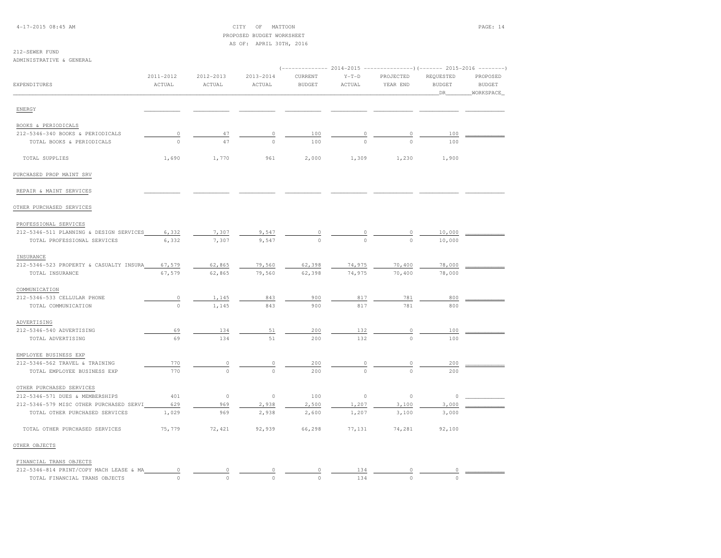4-17-2015 08:45 AM CITY OF MATTOON PAGE: 14 PROPOSED BUDGET WORKSHEETAS OF: APRIL 30TH, 2016

212-SEWER FUNDADMINISTRATIVE & GENERAL

|                                                               | 2011-2012   | 2012-2013           | 2013-2014     | CURRENT       | $Y-T-D$       | PROJECTED     | REQUESTED     | PROPOSED      |
|---------------------------------------------------------------|-------------|---------------------|---------------|---------------|---------------|---------------|---------------|---------------|
| EXPENDITURES                                                  | ACTUAL      | ACTUAL              | ACTUAL        | <b>BUDGET</b> | ACTUAL        | YEAR END      | <b>BUDGET</b> | <b>BUDGET</b> |
|                                                               |             |                     |               |               |               |               | DR            | WORKSPACE     |
| ENERGY                                                        |             |                     |               |               |               |               |               |               |
|                                                               |             |                     |               |               |               |               |               |               |
| BOOKS & PERIODICALS                                           |             |                     |               |               |               |               |               |               |
| 212-5346-340 BOOKS & PERIODICALS                              | $\circ$     | 47                  | 0             | 100           | 0             |               | 100           |               |
| TOTAL BOOKS & PERIODICALS                                     | $\circ$     | 47                  | $\Omega$      | 100           | $\Omega$      | $\Omega$      | 100           |               |
| TOTAL SUPPLIES                                                | 1,690       | 1,770               | 961           | 2,000         | 1,309         | 1,230         | 1,900         |               |
| PURCHASED PROP MAINT SRV                                      |             |                     |               |               |               |               |               |               |
| REPAIR & MAINT SERVICES                                       |             |                     |               |               |               |               |               |               |
| OTHER PURCHASED SERVICES                                      |             |                     |               |               |               |               |               |               |
| PROFESSIONAL SERVICES                                         |             |                     |               |               |               |               |               |               |
| 212-5346-511 PLANNING & DESIGN SERVICES                       | 6,332       | 7,307               | 9,547         |               |               |               | 10,000        |               |
| TOTAL PROFESSIONAL SERVICES                                   | 6,332       | 7,307               | 9,547         |               |               |               | 10,000        |               |
| INSURANCE                                                     |             |                     |               |               |               |               |               |               |
| 212-5346-523 PROPERTY & CASUALTY INSURA                       | 67,579      | 62,865              | 79,560        | 62,398        | 74,975        | 70,400        | 78,000        |               |
| TOTAL INSURANCE                                               | 67,579      | 62,865              | 79,560        | 62,398        | 74,975        | 70,400        | 78,000        |               |
| COMMUNICATION                                                 |             |                     |               |               |               |               |               |               |
| 212-5346-533 CELLULAR PHONE                                   | $\mathbb O$ | 1,145               | 843           | 900           | 817           | 781           | 800           |               |
| TOTAL COMMUNICATION                                           | $\circ$     | 1,145               | 843           | 900           | 817           | 781           | 800           |               |
| ADVERTISING                                                   |             |                     |               |               |               |               |               |               |
| 212-5346-540 ADVERTISING                                      | 69          | 134                 | 51            | 200           | 132           | 0             | 100           |               |
| TOTAL ADVERTISING                                             | 69          | 134                 | 51            | 200           | 132           | $\Omega$      | 100           |               |
|                                                               |             |                     |               |               |               |               |               |               |
| EMPLOYEE BUSINESS EXP                                         |             |                     |               |               |               |               |               |               |
| 212-5346-562 TRAVEL & TRAINING<br>TOTAL EMPLOYEE BUSINESS EXP | 770<br>770  | $\circ$<br>$\Omega$ | 0<br>$\Omega$ | 200<br>200    | 0<br>$\Omega$ | 0<br>$\Omega$ | 200<br>200    |               |
|                                                               |             |                     |               |               |               |               |               |               |
| OTHER PURCHASED SERVICES                                      |             |                     |               |               |               |               |               |               |
| 212-5346-571 DUES & MEMBERSHIPS                               | 401         | $\circ$             | $\circ$       | 100           | $\circ$       | $\circ$       | $\circ$       |               |
| 212-5346-579 MISC OTHER PURCHASED SERVI                       | 629         | 969                 | 2,938         | 2,500         | 1,207         | 3,100         | 3,000         |               |
| TOTAL OTHER PURCHASED SERVICES                                | 1,029       | 969                 | 2,938         | 2,600         | 1,207         | 3,100         | 3,000         |               |
| TOTAL OTHER PURCHASED SERVICES                                | 75,779      | 72,421              | 92,939        | 66,298        | 77,131        | 74,281        | 92,100        |               |
| OTHER OBJECTS                                                 |             |                     |               |               |               |               |               |               |
| FINANCIAL TRANS OBJECTS                                       |             |                     |               |               |               |               |               |               |
| 212-5346-814 PRINT/COPY MACH LEASE & MA                       | $\mathbb O$ | $\mathbb O$         | 0             | 0             | 134           | $\circ$       | 0             |               |
| TOTAL FINANCIAL TRANS OBJECTS                                 | $\Omega$    | $\Omega$            | $\Omega$      | $\Omega$      | 134           | $\circ$       | $\Omega$      |               |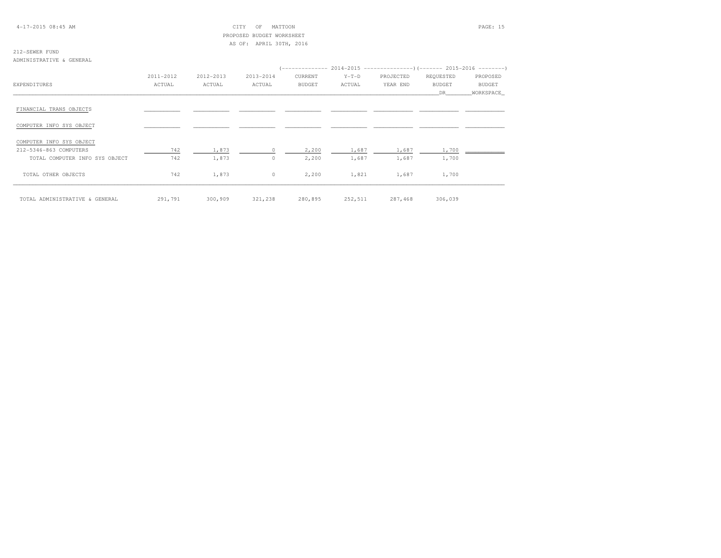### 4-17-2015 08:45 AM CITY OF MATTOON PAGE: 15 PROPOSED BUDGET WORKSHEETAS OF: APRIL 30TH, 2016

### 212-SEWER FUNDADMINISTRATIVE & GENERAL

|                                |           |           |            |         |         | $($ -------------- 2014-2015 -----------------) (------- 2015-2016 ---------) |               |            |
|--------------------------------|-----------|-----------|------------|---------|---------|-------------------------------------------------------------------------------|---------------|------------|
|                                | 2011-2012 | 2012-2013 | 2013-2014  | CURRENT | $Y-T-D$ | PROJECTED                                                                     | REQUESTED     | PROPOSED   |
| EXPENDITURES                   | ACTUAL    | ACTUAL    | ACTUAL     | BUDGET  | ACTUAL  | YEAR END                                                                      | <b>BUDGET</b> | BUDGET     |
|                                |           |           |            |         |         |                                                                               | DR            | WORKSPACE_ |
| FINANCIAL TRANS OBJECTS        |           |           |            |         |         |                                                                               |               |            |
| COMPUTER INFO SYS OBJECT       |           |           |            |         |         |                                                                               |               |            |
| COMPUTER INFO SYS OBJECT       |           |           |            |         |         |                                                                               |               |            |
| 212-5346-863 COMPUTERS         | 742       | 1,873     |            | 2,200   | 1,687   | 1,687                                                                         | 1,700         |            |
| TOTAL COMPUTER INFO SYS OBJECT | 742       | 1,873     | $^{\circ}$ | 2,200   | 1,687   | 1,687                                                                         | 1,700         |            |
| TOTAL OTHER OBJECTS            | 742       | 1,873     | $\circ$    | 2,200   | 1,821   | 1,687                                                                         | 1,700         |            |
| TOTAL ADMINISTRATIVE & GENERAL | 291,791   | 300,909   | 321,238    | 280,895 | 252,511 | 287,468                                                                       | 306,039       |            |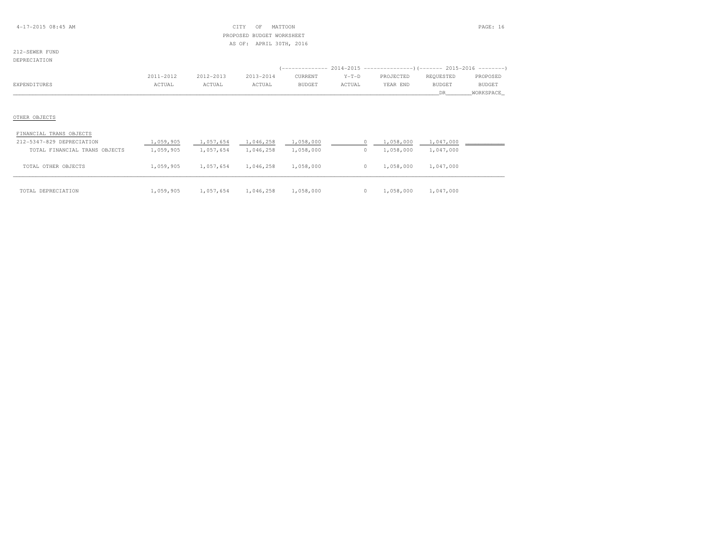### 4-17-2015 08:45 AM CITY OF MATTOON PAGE: 16 PROPOSED BUDGET WORKSHEETAS OF: APRIL 30TH, 2016

212-SEWER FUNDDEPRECIATION

|              | 2011-2012 | 2012-2013                                       | 2013-2014    | CURRENT       | $Y-T-D$                                                   | PROJECTED | REOUESTED | PROPOSED      |
|--------------|-----------|-------------------------------------------------|--------------|---------------|-----------------------------------------------------------|-----------|-----------|---------------|
| EXPENDITURES | TUAL      | the contract of the contract of the contract of | <b>CTUAL</b> | <b>BUDGET</b> | ACTUAL<br>the contract of the contract of the contract of | YEAR END  | BUDGET    | <b>BUDGET</b> |
|              |           |                                                 |              |               |                                                           |           |           | WORKSPACE     |

| FINANCIAL TRANS OBJECTS       |           |           |           |           |  |           |           |  |
|-------------------------------|-----------|-----------|-----------|-----------|--|-----------|-----------|--|
| 212-5347-829 DEPRECIATION     | 1,059,905 | 1,057,654 | 1,046,258 | 1,058,000 |  | 1,058,000 | 1,047,000 |  |
| TOTAL FINANCIAL TRANS OBJECTS | 1,059,905 | 1,057,654 | 1,046,258 | 1,058,000 |  | 1,058,000 | 1,047,000 |  |
| TOTAL OTHER OBJECTS           | 1,059,905 | 1,057,654 | 1,046,258 | 1,058,000 |  | 1,058,000 | 1,047,000 |  |
| TOTAL DEPRECIATION            | 1,059,905 | 1,057,654 | 1,046,258 | 1,058,000 |  | 1,058,000 | 1,047,000 |  |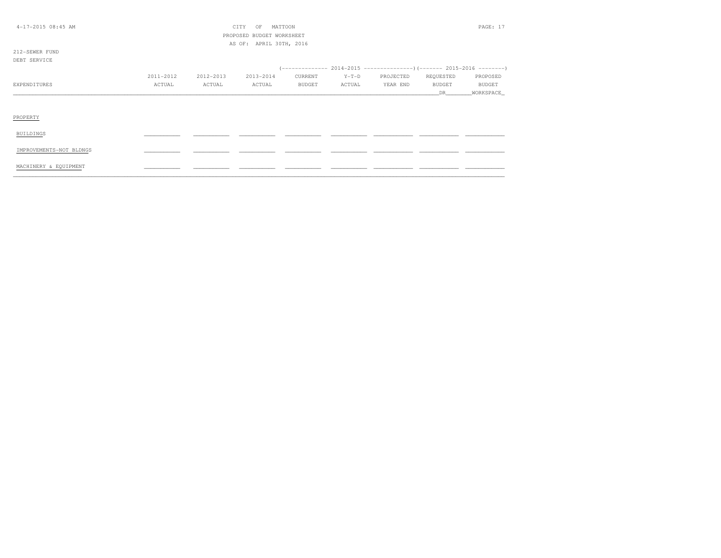| $4-17-2015$ 08:45 AM    | CITY<br>MATTOON<br>OF |           |                           |               |         |           |               |               |
|-------------------------|-----------------------|-----------|---------------------------|---------------|---------|-----------|---------------|---------------|
|                         |                       |           | PROPOSED BUDGET WORKSHEET |               |         |           |               |               |
|                         |                       |           | AS OF: APRIL 30TH, 2016   |               |         |           |               |               |
| 212-SEWER FUND          |                       |           |                           |               |         |           |               |               |
| DEBT SERVICE            |                       |           |                           |               |         |           |               |               |
|                         |                       |           |                           |               |         |           |               |               |
|                         | 2011-2012             | 2012-2013 | 2013-2014                 | CURRENT       | $Y-T-D$ | PROJECTED | REQUESTED     | PROPOSED      |
| EXPENDITURES            | ACTUAL                | ACTUAL    | ACTUAL                    | <b>BUDGET</b> | ACTUAL  | YEAR END  | <b>BUDGET</b> | <b>BUDGET</b> |
|                         |                       |           |                           |               |         |           | <b>DR</b>     | WORKSPACE_    |
|                         |                       |           |                           |               |         |           |               |               |
|                         |                       |           |                           |               |         |           |               |               |
| PROPERTY                |                       |           |                           |               |         |           |               |               |
|                         |                       |           |                           |               |         |           |               |               |
| BUILDINGS               |                       |           |                           |               |         |           |               |               |
|                         |                       |           |                           |               |         |           |               |               |
| IMPROVEMENTS-NOT BLDNGS |                       |           |                           |               |         |           |               |               |
|                         |                       |           |                           |               |         |           |               |               |
| MACHINERY & EQUIPMENT   |                       |           |                           |               |         |           |               |               |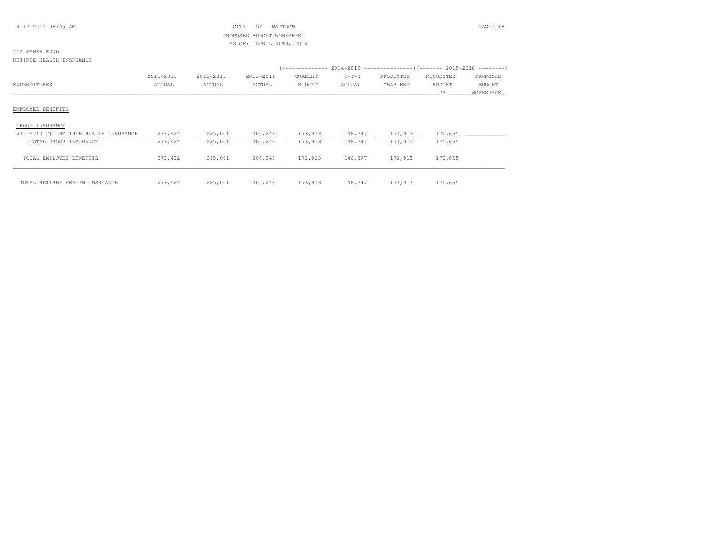### 4-17-2015 08:45 AM CITY OF MATTOON PAGE: 18 PROPOSED BUDGET WORKSHEETAS OF: APRIL 30TH, 2016

# 212-SEWER FUND

RETIREE HEALTH INSRUANCE

|                                       | 2011-2012 | 2012-2013 | 2013-2014 | CURRENT | $Y-T-D$ | PROJECTED | REQUESTED     | PROPOSED      |
|---------------------------------------|-----------|-----------|-----------|---------|---------|-----------|---------------|---------------|
| EXPENDITURES                          | ACTUAL    | ACTUAL    | ACTUAL    | BUDGET  | ACTUAL  | YEAR END  | <b>BUDGET</b> | <b>BUDGET</b> |
|                                       |           |           |           |         |         |           | DR.           | WORKSPACE     |
| EMPLOYEE BENEFITS                     |           |           |           |         |         |           |               |               |
| GROUP INSURANCE                       |           |           |           |         |         |           |               |               |
| 212-5710-211 RETIREE HEALTH INSURANCE | 273, 422  | 285,001   | 305,246   | 173,913 | 146,397 | 173,913   | 170,655       |               |
| TOTAL GROUP INSURANCE                 | 273,422   | 285,001   | 305,246   | 173,913 | 146,397 | 173,913   | 170,655       |               |
| TOTAL EMPLOYEE BENEFITS               | 273,422   | 285,001   | 305,246   | 173,913 | 146,397 | 173,913   | 170,655       |               |
| TOTAL RETIREE HEALTH INSRUANCE        | 273,422   | 285,001   | 305,246   | 173,913 | 146,397 | 173,913   | 170,655       |               |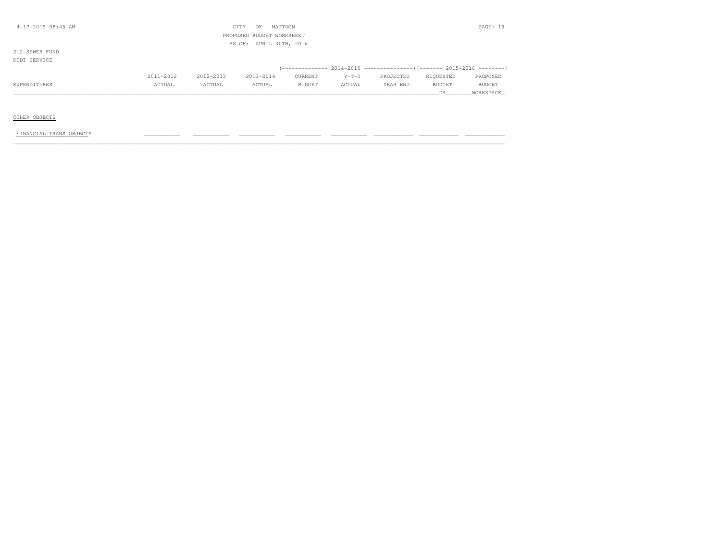| 4-17-2015 08:45 AM |           |           | CITY<br>OF                | MATTOON                 |         |           |           | PAGE: 19      |
|--------------------|-----------|-----------|---------------------------|-------------------------|---------|-----------|-----------|---------------|
|                    |           |           | PROPOSED BUDGET WORKSHEET |                         |         |           |           |               |
|                    |           |           |                           | AS OF: APRIL 30TH, 2016 |         |           |           |               |
| 212-SEWER FUND     |           |           |                           |                         |         |           |           |               |
| DEBT SERVICE       |           |           |                           |                         |         |           |           |               |
|                    |           |           |                           |                         |         |           |           |               |
|                    | 2011-2012 | 2012-2013 | 2013-2014                 | CURRENT                 | $Y-T-D$ | PROJECTED | REQUESTED | PROPOSED      |
| EXPENDITURES       | ACTUAL    | ACTUAL    | ACTUAL                    | <b>BUDGET</b>           | ACTUAL  | YEAR END  | BUDGET    | <b>BUDGET</b> |
|                    |           |           |                           |                         |         |           | DR        | WORKSPACE     |
|                    |           |           |                           |                         |         |           |           |               |

### OTHER OBJECTS

### FINANCIAL TRANS OBJECTS \_\_\_\_\_\_\_\_\_\_\_ \_\_\_\_\_\_\_\_\_\_\_ \_\_\_\_\_\_\_\_\_\_\_ \_\_\_\_\_\_\_\_\_\_\_ \_\_\_\_\_\_\_\_\_\_\_ \_\_\_\_\_\_\_\_\_\_\_\_ \_\_\_\_\_\_\_\_\_\_\_\_ \_\_\_\_\_\_\_\_\_\_\_\_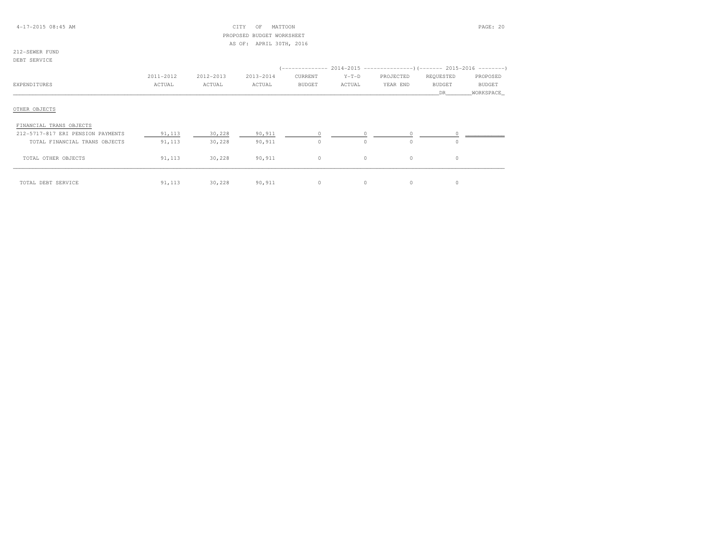### 4-17-2015 08:45 AM CITY OF MATTOON PAGE: 20 PROPOSED BUDGET WORKSHEETAS OF: APRIL 30TH, 2016

### 212-SEWER FUNDDEBT SERVICE

|                                   |           |           |           |               |          | (-------------- 2014-2015 ---------------------        2015-2016 ----------        ) |               |           |
|-----------------------------------|-----------|-----------|-----------|---------------|----------|--------------------------------------------------------------------------------------|---------------|-----------|
|                                   | 2011-2012 | 2012-2013 | 2013-2014 | CURRENT       | $Y-T-D$  | PROJECTED                                                                            | REQUESTED     | PROPOSED  |
| EXPENDITURES                      | ACTUAL    | ACTUAL    | ACTUAL    | <b>BUDGET</b> | ACTUAL   | YEAR END                                                                             | <b>BUDGET</b> | BUDGET    |
|                                   |           |           |           |               |          |                                                                                      | DR            | WORKSPACE |
| OTHER OBJECTS                     |           |           |           |               |          |                                                                                      |               |           |
| FINANCIAL TRANS OBJECTS           |           |           |           |               |          |                                                                                      |               |           |
| 212-5717-817 ERI PENSION PAYMENTS | 91,113    | 30,228    | 90,911    | $\circ$       |          |                                                                                      |               |           |
| TOTAL FINANCIAL TRANS OBJECTS     | 91,113    | 30,228    | 90,911    | $\circ$       | $\Omega$ | $\Omega$                                                                             |               |           |
| TOTAL OTHER OBJECTS               | 91,113    | 30,228    | 90,911    | $\circ$       | $\circ$  | $\circ$                                                                              | $\Omega$      |           |
| TOTAL DEBT SERVICE                | 91,113    | 30,228    | 90,911    | $\circ$       | $\Omega$ | $\circ$                                                                              |               |           |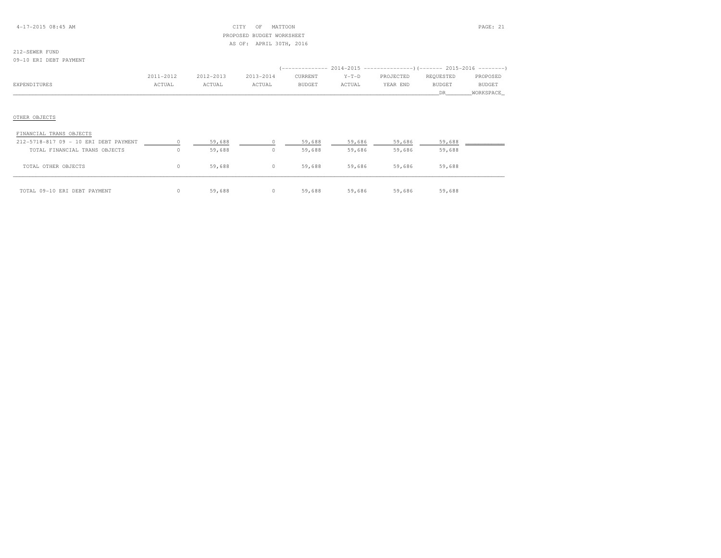### 4-17-2015 08:45 AM CITY OF MATTOON PAGE: 21 PROPOSED BUDGET WORKSHEETAS OF: APRIL 30TH, 2016

# 212-SEWER FUND

09-10 ERI DEBT PAYMENT

|              | 2011-2012 | $2012 - 2013$ | 2013-2014 | CURRENT       | $Y-T-D$ | PROJECTED | REOUESTED | PROPOSED      |
|--------------|-----------|---------------|-----------|---------------|---------|-----------|-----------|---------------|
| EXPENDITURES | ACTUAL    | ACTUAL        | ACTUAL    | <b>BUDGET</b> | ACTUAL  | YEAR END  | BUDGET    | <b>BUDGET</b> |
|              |           |               |           |               |         |           |           | WORKSPACE     |

| FINANCIAL TRANS OBJECTS               |   |        |                  |        |        |        |        |  |
|---------------------------------------|---|--------|------------------|--------|--------|--------|--------|--|
| 212-5718-817 09 - 10 ERI DEBT PAYMENT |   | 59,688 |                  | 59,688 | 59,686 | 59,686 | 59,688 |  |
| TOTAL FINANCIAL TRANS OBJECTS         |   | 59,688 | 0                | 59,688 | 59,686 | 59,686 | 59,688 |  |
| OTHER OBJECTS<br>TOTAL                | 0 | 59,688 | 0                | 59,688 | 59,686 | 59,686 | 59,688 |  |
| TOTAL 09-10 ERI DEBT PAYMENT          |   | 59,688 | $\left( \right)$ | 59,688 | 59,686 | 59,686 | 59,688 |  |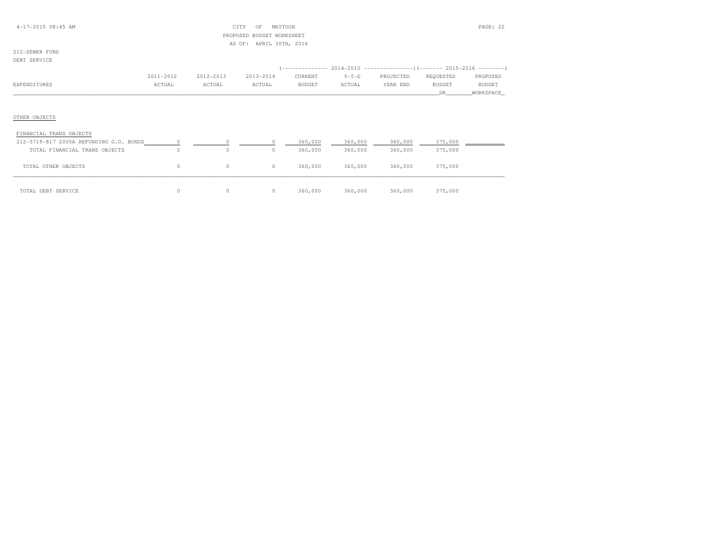### 4-17-2015 08:45 AM CITY OF MATTOON PAGE: 22 PROPOSED BUDGET WORKSHEETAS OF: APRIL 30TH, 2016

### 212-SEWER FUNDDEBT SERVICE

|              | 2011-2012 | 2012-2013 | 2013-2014 | CURRENT       | $Y-T-D$ | PROJECTED | REOUESTED     | PROPOSED      |
|--------------|-----------|-----------|-----------|---------------|---------|-----------|---------------|---------------|
| EXPENDITURES | ACTUAL    | ACTUAL    | CTUAL     | <b>BUDGET</b> | ACTUAL  | YEAR END  | <b>BUDGET</b> | <b>BUDGET</b> |
|              |           |           |           |               |         |           |               | WORKSPACE     |

| FINANCIAL TRANS OBJECTS                 |          |         |         |         |         |         |         |  |
|-----------------------------------------|----------|---------|---------|---------|---------|---------|---------|--|
| 212-5719-817 2005A REFUNDING G.O. BONDS |          |         |         | 360,000 | 360,000 | 360,000 | 375,000 |  |
| TOTAL FINANCIAL TRANS OBJECTS           |          | 0       | 0       | 360,000 | 360,000 | 360,000 | 375,000 |  |
| TOTAL OTHER OBJECTS                     | $\Omega$ | $\circ$ | $\circ$ | 360,000 | 360,000 | 360,000 | 375,000 |  |
| TOTAL DEBT SERVICE                      | 0.       | $\circ$ | 0       | 360,000 | 360,000 | 360,000 | 375,000 |  |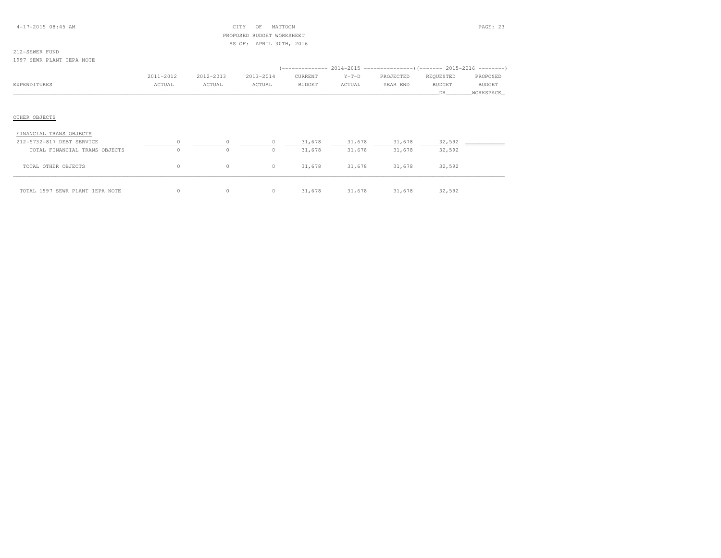### 4-17-2015 08:45 AM CITY OF MATTOON PAGE: 23 PROPOSED BUDGET WORKSHEETAS OF: APRIL 30TH, 2016

# 212-SEWER FUND

1997 SEWR PLANT IEPA NOTE

|              | 2011-2012 | 2012-2013 | 2013-2014 | CURRENT       | $Y-T-D$ | PROJECTED | REOUESTED | PROPOSED      |
|--------------|-----------|-----------|-----------|---------------|---------|-----------|-----------|---------------|
| EXPENDITURES | ACTUAL    | ACTUAL    | ACTUAL    | <b>BUDGET</b> | ACTUAL  | YEAR END  | BUDGET    | <b>BUDGET</b> |
|              |           |           |           |               |         |           |           | WORKSPACE     |
|              |           |           |           |               |         |           |           |               |

| FINANCIAL TRANS OBJECTS         |   |          |        |        |        |        |  |
|---------------------------------|---|----------|--------|--------|--------|--------|--|
| 212-5732-817 DEBT SERVICE       |   |          | 31,678 | 31,678 | 31,678 | 32,592 |  |
| TOTAL FINANCIAL TRANS OBJECTS   | 0 | 0        | 31,678 | 31,678 | 31,678 | 32,592 |  |
| TOTAL OTHER OBJECTS             | 0 | $\circ$  | 31,678 | 31,678 | 31,678 | 32,592 |  |
| TOTAL 1997 SEWR PLANT IEPA NOTE |   | $\Omega$ | 31,678 | 31,678 | 31,678 | 32,592 |  |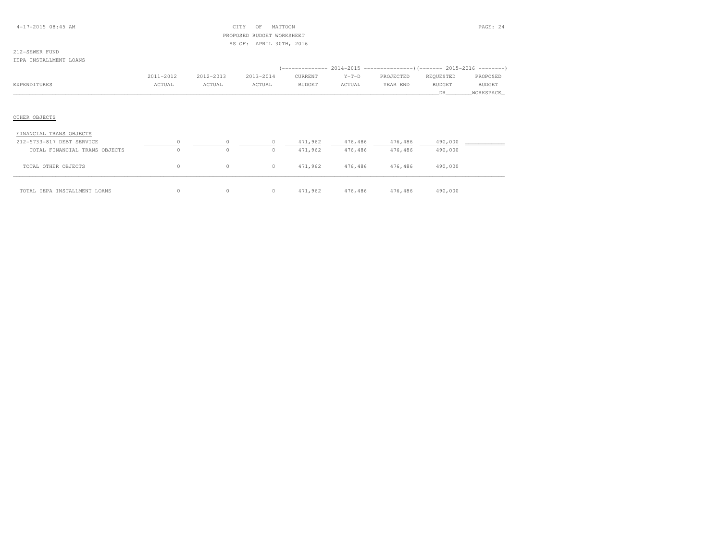### 4-17-2015 08:45 AM CITY OF MATTOON PAGE: 24 PROPOSED BUDGET WORKSHEETAS OF: APRIL 30TH, 2016

# 212-SEWER FUND

#### IEPA INSTALLMENT LOANS

|              | 2011-2012 | 2012-2013 | 2013-2014 | CURRENT | $Y-T-D$       | PROJECTED | REOUESTED     | PROPOSED      |
|--------------|-----------|-----------|-----------|---------|---------------|-----------|---------------|---------------|
| EXPENDITURES | ACTUAL    | ACTUAL    | ACTUAL    | BUDGET  | <b>\CTUAL</b> | YEAR END  | <b>BUDGET</b> | <b>BUDGET</b> |
|              |           |           |           |         |               |           |               | WORKSPACE     |

| FINANCIAL TRANS OBJECTS       |          |         |   |         |         |         |         |  |
|-------------------------------|----------|---------|---|---------|---------|---------|---------|--|
| 212-5733-817 DEBT SERVICE     |          |         |   | 471,962 | 476,486 | 476,486 | 490,000 |  |
| TOTAL FINANCIAL TRANS OBJECTS | 0        | 0       | 0 | 471,962 | 476,486 | 476,486 | 490,000 |  |
| TOTAL OTHER OBJECTS           | $\Omega$ | $\circ$ | 0 | 471,962 | 476,486 | 476,486 | 490,000 |  |
| TOTAL IEPA INSTALLMENT LOANS  | 0.       | 0       | 0 | 471,962 | 476,486 | 476,486 | 490,000 |  |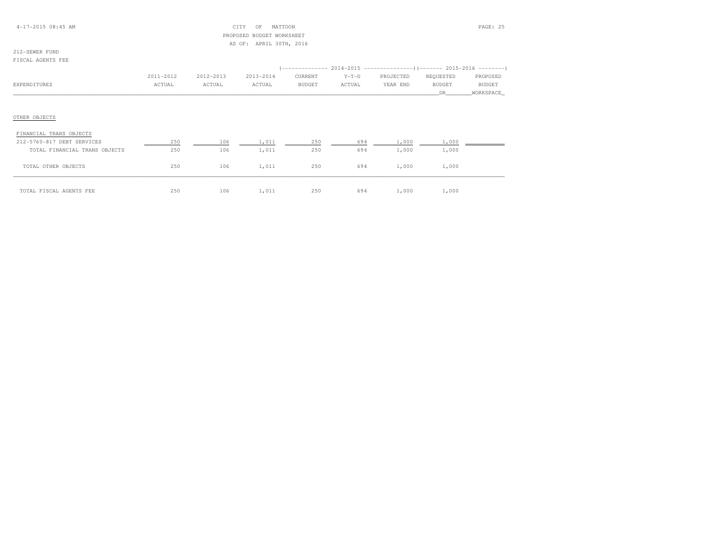### 4-17-2015 08:45 AM CITY OF MATTOON PAGE: 25 PROPOSED BUDGET WORKSHEETAS OF: APRIL 30TH, 2016

# 212-SEWER FUND

#### FISCAL AGENTS FEE

|               | 2011-2012 | 2012-2013 | 2013-2014 | CURRENT       | $Y-T-D$ | PROJECTED | REQUESTED | PROPOSED  |
|---------------|-----------|-----------|-----------|---------------|---------|-----------|-----------|-----------|
| EXPENDITURES  | ACTUAL    | ACTUAL    | ACTUAL    | <b>BUDGET</b> | ACTUAL  | YEAR END  | BUDGET    | BUDGET    |
|               |           |           |           |               |         |           | DR        | WORKSPACE |
|               |           |           |           |               |         |           |           |           |
|               |           |           |           |               |         |           |           |           |
| OTHER OBJECTS |           |           |           |               |         |           |           |           |
|               |           |           |           |               |         |           |           |           |

| FINANCIAL TRANS OBJECTS       |     |     |       |     |     |       |       |  |
|-------------------------------|-----|-----|-------|-----|-----|-------|-------|--|
| 212-5760-817 DEBT SERVICES    | 250 | 106 | 1,011 | 250 | 694 | 1,000 | 1,000 |  |
| TOTAL FINANCIAL TRANS OBJECTS | 250 | 106 | 1,011 | 250 | 694 | 1,000 | 1,000 |  |
| TOTAL OTHER OBJECTS           | 250 | 106 | 1,011 | 250 | 694 | 1,000 | 1,000 |  |
| TOTAL FISCAL AGENTS FEE       | 250 | 106 | 1,011 | 250 | 694 | 1,000 | 1,000 |  |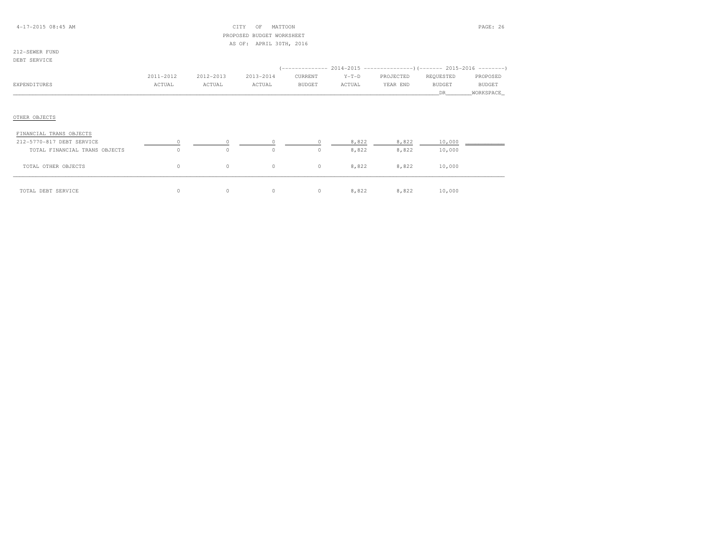### 4-17-2015 08:45 AM CITY OF MATTOON PAGE: 26 PROPOSED BUDGET WORKSHEETAS OF: APRIL 30TH, 2016

### 212-SEWER FUNDDEBT SERVICE

|              | 2011-2012 | 2012-2013 | 2013-2014 | CURRENT | $Y-T-D$ | PROJECTED | REOUESTED | PROPOSED      |
|--------------|-----------|-----------|-----------|---------|---------|-----------|-----------|---------------|
| EXPENDITURES | ACTUAL    | ACTUAL    | ACTUAL    | BUDGET  | ACTUAL  | YEAR END  | BUDGET    | <b>BUDGET</b> |
|              |           |           |           |         |         |           |           | WORKSPACE     |
|              |           |           |           |         |         |           |           |               |

| FINANCIAL TRANS OBJECTS       |    |         |          |         |       |       |        |  |
|-------------------------------|----|---------|----------|---------|-------|-------|--------|--|
| 212-5770-817 DEBT SERVICE     |    |         |          |         | 8,822 | 8,822 | 10,000 |  |
| TOTAL FINANCIAL TRANS OBJECTS |    | 0       | 0        | 0       | 8,822 | 8,822 | 10,000 |  |
| TOTAL OTHER OBJECTS           | 0. | $\circ$ | $\circ$  | $\circ$ | 8,822 | 8,822 | 10,000 |  |
| TOTAL DEBT SERVICE            | 0. | 0       | $\Omega$ | 0       | 8,822 | 8,822 | 10,000 |  |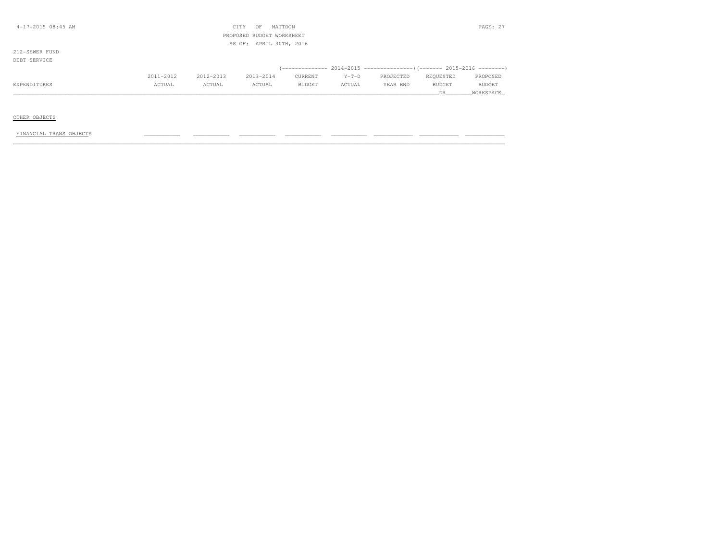| 4-17-2015 08:45 AM |           |           | CITY<br>OF                | MATTOON                 |         |                                                             |               | PAGE: 27      |
|--------------------|-----------|-----------|---------------------------|-------------------------|---------|-------------------------------------------------------------|---------------|---------------|
|                    |           |           | PROPOSED BUDGET WORKSHEET |                         |         |                                                             |               |               |
|                    |           |           |                           | AS OF: APRIL 30TH, 2016 |         |                                                             |               |               |
| 212-SEWER FUND     |           |           |                           |                         |         |                                                             |               |               |
| DEBT SERVICE       |           |           |                           |                         |         |                                                             |               |               |
|                    |           |           |                           |                         |         | $(-------- 2014-2015 --------- )$ $(-----2015-2016 ------)$ |               |               |
|                    | 2011-2012 | 2012-2013 | 2013-2014                 | CURRENT                 | $Y-T-D$ | PROJECTED                                                   | REQUESTED     | PROPOSED      |
| EXPENDITURES       | ACTUAL    | ACTUAL    | ACTUAL                    | <b>BUDGET</b>           | ACTUAL  | YEAR END                                                    | <b>BUDGET</b> | <b>BUDGET</b> |
|                    |           |           |                           |                         |         |                                                             | DR            | WORKSPACE     |
|                    |           |           |                           |                         |         |                                                             |               |               |

### OTHER OBJECTS

### FINANCIAL TRANS OBJECTS \_\_\_\_\_\_\_\_\_\_\_ \_\_\_\_\_\_\_\_\_\_\_ \_\_\_\_\_\_\_\_\_\_\_ \_\_\_\_\_\_\_\_\_\_\_ \_\_\_\_\_\_\_\_\_\_\_ \_\_\_\_\_\_\_\_\_\_\_\_ \_\_\_\_\_\_\_\_\_\_\_\_ \_\_\_\_\_\_\_\_\_\_\_\_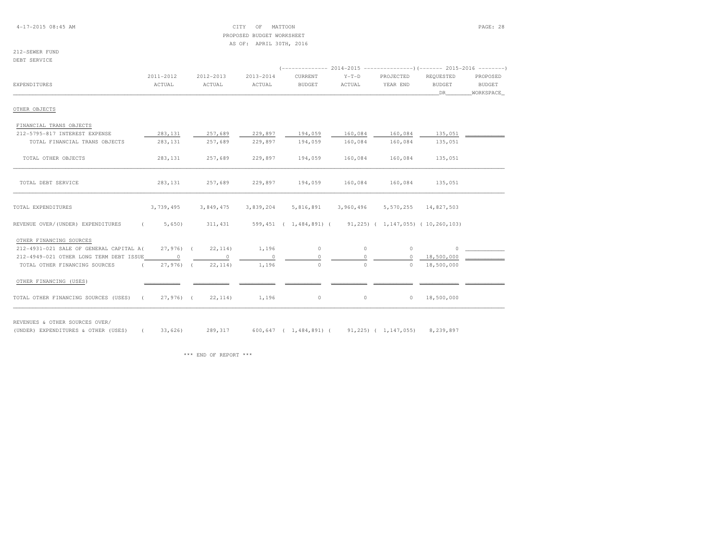### 4-17-2015 08:45 AM CITY OF MATTOON PAGE: 28 PROPOSED BUDGET WORKSHEETAS OF: APRIL 30TH, 2016

212-SEWER FUNDDEBT SERVICE

|                                                       |              |           |           | (------------- 2014-2015 --------------------- 2015-2016 --------- |           |           |                      |           |
|-------------------------------------------------------|--------------|-----------|-----------|--------------------------------------------------------------------|-----------|-----------|----------------------|-----------|
|                                                       | 2011-2012    | 2012-2013 | 2013-2014 | CURRENT                                                            | $Y-T-D$   | PROJECTED | REOUESTED            | PROPOSED  |
| <b>EXPENDITURES</b>                                   | ACTUAL       | ACTUAL    | ACTUAL    | <b>BUDGET</b>                                                      | ACTUAL    | YEAR END  | <b>BUDGET</b>        | BUDGET    |
|                                                       |              |           |           |                                                                    |           |           | DR —                 | WORKSPACE |
| OTHER OBJECTS                                         |              |           |           |                                                                    |           |           |                      |           |
| FINANCIAL TRANS OBJECTS                               |              |           |           |                                                                    |           |           |                      |           |
| 212-5795-817 INTEREST EXPENSE                         | 283, 131     | 257,689   | 229,897   | 194,059                                                            | 160,084   | 160,084   | 135,051              |           |
| TOTAL FINANCIAL TRANS OBJECTS                         | 283, 131     | 257,689   | 229,897   | 194,059                                                            | 160,084   | 160,084   | 135,051              |           |
| TOTAL OTHER OBJECTS                                   | 283, 131     | 257,689   | 229,897   | 194,059                                                            | 160,084   | 160,084   | 135,051              |           |
| TOTAL DEBT SERVICE                                    | 283,131      | 257,689   | 229,897   | 194,059                                                            | 160,084   | 160,084   | 135,051              |           |
| TOTAL EXPENDITURES                                    | 3,739,495    | 3,849,475 | 3,839,204 | 5,816,891                                                          | 3,960,496 |           | 5,570,255 14,827,503 |           |
| REVENUE OVER/(UNDER) EXPENDITURES<br>$\sim$ $\sim$    | 5,650)       | 311,431   |           | 599,451 (1,484,891) (91,225) (1,147,055) (10,260,103)              |           |           |                      |           |
| OTHER FINANCING SOURCES                               |              |           |           |                                                                    |           |           |                      |           |
| 212-4931-021 SALE OF GENERAL CAPITAL A(27,976) (      |              | 22, 114)  | 1,196     | $\circ$                                                            | $\circ$   | $\circ$   | $\Omega$             |           |
| 212-4949-021 OTHER LONG TERM DEBT ISSUE               | $\Omega$     | $\Omega$  | $\Omega$  | $\Omega$                                                           |           | $\circ$   | 18,500,000           |           |
| TOTAL OTHER FINANCING SOURCES<br>$\sim$ $\sim$ $\sim$ | $27,976$ (   | 22, 114)  | 1,196     | $\circ$                                                            | $\circ$   | $\Omega$  | 18,500,000           |           |
| OTHER FINANCING (USES)                                |              |           |           |                                                                    |           |           |                      |           |
| TOTAL OTHER FINANCING SOURCES (USES)                  | $27,976$ ) ( | 22, 114)  | 1,196     | $\circ$                                                            | $\circ$   | $\circ$   | 18,500,000           |           |

REVENUES & OTHER SOURCES OVER/

(UNDER) EXPENDITURES & OTHER (USES) ( 33,626) 289,317 600,647 ( 1,484,891) ( 91,225) ( 1,147,055) 8,239,897

\*\*\* END OF REPORT \*\*\*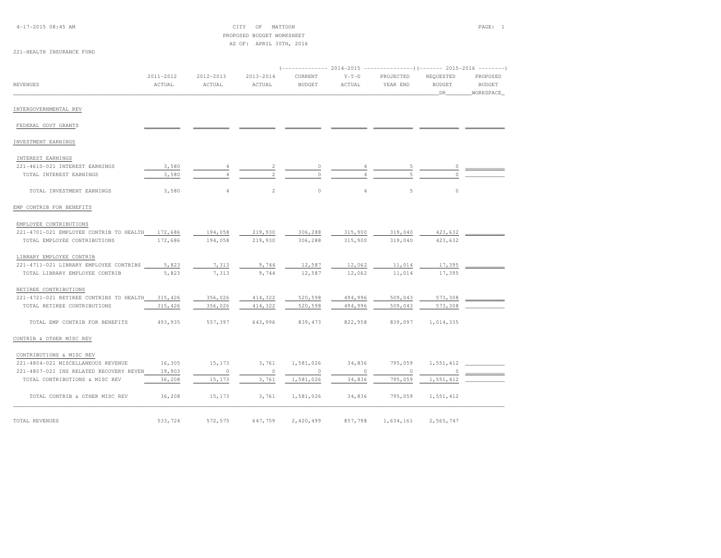4-17-2015 08:45 AM CITY OF MATTOON PAGE: 1 PROPOSED BUDGET WORKSHEETAS OF: APRIL 30TH, 2016

## 221-HEALTH INSURANCE FUND

| <b>REVENUES</b>                                 | 2011-2012<br>ACTUAL | 2012-2013<br>ACTUAL | $2013 - 2014$<br>ACTUAL | CURRENT<br><b>BUDGET</b> | $Y-T-D$<br>ACTUAL | PROJECTED<br>YEAR END | REQUESTED<br><b>BUDGET</b><br>DR | PROPOSED<br><b>BUDGET</b><br>WORKSPACE |
|-------------------------------------------------|---------------------|---------------------|-------------------------|--------------------------|-------------------|-----------------------|----------------------------------|----------------------------------------|
| INTERGOVERNMENTAL REV                           |                     |                     |                         |                          |                   |                       |                                  |                                        |
| FEDERAL GOVT GRANTS                             |                     |                     |                         |                          |                   |                       |                                  |                                        |
| INVESTMENT EARNINGS                             |                     |                     |                         |                          |                   |                       |                                  |                                        |
|                                                 |                     |                     |                         |                          |                   |                       |                                  |                                        |
| INTEREST EARNINGS                               |                     |                     |                         |                          |                   |                       |                                  |                                        |
| 221-4610-021 INTEREST EARNINGS                  | 3,580               | 4                   |                         | 0                        |                   |                       |                                  |                                        |
| TOTAL INTEREST EARNINGS                         | 3,580               |                     |                         | $\cap$                   |                   |                       |                                  |                                        |
| TOTAL INVESTMENT EARNINGS                       | 3,580               | $\overline{4}$      | $\overline{2}$          | $\circ$                  | 4                 | 5                     | $\circ$                          |                                        |
| EMP CONTRIB FOR BENEFITS                        |                     |                     |                         |                          |                   |                       |                                  |                                        |
| EMPLOYEE CONTRIBUTIONS                          |                     |                     |                         |                          |                   |                       |                                  |                                        |
| 221-4701-021 EMPLOYEE CONTRIB TO HEALTH 172,686 |                     | 194,058             | 219,930                 | 306,288                  | 315,900           | 319,040               | 423,632                          |                                        |
| TOTAL EMPLOYEE CONTRIBUTIONS                    | 172,686             | 194,058             | 219,930                 | 306,288                  | 315,900           | 319,040               | 423,632                          |                                        |
| LIBRARY EMPLOYEE CONTRIB                        |                     |                     |                         |                          |                   |                       |                                  |                                        |
| 221-4711-021 LIBRARY EMPLOYEE CONTRIBS          | 5,823               | 7,313               | 9,744                   | 12,587                   | 12,062            | 11,014                | 17,395                           |                                        |
| TOTAL LIBRARY EMPLOYEE CONTRIB                  | 5,823               | 7,313               | 9,744                   | 12,587                   | 12,062            | 11,014                | 17,395                           |                                        |
| RETIREE CONTRIBUTIONS                           |                     |                     |                         |                          |                   |                       |                                  |                                        |
| 221-4721-021 RETIREE CONTRIBS TO HEALTH         | 315,426             | 356,026             | 414,322                 | 520,598                  | 494,996           | 509,043               | 573,308                          |                                        |
| TOTAL RETIREE CONTRIBUTIONS                     | 315,426             | 356,026             | 414,322                 | 520,598                  | 494,996           | 509,043               | 573,308                          |                                        |
| TOTAL EMP CONTRIB FOR BENEFITS                  | 493,935             | 557,397             | 643,996                 | 839, 473                 | 822,958           | 839,097               | 1,014,335                        |                                        |
| CONTRIB & OTHER MISC REV                        |                     |                     |                         |                          |                   |                       |                                  |                                        |
| CONTRIBUTIONS & MISC REV                        |                     |                     |                         |                          |                   |                       |                                  |                                        |
| 221-4804-021 MISCELLANEOUS REVENUE              | 16,305              | 15,173              | 3,761                   | 1,581,026                | 34,836            | 795,059               | 1,551,412                        |                                        |
| 221-4807-021 INS RELATED RECOVERY REVEN         | 19,903              | $\circ$             | $\circ$                 | $\overline{\phantom{0}}$ | $\circ$           | $\circ$               | $\overline{0}$                   |                                        |
| TOTAL CONTRIBUTIONS & MISC REV                  | 36,208              | 15,173              | 3,761                   | 1,581,026                | 34,836            | 795,059               | 1,551,412                        |                                        |
| TOTAL CONTRIB & OTHER MISC REV                  | 36,208              | 15,173              | 3,761                   | 1,581,026                | 34,836            | 795,059               | 1,551,412                        |                                        |
| TOTAL REVENUES                                  | 533,724             | 572,575             | 647,759                 | 2,420,499                | 857,798           | 1,634,161             | 2,565,747                        |                                        |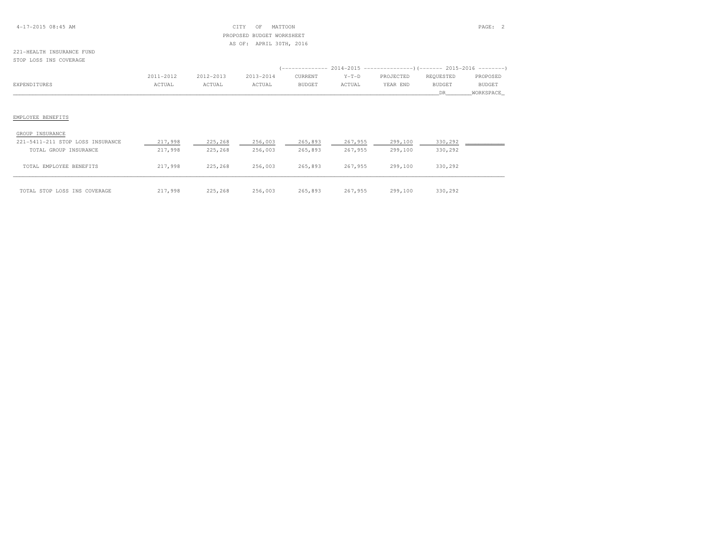### 4-17-2015 08:45 AM CITY OF MATTOON PAGE: 2 PROPOSED BUDGET WORKSHEETAS OF: APRIL 30TH, 2016

#### 221-HEALTH INSURANCE FUNDSTOP LOSS INS COVERAGE

|                      | 2011-2012 | 2012-2013 | 2013-2014 | CURRENT | $Y-T-D$       | PROJECTED | REOUESTED     | PROPOSED      |
|----------------------|-----------|-----------|-----------|---------|---------------|-----------|---------------|---------------|
| <b>CYDEMBITTHERS</b> | ACTUAI    | ACTUAL    | ACTUAL    | BUDGET  | <b>\CTUAL</b> | YEAR END  | <b>BUDGET</b> | <b>BUDGET</b> |
|                      |           |           |           |         |               |           |               | WORKSPACE     |

| GROUP INSURANCE                  |         |         |         |         |         |         |         |  |
|----------------------------------|---------|---------|---------|---------|---------|---------|---------|--|
| 221-5411-211 STOP LOSS INSURANCE | 217,998 | 225,268 | 256,003 | 265,893 | 267,955 | 299,100 | 330,292 |  |
| TOTAL GROUP INSURANCE            | 217,998 | 225,268 | 256,003 | 265,893 | 267,955 | 299,100 | 330,292 |  |
| TOTAL EMPLOYEE BENEFITS          | 217,998 | 225,268 | 256,003 | 265,893 | 267,955 | 299,100 | 330,292 |  |
| TOTAL STOP LOSS INS COVERAGE     | 217,998 | 225,268 | 256,003 | 265,893 | 267,955 | 299,100 | 330,292 |  |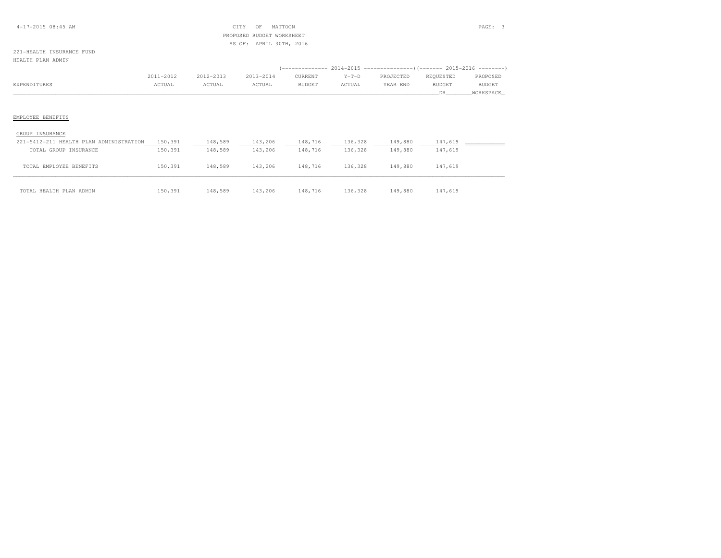### 4-17-2015 08:45 AM CITY OF MATTOON PAGE: 3 PROPOSED BUDGET WORKSHEETAS OF: APRIL 30TH, 2016

### 221-HEALTH INSURANCE FUNDHEALTH PLAN ADMIN

|            | 2011-2012    | 2012-2013 | 2013-2014 | CURRENT       | $Y-T-D$ | PROJECTED | REOUESTED | PROPOSED      |
|------------|--------------|-----------|-----------|---------------|---------|-----------|-----------|---------------|
| דדחות סטיס | <b>CTUAL</b> | `CTUAL    | ACTUAL    | <b>BUDGET</b> | ACTUAI  | YEAR END  | BUDGET    | <b>BUDGET</b> |
|            |              |           |           |               |         |           |           |               |

| GROUP INSURANCE                         |         |         |         |         |         |         |         |  |
|-----------------------------------------|---------|---------|---------|---------|---------|---------|---------|--|
| 221-5412-211 HEALTH PLAN ADMINISTRATION | 150,391 | 148,589 | 143,206 | 148,716 | 136,328 | 149,880 | 147,619 |  |
| TOTAL GROUP INSURANCE                   | 150,391 | 148,589 | 143,206 | 148,716 | 136,328 | 149,880 | 147,619 |  |
| TOTAL EMPLOYEE BENEFITS                 | 150,391 | 148,589 | 143,206 | 148,716 | 136,328 | 149,880 | 147,619 |  |
| TOTAL HEALTH PLAN ADMIN                 | 150,391 | 148,589 | 143,206 | 148,716 | 136,328 | 149,880 | 147,619 |  |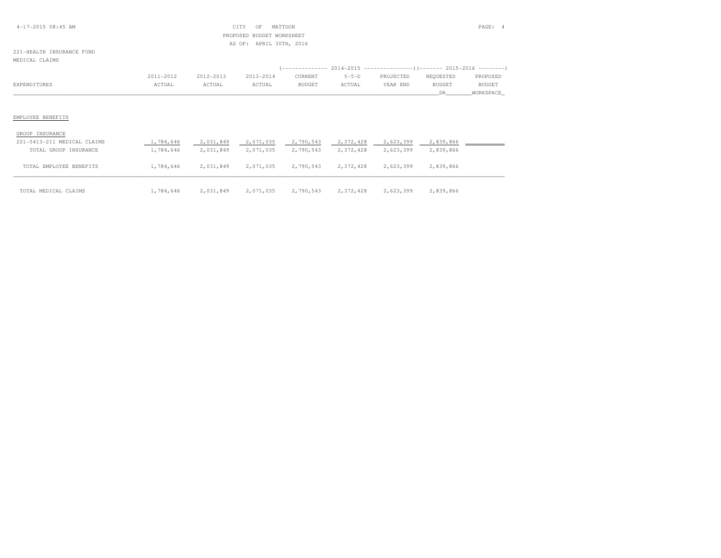### 4-17-2015 08:45 AM CITY OF MATTOON PAGE: 4 PROPOSED BUDGET WORKSHEETAS OF: APRIL 30TH, 2016

### 221-HEALTH INSURANCE FUNDMEDICAL CLAIMS

|              | 2011-2012 | 2012-2013 | 2013-2014 | CURRENT       | $Y-T-D$ | PROJECTED | REOUESTED     | PROPOSED      |
|--------------|-----------|-----------|-----------|---------------|---------|-----------|---------------|---------------|
| EXPENDITURES | ACTUAL    | ACTUAL    | ACTUAL    | <b>BUDGET</b> | ACTUAL  | YEAR END  | <b>BUDGET</b> | <b>BUDGET</b> |
|              |           |           |           |               |         |           |               | WORKSPACE     |

| GROUP INSURANCE             |           |           |           |           |           |           |           |
|-----------------------------|-----------|-----------|-----------|-----------|-----------|-----------|-----------|
| 221-5413-211 MEDICAL CLAIMS | 1,784,646 | 2,031,849 | 2,071,035 | 2,790,543 | 2,372,428 | 2,623,399 | 2,839,866 |
| TOTAL GROUP INSURANCE       | 1,784,646 | 2,031,849 | 2,071,035 | 2,790,543 | 2,372,428 | 2,623,399 | 2,839,866 |
| TOTAL EMPLOYEE BENEFITS     | 1,784,646 | 2,031,849 | 2,071,035 | 2,790,543 | 2,372,428 | 2,623,399 | 2,839,866 |
|                             |           |           |           |           |           |           |           |
| TOTAL MEDICAL CLAIMS        | 1,784,646 | 2,031,849 | 2,071,035 | 2,790,543 | 2,372,428 | 2,623,399 | 2,839,866 |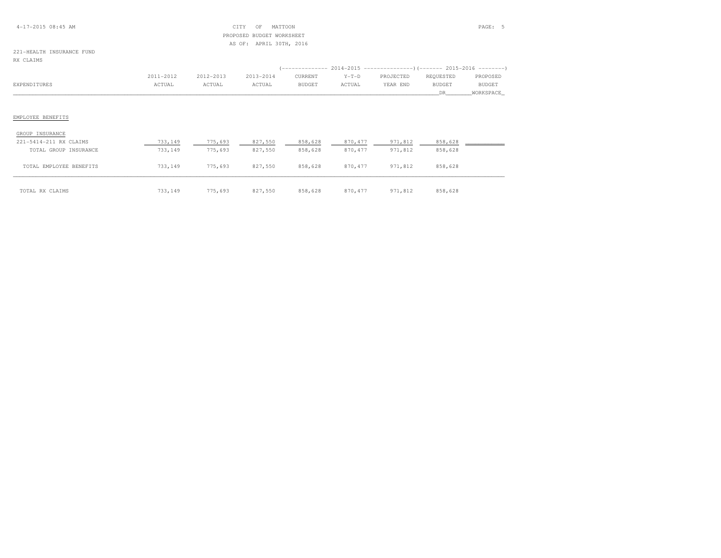### 4-17-2015 08:45 AM CITY OF MATTOON PAGE: 5 PROPOSED BUDGET WORKSHEETAS OF: APRIL 30TH, 2016

# 221-HEALTH INSURANCE FUND

RX CLAIMS

|              | 2011-2012 | 2012-2013 | 2013-2014 | CURRENT | $Y-T-D$ | PROJECTED | REOUESTED | PROPOSED      |
|--------------|-----------|-----------|-----------|---------|---------|-----------|-----------|---------------|
| EXPENDITURES | ACTUAL    | ACTUAL    | ACTUAL    | BUDGET  | ACTUAL  | YEAR END  | BUDGET    | <b>BUDGET</b> |
|              |           |           |           |         |         |           | DR        | WORKSPACE     |

| GROUP INSURANCE         |         |         |         |         |          |         |         |
|-------------------------|---------|---------|---------|---------|----------|---------|---------|
| 221-5414-211 RX CLAIMS  | 733,149 | 775,693 | 827,550 | 858,628 | 870, 477 | 971,812 | 858,628 |
| TOTAL GROUP INSURANCE   | 733,149 | 775,693 | 827,550 | 858,628 | 870, 477 | 971,812 | 858,628 |
| TOTAL EMPLOYEE BENEFITS | 733,149 | 775,693 | 827,550 | 858,628 | 870, 477 | 971,812 | 858,628 |
| TOTAL RX CLAIMS         | 733,149 | 775,693 | 827,550 | 858,628 | 870, 477 | 971,812 | 858,628 |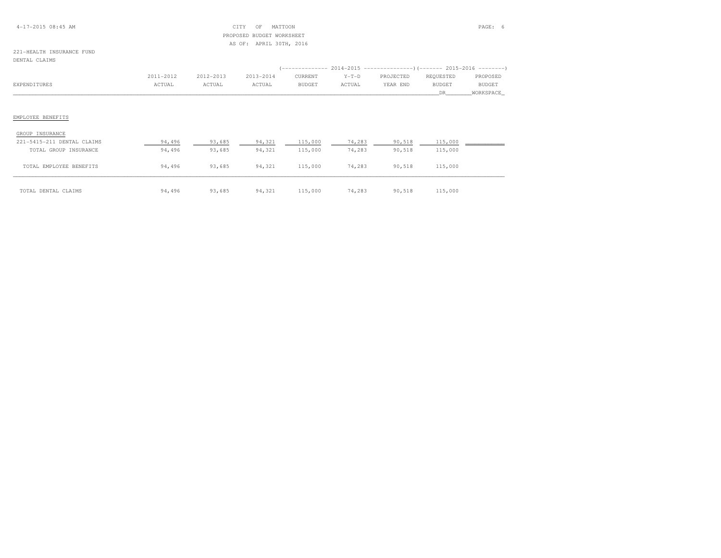### 4-17-2015 08:45 AM CITY OF MATTOON PAGE: 6 PROPOSED BUDGET WORKSHEETAS OF: APRIL 30TH, 2016

# 221-HEALTH INSURANCE FUND

| DENTAL CLAIMS |  |
|---------------|--|
|---------------|--|

|              | 2011-2012 | 2012-2013 | 2013-2014 | CURRENT | $Y-T-D$ | PROJECTED | REOUESTED | PROPOSED      |
|--------------|-----------|-----------|-----------|---------|---------|-----------|-----------|---------------|
| EXPENDITURES | ACTUAL    | ACTUAL    | ACTUAL    | BUDGET  | ACTUAL  | YEAR END  | BUDGET    | <b>BUDGET</b> |
|              |           |           |           |         |         |           |           | WORKSPACE     |
|              |           |           |           |         |         |           |           |               |

| GROUP INSURANCE            |        |        |        |         |        |        |         |  |
|----------------------------|--------|--------|--------|---------|--------|--------|---------|--|
| 221-5415-211 DENTAL CLAIMS | 94,496 | 93,685 | 94,321 | 115,000 | 74,283 | 90,518 | 115,000 |  |
| TOTAL GROUP INSURANCE      | 94,496 | 93,685 | 94,321 | 115,000 | 74,283 | 90,518 | 115,000 |  |
| TOTAL EMPLOYEE BENEFITS    | 94,496 | 93,685 | 94,321 | 115,000 | 74,283 | 90,518 | 115,000 |  |
| TOTAL DENTAL CLAIMS        | 94,496 | 93,685 | 94,321 | 115,000 | 74,283 | 90,518 | 115,000 |  |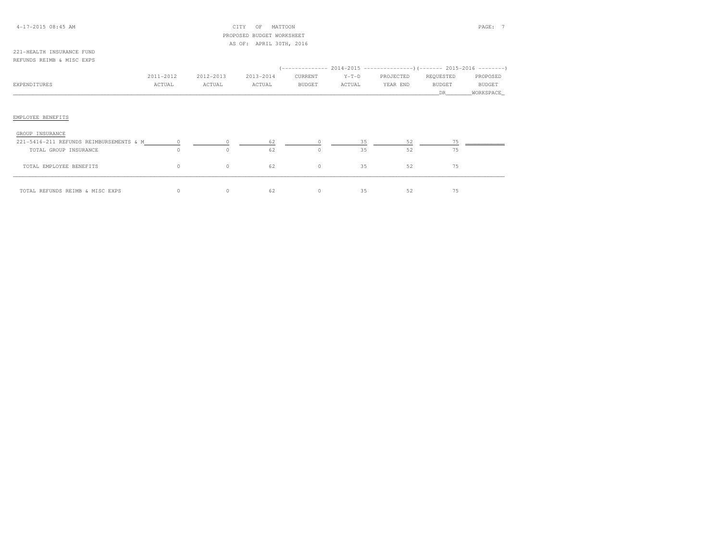### 4-17-2015 08:45 AM CITY OF MATTOON PAGE: 7 PROPOSED BUDGET WORKSHEETAS OF: APRIL 30TH, 2016

#### 221-HEALTH INSURANCE FUNDREFUNDS REIMB & MISC EXPS

|                                         |           |           |           |           |         | (-------------- 2014-2015 --------------------- 2015-2016 ---------) |           |               |
|-----------------------------------------|-----------|-----------|-----------|-----------|---------|----------------------------------------------------------------------|-----------|---------------|
|                                         | 2011-2012 | 2012-2013 | 2013-2014 | CURRENT   | $Y-T-D$ | PROJECTED                                                            | REQUESTED | PROPOSED      |
| EXPENDITURES                            | ACTUAL    | ACTUAL    | ACTUAL    | BUDGET    | ACTUAL  | YEAR END                                                             | BUDGET    | <b>BUDGET</b> |
|                                         |           |           |           |           |         |                                                                      | DR.       | WORKSPACE     |
|                                         |           |           |           |           |         |                                                                      |           |               |
|                                         |           |           |           |           |         |                                                                      |           |               |
| EMPLOYEE BENEFITS                       |           |           |           |           |         |                                                                      |           |               |
|                                         |           |           |           |           |         |                                                                      |           |               |
| GROUP INSURANCE                         |           |           |           |           |         |                                                                      |           |               |
| 221-5416-211 REFUNDS REIMBURSEMENTS & M |           |           | 62        |           | २६      | 52                                                                   |           |               |
| TOTAL GROUP INSURANCE                   |           |           | 62        | $\bigcap$ | 35      | 52                                                                   | 75        |               |

| TOTAL EMPLOYEE BENEFITS         |  |  |  |  |
|---------------------------------|--|--|--|--|
| TOTAL REFUNDS REIMB & MISC EXPS |  |  |  |  |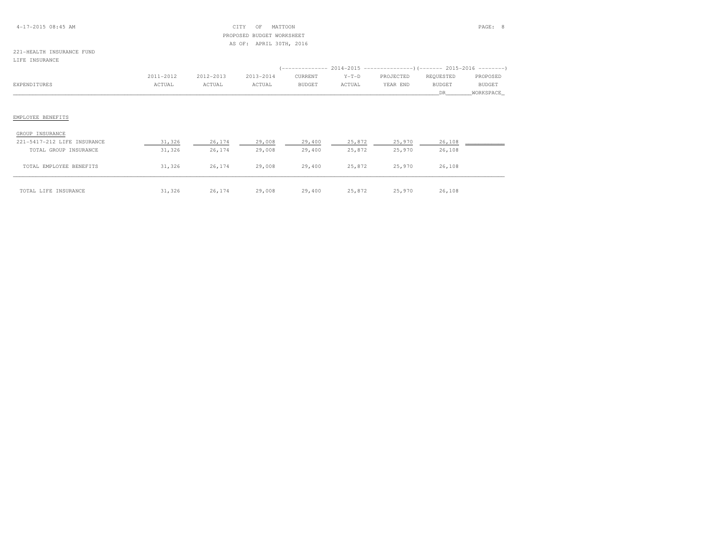### 4-17-2015 08:45 AM CITY OF MATTOON PAGE: 8 PROPOSED BUDGET WORKSHEETAS OF: APRIL 30TH, 2016

#### 221-HEALTH INSURANCE FUNDLIFE INSURANCE

|              | 2011-2012 | 2012-2013 | 2013-2014 | CURRENT       | $Y-T-D$ | PROJECTED | REQUESTED     | PROPOSED      |
|--------------|-----------|-----------|-----------|---------------|---------|-----------|---------------|---------------|
| EXPENDITURES | ACTUAL    | ACTUAL    | ACTUAL    | <b>BUDGET</b> | ACTUAL  | YEAR END  | <b>BUDGET</b> | <b>BUDGET</b> |
|              |           |           |           |               |         |           |               | WORKSPACE     |
|              |           |           |           |               |         |           |               |               |

| GROUP INSURANCE             |        |        |        |        |        |        |        |  |
|-----------------------------|--------|--------|--------|--------|--------|--------|--------|--|
| 221-5417-212 LIFE INSURANCE | 31,326 | 26,174 | 29,008 | 29,400 | 25,872 | 25,970 | 26,108 |  |
| TOTAL GROUP INSURANCE       | 31,326 | 26,174 | 29,008 | 29,400 | 25,872 | 25,970 | 26,108 |  |
| TOTAL EMPLOYEE BENEFITS     | 31,326 | 26,174 | 29,008 | 29,400 | 25,872 | 25,970 | 26,108 |  |
| TOTAL LIFE INSURANCE        | 31,326 | 26,174 | 29,008 | 29,400 | 25,872 | 25,970 | 26,108 |  |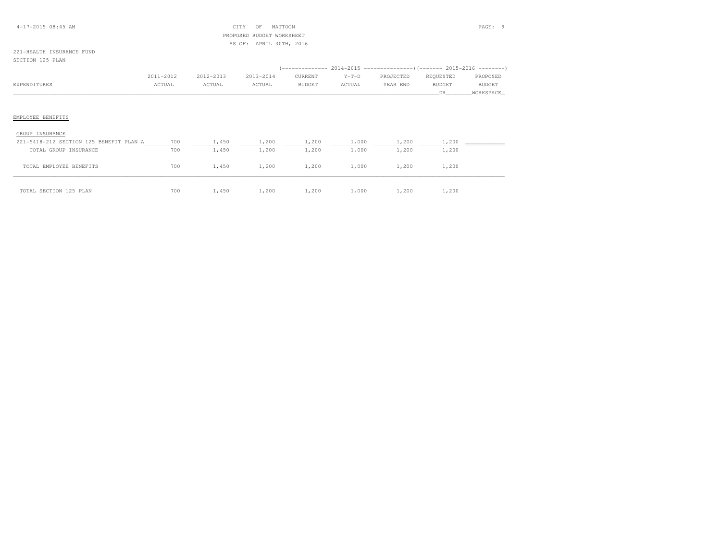### 4-17-2015 08:45 AM CITY OF MATTOON PAGE: 9 PROPOSED BUDGET WORKSHEETAS OF: APRIL 30TH, 2016

### 221-HEALTH INSURANCE FUNDSECTION 125 PLAN

|              | 2011-2012 | 2012-2013 | 2013-2014 | CURRENT       | $Y-T-D$ | PROJECTED | REOUESTED | PROPOSED      |
|--------------|-----------|-----------|-----------|---------------|---------|-----------|-----------|---------------|
| EXPENDITURES | ACTUAL    | ACTUAL    | ACTUAL    | <b>BUDGET</b> | ACTUAL  | YEAR END  | BUDGET    | <b>BUDGET</b> |
|              |           |           |           |               |         |           |           | WORKSPACE     |
|              |           |           |           |               |         |           |           |               |

| GROUP INSURANCE                         |     |       |       |       |       |       |       |  |
|-----------------------------------------|-----|-------|-------|-------|-------|-------|-------|--|
| 221-5418-212 SECTION 125 BENEFIT PLAN A | 700 | 1,450 | 1,200 | 1,200 | 1,000 | 1,200 | 1,200 |  |
| TOTAL GROUP INSURANCE                   | 700 | 1,450 | 1,200 | 1,200 | 1,000 | 1,200 | 1,200 |  |
| TOTAL EMPLOYEE BENEFITS                 | 700 | 1,450 | 1,200 | 1,200 | 1,000 | 1,200 | 1,200 |  |
| TOTAL SECTION 125 PLAN                  | 700 | 1,450 | 1,200 | 1,200 | 1,000 | 1,200 | 1,200 |  |